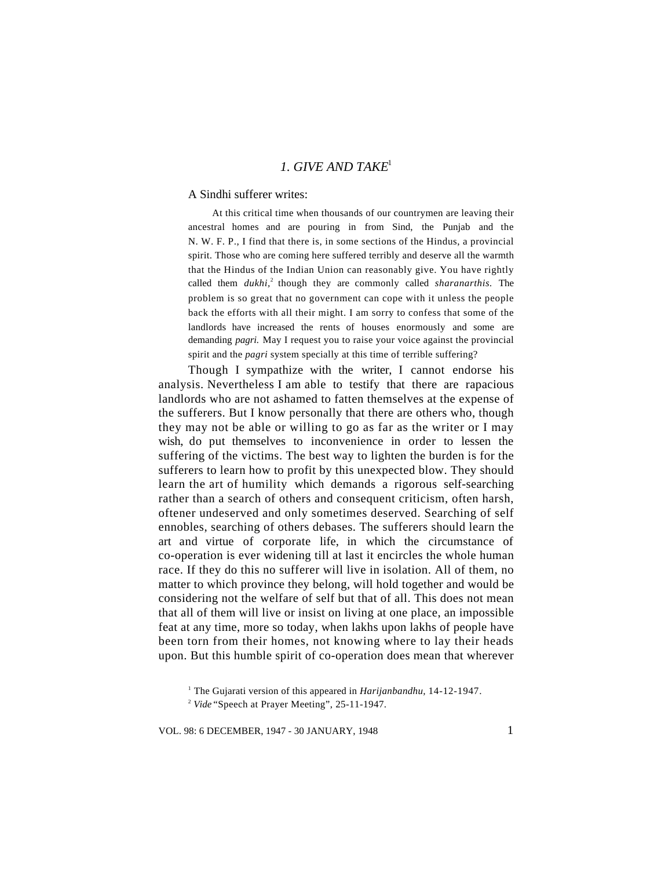### *1. GIVE AND TAKE*<sup>1</sup>

#### A Sindhi sufferer writes:

At this critical time when thousands of our countrymen are leaving their ancestral homes and are pouring in from Sind, the Punjab and the N. W. F. P., I find that there is, in some sections of the Hindus, a provincial spirit. Those who are coming here suffered terribly and deserve all the warmth that the Hindus of the Indian Union can reasonably give. You have rightly called them *dukhi*,<sup>2</sup> though they are commonly called *sharanarthis*. The problem is so great that no government can cope with it unless the people back the efforts with all their might. I am sorry to confess that some of the landlords have increased the rents of houses enormously and some are demanding *pagri.* May I request you to raise your voice against the provincial spirit and the *pagri* system specially at this time of terrible suffering?

Though I sympathize with the writer, I cannot endorse his analysis. Nevertheless I am able to testify that there are rapacious landlords who are not ashamed to fatten themselves at the expense of the sufferers. But I know personally that there are others who, though they may not be able or willing to go as far as the writer or I may wish, do put themselves to inconvenience in order to lessen the suffering of the victims. The best way to lighten the burden is for the sufferers to learn how to profit by this unexpected blow. They should learn the art of humility which demands a rigorous self-searching rather than a search of others and consequent criticism, often harsh, oftener undeserved and only sometimes deserved. Searching of self ennobles, searching of others debases. The sufferers should learn the art and virtue of corporate life, in which the circumstance of co-operation is ever widening till at last it encircles the whole human race. If they do this no sufferer will live in isolation. All of them, no matter to which province they belong, will hold together and would be considering not the welfare of self but that of all. This does not mean that all of them will live or insist on living at one place, an impossible feat at any time, more so today, when lakhs upon lakhs of people have been torn from their homes, not knowing where to lay their heads upon. But this humble spirit of co-operation does mean that wherever

<sup>&</sup>lt;sup>1</sup> The Gujarati version of this appeared in *Harijanbandhu*, 14-12-1947.

<sup>&</sup>lt;sup>2</sup> Vide "Speech at Prayer Meeting", 25-11-1947.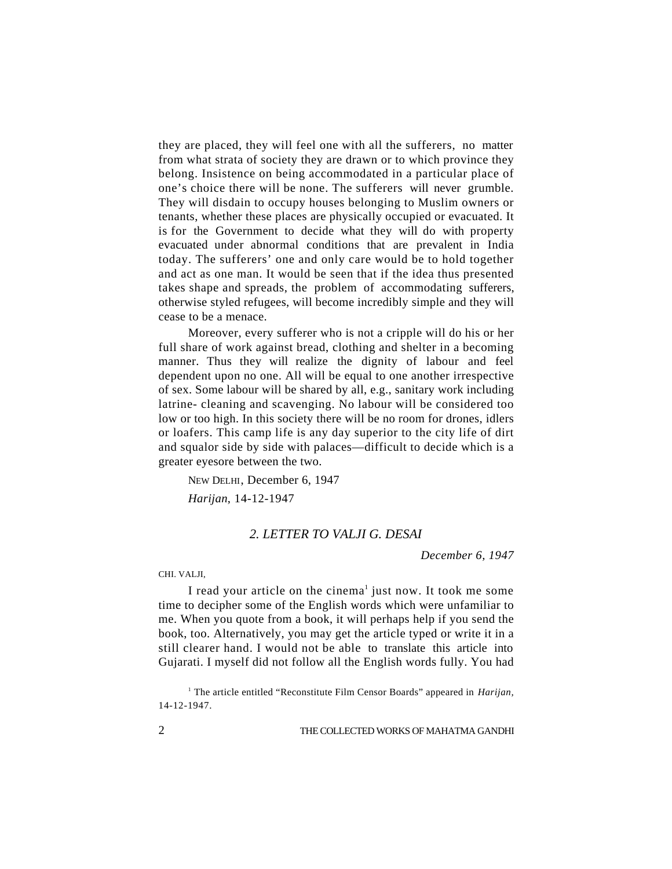they are placed, they will feel one with all the sufferers, no matter from what strata of society they are drawn or to which province they belong. Insistence on being accommodated in a particular place of one's choice there will be none. The sufferers will never grumble. They will disdain to occupy houses belonging to Muslim owners or tenants, whether these places are physically occupied or evacuated. It is for the Government to decide what they will do with property evacuated under abnormal conditions that are prevalent in India today. The sufferers' one and only care would be to hold together and act as one man. It would be seen that if the idea thus presented takes shape and spreads, the problem of accommodating sufferers, otherwise styled refugees, will become incredibly simple and they will cease to be a menace.

Moreover, every sufferer who is not a cripple will do his or her full share of work against bread, clothing and shelter in a becoming manner. Thus they will realize the dignity of labour and feel dependent upon no one. All will be equal to one another irrespective of sex. Some labour will be shared by all, e.g., sanitary work including latrine- cleaning and scavenging. No labour will be considered too low or too high. In this society there will be no room for drones, idlers or loafers. This camp life is any day superior to the city life of dirt and squalor side by side with palaces—difficult to decide which is a greater eyesore between the two.

NEW DELHI, December 6, 1947

*Harijan*, 14-12-1947

# *2. LETTER TO VALJI G. DESAI*

*December 6, 1947*

CHI. VALJI,

I read your article on the cinema<sup>1</sup> just now. It took me some time to decipher some of the English words which were unfamiliar to me. When you quote from a book, it will perhaps help if you send the book, too. Alternatively, you may get the article typed or write it in a still clearer hand. I would not be able to translate this article into Gujarati. I myself did not follow all the English words fully. You had

<sup>&</sup>lt;sup>1</sup> The article entitled "Reconstitute Film Censor Boards" appeared in *Harijan*, 14-12-1947.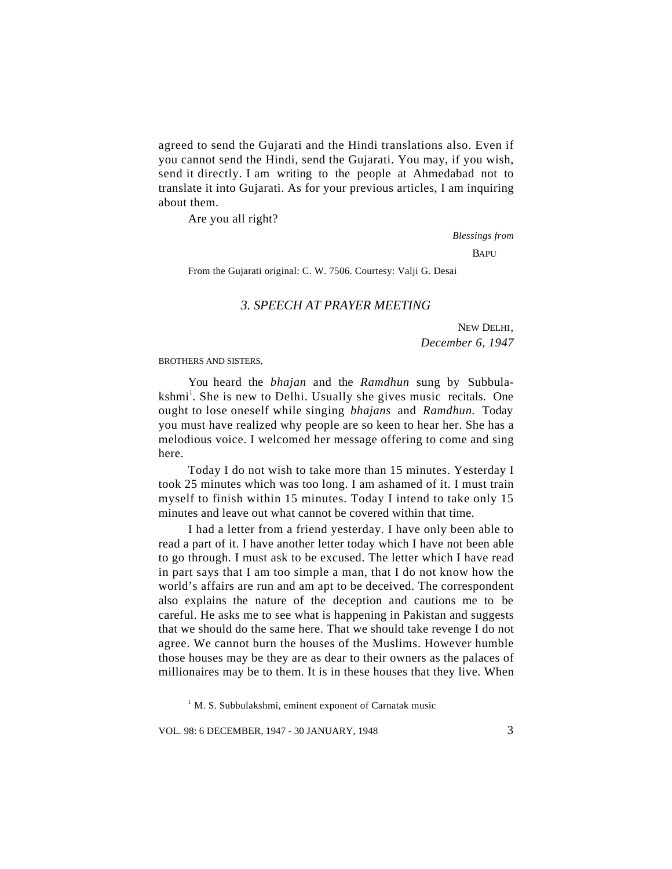agreed to send the Gujarati and the Hindi translations also. Even if you cannot send the Hindi, send the Gujarati. You may, if you wish, send it directly. I am writing to the people at Ahmedabad not to translate it into Gujarati. As for your previous articles, I am inquiring about them.

Are you all right?

*Blessings from*

**BAPU** 

From the Gujarati original: C. W. 7506. Courtesy: Valji G. Desai

#### *3. SPEECH AT PRAYER MEETING*

NEW DELHI, *December 6, 1947*

BROTHERS AND SISTERS,

You heard the *bhajan* and the *Ramdhun* sung by Subbulakshmi<sup>1</sup>. She is new to Delhi. Usually she gives music recitals. One ought to lose oneself while singing *bhajans* and *Ramdhun.* Today you must have realized why people are so keen to hear her. She has a melodious voice. I welcomed her message offering to come and sing here.

Today I do not wish to take more than 15 minutes. Yesterday I took 25 minutes which was too long. I am ashamed of it. I must train myself to finish within 15 minutes. Today I intend to take only 15 minutes and leave out what cannot be covered within that time.

I had a letter from a friend yesterday. I have only been able to read a part of it. I have another letter today which I have not been able to go through. I must ask to be excused. The letter which I have read in part says that I am too simple a man, that I do not know how the world's affairs are run and am apt to be deceived. The correspondent also explains the nature of the deception and cautions me to be careful. He asks me to see what is happening in Pakistan and suggests that we should do the same here. That we should take revenge I do not agree. We cannot burn the houses of the Muslims. However humble those houses may be they are as dear to their owners as the palaces of millionaires may be to them. It is in these houses that they live. When

<sup>1</sup> M. S. Subbulakshmi, eminent exponent of Carnatak music

VOL. 98: 6 DECEMBER, 1947 - 30 JANUARY, 1948 3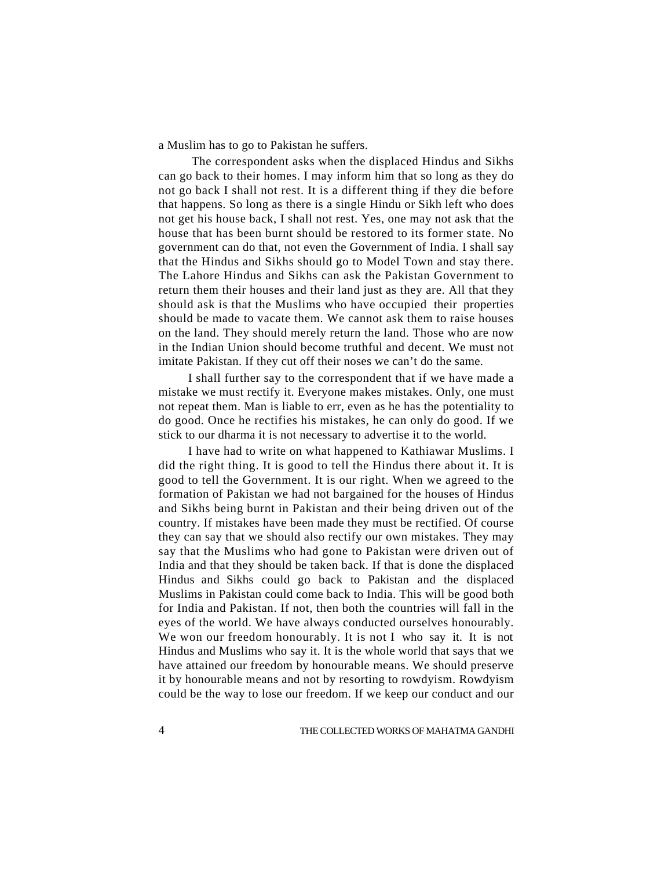a Muslim has to go to Pakistan he suffers.

 The correspondent asks when the displaced Hindus and Sikhs can go back to their homes. I may inform him that so long as they do not go back I shall not rest. It is a different thing if they die before that happens. So long as there is a single Hindu or Sikh left who does not get his house back, I shall not rest. Yes, one may not ask that the house that has been burnt should be restored to its former state. No government can do that, not even the Government of India. I shall say that the Hindus and Sikhs should go to Model Town and stay there. The Lahore Hindus and Sikhs can ask the Pakistan Government to return them their houses and their land just as they are. All that they should ask is that the Muslims who have occupied their properties should be made to vacate them. We cannot ask them to raise houses on the land. They should merely return the land. Those who are now in the Indian Union should become truthful and decent. We must not imitate Pakistan. If they cut off their noses we can't do the same.

I shall further say to the correspondent that if we have made a mistake we must rectify it. Everyone makes mistakes. Only, one must not repeat them. Man is liable to err, even as he has the potentiality to do good. Once he rectifies his mistakes, he can only do good. If we stick to our dharma it is not necessary to advertise it to the world.

I have had to write on what happened to Kathiawar Muslims. I did the right thing. It is good to tell the Hindus there about it. It is good to tell the Government. It is our right. When we agreed to the formation of Pakistan we had not bargained for the houses of Hindus and Sikhs being burnt in Pakistan and their being driven out of the country. If mistakes have been made they must be rectified. Of course they can say that we should also rectify our own mistakes. They may say that the Muslims who had gone to Pakistan were driven out of India and that they should be taken back. If that is done the displaced Hindus and Sikhs could go back to Pakistan and the displaced Muslims in Pakistan could come back to India. This will be good both for India and Pakistan. If not, then both the countries will fall in the eyes of the world. We have always conducted ourselves honourably. We won our freedom honourably. It is not I who say it. It is not Hindus and Muslims who say it. It is the whole world that says that we have attained our freedom by honourable means. We should preserve it by honourable means and not by resorting to rowdyism. Rowdyism could be the way to lose our freedom. If we keep our conduct and our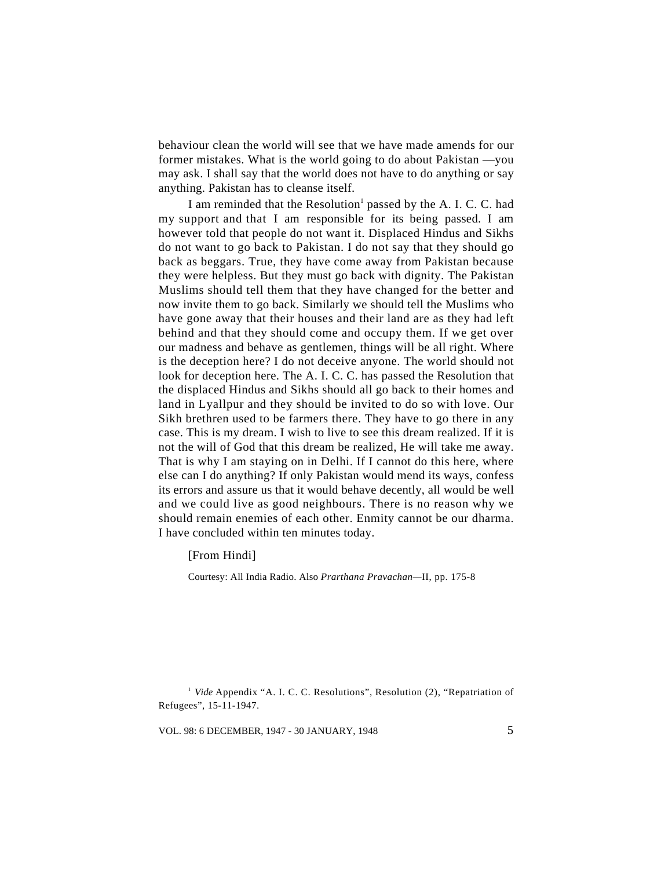behaviour clean the world will see that we have made amends for our former mistakes. What is the world going to do about Pakistan —you may ask. I shall say that the world does not have to do anything or say anything. Pakistan has to cleanse itself.

I am reminded that the Resolution<sup>1</sup> passed by the A. I. C. C. had my support and that I am responsible for its being passed. I am however told that people do not want it. Displaced Hindus and Sikhs do not want to go back to Pakistan. I do not say that they should go back as beggars. True, they have come away from Pakistan because they were helpless. But they must go back with dignity. The Pakistan Muslims should tell them that they have changed for the better and now invite them to go back. Similarly we should tell the Muslims who have gone away that their houses and their land are as they had left behind and that they should come and occupy them. If we get over our madness and behave as gentlemen, things will be all right. Where is the deception here? I do not deceive anyone. The world should not look for deception here. The A. I. C. C. has passed the Resolution that the displaced Hindus and Sikhs should all go back to their homes and land in Lyallpur and they should be invited to do so with love. Our Sikh brethren used to be farmers there. They have to go there in any case. This is my dream. I wish to live to see this dream realized. If it is not the will of God that this dream be realized, He will take me away. That is why I am staying on in Delhi. If I cannot do this here, where else can I do anything? If only Pakistan would mend its ways, confess its errors and assure us that it would behave decently, all would be well and we could live as good neighbours. There is no reason why we should remain enemies of each other. Enmity cannot be our dharma. I have concluded within ten minutes today.

#### [From Hindi]

Courtesy: All India Radio. Also *Prarthana Pravachan—*II, pp. 175-8

<sup>1</sup> *Vide* Appendix "A. I. C. C. Resolutions", Resolution (2), "Repatriation of Refugees", 15-11-1947.

VOL. 98: 6 DECEMBER, 1947 - 30 JANUARY, 1948 5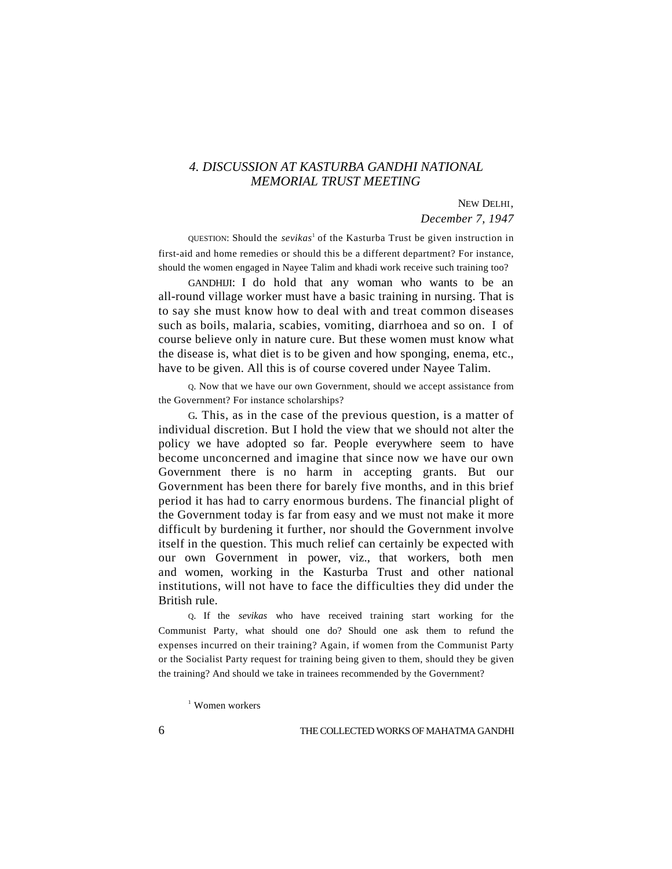# *4. DISCUSSION AT KASTURBA GANDHI NATIONAL MEMORIAL TRUST MEETING*

NEW DELHI, *December 7, 1947*

QUESTION: Should the *sevikas*<sup>1</sup> of the Kasturba Trust be given instruction in first-aid and home remedies or should this be a different department? For instance, should the women engaged in Nayee Talim and khadi work receive such training too?

GANDHIJI: I do hold that any woman who wants to be an all-round village worker must have a basic training in nursing. That is to say she must know how to deal with and treat common diseases such as boils, malaria, scabies, vomiting, diarrhoea and so on. I of course believe only in nature cure. But these women must know what the disease is, what diet is to be given and how sponging, enema, etc., have to be given. All this is of course covered under Nayee Talim.

Q. Now that we have our own Government, should we accept assistance from the Government? For instance scholarships?

G. This, as in the case of the previous question, is a matter of individual discretion. But I hold the view that we should not alter the policy we have adopted so far. People everywhere seem to have become unconcerned and imagine that since now we have our own Government there is no harm in accepting grants. But our Government has been there for barely five months, and in this brief period it has had to carry enormous burdens. The financial plight of the Government today is far from easy and we must not make it more difficult by burdening it further, nor should the Government involve itself in the question. This much relief can certainly be expected with our own Government in power, viz., that workers, both men and women, working in the Kasturba Trust and other national institutions, will not have to face the difficulties they did under the British rule.

Q. If the *sevikas* who have received training start working for the Communist Party, what should one do? Should one ask them to refund the expenses incurred on their training? Again, if women from the Communist Party or the Socialist Party request for training being given to them, should they be given the training? And should we take in trainees recommended by the Government?

1 Women workers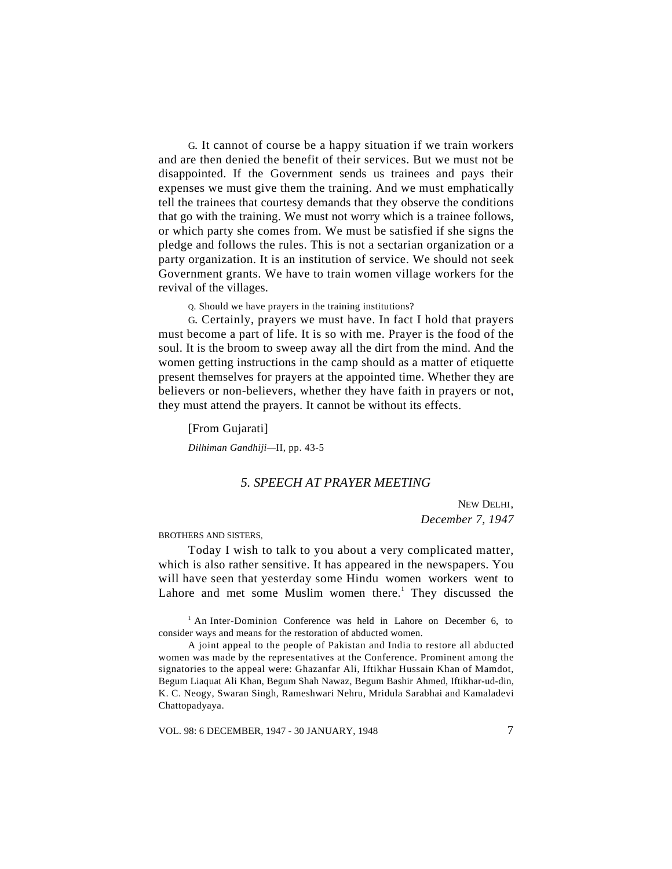G. It cannot of course be a happy situation if we train workers and are then denied the benefit of their services. But we must not be disappointed. If the Government sends us trainees and pays their expenses we must give them the training. And we must emphatically tell the trainees that courtesy demands that they observe the conditions that go with the training. We must not worry which is a trainee follows, or which party she comes from. We must be satisfied if she signs the pledge and follows the rules. This is not a sectarian organization or a party organization. It is an institution of service. We should not seek Government grants. We have to train women village workers for the revival of the villages.

Q. Should we have prayers in the training institutions?

G. Certainly, prayers we must have. In fact I hold that prayers must become a part of life. It is so with me. Prayer is the food of the soul. It is the broom to sweep away all the dirt from the mind. And the women getting instructions in the camp should as a matter of etiquette present themselves for prayers at the appointed time. Whether they are believers or non-believers, whether they have faith in prayers or not, they must attend the prayers. It cannot be without its effects.

[From Gujarati] *Dilhiman Gandhiji—*II, pp. 43-5

#### *5. SPEECH AT PRAYER MEETING*

NEW DELHI, *December 7, 1947*

#### BROTHERS AND SISTERS,

Today I wish to talk to you about a very complicated matter, which is also rather sensitive. It has appeared in the newspapers. You will have seen that yesterday some Hindu women workers went to Lahore and met some Muslim women there.<sup>1</sup> They discussed the

<sup>1</sup> An Inter-Dominion Conference was held in Lahore on December 6, to consider ways and means for the restoration of abducted women.

A joint appeal to the people of Pakistan and India to restore all abducted women was made by the representatives at the Conference. Prominent among the signatories to the appeal were: Ghazanfar Ali, Iftikhar Hussain Khan of Mamdot, Begum Liaquat Ali Khan, Begum Shah Nawaz, Begum Bashir Ahmed, Iftikhar-ud-din, K. C. Neogy, Swaran Singh, Rameshwari Nehru, Mridula Sarabhai and Kamaladevi Chattopadyaya.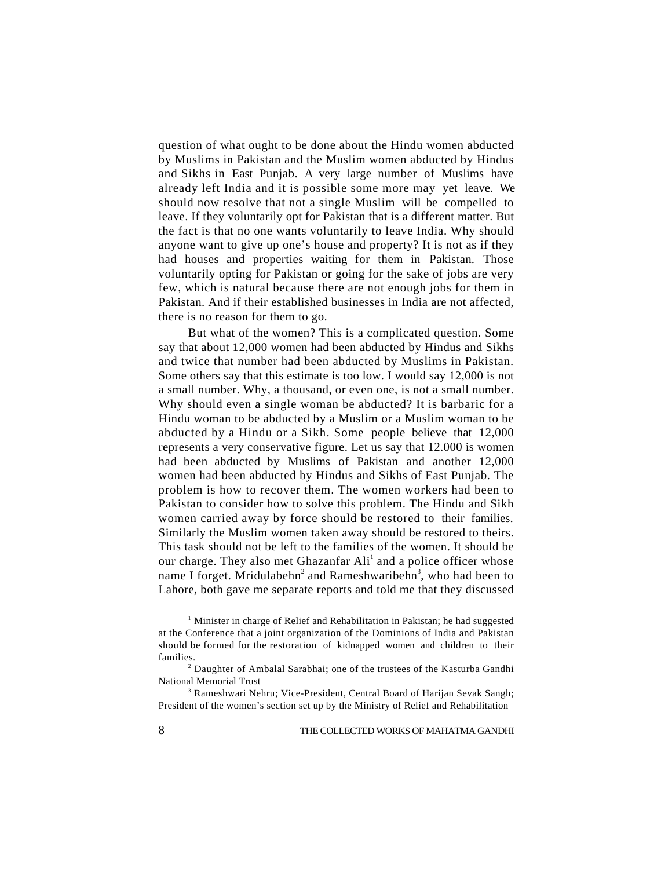question of what ought to be done about the Hindu women abducted by Muslims in Pakistan and the Muslim women abducted by Hindus and Sikhs in East Punjab. A very large number of Muslims have already left India and it is possible some more may yet leave. We should now resolve that not a single Muslim will be compelled to leave. If they voluntarily opt for Pakistan that is a different matter. But the fact is that no one wants voluntarily to leave India. Why should anyone want to give up one's house and property? It is not as if they had houses and properties waiting for them in Pakistan. Those voluntarily opting for Pakistan or going for the sake of jobs are very few, which is natural because there are not enough jobs for them in Pakistan. And if their established businesses in India are not affected, there is no reason for them to go.

But what of the women? This is a complicated question. Some say that about 12,000 women had been abducted by Hindus and Sikhs and twice that number had been abducted by Muslims in Pakistan. Some others say that this estimate is too low. I would say 12,000 is not a small number. Why, a thousand, or even one, is not a small number. Why should even a single woman be abducted? It is barbaric for a Hindu woman to be abducted by a Muslim or a Muslim woman to be abducted by a Hindu or a Sikh. Some people believe that 12,000 represents a very conservative figure. Let us say that 12.000 is women had been abducted by Muslims of Pakistan and another 12,000 women had been abducted by Hindus and Sikhs of East Punjab. The problem is how to recover them. The women workers had been to Pakistan to consider how to solve this problem. The Hindu and Sikh women carried away by force should be restored to their families. Similarly the Muslim women taken away should be restored to theirs. This task should not be left to the families of the women. It should be our charge. They also met Ghazanfar Ali<sup>1</sup> and a police officer whose name I forget. Mridulabehn<sup>2</sup> and Rameshwaribehn<sup>3</sup>, who had been to Lahore, both gave me separate reports and told me that they discussed

<sup>1</sup> Minister in charge of Relief and Rehabilitation in Pakistan; he had suggested at the Conference that a joint organization of the Dominions of India and Pakistan should be formed for the restoration of kidnapped women and children to their families.

<sup>2</sup> Daughter of Ambalal Sarabhai; one of the trustees of the Kasturba Gandhi National Memorial Trust

<sup>3</sup> Rameshwari Nehru; Vice-President, Central Board of Harijan Sevak Sangh; President of the women's section set up by the Ministry of Relief and Rehabilitation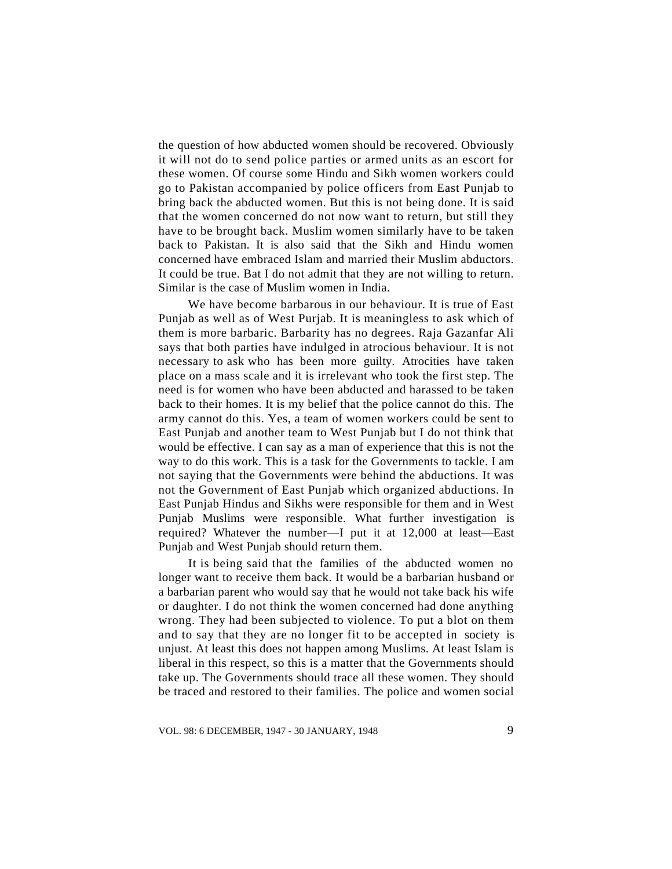the question of how abducted women should be recovered. Obviously it will not do to send police parties or armed units as an escort for these women. Of course some Hindu and Sikh women workers could go to Pakistan accompanied by police officers from East Punjab to bring back the abducted women. But this is not being done. It is said that the women concerned do not now want to return, but still they have to be brought back. Muslim women similarly have to be taken back to Pakistan. It is also said that the Sikh and Hindu women concerned have embraced Islam and married their Muslim abductors. It could be true. Bat I do not admit that they are not willing to return. Similar is the case of Muslim women in India.

We have become barbarous in our behaviour. It is true of East Punjab as well as of West Purjab. It is meaningless to ask which of them is more barbaric. Barbarity has no degrees. Raja Gazanfar Ali says that both parties have indulged in atrocious behaviour. It is not necessary to ask who has been more guilty. Atrocities have taken place on a mass scale and it is irrelevant who took the first step. The need is for women who have been abducted and harassed to be taken back to their homes. It is my belief that the police cannot do this. The army cannot do this. Yes, a team of women workers could be sent to East Punjab and another team to West Punjab but I do not think that would be effective. I can say as a man of experience that this is not the way to do this work. This is a task for the Governments to tackle. I am not saying that the Governments were behind the abductions. It was not the Government of East Punjab which organized abductions. In East Punjab Hindus and Sikhs were responsible for them and in West Punjab Muslims were responsible. What further investigation is required? Whatever the number—I put it at 12,000 at least—East Punjab and West Punjab should return them.

It is being said that the families of the abducted women no longer want to receive them back. It would be a barbarian husband or a barbarian parent who would say that he would not take back his wife or daughter. I do not think the women concerned had done anything wrong. They had been subjected to violence. To put a blot on them and to say that they are no longer fit to be accepted in society is unjust. At least this does not happen among Muslims. At least Islam is liberal in this respect, so this is a matter that the Governments should take up. The Governments should trace all these women. They should be traced and restored to their families. The police and women social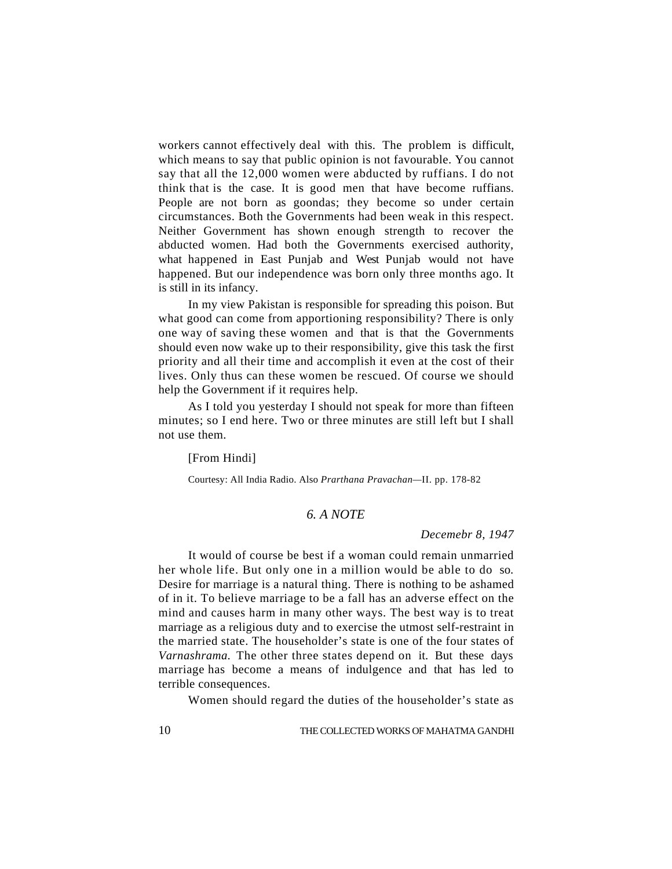workers cannot effectively deal with this. The problem is difficult, which means to say that public opinion is not favourable. You cannot say that all the 12,000 women were abducted by ruffians. I do not think that is the case. It is good men that have become ruffians. People are not born as goondas; they become so under certain circumstances. Both the Governments had been weak in this respect. Neither Government has shown enough strength to recover the abducted women. Had both the Governments exercised authority, what happened in East Punjab and West Punjab would not have happened. But our independence was born only three months ago. It is still in its infancy.

In my view Pakistan is responsible for spreading this poison. But what good can come from apportioning responsibility? There is only one way of saving these women and that is that the Governments should even now wake up to their responsibility, give this task the first priority and all their time and accomplish it even at the cost of their lives. Only thus can these women be rescued. Of course we should help the Government if it requires help.

As I told you yesterday I should not speak for more than fifteen minutes; so I end here. Two or three minutes are still left but I shall not use them.

[From Hindi]

Courtesy: All India Radio. Also *Prarthana Pravachan—*II. pp. 178-82

# *6. A NOTE*

*Decemebr 8, 1947*

It would of course be best if a woman could remain unmarried her whole life. But only one in a million would be able to do so. Desire for marriage is a natural thing. There is nothing to be ashamed of in it. To believe marriage to be a fall has an adverse effect on the mind and causes harm in many other ways. The best way is to treat marriage as a religious duty and to exercise the utmost self-restraint in the married state. The householder's state is one of the four states of *Varnashrama.* The other three states depend on it. But these days marriage has become a means of indulgence and that has led to terrible consequences.

Women should regard the duties of the householder's state as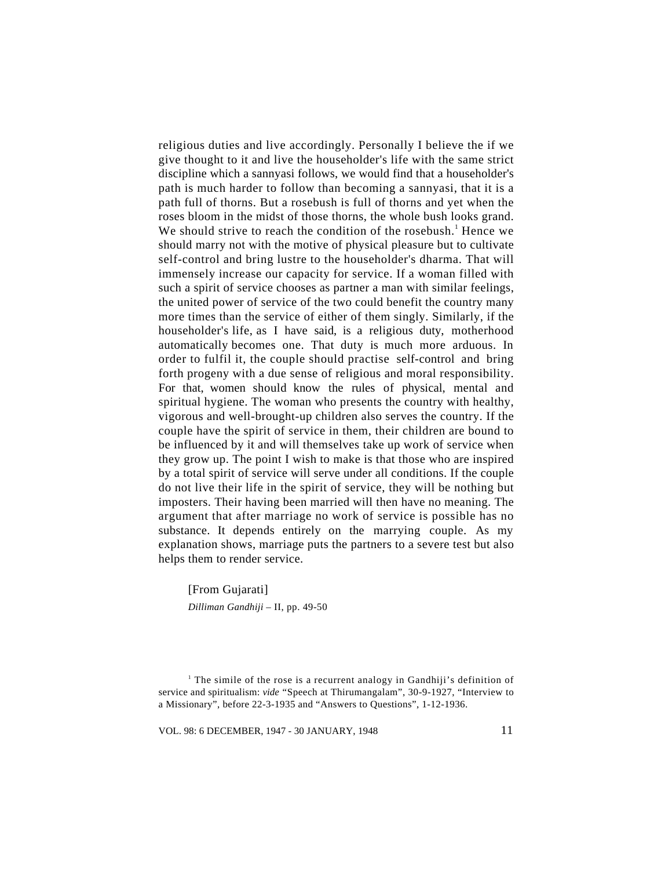religious duties and live accordingly. Personally I believe the if we give thought to it and live the householder's life with the same strict discipline which a sannyasi follows, we would find that a householder's path is much harder to follow than becoming a sannyasi, that it is a path full of thorns. But a rosebush is full of thorns and yet when the roses bloom in the midst of those thorns, the whole bush looks grand. We should strive to reach the condition of the rosebush.<sup>1</sup> Hence we should marry not with the motive of physical pleasure but to cultivate self-control and bring lustre to the householder's dharma. That will immensely increase our capacity for service. If a woman filled with such a spirit of service chooses as partner a man with similar feelings, the united power of service of the two could benefit the country many more times than the service of either of them singly. Similarly, if the householder's life, as I have said, is a religious duty, motherhood automatically becomes one. That duty is much more arduous. In order to fulfil it, the couple should practise self-control and bring forth progeny with a due sense of religious and moral responsibility. For that, women should know the rules of physical, mental and spiritual hygiene. The woman who presents the country with healthy, vigorous and well-brought-up children also serves the country. If the couple have the spirit of service in them, their children are bound to be influenced by it and will themselves take up work of service when they grow up. The point I wish to make is that those who are inspired by a total spirit of service will serve under all conditions. If the couple do not live their life in the spirit of service, they will be nothing but imposters. Their having been married will then have no meaning. The argument that after marriage no work of service is possible has no substance. It depends entirely on the marrying couple. As my explanation shows, marriage puts the partners to a severe test but also helps them to render service.

[From Gujarati] *Dilliman Gandhiji* – II, pp. 49-50

<sup>&</sup>lt;sup>1</sup> The simile of the rose is a recurrent analogy in Gandhiji's definition of service and spiritualism: *vide* "Speech at Thirumangalam", 30-9-1927, "Interview to a Missionary", before 22-3-1935 and "Answers to Questions", 1-12-1936.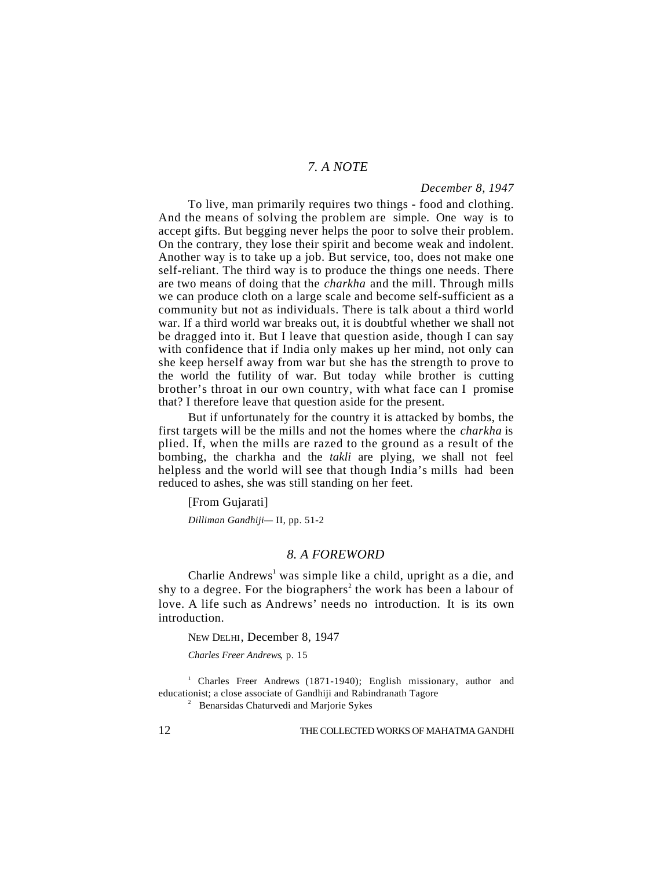## *7. A NOTE*

#### *December 8, 1947*

To live, man primarily requires two things - food and clothing. And the means of solving the problem are simple. One way is to accept gifts. But begging never helps the poor to solve their problem. On the contrary, they lose their spirit and become weak and indolent. Another way is to take up a job. But service, too, does not make one self-reliant. The third way is to produce the things one needs. There are two means of doing that the *charkha* and the mill. Through mills we can produce cloth on a large scale and become self-sufficient as a community but not as individuals. There is talk about a third world war. If a third world war breaks out, it is doubtful whether we shall not be dragged into it. But I leave that question aside, though I can say with confidence that if India only makes up her mind, not only can she keep herself away from war but she has the strength to prove to the world the futility of war. But today while brother is cutting brother's throat in our own country, with what face can I promise that? I therefore leave that question aside for the present.

But if unfortunately for the country it is attacked by bombs, the first targets will be the mills and not the homes where the *charkha* is plied. If, when the mills are razed to the ground as a result of the bombing, the charkha and the *takli* are plying, we shall not feel helpless and the world will see that though India's mills had been reduced to ashes, she was still standing on her feet.

[From Gujarati] *Dilliman Gandhiji—* II, pp. 51-2

#### *8. A FOREWORD*

Charlie Andrews<sup>1</sup> was simple like a child, upright as a die, and shy to a degree. For the biographers<sup>2</sup> the work has been a labour of love. A life such as Andrews' needs no introduction. It is its own introduction.

NEW DELHI, December 8, 1947

*Charles Freer Andrews*, p. 15

<sup>1</sup> Charles Freer Andrews (1871-1940); English missionary, author and educationist; a close associate of Gandhiji and Rabindranath Tagore

<sup>2</sup> Benarsidas Chaturvedi and Marjorie Sykes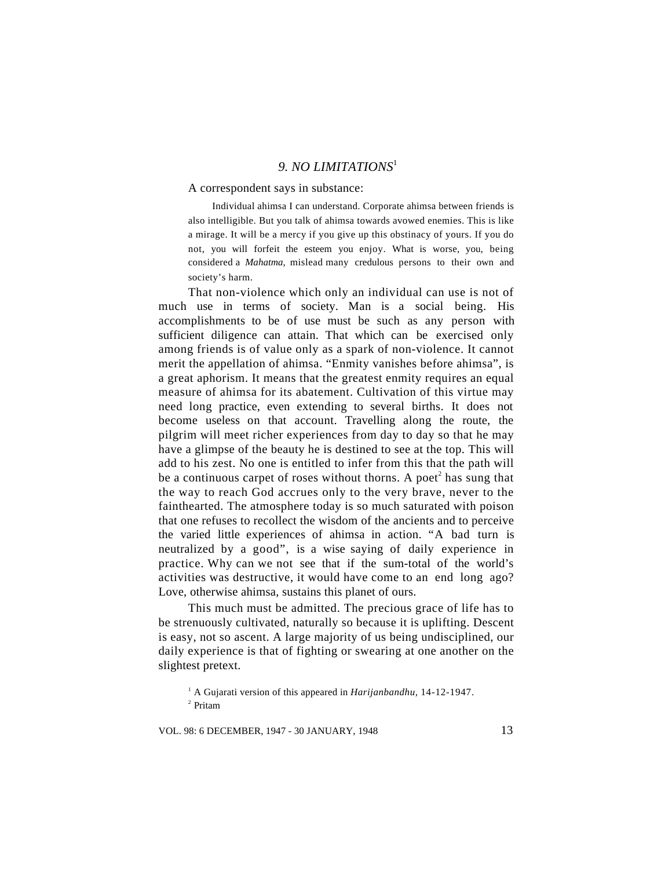## *9. NO LIMITATIONS*<sup>1</sup>

#### A correspondent says in substance:

Individual ahimsa I can understand. Corporate ahimsa between friends is also intelligible. But you talk of ahimsa towards avowed enemies. This is like a mirage. It will be a mercy if you give up this obstinacy of yours. If you do not, you will forfeit the esteem you enjoy. What is worse, you, being considered a *Mahatma,* mislead many credulous persons to their own and society's harm.

That non-violence which only an individual can use is not of much use in terms of society. Man is a social being. His accomplishments to be of use must be such as any person with sufficient diligence can attain. That which can be exercised only among friends is of value only as a spark of non-violence. It cannot merit the appellation of ahimsa. "Enmity vanishes before ahimsa", is a great aphorism. It means that the greatest enmity requires an equal measure of ahimsa for its abatement. Cultivation of this virtue may need long practice, even extending to several births. It does not become useless on that account. Travelling along the route, the pilgrim will meet richer experiences from day to day so that he may have a glimpse of the beauty he is destined to see at the top. This will add to his zest. No one is entitled to infer from this that the path will be a continuous carpet of roses without thorns. A poet<sup>2</sup> has sung that the way to reach God accrues only to the very brave, never to the fainthearted. The atmosphere today is so much saturated with poison that one refuses to recollect the wisdom of the ancients and to perceive the varied little experiences of ahimsa in action. "A bad turn is neutralized by a good", is a wise saying of daily experience in practice. Why can we not see that if the sum-total of the world's activities was destructive, it would have come to an end long ago? Love, otherwise ahimsa, sustains this planet of ours.

This much must be admitted. The precious grace of life has to be strenuously cultivated, naturally so because it is uplifting. Descent is easy, not so ascent. A large majority of us being undisciplined, our daily experience is that of fighting or swearing at one another on the slightest pretext.

<sup>&</sup>lt;sup>1</sup> A Gujarati version of this appeared in *Harijanbandhu*, 14-12-1947. 2 Pritam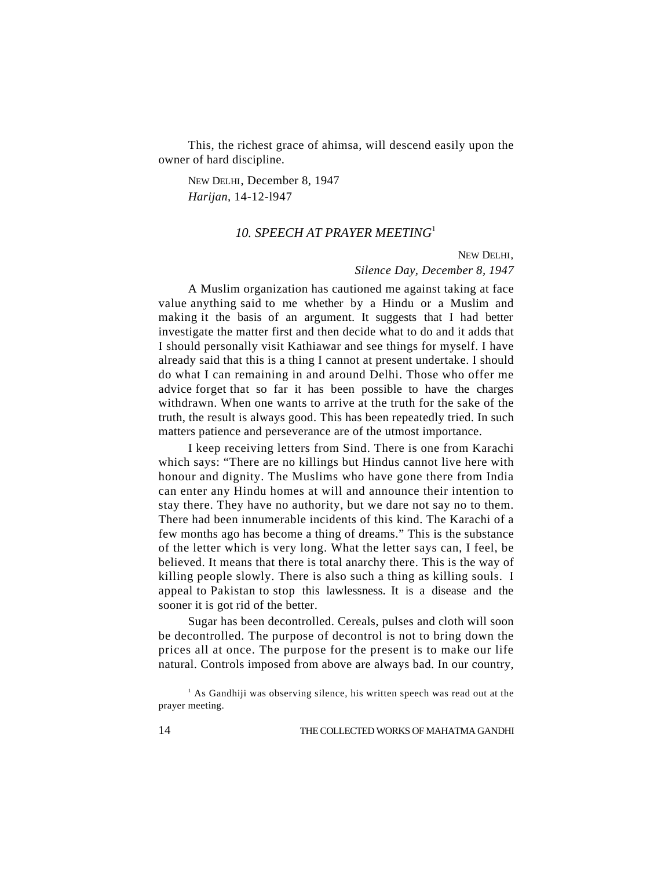This, the richest grace of ahimsa, will descend easily upon the owner of hard discipline.

NEW DELHI, December 8, 1947 *Harijan,* 14-12-l947

### *10. SPEECH AT PRAYER MEETING*<sup>1</sup>

NEW DELHI, *Silence Day, December 8, 1947*

A Muslim organization has cautioned me against taking at face value anything said to me whether by a Hindu or a Muslim and making it the basis of an argument. It suggests that I had better investigate the matter first and then decide what to do and it adds that I should personally visit Kathiawar and see things for myself. I have already said that this is a thing I cannot at present undertake. I should do what I can remaining in and around Delhi. Those who offer me advice forget that so far it has been possible to have the charges withdrawn. When one wants to arrive at the truth for the sake of the truth, the result is always good. This has been repeatedly tried. In such matters patience and perseverance are of the utmost importance.

I keep receiving letters from Sind. There is one from Karachi which says: "There are no killings but Hindus cannot live here with honour and dignity. The Muslims who have gone there from India can enter any Hindu homes at will and announce their intention to stay there. They have no authority, but we dare not say no to them. There had been innumerable incidents of this kind. The Karachi of a few months ago has become a thing of dreams." This is the substance of the letter which is very long. What the letter says can, I feel, be believed. It means that there is total anarchy there. This is the way of killing people slowly. There is also such a thing as killing souls. I appeal to Pakistan to stop this lawlessness. It is a disease and the sooner it is got rid of the better.

Sugar has been decontrolled. Cereals, pulses and cloth will soon be decontrolled. The purpose of decontrol is not to bring down the prices all at once. The purpose for the present is to make our life natural. Controls imposed from above are always bad. In our country,

<sup>&</sup>lt;sup>1</sup> As Gandhiji was observing silence, his written speech was read out at the prayer meeting.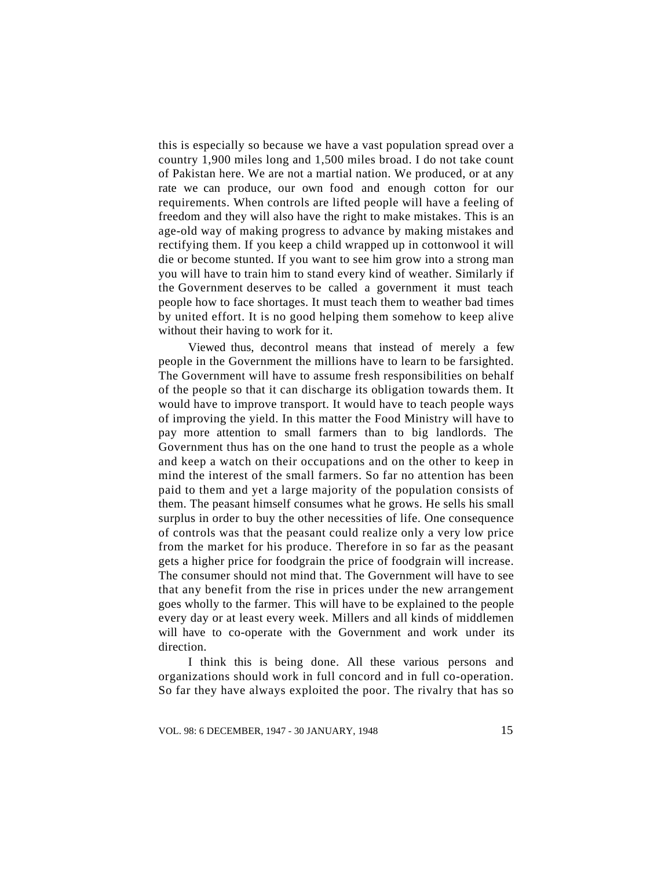this is especially so because we have a vast population spread over a country 1,900 miles long and 1,500 miles broad. I do not take count of Pakistan here. We are not a martial nation. We produced, or at any rate we can produce, our own food and enough cotton for our requirements. When controls are lifted people will have a feeling of freedom and they will also have the right to make mistakes. This is an age-old way of making progress to advance by making mistakes and rectifying them. If you keep a child wrapped up in cottonwool it will die or become stunted. If you want to see him grow into a strong man you will have to train him to stand every kind of weather. Similarly if the Government deserves to be called a government it must teach people how to face shortages. It must teach them to weather bad times by united effort. It is no good helping them somehow to keep alive without their having to work for it.

Viewed thus, decontrol means that instead of merely a few people in the Government the millions have to learn to be farsighted. The Government will have to assume fresh responsibilities on behalf of the people so that it can discharge its obligation towards them. It would have to improve transport. It would have to teach people ways of improving the yield. In this matter the Food Ministry will have to pay more attention to small farmers than to big landlords. The Government thus has on the one hand to trust the people as a whole and keep a watch on their occupations and on the other to keep in mind the interest of the small farmers. So far no attention has been paid to them and yet a large majority of the population consists of them. The peasant himself consumes what he grows. He sells his small surplus in order to buy the other necessities of life. One consequence of controls was that the peasant could realize only a very low price from the market for his produce. Therefore in so far as the peasant gets a higher price for foodgrain the price of foodgrain will increase. The consumer should not mind that. The Government will have to see that any benefit from the rise in prices under the new arrangement goes wholly to the farmer. This will have to be explained to the people every day or at least every week. Millers and all kinds of middlemen will have to co-operate with the Government and work under its direction.

I think this is being done. All these various persons and organizations should work in full concord and in full co-operation. So far they have always exploited the poor. The rivalry that has so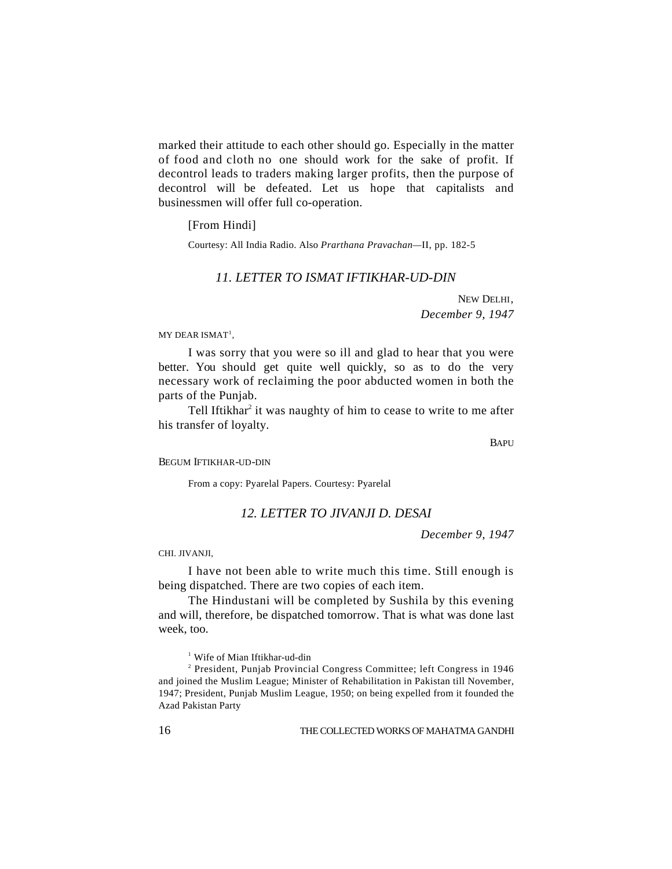marked their attitude to each other should go. Especially in the matter of food and cloth no one should work for the sake of profit. If decontrol leads to traders making larger profits, then the purpose of decontrol will be defeated. Let us hope that capitalists and businessmen will offer full co-operation.

[From Hindi]

Courtesy: All India Radio. Also *Prarthana Pravachan—*II, pp. 182-5

# *11. LETTER TO ISMAT IFTIKHAR-UD-DIN*

NEW DELHI, *December 9, 1947*

 $MY$  DEAR ISMAT<sup>1</sup>,

I was sorry that you were so ill and glad to hear that you were better. You should get quite well quickly, so as to do the very necessary work of reclaiming the poor abducted women in both the parts of the Punjab.

Tell Iftikhar<sup>2</sup> it was naughty of him to cease to write to me after his transfer of loyalty.

BAPU

BEGUM IFTIKHAR-UD-DIN

From a copy: Pyarelal Papers. Courtesy: Pyarelal

# *12. LETTER TO JIVANJI D. DESAI*

*December 9, 1947*

CHI. JIVANJI,

I have not been able to write much this time. Still enough is being dispatched. There are two copies of each item.

The Hindustani will be completed by Sushila by this evening and will, therefore, be dispatched tomorrow. That is what was done last week, too.

<sup>1</sup> Wife of Mian Iftikhar-ud-din

<sup>2</sup> President, Punjab Provincial Congress Committee; left Congress in 1946 and joined the Muslim League; Minister of Rehabilitation in Pakistan till November, 1947; President, Punjab Muslim League, 1950; on being expelled from it founded the Azad Pakistan Party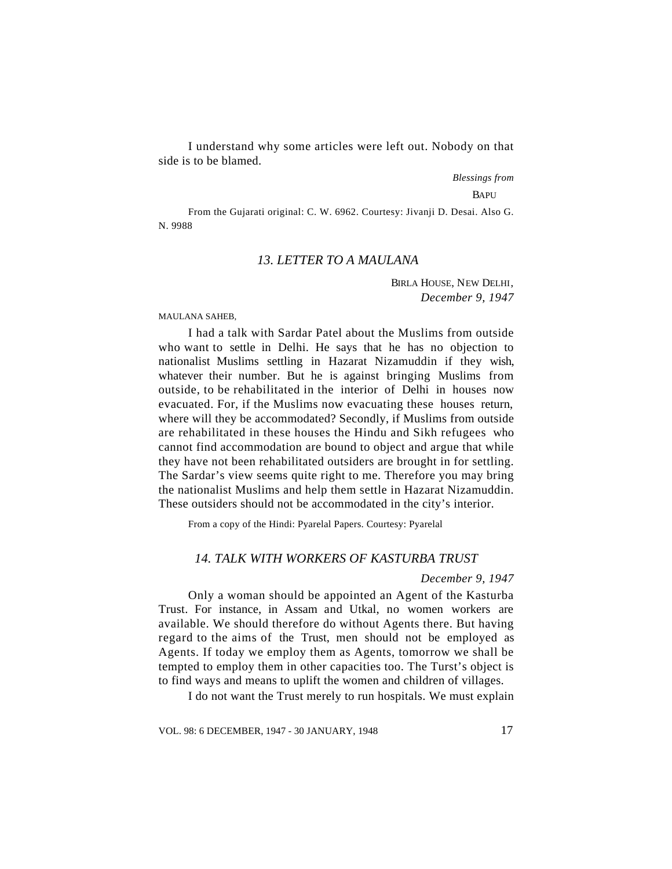I understand why some articles were left out. Nobody on that side is to be blamed.

*Blessings from*

**BAPU** 

From the Gujarati original: C. W. 6962. Courtesy: Jivanji D. Desai. Also G. N. 9988

### *13. LETTER TO A MAULANA*

BIRLA HOUSE, NEW DELHI, *December 9, 1947*

MAULANA SAHEB,

I had a talk with Sardar Patel about the Muslims from outside who want to settle in Delhi. He says that he has no objection to nationalist Muslims settling in Hazarat Nizamuddin if they wish, whatever their number. But he is against bringing Muslims from outside, to be rehabilitated in the interior of Delhi in houses now evacuated. For, if the Muslims now evacuating these houses return, where will they be accommodated? Secondly, if Muslims from outside are rehabilitated in these houses the Hindu and Sikh refugees who cannot find accommodation are bound to object and argue that while they have not been rehabilitated outsiders are brought in for settling. The Sardar's view seems quite right to me. Therefore you may bring the nationalist Muslims and help them settle in Hazarat Nizamuddin. These outsiders should not be accommodated in the city's interior.

From a copy of the Hindi: Pyarelal Papers. Courtesy: Pyarelal

#### *14. TALK WITH WORKERS OF KASTURBA TRUST*

#### *December 9, 1947*

Only a woman should be appointed an Agent of the Kasturba Trust. For instance, in Assam and Utkal, no women workers are available. We should therefore do without Agents there. But having regard to the aims of the Trust, men should not be employed as Agents. If today we employ them as Agents, tomorrow we shall be tempted to employ them in other capacities too. The Turst's object is to find ways and means to uplift the women and children of villages.

I do not want the Trust merely to run hospitals. We must explain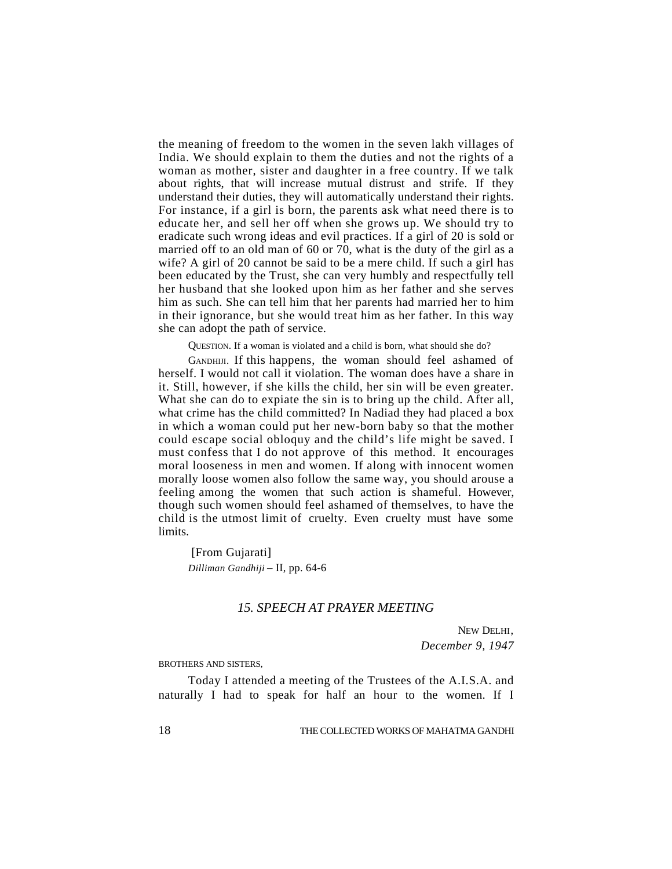the meaning of freedom to the women in the seven lakh villages of India. We should explain to them the duties and not the rights of a woman as mother, sister and daughter in a free country. If we talk about rights, that will increase mutual distrust and strife. If they understand their duties, they will automatically understand their rights. For instance, if a girl is born, the parents ask what need there is to educate her, and sell her off when she grows up. We should try to eradicate such wrong ideas and evil practices. If a girl of 20 is sold or married off to an old man of 60 or 70, what is the duty of the girl as a wife? A girl of 20 cannot be said to be a mere child. If such a girl has been educated by the Trust, she can very humbly and respectfully tell her husband that she looked upon him as her father and she serves him as such. She can tell him that her parents had married her to him in their ignorance, but she would treat him as her father. In this way she can adopt the path of service.

QUESTION. If a woman is violated and a child is born, what should she do?

GANDHIJI. If this happens, the woman should feel ashamed of herself. I would not call it violation. The woman does have a share in it. Still, however, if she kills the child, her sin will be even greater. What she can do to expiate the sin is to bring up the child. After all, what crime has the child committed? In Nadiad they had placed a box in which a woman could put her new-born baby so that the mother could escape social obloquy and the child's life might be saved. I must confess that I do not approve of this method. It encourages moral looseness in men and women. If along with innocent women morally loose women also follow the same way, you should arouse a feeling among the women that such action is shameful. However, though such women should feel ashamed of themselves, to have the child is the utmost limit of cruelty. Even cruelty must have some limits.

 [From Gujarati] *Dilliman Gandhiji* – II, pp. 64-6

# *15. SPEECH AT PRAYER MEETING*

NEW DELHI, *December 9, 1947*

#### BROTHERS AND SISTERS,

Today I attended a meeting of the Trustees of the A.I.S.A. and naturally I had to speak for half an hour to the women. If I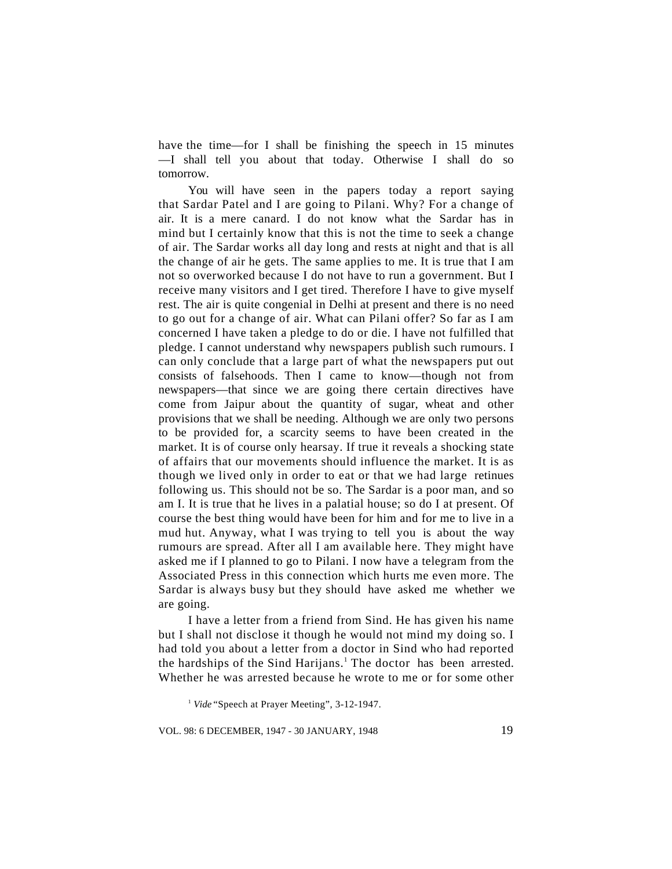have the time—for I shall be finishing the speech in 15 minutes —I shall tell you about that today. Otherwise I shall do so tomorrow.

You will have seen in the papers today a report saying that Sardar Patel and I are going to Pilani. Why? For a change of air. It is a mere canard. I do not know what the Sardar has in mind but I certainly know that this is not the time to seek a change of air. The Sardar works all day long and rests at night and that is all the change of air he gets. The same applies to me. It is true that I am not so overworked because I do not have to run a government. But I receive many visitors and I get tired. Therefore I have to give myself rest. The air is quite congenial in Delhi at present and there is no need to go out for a change of air. What can Pilani offer? So far as I am concerned I have taken a pledge to do or die. I have not fulfilled that pledge. I cannot understand why newspapers publish such rumours. I can only conclude that a large part of what the newspapers put out consists of falsehoods. Then I came to know—though not from newspapers—that since we are going there certain directives have come from Jaipur about the quantity of sugar, wheat and other provisions that we shall be needing. Although we are only two persons to be provided for, a scarcity seems to have been created in the market. It is of course only hearsay. If true it reveals a shocking state of affairs that our movements should influence the market. It is as though we lived only in order to eat or that we had large retinues following us. This should not be so. The Sardar is a poor man, and so am I. It is true that he lives in a palatial house; so do I at present. Of course the best thing would have been for him and for me to live in a mud hut. Anyway, what I was trying to tell you is about the way rumours are spread. After all I am available here. They might have asked me if I planned to go to Pilani. I now have a telegram from the Associated Press in this connection which hurts me even more. The Sardar is always busy but they should have asked me whether we are going.

I have a letter from a friend from Sind. He has given his name but I shall not disclose it though he would not mind my doing so. I had told you about a letter from a doctor in Sind who had reported the hardships of the Sind Harijans.<sup>1</sup> The doctor has been arrested. Whether he was arrested because he wrote to me or for some other

<sup>&</sup>lt;sup>1</sup> *Vide* "Speech at Prayer Meeting", 3-12-1947.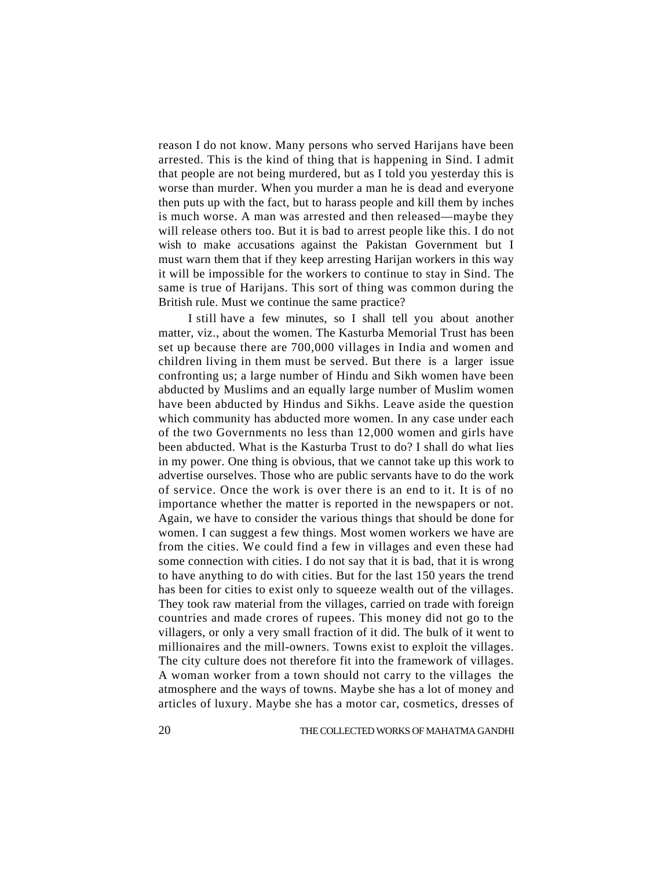reason I do not know. Many persons who served Harijans have been arrested. This is the kind of thing that is happening in Sind. I admit that people are not being murdered, but as I told you yesterday this is worse than murder. When you murder a man he is dead and everyone then puts up with the fact, but to harass people and kill them by inches is much worse. A man was arrested and then released—maybe they will release others too. But it is bad to arrest people like this. I do not wish to make accusations against the Pakistan Government but I must warn them that if they keep arresting Harijan workers in this way it will be impossible for the workers to continue to stay in Sind. The same is true of Harijans. This sort of thing was common during the British rule. Must we continue the same practice?

I still have a few minutes, so I shall tell you about another matter, viz., about the women. The Kasturba Memorial Trust has been set up because there are 700,000 villages in India and women and children living in them must be served. But there is a larger issue confronting us; a large number of Hindu and Sikh women have been abducted by Muslims and an equally large number of Muslim women have been abducted by Hindus and Sikhs. Leave aside the question which community has abducted more women. In any case under each of the two Governments no less than 12,000 women and girls have been abducted. What is the Kasturba Trust to do? I shall do what lies in my power. One thing is obvious, that we cannot take up this work to advertise ourselves. Those who are public servants have to do the work of service. Once the work is over there is an end to it. It is of no importance whether the matter is reported in the newspapers or not. Again, we have to consider the various things that should be done for women. I can suggest a few things. Most women workers we have are from the cities. We could find a few in villages and even these had some connection with cities. I do not say that it is bad, that it is wrong to have anything to do with cities. But for the last 150 years the trend has been for cities to exist only to squeeze wealth out of the villages. They took raw material from the villages, carried on trade with foreign countries and made crores of rupees. This money did not go to the villagers, or only a very small fraction of it did. The bulk of it went to millionaires and the mill-owners. Towns exist to exploit the villages. The city culture does not therefore fit into the framework of villages. A woman worker from a town should not carry to the villages the atmosphere and the ways of towns. Maybe she has a lot of money and articles of luxury. Maybe she has a motor car, cosmetics, dresses of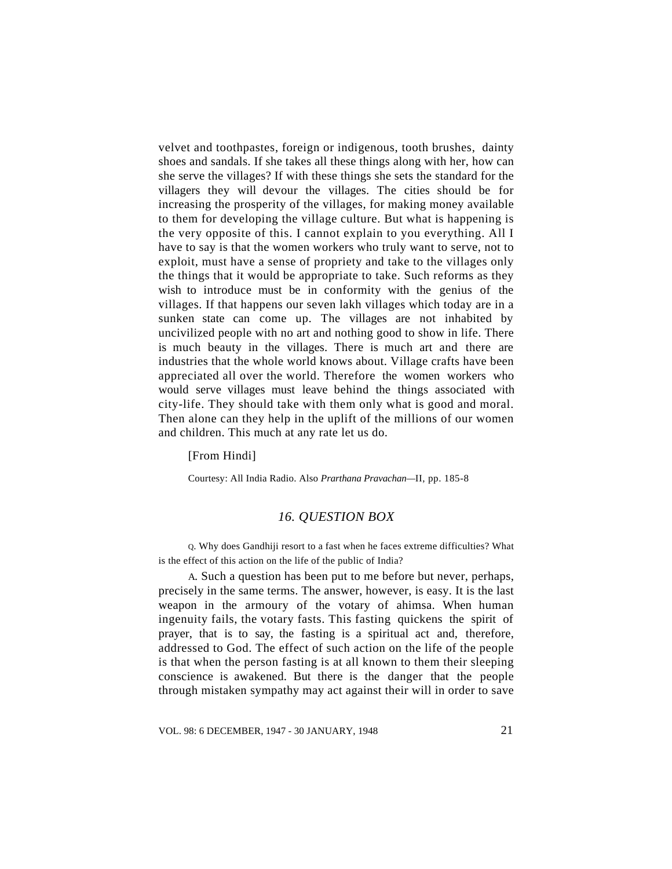velvet and toothpastes, foreign or indigenous, tooth brushes, dainty shoes and sandals. If she takes all these things along with her, how can she serve the villages? If with these things she sets the standard for the villagers they will devour the villages. The cities should be for increasing the prosperity of the villages, for making money available to them for developing the village culture. But what is happening is the very opposite of this. I cannot explain to you everything. All I have to say is that the women workers who truly want to serve, not to exploit, must have a sense of propriety and take to the villages only the things that it would be appropriate to take. Such reforms as they wish to introduce must be in conformity with the genius of the villages. If that happens our seven lakh villages which today are in a sunken state can come up. The villages are not inhabited by uncivilized people with no art and nothing good to show in life. There is much beauty in the villages. There is much art and there are industries that the whole world knows about. Village crafts have been appreciated all over the world. Therefore the women workers who would serve villages must leave behind the things associated with city-life. They should take with them only what is good and moral. Then alone can they help in the uplift of the millions of our women and children. This much at any rate let us do.

#### [From Hindi]

Courtesy: All India Radio. Also *Prarthana Pravachan—*II, pp. 185-8

#### *16. QUESTION BOX*

Q. Why does Gandhiji resort to a fast when he faces extreme difficulties? What is the effect of this action on the life of the public of India?

A. Such a question has been put to me before but never, perhaps, precisely in the same terms. The answer, however, is easy. It is the last weapon in the armoury of the votary of ahimsa. When human ingenuity fails, the votary fasts. This fasting quickens the spirit of prayer, that is to say, the fasting is a spiritual act and, therefore, addressed to God. The effect of such action on the life of the people is that when the person fasting is at all known to them their sleeping conscience is awakened. But there is the danger that the people through mistaken sympathy may act against their will in order to save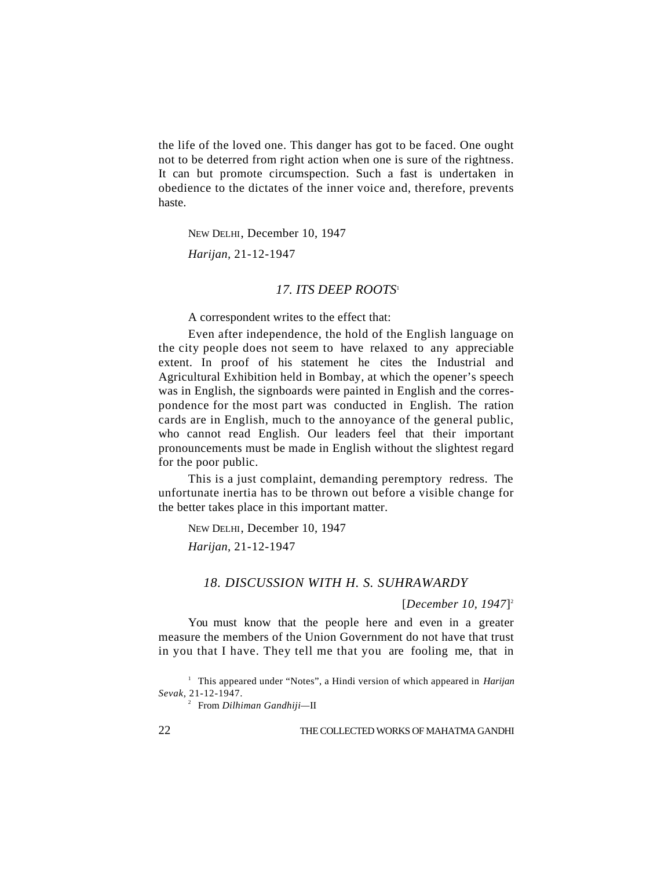the life of the loved one. This danger has got to be faced. One ought not to be deterred from right action when one is sure of the rightness. It can but promote circumspection. Such a fast is undertaken in obedience to the dictates of the inner voice and, therefore, prevents haste.

NEW DELHI, December 10, 1947

*Harijan,* 21-12-1947

### *17. ITS DEEP ROOTS*<sup>1</sup>

A correspondent writes to the effect that:

Even after independence, the hold of the English language on the city people does not seem to have relaxed to any appreciable extent. In proof of his statement he cites the Industrial and Agricultural Exhibition held in Bombay, at which the opener's speech was in English, the signboards were painted in English and the correspondence for the most part was conducted in English. The ration cards are in English, much to the annoyance of the general public, who cannot read English. Our leaders feel that their important pronouncements must be made in English without the slightest regard for the poor public.

This is a just complaint, demanding peremptory redress. The unfortunate inertia has to be thrown out before a visible change for the better takes place in this important matter.

NEW DELHI, December 10, 1947 *Harijan,* 21-12-1947

# *18. DISCUSSION WITH H. S. SUHRAWARDY*

[*December 10, 1947*] 2

You must know that the people here and even in a greater measure the members of the Union Government do not have that trust in you that I have. They tell me that you are fooling me, that in

2 From *Dilhiman Gandhiji—*II

<sup>1</sup> This appeared under "Notes", a Hindi version of which appeared in *Harijan Sevak,* 21-12-1947.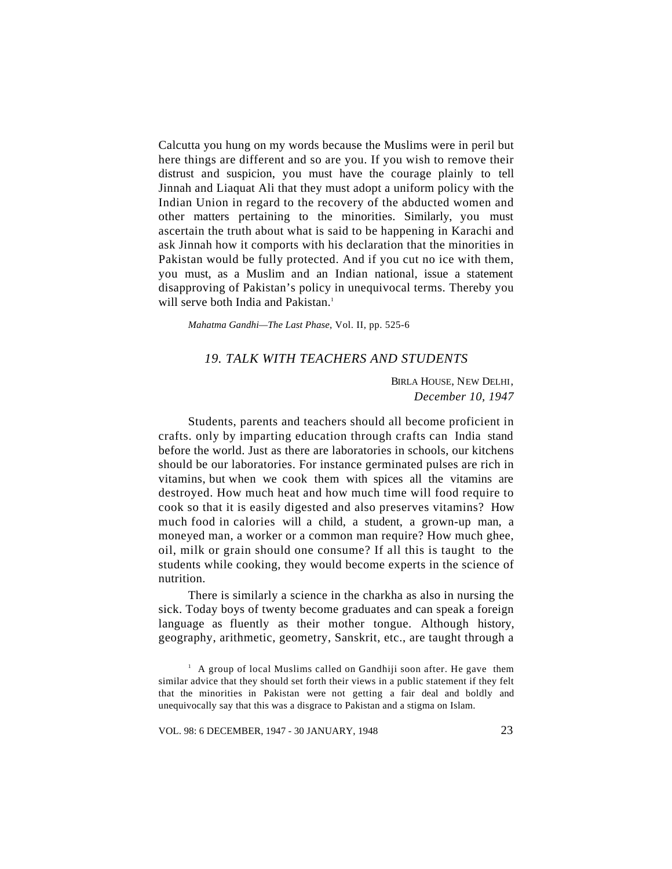Calcutta you hung on my words because the Muslims were in peril but here things are different and so are you. If you wish to remove their distrust and suspicion, you must have the courage plainly to tell Jinnah and Liaquat Ali that they must adopt a uniform policy with the Indian Union in regard to the recovery of the abducted women and other matters pertaining to the minorities. Similarly, you must ascertain the truth about what is said to be happening in Karachi and ask Jinnah how it comports with his declaration that the minorities in Pakistan would be fully protected. And if you cut no ice with them, you must, as a Muslim and an Indian national, issue a statement disapproving of Pakistan's policy in unequivocal terms. Thereby you will serve both India and Pakistan.<sup>1</sup>

*Mahatma Gandhi—The Last Phase*, Vol. II, pp. 525-6

# *19. TALK WITH TEACHERS AND STUDENTS*

BIRLA HOUSE, NEW DELHI, *December 10, 1947*

Students, parents and teachers should all become proficient in crafts. only by imparting education through crafts can India stand before the world. Just as there are laboratories in schools, our kitchens should be our laboratories. For instance germinated pulses are rich in vitamins, but when we cook them with spices all the vitamins are destroyed. How much heat and how much time will food require to cook so that it is easily digested and also preserves vitamins? How much food in calories will a child, a student, a grown-up man, a moneyed man, a worker or a common man require? How much ghee, oil, milk or grain should one consume? If all this is taught to the students while cooking, they would become experts in the science of nutrition.

There is similarly a science in the charkha as also in nursing the sick. Today boys of twenty become graduates and can speak a foreign language as fluently as their mother tongue. Although history, geography, arithmetic, geometry, Sanskrit, etc., are taught through a

 $<sup>1</sup>$  A group of local Muslims called on Gandhiji soon after. He gave them</sup> similar advice that they should set forth their views in a public statement if they felt that the minorities in Pakistan were not getting a fair deal and boldly and unequivocally say that this was a disgrace to Pakistan and a stigma on Islam.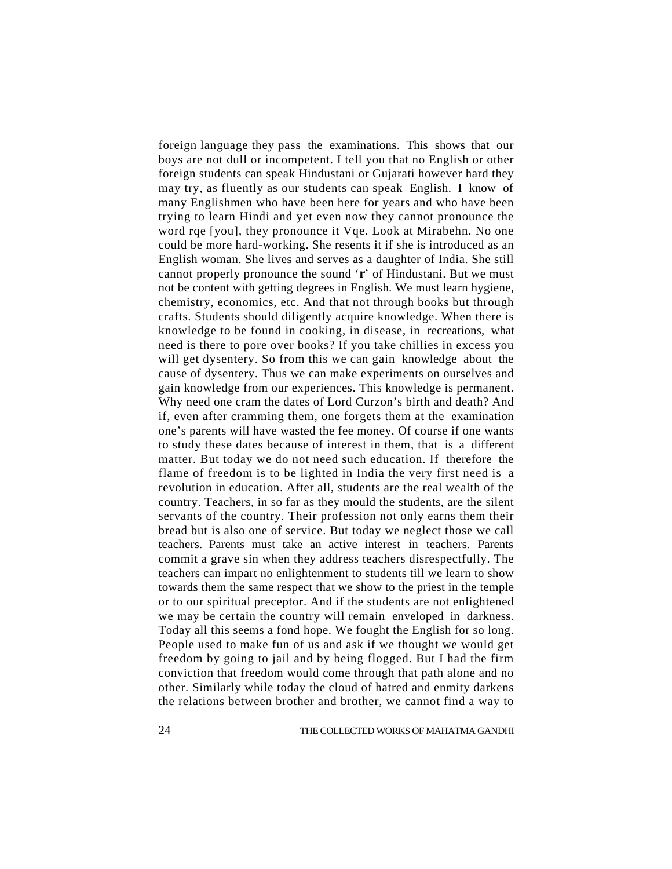foreign language they pass the examinations. This shows that our boys are not dull or incompetent. I tell you that no English or other foreign students can speak Hindustani or Gujarati however hard they may try, as fluently as our students can speak English. I know of many Englishmen who have been here for years and who have been trying to learn Hindi and yet even now they cannot pronounce the word rqe [you], they pronounce it Vqe. Look at Mirabehn. No one could be more hard-working. She resents it if she is introduced as an English woman. She lives and serves as a daughter of India. She still cannot properly pronounce the sound '**r**' of Hindustani. But we must not be content with getting degrees in English. We must learn hygiene, chemistry, economics, etc. And that not through books but through crafts. Students should diligently acquire knowledge. When there is knowledge to be found in cooking, in disease, in recreations, what need is there to pore over books? If you take chillies in excess you will get dysentery. So from this we can gain knowledge about the cause of dysentery. Thus we can make experiments on ourselves and gain knowledge from our experiences. This knowledge is permanent. Why need one cram the dates of Lord Curzon's birth and death? And if, even after cramming them, one forgets them at the examination one's parents will have wasted the fee money. Of course if one wants to study these dates because of interest in them, that is a different matter. But today we do not need such education. If therefore the flame of freedom is to be lighted in India the very first need is a revolution in education. After all, students are the real wealth of the country. Teachers, in so far as they mould the students, are the silent servants of the country. Their profession not only earns them their bread but is also one of service. But today we neglect those we call teachers. Parents must take an active interest in teachers. Parents commit a grave sin when they address teachers disrespectfully. The teachers can impart no enlightenment to students till we learn to show towards them the same respect that we show to the priest in the temple or to our spiritual preceptor. And if the students are not enlightened we may be certain the country will remain enveloped in darkness. Today all this seems a fond hope. We fought the English for so long. People used to make fun of us and ask if we thought we would get freedom by going to jail and by being flogged. But I had the firm conviction that freedom would come through that path alone and no other. Similarly while today the cloud of hatred and enmity darkens the relations between brother and brother, we cannot find a way to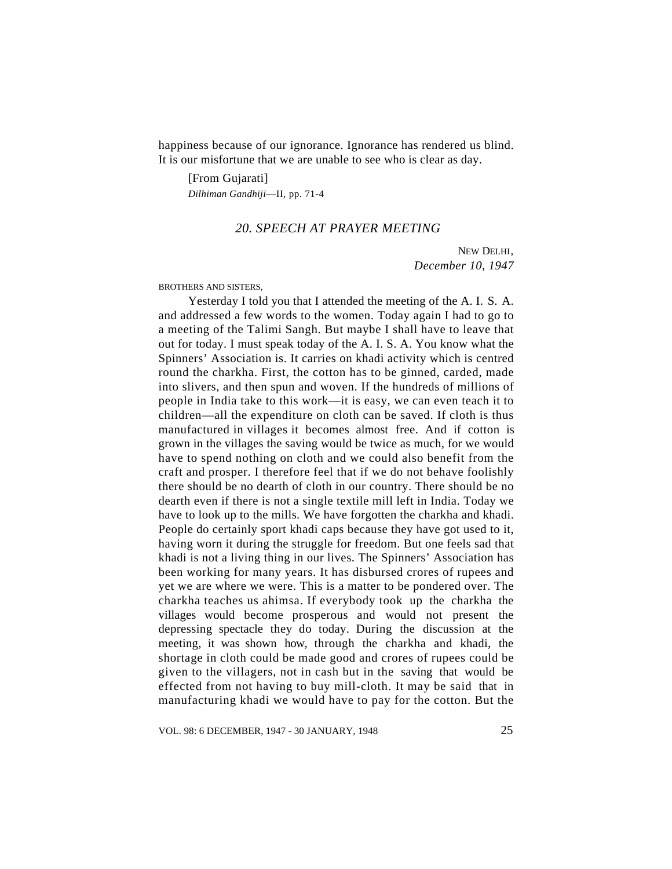happiness because of our ignorance. Ignorance has rendered us blind. It is our misfortune that we are unable to see who is clear as day.

[From Gujarati] *Dilhiman Gandhiji*—II, pp. 71-4

### *20. SPEECH AT PRAYER MEETING*

NEW DELHI, *December 10, 1947*

BROTHERS AND SISTERS,

Yesterday I told you that I attended the meeting of the A. I. S. A. and addressed a few words to the women. Today again I had to go to a meeting of the Talimi Sangh. But maybe I shall have to leave that out for today. I must speak today of the A. I. S. A. You know what the Spinners' Association is. It carries on khadi activity which is centred round the charkha. First, the cotton has to be ginned, carded, made into slivers, and then spun and woven. If the hundreds of millions of people in India take to this work—it is easy, we can even teach it to children—all the expenditure on cloth can be saved. If cloth is thus manufactured in villages it becomes almost free. And if cotton is grown in the villages the saving would be twice as much, for we would have to spend nothing on cloth and we could also benefit from the craft and prosper. I therefore feel that if we do not behave foolishly there should be no dearth of cloth in our country. There should be no dearth even if there is not a single textile mill left in India. Today we have to look up to the mills. We have forgotten the charkha and khadi. People do certainly sport khadi caps because they have got used to it, having worn it during the struggle for freedom. But one feels sad that khadi is not a living thing in our lives. The Spinners' Association has been working for many years. It has disbursed crores of rupees and yet we are where we were. This is a matter to be pondered over. The charkha teaches us ahimsa. If everybody took up the charkha the villages would become prosperous and would not present the depressing spectacle they do today. During the discussion at the meeting, it was shown how, through the charkha and khadi, the shortage in cloth could be made good and crores of rupees could be given to the villagers, not in cash but in the saving that would be effected from not having to buy mill-cloth. It may be said that in manufacturing khadi we would have to pay for the cotton. But the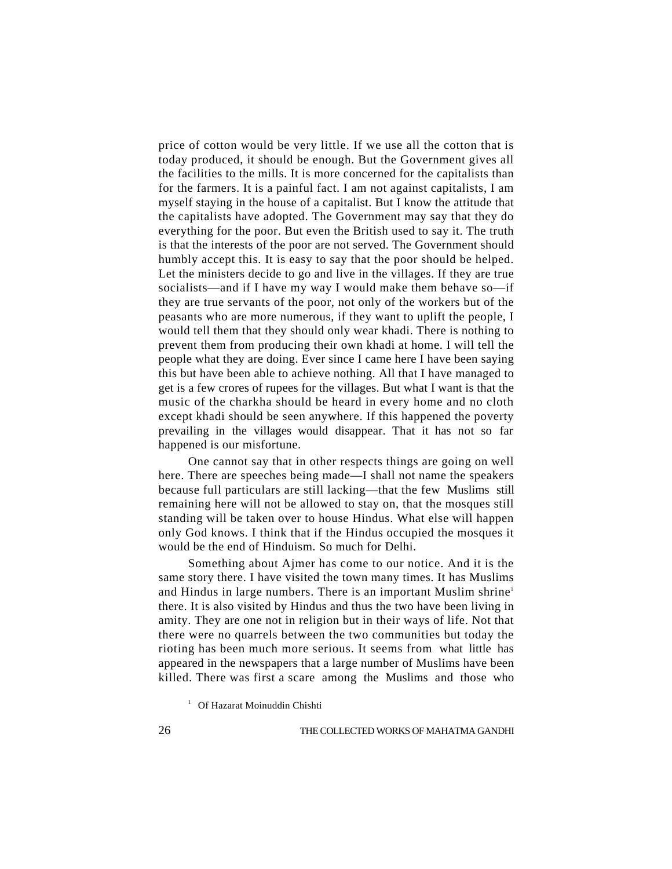price of cotton would be very little. If we use all the cotton that is today produced, it should be enough. But the Government gives all the facilities to the mills. It is more concerned for the capitalists than for the farmers. It is a painful fact. I am not against capitalists, I am myself staying in the house of a capitalist. But I know the attitude that the capitalists have adopted. The Government may say that they do everything for the poor. But even the British used to say it. The truth is that the interests of the poor are not served. The Government should humbly accept this. It is easy to say that the poor should be helped. Let the ministers decide to go and live in the villages. If they are true socialists—and if I have my way I would make them behave so—if they are true servants of the poor, not only of the workers but of the peasants who are more numerous, if they want to uplift the people, I would tell them that they should only wear khadi. There is nothing to prevent them from producing their own khadi at home. I will tell the people what they are doing. Ever since I came here I have been saying this but have been able to achieve nothing. All that I have managed to get is a few crores of rupees for the villages. But what I want is that the music of the charkha should be heard in every home and no cloth except khadi should be seen anywhere. If this happened the poverty prevailing in the villages would disappear. That it has not so far happened is our misfortune.

One cannot say that in other respects things are going on well here. There are speeches being made—I shall not name the speakers because full particulars are still lacking—that the few Muslims still remaining here will not be allowed to stay on, that the mosques still standing will be taken over to house Hindus. What else will happen only God knows. I think that if the Hindus occupied the mosques it would be the end of Hinduism. So much for Delhi.

Something about Ajmer has come to our notice. And it is the same story there. I have visited the town many times. It has Muslims and Hindus in large numbers. There is an important Muslim shrine<sup>1</sup> there. It is also visited by Hindus and thus the two have been living in amity. They are one not in religion but in their ways of life. Not that there were no quarrels between the two communities but today the rioting has been much more serious. It seems from what little has appeared in the newspapers that a large number of Muslims have been killed. There was first a scare among the Muslims and those who

<sup>1</sup> Of Hazarat Moinuddin Chishti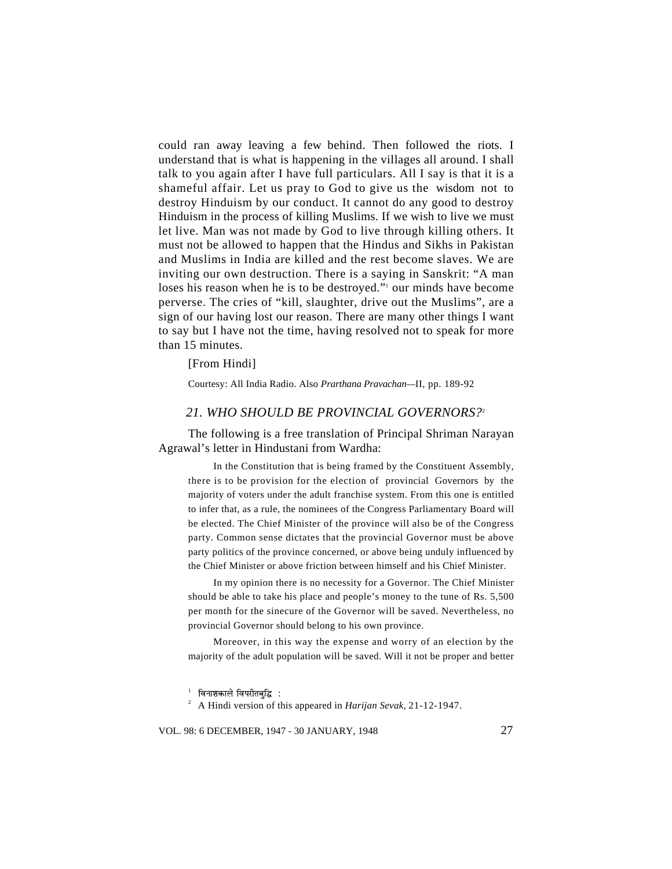could ran away leaving a few behind. Then followed the riots. I understand that is what is happening in the villages all around. I shall talk to you again after I have full particulars. All I say is that it is a shameful affair. Let us pray to God to give us the wisdom not to destroy Hinduism by our conduct. It cannot do any good to destroy Hinduism in the process of killing Muslims. If we wish to live we must let live. Man was not made by God to live through killing others. It must not be allowed to happen that the Hindus and Sikhs in Pakistan and Muslims in India are killed and the rest become slaves. We are inviting our own destruction. There is a saying in Sanskrit: "A man loses his reason when he is to be destroyed." our minds have become perverse. The cries of "kill, slaughter, drive out the Muslims", are a sign of our having lost our reason. There are many other things I want to say but I have not the time, having resolved not to speak for more than 15 minutes.

[From Hindi]

Courtesy: All India Radio. Also *Prarthana Pravachan—*II, pp. 189-92

### *21. WHO SHOULD BE PROVINCIAL GOVERNORS?*<sup>2</sup>

The following is a free translation of Principal Shriman Narayan Agrawal's letter in Hindustani from Wardha:

In the Constitution that is being framed by the Constituent Assembly, there is to be provision for the election of provincial Governors by the majority of voters under the adult franchise system. From this one is entitled to infer that, as a rule, the nominees of the Congress Parliamentary Board will be elected. The Chief Minister of the province will also be of the Congress party. Common sense dictates that the provincial Governor must be above party politics of the province concerned, or above being unduly influenced by the Chief Minister or above friction between himself and his Chief Minister.

In my opinion there is no necessity for a Governor. The Chief Minister should be able to take his place and people's money to the tune of Rs. 5,500 per month for the sinecure of the Governor will be saved. Nevertheless, no provincial Governor should belong to his own province.

Moreover, in this way the expense and worry of an election by the majority of the adult population will be saved. Will it not be proper and better

<sup>2</sup> A Hindi version of this appeared in *Harijan Sevak,* 21-12-1947.

 $^{\rm 1}$  विनाशकाले विपरीतबुद्धि :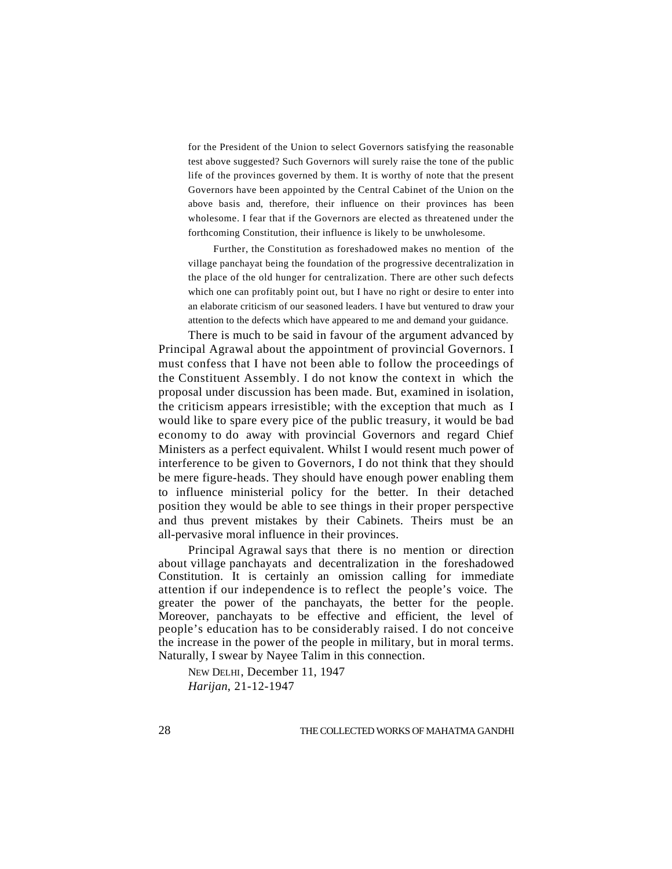for the President of the Union to select Governors satisfying the reasonable test above suggested? Such Governors will surely raise the tone of the public life of the provinces governed by them. It is worthy of note that the present Governors have been appointed by the Central Cabinet of the Union on the above basis and, therefore, their influence on their provinces has been wholesome. I fear that if the Governors are elected as threatened under the forthcoming Constitution, their influence is likely to be unwholesome.

Further, the Constitution as foreshadowed makes no mention of the village panchayat being the foundation of the progressive decentralization in the place of the old hunger for centralization. There are other such defects which one can profitably point out, but I have no right or desire to enter into an elaborate criticism of our seasoned leaders. I have but ventured to draw your attention to the defects which have appeared to me and demand your guidance.

There is much to be said in favour of the argument advanced by Principal Agrawal about the appointment of provincial Governors. I must confess that I have not been able to follow the proceedings of the Constituent Assembly. I do not know the context in which the proposal under discussion has been made. But, examined in isolation, the criticism appears irresistible; with the exception that much as I would like to spare every pice of the public treasury, it would be bad economy to do away with provincial Governors and regard Chief Ministers as a perfect equivalent. Whilst I would resent much power of interference to be given to Governors, I do not think that they should be mere figure-heads. They should have enough power enabling them to influence ministerial policy for the better. In their detached position they would be able to see things in their proper perspective and thus prevent mistakes by their Cabinets. Theirs must be an all-pervasive moral influence in their provinces.

Principal Agrawal says that there is no mention or direction about village panchayats and decentralization in the foreshadowed Constitution. It is certainly an omission calling for immediate attention if our independence is to reflect the people's voice. The greater the power of the panchayats, the better for the people. Moreover, panchayats to be effective and efficient, the level of people's education has to be considerably raised. I do not conceive the increase in the power of the people in military, but in moral terms. Naturally, I swear by Nayee Talim in this connection.

NEW DELHI, December 11, 1947 *Harijan*, 21-12-1947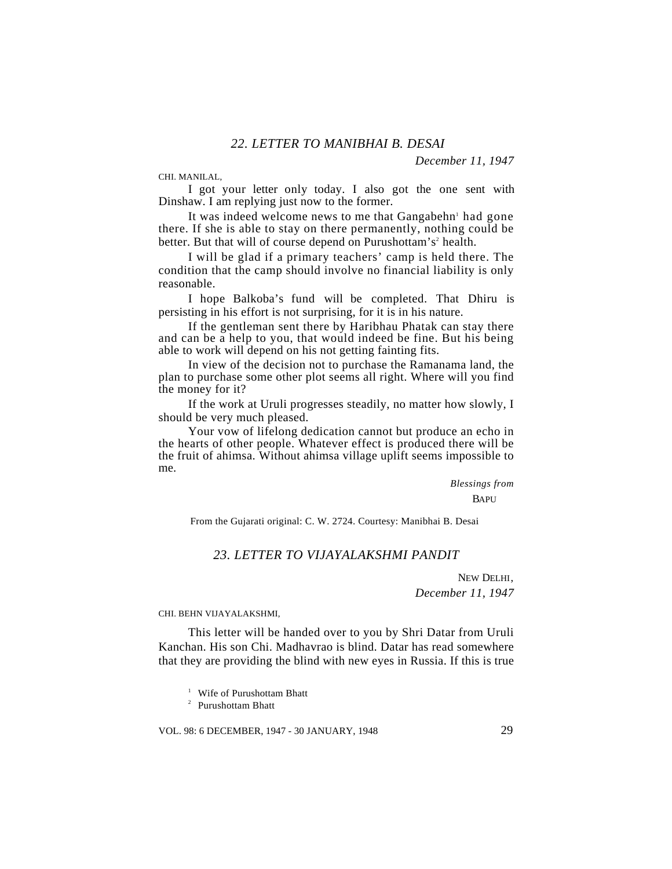*December 11, 1947*

CHI. MANILAL,

I got your letter only today. I also got the one sent with Dinshaw. I am replying just now to the former.

It was indeed welcome news to me that Gangabehn<sup>1</sup> had gone there. If she is able to stay on there permanently, nothing could be better. But that will of course depend on Purushottam's<sup>2</sup> health.

I will be glad if a primary teachers' camp is held there. The condition that the camp should involve no financial liability is only reasonable.

I hope Balkoba's fund will be completed. That Dhiru is persisting in his effort is not surprising, for it is in his nature.

If the gentleman sent there by Haribhau Phatak can stay there and can be a help to you, that would indeed be fine. But his being able to work will depend on his not getting fainting fits.

In view of the decision not to purchase the Ramanama land, the plan to purchase some other plot seems all right. Where will you find the money for it?

If the work at Uruli progresses steadily, no matter how slowly, I should be very much pleased.

Your vow of lifelong dedication cannot but produce an echo in the hearts of other people. Whatever effect is produced there will be the fruit of ahimsa. Without ahimsa village uplift seems impossible to me.

> *Blessings from* **BAPU**

From the Gujarati original: C. W. 2724. Courtesy: Manibhai B. Desai

### *23. LETTER TO VIJAYALAKSHMI PANDIT*

NEW DELHI, *December 11, 1947*

CHI. BEHN VIJAYALAKSHMI,

This letter will be handed over to you by Shri Datar from Uruli Kanchan. His son Chi. Madhavrao is blind. Datar has read somewhere that they are providing the blind with new eyes in Russia. If this is true

<sup>&</sup>lt;sup>1</sup> Wife of Purushottam Bhatt

<sup>2</sup> Purushottam Bhatt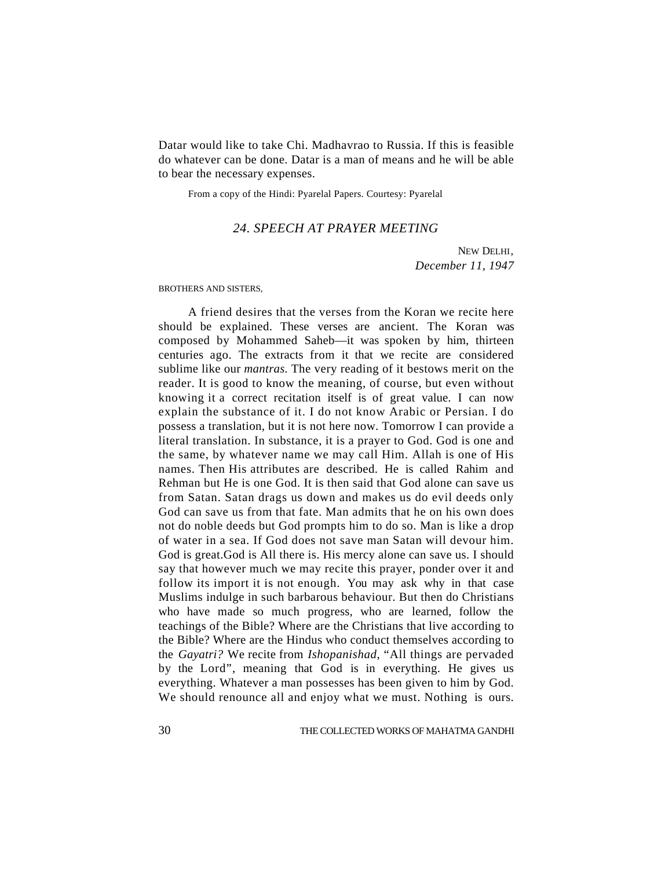Datar would like to take Chi. Madhavrao to Russia. If this is feasible do whatever can be done. Datar is a man of means and he will be able to bear the necessary expenses.

From a copy of the Hindi: Pyarelal Papers. Courtesy: Pyarelal

### *24. SPEECH AT PRAYER MEETING*

NEW DELHI, *December 11, 1947*

BROTHERS AND SISTERS,

A friend desires that the verses from the Koran we recite here should be explained. These verses are ancient. The Koran was composed by Mohammed Saheb—it was spoken by him, thirteen centuries ago. The extracts from it that we recite are considered sublime like our *mantras.* The very reading of it bestows merit on the reader. It is good to know the meaning, of course, but even without knowing it a correct recitation itself is of great value. I can now explain the substance of it. I do not know Arabic or Persian. I do possess a translation, but it is not here now. Tomorrow I can provide a literal translation. In substance, it is a prayer to God. God is one and the same, by whatever name we may call Him. Allah is one of His names. Then His attributes are described. He is called Rahim and Rehman but He is one God. It is then said that God alone can save us from Satan. Satan drags us down and makes us do evil deeds only God can save us from that fate. Man admits that he on his own does not do noble deeds but God prompts him to do so. Man is like a drop of water in a sea. If God does not save man Satan will devour him. God is great.God is All there is. His mercy alone can save us. I should say that however much we may recite this prayer, ponder over it and follow its import it is not enough. You may ask why in that case Muslims indulge in such barbarous behaviour. But then do Christians who have made so much progress, who are learned, follow the teachings of the Bible? Where are the Christians that live according to the Bible? Where are the Hindus who conduct themselves according to the *Gayatri?* We recite from *Ishopanishad*, "All things are pervaded by the Lord", meaning that God is in everything. He gives us everything. Whatever a man possesses has been given to him by God. We should renounce all and enjoy what we must. Nothing is ours.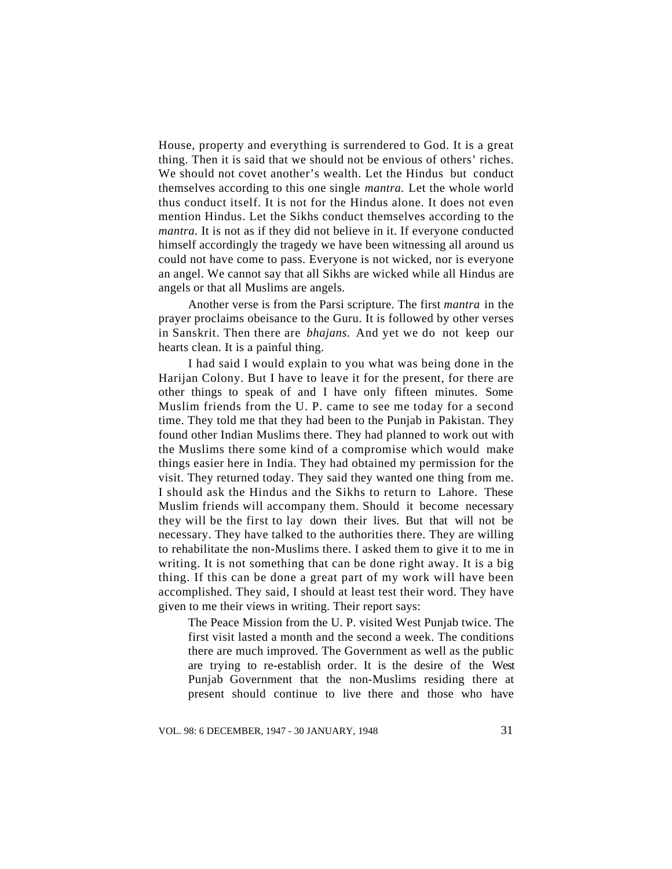House, property and everything is surrendered to God. It is a great thing. Then it is said that we should not be envious of others' riches. We should not covet another's wealth. Let the Hindus but conduct themselves according to this one single *mantra.* Let the whole world thus conduct itself. It is not for the Hindus alone. It does not even mention Hindus. Let the Sikhs conduct themselves according to the *mantra*. It is not as if they did not believe in it. If everyone conducted himself accordingly the tragedy we have been witnessing all around us could not have come to pass. Everyone is not wicked, nor is everyone an angel. We cannot say that all Sikhs are wicked while all Hindus are angels or that all Muslims are angels.

Another verse is from the Parsi scripture. The first *mantra* in the prayer proclaims obeisance to the Guru. It is followed by other verses in Sanskrit. Then there are *bhajans.* And yet we do not keep our hearts clean. It is a painful thing.

I had said I would explain to you what was being done in the Harijan Colony. But I have to leave it for the present, for there are other things to speak of and I have only fifteen minutes. Some Muslim friends from the U. P. came to see me today for a second time. They told me that they had been to the Punjab in Pakistan. They found other Indian Muslims there. They had planned to work out with the Muslims there some kind of a compromise which would make things easier here in India. They had obtained my permission for the visit. They returned today. They said they wanted one thing from me. I should ask the Hindus and the Sikhs to return to Lahore. These Muslim friends will accompany them. Should it become necessary they will be the first to lay down their lives. But that will not be necessary. They have talked to the authorities there. They are willing to rehabilitate the non-Muslims there. I asked them to give it to me in writing. It is not something that can be done right away. It is a big thing. If this can be done a great part of my work will have been accomplished. They said, I should at least test their word. They have given to me their views in writing. Their report says:

The Peace Mission from the U. P. visited West Punjab twice. The first visit lasted a month and the second a week. The conditions there are much improved. The Government as well as the public are trying to re-establish order. It is the desire of the West Punjab Government that the non-Muslims residing there at present should continue to live there and those who have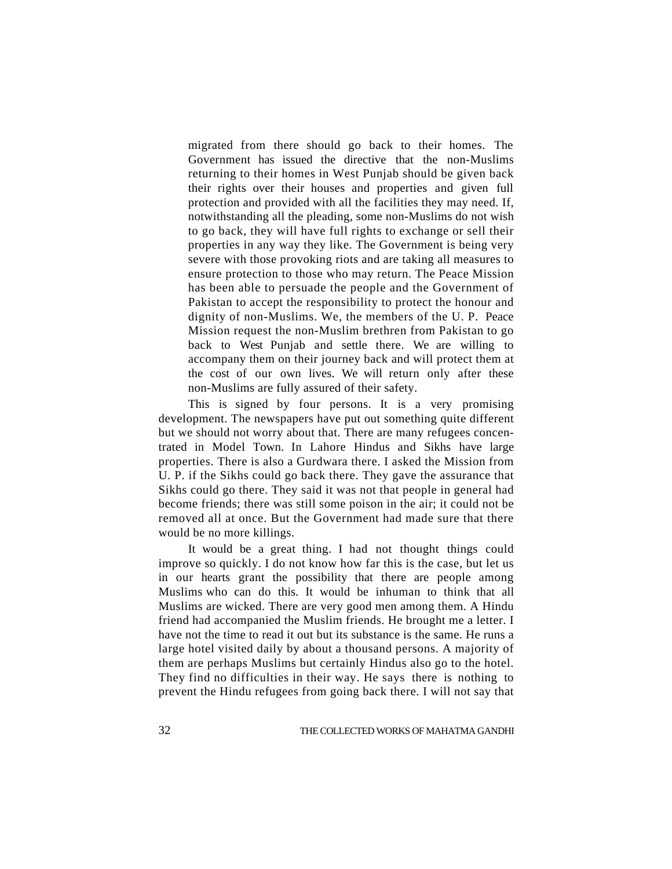migrated from there should go back to their homes. The Government has issued the directive that the non-Muslims returning to their homes in West Punjab should be given back their rights over their houses and properties and given full protection and provided with all the facilities they may need. If, notwithstanding all the pleading, some non-Muslims do not wish to go back, they will have full rights to exchange or sell their properties in any way they like. The Government is being very severe with those provoking riots and are taking all measures to ensure protection to those who may return. The Peace Mission has been able to persuade the people and the Government of Pakistan to accept the responsibility to protect the honour and dignity of non-Muslims. We, the members of the U. P. Peace Mission request the non-Muslim brethren from Pakistan to go back to West Punjab and settle there. We are willing to accompany them on their journey back and will protect them at the cost of our own lives. We will return only after these non-Muslims are fully assured of their safety.

This is signed by four persons. It is a very promising development. The newspapers have put out something quite different but we should not worry about that. There are many refugees concentrated in Model Town. In Lahore Hindus and Sikhs have large properties. There is also a Gurdwara there. I asked the Mission from U. P. if the Sikhs could go back there. They gave the assurance that Sikhs could go there. They said it was not that people in general had become friends; there was still some poison in the air; it could not be removed all at once. But the Government had made sure that there would be no more killings.

It would be a great thing. I had not thought things could improve so quickly. I do not know how far this is the case, but let us in our hearts grant the possibility that there are people among Muslims who can do this. It would be inhuman to think that all Muslims are wicked. There are very good men among them. A Hindu friend had accompanied the Muslim friends. He brought me a letter. I have not the time to read it out but its substance is the same. He runs a large hotel visited daily by about a thousand persons. A majority of them are perhaps Muslims but certainly Hindus also go to the hotel. They find no difficulties in their way. He says there is nothing to prevent the Hindu refugees from going back there. I will not say that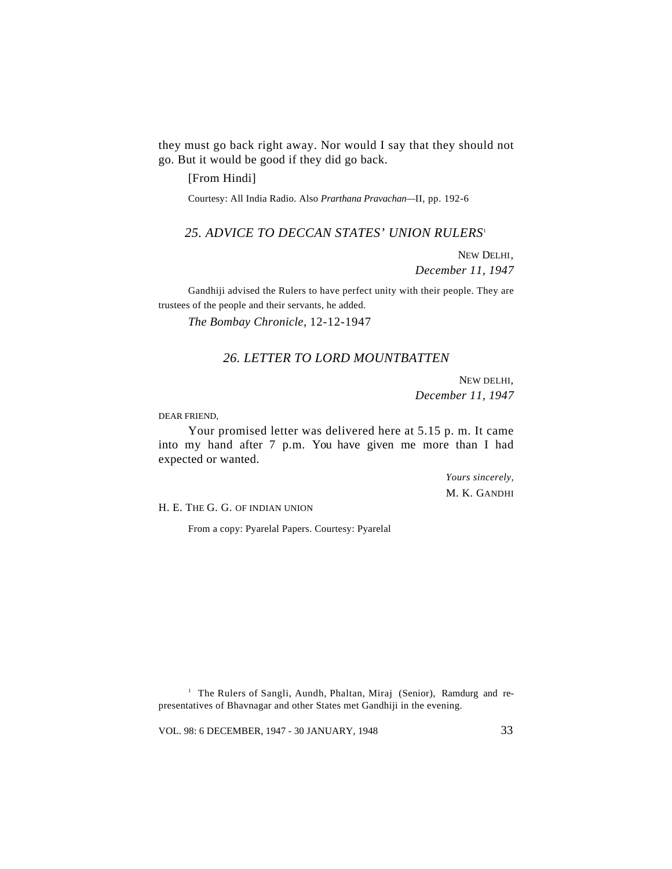they must go back right away. Nor would I say that they should not go. But it would be good if they did go back.

[From Hindi]

Courtesy: All India Radio. Also *Prarthana Pravachan—*II, pp. 192-6

## *25. ADVICE TO DECCAN STATES' UNION RULERS*<sup>1</sup>

NEW DELHI, *December 11, 1947*

Gandhiji advised the Rulers to have perfect unity with their people. They are trustees of the people and their servants, he added.

*The Bombay Chronicle,* 12-12-1947

# *26. LETTER TO LORD MOUNTBATTEN*

NEW DELHI, *December 11, 1947*

DEAR FRIEND,

Your promised letter was delivered here at 5.15 p. m. It came into my hand after 7 p.m. You have given me more than I had expected or wanted.

> *Yours sincerely,* M. K. GANDHI

H. E. THE G. G. OF INDIAN UNION

From a copy: Pyarelal Papers. Courtesy: Pyarelal

<sup>&</sup>lt;sup>1</sup> The Rulers of Sangli, Aundh, Phaltan, Miraj (Senior), Ramdurg and representatives of Bhavnagar and other States met Gandhiji in the evening.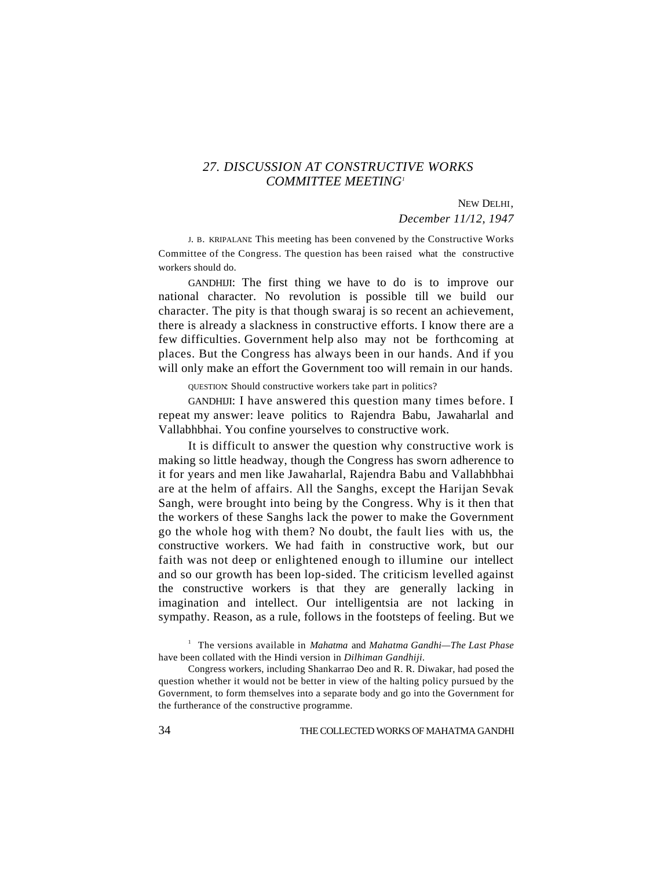# *27. DISCUSSION AT CONSTRUCTIVE WORKS COMMITTEE MEETING<sup>1</sup>*

NEW DELHI, *December 11/12, 1947*

J*.* B. KRIPALANI: This meeting has been convened by the Constructive Works Committee of the Congress. The question has been raised what the constructive workers should do.

GANDHIJI: The first thing we have to do is to improve our national character. No revolution is possible till we build our character. The pity is that though swaraj is so recent an achievement, there is already a slackness in constructive efforts. I know there are a few difficulties. Government help also may not be forthcoming at places. But the Congress has always been in our hands. And if you will only make an effort the Government too will remain in our hands.

QUESTION: Should constructive workers take part in politics?

GANDHIJI: I have answered this question many times before. I repeat my answer: leave politics to Rajendra Babu, Jawaharlal and Vallabhbhai. You confine yourselves to constructive work.

It is difficult to answer the question why constructive work is making so little headway, though the Congress has sworn adherence to it for years and men like Jawaharlal, Rajendra Babu and Vallabhbhai are at the helm of affairs. All the Sanghs, except the Harijan Sevak Sangh, were brought into being by the Congress. Why is it then that the workers of these Sanghs lack the power to make the Government go the whole hog with them? No doubt, the fault lies with us, the constructive workers. We had faith in constructive work, but our faith was not deep or enlightened enough to illumine our intellect and so our growth has been lop-sided. The criticism levelled against the constructive workers is that they are generally lacking in imagination and intellect. Our intelligentsia are not lacking in sympathy. Reason, as a rule, follows in the footsteps of feeling. But we

<sup>1</sup> The versions available in *Mahatma* and *Mahatma Gandhi—The Last Phase* have been collated with the Hindi version in *Dilhiman Gandhiji.*

Congress workers, including Shankarrao Deo and R. R. Diwakar, had posed the question whether it would not be better in view of the halting policy pursued by the Government, to form themselves into a separate body and go into the Government for the furtherance of the constructive programme.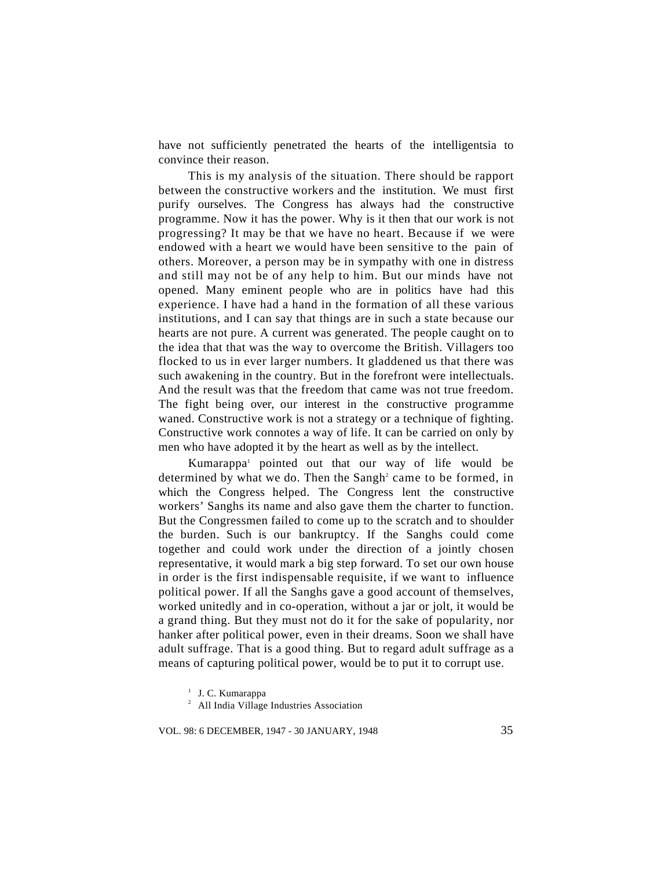have not sufficiently penetrated the hearts of the intelligentsia to convince their reason.

This is my analysis of the situation. There should be rapport between the constructive workers and the institution. We must first purify ourselves. The Congress has always had the constructive programme. Now it has the power. Why is it then that our work is not progressing? It may be that we have no heart. Because if we were endowed with a heart we would have been sensitive to the pain of others. Moreover, a person may be in sympathy with one in distress and still may not be of any help to him. But our minds have not opened. Many eminent people who are in politics have had this experience. I have had a hand in the formation of all these various institutions, and I can say that things are in such a state because our hearts are not pure. A current was generated. The people caught on to the idea that that was the way to overcome the British. Villagers too flocked to us in ever larger numbers. It gladdened us that there was such awakening in the country. But in the forefront were intellectuals. And the result was that the freedom that came was not true freedom. The fight being over, our interest in the constructive programme waned. Constructive work is not a strategy or a technique of fighting. Constructive work connotes a way of life. It can be carried on only by men who have adopted it by the heart as well as by the intellect.

 $Kumarappa<sup>1</sup>$  pointed out that our way of life would be determined by what we do. Then the Sangh<sup>2</sup> came to be formed, in which the Congress helped. The Congress lent the constructive workers' Sanghs its name and also gave them the charter to function. But the Congressmen failed to come up to the scratch and to shoulder the burden. Such is our bankruptcy. If the Sanghs could come together and could work under the direction of a jointly chosen representative, it would mark a big step forward. To set our own house in order is the first indispensable requisite, if we want to influence political power. If all the Sanghs gave a good account of themselves, worked unitedly and in co-operation, without a jar or jolt, it would be a grand thing. But they must not do it for the sake of popularity, nor hanker after political power, even in their dreams. Soon we shall have adult suffrage. That is a good thing. But to regard adult suffrage as a means of capturing political power, would be to put it to corrupt use.

1 J. C. Kumarappa

<sup>2</sup> All India Village Industries Association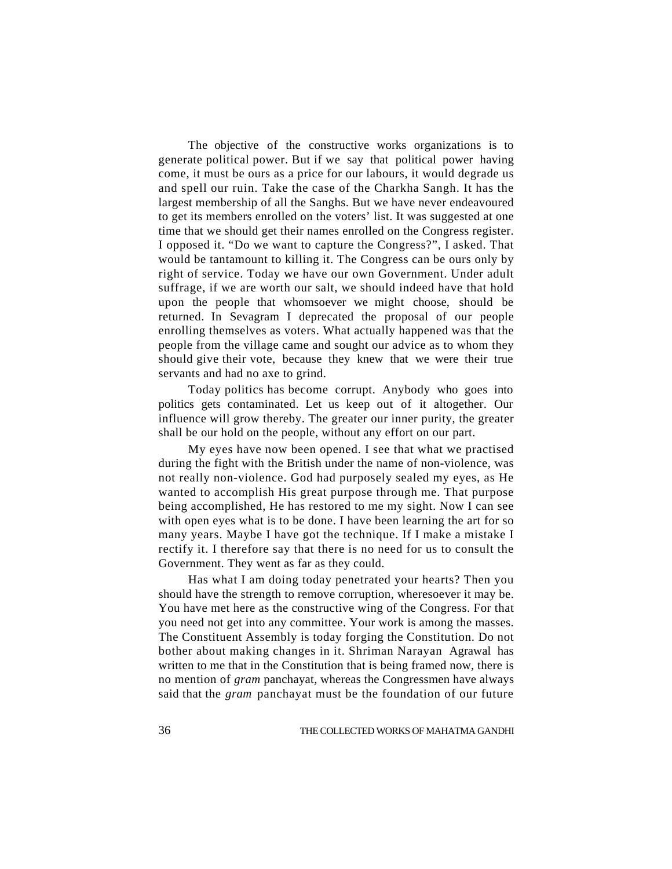The objective of the constructive works organizations is to generate political power. But if we say that political power having come, it must be ours as a price for our labours, it would degrade us and spell our ruin. Take the case of the Charkha Sangh. It has the largest membership of all the Sanghs. But we have never endeavoured to get its members enrolled on the voters' list. It was suggested at one time that we should get their names enrolled on the Congress register. I opposed it. "Do we want to capture the Congress?", I asked. That would be tantamount to killing it. The Congress can be ours only by right of service. Today we have our own Government. Under adult suffrage, if we are worth our salt, we should indeed have that hold upon the people that whomsoever we might choose, should be returned. In Sevagram I deprecated the proposal of our people enrolling themselves as voters. What actually happened was that the people from the village came and sought our advice as to whom they should give their vote, because they knew that we were their true servants and had no axe to grind.

Today politics has become corrupt. Anybody who goes into politics gets contaminated. Let us keep out of it altogether. Our influence will grow thereby. The greater our inner purity, the greater shall be our hold on the people, without any effort on our part.

My eyes have now been opened. I see that what we practised during the fight with the British under the name of non-violence, was not really non-violence. God had purposely sealed my eyes, as He wanted to accomplish His great purpose through me. That purpose being accomplished, He has restored to me my sight. Now I can see with open eyes what is to be done. I have been learning the art for so many years. Maybe I have got the technique. If I make a mistake I rectify it. I therefore say that there is no need for us to consult the Government. They went as far as they could.

Has what I am doing today penetrated your hearts? Then you should have the strength to remove corruption, wheresoever it may be. You have met here as the constructive wing of the Congress. For that you need not get into any committee. Your work is among the masses. The Constituent Assembly is today forging the Constitution. Do not bother about making changes in it. Shriman Narayan Agrawal has written to me that in the Constitution that is being framed now, there is no mention of *gram* panchayat, whereas the Congressmen have always said that the *gram* panchayat must be the foundation of our future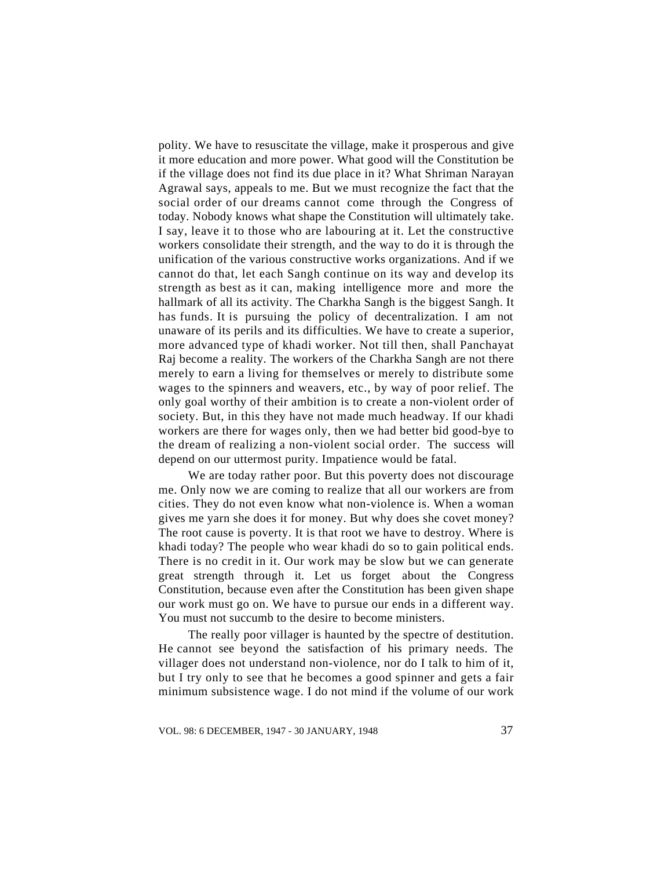polity. We have to resuscitate the village, make it prosperous and give it more education and more power. What good will the Constitution be if the village does not find its due place in it? What Shriman Narayan Agrawal says, appeals to me. But we must recognize the fact that the social order of our dreams cannot come through the Congress of today. Nobody knows what shape the Constitution will ultimately take. I say, leave it to those who are labouring at it. Let the constructive workers consolidate their strength, and the way to do it is through the unification of the various constructive works organizations. And if we cannot do that, let each Sangh continue on its way and develop its strength as best as it can, making intelligence more and more the hallmark of all its activity. The Charkha Sangh is the biggest Sangh. It has funds. It is pursuing the policy of decentralization. I am not unaware of its perils and its difficulties. We have to create a superior, more advanced type of khadi worker. Not till then, shall Panchayat Raj become a reality. The workers of the Charkha Sangh are not there merely to earn a living for themselves or merely to distribute some wages to the spinners and weavers, etc., by way of poor relief. The only goal worthy of their ambition is to create a non-violent order of society. But, in this they have not made much headway. If our khadi workers are there for wages only, then we had better bid good-bye to the dream of realizing a non-violent social order. The success will depend on our uttermost purity. Impatience would be fatal.

We are today rather poor. But this poverty does not discourage me. Only now we are coming to realize that all our workers are from cities. They do not even know what non-violence is. When a woman gives me yarn she does it for money. But why does she covet money? The root cause is poverty. It is that root we have to destroy. Where is khadi today? The people who wear khadi do so to gain political ends. There is no credit in it. Our work may be slow but we can generate great strength through it. Let us forget about the Congress Constitution, because even after the Constitution has been given shape our work must go on. We have to pursue our ends in a different way. You must not succumb to the desire to become ministers.

The really poor villager is haunted by the spectre of destitution. He cannot see beyond the satisfaction of his primary needs. The villager does not understand non-violence, nor do I talk to him of it, but I try only to see that he becomes a good spinner and gets a fair minimum subsistence wage. I do not mind if the volume of our work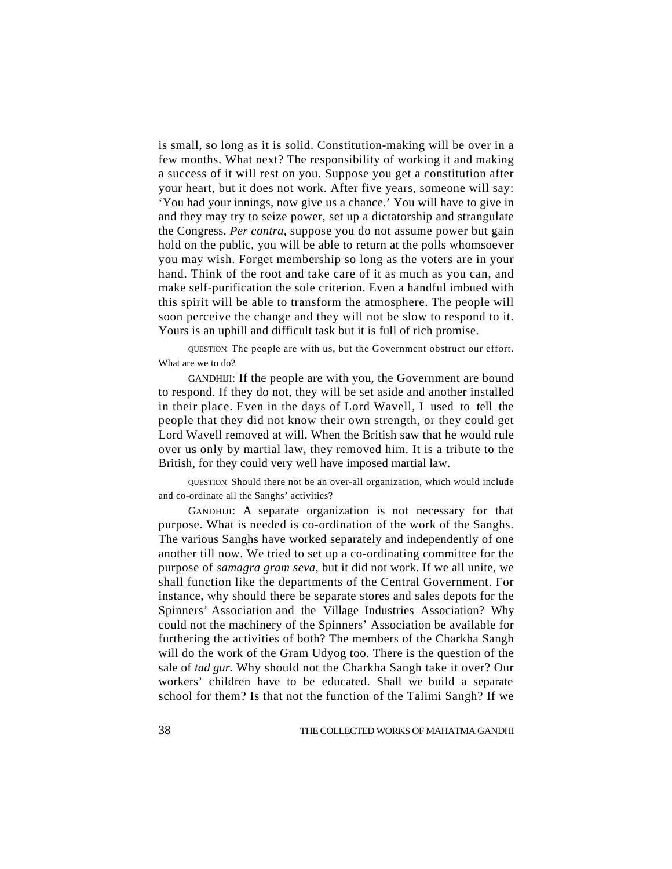is small, so long as it is solid. Constitution-making will be over in a few months. What next? The responsibility of working it and making a success of it will rest on you. Suppose you get a constitution after your heart, but it does not work. After five years, someone will say: 'You had your innings, now give us a chance.' You will have to give in and they may try to seize power, set up a dictatorship and strangulate the Congress. *Per contra,* suppose you do not assume power but gain hold on the public, you will be able to return at the polls whomsoever you may wish. Forget membership so long as the voters are in your hand. Think of the root and take care of it as much as you can, and make self-purification the sole criterion. Even a handful imbued with this spirit will be able to transform the atmosphere. The people will soon perceive the change and they will not be slow to respond to it. Yours is an uphill and difficult task but it is full of rich promise.

QUESTION: The people are with us, but the Government obstruct our effort. What are we to do?

GANDHIJI: If the people are with you, the Government are bound to respond. If they do not, they will be set aside and another installed in their place. Even in the days of Lord Wavell, I used to tell the people that they did not know their own strength, or they could get Lord Wavell removed at will. When the British saw that he would rule over us only by martial law, they removed him. It is a tribute to the British, for they could very well have imposed martial law.

QUESTION: Should there not be an over-all organization, which would include and co-ordinate all the Sanghs' activities?

GANDHIJI: A separate organization is not necessary for that purpose. What is needed is co-ordination of the work of the Sanghs. The various Sanghs have worked separately and independently of one another till now. We tried to set up a co-ordinating committee for the purpose of *samagra gram seva,* but it did not work. If we all unite, we shall function like the departments of the Central Government. For instance, why should there be separate stores and sales depots for the Spinners' Association and the Village Industries Association? Why could not the machinery of the Spinners' Association be available for furthering the activities of both? The members of the Charkha Sangh will do the work of the Gram Udyog too. There is the question of the sale of *tad gur.* Why should not the Charkha Sangh take it over? Our workers' children have to be educated. Shall we build a separate school for them? Is that not the function of the Talimi Sangh? If we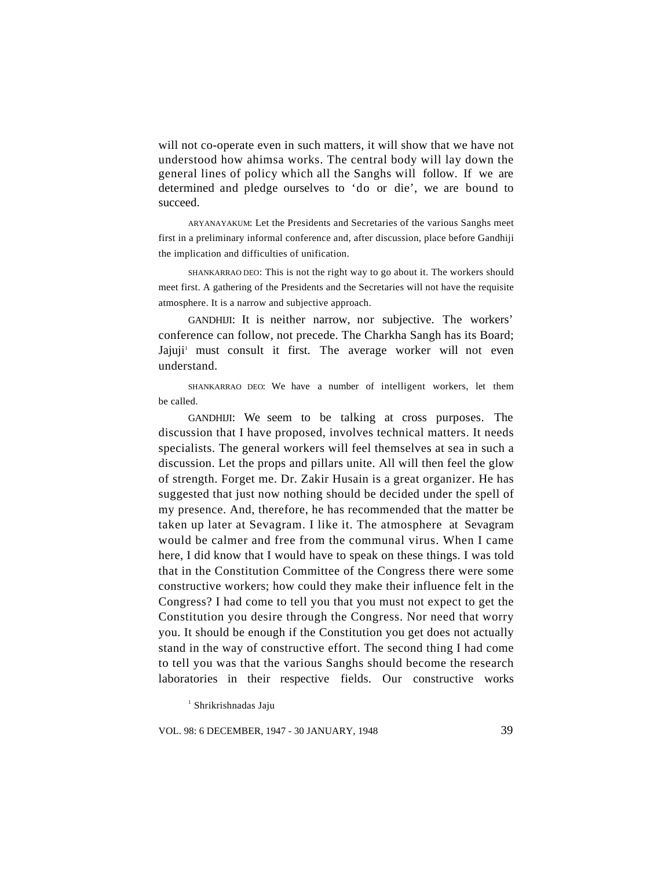will not co-operate even in such matters, it will show that we have not understood how ahimsa works. The central body will lay down the general lines of policy which all the Sanghs will follow. If we are determined and pledge ourselves to 'do or die', we are bound to succeed.

ARYANAYAKUM: Let the Presidents and Secretaries of the various Sanghs meet first in a preliminary informal conference and, after discussion, place before Gandhiji the implication and difficulties of unification.

SHANKARRAO DEO: This is not the right way to go about it. The workers should meet first. A gathering of the Presidents and the Secretaries will not have the requisite atmosphere. It is a narrow and subjective approach.

GANDHIJI: It is neither narrow, nor subjective. The workers' conference can follow, not precede. The Charkha Sangh has its Board;  $Jajuji<sup>1</sup>$  must consult it first. The average worker will not even understand.

SHANKARRAO DEO: We have a number of intelligent workers, let them be called.

GANDHIJI: We seem to be talking at cross purposes. The discussion that I have proposed, involves technical matters. It needs specialists. The general workers will feel themselves at sea in such a discussion. Let the props and pillars unite. All will then feel the glow of strength. Forget me. Dr. Zakir Husain is a great organizer. He has suggested that just now nothing should be decided under the spell of my presence. And, therefore, he has recommended that the matter be taken up later at Sevagram. I like it. The atmosphere at Sevagram would be calmer and free from the communal virus. When I came here, I did know that I would have to speak on these things. I was told that in the Constitution Committee of the Congress there were some constructive workers; how could they make their influence felt in the Congress? I had come to tell you that you must not expect to get the Constitution you desire through the Congress. Nor need that worry you. It should be enough if the Constitution you get does not actually stand in the way of constructive effort. The second thing I had come to tell you was that the various Sanghs should become the research laboratories in their respective fields. Our constructive works

1 Shrikrishnadas Jaju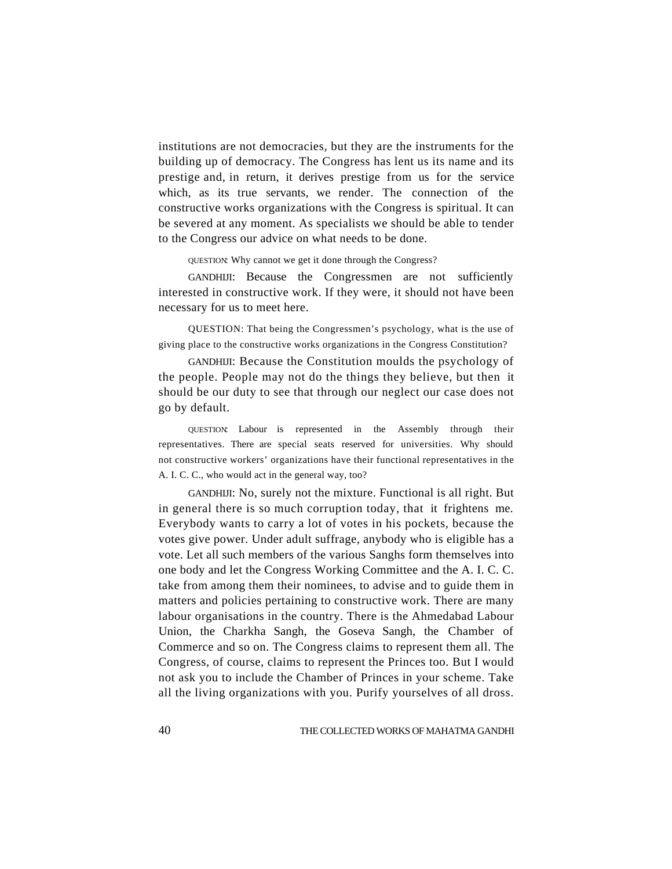institutions are not democracies, but they are the instruments for the building up of democracy. The Congress has lent us its name and its prestige and, in return, it derives prestige from us for the service which, as its true servants, we render. The connection of the constructive works organizations with the Congress is spiritual. It can be severed at any moment. As specialists we should be able to tender to the Congress our advice on what needs to be done.

QUESTION: Why cannot we get it done through the Congress?

GANDHIJI: Because the Congressmen are not sufficiently interested in constructive work. If they were, it should not have been necessary for us to meet here.

QUESTION: That being the Congressmen's psychology, what is the use of giving place to the constructive works organizations in the Congress Constitution?

GANDHIJI: Because the Constitution moulds the psychology of the people. People may not do the things they believe, but then it should be our duty to see that through our neglect our case does not go by default.

QUESTION: Labour is represented in the Assembly through their representatives. There are special seats reserved for universities. Why should not constructive workers' organizations have their functional representatives in the A. I. C. C., who would act in the general way, too?

GANDHIJI: No, surely not the mixture. Functional is all right. But in general there is so much corruption today, that it frightens me. Everybody wants to carry a lot of votes in his pockets, because the votes give power. Under adult suffrage, anybody who is eligible has a vote. Let all such members of the various Sanghs form themselves into one body and let the Congress Working Committee and the A. I. C. C. take from among them their nominees, to advise and to guide them in matters and policies pertaining to constructive work. There are many labour organisations in the country. There is the Ahmedabad Labour Union, the Charkha Sangh, the Goseva Sangh, the Chamber of Commerce and so on. The Congress claims to represent them all. The Congress, of course, claims to represent the Princes too. But I would not ask you to include the Chamber of Princes in your scheme. Take all the living organizations with you. Purify yourselves of all dross.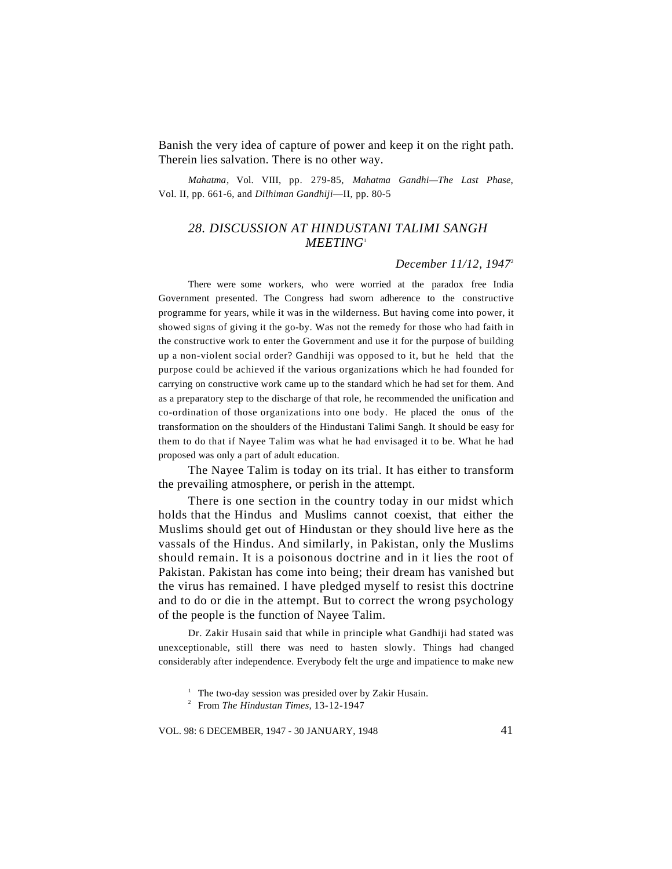Banish the very idea of capture of power and keep it on the right path. Therein lies salvation. There is no other way.

*Mahatma*, Vol. VIII, pp. 279-85, *Mahatma Gandhi—The Last Phase*, Vol. II, pp. 661-6, and *Dilhiman Gandhiji*—II, pp. 80-5

# *28. DISCUSSION AT HINDUSTANI TALIMI SANGH MEETING*<sup>1</sup>

#### *December 11/12, 1947*<sup>2</sup>

There were some workers, who were worried at the paradox free India Government presented. The Congress had sworn adherence to the constructive programme for years, while it was in the wilderness. But having come into power, it showed signs of giving it the go-by. Was not the remedy for those who had faith in the constructive work to enter the Government and use it for the purpose of building up a non-violent social order? Gandhiji was opposed to it, but he held that the purpose could be achieved if the various organizations which he had founded for carrying on constructive work came up to the standard which he had set for them. And as a preparatory step to the discharge of that role, he recommended the unification and co-ordination of those organizations into one body. He placed the onus of the transformation on the shoulders of the Hindustani Talimi Sangh. It should be easy for them to do that if Nayee Talim was what he had envisaged it to be. What he had proposed was only a part of adult education.

The Nayee Talim is today on its trial. It has either to transform the prevailing atmosphere, or perish in the attempt.

There is one section in the country today in our midst which holds that the Hindus and Muslims cannot coexist, that either the Muslims should get out of Hindustan or they should live here as the vassals of the Hindus. And similarly, in Pakistan, only the Muslims should remain. It is a poisonous doctrine and in it lies the root of Pakistan. Pakistan has come into being; their dream has vanished but the virus has remained. I have pledged myself to resist this doctrine and to do or die in the attempt. But to correct the wrong psychology of the people is the function of Nayee Talim.

Dr. Zakir Husain said that while in principle what Gandhiji had stated was unexceptionable, still there was need to hasten slowly. Things had changed considerably after independence. Everybody felt the urge and impatience to make new

<sup>&</sup>lt;sup>1</sup> The two-day session was presided over by Zakir Husain.

<sup>2</sup> From *The Hindustan Times,* 13-12-1947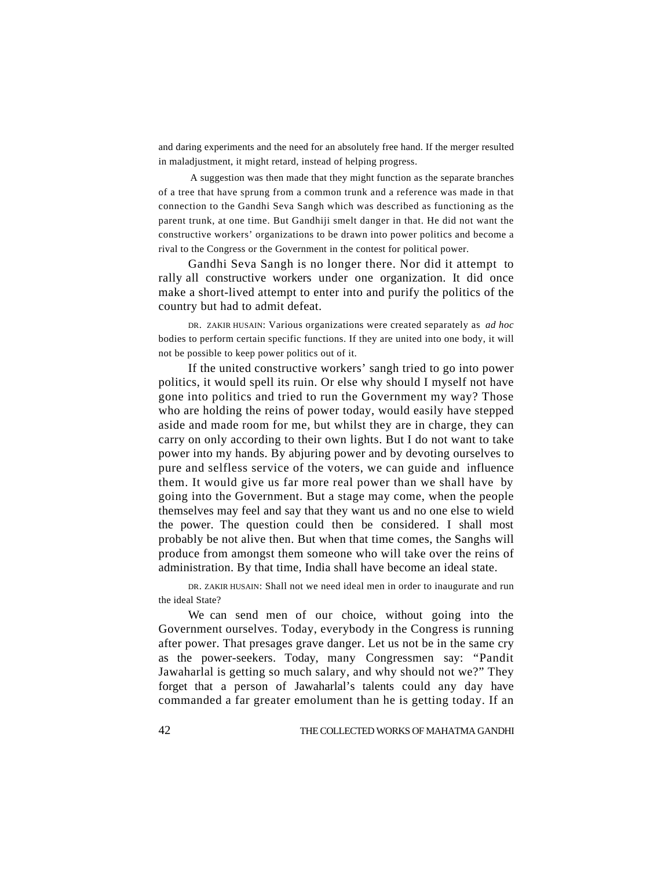and daring experiments and the need for an absolutely free hand. If the merger resulted in maladjustment, it might retard, instead of helping progress.

A suggestion was then made that they might function as the separate branches of a tree that have sprung from a common trunk and a reference was made in that connection to the Gandhi Seva Sangh which was described as functioning as the parent trunk, at one time. But Gandhiji smelt danger in that. He did not want the constructive workers' organizations to be drawn into power politics and become a rival to the Congress or the Government in the contest for political power.

Gandhi Seva Sangh is no longer there. Nor did it attempt to rally all constructive workers under one organization. It did once make a short-lived attempt to enter into and purify the politics of the country but had to admit defeat.

DR. ZAKIR HUSAIN: Various organizations were created separately as *ad hoc* bodies to perform certain specific functions. If they are united into one body, it will not be possible to keep power politics out of it.

If the united constructive workers' sangh tried to go into power politics, it would spell its ruin. Or else why should I myself not have gone into politics and tried to run the Government my way? Those who are holding the reins of power today, would easily have stepped aside and made room for me, but whilst they are in charge, they can carry on only according to their own lights. But I do not want to take power into my hands. By abjuring power and by devoting ourselves to pure and selfless service of the voters, we can guide and influence them. It would give us far more real power than we shall have by going into the Government. But a stage may come, when the people themselves may feel and say that they want us and no one else to wield the power. The question could then be considered. I shall most probably be not alive then. But when that time comes, the Sanghs will produce from amongst them someone who will take over the reins of administration. By that time, India shall have become an ideal state.

DR. ZAKIR HUSAIN: Shall not we need ideal men in order to inaugurate and run the ideal State?

We can send men of our choice, without going into the Government ourselves. Today, everybody in the Congress is running after power. That presages grave danger. Let us not be in the same cry as the power-seekers. Today, many Congressmen say: "Pandit Jawaharlal is getting so much salary, and why should not we?" They forget that a person of Jawaharlal's talents could any day have commanded a far greater emolument than he is getting today. If an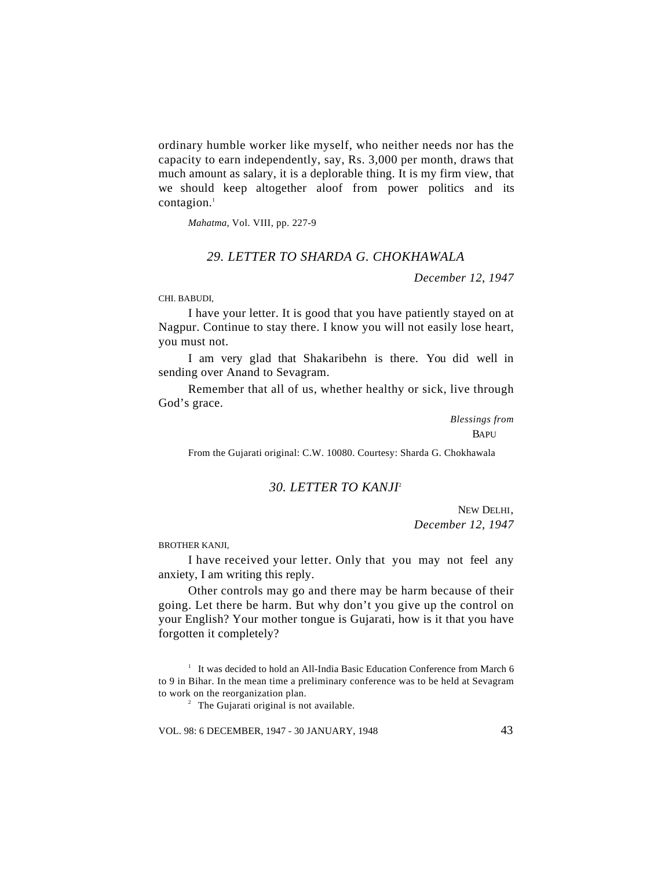ordinary humble worker like myself, who neither needs nor has the capacity to earn independently, say, Rs. 3,000 per month, draws that much amount as salary, it is a deplorable thing. It is my firm view, that we should keep altogether aloof from power politics and its  $contagion.<sup>1</sup>$ 

*Mahatma,* Vol. VIII, pp. 227-9

### *29. LETTER TO SHARDA G. CHOKHAWALA*

*December 12, 1947*

CHI. BABUDI,

I have your letter. It is good that you have patiently stayed on at Nagpur. Continue to stay there. I know you will not easily lose heart, you must not.

I am very glad that Shakaribehn is there. You did well in sending over Anand to Sevagram.

Remember that all of us, whether healthy or sick, live through God's grace.

> *Blessings from* **BAPU**

From the Gujarati original: C.W. 10080. Courtesy: Sharda G. Chokhawala

### *30. LETTER TO KANJI*<sup>2</sup>

NEW DELHI, *December 12, 1947*

BROTHER KANJI,

I have received your letter. Only that you may not feel any anxiety, I am writing this reply.

Other controls may go and there may be harm because of their going. Let there be harm. But why don't you give up the control on your English? Your mother tongue is Gujarati, how is it that you have forgotten it completely?

<sup>1</sup> It was decided to hold an All-India Basic Education Conference from March 6 to 9 in Bihar. In the mean time a preliminary conference was to be held at Sevagram to work on the reorganization plan.

 $2$  The Gujarati original is not available.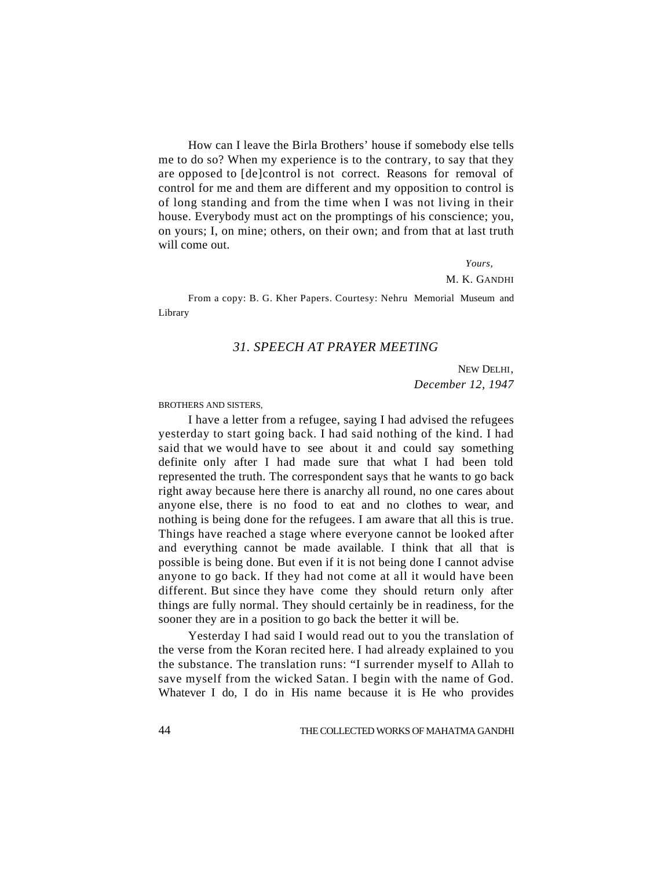How can I leave the Birla Brothers' house if somebody else tells me to do so? When my experience is to the contrary, to say that they are opposed to [de]control is not correct. Reasons for removal of control for me and them are different and my opposition to control is of long standing and from the time when I was not living in their house. Everybody must act on the promptings of his conscience; you, on yours; I, on mine; others, on their own; and from that at last truth will come out.

*Yours,*

M. K. GANDHI

From a copy: B. G. Kher Papers. Courtesy: Nehru Memorial Museum and Library

#### *31. SPEECH AT PRAYER MEETING*

NEW DELHI, *December 12, 1947*

BROTHERS AND SISTERS,

I have a letter from a refugee, saying I had advised the refugees yesterday to start going back. I had said nothing of the kind. I had said that we would have to see about it and could say something definite only after I had made sure that what I had been told represented the truth. The correspondent says that he wants to go back right away because here there is anarchy all round, no one cares about anyone else, there is no food to eat and no clothes to wear, and nothing is being done for the refugees. I am aware that all this is true. Things have reached a stage where everyone cannot be looked after and everything cannot be made available. I think that all that is possible is being done. But even if it is not being done I cannot advise anyone to go back. If they had not come at all it would have been different. But since they have come they should return only after things are fully normal. They should certainly be in readiness, for the sooner they are in a position to go back the better it will be.

Yesterday I had said I would read out to you the translation of the verse from the Koran recited here. I had already explained to you the substance. The translation runs: "I surrender myself to Allah to save myself from the wicked Satan. I begin with the name of God. Whatever I do, I do in His name because it is He who provides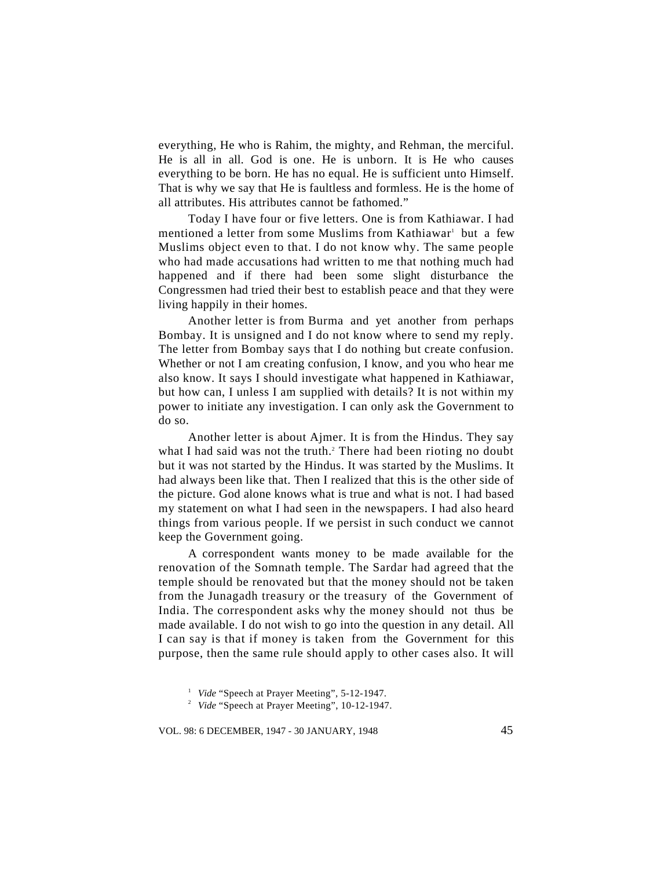everything, He who is Rahim, the mighty, and Rehman, the merciful. He is all in all. God is one. He is unborn. It is He who causes everything to be born. He has no equal. He is sufficient unto Himself. That is why we say that He is faultless and formless. He is the home of all attributes. His attributes cannot be fathomed."

Today I have four or five letters. One is from Kathiawar. I had mentioned a letter from some Muslims from Kathiawar<sup>1</sup> but a few Muslims object even to that. I do not know why. The same people who had made accusations had written to me that nothing much had happened and if there had been some slight disturbance the Congressmen had tried their best to establish peace and that they were living happily in their homes.

Another letter is from Burma and yet another from perhaps Bombay. It is unsigned and I do not know where to send my reply. The letter from Bombay says that I do nothing but create confusion. Whether or not I am creating confusion, I know, and you who hear me also know. It says I should investigate what happened in Kathiawar, but how can, I unless I am supplied with details? It is not within my power to initiate any investigation. I can only ask the Government to do so.

Another letter is about Ajmer. It is from the Hindus. They say what I had said was not the truth.<sup>2</sup> There had been rioting no doubt but it was not started by the Hindus. It was started by the Muslims. It had always been like that. Then I realized that this is the other side of the picture. God alone knows what is true and what is not. I had based my statement on what I had seen in the newspapers. I had also heard things from various people. If we persist in such conduct we cannot keep the Government going.

A correspondent wants money to be made available for the renovation of the Somnath temple. The Sardar had agreed that the temple should be renovated but that the money should not be taken from the Junagadh treasury or the treasury of the Government of India. The correspondent asks why the money should not thus be made available. I do not wish to go into the question in any detail. All I can say is that if money is taken from the Government for this purpose, then the same rule should apply to other cases also. It will

<sup>&</sup>lt;sup>1</sup> *Vide* "Speech at Prayer Meeting", 5-12-1947.

<sup>2</sup> *Vide* "Speech at Prayer Meeting", 10-12-1947.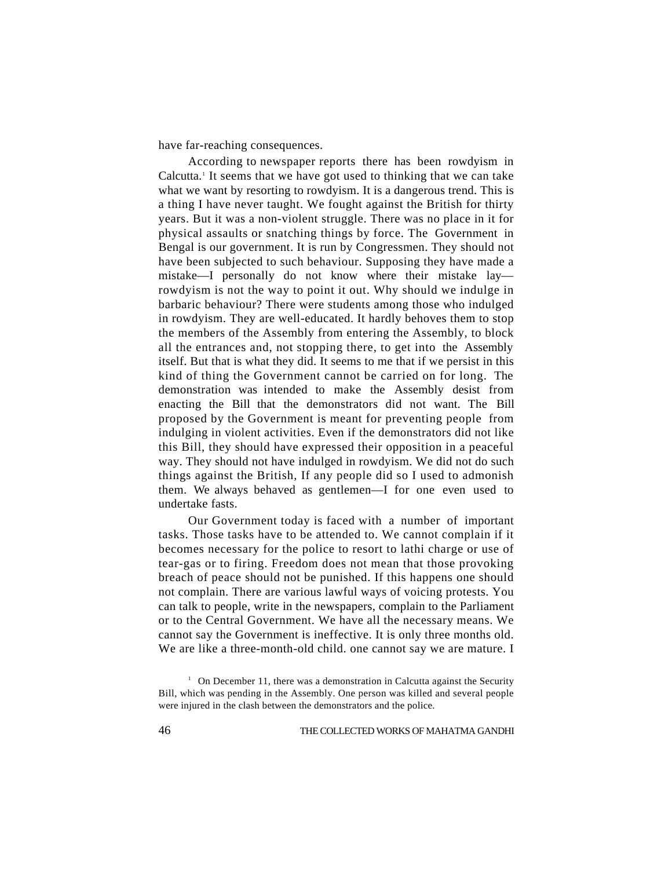have far-reaching consequences.

According to newspaper reports there has been rowdyism in Calcutta.<sup>1</sup> It seems that we have got used to thinking that we can take what we want by resorting to rowdyism. It is a dangerous trend. This is a thing I have never taught. We fought against the British for thirty years. But it was a non-violent struggle. There was no place in it for physical assaults or snatching things by force. The Government in Bengal is our government. It is run by Congressmen. They should not have been subjected to such behaviour. Supposing they have made a mistake—I personally do not know where their mistake lay rowdyism is not the way to point it out. Why should we indulge in barbaric behaviour? There were students among those who indulged in rowdyism. They are well-educated. It hardly behoves them to stop the members of the Assembly from entering the Assembly, to block all the entrances and, not stopping there, to get into the Assembly itself. But that is what they did. It seems to me that if we persist in this kind of thing the Government cannot be carried on for long. The demonstration was intended to make the Assembly desist from enacting the Bill that the demonstrators did not want. The Bill proposed by the Government is meant for preventing people from indulging in violent activities. Even if the demonstrators did not like this Bill, they should have expressed their opposition in a peaceful way. They should not have indulged in rowdyism. We did not do such things against the British, If any people did so I used to admonish them. We always behaved as gentlemen—I for one even used to undertake fasts.

Our Government today is faced with a number of important tasks. Those tasks have to be attended to. We cannot complain if it becomes necessary for the police to resort to lathi charge or use of tear-gas or to firing. Freedom does not mean that those provoking breach of peace should not be punished. If this happens one should not complain. There are various lawful ways of voicing protests. You can talk to people, write in the newspapers, complain to the Parliament or to the Central Government. We have all the necessary means. We cannot say the Government is ineffective. It is only three months old. We are like a three-month-old child. one cannot say we are mature. I

 $1$  On December 11, there was a demonstration in Calcutta against the Security Bill, which was pending in the Assembly. One person was killed and several people were injured in the clash between the demonstrators and the police.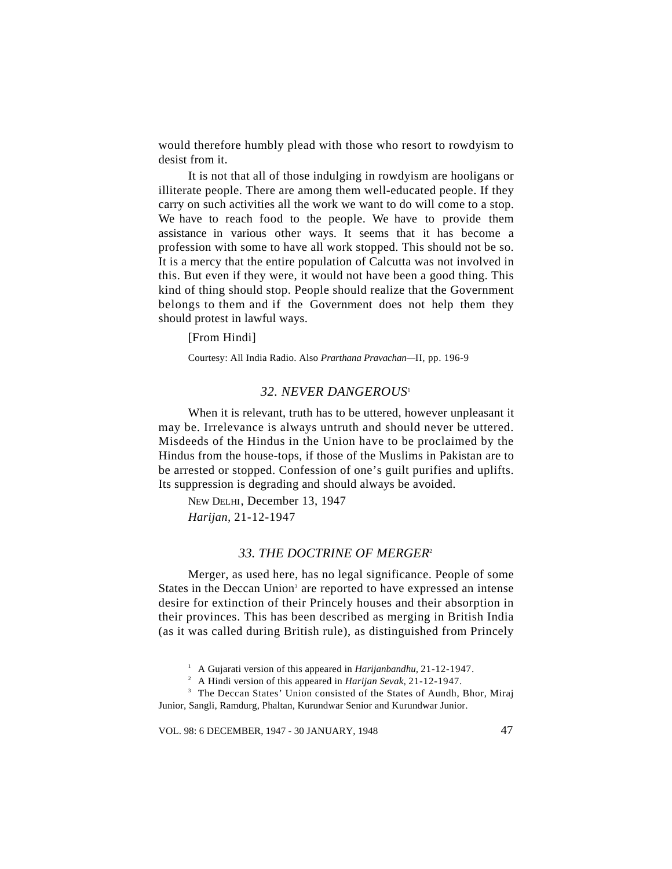would therefore humbly plead with those who resort to rowdyism to desist from it.

It is not that all of those indulging in rowdyism are hooligans or illiterate people. There are among them well-educated people. If they carry on such activities all the work we want to do will come to a stop. We have to reach food to the people. We have to provide them assistance in various other ways. It seems that it has become a profession with some to have all work stopped. This should not be so. It is a mercy that the entire population of Calcutta was not involved in this. But even if they were, it would not have been a good thing. This kind of thing should stop. People should realize that the Government belongs to them and if the Government does not help them they should protest in lawful ways.

[From Hindi]

Courtesy: All India Radio. Also *Prarthana Pravachan—*II, pp. 196-9

# *32. NEVER DANGEROUS*<sup>1</sup>

When it is relevant, truth has to be uttered, however unpleasant it may be. Irrelevance is always untruth and should never be uttered. Misdeeds of the Hindus in the Union have to be proclaimed by the Hindus from the house-tops, if those of the Muslims in Pakistan are to be arrested or stopped. Confession of one's guilt purifies and uplifts. Its suppression is degrading and should always be avoided.

NEW DELHI, December 13, 1947 *Harijan,* 21-12-1947

### *33. THE DOCTRINE OF MERGER*<sup>2</sup>

Merger, as used here, has no legal significance. People of some States in the Deccan Union<sup>3</sup> are reported to have expressed an intense desire for extinction of their Princely houses and their absorption in their provinces. This has been described as merging in British India (as it was called during British rule), as distinguished from Princely

<sup>1</sup> A Gujarati version of this appeared in *Harijanbandhu*, 21-12-1947.

<sup>2</sup> A Hindi version of this appeared in *Harijan Sevak,* 21-12-1947.

<sup>3</sup> The Deccan States' Union consisted of the States of Aundh, Bhor, Miraj Junior, Sangli, Ramdurg, Phaltan, Kurundwar Senior and Kurundwar Junior.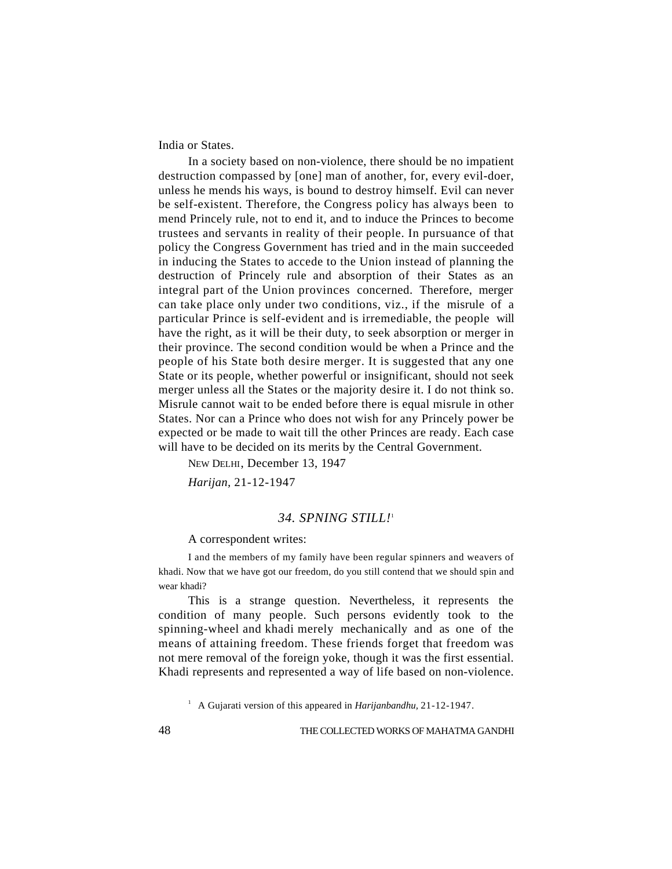India or States.

In a society based on non-violence, there should be no impatient destruction compassed by [one] man of another, for, every evil-doer, unless he mends his ways, is bound to destroy himself. Evil can never be self-existent. Therefore, the Congress policy has always been to mend Princely rule, not to end it, and to induce the Princes to become trustees and servants in reality of their people. In pursuance of that policy the Congress Government has tried and in the main succeeded in inducing the States to accede to the Union instead of planning the destruction of Princely rule and absorption of their States as an integral part of the Union provinces concerned. Therefore, merger can take place only under two conditions, viz., if the misrule of a particular Prince is self-evident and is irremediable, the people will have the right, as it will be their duty, to seek absorption or merger in their province. The second condition would be when a Prince and the people of his State both desire merger. It is suggested that any one State or its people, whether powerful or insignificant, should not seek merger unless all the States or the majority desire it. I do not think so. Misrule cannot wait to be ended before there is equal misrule in other States. Nor can a Prince who does not wish for any Princely power be expected or be made to wait till the other Princes are ready. Each case will have to be decided on its merits by the Central Government.

NEW DELHI, December 13, 1947

*Harijan,* 21-12-1947

### *34. SPNING STILL!*<sup>1</sup>

A correspondent writes:

I and the members of my family have been regular spinners and weavers of khadi. Now that we have got our freedom, do you still contend that we should spin and wear khadi?

This is a strange question. Nevertheless, it represents the condition of many people. Such persons evidently took to the spinning-wheel and khadi merely mechanically and as one of the means of attaining freedom. These friends forget that freedom was not mere removal of the foreign yoke, though it was the first essential. Khadi represents and represented a way of life based on non-violence.

<sup>1</sup> A Gujarati version of this appeared in *Harijanbandhu*, 21-12-1947.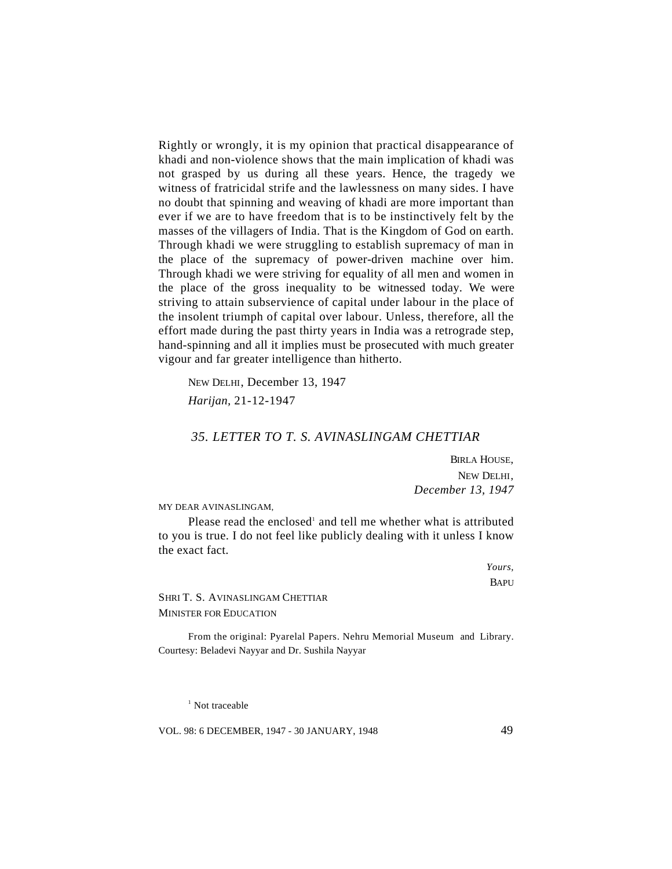Rightly or wrongly, it is my opinion that practical disappearance of khadi and non-violence shows that the main implication of khadi was not grasped by us during all these years. Hence, the tragedy we witness of fratricidal strife and the lawlessness on many sides. I have no doubt that spinning and weaving of khadi are more important than ever if we are to have freedom that is to be instinctively felt by the masses of the villagers of India. That is the Kingdom of God on earth. Through khadi we were struggling to establish supremacy of man in the place of the supremacy of power-driven machine over him. Through khadi we were striving for equality of all men and women in the place of the gross inequality to be witnessed today. We were striving to attain subservience of capital under labour in the place of the insolent triumph of capital over labour. Unless, therefore, all the effort made during the past thirty years in India was a retrograde step, hand-spinning and all it implies must be prosecuted with much greater vigour and far greater intelligence than hitherto.

NEW DELHI, December 13, 1947 *Harijan,* 21-12-1947

## *35. LETTER TO T. S. AVINASLINGAM CHETTIAR*

BIRLA HOUSE,

NEW DELHI, *December 13, 1947*

#### MY DEAR AVINASLINGAM,

Please read the enclosed<sup>1</sup> and tell me whether what is attributed to you is true. I do not feel like publicly dealing with it unless I know the exact fact.

> *Yours,* **BAPU**

#### SHRI T. S. AVINASLINGAM CHETTIAR MINISTER FOR EDUCATION

From the original: Pyarelal Papers. Nehru Memorial Museum and Library. Courtesy: Beladevi Nayyar and Dr. Sushila Nayyar

<sup>1</sup> Not traceable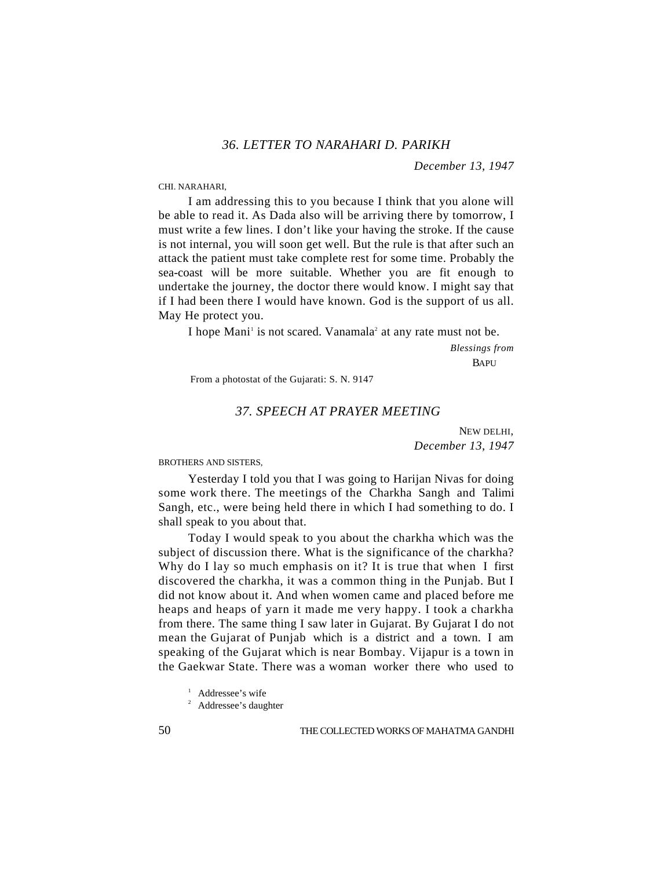*December 13, 1947*

CHI. NARAHARI,

I am addressing this to you because I think that you alone will be able to read it. As Dada also will be arriving there by tomorrow, I must write a few lines. I don't like your having the stroke. If the cause is not internal, you will soon get well. But the rule is that after such an attack the patient must take complete rest for some time. Probably the sea-coast will be more suitable. Whether you are fit enough to undertake the journey, the doctor there would know. I might say that if I had been there I would have known. God is the support of us all. May He protect you.

I hope Mani<sup>1</sup> is not scared. Vanamala<sup>2</sup> at any rate must not be.

*Blessings from* **BAPU** 

From a photostat of the Gujarati: S. N. 9147

### *37. SPEECH AT PRAYER MEETING*

NEW DELHI, *December 13, 1947*

BROTHERS AND SISTERS,

Yesterday I told you that I was going to Harijan Nivas for doing some work there. The meetings of the Charkha Sangh and Talimi Sangh, etc., were being held there in which I had something to do. I shall speak to you about that.

Today I would speak to you about the charkha which was the subject of discussion there. What is the significance of the charkha? Why do I lay so much emphasis on it? It is true that when I first discovered the charkha, it was a common thing in the Punjab. But I did not know about it. And when women came and placed before me heaps and heaps of yarn it made me very happy. I took a charkha from there. The same thing I saw later in Gujarat. By Gujarat I do not mean the Gujarat of Punjab which is a district and a town. I am speaking of the Gujarat which is near Bombay. Vijapur is a town in the Gaekwar State. There was a woman worker there who used to

<sup>1</sup> Addressee's wife

<sup>2</sup> Addressee's daughter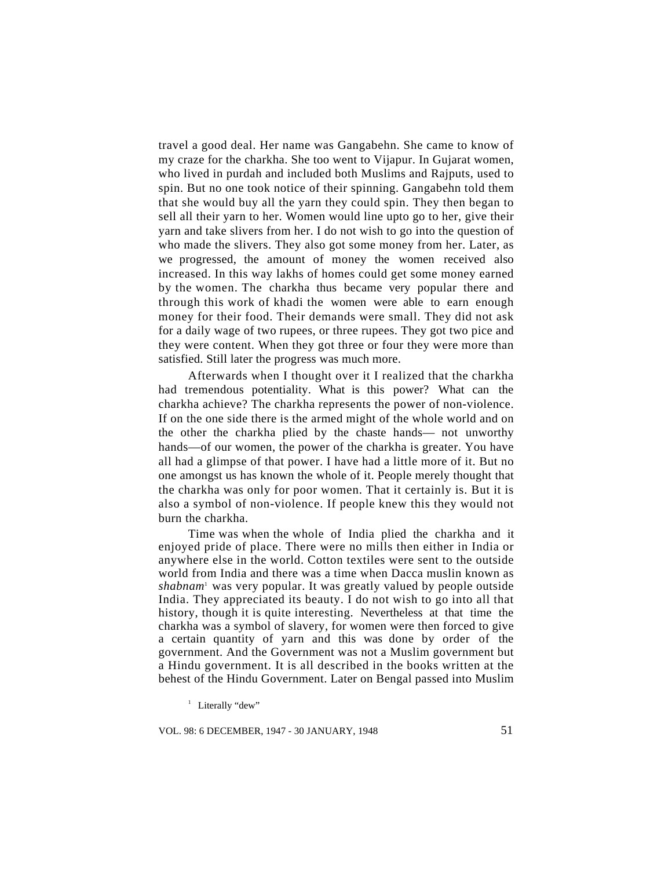travel a good deal. Her name was Gangabehn. She came to know of my craze for the charkha. She too went to Vijapur. In Gujarat women, who lived in purdah and included both Muslims and Rajputs, used to spin. But no one took notice of their spinning. Gangabehn told them that she would buy all the yarn they could spin. They then began to sell all their yarn to her. Women would line upto go to her, give their yarn and take slivers from her. I do not wish to go into the question of who made the slivers. They also got some money from her. Later, as we progressed, the amount of money the women received also increased. In this way lakhs of homes could get some money earned by the women. The charkha thus became very popular there and through this work of khadi the women were able to earn enough money for their food. Their demands were small. They did not ask for a daily wage of two rupees, or three rupees. They got two pice and they were content. When they got three or four they were more than satisfied. Still later the progress was much more.

Afterwards when I thought over it I realized that the charkha had tremendous potentiality. What is this power? What can the charkha achieve? The charkha represents the power of non-violence. If on the one side there is the armed might of the whole world and on the other the charkha plied by the chaste hands— not unworthy hands—of our women, the power of the charkha is greater. You have all had a glimpse of that power. I have had a little more of it. But no one amongst us has known the whole of it. People merely thought that the charkha was only for poor women. That it certainly is. But it is also a symbol of non-violence. If people knew this they would not burn the charkha.

Time was when the whole of India plied the charkha and it enjoyed pride of place. There were no mills then either in India or anywhere else in the world. Cotton textiles were sent to the outside world from India and there was a time when Dacca muslin known as *shabnam*<sup>1</sup> was very popular. It was greatly valued by people outside India. They appreciated its beauty. I do not wish to go into all that history, though it is quite interesting. Nevertheless at that time the charkha was a symbol of slavery, for women were then forced to give a certain quantity of yarn and this was done by order of the government. And the Government was not a Muslim government but a Hindu government. It is all described in the books written at the behest of the Hindu Government. Later on Bengal passed into Muslim

 $<sup>1</sup>$  Literally "dew"</sup>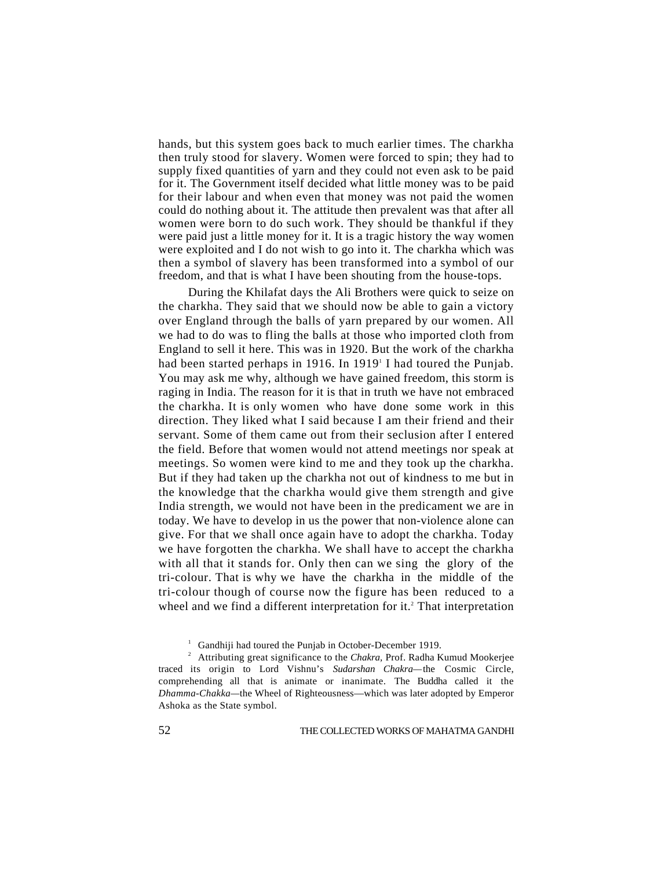hands, but this system goes back to much earlier times. The charkha then truly stood for slavery. Women were forced to spin; they had to supply fixed quantities of yarn and they could not even ask to be paid for it. The Government itself decided what little money was to be paid for their labour and when even that money was not paid the women could do nothing about it. The attitude then prevalent was that after all women were born to do such work. They should be thankful if they were paid just a little money for it. It is a tragic history the way women were exploited and I do not wish to go into it. The charkha which was then a symbol of slavery has been transformed into a symbol of our freedom, and that is what I have been shouting from the house-tops.

During the Khilafat days the Ali Brothers were quick to seize on the charkha. They said that we should now be able to gain a victory over England through the balls of yarn prepared by our women. All we had to do was to fling the balls at those who imported cloth from England to sell it here. This was in 1920. But the work of the charkha had been started perhaps in 1916. In 1919<sup>1</sup> I had toured the Punjab. You may ask me why, although we have gained freedom, this storm is raging in India. The reason for it is that in truth we have not embraced the charkha. It is only women who have done some work in this direction. They liked what I said because I am their friend and their servant. Some of them came out from their seclusion after I entered the field. Before that women would not attend meetings nor speak at meetings. So women were kind to me and they took up the charkha. But if they had taken up the charkha not out of kindness to me but in the knowledge that the charkha would give them strength and give India strength, we would not have been in the predicament we are in today. We have to develop in us the power that non-violence alone can give. For that we shall once again have to adopt the charkha. Today we have forgotten the charkha. We shall have to accept the charkha with all that it stands for. Only then can we sing the glory of the tri-colour. That is why we have the charkha in the middle of the tri-colour though of course now the figure has been reduced to a wheel and we find a different interpretation for it.<sup>2</sup> That interpretation

<sup>&</sup>lt;sup>1</sup> Gandhiji had toured the Punjab in October-December 1919.

<sup>&</sup>lt;sup>2</sup> Attributing great significance to the *Chakra*, Prof. Radha Kumud Mookerjee traced its origin to Lord Vishnu's *Sudarshan Chakra—*the Cosmic Circle, comprehending all that is animate or inanimate. The Buddha called it the *Dhamma-Chakka—*the Wheel of Righteousness—which was later adopted by Emperor Ashoka as the State symbol.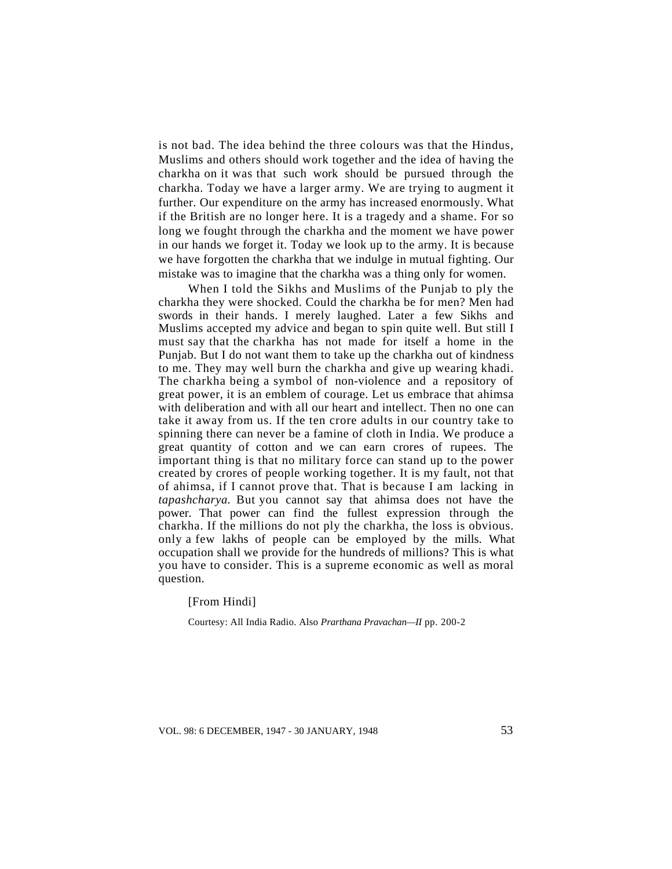is not bad. The idea behind the three colours was that the Hindus, Muslims and others should work together and the idea of having the charkha on it was that such work should be pursued through the charkha. Today we have a larger army. We are trying to augment it further. Our expenditure on the army has increased enormously. What if the British are no longer here. It is a tragedy and a shame. For so long we fought through the charkha and the moment we have power in our hands we forget it. Today we look up to the army. It is because we have forgotten the charkha that we indulge in mutual fighting. Our mistake was to imagine that the charkha was a thing only for women.

When I told the Sikhs and Muslims of the Punjab to ply the charkha they were shocked. Could the charkha be for men? Men had swords in their hands. I merely laughed. Later a few Sikhs and Muslims accepted my advice and began to spin quite well. But still I must say that the charkha has not made for itself a home in the Punjab. But I do not want them to take up the charkha out of kindness to me. They may well burn the charkha and give up wearing khadi. The charkha being a symbol of non-violence and a repository of great power, it is an emblem of courage. Let us embrace that ahimsa with deliberation and with all our heart and intellect. Then no one can take it away from us. If the ten crore adults in our country take to spinning there can never be a famine of cloth in India. We produce a great quantity of cotton and we can earn crores of rupees. The important thing is that no military force can stand up to the power created by crores of people working together. It is my fault, not that of ahimsa, if I cannot prove that. That is because I am lacking in *tapashcharya.* But you cannot say that ahimsa does not have the power. That power can find the fullest expression through the charkha. If the millions do not ply the charkha, the loss is obvious. only a few lakhs of people can be employed by the mills. What occupation shall we provide for the hundreds of millions? This is what you have to consider. This is a supreme economic as well as moral question.

### [From Hindi]

Courtesy: All India Radio. Also *Prarthana Pravachan—II* pp. 200-2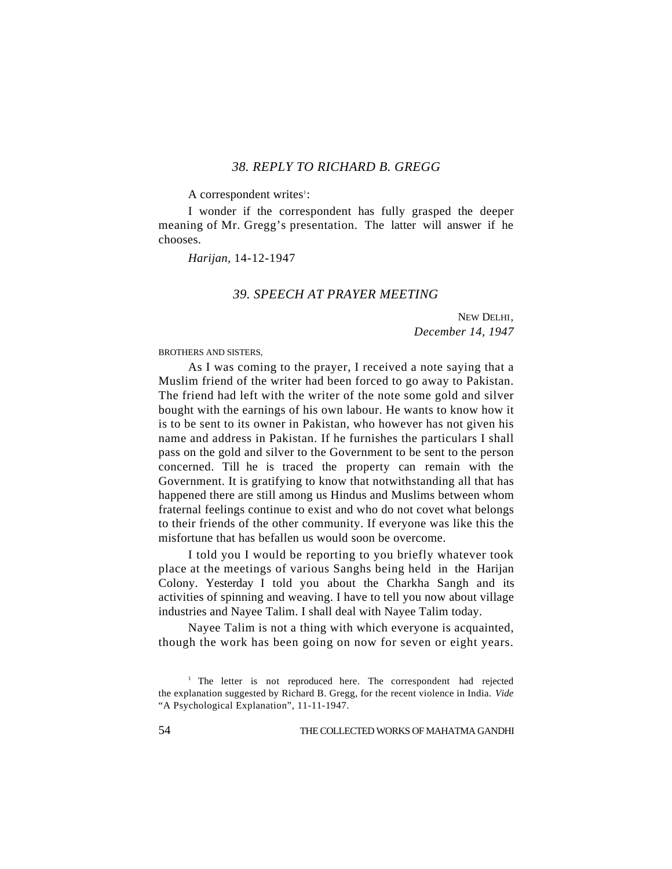A correspondent writes<sup>1</sup>:

I wonder if the correspondent has fully grasped the deeper meaning of Mr. Gregg's presentation. The latter will answer if he chooses.

*Harijan,* 14-12-1947

### *39. SPEECH AT PRAYER MEETING*

NEW DELHI, *December 14, 1947*

BROTHERS AND SISTERS,

As I was coming to the prayer, I received a note saying that a Muslim friend of the writer had been forced to go away to Pakistan. The friend had left with the writer of the note some gold and silver bought with the earnings of his own labour. He wants to know how it is to be sent to its owner in Pakistan, who however has not given his name and address in Pakistan. If he furnishes the particulars I shall pass on the gold and silver to the Government to be sent to the person concerned. Till he is traced the property can remain with the Government. It is gratifying to know that notwithstanding all that has happened there are still among us Hindus and Muslims between whom fraternal feelings continue to exist and who do not covet what belongs to their friends of the other community. If everyone was like this the misfortune that has befallen us would soon be overcome.

I told you I would be reporting to you briefly whatever took place at the meetings of various Sanghs being held in the Harijan Colony. Yesterday I told you about the Charkha Sangh and its activities of spinning and weaving. I have to tell you now about village industries and Nayee Talim. I shall deal with Nayee Talim today.

Nayee Talim is not a thing with which everyone is acquainted, though the work has been going on now for seven or eight years.

<sup>&</sup>lt;sup>1</sup> The letter is not reproduced here. The correspondent had rejected the explanation suggested by Richard B. Gregg, for the recent violence in India. *Vide* "A Psychological Explanation", 11-11-1947.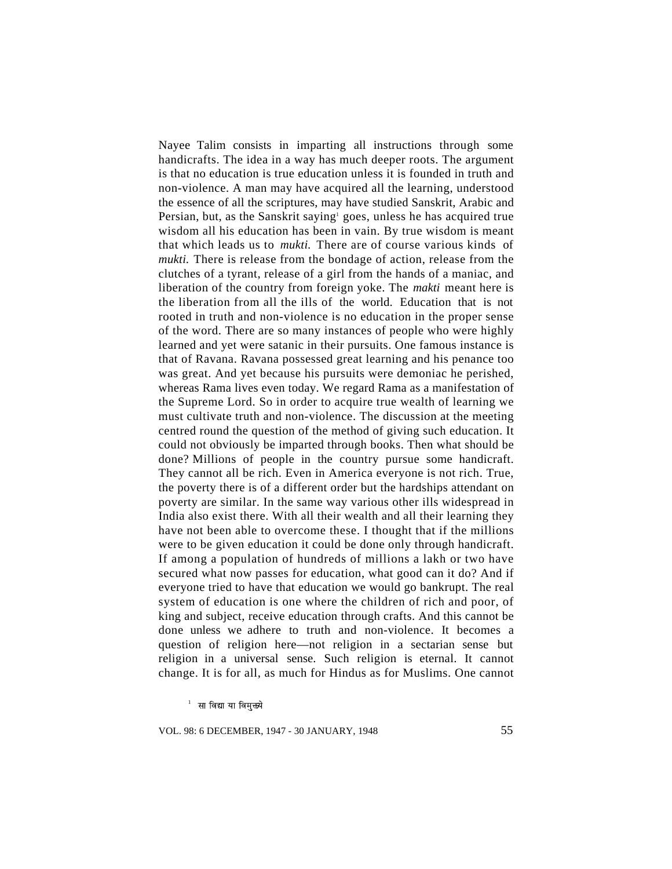Nayee Talim consists in imparting all instructions through some handicrafts. The idea in a way has much deeper roots. The argument is that no education is true education unless it is founded in truth and non-violence. A man may have acquired all the learning, understood the essence of all the scriptures, may have studied Sanskrit, Arabic and Persian, but, as the Sanskrit saying<sup>1</sup> goes, unless he has acquired true wisdom all his education has been in vain. By true wisdom is meant that which leads us to *mukti.* There are of course various kinds of *mukti.* There is release from the bondage of action, release from the clutches of a tyrant, release of a girl from the hands of a maniac, and liberation of the country from foreign yoke. The *makti* meant here is the liberation from all the ills of the world. Education that is not rooted in truth and non-violence is no education in the proper sense of the word. There are so many instances of people who were highly learned and yet were satanic in their pursuits. One famous instance is that of Ravana. Ravana possessed great learning and his penance too was great. And yet because his pursuits were demoniac he perished, whereas Rama lives even today. We regard Rama as a manifestation of the Supreme Lord. So in order to acquire true wealth of learning we must cultivate truth and non-violence. The discussion at the meeting centred round the question of the method of giving such education. It could not obviously be imparted through books. Then what should be done? Millions of people in the country pursue some handicraft. They cannot all be rich. Even in America everyone is not rich. True, the poverty there is of a different order but the hardships attendant on poverty are similar. In the same way various other ills widespread in India also exist there. With all their wealth and all their learning they have not been able to overcome these. I thought that if the millions were to be given education it could be done only through handicraft. If among a population of hundreds of millions a lakh or two have secured what now passes for education, what good can it do? And if everyone tried to have that education we would go bankrupt. The real system of education is one where the children of rich and poor, of king and subject, receive education through crafts. And this cannot be done unless we adhere to truth and non-violence. It becomes a question of religion here—not religion in a sectarian sense but religion in a universal sense. Such religion is eternal. It cannot change. It is for all, as much for Hindus as for Muslims. One cannot

 $^{\rm 1}$  सा विद्या या विमुक्तये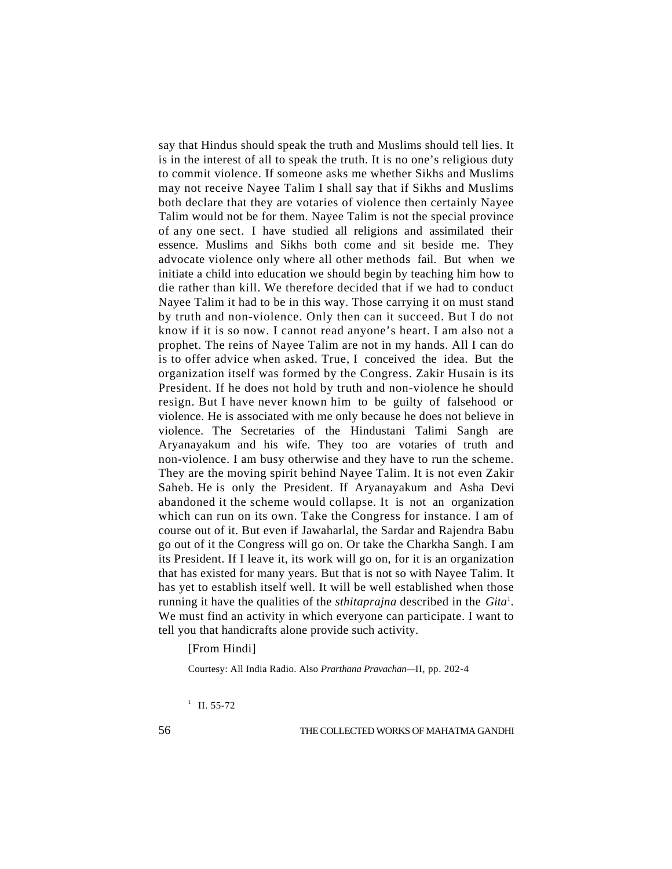say that Hindus should speak the truth and Muslims should tell lies. It is in the interest of all to speak the truth. It is no one's religious duty to commit violence. If someone asks me whether Sikhs and Muslims may not receive Nayee Talim I shall say that if Sikhs and Muslims both declare that they are votaries of violence then certainly Nayee Talim would not be for them. Nayee Talim is not the special province of any one sect. I have studied all religions and assimilated their essence. Muslims and Sikhs both come and sit beside me. They advocate violence only where all other methods fail. But when we initiate a child into education we should begin by teaching him how to die rather than kill. We therefore decided that if we had to conduct Nayee Talim it had to be in this way. Those carrying it on must stand by truth and non-violence. Only then can it succeed. But I do not know if it is so now. I cannot read anyone's heart. I am also not a prophet. The reins of Nayee Talim are not in my hands. All I can do is to offer advice when asked. True, I conceived the idea. But the organization itself was formed by the Congress. Zakir Husain is its President. If he does not hold by truth and non-violence he should resign. But I have never known him to be guilty of falsehood or violence. He is associated with me only because he does not believe in violence. The Secretaries of the Hindustani Talimi Sangh are Aryanayakum and his wife. They too are votaries of truth and non-violence. I am busy otherwise and they have to run the scheme. They are the moving spirit behind Nayee Talim. It is not even Zakir Saheb. He is only the President. If Aryanayakum and Asha Devi abandoned it the scheme would collapse. It is not an organization which can run on its own. Take the Congress for instance. I am of course out of it. But even if Jawaharlal, the Sardar and Rajendra Babu go out of it the Congress will go on. Or take the Charkha Sangh. I am its President. If I leave it, its work will go on, for it is an organization that has existed for many years. But that is not so with Nayee Talim. It has yet to establish itself well. It will be well established when those running it have the qualities of the *sthitaprajna* described in the *Gita*<sup>1</sup>. We must find an activity in which everyone can participate. I want to tell you that handicrafts alone provide such activity.

[From Hindi]

Courtesy: All India Radio. Also *Prarthana Pravachan—*II, pp. 202-4

 $1$  II. 55-72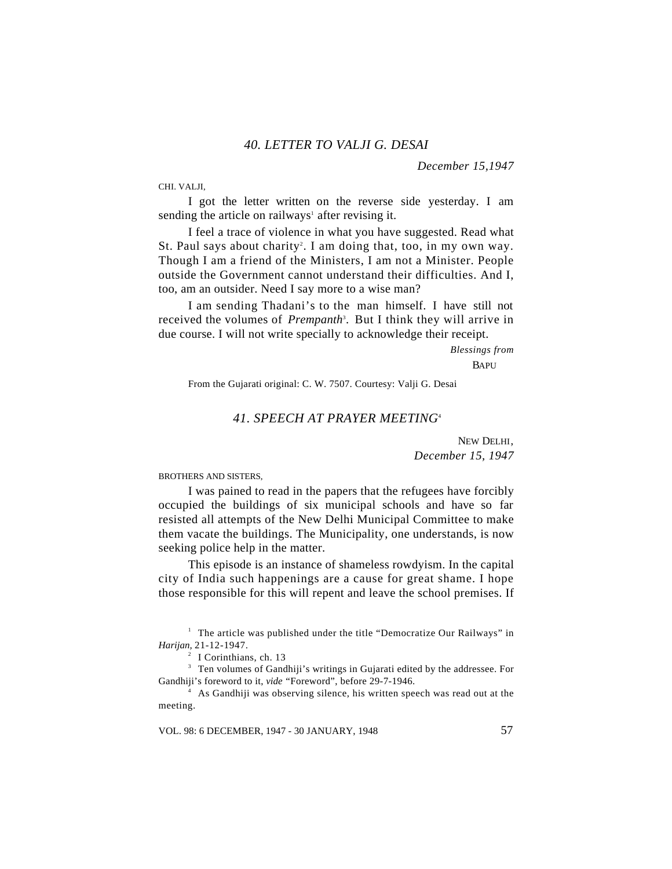*December 15,1947*

CHI. VALJI,

I got the letter written on the reverse side yesterday. I am sending the article on railways<sup>1</sup> after revising it.

I feel a trace of violence in what you have suggested. Read what St. Paul says about charity<sup>2</sup>. I am doing that, too, in my own way. Though I am a friend of the Ministers, I am not a Minister. People outside the Government cannot understand their difficulties. And I, too, am an outsider. Need I say more to a wise man?

I am sending Thadani's to the man himself. I have still not received the volumes of *Prempanth*<sup>3</sup>. But I think they will arrive in due course. I will not write specially to acknowledge their receipt.

*Blessings from*

BAPU

From the Gujarati original: C. W. 7507. Courtesy: Valji G. Desai

### *41. SPEECH AT PRAYER MEETING*<sup>4</sup>

NEW DELHI, *December 15, 1947*

BROTHERS AND SISTERS,

I was pained to read in the papers that the refugees have forcibly occupied the buildings of six municipal schools and have so far resisted all attempts of the New Delhi Municipal Committee to make them vacate the buildings. The Municipality, one understands, is now seeking police help in the matter.

This episode is an instance of shameless rowdyism. In the capital city of India such happenings are a cause for great shame. I hope those responsible for this will repent and leave the school premises. If

<sup>1</sup> The article was published under the title "Democratize Our Railways" in *Harijan,* 21-12-1947.

<sup>4</sup> As Gandhiji was observing silence, his written speech was read out at the meeting.

<sup>&</sup>lt;sup>2</sup> I Corinthians, ch. 13

<sup>&</sup>lt;sup>3</sup> Ten volumes of Gandhiji's writings in Gujarati edited by the addressee. For Gandhiji's foreword to it, *vide* "Foreword", before 29-7-1946.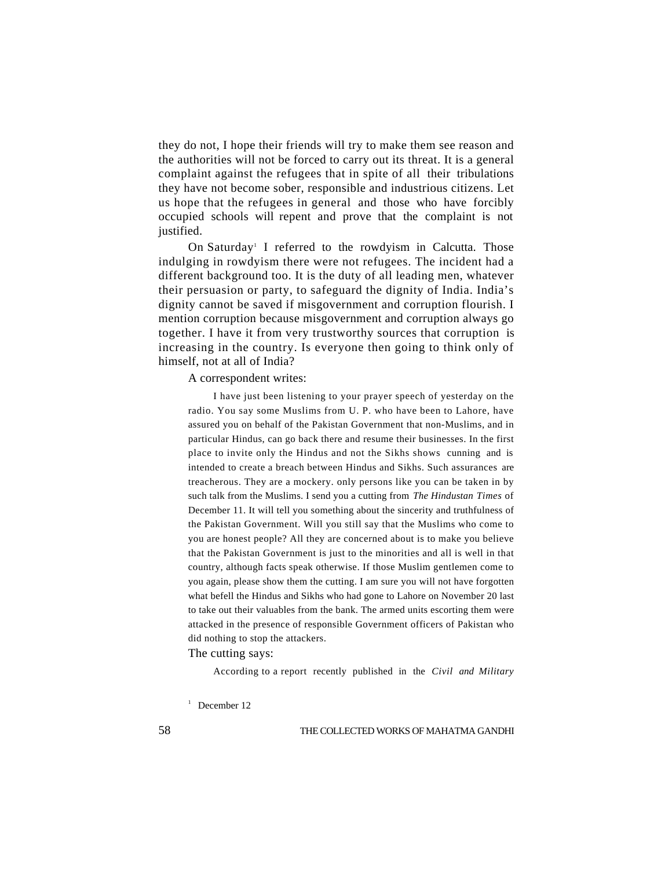they do not, I hope their friends will try to make them see reason and the authorities will not be forced to carry out its threat. It is a general complaint against the refugees that in spite of all their tribulations they have not become sober, responsible and industrious citizens. Let us hope that the refugees in general and those who have forcibly occupied schools will repent and prove that the complaint is not justified.

On Saturday<sup>1</sup> I referred to the rowdyism in Calcutta. Those indulging in rowdyism there were not refugees. The incident had a different background too. It is the duty of all leading men, whatever their persuasion or party, to safeguard the dignity of India. India's dignity cannot be saved if misgovernment and corruption flourish. I mention corruption because misgovernment and corruption always go together. I have it from very trustworthy sources that corruption is increasing in the country. Is everyone then going to think only of himself, not at all of India?

A correspondent writes:

I have just been listening to your prayer speech of yesterday on the radio. You say some Muslims from U. P. who have been to Lahore, have assured you on behalf of the Pakistan Government that non-Muslims, and in particular Hindus, can go back there and resume their businesses. In the first place to invite only the Hindus and not the Sikhs shows cunning and is intended to create a breach between Hindus and Sikhs. Such assurances are treacherous. They are a mockery. only persons like you can be taken in by such talk from the Muslims. I send you a cutting from *The Hindustan Times* of December 11. It will tell you something about the sincerity and truthfulness of the Pakistan Government. Will you still say that the Muslims who come to you are honest people? All they are concerned about is to make you believe that the Pakistan Government is just to the minorities and all is well in that country, although facts speak otherwise. If those Muslim gentlemen come to you again, please show them the cutting. I am sure you will not have forgotten what befell the Hindus and Sikhs who had gone to Lahore on November 20 last to take out their valuables from the bank. The armed units escorting them were attacked in the presence of responsible Government officers of Pakistan who did nothing to stop the attackers.

The cutting says:

According to a report recently published in the *Civil and Military*

 $<sup>1</sup>$  December 12</sup>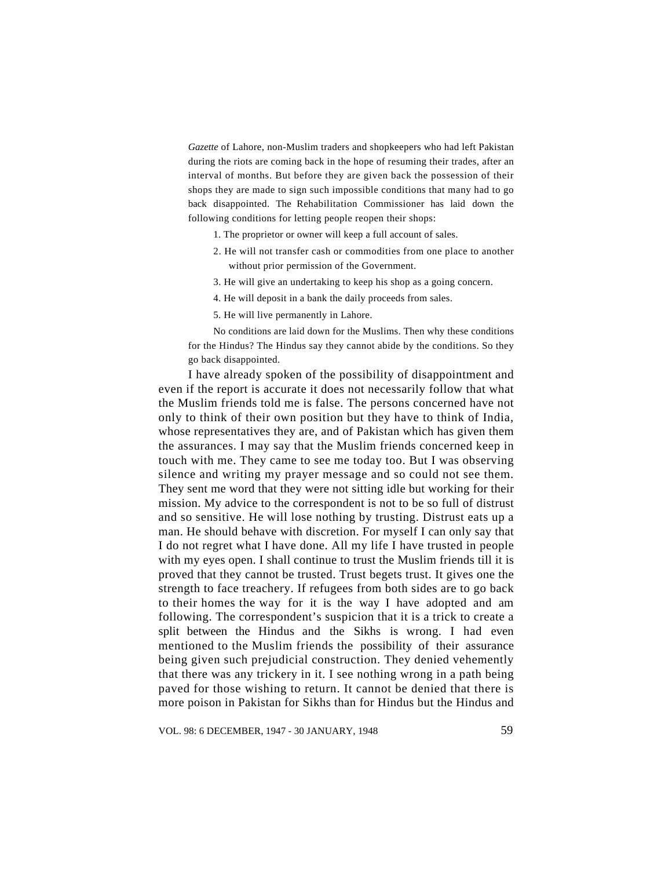*Gazette* of Lahore, non-Muslim traders and shopkeepers who had left Pakistan during the riots are coming back in the hope of resuming their trades, after an interval of months. But before they are given back the possession of their shops they are made to sign such impossible conditions that many had to go back disappointed. The Rehabilitation Commissioner has laid down the following conditions for letting people reopen their shops:

- 1. The proprietor or owner will keep a full account of sales.
- 2. He will not transfer cash or commodities from one place to another without prior permission of the Government.
- 3. He will give an undertaking to keep his shop as a going concern.
- 4. He will deposit in a bank the daily proceeds from sales.
- 5. He will live permanently in Lahore.

No conditions are laid down for the Muslims. Then why these conditions for the Hindus? The Hindus say they cannot abide by the conditions. So they go back disappointed.

I have already spoken of the possibility of disappointment and even if the report is accurate it does not necessarily follow that what the Muslim friends told me is false. The persons concerned have not only to think of their own position but they have to think of India, whose representatives they are, and of Pakistan which has given them the assurances. I may say that the Muslim friends concerned keep in touch with me. They came to see me today too. But I was observing silence and writing my prayer message and so could not see them. They sent me word that they were not sitting idle but working for their mission. My advice to the correspondent is not to be so full of distrust and so sensitive. He will lose nothing by trusting. Distrust eats up a man. He should behave with discretion. For myself I can only say that I do not regret what I have done. All my life I have trusted in people with my eyes open. I shall continue to trust the Muslim friends till it is proved that they cannot be trusted. Trust begets trust. It gives one the strength to face treachery. If refugees from both sides are to go back to their homes the way for it is the way I have adopted and am following. The correspondent's suspicion that it is a trick to create a split between the Hindus and the Sikhs is wrong. I had even mentioned to the Muslim friends the possibility of their assurance being given such prejudicial construction. They denied vehemently that there was any trickery in it. I see nothing wrong in a path being paved for those wishing to return. It cannot be denied that there is more poison in Pakistan for Sikhs than for Hindus but the Hindus and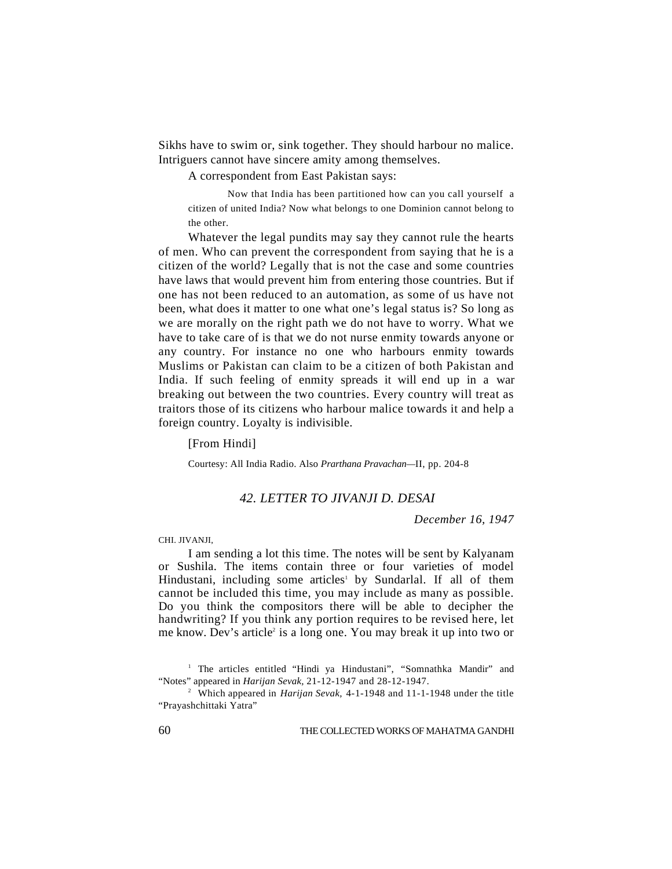Sikhs have to swim or, sink together. They should harbour no malice. Intriguers cannot have sincere amity among themselves.

A correspondent from East Pakistan says:

Now that India has been partitioned how can you call yourself a citizen of united India? Now what belongs to one Dominion cannot belong to the other.

Whatever the legal pundits may say they cannot rule the hearts of men. Who can prevent the correspondent from saying that he is a citizen of the world? Legally that is not the case and some countries have laws that would prevent him from entering those countries. But if one has not been reduced to an automation, as some of us have not been, what does it matter to one what one's legal status is? So long as we are morally on the right path we do not have to worry. What we have to take care of is that we do not nurse enmity towards anyone or any country. For instance no one who harbours enmity towards Muslims or Pakistan can claim to be a citizen of both Pakistan and India. If such feeling of enmity spreads it will end up in a war breaking out between the two countries. Every country will treat as traitors those of its citizens who harbour malice towards it and help a foreign country. Loyalty is indivisible.

### [From Hindi]

Courtesy: All India Radio. Also *Prarthana Pravachan—*II, pp. 204-8

# *42. LETTER TO JIVANJI D. DESAI*

*December 16, 1947*

CHI. JIVANJI,

I am sending a lot this time. The notes will be sent by Kalyanam or Sushila. The items contain three or four varieties of model Hindustani, including some articles<sup>1</sup> by Sundarlal. If all of them cannot be included this time, you may include as many as possible. Do you think the compositors there will be able to decipher the handwriting? If you think any portion requires to be revised here, let me know. Dev's article<sup>2</sup> is a long one. You may break it up into two or

<sup>&</sup>lt;sup>1</sup> The articles entitled "Hindi ya Hindustani", "Somnathka Mandir" and "Notes" appeared in *Harijan Sevak,* 21-12-1947 and 28-12-1947.

<sup>&</sup>lt;sup>2</sup> Which appeared in *Harijan Sevak*, 4-1-1948 and 11-1-1948 under the title "Prayashchittaki Yatra"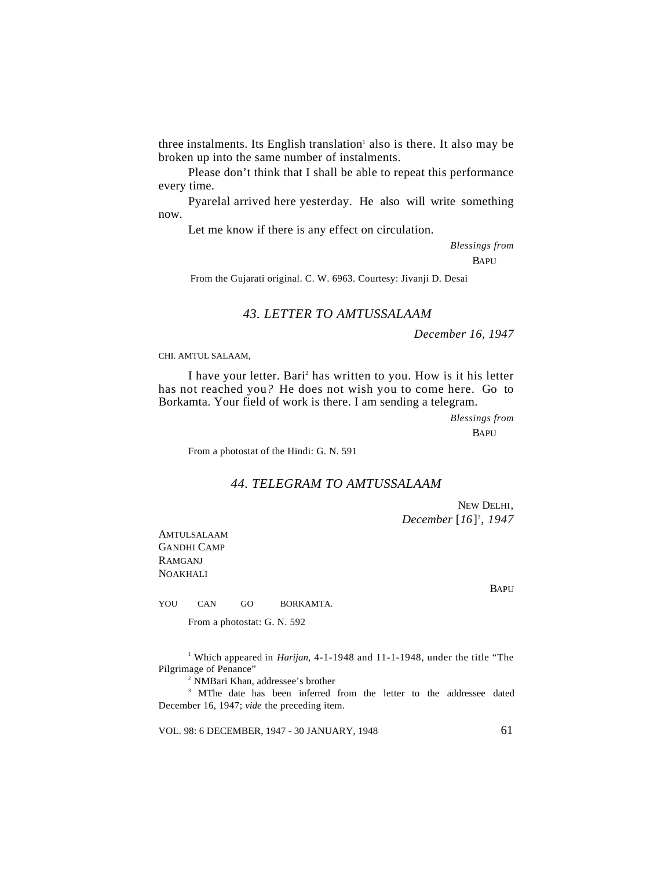three instalments. Its English translation also is there. It also may be broken up into the same number of instalments.

Please don't think that I shall be able to repeat this performance every time.

Pyarelal arrived here yesterday. He also will write something now.

Let me know if there is any effect on circulation.

*Blessings from* **BAPU** 

From the Gujarati original. C. W. 6963. Courtesy: Jivanji D. Desai

### *43. LETTER TO AMTUSSALAAM*

*December 16, 1947*

CHI. AMTUL SALAAM,

I have your letter. Bari<sup>2</sup> has written to you. How is it his letter has not reached you*?* He does not wish you to come here. Go to Borkamta. Your field of work is there. I am sending a telegram.

*Blessings from*

**BAPU** 

From a photostat of the Hindi: G. N. 591

### *44. TELEGRAM TO AMTUSSALAAM*

NEW DELHI, *December* [*16*] 3 *, 1947*

AMTULSALAAM GANDHI CAMP RAMGANJ **NOAKHALI** 

**BAPU** 

YOU CAN GO BORKAMTA

From a photostat: G. N. 592

<sup>1</sup> Which appeared in *Harijan*, 4-1-1948 and 11-1-1948, under the title "The Pilgrimage of Penance"

2 NMBari Khan, addressee's brother

<sup>3</sup> MThe date has been inferred from the letter to the addressee dated December 16, 1947; *vide* the preceding item.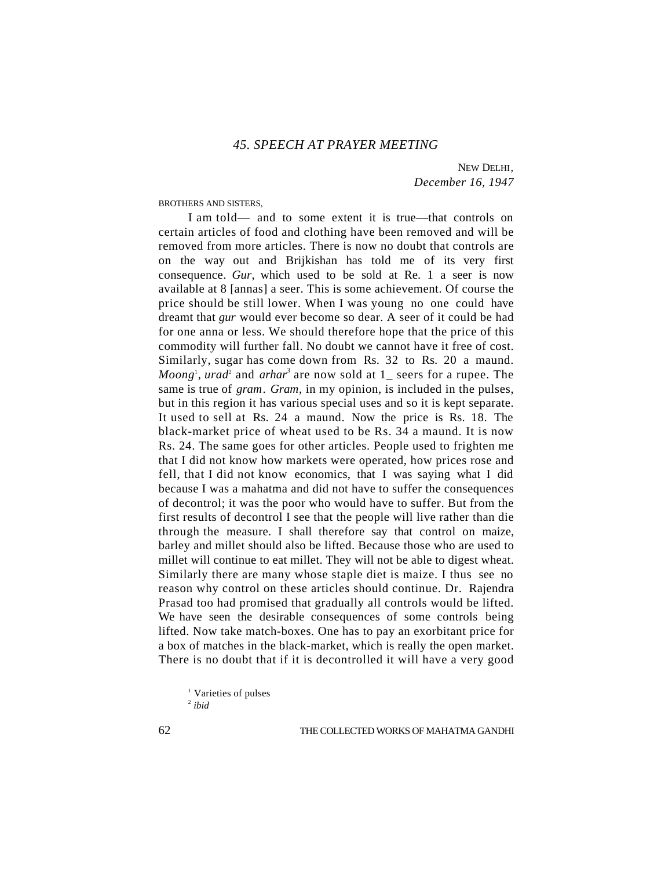# *45. SPEECH AT PRAYER MEETING*

NEW DELHI. *December 16, 1947*

BROTHERS AND SISTERS,

I am told— and to some extent it is true—that controls on certain articles of food and clothing have been removed and will be removed from more articles. There is now no doubt that controls are on the way out and Brijkishan has told me of its very first consequence. *Gur*, which used to be sold at Re. 1 a seer is now available at 8 [annas] a seer. This is some achievement. Of course the price should be still lower. When I was young no one could have dreamt that *gur* would ever become so dear. A seer of it could be had for one anna or less. We should therefore hope that the price of this commodity will further fall. No doubt we cannot have it free of cost. Similarly, sugar has come down from Rs. 32 to Rs. 20 a maund. *Moong*<sup>1</sup>, *urad*<sup>2</sup> and *arhar*<sup>3</sup> are now sold at 1\_ seers for a rupee. The same is true of *gram*. *Gram*, in my opinion, is included in the pulses, but in this region it has various special uses and so it is kept separate. It used to sell at Rs. 24 a maund. Now the price is Rs. 18. The black-market price of wheat used to be Rs. 34 a maund. It is now Rs. 24. The same goes for other articles. People used to frighten me that I did not know how markets were operated, how prices rose and fell, that I did not know economics, that I was saying what I did because I was a mahatma and did not have to suffer the consequences of decontrol; it was the poor who would have to suffer. But from the first results of decontrol I see that the people will live rather than die through the measure. I shall therefore say that control on maize, barley and millet should also be lifted. Because those who are used to millet will continue to eat millet. They will not be able to digest wheat. Similarly there are many whose staple diet is maize. I thus see no reason why control on these articles should continue. Dr. Rajendra Prasad too had promised that gradually all controls would be lifted. We have seen the desirable consequences of some controls being lifted. Now take match-boxes. One has to pay an exorbitant price for a box of matches in the black-market, which is really the open market. There is no doubt that if it is decontrolled it will have a very good

<sup>&</sup>lt;sup>1</sup> Varieties of pulses

<sup>2</sup> *ibid*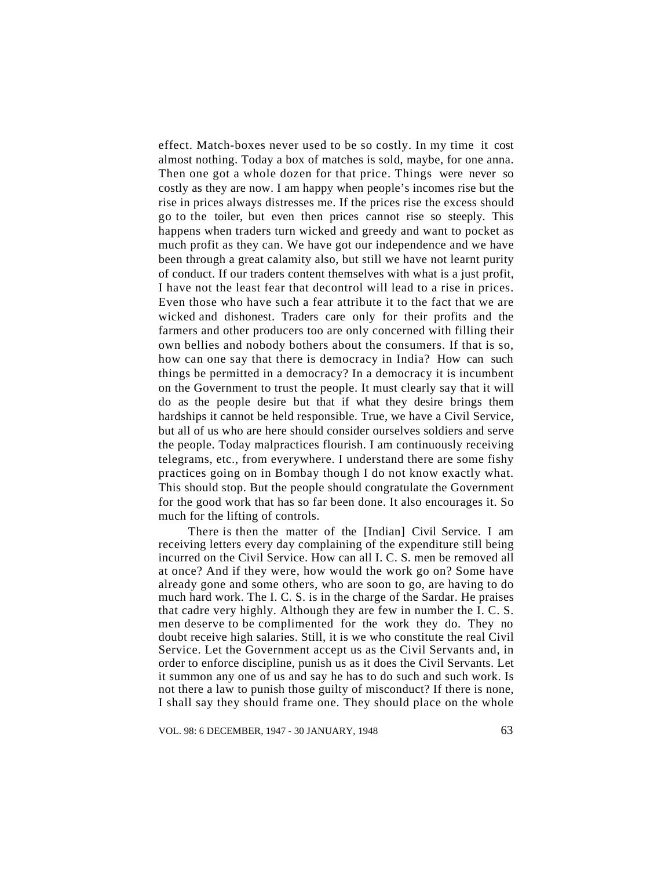effect. Match-boxes never used to be so costly. In my time it cost almost nothing. Today a box of matches is sold, maybe, for one anna. Then one got a whole dozen for that price. Things were never so costly as they are now. I am happy when people's incomes rise but the rise in prices always distresses me. If the prices rise the excess should go to the toiler, but even then prices cannot rise so steeply. This happens when traders turn wicked and greedy and want to pocket as much profit as they can. We have got our independence and we have been through a great calamity also, but still we have not learnt purity of conduct. If our traders content themselves with what is a just profit, I have not the least fear that decontrol will lead to a rise in prices. Even those who have such a fear attribute it to the fact that we are wicked and dishonest. Traders care only for their profits and the farmers and other producers too are only concerned with filling their own bellies and nobody bothers about the consumers. If that is so, how can one say that there is democracy in India? How can such things be permitted in a democracy? In a democracy it is incumbent on the Government to trust the people. It must clearly say that it will do as the people desire but that if what they desire brings them hardships it cannot be held responsible. True, we have a Civil Service, but all of us who are here should consider ourselves soldiers and serve the people. Today malpractices flourish. I am continuously receiving telegrams, etc., from everywhere. I understand there are some fishy practices going on in Bombay though I do not know exactly what. This should stop. But the people should congratulate the Government for the good work that has so far been done. It also encourages it. So much for the lifting of controls.

There is then the matter of the [Indian] Civil Service. I am receiving letters every day complaining of the expenditure still being incurred on the Civil Service. How can all I. C. S. men be removed all at once? And if they were, how would the work go on? Some have already gone and some others, who are soon to go, are having to do much hard work. The I. C. S. is in the charge of the Sardar. He praises that cadre very highly. Although they are few in number the I. C. S. men deserve to be complimented for the work they do. They no doubt receive high salaries. Still, it is we who constitute the real Civil Service. Let the Government accept us as the Civil Servants and, in order to enforce discipline, punish us as it does the Civil Servants. Let it summon any one of us and say he has to do such and such work. Is not there a law to punish those guilty of misconduct? If there is none, I shall say they should frame one. They should place on the whole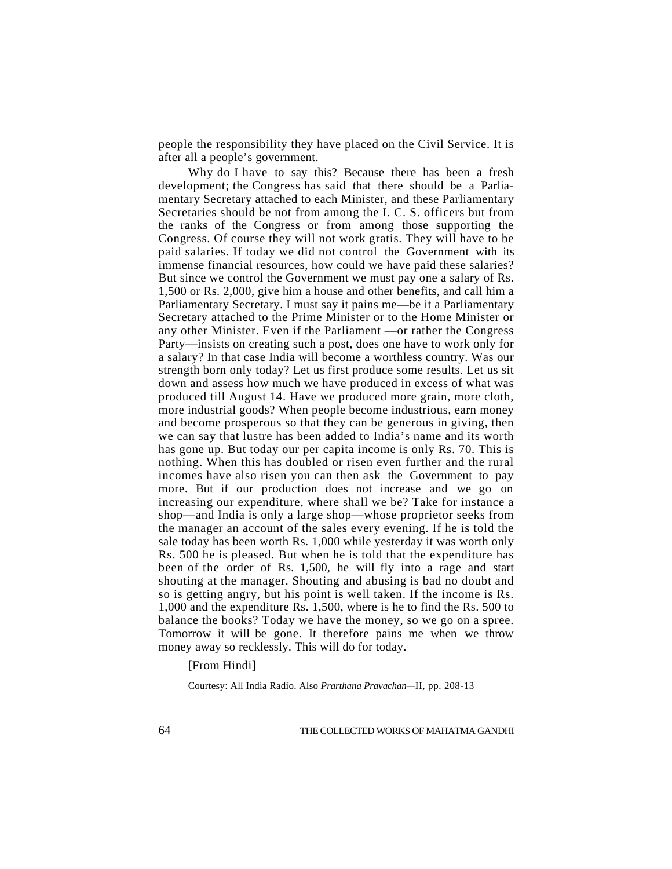people the responsibility they have placed on the Civil Service. It is after all a people's government.

Why do I have to say this? Because there has been a fresh development; the Congress has said that there should be a Parliamentary Secretary attached to each Minister, and these Parliamentary Secretaries should be not from among the I. C. S. officers but from the ranks of the Congress or from among those supporting the Congress. Of course they will not work gratis. They will have to be paid salaries. If today we did not control the Government with its immense financial resources, how could we have paid these salaries? But since we control the Government we must pay one a salary of Rs. 1,500 or Rs. 2,000, give him a house and other benefits, and call him a Parliamentary Secretary. I must say it pains me—be it a Parliamentary Secretary attached to the Prime Minister or to the Home Minister or any other Minister. Even if the Parliament —or rather the Congress Party—insists on creating such a post, does one have to work only for a salary? In that case India will become a worthless country. Was our strength born only today? Let us first produce some results. Let us sit down and assess how much we have produced in excess of what was produced till August 14. Have we produced more grain, more cloth, more industrial goods? When people become industrious, earn money and become prosperous so that they can be generous in giving, then we can say that lustre has been added to India's name and its worth has gone up. But today our per capita income is only Rs. 70. This is nothing. When this has doubled or risen even further and the rural incomes have also risen you can then ask the Government to pay more. But if our production does not increase and we go on increasing our expenditure, where shall we be? Take for instance a shop—and India is only a large shop—whose proprietor seeks from the manager an account of the sales every evening. If he is told the sale today has been worth Rs. 1,000 while yesterday it was worth only Rs. 500 he is pleased. But when he is told that the expenditure has been of the order of Rs. 1,500, he will fly into a rage and start shouting at the manager. Shouting and abusing is bad no doubt and so is getting angry, but his point is well taken. If the income is Rs. 1,000 and the expenditure Rs. 1,500, where is he to find the Rs. 500 to balance the books? Today we have the money, so we go on a spree. Tomorrow it will be gone. It therefore pains me when we throw money away so recklessly. This will do for today.

[From Hindi]

Courtesy: All India Radio. Also *Prarthana Pravachan—*II, pp. 208-13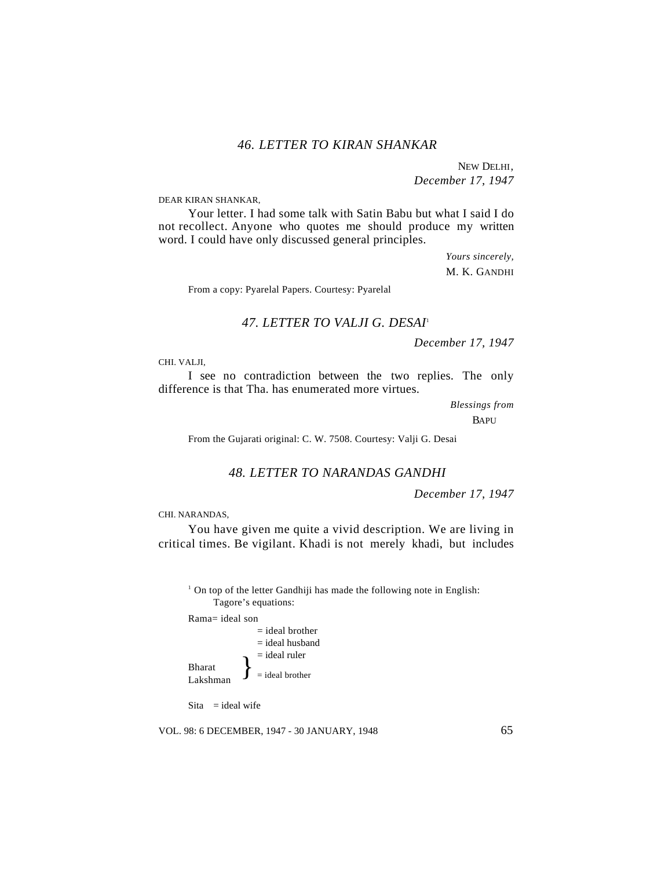## *46. LETTER TO KIRAN SHANKAR*

NEW DELHI, *December 17, 1947*

DEAR KIRAN SHANKAR,

Your letter. I had some talk with Satin Babu but what I said I do not recollect. Anyone who quotes me should produce my written word. I could have only discussed general principles.

> *Yours sincerely,* M. K. GANDHI

From a copy: Pyarelal Papers. Courtesy: Pyarelal

### *47. LETTER TO VALJI G. DESAI*<sup>1</sup>

*December 17, 1947*

CHI. VALJI,

I see no contradiction between the two replies. The only difference is that Tha. has enumerated more virtues.

> *Blessings from* BAPU

From the Gujarati original: C. W. 7508. Courtesy: Valji G. Desai

### *48. LETTER TO NARANDAS GANDHI*

*December 17, 1947*

CHI. NARANDAS,

You have given me quite a vivid description. We are living in critical times. Be vigilant. Khadi is not merely khadi, but includes

<sup>1</sup> On top of the letter Gandhiji has made the following note in English: Tagore's equations:

Rama= ideal son

 $=$  ideal brother  $=$  ideal husband  $=$  ideal ruler Bharat Lakshman  $\int$  = ideal brother }

 $\text{S}$ ita = ideal wife

VOL. 98: 6 DECEMBER, 1947 - 30 JANUARY, 1948 65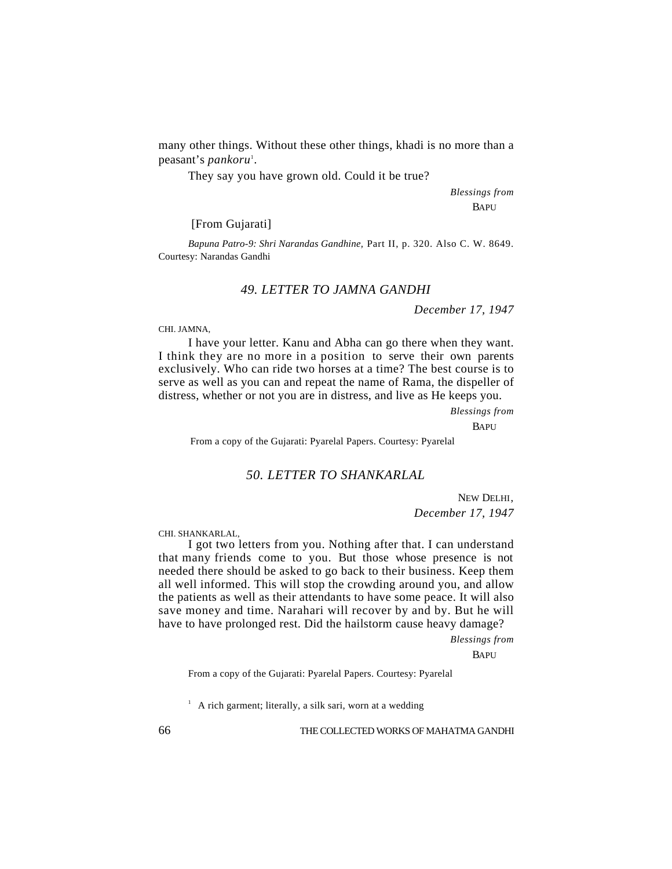many other things. Without these other things, khadi is no more than a peasant's *pankoru*<sup>1</sup>.

They say you have grown old. Could it be true?

*Blessings from* **BAPU** 

[From Gujarati]

*Bapuna Patro-9: Shri Narandas Gandhine,* Part II, p. 320. Also C. W. 8649. Courtesy: Narandas Gandhi

### *49. LETTER TO JAMNA GANDHI*

 *December 17, 1947*

CHI. JAMNA,

I have your letter. Kanu and Abha can go there when they want. I think they are no more in a position to serve their own parents exclusively. Who can ride two horses at a time? The best course is to serve as well as you can and repeat the name of Rama, the dispeller of distress, whether or not you are in distress, and live as He keeps you.

*Blessings from*

**BAPU** 

From a copy of the Gujarati: Pyarelal Papers. Courtesy: Pyarelal

### *50. LETTER TO SHANKARLAL*

NEW DELHI, *December 17, 1947*

CHI. SHANKARLAL,

I got two letters from you. Nothing after that. I can understand that many friends come to you. But those whose presence is not needed there should be asked to go back to their business. Keep them all well informed. This will stop the crowding around you, and allow the patients as well as their attendants to have some peace. It will also save money and time. Narahari will recover by and by. But he will have to have prolonged rest. Did the hailstorm cause heavy damage?

*Blessings from*

**BAPU** 

From a copy of the Gujarati: Pyarelal Papers. Courtesy: Pyarelal

 $<sup>1</sup>$  A rich garment; literally, a silk sari, worn at a wedding</sup>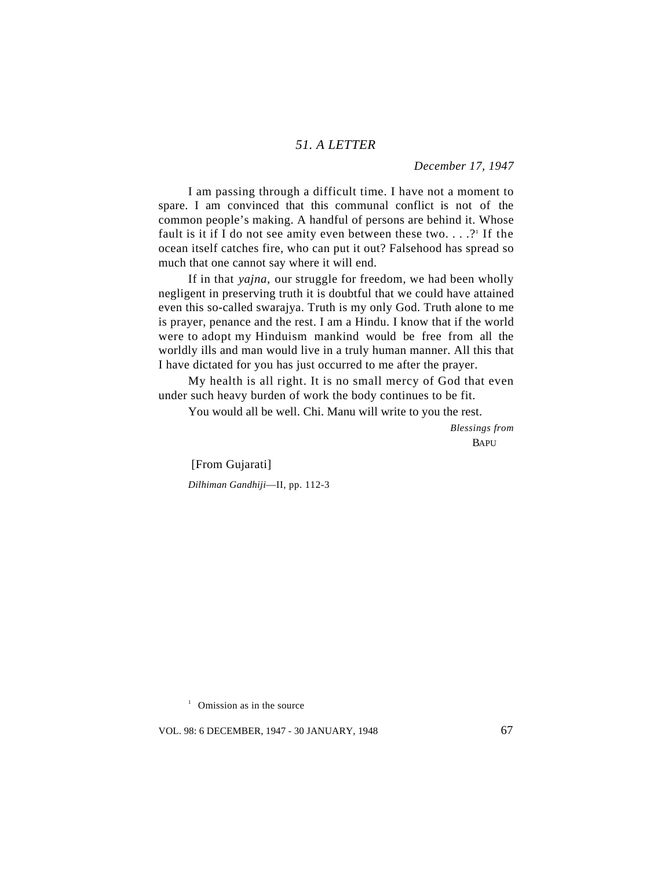# *51. A LETTER*

*December 17, 1947*

I am passing through a difficult time. I have not a moment to spare. I am convinced that this communal conflict is not of the common people's making. A handful of persons are behind it. Whose fault is it if I do not see amity even between these two.  $\ldots$  .? If the ocean itself catches fire, who can put it out? Falsehood has spread so much that one cannot say where it will end.

If in that *yajna,* our struggle for freedom, we had been wholly negligent in preserving truth it is doubtful that we could have attained even this so-called swarajya. Truth is my only God. Truth alone to me is prayer, penance and the rest. I am a Hindu. I know that if the world were to adopt my Hinduism mankind would be free from all the worldly ills and man would live in a truly human manner. All this that I have dictated for you has just occurred to me after the prayer.

My health is all right. It is no small mercy of God that even under such heavy burden of work the body continues to be fit.

You would all be well. Chi. Manu will write to you the rest.

*Blessings from* BAPU

[From Gujarati]

*Dilhiman Gandhiji*—II, pp. 112-3

 $1$  Omission as in the source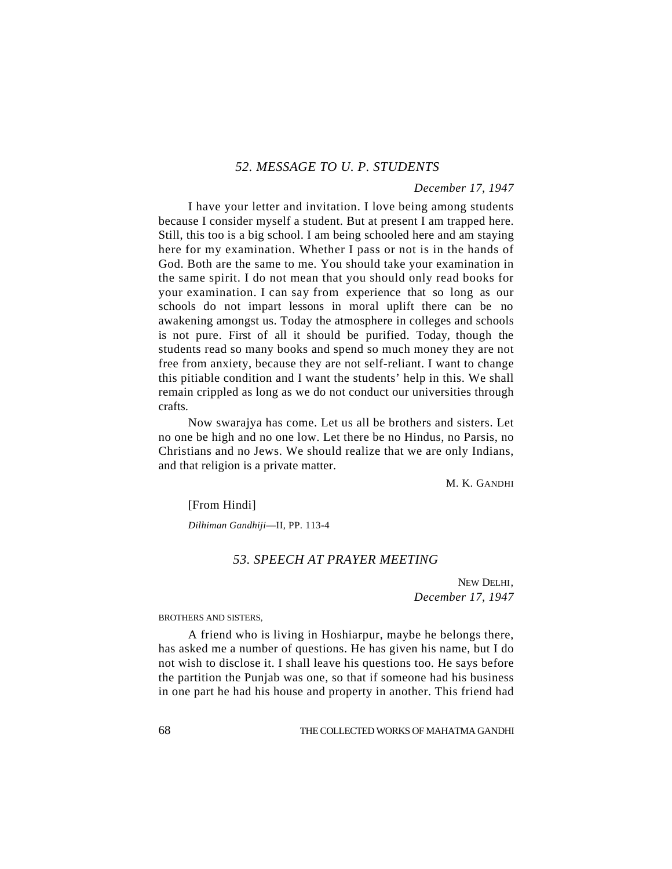# *52. MESSAGE TO U. P. STUDENTS*

### *December 17, 1947*

I have your letter and invitation. I love being among students because I consider myself a student. But at present I am trapped here. Still, this too is a big school. I am being schooled here and am staying here for my examination. Whether I pass or not is in the hands of God. Both are the same to me. You should take your examination in the same spirit. I do not mean that you should only read books for your examination. I can say from experience that so long as our schools do not impart lessons in moral uplift there can be no awakening amongst us. Today the atmosphere in colleges and schools is not pure. First of all it should be purified. Today, though the students read so many books and spend so much money they are not free from anxiety, because they are not self-reliant. I want to change this pitiable condition and I want the students' help in this. We shall remain crippled as long as we do not conduct our universities through crafts.

Now swarajya has come. Let us all be brothers and sisters. Let no one be high and no one low. Let there be no Hindus, no Parsis, no Christians and no Jews. We should realize that we are only Indians, and that religion is a private matter.

M. K. GANDHI

[From Hindi]

*Dilhiman Gandhiji*—II, PP. 113-4

### *53. SPEECH AT PRAYER MEETING*

NEW DELHI, *December 17, 1947*

BROTHERS AND SISTERS,

A friend who is living in Hoshiarpur, maybe he belongs there, has asked me a number of questions. He has given his name, but I do not wish to disclose it. I shall leave his questions too. He says before the partition the Punjab was one, so that if someone had his business in one part he had his house and property in another. This friend had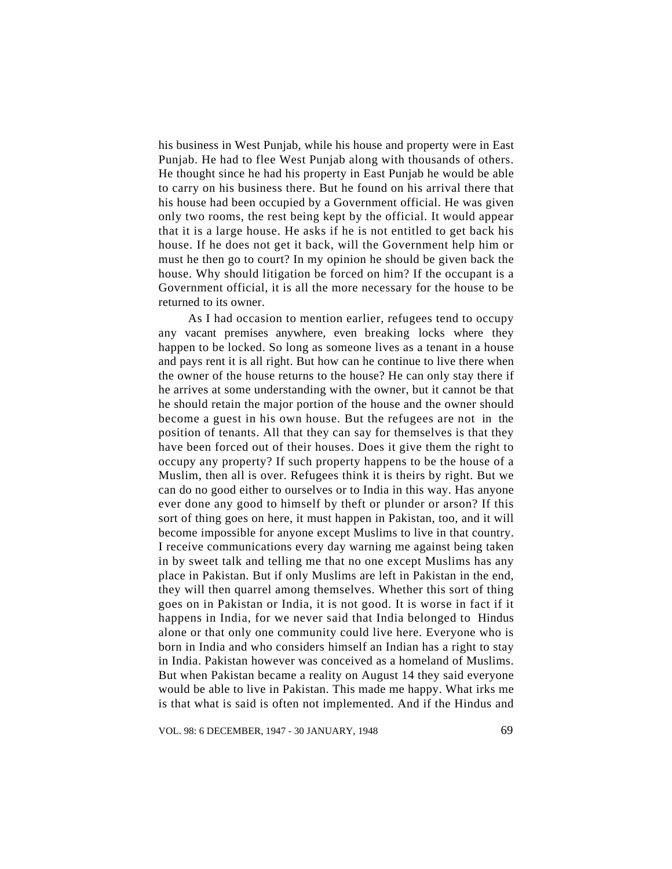his business in West Punjab, while his house and property were in East Punjab. He had to flee West Punjab along with thousands of others. He thought since he had his property in East Punjab he would be able to carry on his business there. But he found on his arrival there that his house had been occupied by a Government official. He was given only two rooms, the rest being kept by the official. It would appear that it is a large house. He asks if he is not entitled to get back his house. If he does not get it back, will the Government help him or must he then go to court? In my opinion he should be given back the house. Why should litigation be forced on him? If the occupant is a Government official, it is all the more necessary for the house to be returned to its owner.

As I had occasion to mention earlier, refugees tend to occupy any vacant premises anywhere, even breaking locks where they happen to be locked. So long as someone lives as a tenant in a house and pays rent it is all right. But how can he continue to live there when the owner of the house returns to the house? He can only stay there if he arrives at some understanding with the owner, but it cannot be that he should retain the major portion of the house and the owner should become a guest in his own house. But the refugees are not in the position of tenants. All that they can say for themselves is that they have been forced out of their houses. Does it give them the right to occupy any property? If such property happens to be the house of a Muslim, then all is over. Refugees think it is theirs by right. But we can do no good either to ourselves or to India in this way. Has anyone ever done any good to himself by theft or plunder or arson? If this sort of thing goes on here, it must happen in Pakistan, too, and it will become impossible for anyone except Muslims to live in that country. I receive communications every day warning me against being taken in by sweet talk and telling me that no one except Muslims has any place in Pakistan. But if only Muslims are left in Pakistan in the end, they will then quarrel among themselves. Whether this sort of thing goes on in Pakistan or India, it is not good. It is worse in fact if it happens in India, for we never said that India belonged to Hindus alone or that only one community could live here. Everyone who is born in India and who considers himself an Indian has a right to stay in India. Pakistan however was conceived as a homeland of Muslims. But when Pakistan became a reality on August 14 they said everyone would be able to live in Pakistan. This made me happy. What irks me is that what is said is often not implemented. And if the Hindus and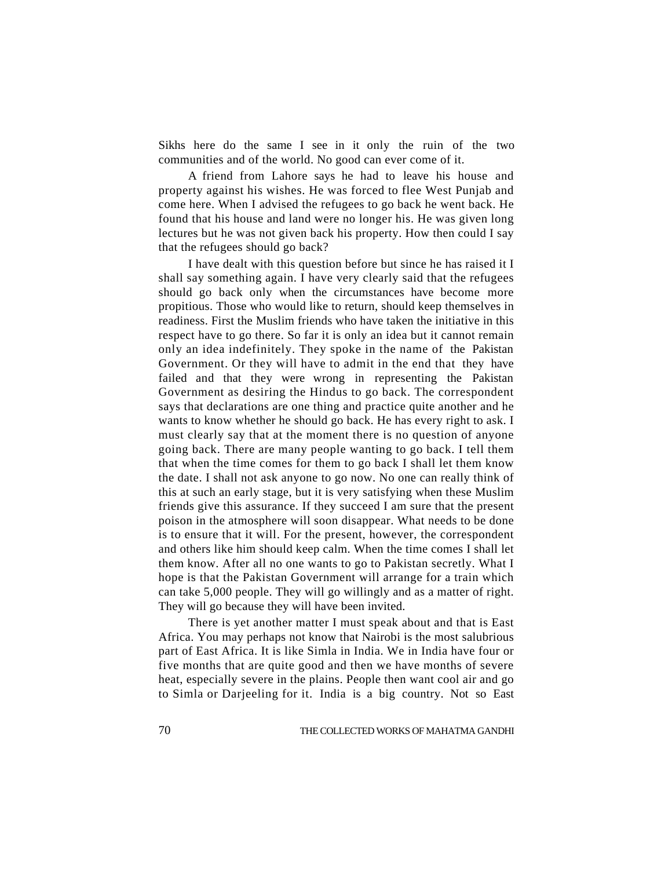Sikhs here do the same I see in it only the ruin of the two communities and of the world. No good can ever come of it.

A friend from Lahore says he had to leave his house and property against his wishes. He was forced to flee West Punjab and come here. When I advised the refugees to go back he went back. He found that his house and land were no longer his. He was given long lectures but he was not given back his property. How then could I say that the refugees should go back?

I have dealt with this question before but since he has raised it I shall say something again. I have very clearly said that the refugees should go back only when the circumstances have become more propitious. Those who would like to return, should keep themselves in readiness. First the Muslim friends who have taken the initiative in this respect have to go there. So far it is only an idea but it cannot remain only an idea indefinitely. They spoke in the name of the Pakistan Government. Or they will have to admit in the end that they have failed and that they were wrong in representing the Pakistan Government as desiring the Hindus to go back. The correspondent says that declarations are one thing and practice quite another and he wants to know whether he should go back. He has every right to ask. I must clearly say that at the moment there is no question of anyone going back. There are many people wanting to go back. I tell them that when the time comes for them to go back I shall let them know the date. I shall not ask anyone to go now. No one can really think of this at such an early stage, but it is very satisfying when these Muslim friends give this assurance. If they succeed I am sure that the present poison in the atmosphere will soon disappear. What needs to be done is to ensure that it will. For the present, however, the correspondent and others like him should keep calm. When the time comes I shall let them know. After all no one wants to go to Pakistan secretly. What I hope is that the Pakistan Government will arrange for a train which can take 5,000 people. They will go willingly and as a matter of right. They will go because they will have been invited.

There is yet another matter I must speak about and that is East Africa. You may perhaps not know that Nairobi is the most salubrious part of East Africa. It is like Simla in India. We in India have four or five months that are quite good and then we have months of severe heat, especially severe in the plains. People then want cool air and go to Simla or Darjeeling for it. India is a big country. Not so East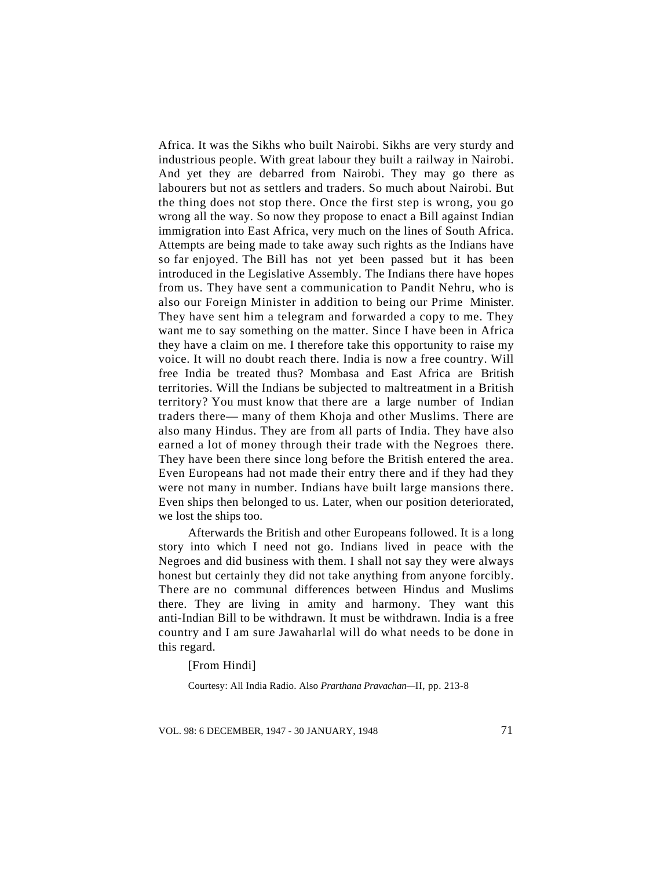Africa. It was the Sikhs who built Nairobi. Sikhs are very sturdy and industrious people. With great labour they built a railway in Nairobi. And yet they are debarred from Nairobi. They may go there as labourers but not as settlers and traders. So much about Nairobi. But the thing does not stop there. Once the first step is wrong, you go wrong all the way. So now they propose to enact a Bill against Indian immigration into East Africa, very much on the lines of South Africa. Attempts are being made to take away such rights as the Indians have so far enjoyed. The Bill has not yet been passed but it has been introduced in the Legislative Assembly. The Indians there have hopes from us. They have sent a communication to Pandit Nehru, who is also our Foreign Minister in addition to being our Prime Minister. They have sent him a telegram and forwarded a copy to me. They want me to say something on the matter. Since I have been in Africa they have a claim on me. I therefore take this opportunity to raise my voice. It will no doubt reach there. India is now a free country. Will free India be treated thus? Mombasa and East Africa are British territories. Will the Indians be subjected to maltreatment in a British territory? You must know that there are a large number of Indian traders there— many of them Khoja and other Muslims. There are also many Hindus. They are from all parts of India. They have also earned a lot of money through their trade with the Negroes there. They have been there since long before the British entered the area. Even Europeans had not made their entry there and if they had they were not many in number. Indians have built large mansions there. Even ships then belonged to us. Later, when our position deteriorated, we lost the ships too.

Afterwards the British and other Europeans followed. It is a long story into which I need not go. Indians lived in peace with the Negroes and did business with them. I shall not say they were always honest but certainly they did not take anything from anyone forcibly. There are no communal differences between Hindus and Muslims there. They are living in amity and harmony. They want this anti-Indian Bill to be withdrawn. It must be withdrawn. India is a free country and I am sure Jawaharlal will do what needs to be done in this regard.

[From Hindi]

Courtesy: All India Radio. Also *Prarthana Pravachan—*II, pp. 213-8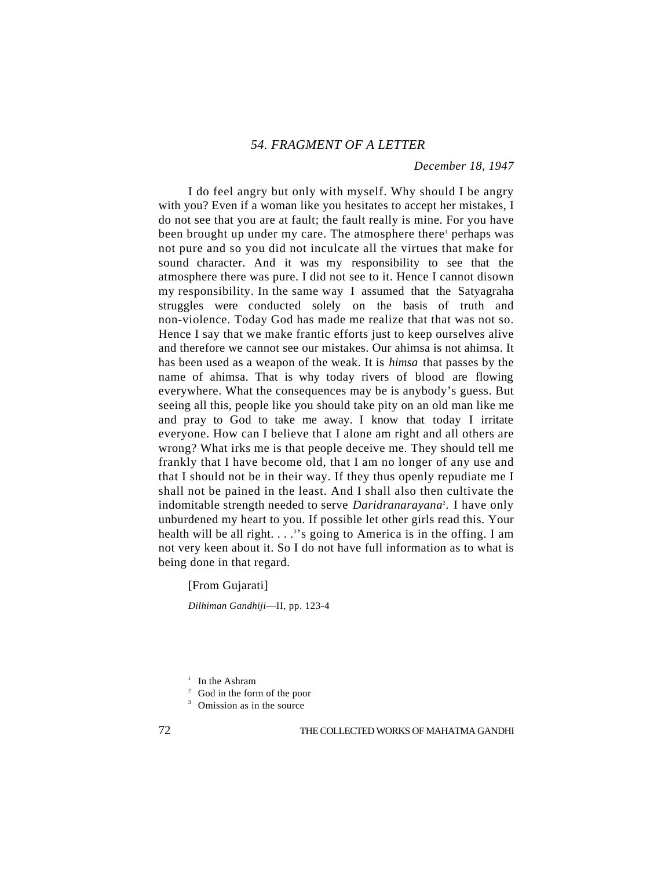# *54. FRAGMENT OF A LETTER*

#### *December 18, 1947*

I do feel angry but only with myself. Why should I be angry with you? Even if a woman like you hesitates to accept her mistakes, I do not see that you are at fault; the fault really is mine. For you have been brought up under my care. The atmosphere there<sup>1</sup> perhaps was not pure and so you did not inculcate all the virtues that make for sound character. And it was my responsibility to see that the atmosphere there was pure. I did not see to it. Hence I cannot disown my responsibility. In the same way I assumed that the Satyagraha struggles were conducted solely on the basis of truth and non-violence. Today God has made me realize that that was not so. Hence I say that we make frantic efforts just to keep ourselves alive and therefore we cannot see our mistakes. Our ahimsa is not ahimsa. It has been used as a weapon of the weak. It is *himsa* that passes by the name of ahimsa. That is why today rivers of blood are flowing everywhere. What the consequences may be is anybody's guess. But seeing all this, people like you should take pity on an old man like me and pray to God to take me away. I know that today I irritate everyone. How can I believe that I alone am right and all others are wrong? What irks me is that people deceive me. They should tell me frankly that I have become old, that I am no longer of any use and that I should not be in their way. If they thus openly repudiate me I shall not be pained in the least. And I shall also then cultivate the indomitable strength needed to serve *Daridranarayana*<sup>2</sup> *.* I have only unburdened my heart to you. If possible let other girls read this. Your health will be all right. . . .<sup>3</sup>'s going to America is in the offing. I am not very keen about it. So I do not have full information as to what is being done in that regard.

[From Gujarati]

*Dilhiman Gandhiji*—II, pp. 123-4

- 1 In the Ashram
- God in the form of the poor
- $3$  Omission as in the source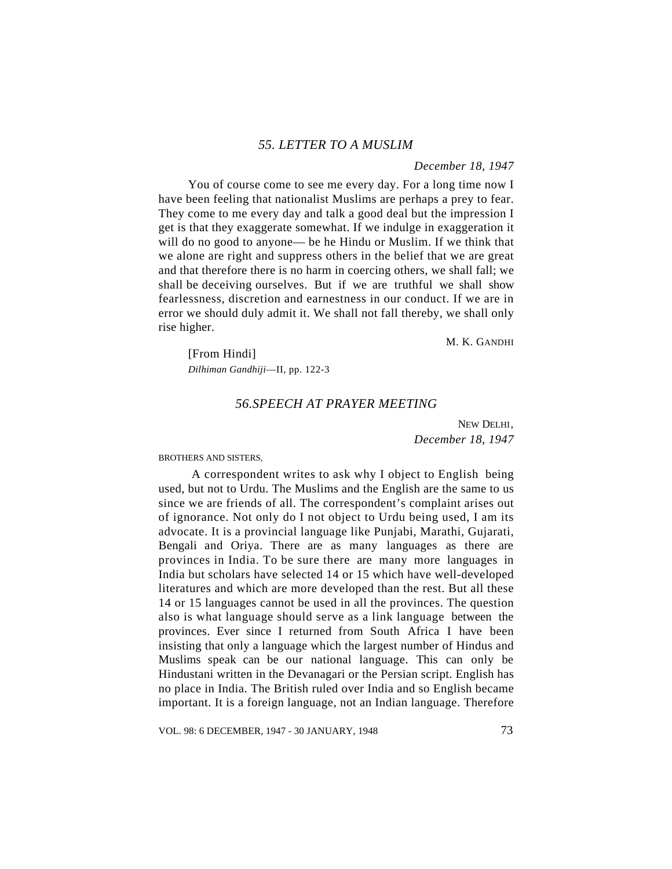*December 18, 1947*

You of course come to see me every day. For a long time now I have been feeling that nationalist Muslims are perhaps a prey to fear. They come to me every day and talk a good deal but the impression I get is that they exaggerate somewhat. If we indulge in exaggeration it will do no good to anyone— be he Hindu or Muslim. If we think that we alone are right and suppress others in the belief that we are great and that therefore there is no harm in coercing others, we shall fall; we shall be deceiving ourselves. But if we are truthful we shall show fearlessness, discretion and earnestness in our conduct. If we are in error we should duly admit it. We shall not fall thereby, we shall only rise higher.

M. K. GANDHI

[From Hindi] *Dilhiman Gandhiji*—II, pp. 122-3

# *56.SPEECH AT PRAYER MEETING*

NEW DELHI, *December 18, 1947*

BROTHERS AND SISTERS,

 A correspondent writes to ask why I object to English being used, but not to Urdu. The Muslims and the English are the same to us since we are friends of all. The correspondent's complaint arises out of ignorance. Not only do I not object to Urdu being used, I am its advocate. It is a provincial language like Punjabi, Marathi, Gujarati, Bengali and Oriya. There are as many languages as there are provinces in India. To be sure there are many more languages in India but scholars have selected 14 or 15 which have well-developed literatures and which are more developed than the rest. But all these 14 or 15 languages cannot be used in all the provinces. The question also is what language should serve as a link language between the provinces. Ever since I returned from South Africa I have been insisting that only a language which the largest number of Hindus and Muslims speak can be our national language. This can only be Hindustani written in the Devanagari or the Persian script. English has no place in India. The British ruled over India and so English became important. It is a foreign language, not an Indian language. Therefore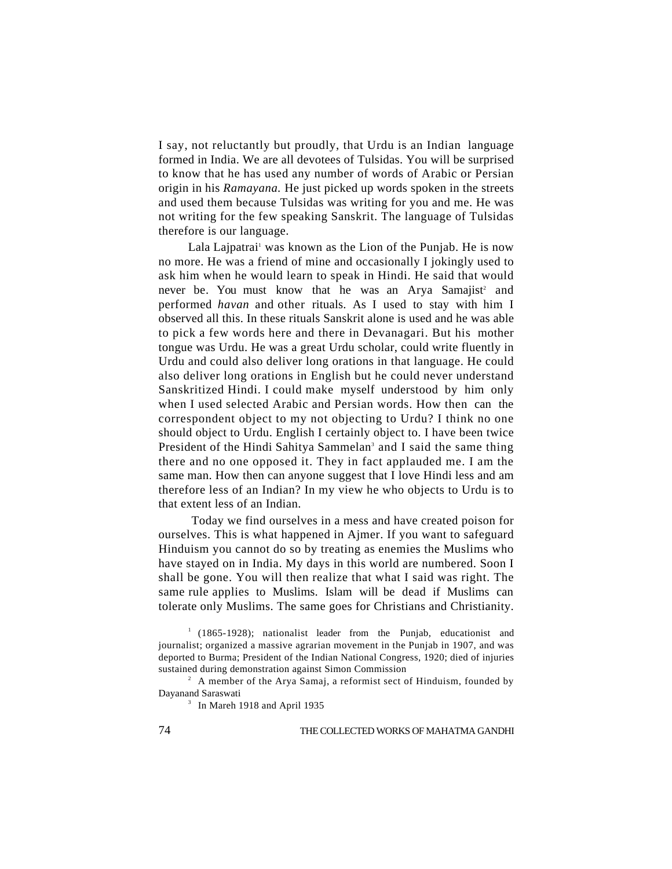I say, not reluctantly but proudly, that Urdu is an Indian language formed in India. We are all devotees of Tulsidas. You will be surprised to know that he has used any number of words of Arabic or Persian origin in his *Ramayana.* He just picked up words spoken in the streets and used them because Tulsidas was writing for you and me. He was not writing for the few speaking Sanskrit. The language of Tulsidas therefore is our language.

Lala Lajpatrai<sup>1</sup> was known as the Lion of the Punjab. He is now no more. He was a friend of mine and occasionally I jokingly used to ask him when he would learn to speak in Hindi. He said that would never be. You must know that he was an Arya Samajist<sup>2</sup> and performed *havan* and other rituals. As I used to stay with him I observed all this. In these rituals Sanskrit alone is used and he was able to pick a few words here and there in Devanagari. But his mother tongue was Urdu. He was a great Urdu scholar, could write fluently in Urdu and could also deliver long orations in that language. He could also deliver long orations in English but he could never understand Sanskritized Hindi. I could make myself understood by him only when I used selected Arabic and Persian words. How then can the correspondent object to my not objecting to Urdu? I think no one should object to Urdu. English I certainly object to. I have been twice President of the Hindi Sahitya Sammelan<sup>3</sup> and I said the same thing there and no one opposed it. They in fact applauded me. I am the same man. How then can anyone suggest that I love Hindi less and am therefore less of an Indian? In my view he who objects to Urdu is to that extent less of an Indian.

 Today we find ourselves in a mess and have created poison for ourselves. This is what happened in Ajmer. If you want to safeguard Hinduism you cannot do so by treating as enemies the Muslims who have stayed on in India. My days in this world are numbered. Soon I shall be gone. You will then realize that what I said was right. The same rule applies to Muslims. Islam will be dead if Muslims can tolerate only Muslims. The same goes for Christians and Christianity.

 $1$  (1865-1928); nationalist leader from the Punjab, educationist and journalist; organized a massive agrarian movement in the Punjab in 1907, and was deported to Burma; President of the Indian National Congress, 1920; died of injuries sustained during demonstration against Simon Commission

 $2$  A member of the Arya Samaj, a reformist sect of Hinduism, founded by Dayanand Saraswati

<sup>&</sup>lt;sup>3</sup> In Mareh 1918 and April 1935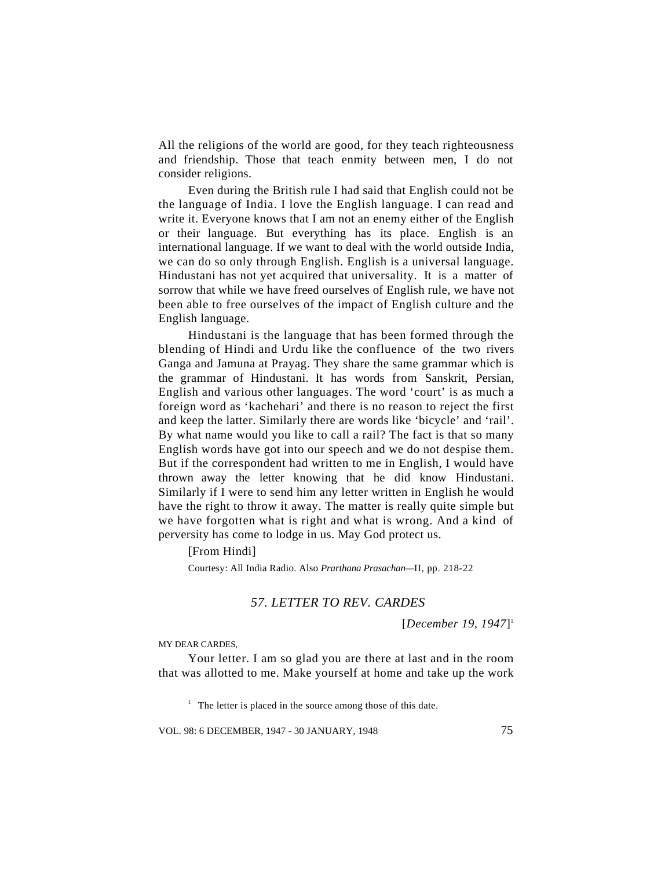All the religions of the world are good, for they teach righteousness and friendship. Those that teach enmity between men, I do not consider religions.

Even during the British rule I had said that English could not be the language of India. I love the English language. I can read and write it. Everyone knows that I am not an enemy either of the English or their language. But everything has its place. English is an international language. If we want to deal with the world outside India, we can do so only through English. English is a universal language. Hindustani has not yet acquired that universality. It is a matter of sorrow that while we have freed ourselves of English rule, we have not been able to free ourselves of the impact of English culture and the English language.

Hindustani is the language that has been formed through the blending of Hindi and Urdu like the confluence of the two rivers Ganga and Jamuna at Prayag. They share the same grammar which is the grammar of Hindustani. It has words from Sanskrit, Persian, English and various other languages. The word 'court' is as much a foreign word as 'kachehari' and there is no reason to reject the first and keep the latter. Similarly there are words like 'bicycle' and 'rail'. By what name would you like to call a rail? The fact is that so many English words have got into our speech and we do not despise them. But if the correspondent had written to me in English, I would have thrown away the letter knowing that he did know Hindustani. Similarly if I were to send him any letter written in English he would have the right to throw it away. The matter is really quite simple but we have forgotten what is right and what is wrong. And a kind of perversity has come to lodge in us. May God protect us.

# [From Hindi]

Courtesy: All India Radio. Also *Prarthana Prasachan—*II, pp. 218-22

# *57. LETTER TO REV. CARDES*

[*December 19, 1947*] 1

MY DEAR CARDES,

Your letter. I am so glad you are there at last and in the room that was allotted to me. Make yourself at home and take up the work

<sup>1</sup> The letter is placed in the source among those of this date.

VOL. 98: 6 DECEMBER, 1947 - 30 JANUARY, 1948 75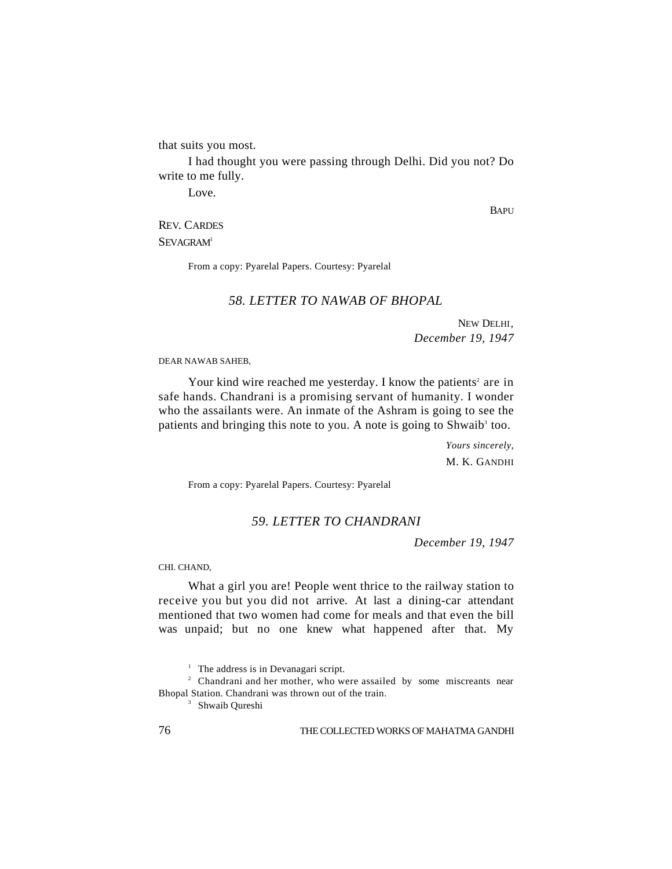that suits you most.

I had thought you were passing through Delhi. Did you not? Do write to me fully.

Love.

**BAPU** 

REV. CARDES SEVAGRAM<sup>1</sup>

From a copy: Pyarelal Papers. Courtesy: Pyarelal

# *58. LETTER TO NAWAB OF BHOPAL*

New Delhi *December 19, 1947*

DEAR NAWAB SAHEB,

Your kind wire reached me yesterday. I know the patients<sup>2</sup> are in safe hands. Chandrani is a promising servant of humanity. I wonder who the assailants were. An inmate of the Ashram is going to see the patients and bringing this note to you. A note is going to Shwaib<sup>3</sup> too.

> *Yours sincerely,* M. K. GANDHI

From a copy: Pyarelal Papers. Courtesy: Pyarelal

# *59. LETTER TO CHANDRANI*

*December 19, 1947*

CHI. CHAND,

What a girl you are! People went thrice to the railway station to receive you but you did not arrive. At last a dining-car attendant mentioned that two women had come for meals and that even the bill was unpaid; but no one knew what happened after that. My

<sup>&</sup>lt;sup>1</sup> The address is in Devanagari script.

 $2$  Chandrani and her mother, who were assailed by some miscreants near Bhopal Station. Chandrani was thrown out of the train.

<sup>&</sup>lt;sup>3</sup> Shwaib Qureshi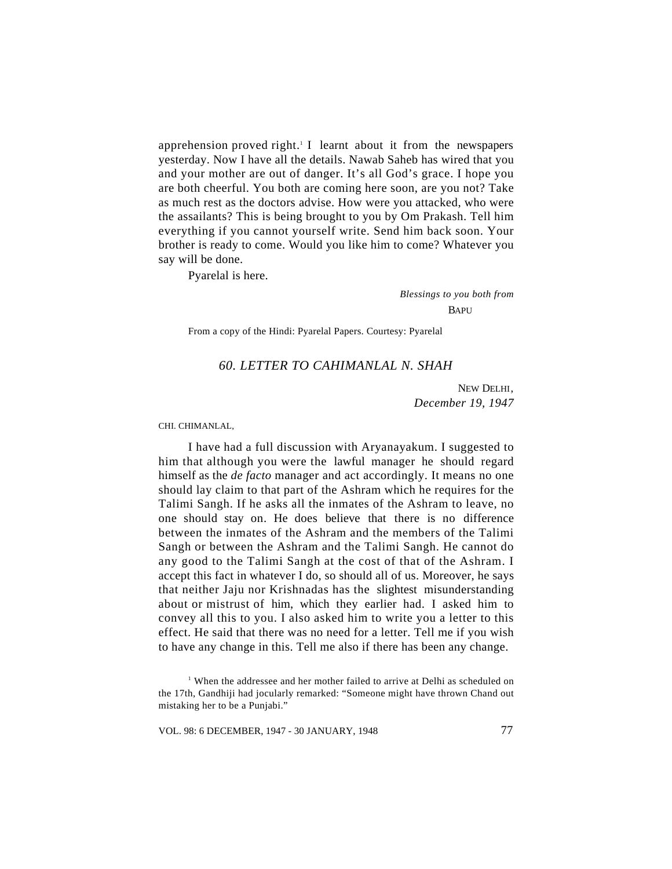apprehension proved right.<sup>1</sup> I learnt about it from the newspapers yesterday. Now I have all the details. Nawab Saheb has wired that you and your mother are out of danger. It's all God's grace. I hope you are both cheerful. You both are coming here soon, are you not? Take as much rest as the doctors advise. How were you attacked, who were the assailants? This is being brought to you by Om Prakash. Tell him everything if you cannot yourself write. Send him back soon. Your brother is ready to come. Would you like him to come? Whatever you say will be done.

Pyarelal is here.

*Blessings to you both from* **BAPU** 

From a copy of the Hindi: Pyarelal Papers. Courtesy: Pyarelal

#### *60. LETTER TO CAHIMANLAL N. SHAH*

NEW DELHI, *December 19, 1947*

CHI. CHIMANLAL,

I have had a full discussion with Aryanayakum. I suggested to him that although you were the lawful manager he should regard himself as the *de facto* manager and act accordingly. It means no one should lay claim to that part of the Ashram which he requires for the Talimi Sangh. If he asks all the inmates of the Ashram to leave, no one should stay on. He does believe that there is no difference between the inmates of the Ashram and the members of the Talimi Sangh or between the Ashram and the Talimi Sangh. He cannot do any good to the Talimi Sangh at the cost of that of the Ashram. I accept this fact in whatever I do, so should all of us. Moreover, he says that neither Jaju nor Krishnadas has the slightest misunderstanding about or mistrust of him, which they earlier had. I asked him to convey all this to you. I also asked him to write you a letter to this effect. He said that there was no need for a letter. Tell me if you wish to have any change in this. Tell me also if there has been any change.

<sup>1</sup> When the addressee and her mother failed to arrive at Delhi as scheduled on the 17th, Gandhiji had jocularly remarked: "Someone might have thrown Chand out mistaking her to be a Punjabi."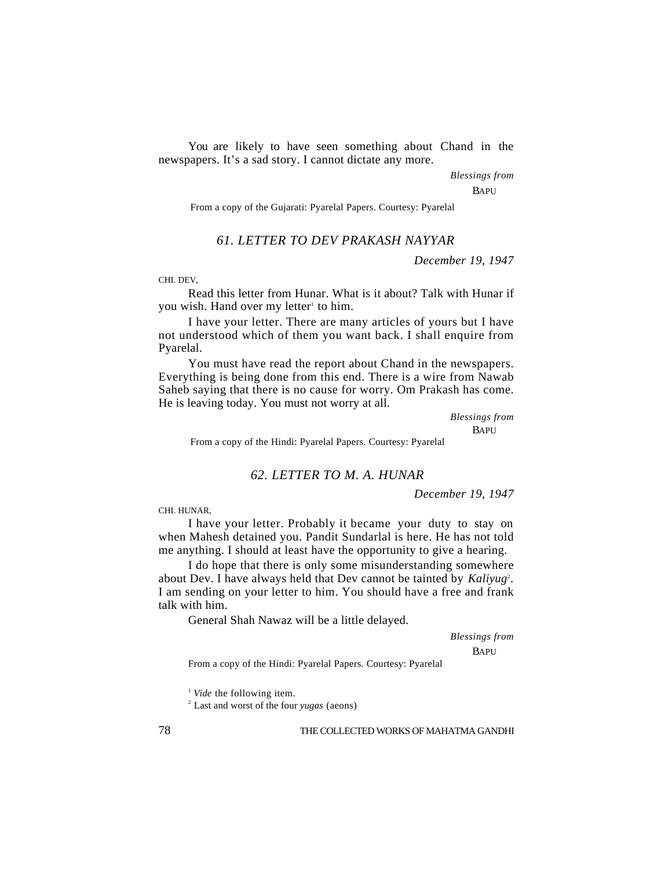You are likely to have seen something about Chand in the newspapers. It's a sad story. I cannot dictate any more.

*Blessings from*

**BAPU** 

From a copy of the Gujarati: Pyarelal Papers. Courtesy: Pyarelal

### *61. LETTER TO DEV PRAKASH NAYYAR*

*December 19, 1947*

CHI. DEV,

Read this letter from Hunar. What is it about? Talk with Hunar if you wish. Hand over my letter<sup>1</sup> to him.

I have your letter. There are many articles of yours but I have not understood which of them you want back. I shall enquire from Pyarelal.

You must have read the report about Chand in the newspapers. Everything is being done from this end. There is a wire from Nawab Saheb saying that there is no cause for worry. Om Prakash has come. He is leaving today. You must not worry at all.

> *Blessings from* **BAPU**

From a copy of the Hindi: Pyarelal Papers. Courtesy: Pyarelal

#### *62. LETTER TO M. A. HUNAR*

*December 19, 1947*

CHI. HUNAR,

I have your letter. Probably it became your duty to stay on when Mahesh detained you. Pandit Sundarlal is here. He has not told me anything. I should at least have the opportunity to give a hearing.

I do hope that there is only some misunderstanding somewhere about Dev. I have always held that Dev cannot be tainted by *Kaliyug*<sup>2</sup> *.* I am sending on your letter to him. You should have a free and frank talk with him.

General Shah Nawaz will be a little delayed.

*Blessings from*

**BAPU** 

From a copy of the Hindi: Pyarelal Papers. Courtesy: Pyarelal

<sup>1</sup> *Vide* the following item.

2 Last and worst of the four *yugas* (aeons)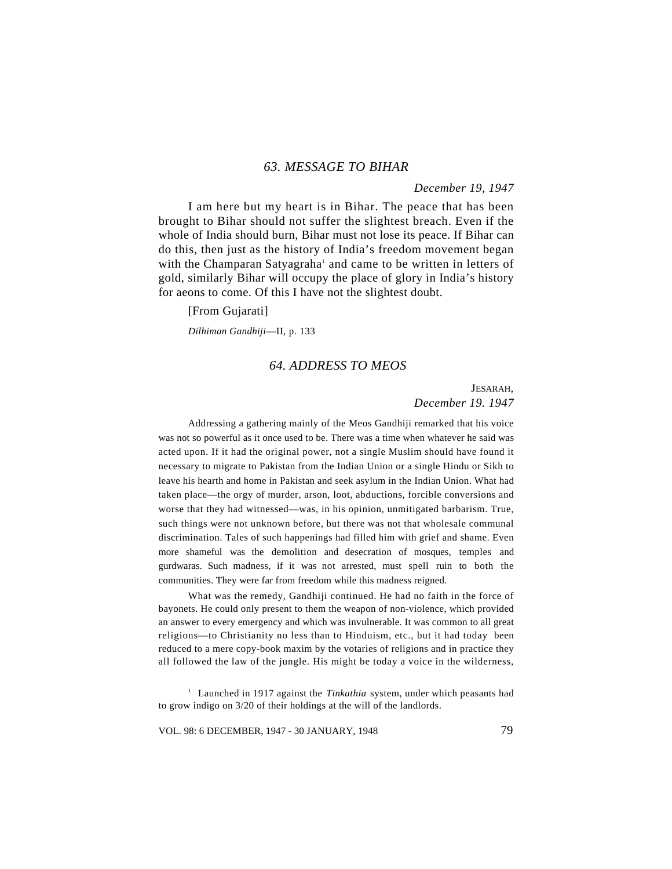## *63. MESSAGE TO BIHAR*

#### *December 19, 1947*

I am here but my heart is in Bihar. The peace that has been brought to Bihar should not suffer the slightest breach. Even if the whole of India should burn, Bihar must not lose its peace. If Bihar can do this, then just as the history of India's freedom movement began with the Champaran Satyagraha<sup>1</sup> and came to be written in letters of gold, similarly Bihar will occupy the place of glory in India's history for aeons to come. Of this I have not the slightest doubt.

[From Gujarati]

*Dilhiman Gandhiji*—II, p. 133

### *64. ADDRESS TO MEOS*

JESARAH, *December 19. 1947*

Addressing a gathering mainly of the Meos Gandhiji remarked that his voice was not so powerful as it once used to be. There was a time when whatever he said was acted upon. If it had the original power, not a single Muslim should have found it necessary to migrate to Pakistan from the Indian Union or a single Hindu or Sikh to leave his hearth and home in Pakistan and seek asylum in the Indian Union. What had taken place—the orgy of murder, arson, loot, abductions, forcible conversions and worse that they had witnessed—was, in his opinion, unmitigated barbarism. True, such things were not unknown before, but there was not that wholesale communal discrimination. Tales of such happenings had filled him with grief and shame. Even more shameful was the demolition and desecration of mosques, temples and gurdwaras. Such madness, if it was not arrested, must spell ruin to both the communities. They were far from freedom while this madness reigned.

What was the remedy, Gandhiji continued. He had no faith in the force of bayonets. He could only present to them the weapon of non-violence, which provided an answer to every emergency and which was invulnerable. It was common to all great religions—to Christianity no less than to Hinduism, etc., but it had today been reduced to a mere copy-book maxim by the votaries of religions and in practice they all followed the law of the jungle. His might be today a voice in the wilderness,

VOL. 98: 6 DECEMBER, 1947 - 30 JANUARY, 1948 79

<sup>&</sup>lt;sup>1</sup> Launched in 1917 against the *Tinkathia* system, under which peasants had to grow indigo on 3/20 of their holdings at the will of the landlords.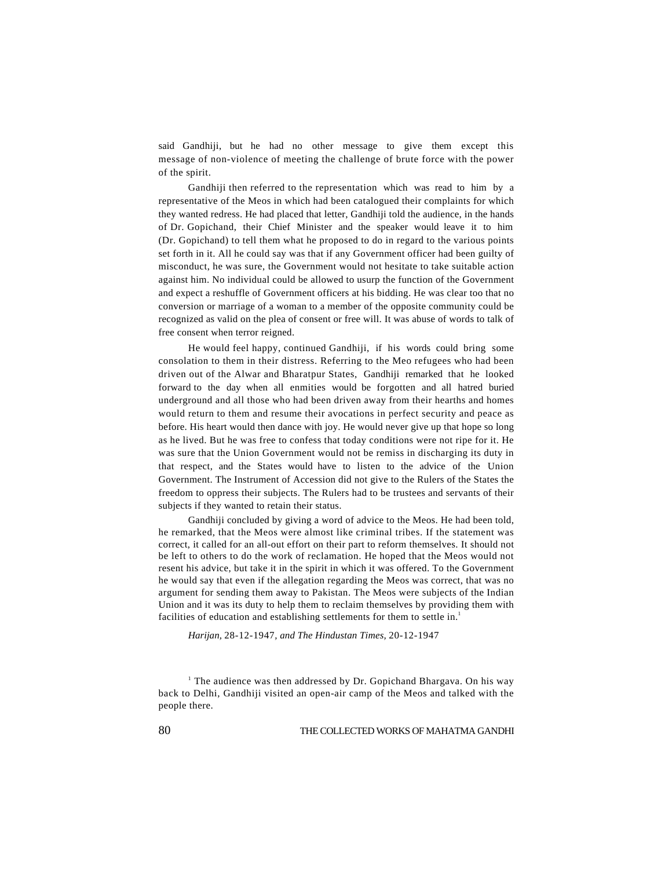said Gandhiji, but he had no other message to give them except this message of non-violence of meeting the challenge of brute force with the power of the spirit.

Gandhiji then referred to the representation which was read to him by a representative of the Meos in which had been catalogued their complaints for which they wanted redress. He had placed that letter, Gandhiji told the audience, in the hands of Dr. Gopichand, their Chief Minister and the speaker would leave it to him (Dr. Gopichand) to tell them what he proposed to do in regard to the various points set forth in it. All he could say was that if any Government officer had been guilty of misconduct, he was sure, the Government would not hesitate to take suitable action against him. No individual could be allowed to usurp the function of the Government and expect a reshuffle of Government officers at his bidding. He was clear too that no conversion or marriage of a woman to a member of the opposite community could be recognized as valid on the plea of consent or free will. It was abuse of words to talk of free consent when terror reigned.

He would feel happy, continued Gandhiji, if his words could bring some consolation to them in their distress. Referring to the Meo refugees who had been driven out of the Alwar and Bharatpur States, Gandhiji remarked that he looked forward to the day when all enmities would be forgotten and all hatred buried underground and all those who had been driven away from their hearths and homes would return to them and resume their avocations in perfect security and peace as before. His heart would then dance with joy. He would never give up that hope so long as he lived. But he was free to confess that today conditions were not ripe for it. He was sure that the Union Government would not be remiss in discharging its duty in that respect, and the States would have to listen to the advice of the Union Government. The Instrument of Accession did not give to the Rulers of the States the freedom to oppress their subjects. The Rulers had to be trustees and servants of their subjects if they wanted to retain their status.

Gandhiji concluded by giving a word of advice to the Meos. He had been told, he remarked, that the Meos were almost like criminal tribes. If the statement was correct, it called for an all-out effort on their part to reform themselves. It should not be left to others to do the work of reclamation. He hoped that the Meos would not resent his advice, but take it in the spirit in which it was offered. To the Government he would say that even if the allegation regarding the Meos was correct, that was no argument for sending them away to Pakistan. The Meos were subjects of the Indian Union and it was its duty to help them to reclaim themselves by providing them with facilities of education and establishing settlements for them to settle in.<sup>1</sup>

*Harijan,* 28-12-1947*, and The Hindustan Times,* 20-12-1947

<sup>1</sup> The audience was then addressed by Dr. Gopichand Bhargava. On his way back to Delhi, Gandhiji visited an open-air camp of the Meos and talked with the people there.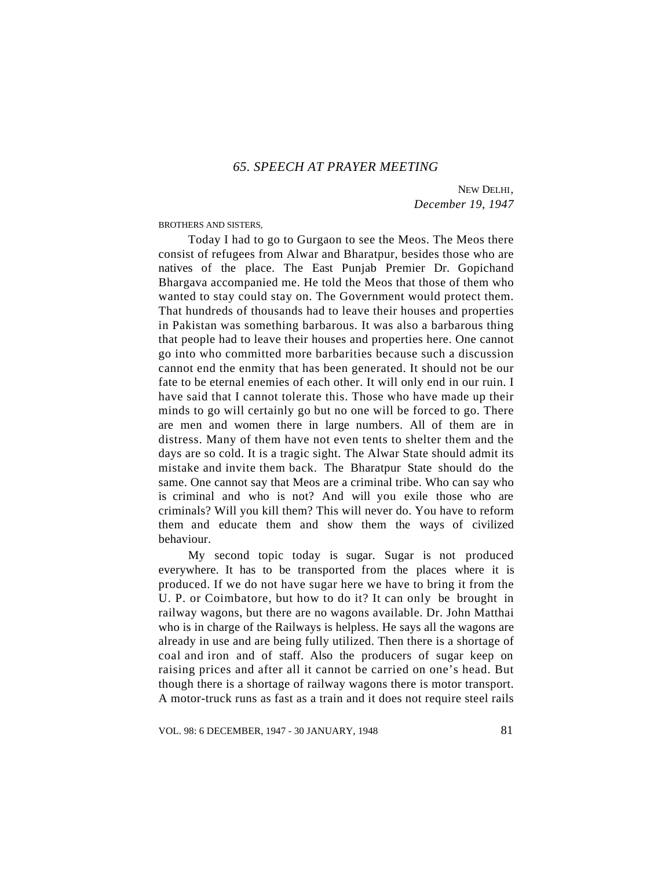## *65. SPEECH AT PRAYER MEETING*

NEW DELHI, *December 19, 1947*

#### BROTHERS AND SISTERS,

Today I had to go to Gurgaon to see the Meos. The Meos there consist of refugees from Alwar and Bharatpur, besides those who are natives of the place. The East Punjab Premier Dr. Gopichand Bhargava accompanied me. He told the Meos that those of them who wanted to stay could stay on. The Government would protect them. That hundreds of thousands had to leave their houses and properties in Pakistan was something barbarous. It was also a barbarous thing that people had to leave their houses and properties here. One cannot go into who committed more barbarities because such a discussion cannot end the enmity that has been generated. It should not be our fate to be eternal enemies of each other. It will only end in our ruin. I have said that I cannot tolerate this. Those who have made up their minds to go will certainly go but no one will be forced to go. There are men and women there in large numbers. All of them are in distress. Many of them have not even tents to shelter them and the days are so cold. It is a tragic sight. The Alwar State should admit its mistake and invite them back. The Bharatpur State should do the same. One cannot say that Meos are a criminal tribe. Who can say who is criminal and who is not? And will you exile those who are criminals? Will you kill them? This will never do. You have to reform them and educate them and show them the ways of civilized behaviour.

My second topic today is sugar. Sugar is not produced everywhere. It has to be transported from the places where it is produced. If we do not have sugar here we have to bring it from the U. P. or Coimbatore, but how to do it? It can only be brought in railway wagons, but there are no wagons available. Dr. John Matthai who is in charge of the Railways is helpless. He says all the wagons are already in use and are being fully utilized. Then there is a shortage of coal and iron and of staff. Also the producers of sugar keep on raising prices and after all it cannot be carried on one's head. But though there is a shortage of railway wagons there is motor transport. A motor-truck runs as fast as a train and it does not require steel rails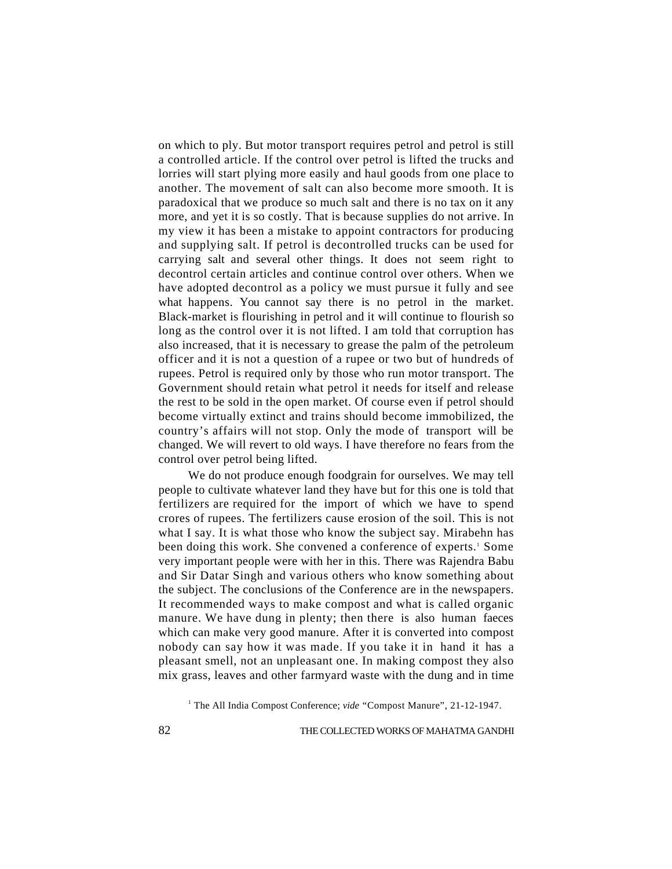on which to ply. But motor transport requires petrol and petrol is still a controlled article. If the control over petrol is lifted the trucks and lorries will start plying more easily and haul goods from one place to another. The movement of salt can also become more smooth. It is paradoxical that we produce so much salt and there is no tax on it any more, and yet it is so costly. That is because supplies do not arrive. In my view it has been a mistake to appoint contractors for producing and supplying salt. If petrol is decontrolled trucks can be used for carrying salt and several other things. It does not seem right to decontrol certain articles and continue control over others. When we have adopted decontrol as a policy we must pursue it fully and see what happens. You cannot say there is no petrol in the market. Black-market is flourishing in petrol and it will continue to flourish so long as the control over it is not lifted. I am told that corruption has also increased, that it is necessary to grease the palm of the petroleum officer and it is not a question of a rupee or two but of hundreds of rupees. Petrol is required only by those who run motor transport. The Government should retain what petrol it needs for itself and release the rest to be sold in the open market. Of course even if petrol should become virtually extinct and trains should become immobilized, the country's affairs will not stop. Only the mode of transport will be changed. We will revert to old ways. I have therefore no fears from the control over petrol being lifted.

We do not produce enough foodgrain for ourselves. We may tell people to cultivate whatever land they have but for this one is told that fertilizers are required for the import of which we have to spend crores of rupees. The fertilizers cause erosion of the soil. This is not what I say. It is what those who know the subject say. Mirabehn has been doing this work. She convened a conference of experts.<sup>1</sup> Some very important people were with her in this. There was Rajendra Babu and Sir Datar Singh and various others who know something about the subject. The conclusions of the Conference are in the newspapers. It recommended ways to make compost and what is called organic manure. We have dung in plenty; then there is also human faeces which can make very good manure. After it is converted into compost nobody can say how it was made. If you take it in hand it has a pleasant smell, not an unpleasant one. In making compost they also mix grass, leaves and other farmyard waste with the dung and in time

<sup>&</sup>lt;sup>1</sup> The All India Compost Conference; *vide* "Compost Manure", 21-12-1947.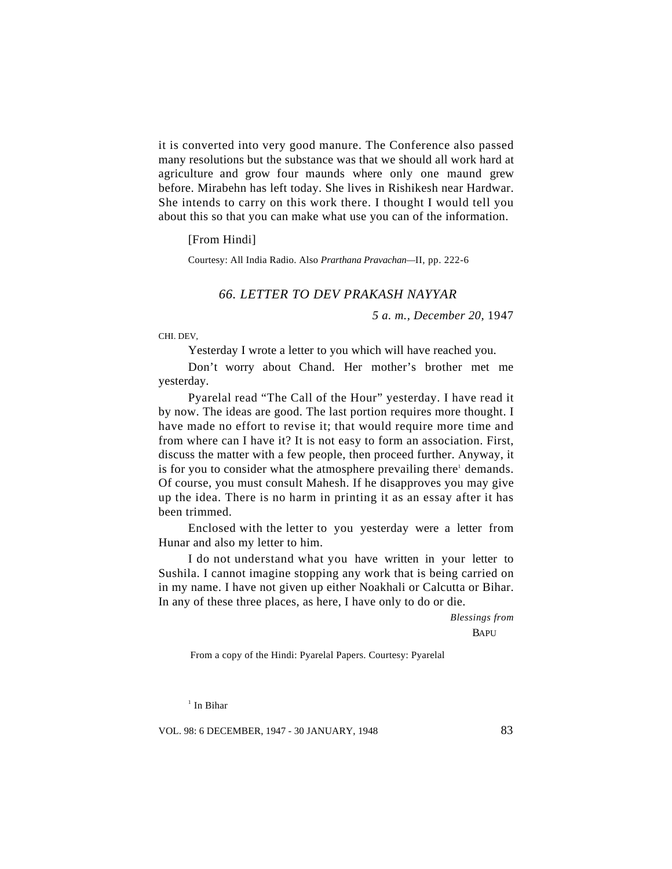it is converted into very good manure. The Conference also passed many resolutions but the substance was that we should all work hard at agriculture and grow four maunds where only one maund grew before. Mirabehn has left today. She lives in Rishikesh near Hardwar. She intends to carry on this work there. I thought I would tell you about this so that you can make what use you can of the information.

[From Hindi]

Courtesy: All India Radio. Also *Prarthana Pravachan—*II, pp. 222-6

# *66. LETTER TO DEV PRAKASH NAYYAR*

*5 a. m., December 20,* 1947

CHI. DEV,

Yesterday I wrote a letter to you which will have reached you.

Don't worry about Chand. Her mother's brother met me yesterday.

Pyarelal read "The Call of the Hour" yesterday. I have read it by now. The ideas are good. The last portion requires more thought. I have made no effort to revise it; that would require more time and from where can I have it? It is not easy to form an association. First, discuss the matter with a few people, then proceed further. Anyway, it is for you to consider what the atmosphere prevailing there<sup>1</sup> demands. Of course, you must consult Mahesh. If he disapproves you may give up the idea. There is no harm in printing it as an essay after it has been trimmed.

Enclosed with the letter to you yesterday were a letter from Hunar and also my letter to him.

I do not understand what you have written in your letter to Sushila. I cannot imagine stopping any work that is being carried on in my name. I have not given up either Noakhali or Calcutta or Bihar. In any of these three places, as here, I have only to do or die.

> *Blessings from* **BAPU**

From a copy of the Hindi: Pyarelal Papers. Courtesy: Pyarelal

<sup>1</sup> In Bihar

VOL. 98: 6 DECEMBER, 1947 - 30 JANUARY, 1948 83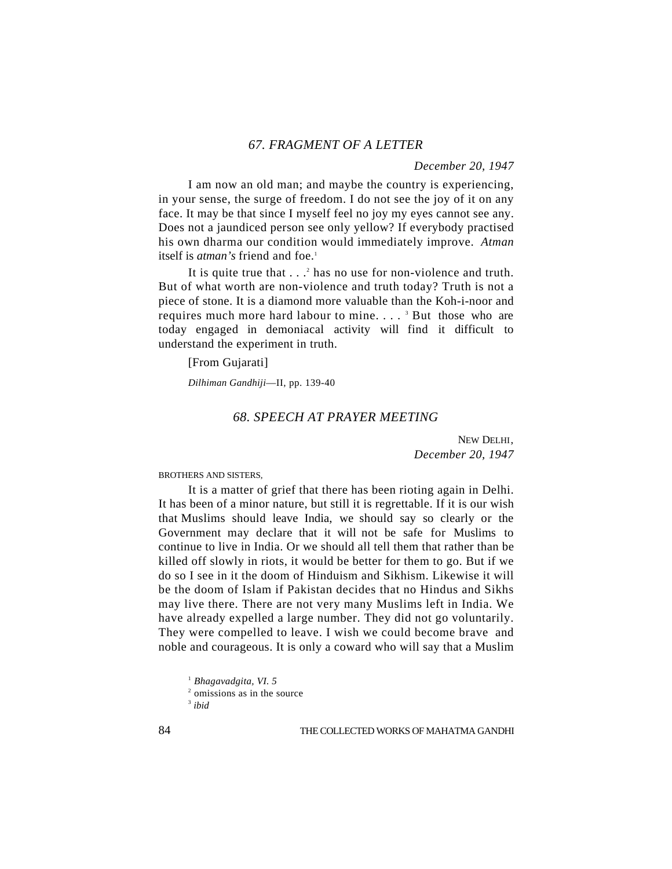# *67. FRAGMENT OF A LETTER*

#### *December 20, 1947*

I am now an old man; and maybe the country is experiencing, in your sense, the surge of freedom. I do not see the joy of it on any face. It may be that since I myself feel no joy my eyes cannot see any. Does not a jaundiced person see only yellow? If everybody practised his own dharma our condition would immediately improve. *Atman* itself is *atman's* friend and foe.<sup>1</sup>

It is quite true that  $\ldots$ <sup>2</sup> has no use for non-violence and truth. But of what worth are non-violence and truth today? Truth is not a piece of stone. It is a diamond more valuable than the Koh-i-noor and requires much more hard labour to mine....  $\frac{3}{3}$  But those who are today engaged in demoniacal activity will find it difficult to understand the experiment in truth.

[From Gujarati]

*Dilhiman Gandhiji*—II, pp. 139-40

### *68. SPEECH AT PRAYER MEETING*

NEW DELHI, *December 20, 1947*

BROTHERS AND SISTERS,

It is a matter of grief that there has been rioting again in Delhi. It has been of a minor nature, but still it is regrettable. If it is our wish that Muslims should leave India, we should say so clearly or the Government may declare that it will not be safe for Muslims to continue to live in India. Or we should all tell them that rather than be killed off slowly in riots, it would be better for them to go. But if we do so I see in it the doom of Hinduism and Sikhism. Likewise it will be the doom of Islam if Pakistan decides that no Hindus and Sikhs may live there. There are not very many Muslims left in India. We have already expelled a large number. They did not go voluntarily. They were compelled to leave. I wish we could become brave and noble and courageous. It is only a coward who will say that a Muslim

1  *Bhagavadgita, VI. 5* 2 omissions as in the source 3 *ibid*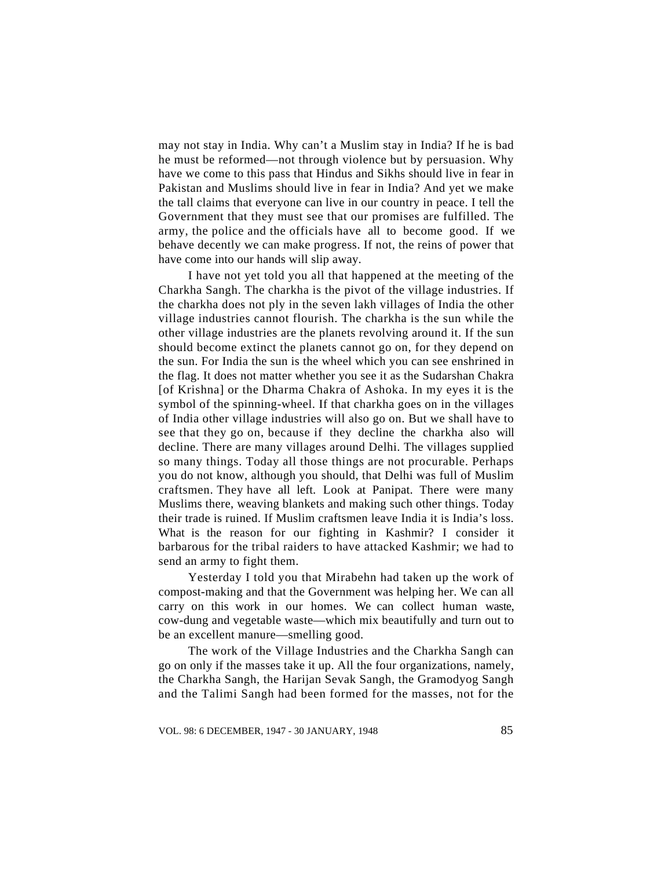may not stay in India. Why can't a Muslim stay in India? If he is bad he must be reformed—not through violence but by persuasion. Why have we come to this pass that Hindus and Sikhs should live in fear in Pakistan and Muslims should live in fear in India? And yet we make the tall claims that everyone can live in our country in peace. I tell the Government that they must see that our promises are fulfilled. The army, the police and the officials have all to become good. If we behave decently we can make progress. If not, the reins of power that have come into our hands will slip away.

I have not yet told you all that happened at the meeting of the Charkha Sangh. The charkha is the pivot of the village industries. If the charkha does not ply in the seven lakh villages of India the other village industries cannot flourish. The charkha is the sun while the other village industries are the planets revolving around it. If the sun should become extinct the planets cannot go on, for they depend on the sun. For India the sun is the wheel which you can see enshrined in the flag. It does not matter whether you see it as the Sudarshan Chakra [of Krishna] or the Dharma Chakra of Ashoka. In my eyes it is the symbol of the spinning-wheel. If that charkha goes on in the villages of India other village industries will also go on. But we shall have to see that they go on, because if they decline the charkha also will decline. There are many villages around Delhi. The villages supplied so many things. Today all those things are not procurable. Perhaps you do not know, although you should, that Delhi was full of Muslim craftsmen. They have all left. Look at Panipat. There were many Muslims there, weaving blankets and making such other things. Today their trade is ruined. If Muslim craftsmen leave India it is India's loss. What is the reason for our fighting in Kashmir? I consider it barbarous for the tribal raiders to have attacked Kashmir; we had to send an army to fight them.

Yesterday I told you that Mirabehn had taken up the work of compost-making and that the Government was helping her. We can all carry on this work in our homes. We can collect human waste, cow-dung and vegetable waste—which mix beautifully and turn out to be an excellent manure—smelling good.

The work of the Village Industries and the Charkha Sangh can go on only if the masses take it up. All the four organizations, namely, the Charkha Sangh, the Harijan Sevak Sangh, the Gramodyog Sangh and the Talimi Sangh had been formed for the masses, not for the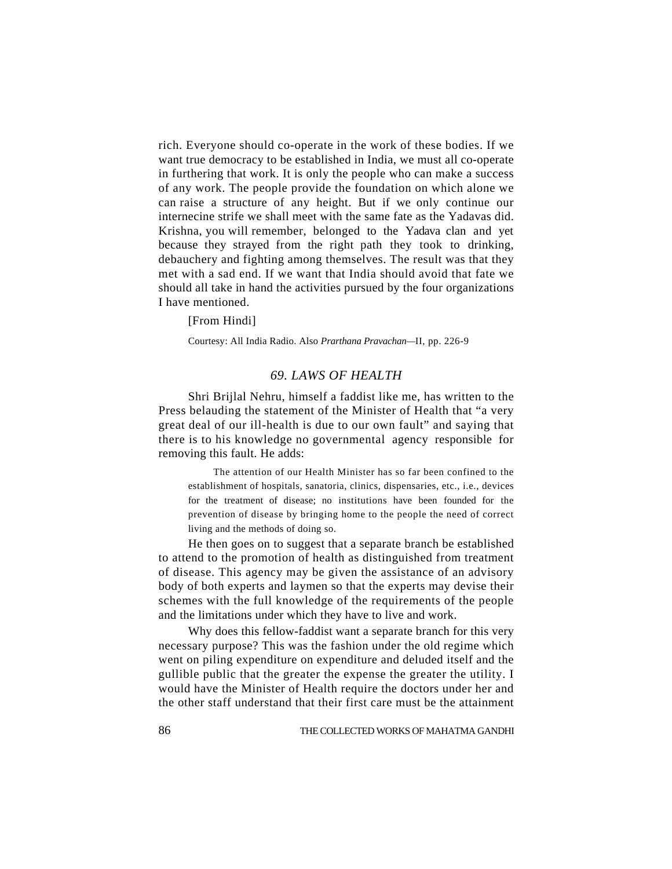rich. Everyone should co-operate in the work of these bodies. If we want true democracy to be established in India, we must all co-operate in furthering that work. It is only the people who can make a success of any work. The people provide the foundation on which alone we can raise a structure of any height. But if we only continue our internecine strife we shall meet with the same fate as the Yadavas did. Krishna, you will remember, belonged to the Yadava clan and yet because they strayed from the right path they took to drinking, debauchery and fighting among themselves. The result was that they met with a sad end. If we want that India should avoid that fate we should all take in hand the activities pursued by the four organizations I have mentioned.

[From Hindi]

Courtesy: All India Radio. Also *Prarthana Pravachan—*II, pp. 226-9

# *69. LAWS OF HEALTH*

Shri Brijlal Nehru, himself a faddist like me, has written to the Press belauding the statement of the Minister of Health that "a very great deal of our ill-health is due to our own fault" and saying that there is to his knowledge no governmental agency responsible for removing this fault. He adds:

The attention of our Health Minister has so far been confined to the establishment of hospitals, sanatoria, clinics, dispensaries, etc., i.e., devices for the treatment of disease; no institutions have been founded for the prevention of disease by bringing home to the people the need of correct living and the methods of doing so.

He then goes on to suggest that a separate branch be established to attend to the promotion of health as distinguished from treatment of disease. This agency may be given the assistance of an advisory body of both experts and laymen so that the experts may devise their schemes with the full knowledge of the requirements of the people and the limitations under which they have to live and work.

Why does this fellow-faddist want a separate branch for this very necessary purpose? This was the fashion under the old regime which went on piling expenditure on expenditure and deluded itself and the gullible public that the greater the expense the greater the utility. I would have the Minister of Health require the doctors under her and the other staff understand that their first care must be the attainment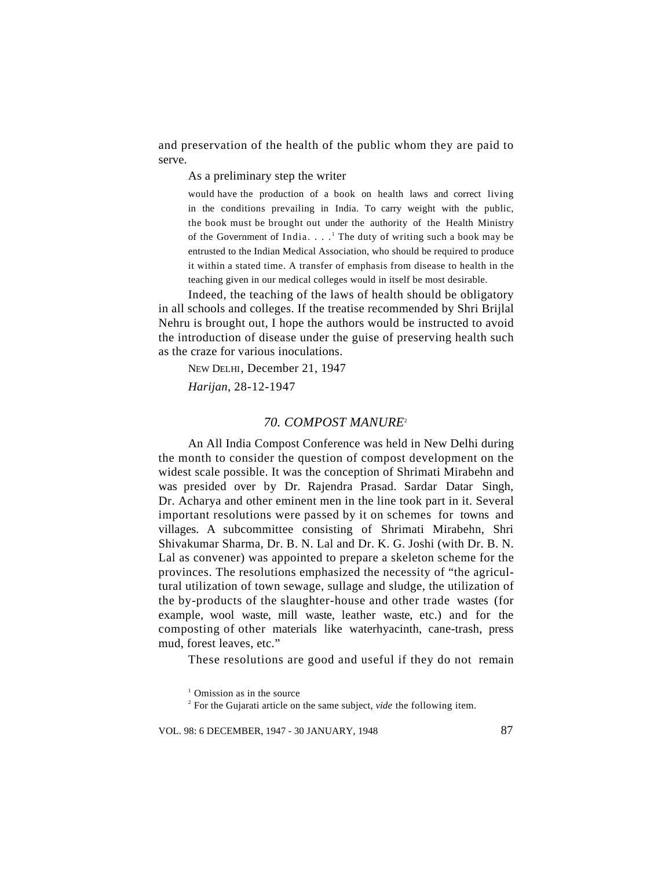and preservation of the health of the public whom they are paid to serve.

As a preliminary step the writer

would have the production of a book on health laws and correct living in the conditions prevailing in India. To carry weight with the public, the book must be brought out under the authority of the Health Ministry of the Government of India.  $\ldots$  <sup>1</sup>. The duty of writing such a book may be entrusted to the Indian Medical Association, who should be required to produce it within a stated time. A transfer of emphasis from disease to health in the teaching given in our medical colleges would in itself be most desirable.

Indeed, the teaching of the laws of health should be obligatory in all schools and colleges. If the treatise recommended by Shri Brijlal Nehru is brought out, I hope the authors would be instructed to avoid the introduction of disease under the guise of preserving health such as the craze for various inoculations.

NEW DELHI, December 21, 1947

*Harijan,* 28-12-1947

### *70. COMPOST MANURE*<sup>2</sup>

An All India Compost Conference was held in New Delhi during the month to consider the question of compost development on the widest scale possible. It was the conception of Shrimati Mirabehn and was presided over by Dr. Rajendra Prasad. Sardar Datar Singh, Dr. Acharya and other eminent men in the line took part in it. Several important resolutions were passed by it on schemes for towns and villages. A subcommittee consisting of Shrimati Mirabehn, Shri Shivakumar Sharma, Dr. B. N. Lal and Dr. K. G. Joshi (with Dr. B. N. Lal as convener) was appointed to prepare a skeleton scheme for the provinces. The resolutions emphasized the necessity of "the agricultural utilization of town sewage, sullage and sludge, the utilization of the by-products of the slaughter-house and other trade wastes (for example, wool waste, mill waste, leather waste, etc.) and for the composting of other materials like waterhyacinth, cane-trash, press mud, forest leaves, etc."

These resolutions are good and useful if they do not remain

<sup>&</sup>lt;sup>1</sup> Omission as in the source

<sup>2</sup> For the Gujarati article on the same subject, *vide* the following item.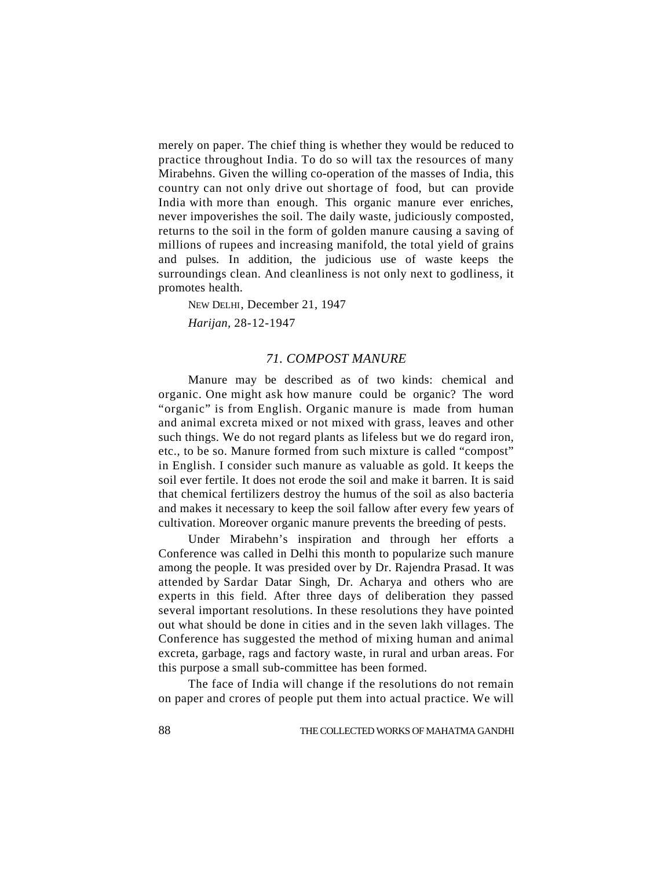merely on paper. The chief thing is whether they would be reduced to practice throughout India. To do so will tax the resources of many Mirabehns. Given the willing co-operation of the masses of India, this country can not only drive out shortage of food, but can provide India with more than enough. This organic manure ever enriches, never impoverishes the soil. The daily waste, judiciously composted, returns to the soil in the form of golden manure causing a saving of millions of rupees and increasing manifold, the total yield of grains and pulses. In addition, the judicious use of waste keeps the surroundings clean. And cleanliness is not only next to godliness, it promotes health.

NEW DELHI, December 21, 1947 *Harijan,* 28-12-1947

# *71. COMPOST MANURE*

Manure may be described as of two kinds: chemical and organic. One might ask how manure could be organic? The word "organic" is from English. Organic manure is made from human and animal excreta mixed or not mixed with grass, leaves and other such things. We do not regard plants as lifeless but we do regard iron, etc., to be so. Manure formed from such mixture is called "compost" in English. I consider such manure as valuable as gold. It keeps the soil ever fertile. It does not erode the soil and make it barren. It is said that chemical fertilizers destroy the humus of the soil as also bacteria and makes it necessary to keep the soil fallow after every few years of cultivation. Moreover organic manure prevents the breeding of pests.

Under Mirabehn's inspiration and through her efforts a Conference was called in Delhi this month to popularize such manure among the people. It was presided over by Dr. Rajendra Prasad. It was attended by Sardar Datar Singh, Dr. Acharya and others who are experts in this field. After three days of deliberation they passed several important resolutions. In these resolutions they have pointed out what should be done in cities and in the seven lakh villages. The Conference has suggested the method of mixing human and animal excreta, garbage, rags and factory waste, in rural and urban areas. For this purpose a small sub-committee has been formed.

The face of India will change if the resolutions do not remain on paper and crores of people put them into actual practice. We will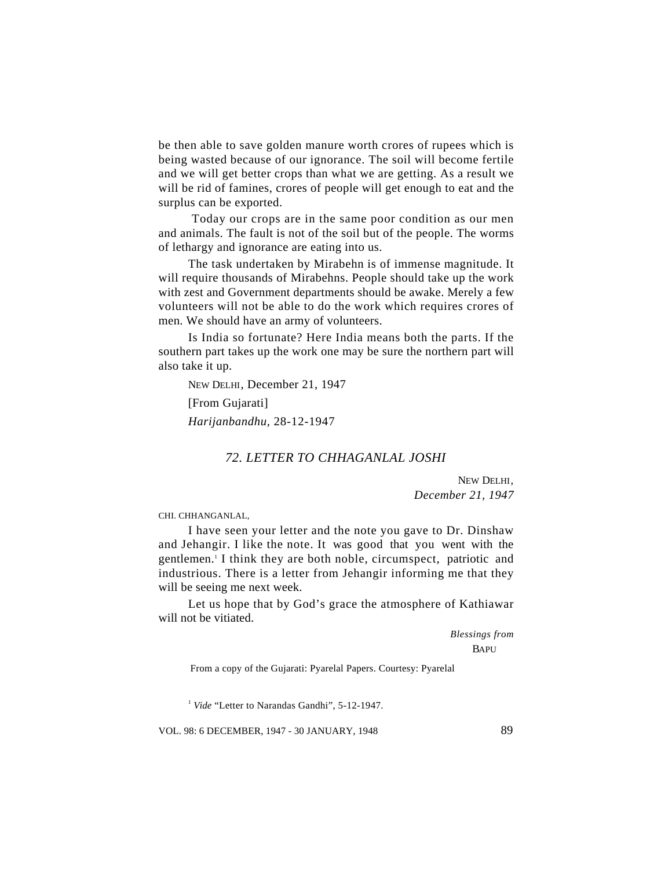be then able to save golden manure worth crores of rupees which is being wasted because of our ignorance. The soil will become fertile and we will get better crops than what we are getting. As a result we will be rid of famines, crores of people will get enough to eat and the surplus can be exported.

 Today our crops are in the same poor condition as our men and animals. The fault is not of the soil but of the people. The worms of lethargy and ignorance are eating into us.

The task undertaken by Mirabehn is of immense magnitude. It will require thousands of Mirabehns. People should take up the work with zest and Government departments should be awake. Merely a few volunteers will not be able to do the work which requires crores of men. We should have an army of volunteers.

Is India so fortunate? Here India means both the parts. If the southern part takes up the work one may be sure the northern part will also take it up.

NEW DELHI, December 21, 1947 [From Gujarati] *Harijanbandhu,* 28-12-1947

# *72. LETTER TO CHHAGANLAL JOSHI*

NEW DELHI. *December 21, 1947*

CHI. CHHANGANLAL,

I have seen your letter and the note you gave to Dr. Dinshaw and Jehangir. I like the note. It was good that you went with the gentlemen.<sup>1</sup> I think they are both noble, circumspect, patriotic and industrious. There is a letter from Jehangir informing me that they will be seeing me next week.

Let us hope that by God's grace the atmosphere of Kathiawar will not be vitiated.

> *Blessings from* **BAPU**

From a copy of the Gujarati: Pyarelal Papers. Courtesy: Pyarelal

<sup>1</sup> *Vide* "Letter to Narandas Gandhi", 5-12-1947.

VOL. 98: 6 DECEMBER, 1947 - 30 JANUARY, 1948 89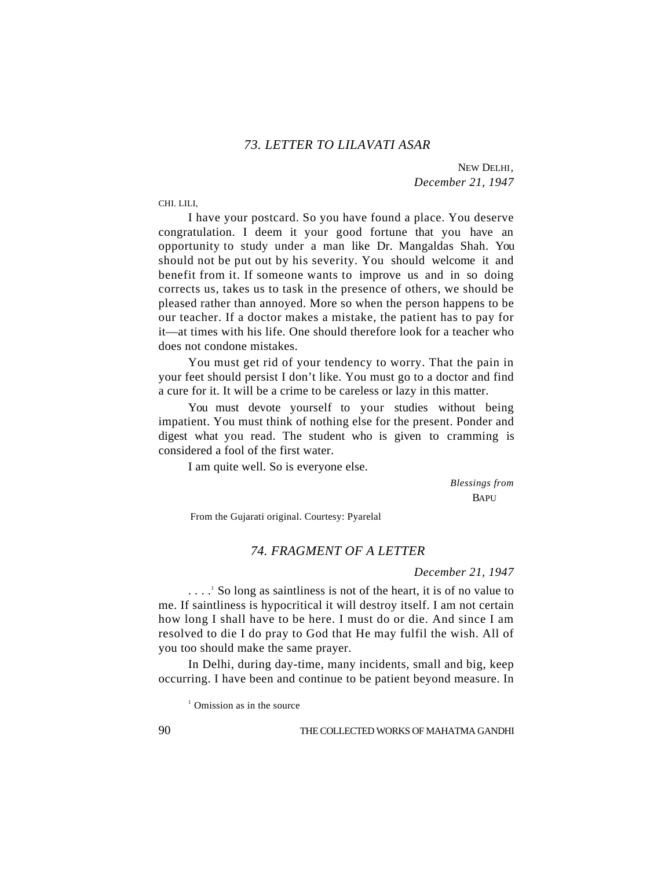# *73. LETTER TO LILAVATI ASAR*

NEW DELHI. *December 21, 1947*

CHI. LILI,

I have your postcard. So you have found a place. You deserve congratulation. I deem it your good fortune that you have an opportunity to study under a man like Dr. Mangaldas Shah. You should not be put out by his severity. You should welcome it and benefit from it. If someone wants to improve us and in so doing corrects us, takes us to task in the presence of others, we should be pleased rather than annoyed. More so when the person happens to be our teacher. If a doctor makes a mistake, the patient has to pay for it—at times with his life. One should therefore look for a teacher who does not condone mistakes.

You must get rid of your tendency to worry. That the pain in your feet should persist I don't like. You must go to a doctor and find a cure for it. It will be a crime to be careless or lazy in this matter.

You must devote yourself to your studies without being impatient. You must think of nothing else for the present. Ponder and digest what you read. The student who is given to cramming is considered a fool of the first water.

I am quite well. So is everyone else.

*Blessings from* **BAPU** 

From the Gujarati original. Courtesy: Pyarelal

#### *74. FRAGMENT OF A LETTER*

*December 21, 1947*

....<sup>1</sup> So long as saintliness is not of the heart, it is of no value to me. If saintliness is hypocritical it will destroy itself. I am not certain how long I shall have to be here. I must do or die. And since I am resolved to die I do pray to God that He may fulfil the wish. All of you too should make the same prayer.

In Delhi, during day-time, many incidents, small and big, keep occurring. I have been and continue to be patient beyond measure. In

<sup>1</sup> Omission as in the source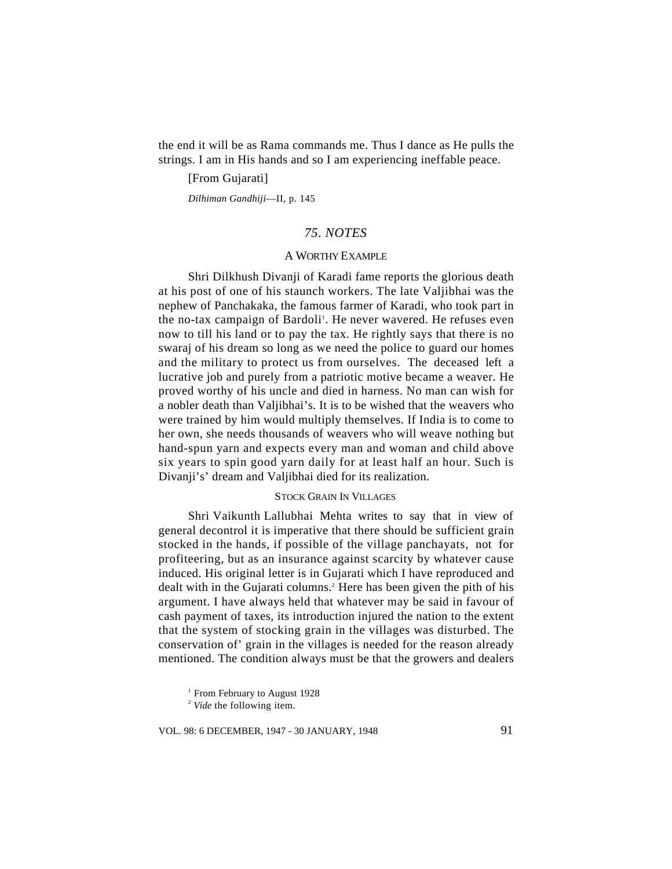the end it will be as Rama commands me. Thus I dance as He pulls the strings. I am in His hands and so I am experiencing ineffable peace.

[From Gujarati]

*Dilhiman Gandhiji*—II, p. 145

# *75. NOTES*

### A WORTHY EXAMPLE

Shri Dilkhush Divanji of Karadi fame reports the glorious death at his post of one of his staunch workers. The late Valjibhai was the nephew of Panchakaka, the famous farmer of Karadi, who took part in the no-tax campaign of Bardoli<sup>1</sup>. He never wavered. He refuses even now to till his land or to pay the tax. He rightly says that there is no swaraj of his dream so long as we need the police to guard our homes and the military to protect us from ourselves. The deceased left a lucrative job and purely from a patriotic motive became a weaver. He proved worthy of his uncle and died in harness. No man can wish for a nobler death than Valjibhai's. It is to be wished that the weavers who were trained by him would multiply themselves. If India is to come to her own, she needs thousands of weavers who will weave nothing but hand-spun yarn and expects every man and woman and child above six years to spin good yarn daily for at least half an hour. Such is Divanji's' dream and Valjibhai died for its realization.

### STOCK GRAIN IN VILLAGES

Shri Vaikunth Lallubhai Mehta writes to say that in view of general decontrol it is imperative that there should be sufficient grain stocked in the hands, if possible of the village panchayats, not for profiteering, but as an insurance against scarcity by whatever cause induced. His original letter is in Gujarati which I have reproduced and dealt with in the Gujarati columns.<sup>2</sup> Here has been given the pith of his argument. I have always held that whatever may be said in favour of cash payment of taxes, its introduction injured the nation to the extent that the system of stocking grain in the villages was disturbed. The conservation of' grain in the villages is needed for the reason already mentioned. The condition always must be that the growers and dealers

<sup>1</sup> From February to August 1928

<sup>2</sup> *Vide* the following item.

VOL. 98: 6 DECEMBER, 1947 - 30 JANUARY, 1948 91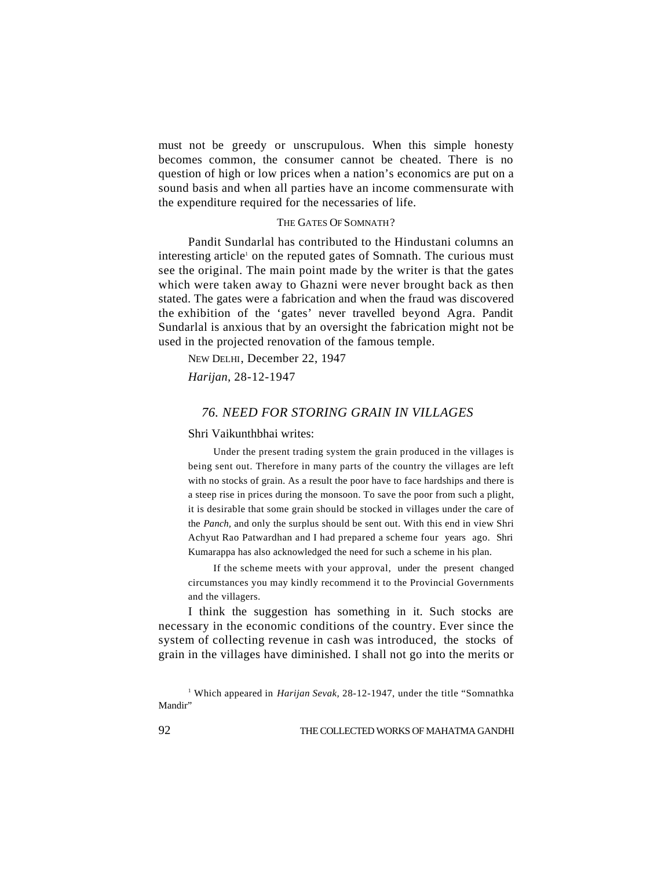must not be greedy or unscrupulous. When this simple honesty becomes common, the consumer cannot be cheated. There is no question of high or low prices when a nation's economics are put on a sound basis and when all parties have an income commensurate with the expenditure required for the necessaries of life.

#### THE GATES OF SOMNATH?

Pandit Sundarlal has contributed to the Hindustani columns an interesting article<sup>1</sup> on the reputed gates of Somnath. The curious must see the original. The main point made by the writer is that the gates which were taken away to Ghazni were never brought back as then stated. The gates were a fabrication and when the fraud was discovered the exhibition of the 'gates' never travelled beyond Agra. Pandit Sundarlal is anxious that by an oversight the fabrication might not be used in the projected renovation of the famous temple.

NEW DELHI, December 22, 1947

*Harijan,* 28-12-1947

### *76. NEED FOR STORING GRAIN IN VILLAGES*

Shri Vaikunthbhai writes:

Under the present trading system the grain produced in the villages is being sent out. Therefore in many parts of the country the villages are left with no stocks of grain. As a result the poor have to face hardships and there is a steep rise in prices during the monsoon. To save the poor from such a plight, it is desirable that some grain should be stocked in villages under the care of the *Panch,* and only the surplus should be sent out. With this end in view Shri Achyut Rao Patwardhan and I had prepared a scheme four years ago. Shri Kumarappa has also acknowledged the need for such a scheme in his plan.

If the scheme meets with your approval, under the present changed circumstances you may kindly recommend it to the Provincial Governments and the villagers.

I think the suggestion has something in it. Such stocks are necessary in the economic conditions of the country. Ever since the system of collecting revenue in cash was introduced, the stocks of grain in the villages have diminished. I shall not go into the merits or

<sup>&</sup>lt;sup>1</sup> Which appeared in *Harijan Sevak*, 28-12-1947, under the title "Somnathka Mandir"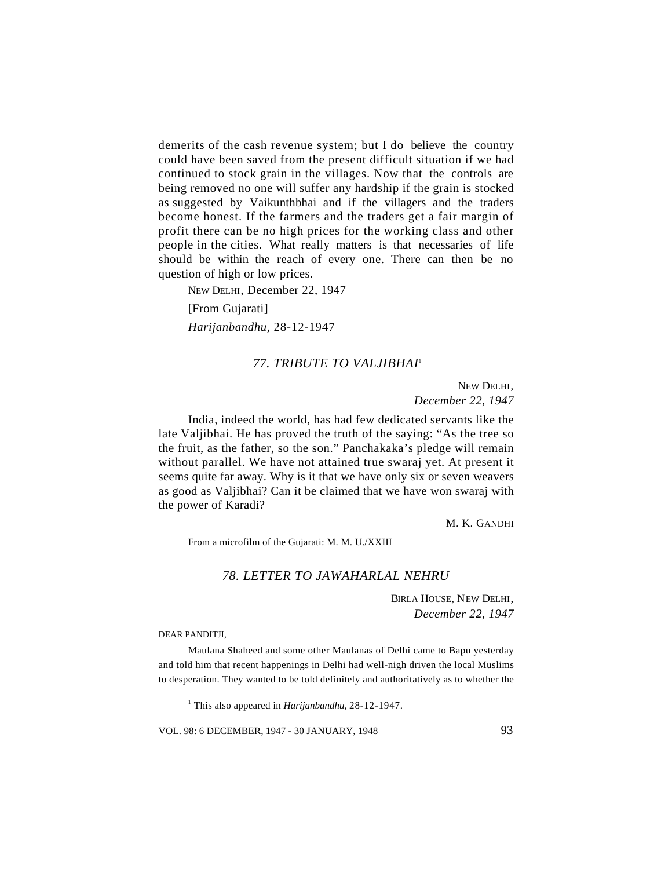demerits of the cash revenue system; but I do believe the country could have been saved from the present difficult situation if we had continued to stock grain in the villages. Now that the controls are being removed no one will suffer any hardship if the grain is stocked as suggested by Vaikunthbhai and if the villagers and the traders become honest. If the farmers and the traders get a fair margin of profit there can be no high prices for the working class and other people in the cities. What really matters is that necessaries of life should be within the reach of every one. There can then be no question of high or low prices.

NEW DELHI, December 22, 1947

[From Gujarati]

*Harijanbandhu,* 28-12-1947

### *77. TRIBUTE TO VALJIBHAI*<sup>1</sup>

NEW DELHI, *December 22, 1947*

India, indeed the world, has had few dedicated servants like the late Valjibhai. He has proved the truth of the saying: "As the tree so the fruit, as the father, so the son." Panchakaka's pledge will remain without parallel. We have not attained true swaraj yet. At present it seems quite far away. Why is it that we have only six or seven weavers as good as Valjibhai? Can it be claimed that we have won swaraj with the power of Karadi?

M. K. GANDHI

From a microfilm of the Gujarati: M. M. U./XXIII

# *78. LETTER TO JAWAHARLAL NEHRU*

BIRLA HOUSE, NEW DELHI, *December 22, 1947*

DEAR PANDITJI,

Maulana Shaheed and some other Maulanas of Delhi came to Bapu yesterday and told him that recent happenings in Delhi had well-nigh driven the local Muslims to desperation. They wanted to be told definitely and authoritatively as to whether the

1 This also appeared in *Harijanbandhu,* 28-12-1947.

VOL. 98: 6 DECEMBER, 1947 - 30 JANUARY, 1948 93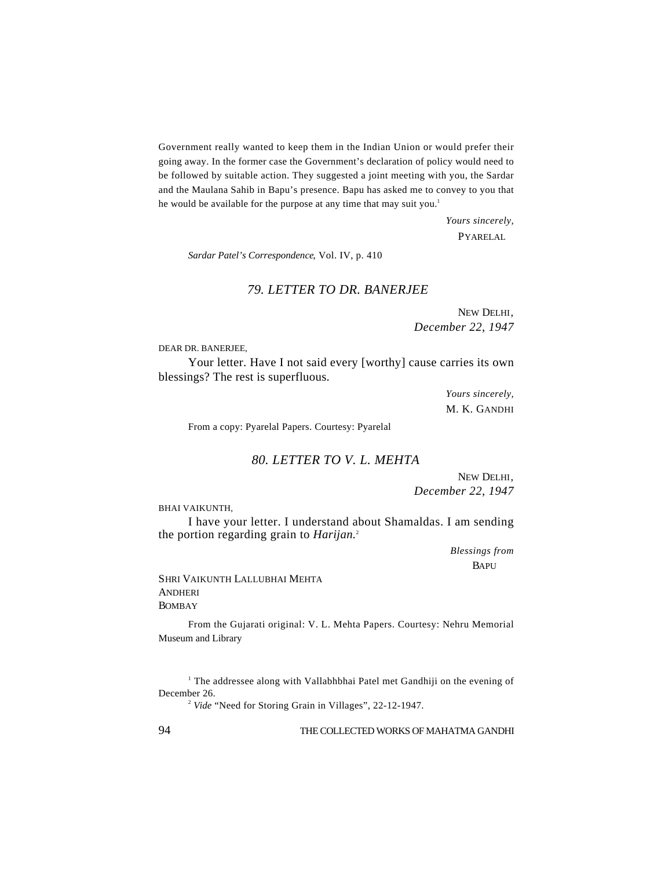Government really wanted to keep them in the Indian Union or would prefer their going away. In the former case the Government's declaration of policy would need to be followed by suitable action. They suggested a joint meeting with you, the Sardar and the Maulana Sahib in Bapu's presence. Bapu has asked me to convey to you that he would be available for the purpose at any time that may suit you.<sup>1</sup>

> *Yours sincerely,* PYARELAL

*Sardar Patel's Correspondence*, Vol. IV, p. 410

## *79. LETTER TO DR. BANERJEE*

NEW DELHI, *December 22, 1947*

DEAR DR. BANERJEE,

Your letter. Have I not said every [worthy] cause carries its own blessings? The rest is superfluous.

> *Yours sincerely,* M. K. GANDHI

From a copy: Pyarelal Papers. Courtesy: Pyarelal

#### *80. LETTER TO V. L. MEHTA*

NEW DELHI, *December 22, 1947*

BHAI VAIKUNTH,

I have your letter. I understand about Shamaldas. I am sending the portion regarding grain to *Harijan.*<sup>2</sup>

> *Blessings from* **BAPU**

SHRI VAIKUNTH LALLUBHAI MEHTA **ANDHERI** BOMBAY

From the Gujarati original: V. L. Mehta Papers. Courtesy: Nehru Memorial Museum and Library

<sup>1</sup> The addressee along with Vallabhbhai Patel met Gandhiji on the evening of December 26.

<sup>2</sup> *Vide* "Need for Storing Grain in Villages", 22-12-1947.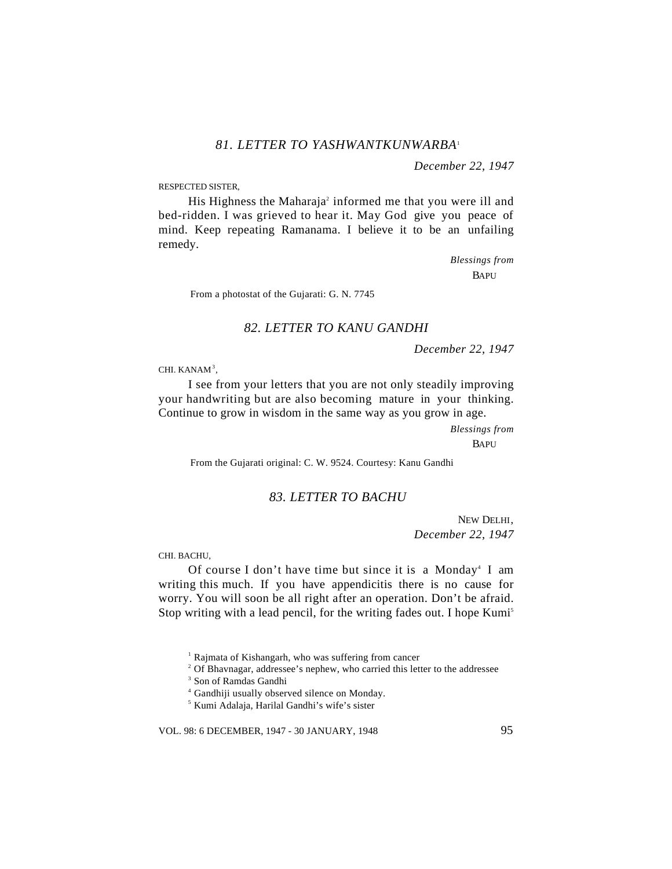*December 22, 1947*

RESPECTED SISTER,

His Highness the Maharaja<sup>2</sup> informed me that you were ill and bed-ridden. I was grieved to hear it. May God give you peace of mind. Keep repeating Ramanama. I believe it to be an unfailing remedy.

> *Blessings from* **BAPU**

From a photostat of the Gujarati: G. N. 7745

## *82. LETTER TO KANU GANDHI*

*December 22, 1947*

CHI. KANAM $^3$ ,

I see from your letters that you are not only steadily improving your handwriting but are also becoming mature in your thinking. Continue to grow in wisdom in the same way as you grow in age.

*Blessings from*

**BAPU** 

From the Gujarati original: C. W. 9524. Courtesy: Kanu Gandhi

# *83. LETTER TO BACHU*

NEW DELHI, *December 22, 1947*

CHI. BACHU,

Of course I don't have time but since it is a Monday<sup>4</sup> I am writing this much. If you have appendicitis there is no cause for worry. You will soon be all right after an operation. Don't be afraid. Stop writing with a lead pencil, for the writing fades out. I hope Kumi<sup>5</sup>

 $2^2$  Of Bhavnagar, addressee's nephew, who carried this letter to the addressee

<sup>&</sup>lt;sup>1</sup> Rajmata of Kishangarh, who was suffering from cancer

<sup>3</sup> Son of Ramdas Gandhi

<sup>4</sup> Gandhiji usually observed silence on Monday.

<sup>5</sup> Kumi Adalaja, Harilal Gandhi's wife's sister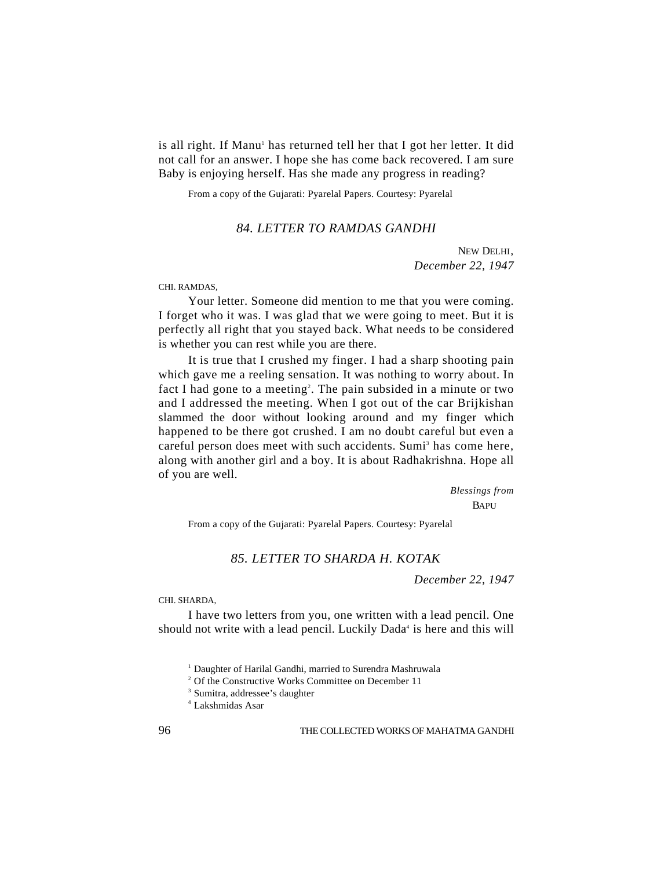is all right. If Manu<sup>1</sup> has returned tell her that I got her letter. It did not call for an answer. I hope she has come back recovered. I am sure Baby is enjoying herself. Has she made any progress in reading?

From a copy of the Gujarati: Pyarelal Papers. Courtesy: Pyarelal

# *84. LETTER TO RAMDAS GANDHI*

NEW DELHI, *December 22, 1947*

CHI. RAMDAS,

Your letter. Someone did mention to me that you were coming. I forget who it was. I was glad that we were going to meet. But it is perfectly all right that you stayed back. What needs to be considered is whether you can rest while you are there.

It is true that I crushed my finger. I had a sharp shooting pain which gave me a reeling sensation. It was nothing to worry about. In fact I had gone to a meeting<sup>2</sup>. The pain subsided in a minute or two and I addressed the meeting. When I got out of the car Brijkishan slammed the door without looking around and my finger which happened to be there got crushed. I am no doubt careful but even a careful person does meet with such accidents. Sumi<sup>3</sup> has come here, along with another girl and a boy. It is about Radhakrishna. Hope all of you are well.

> *Blessings from* **BAPU**

From a copy of the Gujarati: Pyarelal Papers. Courtesy: Pyarelal

# *85. LETTER TO SHARDA H. KOTAK*

*December 22, 1947*

CHI. SHARDA,

I have two letters from you, one written with a lead pencil. One should not write with a lead pencil. Luckily Dada<sup>4</sup> is here and this will

<sup>&</sup>lt;sup>1</sup> Daughter of Harilal Gandhi, married to Surendra Mashruwala

<sup>&</sup>lt;sup>2</sup> Of the Constructive Works Committee on December 11

<sup>3</sup> Sumitra, addressee's daughter

<sup>4</sup> Lakshmidas Asar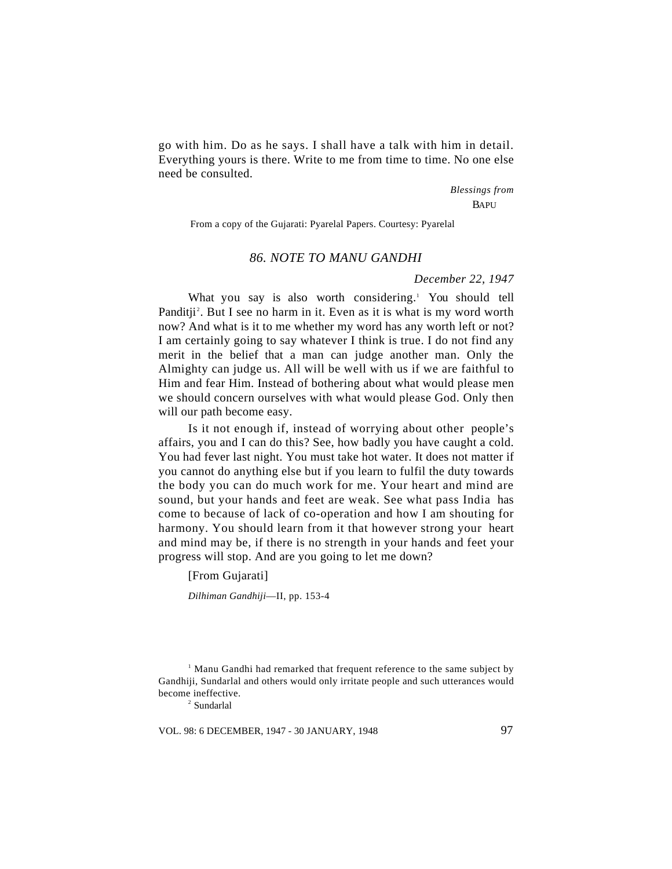go with him. Do as he says. I shall have a talk with him in detail. Everything yours is there. Write to me from time to time. No one else need be consulted.

> *Blessings from* **BAPU**

From a copy of the Gujarati: Pyarelal Papers. Courtesy: Pyarelal

### *86. NOTE TO MANU GANDHI*

#### *December 22, 1947*

What you say is also worth considering.<sup>1</sup> You should tell Panditji<sup>2</sup>. But I see no harm in it. Even as it is what is my word worth now? And what is it to me whether my word has any worth left or not? I am certainly going to say whatever I think is true. I do not find any merit in the belief that a man can judge another man. Only the Almighty can judge us. All will be well with us if we are faithful to Him and fear Him. Instead of bothering about what would please men we should concern ourselves with what would please God. Only then will our path become easy.

Is it not enough if, instead of worrying about other people's affairs, you and I can do this? See, how badly you have caught a cold. You had fever last night. You must take hot water. It does not matter if you cannot do anything else but if you learn to fulfil the duty towards the body you can do much work for me. Your heart and mind are sound, but your hands and feet are weak. See what pass India has come to because of lack of co-operation and how I am shouting for harmony. You should learn from it that however strong your heart and mind may be, if there is no strength in your hands and feet your progress will stop. And are you going to let me down?

[From Gujarati] *Dilhiman Gandhiji*—II, pp. 153-4

<sup>1</sup> Manu Gandhi had remarked that frequent reference to the same subject by Gandhiji, Sundarlal and others would only irritate people and such utterances would become ineffective.

2 Sundarlal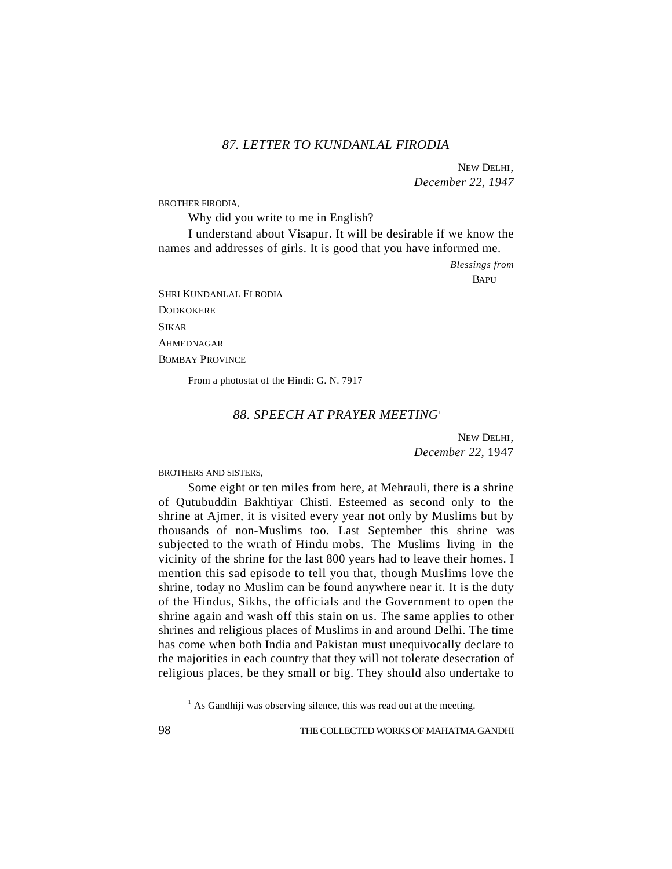# *87. LETTER TO KUNDANLAL FIRODIA*

NEW DELHI. *December 22, 1947*

BROTHER FIRODIA,

Why did you write to me in English?

I understand about Visapur. It will be desirable if we know the names and addresses of girls. It is good that you have informed me.

*Blessings from*

BAPU

SHRI KUNDANLAL FLRODIA **DODKOKERE** SIKAR AHMEDNAGAR BOMBAY PROVINCE

From a photostat of the Hindi: G. N. 7917

## *88. SPEECH AT PRAYER MEETING*<sup>1</sup>

NEW DELHI. *December 22,* 1947

BROTHERS AND SISTERS,

Some eight or ten miles from here, at Mehrauli, there is a shrine of Qutubuddin Bakhtiyar Chisti. Esteemed as second only to the shrine at Ajmer, it is visited every year not only by Muslims but by thousands of non-Muslims too. Last September this shrine was subjected to the wrath of Hindu mobs. The Muslims living in the vicinity of the shrine for the last 800 years had to leave their homes. I mention this sad episode to tell you that, though Muslims love the shrine, today no Muslim can be found anywhere near it. It is the duty of the Hindus, Sikhs, the officials and the Government to open the shrine again and wash off this stain on us. The same applies to other shrines and religious places of Muslims in and around Delhi. The time has come when both India and Pakistan must unequivocally declare to the majorities in each country that they will not tolerate desecration of religious places, be they small or big. They should also undertake to

<sup>1</sup> As Gandhiji was observing silence, this was read out at the meeting.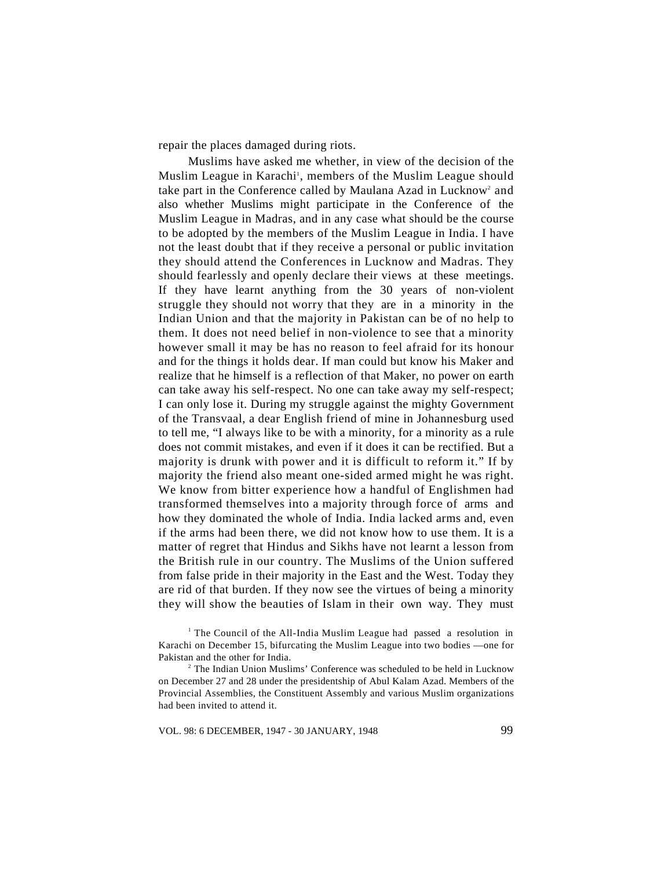repair the places damaged during riots.

Muslims have asked me whether, in view of the decision of the Muslim League in Karachi<sup>1</sup>, members of the Muslim League should take part in the Conference called by Maulana Azad in Lucknow<sup>2</sup> and also whether Muslims might participate in the Conference of the Muslim League in Madras, and in any case what should be the course to be adopted by the members of the Muslim League in India. I have not the least doubt that if they receive a personal or public invitation they should attend the Conferences in Lucknow and Madras. They should fearlessly and openly declare their views at these meetings. If they have learnt anything from the 30 years of non-violent struggle they should not worry that they are in a minority in the Indian Union and that the majority in Pakistan can be of no help to them. It does not need belief in non-violence to see that a minority however small it may be has no reason to feel afraid for its honour and for the things it holds dear. If man could but know his Maker and realize that he himself is a reflection of that Maker, no power on earth can take away his self-respect. No one can take away my self-respect; I can only lose it. During my struggle against the mighty Government of the Transvaal, a dear English friend of mine in Johannesburg used to tell me, "I always like to be with a minority, for a minority as a rule does not commit mistakes, and even if it does it can be rectified. But a majority is drunk with power and it is difficult to reform it." If by majority the friend also meant one-sided armed might he was right. We know from bitter experience how a handful of Englishmen had transformed themselves into a majority through force of arms and how they dominated the whole of India. India lacked arms and, even if the arms had been there, we did not know how to use them. It is a matter of regret that Hindus and Sikhs have not learnt a lesson from the British rule in our country. The Muslims of the Union suffered from false pride in their majority in the East and the West. Today they are rid of that burden. If they now see the virtues of being a minority they will show the beauties of Islam in their own way. They must

<sup>1</sup> The Council of the All-India Muslim League had passed a resolution in Karachi on December 15, bifurcating the Muslim League into two bodies —one for Pakistan and the other for India.

<sup>2</sup> The Indian Union Muslims' Conference was scheduled to be held in Lucknow on December 27 and 28 under the presidentship of Abul Kalam Azad. Members of the Provincial Assemblies, the Constituent Assembly and various Muslim organizations had been invited to attend it.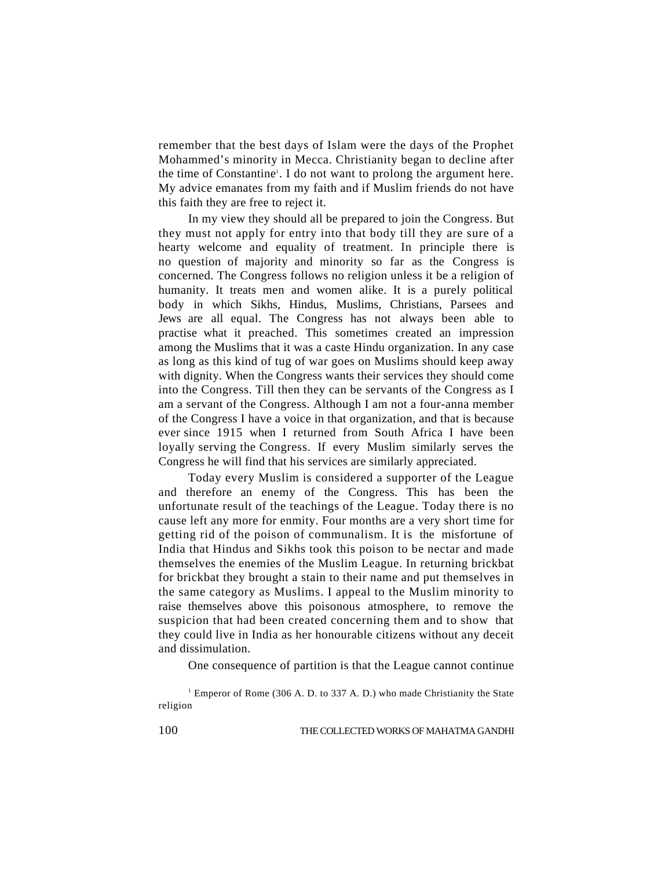remember that the best days of Islam were the days of the Prophet Mohammed's minority in Mecca. Christianity began to decline after the time of Constantine<sup>1</sup>. I do not want to prolong the argument here. My advice emanates from my faith and if Muslim friends do not have this faith they are free to reject it.

In my view they should all be prepared to join the Congress. But they must not apply for entry into that body till they are sure of a hearty welcome and equality of treatment. In principle there is no question of majority and minority so far as the Congress is concerned. The Congress follows no religion unless it be a religion of humanity. It treats men and women alike. It is a purely political body in which Sikhs, Hindus, Muslims, Christians, Parsees and Jews are all equal. The Congress has not always been able to practise what it preached. This sometimes created an impression among the Muslims that it was a caste Hindu organization. In any case as long as this kind of tug of war goes on Muslims should keep away with dignity. When the Congress wants their services they should come into the Congress. Till then they can be servants of the Congress as I am a servant of the Congress. Although I am not a four-anna member of the Congress I have a voice in that organization, and that is because ever since 1915 when I returned from South Africa I have been loyally serving the Congress. If every Muslim similarly serves the Congress he will find that his services are similarly appreciated.

Today every Muslim is considered a supporter of the League and therefore an enemy of the Congress. This has been the unfortunate result of the teachings of the League. Today there is no cause left any more for enmity. Four months are a very short time for getting rid of the poison of communalism. It is the misfortune of India that Hindus and Sikhs took this poison to be nectar and made themselves the enemies of the Muslim League. In returning brickbat for brickbat they brought a stain to their name and put themselves in the same category as Muslims. I appeal to the Muslim minority to raise themselves above this poisonous atmosphere, to remove the suspicion that had been created concerning them and to show that they could live in India as her honourable citizens without any deceit and dissimulation.

One consequence of partition is that the League cannot continue

<sup>&</sup>lt;sup>1</sup> Emperor of Rome (306 A. D. to 337 A. D.) who made Christianity the State religion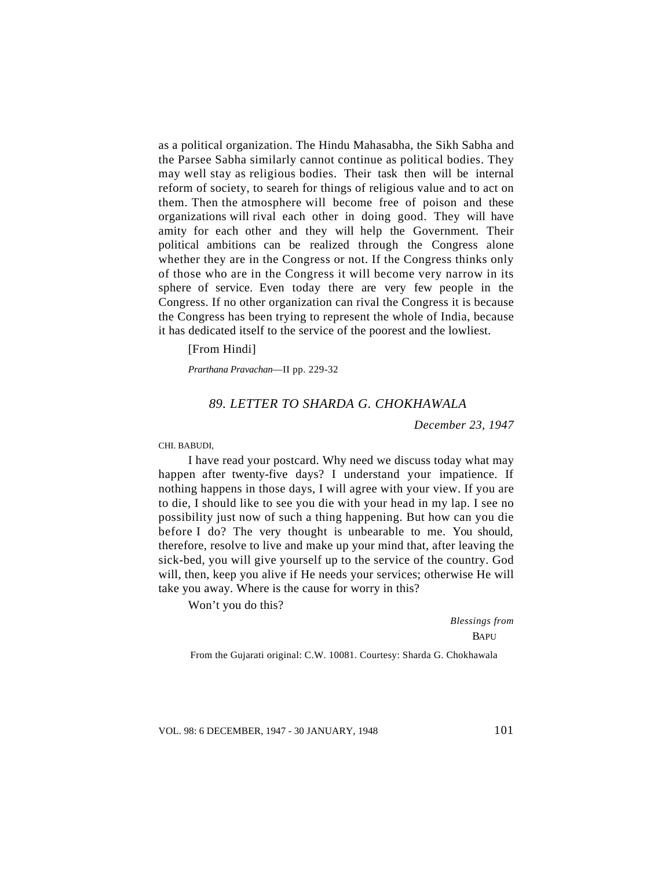as a political organization. The Hindu Mahasabha, the Sikh Sabha and the Parsee Sabha similarly cannot continue as political bodies. They may well stay as religious bodies. Their task then will be internal reform of society, to seareh for things of religious value and to act on them. Then the atmosphere will become free of poison and these organizations will rival each other in doing good. They will have amity for each other and they will help the Government. Their political ambitions can be realized through the Congress alone whether they are in the Congress or not. If the Congress thinks only of those who are in the Congress it will become very narrow in its sphere of service. Even today there are very few people in the Congress. If no other organization can rival the Congress it is because the Congress has been trying to represent the whole of India, because it has dedicated itself to the service of the poorest and the lowliest.

[From Hindi]

*Prarthana Pravachan*—II pp. 229-32

# *89. LETTER TO SHARDA G. CHOKHAWALA*

*December 23, 1947*

CHI. BABUDI,

I have read your postcard. Why need we discuss today what may happen after twenty-five days? I understand your impatience. If nothing happens in those days, I will agree with your view. If you are to die, I should like to see you die with your head in my lap. I see no possibility just now of such a thing happening. But how can you die before I do? The very thought is unbearable to me. You should, therefore, resolve to live and make up your mind that, after leaving the sick-bed, you will give yourself up to the service of the country. God will, then, keep you alive if He needs your services; otherwise He will take you away. Where is the cause for worry in this?

Won't you do this?

*Blessings from* **BAPU** 

From the Gujarati original: C.W. 10081. Courtesy: Sharda G. Chokhawala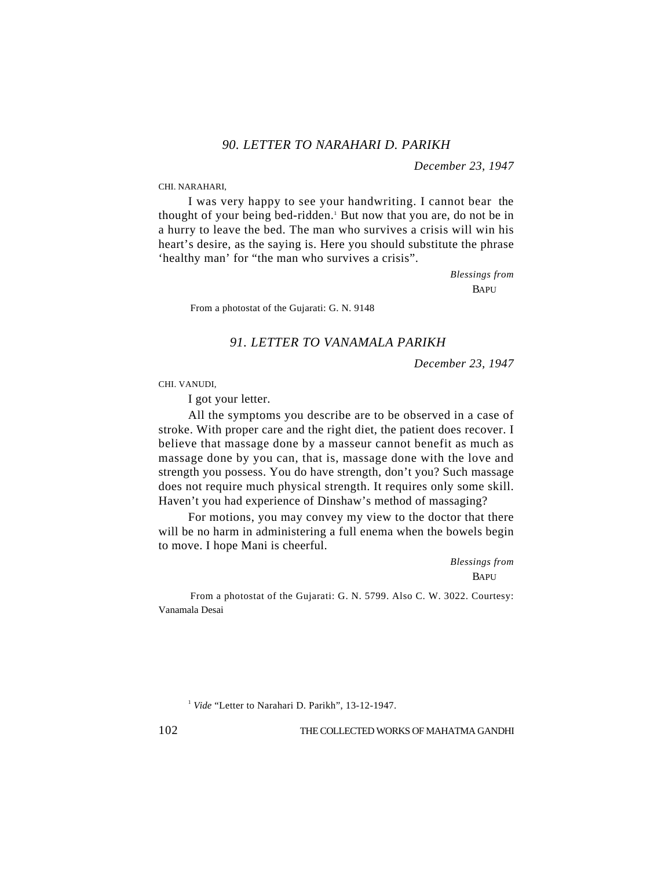# *90. LETTER TO NARAHARI D. PARIKH*

*December 23, 1947*

CHI. NARAHARI,

I was very happy to see your handwriting. I cannot bear the thought of your being bed-ridden.<sup>1</sup> But now that you are, do not be in a hurry to leave the bed. The man who survives a crisis will win his heart's desire, as the saying is. Here you should substitute the phrase 'healthy man' for "the man who survives a crisis".

> *Blessings from* **BAPU**

From a photostat of the Gujarati: G. N. 9148

# *91. LETTER TO VANAMALA PARIKH*

*December 23, 1947*

CHI. VANUDI,

I got your letter.

All the symptoms you describe are to be observed in a case of stroke. With proper care and the right diet, the patient does recover. I believe that massage done by a masseur cannot benefit as much as massage done by you can, that is, massage done with the love and strength you possess. You do have strength, don't you? Such massage does not require much physical strength. It requires only some skill. Haven't you had experience of Dinshaw's method of massaging?

For motions, you may convey my view to the doctor that there will be no harm in administering a full enema when the bowels begin to move. I hope Mani is cheerful.

> *Blessings from* **BAPU**

From a photostat of the Gujarati: G. N. 5799. Also C. W. 3022. Courtesy: Vanamala Desai

<sup>1</sup> Vide "Letter to Narahari D. Parikh", 13-12-1947.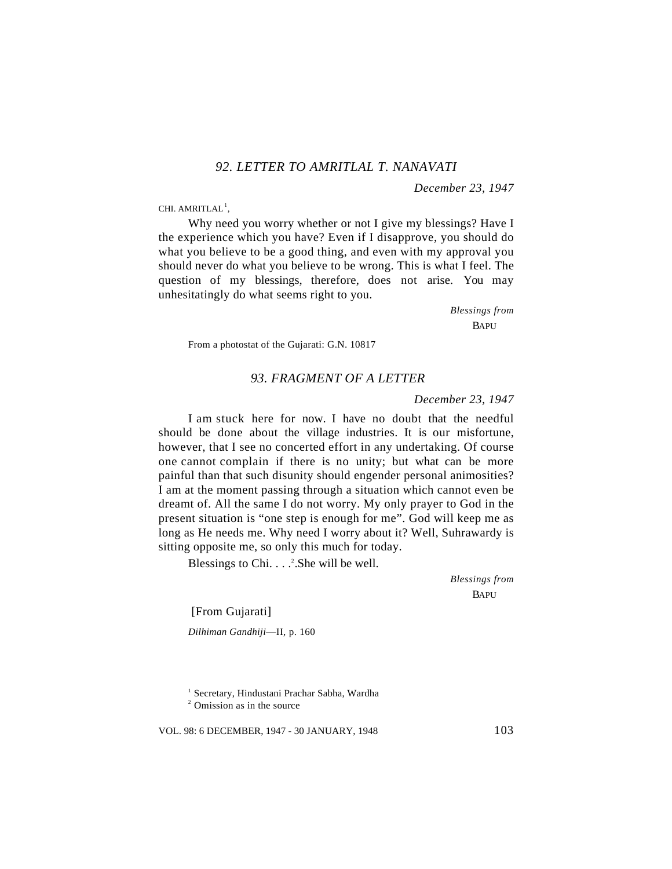*December 23, 1947*

CHI. AMRITLAL $^1,$ 

Why need you worry whether or not I give my blessings? Have I the experience which you have? Even if I disapprove, you should do what you believe to be a good thing, and even with my approval you should never do what you believe to be wrong. This is what I feel. The question of my blessings, therefore, does not arise. You may unhesitatingly do what seems right to you.

> *Blessings from* **BAPU**

From a photostat of the Gujarati: G.N. 10817

# *93. FRAGMENT OF A LETTER*

*December 23, 1947*

I am stuck here for now. I have no doubt that the needful should be done about the village industries. It is our misfortune, however, that I see no concerted effort in any undertaking. Of course one cannot complain if there is no unity; but what can be more painful than that such disunity should engender personal animosities? I am at the moment passing through a situation which cannot even be dreamt of. All the same I do not worry. My only prayer to God in the present situation is "one step is enough for me". God will keep me as long as He needs me. Why need I worry about it? Well, Suhrawardy is sitting opposite me, so only this much for today.

Blessings to Chi.  $\ldots$ <sup>2</sup>. She will be well.

*Blessings from* **BAPU** 

[From Gujarati]

*Dilhiman Gandhiji*—II, p. 160

1 Secretary, Hindustani Prachar Sabha, Wardha

2 Omission as in the source

VOL. 98: 6 DECEMBER, 1947 - 30 JANUARY, 1948 103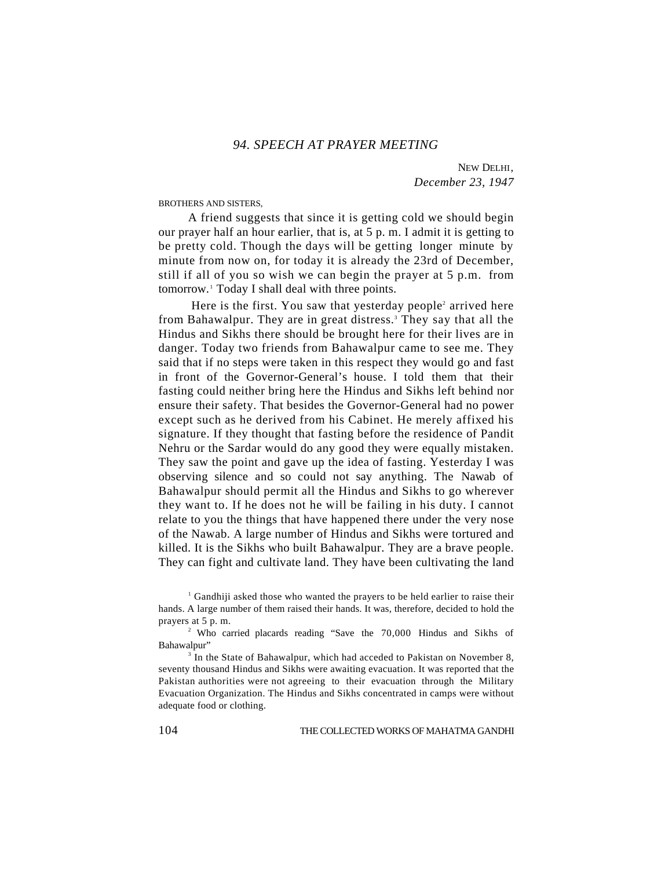# *94. SPEECH AT PRAYER MEETING*

NEW DELHI. *December 23, 1947*

BROTHERS AND SISTERS,

A friend suggests that since it is getting cold we should begin our prayer half an hour earlier, that is, at 5 p. m. I admit it is getting to be pretty cold. Though the days will be getting longer minute by minute from now on, for today it is already the 23rd of December, still if all of you so wish we can begin the prayer at 5 p.m. from tomorrow.<sup>1</sup> Today I shall deal with three points.

Here is the first. You saw that yesterday people<sup>2</sup> arrived here from Bahawalpur. They are in great distress.<sup>3</sup> They say that all the Hindus and Sikhs there should be brought here for their lives are in danger. Today two friends from Bahawalpur came to see me. They said that if no steps were taken in this respect they would go and fast in front of the Governor-General's house. I told them that their fasting could neither bring here the Hindus and Sikhs left behind nor ensure their safety. That besides the Governor-General had no power except such as he derived from his Cabinet. He merely affixed his signature. If they thought that fasting before the residence of Pandit Nehru or the Sardar would do any good they were equally mistaken. They saw the point and gave up the idea of fasting. Yesterday I was observing silence and so could not say anything. The Nawab of Bahawalpur should permit all the Hindus and Sikhs to go wherever they want to. If he does not he will be failing in his duty. I cannot relate to you the things that have happened there under the very nose of the Nawab. A large number of Hindus and Sikhs were tortured and killed. It is the Sikhs who built Bahawalpur. They are a brave people. They can fight and cultivate land. They have been cultivating the land

<sup>&</sup>lt;sup>1</sup> Gandhiji asked those who wanted the prayers to be held earlier to raise their hands. A large number of them raised their hands. It was, therefore, decided to hold the prayers at 5 p. m.

<sup>&</sup>lt;sup>2</sup> Who carried placards reading "Save the 70,000 Hindus and Sikhs of Bahawalpur"

<sup>&</sup>lt;sup>3</sup> In the State of Bahawalpur, which had acceded to Pakistan on November 8, seventy thousand Hindus and Sikhs were awaiting evacuation. It was reported that the Pakistan authorities were not agreeing to their evacuation through the Military Evacuation Organization. The Hindus and Sikhs concentrated in camps were without adequate food or clothing.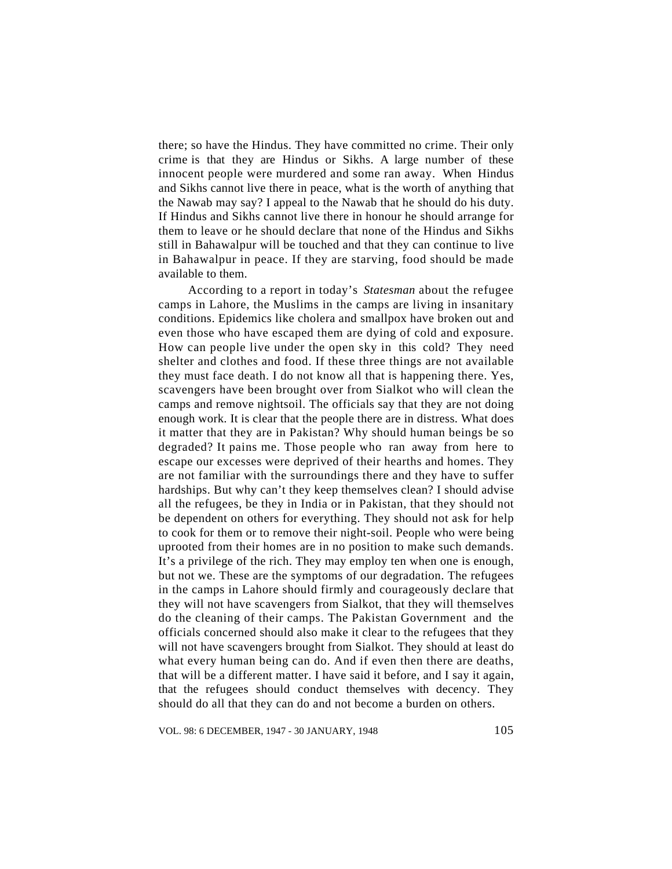there; so have the Hindus. They have committed no crime. Their only crime is that they are Hindus or Sikhs. A large number of these innocent people were murdered and some ran away. When Hindus and Sikhs cannot live there in peace, what is the worth of anything that the Nawab may say? I appeal to the Nawab that he should do his duty. If Hindus and Sikhs cannot live there in honour he should arrange for them to leave or he should declare that none of the Hindus and Sikhs still in Bahawalpur will be touched and that they can continue to live in Bahawalpur in peace. If they are starving, food should be made available to them.

According to a report in today's *Statesman* about the refugee camps in Lahore, the Muslims in the camps are living in insanitary conditions. Epidemics like cholera and smallpox have broken out and even those who have escaped them are dying of cold and exposure. How can people live under the open sky in this cold? They need shelter and clothes and food. If these three things are not available they must face death. I do not know all that is happening there. Yes, scavengers have been brought over from Sialkot who will clean the camps and remove nightsoil. The officials say that they are not doing enough work. It is clear that the people there are in distress. What does it matter that they are in Pakistan? Why should human beings be so degraded? It pains me. Those people who ran away from here to escape our excesses were deprived of their hearths and homes. They are not familiar with the surroundings there and they have to suffer hardships. But why can't they keep themselves clean? I should advise all the refugees, be they in India or in Pakistan, that they should not be dependent on others for everything. They should not ask for help to cook for them or to remove their night-soil. People who were being uprooted from their homes are in no position to make such demands. It's a privilege of the rich. They may employ ten when one is enough, but not we. These are the symptoms of our degradation. The refugees in the camps in Lahore should firmly and courageously declare that they will not have scavengers from Sialkot, that they will themselves do the cleaning of their camps. The Pakistan Government and the officials concerned should also make it clear to the refugees that they will not have scavengers brought from Sialkot. They should at least do what every human being can do. And if even then there are deaths, that will be a different matter. I have said it before, and I say it again, that the refugees should conduct themselves with decency. They should do all that they can do and not become a burden on others.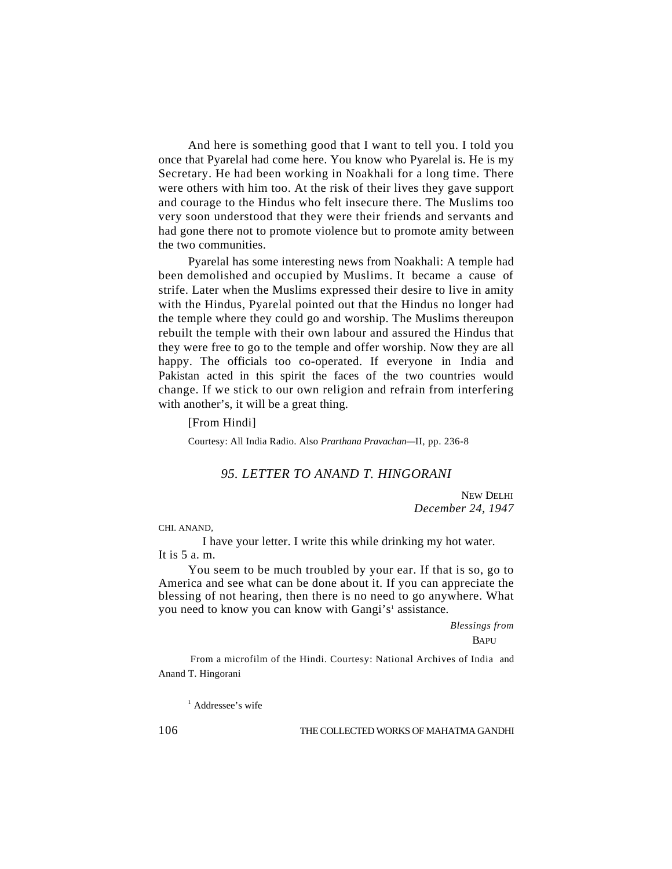And here is something good that I want to tell you. I told you once that Pyarelal had come here. You know who Pyarelal is. He is my Secretary. He had been working in Noakhali for a long time. There were others with him too. At the risk of their lives they gave support and courage to the Hindus who felt insecure there. The Muslims too very soon understood that they were their friends and servants and had gone there not to promote violence but to promote amity between the two communities.

Pyarelal has some interesting news from Noakhali: A temple had been demolished and occupied by Muslims. It became a cause of strife. Later when the Muslims expressed their desire to live in amity with the Hindus, Pyarelal pointed out that the Hindus no longer had the temple where they could go and worship. The Muslims thereupon rebuilt the temple with their own labour and assured the Hindus that they were free to go to the temple and offer worship. Now they are all happy. The officials too co-operated. If everyone in India and Pakistan acted in this spirit the faces of the two countries would change. If we stick to our own religion and refrain from interfering with another's, it will be a great thing.

[From Hindi]

Courtesy: All India Radio. Also *Prarthana Pravachan—*II, pp. 236-8

### *95. LETTER TO ANAND T. HINGORANI*

NEW DELHI *December 24, 1947*

CHI. ANAND,

I have your letter. I write this while drinking my hot water. It is  $5$  a.m.

You seem to be much troubled by your ear. If that is so, go to America and see what can be done about it. If you can appreciate the blessing of not hearing, then there is no need to go anywhere. What you need to know you can know with Gangi's' assistance.

*Blessings from*

**BAPU** 

From a microfilm of the Hindi. Courtesy: National Archives of India and Anand T. Hingorani

<sup>1</sup> Addressee's wife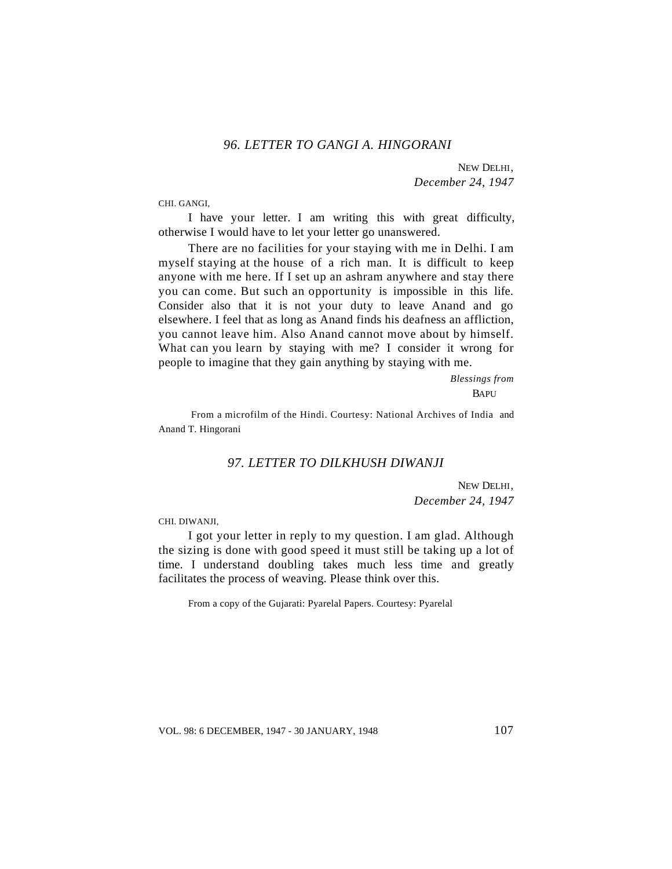# *96. LETTER TO GANGI A. HINGORANI*

NEW DELHI. *December 24, 1947*

CHI. GANGI,

I have your letter. I am writing this with great difficulty, otherwise I would have to let your letter go unanswered.

There are no facilities for your staying with me in Delhi. I am myself staying at the house of a rich man. It is difficult to keep anyone with me here. If I set up an ashram anywhere and stay there you can come. But such an opportunity is impossible in this life. Consider also that it is not your duty to leave Anand and go elsewhere. I feel that as long as Anand finds his deafness an affliction, you cannot leave him. Also Anand cannot move about by himself. What can you learn by staying with me? I consider it wrong for people to imagine that they gain anything by staying with me.

> *Blessings from* **BAPU**

 From a microfilm of the Hindi. Courtesy: National Archives of India and Anand T. Hingorani

# *97. LETTER TO DILKHUSH DIWANJI*

NEW DELHI, *December 24, 1947*

CHI. DIWANJI,

I got your letter in reply to my question. I am glad. Although the sizing is done with good speed it must still be taking up a lot of time. I understand doubling takes much less time and greatly facilitates the process of weaving. Please think over this.

From a copy of the Gujarati: Pyarelal Papers. Courtesy: Pyarelal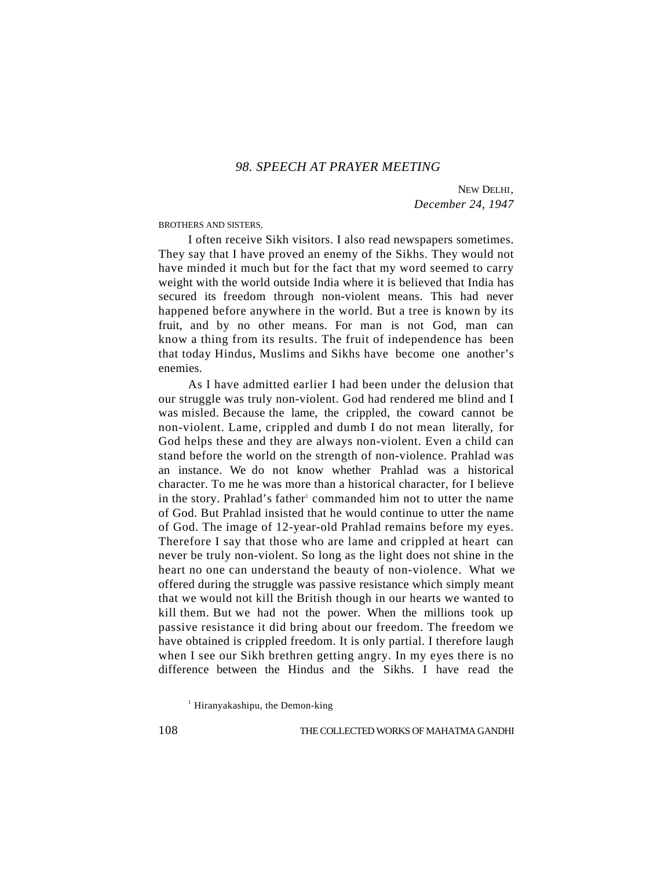# *98. SPEECH AT PRAYER MEETING*

NEW DELHI, *December 24, 1947*

#### BROTHERS AND SISTERS,

I often receive Sikh visitors. I also read newspapers sometimes. They say that I have proved an enemy of the Sikhs. They would not have minded it much but for the fact that my word seemed to carry weight with the world outside India where it is believed that India has secured its freedom through non-violent means. This had never happened before anywhere in the world. But a tree is known by its fruit, and by no other means. For man is not God, man can know a thing from its results. The fruit of independence has been that today Hindus, Muslims and Sikhs have become one another's enemies.

As I have admitted earlier I had been under the delusion that our struggle was truly non-violent. God had rendered me blind and I was misled. Because the lame, the crippled, the coward cannot be non-violent. Lame, crippled and dumb I do not mean literally, for God helps these and they are always non-violent. Even a child can stand before the world on the strength of non-violence. Prahlad was an instance. We do not know whether Prahlad was a historical character. To me he was more than a historical character, for I believe in the story. Prahlad's father<sup>1</sup> commanded him not to utter the name of God. But Prahlad insisted that he would continue to utter the name of God. The image of 12-year-old Prahlad remains before my eyes. Therefore I say that those who are lame and crippled at heart can never be truly non-violent. So long as the light does not shine in the heart no one can understand the beauty of non-violence. What we offered during the struggle was passive resistance which simply meant that we would not kill the British though in our hearts we wanted to kill them. But we had not the power. When the millions took up passive resistance it did bring about our freedom. The freedom we have obtained is crippled freedom. It is only partial. I therefore laugh when I see our Sikh brethren getting angry. In my eyes there is no difference between the Hindus and the Sikhs. I have read the

<sup>1</sup> Hiranyakashipu, the Demon-king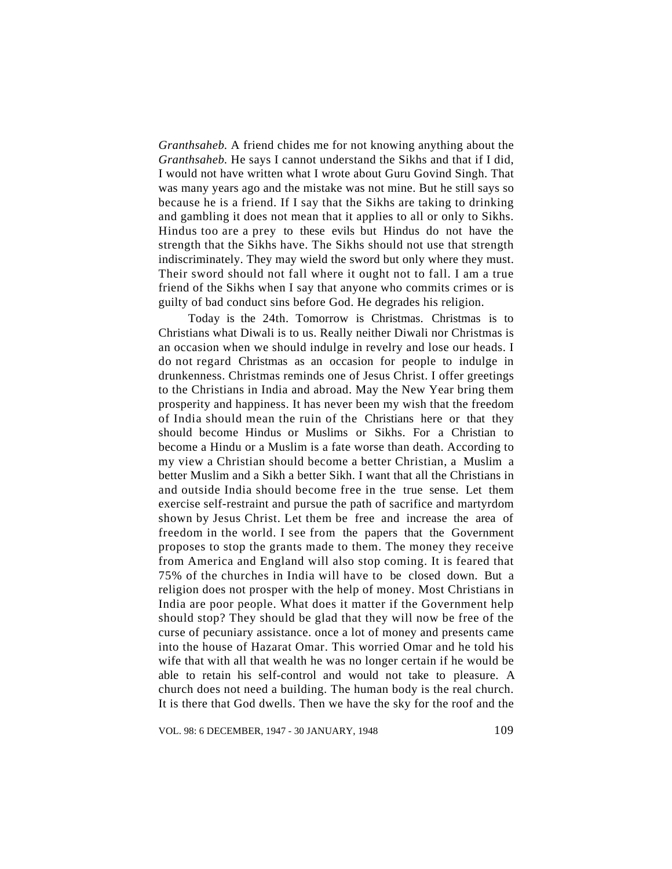*Granthsaheb.* A friend chides me for not knowing anything about the *Granthsaheb.* He says I cannot understand the Sikhs and that if I did, I would not have written what I wrote about Guru Govind Singh. That was many years ago and the mistake was not mine. But he still says so because he is a friend. If I say that the Sikhs are taking to drinking and gambling it does not mean that it applies to all or only to Sikhs. Hindus too are a prey to these evils but Hindus do not have the strength that the Sikhs have. The Sikhs should not use that strength indiscriminately. They may wield the sword but only where they must. Their sword should not fall where it ought not to fall. I am a true friend of the Sikhs when I say that anyone who commits crimes or is guilty of bad conduct sins before God. He degrades his religion.

Today is the 24th. Tomorrow is Christmas. Christmas is to Christians what Diwali is to us. Really neither Diwali nor Christmas is an occasion when we should indulge in revelry and lose our heads. I do not regard Christmas as an occasion for people to indulge in drunkenness. Christmas reminds one of Jesus Christ. I offer greetings to the Christians in India and abroad. May the New Year bring them prosperity and happiness. It has never been my wish that the freedom of India should mean the ruin of the Christians here or that they should become Hindus or Muslims or Sikhs. For a Christian to become a Hindu or a Muslim is a fate worse than death. According to my view a Christian should become a better Christian, a Muslim a better Muslim and a Sikh a better Sikh. I want that all the Christians in and outside India should become free in the true sense. Let them exercise self-restraint and pursue the path of sacrifice and martyrdom shown by Jesus Christ. Let them be free and increase the area of freedom in the world. I see from the papers that the Government proposes to stop the grants made to them. The money they receive from America and England will also stop coming. It is feared that 75% of the churches in India will have to be closed down. But a religion does not prosper with the help of money. Most Christians in India are poor people. What does it matter if the Government help should stop? They should be glad that they will now be free of the curse of pecuniary assistance. once a lot of money and presents came into the house of Hazarat Omar. This worried Omar and he told his wife that with all that wealth he was no longer certain if he would be able to retain his self-control and would not take to pleasure. A church does not need a building. The human body is the real church. It is there that God dwells. Then we have the sky for the roof and the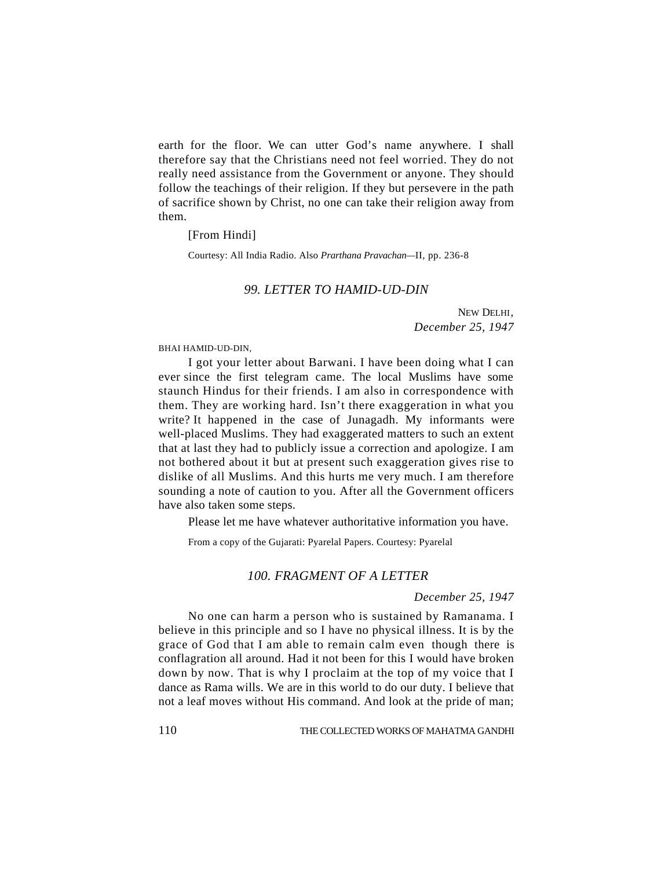earth for the floor. We can utter God's name anywhere. I shall therefore say that the Christians need not feel worried. They do not really need assistance from the Government or anyone. They should follow the teachings of their religion. If they but persevere in the path of sacrifice shown by Christ, no one can take their religion away from them.

[From Hindi]

Courtesy: All India Radio. Also *Prarthana Pravachan—*II, pp. 236-8

#### *99. LETTER TO HAMID-UD-DIN*

NEW DELHI, *December 25, 1947*

BHAI HAMID-UD-DIN,

I got your letter about Barwani. I have been doing what I can ever since the first telegram came. The local Muslims have some staunch Hindus for their friends. I am also in correspondence with them. They are working hard. Isn't there exaggeration in what you write? It happened in the case of Junagadh. My informants were well-placed Muslims. They had exaggerated matters to such an extent that at last they had to publicly issue a correction and apologize. I am not bothered about it but at present such exaggeration gives rise to dislike of all Muslims. And this hurts me very much. I am therefore sounding a note of caution to you. After all the Government officers have also taken some steps.

Please let me have whatever authoritative information you have.

From a copy of the Gujarati: Pyarelal Papers. Courtesy: Pyarelal

### *100. FRAGMENT OF A LETTER*

#### *December 25, 1947*

No one can harm a person who is sustained by Ramanama. I believe in this principle and so I have no physical illness. It is by the grace of God that I am able to remain calm even though there is conflagration all around. Had it not been for this I would have broken down by now. That is why I proclaim at the top of my voice that I dance as Rama wills. We are in this world to do our duty. I believe that not a leaf moves without His command. And look at the pride of man;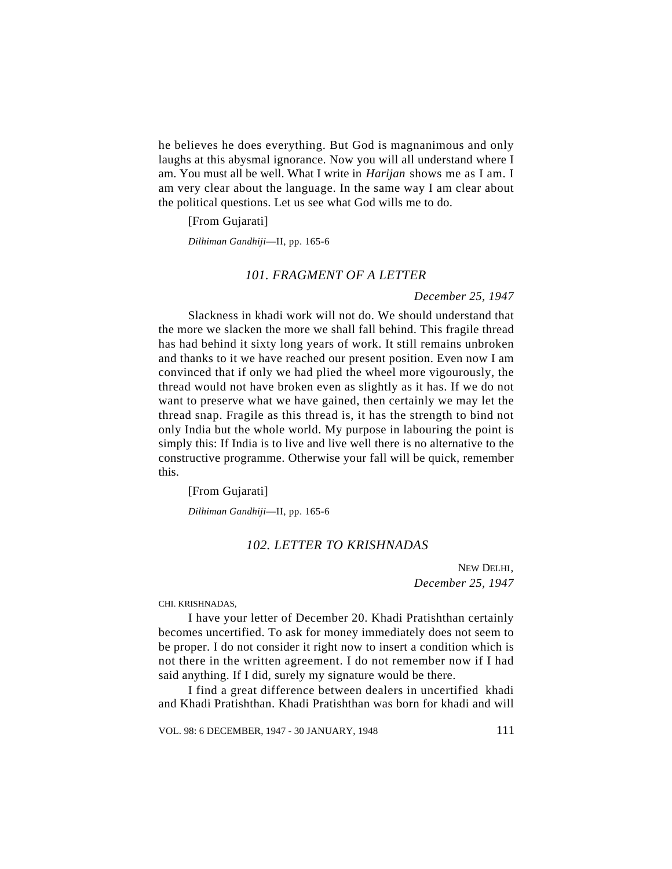he believes he does everything. But God is magnanimous and only laughs at this abysmal ignorance. Now you will all understand where I am. You must all be well. What I write in *Harijan* shows me as I am. I am very clear about the language. In the same way I am clear about the political questions. Let us see what God wills me to do.

[From Gujarati]

*Dilhiman Gandhiji*—II, pp. 165-6

## *101. FRAGMENT OF A LETTER*

*December 25, 1947*

Slackness in khadi work will not do. We should understand that the more we slacken the more we shall fall behind. This fragile thread has had behind it sixty long years of work. It still remains unbroken and thanks to it we have reached our present position. Even now I am convinced that if only we had plied the wheel more vigourously, the thread would not have broken even as slightly as it has. If we do not want to preserve what we have gained, then certainly we may let the thread snap. Fragile as this thread is, it has the strength to bind not only India but the whole world. My purpose in labouring the point is simply this: If India is to live and live well there is no alternative to the constructive programme. Otherwise your fall will be quick, remember this.

[From Gujarati]

*Dilhiman Gandhiji*—II, pp. 165-6

### *102. LETTER TO KRISHNADAS*

NEW DELHI, *December 25, 1947*

CHI. KRISHNADAS,

I have your letter of December 20. Khadi Pratishthan certainly becomes uncertified. To ask for money immediately does not seem to be proper. I do not consider it right now to insert a condition which is not there in the written agreement. I do not remember now if I had said anything. If I did, surely my signature would be there.

I find a great difference between dealers in uncertified khadi and Khadi Pratishthan. Khadi Pratishthan was born for khadi and will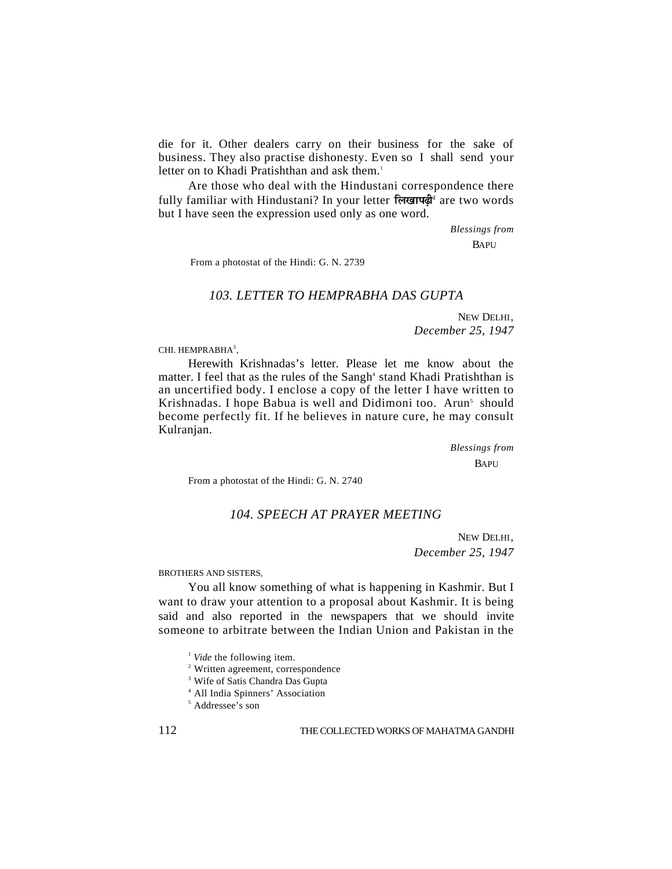die for it. Other dealers carry on their business for the sake of business. They also practise dishonesty. Even so I shall send your letter on to Khadi Pratishthan and ask them.<sup>1</sup>

Are those who deal with the Hindustani correspondence there fully familiar with Hindustani? In your letter लिखापढ़ी<sup>2</sup> are two words but I have seen the expression used only as one word.

> *Blessings from* **BAPU**

From a photostat of the Hindi: G. N. 2739

#### *103. LETTER TO HEMPRABHA DAS GUPTA*

NEW DELHI, *December 25, 1947*

CHI. HEMPRABH $A^3$ ,

Herewith Krishnadas's letter. Please let me know about the matter. I feel that as the rules of the Sangh<sup>4</sup> stand Khadi Pratishthan is an uncertified body. I enclose a copy of the letter I have written to Krishnadas. I hope Babua is well and Didimoni too. Arun<sup>5</sup> should become perfectly fit. If he believes in nature cure, he may consult Kulranjan.

> *Blessings from* **BAPU**

From a photostat of the Hindi: G. N. 2740

## *104. SPEECH AT PRAYER MEETING*

New Delhi *December 25, 1947*

BROTHERS AND SISTERS,

You all know something of what is happening in Kashmir. But I want to draw your attention to a proposal about Kashmir. It is being said and also reported in the newspapers that we should invite someone to arbitrate between the Indian Union and Pakistan in the

<sup>1</sup> *Vide* the following item.

<sup>2</sup> Written agreement, correspondence

<sup>3</sup> Wife of Satis Chandra Das Gupta

4 All India Spinners' Association

5 Addressee's son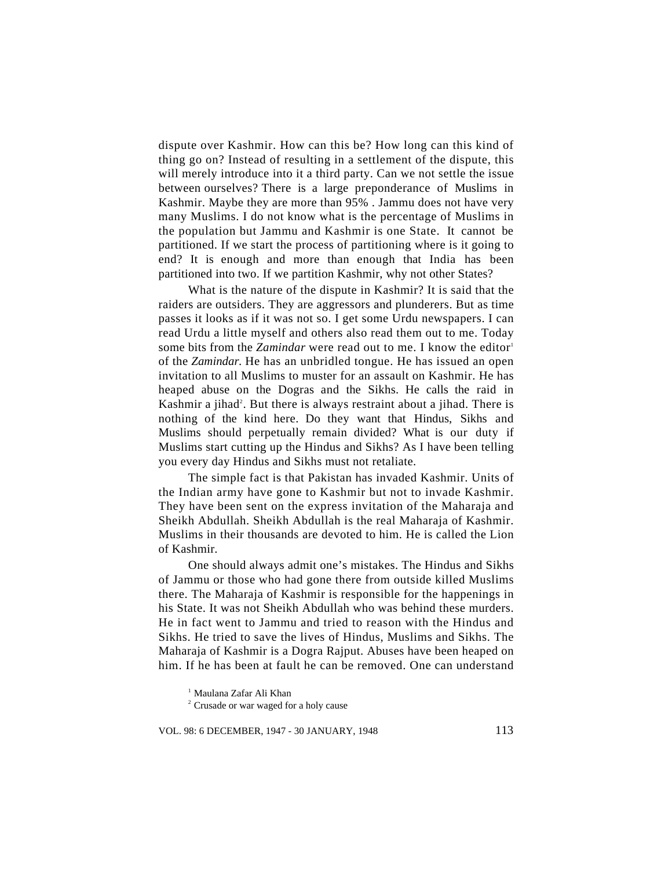dispute over Kashmir. How can this be? How long can this kind of thing go on? Instead of resulting in a settlement of the dispute, this will merely introduce into it a third party. Can we not settle the issue between ourselves? There is a large preponderance of Muslims in Kashmir. Maybe they are more than 95% . Jammu does not have very many Muslims. I do not know what is the percentage of Muslims in the population but Jammu and Kashmir is one State. It cannot be partitioned. If we start the process of partitioning where is it going to end? It is enough and more than enough that India has been partitioned into two. If we partition Kashmir, why not other States?

What is the nature of the dispute in Kashmir? It is said that the raiders are outsiders. They are aggressors and plunderers. But as time passes it looks as if it was not so. I get some Urdu newspapers. I can read Urdu a little myself and others also read them out to me. Today some bits from the *Zamindar* were read out to me. I know the editor<sup>1</sup> of the *Zamindar.* He has an unbridled tongue. He has issued an open invitation to all Muslims to muster for an assault on Kashmir. He has heaped abuse on the Dogras and the Sikhs. He calls the raid in Kashmir a jihad<sup>2</sup>. But there is always restraint about a jihad. There is nothing of the kind here. Do they want that Hindus, Sikhs and Muslims should perpetually remain divided? What is our duty if Muslims start cutting up the Hindus and Sikhs? As I have been telling you every day Hindus and Sikhs must not retaliate.

The simple fact is that Pakistan has invaded Kashmir. Units of the Indian army have gone to Kashmir but not to invade Kashmir. They have been sent on the express invitation of the Maharaja and Sheikh Abdullah. Sheikh Abdullah is the real Maharaja of Kashmir. Muslims in their thousands are devoted to him. He is called the Lion of Kashmir.

One should always admit one's mistakes. The Hindus and Sikhs of Jammu or those who had gone there from outside killed Muslims there. The Maharaja of Kashmir is responsible for the happenings in his State. It was not Sheikh Abdullah who was behind these murders. He in fact went to Jammu and tried to reason with the Hindus and Sikhs. He tried to save the lives of Hindus, Muslims and Sikhs. The Maharaja of Kashmir is a Dogra Rajput. Abuses have been heaped on him. If he has been at fault he can be removed. One can understand

<sup>1</sup> Maulana Zafar Ali Khan

<sup>&</sup>lt;sup>2</sup> Crusade or war waged for a holy cause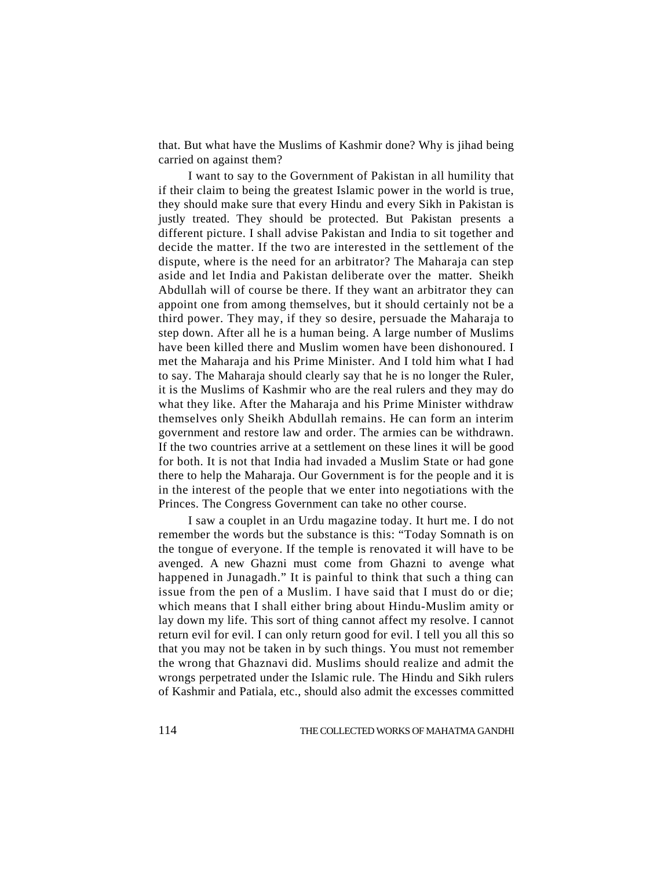that. But what have the Muslims of Kashmir done? Why is jihad being carried on against them?

I want to say to the Government of Pakistan in all humility that if their claim to being the greatest Islamic power in the world is true, they should make sure that every Hindu and every Sikh in Pakistan is justly treated. They should be protected. But Pakistan presents a different picture. I shall advise Pakistan and India to sit together and decide the matter. If the two are interested in the settlement of the dispute, where is the need for an arbitrator? The Maharaja can step aside and let India and Pakistan deliberate over the matter. Sheikh Abdullah will of course be there. If they want an arbitrator they can appoint one from among themselves, but it should certainly not be a third power. They may, if they so desire, persuade the Maharaja to step down. After all he is a human being. A large number of Muslims have been killed there and Muslim women have been dishonoured. I met the Maharaja and his Prime Minister. And I told him what I had to say. The Maharaja should clearly say that he is no longer the Ruler, it is the Muslims of Kashmir who are the real rulers and they may do what they like. After the Maharaja and his Prime Minister withdraw themselves only Sheikh Abdullah remains. He can form an interim government and restore law and order. The armies can be withdrawn. If the two countries arrive at a settlement on these lines it will be good for both. It is not that India had invaded a Muslim State or had gone there to help the Maharaja. Our Government is for the people and it is in the interest of the people that we enter into negotiations with the Princes. The Congress Government can take no other course.

I saw a couplet in an Urdu magazine today. It hurt me. I do not remember the words but the substance is this: "Today Somnath is on the tongue of everyone. If the temple is renovated it will have to be avenged. A new Ghazni must come from Ghazni to avenge what happened in Junagadh." It is painful to think that such a thing can issue from the pen of a Muslim. I have said that I must do or die; which means that I shall either bring about Hindu-Muslim amity or lay down my life. This sort of thing cannot affect my resolve. I cannot return evil for evil. I can only return good for evil. I tell you all this so that you may not be taken in by such things. You must not remember the wrong that Ghaznavi did. Muslims should realize and admit the wrongs perpetrated under the Islamic rule. The Hindu and Sikh rulers of Kashmir and Patiala, etc., should also admit the excesses committed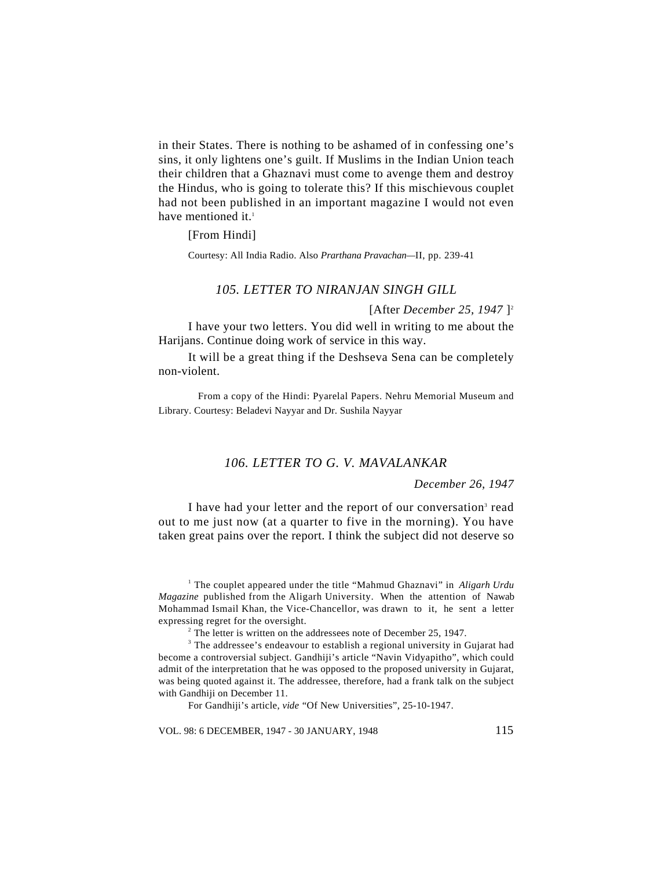in their States. There is nothing to be ashamed of in confessing one's sins, it only lightens one's guilt. If Muslims in the Indian Union teach their children that a Ghaznavi must come to avenge them and destroy the Hindus, who is going to tolerate this? If this mischievous couplet had not been published in an important magazine I would not even have mentioned it. $<sup>1</sup>$ </sup>

[From Hindi]

Courtesy: All India Radio. Also *Prarthana Pravachan—*II, pp. 239-41

### *105. LETTER TO NIRANJAN SINGH GILL*

[After *December 25, 1947* ] 2

I have your two letters. You did well in writing to me about the Harijans. Continue doing work of service in this way.

It will be a great thing if the Deshseva Sena can be completely non-violent.

From a copy of the Hindi: Pyarelal Papers. Nehru Memorial Museum and Library. Courtesy: Beladevi Nayyar and Dr. Sushila Nayyar

## *106. LETTER TO G. V. MAVALANKAR*

*December 26, 1947*

I have had your letter and the report of our conversation<sup>3</sup> read out to me just now (at a quarter to five in the morning). You have taken great pains over the report. I think the subject did not deserve so

<sup>1</sup> The couplet appeared under the title "Mahmud Ghaznavi" in Aligarh Urdu *Magazine* published from the Aligarh University. When the attention of Nawab Mohammad Ismail Khan, the Vice-Chancellor, was drawn to it, he sent a letter expressing regret for the oversight.

 $2^2$  The letter is written on the addressees note of December 25, 1947.

<sup>3</sup> The addressee's endeavour to establish a regional university in Gujarat had become a controversial subject. Gandhiji's article "Navin Vidyapitho", which could admit of the interpretation that he was opposed to the proposed university in Gujarat, was being quoted against it. The addressee, therefore, had a frank talk on the subject with Gandhiji on December 11.

For Gandhiji's article, *vide* "Of New Universities", 25-10-1947.

VOL. 98: 6 DECEMBER, 1947 - 30 JANUARY, 1948 115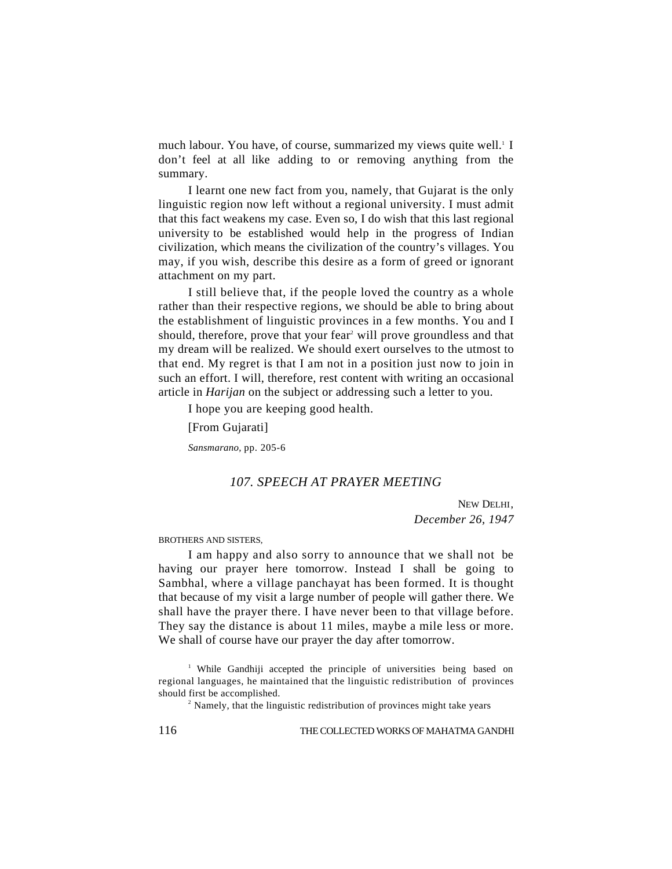much labour. You have, of course, summarized my views quite well.<sup>1</sup> I don't feel at all like adding to or removing anything from the summary.

I learnt one new fact from you, namely, that Gujarat is the only linguistic region now left without a regional university. I must admit that this fact weakens my case. Even so, I do wish that this last regional university to be established would help in the progress of Indian civilization, which means the civilization of the country's villages. You may, if you wish, describe this desire as a form of greed or ignorant attachment on my part.

I still believe that, if the people loved the country as a whole rather than their respective regions, we should be able to bring about the establishment of linguistic provinces in a few months. You and I should, therefore, prove that your fear<sup>2</sup> will prove groundless and that my dream will be realized. We should exert ourselves to the utmost to that end. My regret is that I am not in a position just now to join in such an effort. I will, therefore, rest content with writing an occasional article in *Harijan* on the subject or addressing such a letter to you.

I hope you are keeping good health.

[From Gujarati]

*Sansmarano,* pp. 205-6

## *107. SPEECH AT PRAYER MEETING*

NEW DELHI, *December 26, 1947*

BROTHERS AND SISTERS,

I am happy and also sorry to announce that we shall not be having our prayer here tomorrow. Instead I shall be going to Sambhal, where a village panchayat has been formed. It is thought that because of my visit a large number of people will gather there. We shall have the prayer there. I have never been to that village before. They say the distance is about 11 miles, maybe a mile less or more. We shall of course have our prayer the day after tomorrow.

 $2$  Namely, that the linguistic redistribution of provinces might take years

<sup>&</sup>lt;sup>1</sup> While Gandhiji accepted the principle of universities being based on regional languages, he maintained that the linguistic redistribution of provinces should first be accomplished.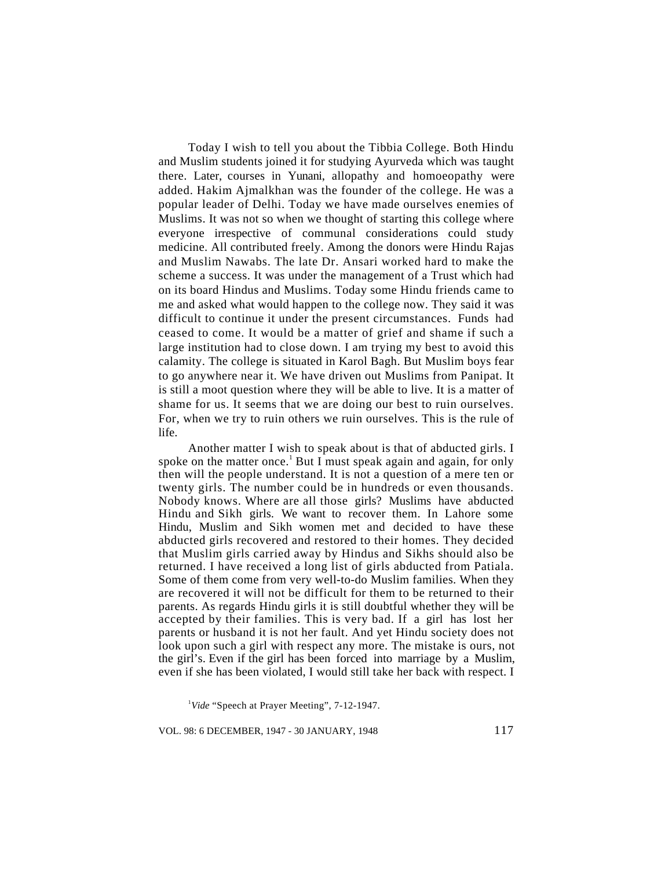Today I wish to tell you about the Tibbia College. Both Hindu and Muslim students joined it for studying Ayurveda which was taught there. Later, courses in Yunani, allopathy and homoeopathy were added. Hakim Ajmalkhan was the founder of the college. He was a popular leader of Delhi. Today we have made ourselves enemies of Muslims. It was not so when we thought of starting this college where everyone irrespective of communal considerations could study medicine. All contributed freely. Among the donors were Hindu Rajas and Muslim Nawabs. The late Dr. Ansari worked hard to make the scheme a success. It was under the management of a Trust which had on its board Hindus and Muslims. Today some Hindu friends came to me and asked what would happen to the college now. They said it was difficult to continue it under the present circumstances. Funds had ceased to come. It would be a matter of grief and shame if such a large institution had to close down. I am trying my best to avoid this calamity. The college is situated in Karol Bagh. But Muslim boys fear to go anywhere near it. We have driven out Muslims from Panipat. It is still a moot question where they will be able to live. It is a matter of shame for us. It seems that we are doing our best to ruin ourselves. For, when we try to ruin others we ruin ourselves. This is the rule of life.

Another matter I wish to speak about is that of abducted girls. I spoke on the matter once.<sup>1</sup> But I must speak again and again, for only then will the people understand. It is not a question of a mere ten or twenty girls. The number could be in hundreds or even thousands. Nobody knows. Where are all those girls? Muslims have abducted Hindu and Sikh girls. We want to recover them. In Lahore some Hindu, Muslim and Sikh women met and decided to have these abducted girls recovered and restored to their homes. They decided that Muslim girls carried away by Hindus and Sikhs should also be returned. I have received a long list of girls abducted from Patiala. Some of them come from very well-to-do Muslim families. When they are recovered it will not be difficult for them to be returned to their parents. As regards Hindu girls it is still doubtful whether they will be accepted by their families. This is very bad. If a girl has lost her parents or husband it is not her fault. And yet Hindu society does not look upon such a girl with respect any more. The mistake is ours, not the girl's. Even if the girl has been forced into marriage by a Muslim, even if she has been violated, I would still take her back with respect. I

<sup>1</sup>*Vide* "Speech at Prayer Meeting", 7-12-1947.

VOL. 98: 6 DECEMBER, 1947 - 30 JANUARY, 1948 117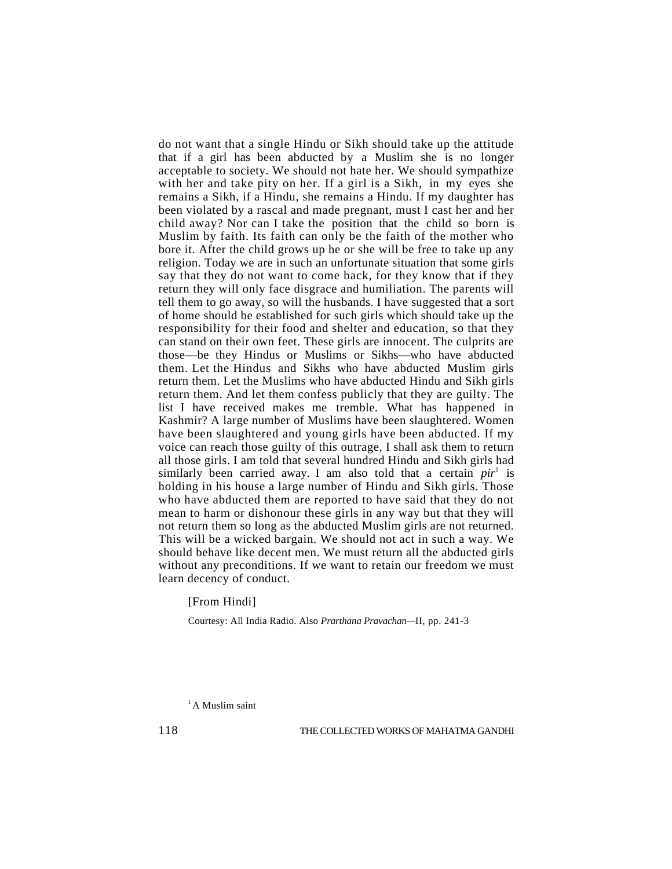do not want that a single Hindu or Sikh should take up the attitude that if a girl has been abducted by a Muslim she is no longer acceptable to society. We should not hate her. We should sympathize with her and take pity on her. If a girl is a Sikh, in my eyes she remains a Sikh, if a Hindu, she remains a Hindu. If my daughter has been violated by a rascal and made pregnant, must I cast her and her child away? Nor can I take the position that the child so born is Muslim by faith. Its faith can only be the faith of the mother who bore it. After the child grows up he or she will be free to take up any religion. Today we are in such an unfortunate situation that some girls say that they do not want to come back, for they know that if they return they will only face disgrace and humiliation. The parents will tell them to go away, so will the husbands. I have suggested that a sort of home should be established for such girls which should take up the responsibility for their food and shelter and education, so that they can stand on their own feet. These girls are innocent. The culprits are those—be they Hindus or Muslims or Sikhs—who have abducted them. Let the Hindus and Sikhs who have abducted Muslim girls return them. Let the Muslims who have abducted Hindu and Sikh girls return them. And let them confess publicly that they are guilty. The list I have received makes me tremble. What has happened in Kashmir? A large number of Muslims have been slaughtered. Women have been slaughtered and young girls have been abducted. If my voice can reach those guilty of this outrage, I shall ask them to return all those girls. I am told that several hundred Hindu and Sikh girls had similarly been carried away. I am also told that a certain *pir*<sup>1</sup> is holding in his house a large number of Hindu and Sikh girls. Those who have abducted them are reported to have said that they do not mean to harm or dishonour these girls in any way but that they will not return them so long as the abducted Muslim girls are not returned. This will be a wicked bargain. We should not act in such a way. We should behave like decent men. We must return all the abducted girls without any preconditions. If we want to retain our freedom we must learn decency of conduct.

## [From Hindi]

Courtesy: All India Radio. Also *Prarthana Pravachan—*II, pp. 241-3

 $<sup>1</sup>$  A Muslim saint</sup>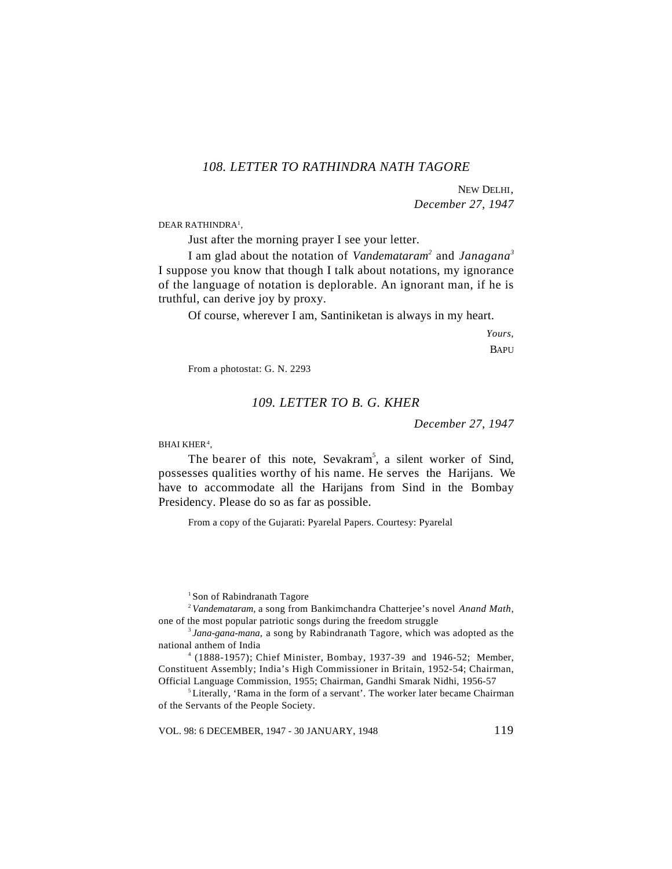## *108. LETTER TO RATHINDRA NATH TAGORE*

NEW DELHI, *December 27, 1947*

DEAR RATHINDRA<sup>1</sup>,

Just after the morning prayer I see your letter.

I am glad about the notation of *Vandemataram*<sup>2</sup> and *Janagana*<sup>3</sup> I suppose you know that though I talk about notations, my ignorance of the language of notation is deplorable. An ignorant man, if he is truthful, can derive joy by proxy.

Of course, wherever I am, Santiniketan is always in my heart.

*Yours,* **BAPU** 

From a photostat: G. N. 2293

#### *109. LETTER TO B. G. KHER*

*December 27, 1947*

 $B$ HAI KHER<sup>4</sup>,

The bearer of this note, Sevakram<sup>5</sup>, a silent worker of Sind, possesses qualities worthy of his name. He serves the Harijans. We have to accommodate all the Harijans from Sind in the Bombay Presidency. Please do so as far as possible.

From a copy of the Gujarati: Pyarelal Papers. Courtesy: Pyarelal

<sup>1</sup> Son of Rabindranath Tagore

<sup>2</sup>*Vandemataram,* a song from Bankimchandra Chatterjee's novel *Anand Math,* one of the most popular patriotic songs during the freedom struggle

<sup>3</sup>*Jana-gana-mana,* a song by Rabindranath Tagore, which was adopted as the national anthem of India

<sup>4</sup>(1888-1957); Chief Minister, Bombay, 1937-39 and 1946-52; Member, Constituent Assembly; India's High Commissioner in Britain, 1952-54; Chairman, Official Language Commission, 1955; Chairman, Gandhi Smarak Nidhi, 1956-57

 $<sup>5</sup>$  Literally, 'Rama in the form of a servant'. The worker later became Chairman</sup> of the Servants of the People Society.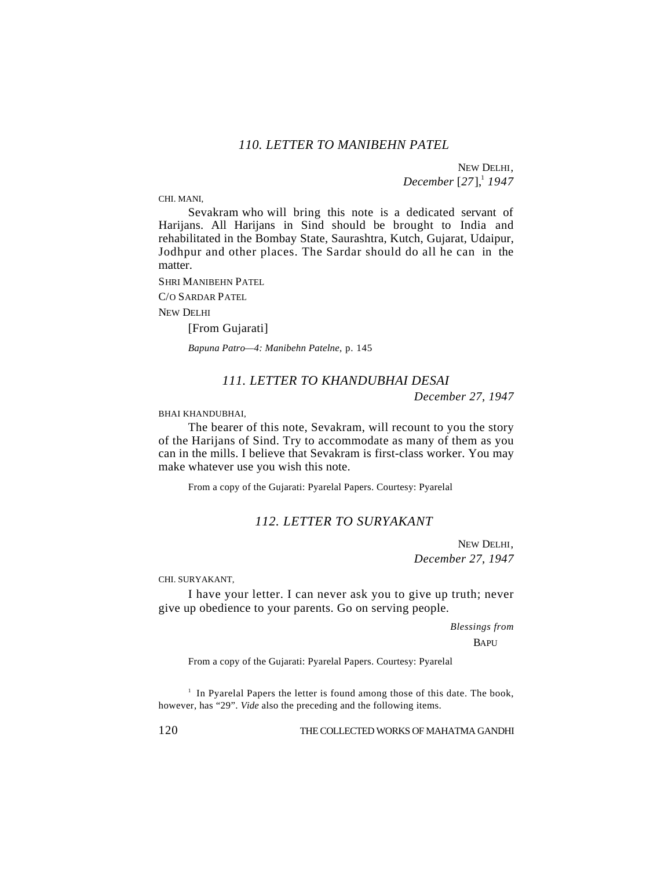## *110. LETTER TO MANIBEHN PATEL*

NEW DELHI. *December* [*27*],<sup>1</sup> *1947*

CHI. MANI,

Sevakram who will bring this note is a dedicated servant of Harijans. All Harijans in Sind should be brought to India and rehabilitated in the Bombay State, Saurashtra, Kutch, Gujarat, Udaipur, Jodhpur and other places. The Sardar should do all he can in the matter.

SHRI MANIBEHN PATEL

C/O SARDAR PATEL

NEW DELHI

[From Gujarati]

*Bapuna Patro—4: Manibehn Patelne*, p. 145

## *111. LETTER TO KHANDUBHAI DESAI*

*December 27, 1947*

BHAI KHANDUBHAI,

The bearer of this note, Sevakram, will recount to you the story of the Harijans of Sind. Try to accommodate as many of them as you can in the mills. I believe that Sevakram is first-class worker. You may make whatever use you wish this note.

From a copy of the Gujarati: Pyarelal Papers. Courtesy: Pyarelal

#### *112. LETTER TO SURYAKANT*

NEW DELHI, *December 27, 1947*

CHI. SURYAKANT,

I have your letter. I can never ask you to give up truth; never give up obedience to your parents. Go on serving people.

*Blessings from*

**BAPU** 

From a copy of the Gujarati: Pyarelal Papers. Courtesy: Pyarelal

 $1$  In Pyarelal Papers the letter is found among those of this date. The book, however, has "29". *Vide* also the preceding and the following items.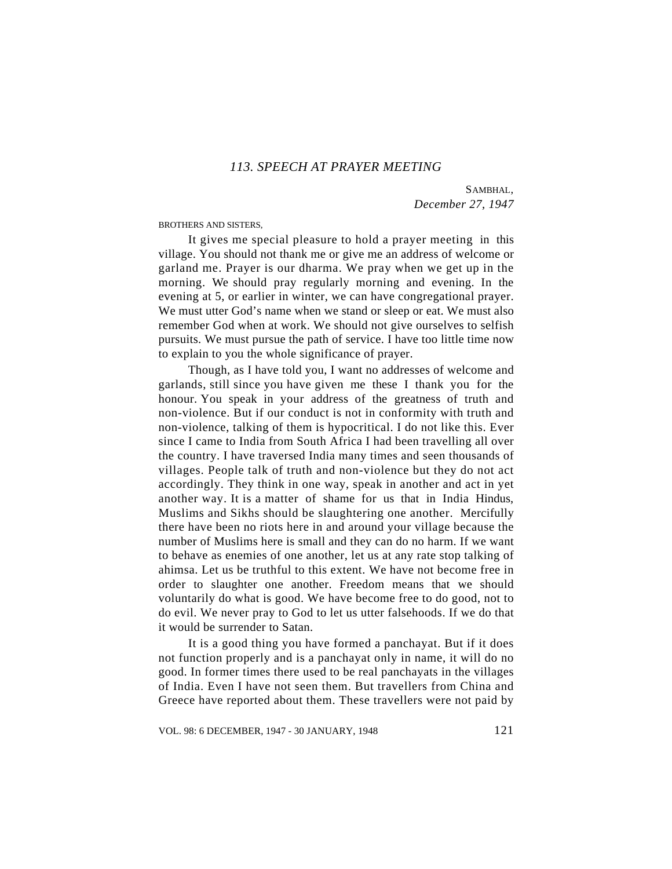SAMBHAL, *December 27, 1947*

#### BROTHERS AND SISTERS,

It gives me special pleasure to hold a prayer meeting in this village. You should not thank me or give me an address of welcome or garland me. Prayer is our dharma. We pray when we get up in the morning. We should pray regularly morning and evening. In the evening at 5, or earlier in winter, we can have congregational prayer. We must utter God's name when we stand or sleep or eat. We must also remember God when at work. We should not give ourselves to selfish pursuits. We must pursue the path of service. I have too little time now to explain to you the whole significance of prayer.

Though, as I have told you, I want no addresses of welcome and garlands, still since you have given me these I thank you for the honour. You speak in your address of the greatness of truth and non-violence. But if our conduct is not in conformity with truth and non-violence, talking of them is hypocritical. I do not like this. Ever since I came to India from South Africa I had been travelling all over the country. I have traversed India many times and seen thousands of villages. People talk of truth and non-violence but they do not act accordingly. They think in one way, speak in another and act in yet another way. It is a matter of shame for us that in India Hindus, Muslims and Sikhs should be slaughtering one another. Mercifully there have been no riots here in and around your village because the number of Muslims here is small and they can do no harm. If we want to behave as enemies of one another, let us at any rate stop talking of ahimsa. Let us be truthful to this extent. We have not become free in order to slaughter one another. Freedom means that we should voluntarily do what is good. We have become free to do good, not to do evil. We never pray to God to let us utter falsehoods. If we do that it would be surrender to Satan.

It is a good thing you have formed a panchayat. But if it does not function properly and is a panchayat only in name, it will do no good. In former times there used to be real panchayats in the villages of India. Even I have not seen them. But travellers from China and Greece have reported about them. These travellers were not paid by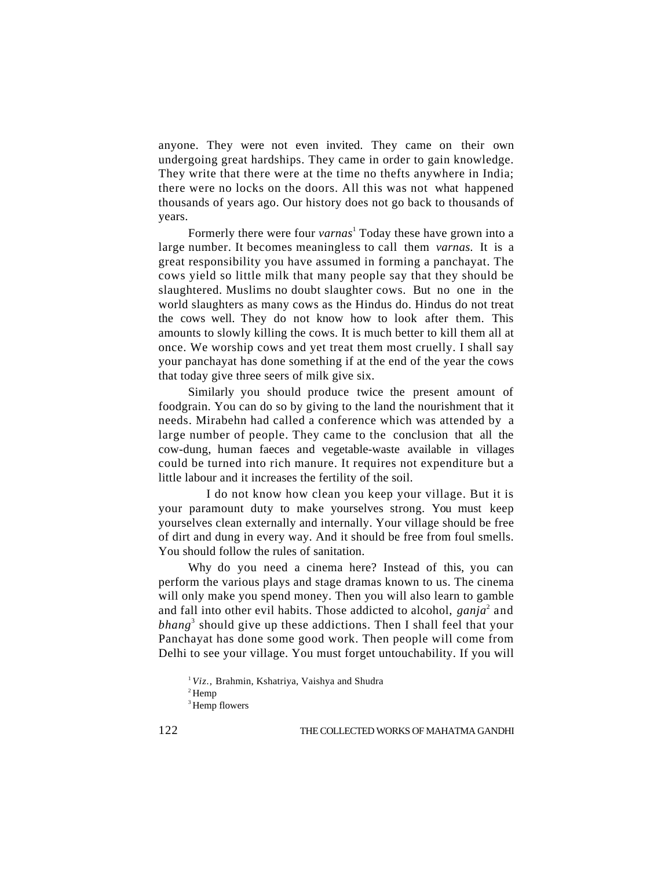anyone. They were not even invited. They came on their own undergoing great hardships. They came in order to gain knowledge. They write that there were at the time no thefts anywhere in India; there were no locks on the doors. All this was not what happened thousands of years ago. Our history does not go back to thousands of years.

Formerly there were four *varnas*<sup>1</sup> Today these have grown into a large number. It becomes meaningless to call them *varnas.* It is a great responsibility you have assumed in forming a panchayat. The cows yield so little milk that many people say that they should be slaughtered. Muslims no doubt slaughter cows. But no one in the world slaughters as many cows as the Hindus do. Hindus do not treat the cows well. They do not know how to look after them. This amounts to slowly killing the cows. It is much better to kill them all at once. We worship cows and yet treat them most cruelly. I shall say your panchayat has done something if at the end of the year the cows that today give three seers of milk give six.

Similarly you should produce twice the present amount of foodgrain. You can do so by giving to the land the nourishment that it needs. Mirabehn had called a conference which was attended by a large number of people. They came to the conclusion that all the cow-dung, human faeces and vegetable-waste available in villages could be turned into rich manure. It requires not expenditure but a little labour and it increases the fertility of the soil.

 I do not know how clean you keep your village. But it is your paramount duty to make yourselves strong. You must keep yourselves clean externally and internally. Your village should be free of dirt and dung in every way. And it should be free from foul smells. You should follow the rules of sanitation.

Why do you need a cinema here? Instead of this, you can perform the various plays and stage dramas known to us. The cinema will only make you spend money. Then you will also learn to gamble and fall into other evil habits. Those addicted to alcohol, *ganja*<sup>2</sup> and *bhang*<sup>3</sup> should give up these addictions. Then I shall feel that your Panchayat has done some good work. Then people will come from Delhi to see your village. You must forget untouchability. If you will

<sup>1</sup>*Viz.,* Brahmin, Kshatriya, Vaishya and Shudra

<sup>&</sup>lt;sup>2</sup>Hemp

<sup>&</sup>lt;sup>3</sup> Hemp flowers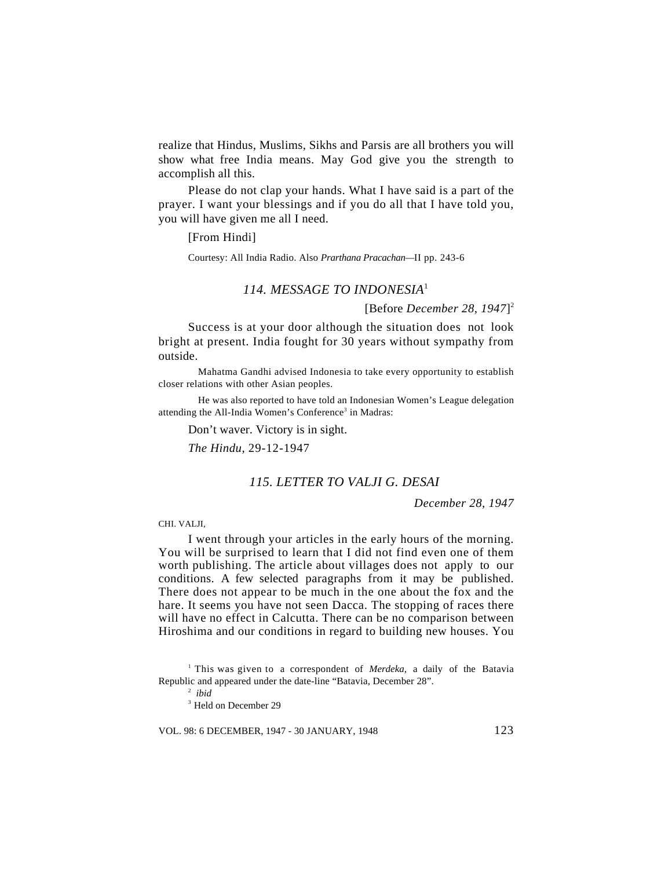realize that Hindus, Muslims, Sikhs and Parsis are all brothers you will show what free India means. May God give you the strength to accomplish all this.

Please do not clap your hands. What I have said is a part of the prayer. I want your blessings and if you do all that I have told you, you will have given me all I need.

[From Hindi]

Courtesy: All India Radio. Also *Prarthana Pracachan—*II pp. 243-6

#### *114. MESSAGE TO INDONESIA*<sup>1</sup>

[Before *December 28, 1947*] 2

Success is at your door although the situation does not look bright at present. India fought for 30 years without sympathy from outside.

Mahatma Gandhi advised Indonesia to take every opportunity to establish closer relations with other Asian peoples.

He was also reported to have told an Indonesian Women's League delegation attending the All-India Women's Conference<sup>3</sup> in Madras:

Don't waver. Victory is in sight.

*The Hindu,* 29-12-1947

## *115. LETTER TO VALJI G. DESAI*

*December 28, 1947*

CHI. VALJI,

I went through your articles in the early hours of the morning. You will be surprised to learn that I did not find even one of them worth publishing. The article about villages does not apply to our conditions. A few selected paragraphs from it may be published. There does not appear to be much in the one about the fox and the hare. It seems you have not seen Dacca. The stopping of races there will have no effect in Calcutta. There can be no comparison between Hiroshima and our conditions in regard to building new houses. You

<sup>1</sup> This was given to a correspondent of *Merdeka*, a daily of the Batavia Republic and appeared under the date-line "Batavia, December 28".

<sup>3</sup> Held on December 29

<sup>2</sup>  *ibid*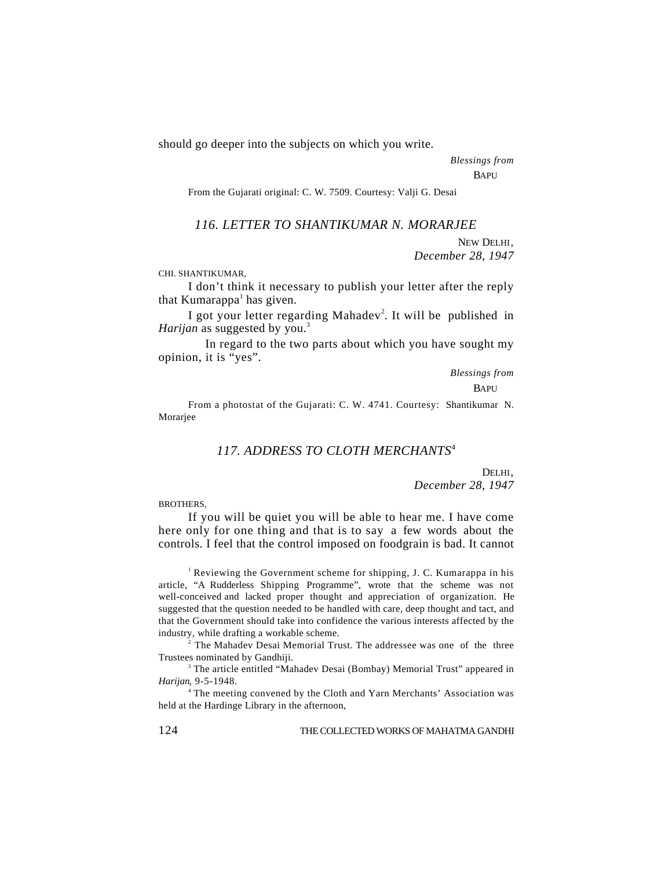should go deeper into the subjects on which you write.

*Blessings from* **BAPU** 

From the Gujarati original: C. W. 7509. Courtesy: Valji G. Desai

## *116. LETTER TO SHANTIKUMAR N. MORARJEE*

NEW DELHI, *December 28, 1947*

CHI. SHANTIKUMAR,

I don't think it necessary to publish your letter after the reply that Kumarappa<sup>1</sup> has given.

I got your letter regarding Mahadev<sup>2</sup>. It will be published in *Harijan* as suggested by you.<sup>3</sup>

 In regard to the two parts about which you have sought my opinion, it is "yes".

*Blessings from*

**BAPU** 

From a photostat of the Gujarati: C. W. 4741. Courtesy: Shantikumar N. Morarjee

## *117. ADDRESS TO CLOTH MERCHANTS*<sup>4</sup>

DELHI, *December 28, 1947*

BROTHERS,

If you will be quiet you will be able to hear me. I have come here only for one thing and that is to say a few words about the controls. I feel that the control imposed on foodgrain is bad. It cannot

<sup>1</sup> Reviewing the Government scheme for shipping, J. C. Kumarappa in his article, "A Rudderless Shipping Programme", wrote that the scheme was not well-conceived and lacked proper thought and appreciation of organization. He suggested that the question needed to be handled with care, deep thought and tact, and that the Government should take into confidence the various interests affected by the industry, while drafting a workable scheme.

 $\frac{1}{2}$  The Mahadev Desai Memorial Trust. The addressee was one of the three Trustees nominated by Gandhiji.

<sup>3</sup> The article entitled "Mahadev Desai (Bombay) Memorial Trust" appeared in *Harijan*, 9-5-1948.

<sup>4</sup> The meeting convened by the Cloth and Yarn Merchants' Association was held at the Hardinge Library in the afternoon,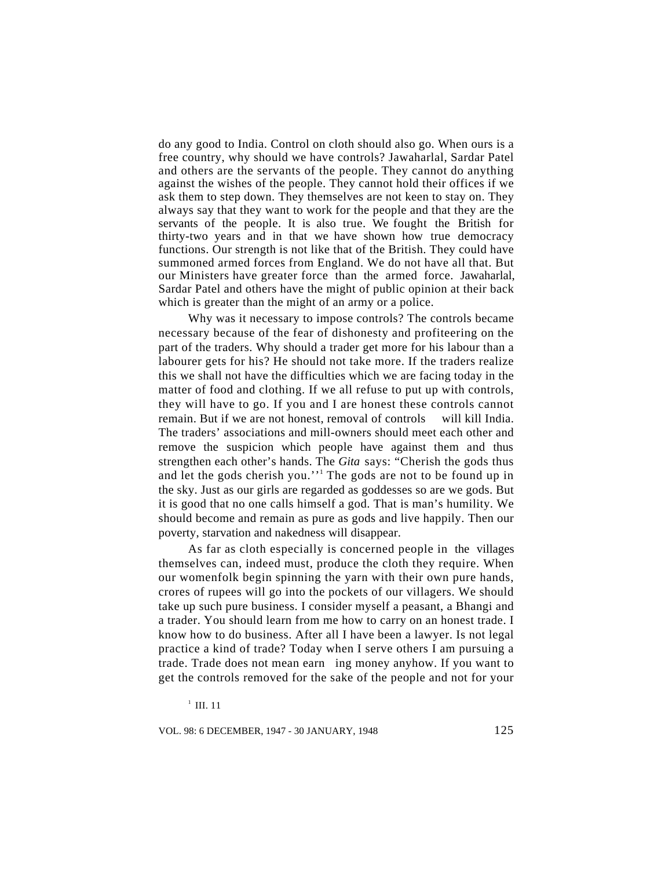do any good to India. Control on cloth should also go. When ours is a free country, why should we have controls? Jawaharlal, Sardar Patel and others are the servants of the people. They cannot do anything against the wishes of the people. They cannot hold their offices if we ask them to step down. They themselves are not keen to stay on. They always say that they want to work for the people and that they are the servants of the people. It is also true. We fought the British for thirty-two years and in that we have shown how true democracy functions. Our strength is not like that of the British. They could have summoned armed forces from England. We do not have all that. But our Ministers have greater force than the armed force. Jawaharlal, Sardar Patel and others have the might of public opinion at their back which is greater than the might of an army or a police.

Why was it necessary to impose controls? The controls became necessary because of the fear of dishonesty and profiteering on the part of the traders. Why should a trader get more for his labour than a labourer gets for his? He should not take more. If the traders realize this we shall not have the difficulties which we are facing today in the matter of food and clothing. If we all refuse to put up with controls, they will have to go. If you and I are honest these controls cannot remain. But if we are not honest, removal of controls will kill India. The traders' associations and mill-owners should meet each other and remove the suspicion which people have against them and thus strengthen each other's hands. The *Gita* says: "Cherish the gods thus and let the gods cherish you."<sup>1</sup> The gods are not to be found up in the sky. Just as our girls are regarded as goddesses so are we gods. But it is good that no one calls himself a god. That is man's humility. We should become and remain as pure as gods and live happily. Then our poverty, starvation and nakedness will disappear.

As far as cloth especially is concerned people in the villages themselves can, indeed must, produce the cloth they require. When our womenfolk begin spinning the yarn with their own pure hands, crores of rupees will go into the pockets of our villagers. We should take up such pure business. I consider myself a peasant, a Bhangi and a trader. You should learn from me how to carry on an honest trade. I know how to do business. After all I have been a lawyer. Is not legal practice a kind of trade? Today when I serve others I am pursuing a trade. Trade does not mean earn ing money anyhow. If you want to get the controls removed for the sake of the people and not for your

 $1$  III. 11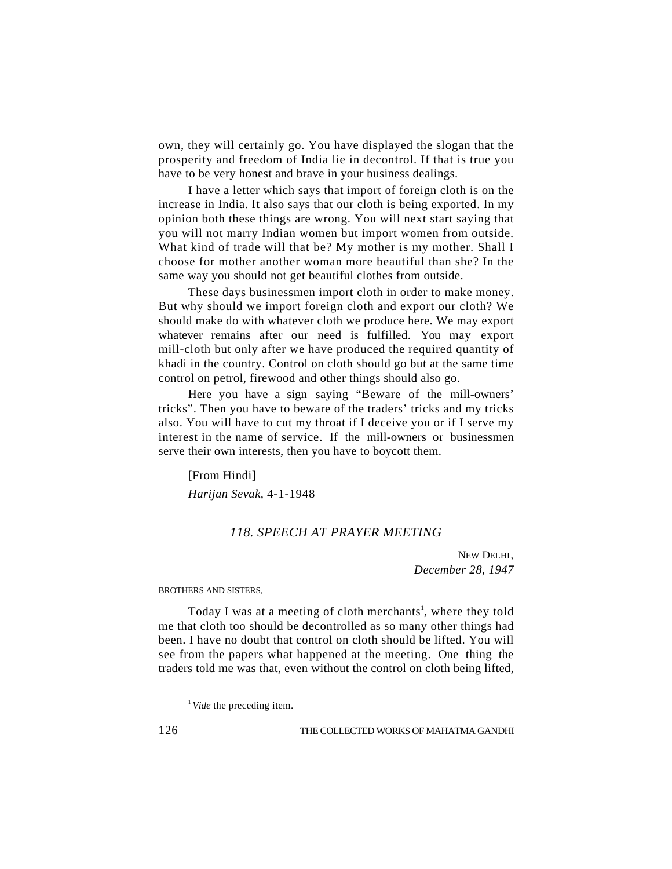own, they will certainly go. You have displayed the slogan that the prosperity and freedom of India lie in decontrol. If that is true you have to be very honest and brave in your business dealings.

I have a letter which says that import of foreign cloth is on the increase in India. It also says that our cloth is being exported. In my opinion both these things are wrong. You will next start saying that you will not marry Indian women but import women from outside. What kind of trade will that be? My mother is my mother. Shall I choose for mother another woman more beautiful than she? In the same way you should not get beautiful clothes from outside.

These days businessmen import cloth in order to make money. But why should we import foreign cloth and export our cloth? We should make do with whatever cloth we produce here. We may export whatever remains after our need is fulfilled. You may export mill-cloth but only after we have produced the required quantity of khadi in the country. Control on cloth should go but at the same time control on petrol, firewood and other things should also go.

Here you have a sign saying "Beware of the mill-owners' tricks". Then you have to beware of the traders' tricks and my tricks also. You will have to cut my throat if I deceive you or if I serve my interest in the name of service. If the mill-owners or businessmen serve their own interests, then you have to boycott them.

[From Hindi] *Harijan Sevak,* 4-1-1948

## *118. SPEECH AT PRAYER MEETING*

NEW DELHI, *December 28, 1947*

BROTHERS AND SISTERS,

Today I was at a meeting of cloth merchants<sup>1</sup>, where they told me that cloth too should be decontrolled as so many other things had been. I have no doubt that control on cloth should be lifted. You will see from the papers what happened at the meeting. One thing the traders told me was that, even without the control on cloth being lifted,

<sup>1</sup> Vide the preceding item.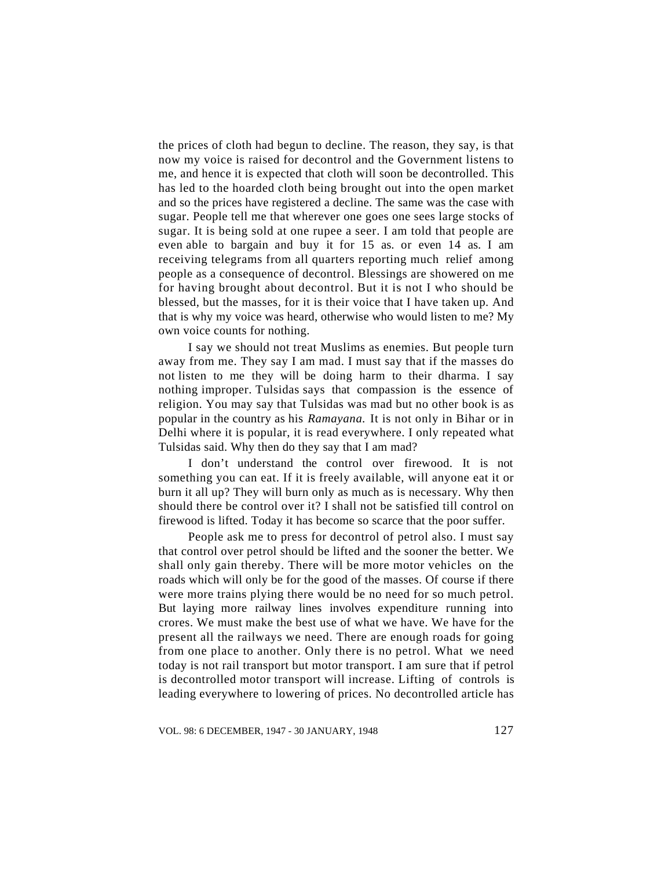the prices of cloth had begun to decline. The reason, they say, is that now my voice is raised for decontrol and the Government listens to me, and hence it is expected that cloth will soon be decontrolled. This has led to the hoarded cloth being brought out into the open market and so the prices have registered a decline. The same was the case with sugar. People tell me that wherever one goes one sees large stocks of sugar. It is being sold at one rupee a seer. I am told that people are even able to bargain and buy it for 15 as. or even 14 as. I am receiving telegrams from all quarters reporting much relief among people as a consequence of decontrol. Blessings are showered on me for having brought about decontrol. But it is not I who should be blessed, but the masses, for it is their voice that I have taken up. And that is why my voice was heard, otherwise who would listen to me? My own voice counts for nothing.

I say we should not treat Muslims as enemies. But people turn away from me. They say I am mad. I must say that if the masses do not listen to me they will be doing harm to their dharma. I say nothing improper. Tulsidas says that compassion is the essence of religion. You may say that Tulsidas was mad but no other book is as popular in the country as his *Ramayana.* It is not only in Bihar or in Delhi where it is popular, it is read everywhere. I only repeated what Tulsidas said. Why then do they say that I am mad?

I don't understand the control over firewood. It is not something you can eat. If it is freely available, will anyone eat it or burn it all up? They will burn only as much as is necessary. Why then should there be control over it? I shall not be satisfied till control on firewood is lifted. Today it has become so scarce that the poor suffer.

People ask me to press for decontrol of petrol also. I must say that control over petrol should be lifted and the sooner the better. We shall only gain thereby. There will be more motor vehicles on the roads which will only be for the good of the masses. Of course if there were more trains plying there would be no need for so much petrol. But laying more railway lines involves expenditure running into crores. We must make the best use of what we have. We have for the present all the railways we need. There are enough roads for going from one place to another. Only there is no petrol. What we need today is not rail transport but motor transport. I am sure that if petrol is decontrolled motor transport will increase. Lifting of controls is leading everywhere to lowering of prices. No decontrolled article has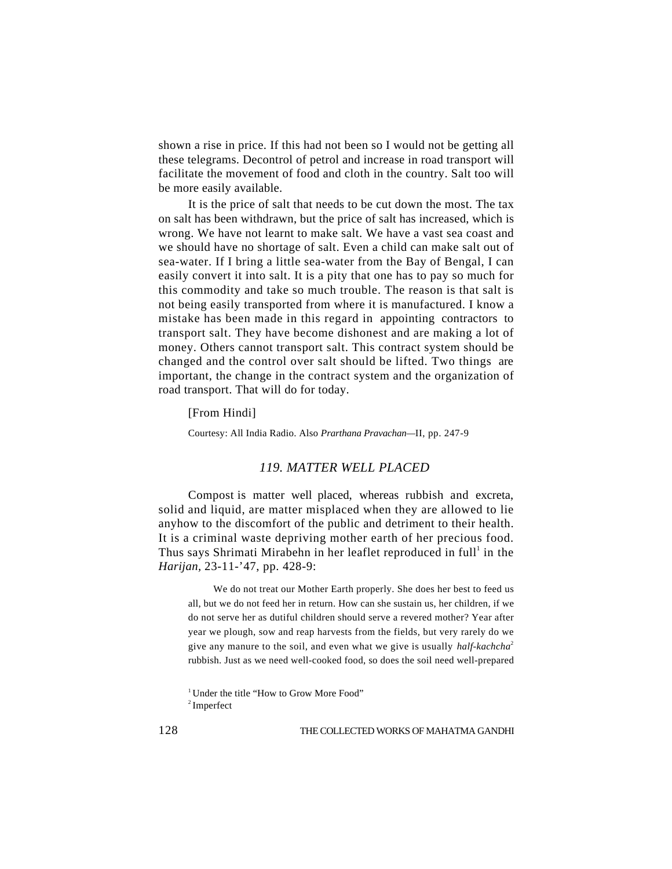shown a rise in price. If this had not been so I would not be getting all these telegrams. Decontrol of petrol and increase in road transport will facilitate the movement of food and cloth in the country. Salt too will be more easily available.

It is the price of salt that needs to be cut down the most. The tax on salt has been withdrawn, but the price of salt has increased, which is wrong. We have not learnt to make salt. We have a vast sea coast and we should have no shortage of salt. Even a child can make salt out of sea-water. If I bring a little sea-water from the Bay of Bengal, I can easily convert it into salt. It is a pity that one has to pay so much for this commodity and take so much trouble. The reason is that salt is not being easily transported from where it is manufactured. I know a mistake has been made in this regard in appointing contractors to transport salt. They have become dishonest and are making a lot of money. Others cannot transport salt. This contract system should be changed and the control over salt should be lifted. Two things are important, the change in the contract system and the organization of road transport. That will do for today.

[From Hindi]

Courtesy: All India Radio. Also *Prarthana Pravachan—*II, pp. 247-9

#### *119. MATTER WELL PLACED*

Compost is matter well placed, whereas rubbish and excreta, solid and liquid, are matter misplaced when they are allowed to lie anyhow to the discomfort of the public and detriment to their health. It is a criminal waste depriving mother earth of her precious food. Thus says Shrimati Mirabehn in her leaflet reproduced in full<sup>1</sup> in the *Harijan,* 23-11-'47, pp. 428-9:

We do not treat our Mother Earth properly. She does her best to feed us all, but we do not feed her in return. How can she sustain us, her children, if we do not serve her as dutiful children should serve a revered mother? Year after year we plough, sow and reap harvests from the fields, but very rarely do we give any manure to the soil, and even what we give is usually *half-kachcha*<sup>2</sup> rubbish. Just as we need well-cooked food, so does the soil need well-prepared

<sup>1</sup> Under the title "How to Grow More Food" 2 Imperfect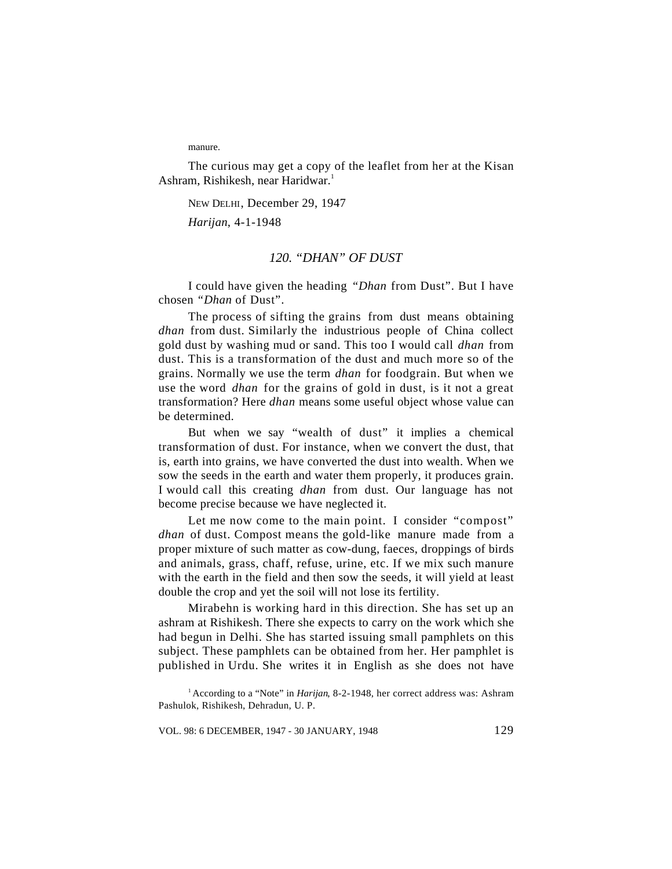manure.

The curious may get a copy of the leaflet from her at the Kisan Ashram, Rishikesh, near Haridwar.<sup>1</sup>

NEW DELHI, December 29, 1947 *Harijan*, 4-1-1948

### *120. "DHAN" OF DUST*

I could have given the heading *"Dhan* from Dust". But I have chosen *"Dhan* of Dust".

The process of sifting the grains from dust means obtaining *dhan* from dust. Similarly the industrious people of China collect gold dust by washing mud or sand. This too I would call *dhan* from dust. This is a transformation of the dust and much more so of the grains. Normally we use the term *dhan* for foodgrain. But when we use the word *dhan* for the grains of gold in dust, is it not a great transformation? Here *dhan* means some useful object whose value can be determined.

But when we say "wealth of dust" it implies a chemical transformation of dust. For instance, when we convert the dust, that is, earth into grains, we have converted the dust into wealth. When we sow the seeds in the earth and water them properly, it produces grain. I would call this creating *dhan* from dust. Our language has not become precise because we have neglected it.

Let me now come to the main point. I consider "compost" *dhan* of dust. Compost means the gold-like manure made from a proper mixture of such matter as cow-dung, faeces, droppings of birds and animals, grass, chaff, refuse, urine, etc. If we mix such manure with the earth in the field and then sow the seeds, it will yield at least double the crop and yet the soil will not lose its fertility.

Mirabehn is working hard in this direction. She has set up an ashram at Rishikesh. There she expects to carry on the work which she had begun in Delhi. She has started issuing small pamphlets on this subject. These pamphlets can be obtained from her. Her pamphlet is published in Urdu. She writes it in English as she does not have

<sup>&</sup>lt;sup>1</sup> According to a "Note" in *Harijan*, 8-2-1948, her correct address was: Ashram Pashulok, Rishikesh, Dehradun, U. P.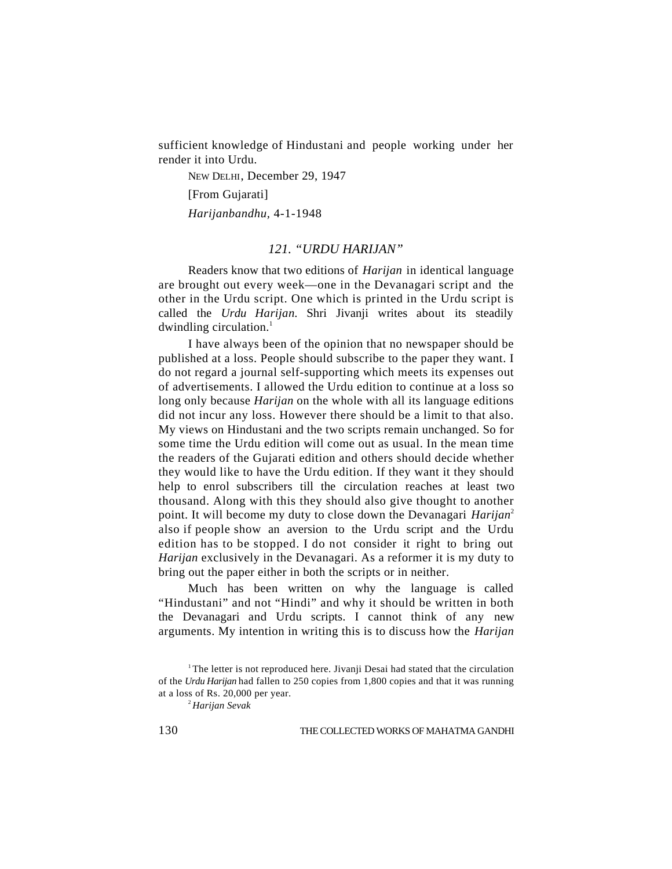sufficient knowledge of Hindustani and people working under her render it into Urdu.

NEW DELHI, December 29, 1947 [From Gujarati] *Harijanbandhu,* 4-1-1948

## *121. "URDU HARIJAN"*

Readers know that two editions of *Harijan* in identical language are brought out every week—one in the Devanagari script and the other in the Urdu script. One which is printed in the Urdu script is called the *Urdu Harijan.* Shri Jivanji writes about its steadily dwindling circulation. $<sup>1</sup>$ </sup>

I have always been of the opinion that no newspaper should be published at a loss. People should subscribe to the paper they want. I do not regard a journal self-supporting which meets its expenses out of advertisements. I allowed the Urdu edition to continue at a loss so long only because *Harijan* on the whole with all its language editions did not incur any loss. However there should be a limit to that also. My views on Hindustani and the two scripts remain unchanged. So for some time the Urdu edition will come out as usual. In the mean time the readers of the Gujarati edition and others should decide whether they would like to have the Urdu edition. If they want it they should help to enrol subscribers till the circulation reaches at least two thousand. Along with this they should also give thought to another point. It will become my duty to close down the Devanagari *Harijan*<sup>2</sup> also if people show an aversion to the Urdu script and the Urdu edition has to be stopped. I do not consider it right to bring out *Harijan* exclusively in the Devanagari. As a reformer it is my duty to bring out the paper either in both the scripts or in neither.

Much has been written on why the language is called "Hindustani" and not "Hindi" and why it should be written in both the Devanagari and Urdu scripts. I cannot think of any new arguments. My intention in writing this is to discuss how the *Harijan*

<sup>&</sup>lt;sup>1</sup>The letter is not reproduced here. Jivanji Desai had stated that the circulation of the *Urdu Harijan* had fallen to 250 copies from 1,800 copies and that it was running at a loss of Rs. 20,000 per year.

<sup>2</sup>*Harijan Sevak*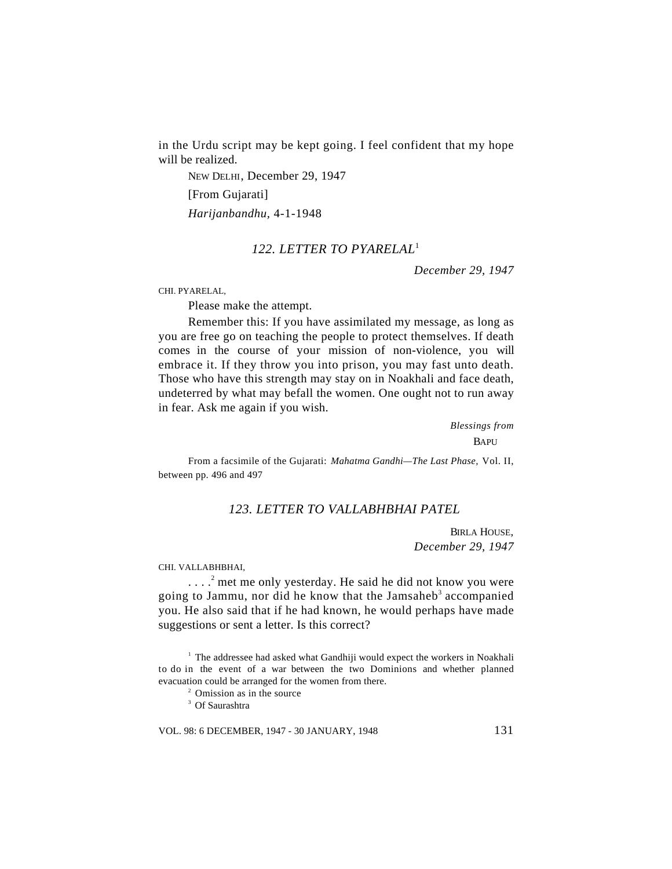in the Urdu script may be kept going. I feel confident that my hope will be realized.

NEW DELHI, December 29, 1947 [From Gujarati] *Harijanbandhu,* 4-1-1948

## *122. LETTER TO PYARELAL*<sup>1</sup>

*December 29, 1947*

CHI. PYARELAL,

Please make the attempt.

Remember this: If you have assimilated my message, as long as you are free go on teaching the people to protect themselves. If death comes in the course of your mission of non-violence, you will embrace it. If they throw you into prison, you may fast unto death. Those who have this strength may stay on in Noakhali and face death, undeterred by what may befall the women. One ought not to run away in fear. Ask me again if you wish.

> *Blessings from* **BAPU**

From a facsimile of the Gujarati: *Mahatma Gandhi—The Last Phase,* Vol. II, between pp. 496 and 497

### *123. LETTER TO VALLABHBHAI PATEL*

BIRLA HOUSE, *December 29, 1947*

CHI. VALLABHBHAI,

....<sup>2</sup> met me only yesterday. He said he did not know you were going to Jammu, nor did he know that the Jamsaheb<sup>3</sup> accompanied you. He also said that if he had known, he would perhaps have made suggestions or sent a letter. Is this correct?

 $1$  The addressee had asked what Gandhiji would expect the workers in Noakhali to do in the event of a war between the two Dominions and whether planned evacuation could be arranged for the women from there.

<sup>&</sup>lt;sup>2</sup> Omission as in the source

<sup>&</sup>lt;sup>3</sup> Of Saurashtra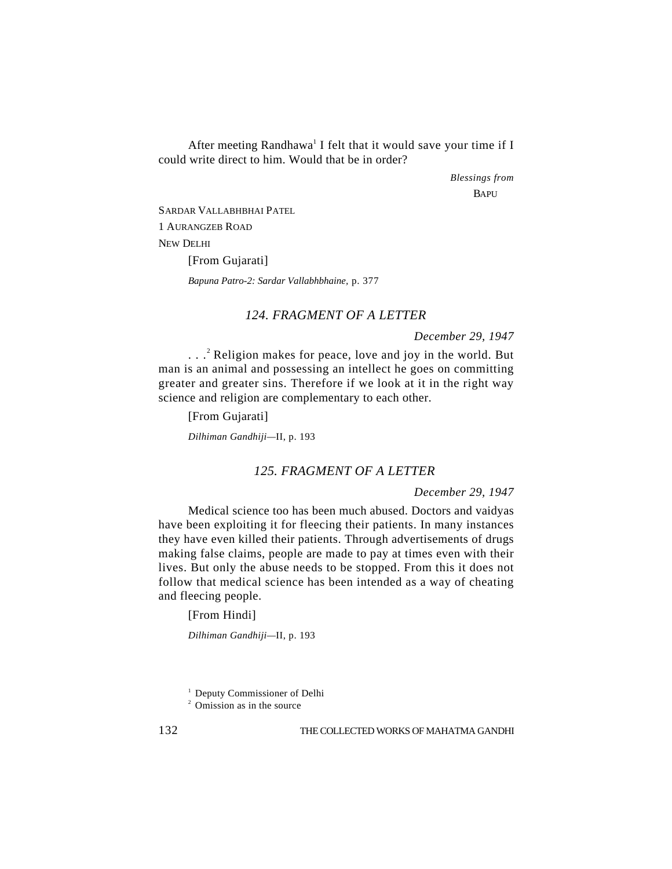After meeting Randhawa<sup>1</sup> I felt that it would save your time if I could write direct to him. Would that be in order?

> *Blessings from* BAPU

SARDAR VALLABHBHAI PATEL 1 AURANGZEB ROAD NEW DELHI [From Gujarati]

*Bapuna Patro-2: Sardar Vallabhbhaine,* p. 377

# *124. FRAGMENT OF A LETTER*

*December 29, 1947*

...<sup>2</sup> Religion makes for peace, love and joy in the world. But man is an animal and possessing an intellect he goes on committing greater and greater sins. Therefore if we look at it in the right way science and religion are complementary to each other.

[From Gujarati]

*Dilhiman Gandhiji—*II, p. 193

# *125. FRAGMENT OF A LETTER*

*December 29, 1947*

Medical science too has been much abused. Doctors and vaidyas have been exploiting it for fleecing their patients. In many instances they have even killed their patients. Through advertisements of drugs making false claims, people are made to pay at times even with their lives. But only the abuse needs to be stopped. From this it does not follow that medical science has been intended as a way of cheating and fleecing people.

## [From Hindi]

*Dilhiman Gandhiji—*II, p. 193

<sup>&</sup>lt;sup>1</sup> Deputy Commissioner of Delhi

 $2$  Omission as in the source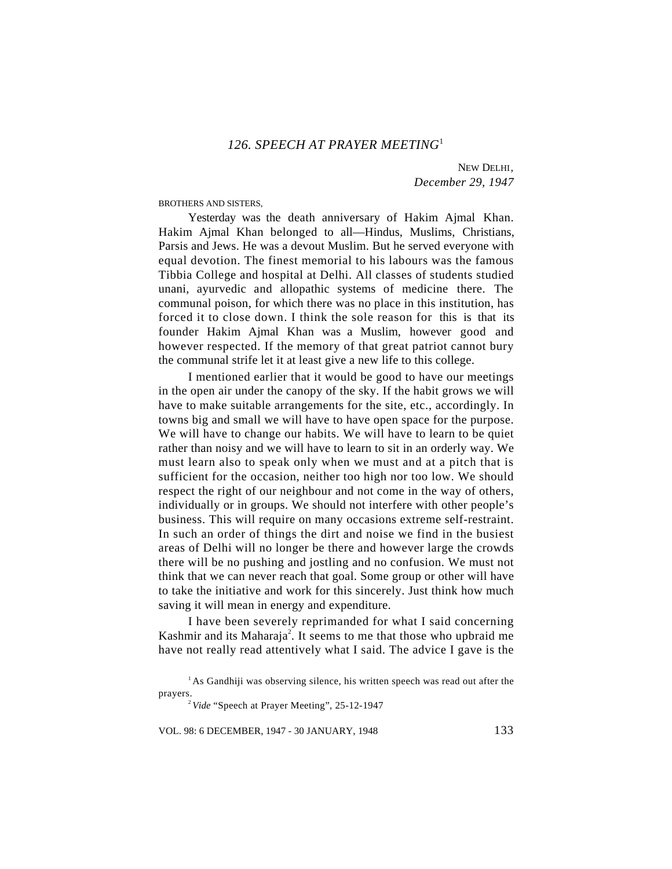# *126. SPEECH AT PRAYER MEETING*<sup>1</sup>

NEW DELHI. *December 29, 1947*

#### BROTHERS AND SISTERS,

Yesterday was the death anniversary of Hakim Ajmal Khan. Hakim Ajmal Khan belonged to all—Hindus, Muslims, Christians, Parsis and Jews. He was a devout Muslim. But he served everyone with equal devotion. The finest memorial to his labours was the famous Tibbia College and hospital at Delhi. All classes of students studied unani, ayurvedic and allopathic systems of medicine there. The communal poison, for which there was no place in this institution, has forced it to close down. I think the sole reason for this is that its founder Hakim Ajmal Khan was a Muslim, however good and however respected. If the memory of that great patriot cannot bury the communal strife let it at least give a new life to this college.

I mentioned earlier that it would be good to have our meetings in the open air under the canopy of the sky. If the habit grows we will have to make suitable arrangements for the site, etc., accordingly. In towns big and small we will have to have open space for the purpose. We will have to change our habits. We will have to learn to be quiet rather than noisy and we will have to learn to sit in an orderly way. We must learn also to speak only when we must and at a pitch that is sufficient for the occasion, neither too high nor too low. We should respect the right of our neighbour and not come in the way of others, individually or in groups. We should not interfere with other people's business. This will require on many occasions extreme self-restraint. In such an order of things the dirt and noise we find in the busiest areas of Delhi will no longer be there and however large the crowds there will be no pushing and jostling and no confusion. We must not think that we can never reach that goal. Some group or other will have to take the initiative and work for this sincerely. Just think how much saving it will mean in energy and expenditure.

I have been severely reprimanded for what I said concerning Kashmir and its Maharaja<sup>2</sup>. It seems to me that those who upbraid me have not really read attentively what I said. The advice I gave is the

<sup>&</sup>lt;sup>1</sup> As Gandhiji was observing silence, his written speech was read out after the prayers.

<sup>2</sup>*Vide* "Speech at Prayer Meeting", 25-12-1947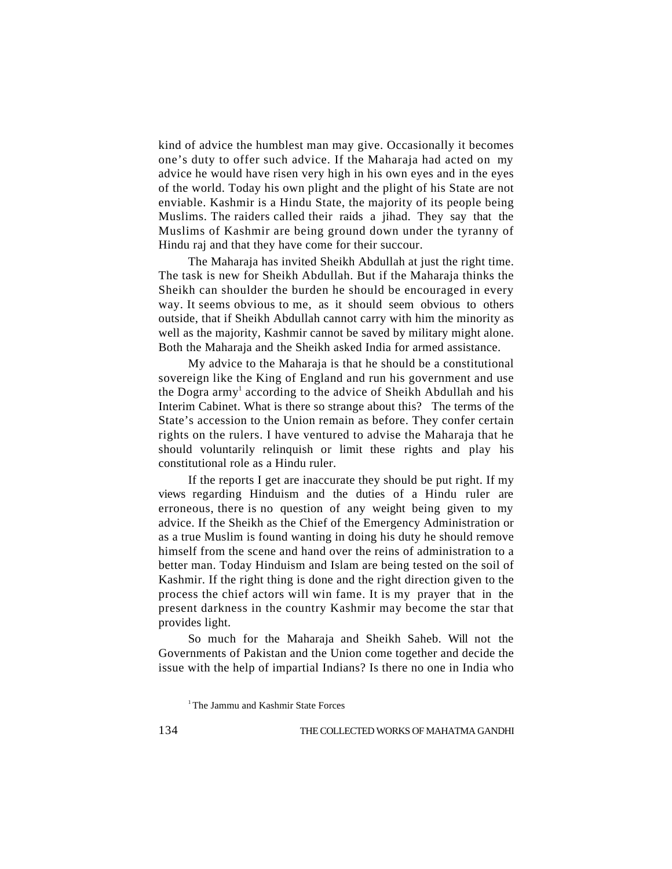kind of advice the humblest man may give. Occasionally it becomes one's duty to offer such advice. If the Maharaja had acted on my advice he would have risen very high in his own eyes and in the eyes of the world. Today his own plight and the plight of his State are not enviable. Kashmir is a Hindu State, the majority of its people being Muslims. The raiders called their raids a jihad. They say that the Muslims of Kashmir are being ground down under the tyranny of Hindu raj and that they have come for their succour.

The Maharaja has invited Sheikh Abdullah at just the right time. The task is new for Sheikh Abdullah. But if the Maharaja thinks the Sheikh can shoulder the burden he should be encouraged in every way. It seems obvious to me, as it should seem obvious to others outside, that if Sheikh Abdullah cannot carry with him the minority as well as the majority, Kashmir cannot be saved by military might alone. Both the Maharaja and the Sheikh asked India for armed assistance.

My advice to the Maharaja is that he should be a constitutional sovereign like the King of England and run his government and use the Dogra army<sup>1</sup> according to the advice of Sheikh Abdullah and his Interim Cabinet. What is there so strange about this? The terms of the State's accession to the Union remain as before. They confer certain rights on the rulers. I have ventured to advise the Maharaja that he should voluntarily relinquish or limit these rights and play his constitutional role as a Hindu ruler.

If the reports I get are inaccurate they should be put right. If my views regarding Hinduism and the duties of a Hindu ruler are erroneous, there is no question of any weight being given to my advice. If the Sheikh as the Chief of the Emergency Administration or as a true Muslim is found wanting in doing his duty he should remove himself from the scene and hand over the reins of administration to a better man. Today Hinduism and Islam are being tested on the soil of Kashmir. If the right thing is done and the right direction given to the process the chief actors will win fame. It is my prayer that in the present darkness in the country Kashmir may become the star that provides light.

So much for the Maharaja and Sheikh Saheb. Will not the Governments of Pakistan and the Union come together and decide the issue with the help of impartial Indians? Is there no one in India who

<sup>&</sup>lt;sup>1</sup> The Jammu and Kashmir State Forces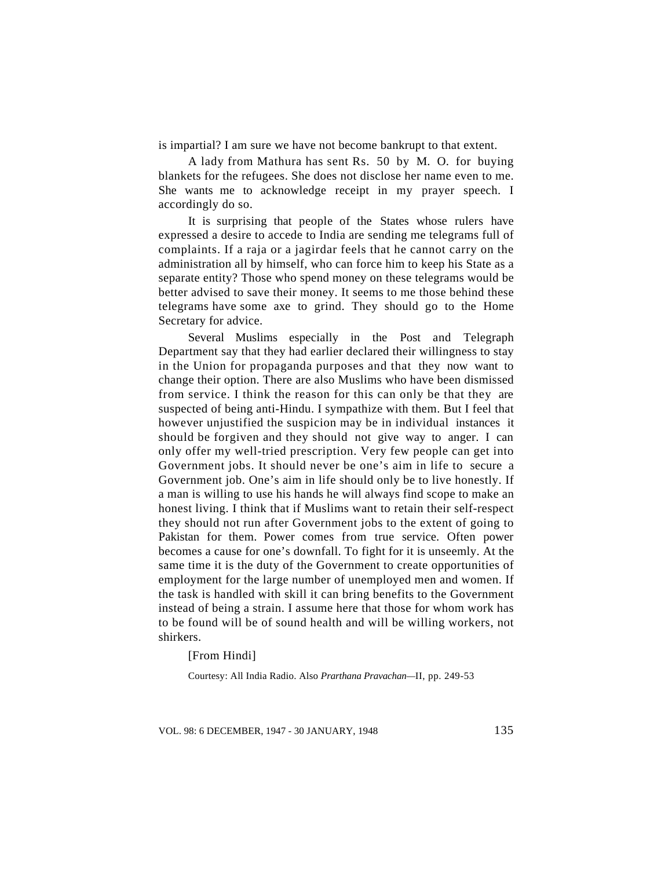is impartial? I am sure we have not become bankrupt to that extent.

A lady from Mathura has sent Rs. 50 by M. O. for buying blankets for the refugees. She does not disclose her name even to me. She wants me to acknowledge receipt in my prayer speech. I accordingly do so.

It is surprising that people of the States whose rulers have expressed a desire to accede to India are sending me telegrams full of complaints. If a raja or a jagirdar feels that he cannot carry on the administration all by himself, who can force him to keep his State as a separate entity? Those who spend money on these telegrams would be better advised to save their money. It seems to me those behind these telegrams have some axe to grind. They should go to the Home Secretary for advice.

Several Muslims especially in the Post and Telegraph Department say that they had earlier declared their willingness to stay in the Union for propaganda purposes and that they now want to change their option. There are also Muslims who have been dismissed from service. I think the reason for this can only be that they are suspected of being anti-Hindu. I sympathize with them. But I feel that however unjustified the suspicion may be in individual instances it should be forgiven and they should not give way to anger. I can only offer my well-tried prescription. Very few people can get into Government jobs. It should never be one's aim in life to secure a Government job. One's aim in life should only be to live honestly. If a man is willing to use his hands he will always find scope to make an honest living. I think that if Muslims want to retain their self-respect they should not run after Government jobs to the extent of going to Pakistan for them. Power comes from true service. Often power becomes a cause for one's downfall. To fight for it is unseemly. At the same time it is the duty of the Government to create opportunities of employment for the large number of unemployed men and women. If the task is handled with skill it can bring benefits to the Government instead of being a strain. I assume here that those for whom work has to be found will be of sound health and will be willing workers, not shirkers.

[From Hindi]

Courtesy: All India Radio. Also *Prarthana Pravachan—*II, pp. 249-53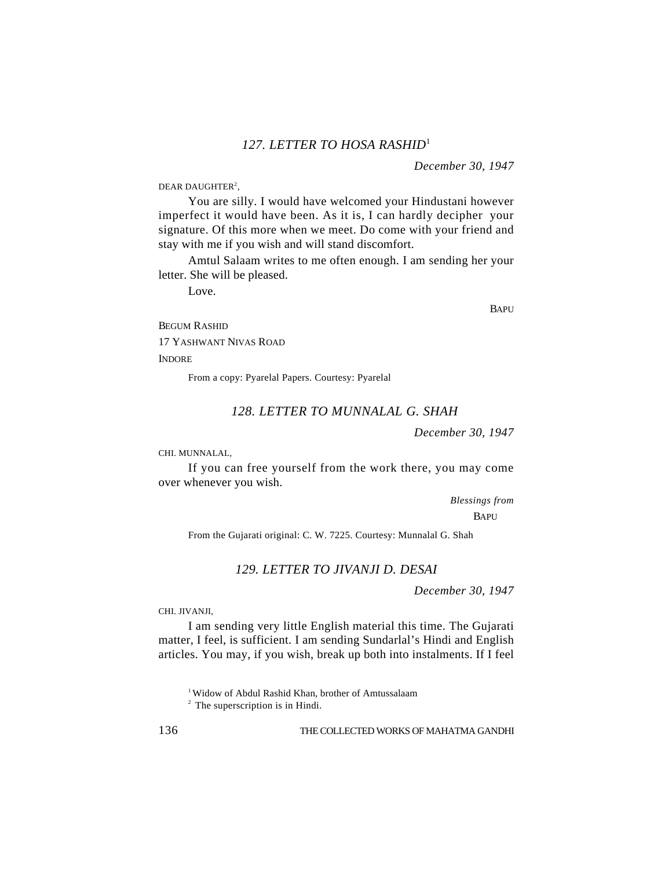*December 30, 1947*

DEAR DAUGHTER<sup>2</sup>,

You are silly. I would have welcomed your Hindustani however imperfect it would have been. As it is, I can hardly decipher your signature. Of this more when we meet. Do come with your friend and stay with me if you wish and will stand discomfort.

Amtul Salaam writes to me often enough. I am sending her your letter. She will be pleased.

Love.

**BAPU** 

BEGUM RASHID 17 YASHWANT NIVAS ROAD **INDORE** 

From a copy: Pyarelal Papers. Courtesy: Pyarelal

# *128. LETTER TO MUNNALAL G. SHAH*

*December 30, 1947*

CHI. MUNNALAL,

If you can free yourself from the work there, you may come over whenever you wish.

> *Blessings from* **BAPU**

From the Gujarati original: C. W. 7225. Courtesy: Munnalal G. Shah

## *129. LETTER TO JIVANJI D. DESAI*

*December 30, 1947*

CHI. JIVANJI,

I am sending very little English material this time. The Gujarati matter, I feel, is sufficient. I am sending Sundarlal's Hindi and English articles. You may, if you wish, break up both into instalments. If I feel

<sup>&</sup>lt;sup>1</sup> Widow of Abdul Rashid Khan, brother of Amtussalaam

 $2$  The superscription is in Hindi.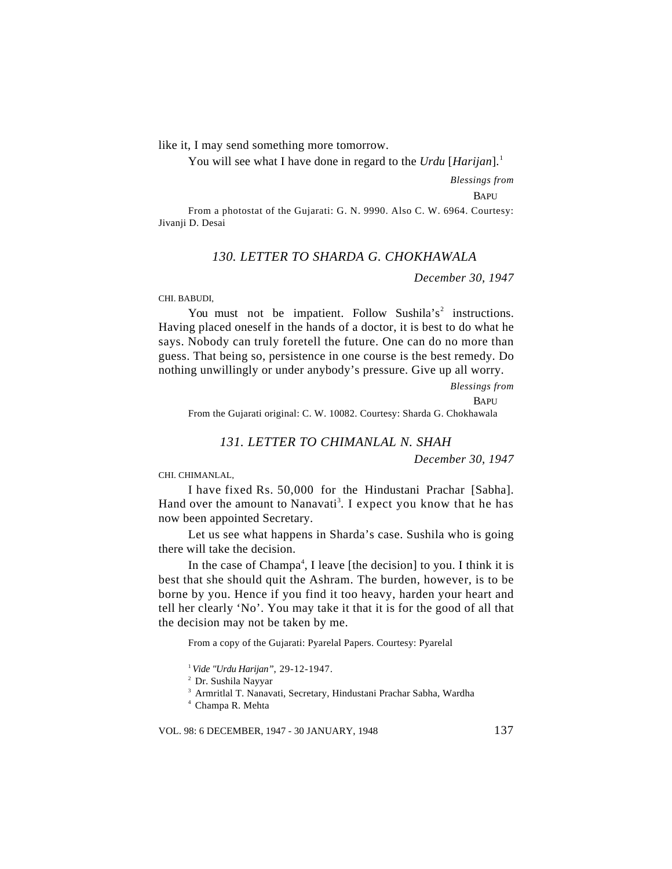like it, I may send something more tomorrow.

You will see what I have done in regard to the *Urdu* [*Harijan*].<sup>1</sup>

*Blessings from*

**BAPU** 

From a photostat of the Gujarati: G. N. 9990. Also C. W. 6964. Courtesy: Jivanji D. Desai

## *130. LETTER TO SHARDA G. CHOKHAWALA*

*December 30, 1947*

CHI. BABUDI,

You must not be impatient. Follow Sushila's<sup>2</sup> instructions. Having placed oneself in the hands of a doctor, it is best to do what he says. Nobody can truly foretell the future. One can do no more than guess. That being so, persistence in one course is the best remedy. Do nothing unwillingly or under anybody's pressure. Give up all worry.

*Blessings from*

**BAPU** 

From the Gujarati original: C. W. 10082. Courtesy: Sharda G. Chokhawala

#### *131. LETTER TO CHIMANLAL N. SHAH*

*December 30, 1947*

CHI. CHIMANLAL,

I have fixed Rs. 50,000 for the Hindustani Prachar [Sabha]. Hand over the amount to Nanavati<sup>3</sup>. I expect you know that he has now been appointed Secretary.

Let us see what happens in Sharda's case. Sushila who is going there will take the decision.

In the case of Champa<sup>4</sup>, I leave [the decision] to you. I think it is best that she should quit the Ashram. The burden, however, is to be borne by you. Hence if you find it too heavy, harden your heart and tell her clearly 'No'. You may take it that it is for the good of all that the decision may not be taken by me.

From a copy of the Gujarati: Pyarelal Papers. Courtesy: Pyarelal

<sup>1</sup>*Vide "Urdu Harijan"*, 29-12-1947.

<sup>2</sup> Dr. Sushila Nayyar

<sup>3</sup> Armritlal T. Nanavati, Secretary, Hindustani Prachar Sabha, Wardha

4 Champa R. Mehta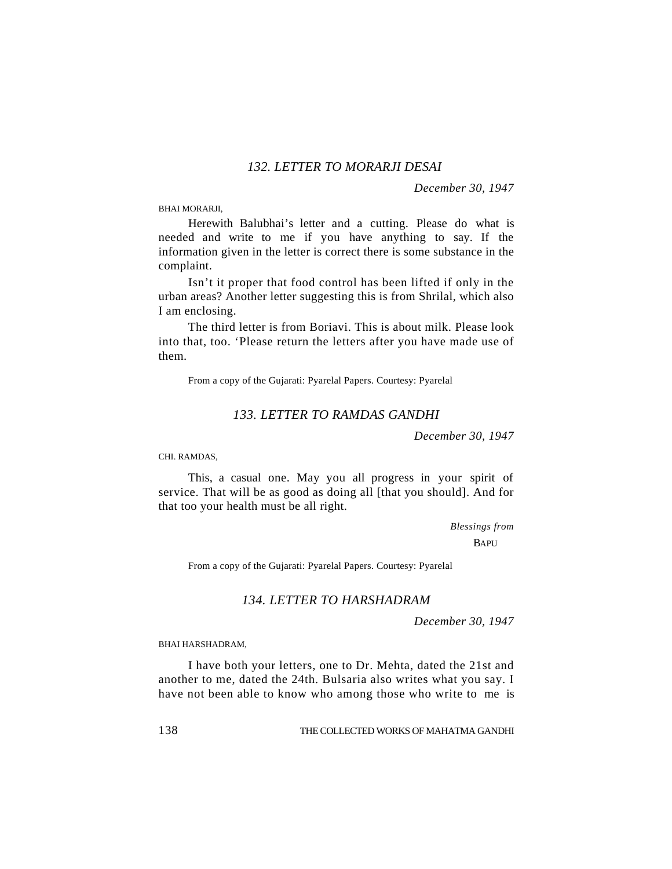*December 30, 1947*

BHAI MORARJI,

Herewith Balubhai's letter and a cutting. Please do what is needed and write to me if you have anything to say. If the information given in the letter is correct there is some substance in the complaint.

Isn't it proper that food control has been lifted if only in the urban areas? Another letter suggesting this is from Shrilal, which also I am enclosing.

The third letter is from Boriavi. This is about milk. Please look into that, too. 'Please return the letters after you have made use of them.

From a copy of the Gujarati: Pyarelal Papers. Courtesy: Pyarelal

#### *133. LETTER TO RAMDAS GANDHI*

*December 30, 1947*

CHI. RAMDAS,

This, a casual one. May you all progress in your spirit of service. That will be as good as doing all [that you should]. And for that too your health must be all right.

> *Blessings from* **BAPU**

From a copy of the Gujarati: Pyarelal Papers. Courtesy: Pyarelal

#### *134. LETTER TO HARSHADRAM*

*December 30, 1947*

BHAI HARSHADRAM,

I have both your letters, one to Dr. Mehta, dated the 21st and another to me, dated the 24th. Bulsaria also writes what you say. I have not been able to know who among those who write to me is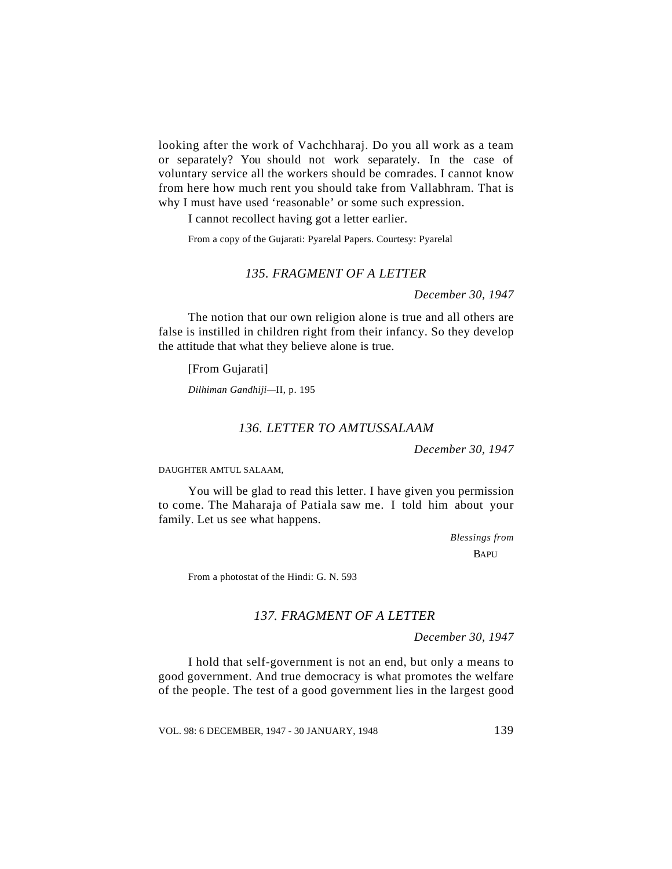looking after the work of Vachchharaj. Do you all work as a team or separately? You should not work separately. In the case of voluntary service all the workers should be comrades. I cannot know from here how much rent you should take from Vallabhram. That is why I must have used 'reasonable' or some such expression.

I cannot recollect having got a letter earlier.

From a copy of the Gujarati: Pyarelal Papers. Courtesy: Pyarelal

# *135. FRAGMENT OF A LETTER*

*December 30, 1947*

The notion that our own religion alone is true and all others are false is instilled in children right from their infancy. So they develop the attitude that what they believe alone is true.

[From Gujarati]

*Dilhiman Gandhiji—*II, p. 195

### *136. LETTER TO AMTUSSALAAM*

*December 30, 1947*

DAUGHTER AMTUL SALAAM,

You will be glad to read this letter. I have given you permission to come. The Maharaja of Patiala saw me. I told him about your family. Let us see what happens.

> *Blessings from* **BAPU**

From a photostat of the Hindi: G. N. 593

# *137. FRAGMENT OF A LETTER*

*December 30, 1947*

I hold that self-government is not an end, but only a means to good government. And true democracy is what promotes the welfare of the people. The test of a good government lies in the largest good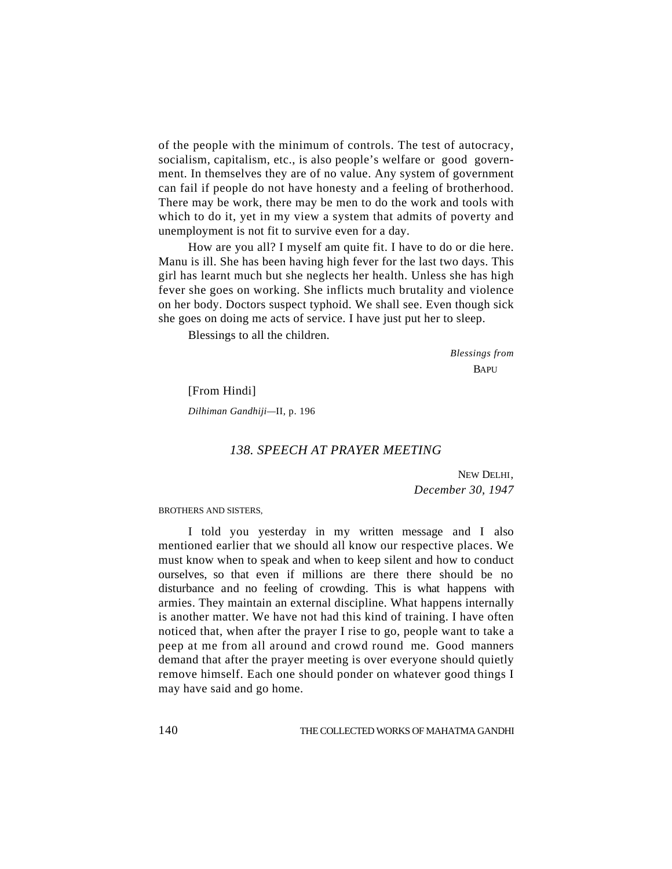of the people with the minimum of controls. The test of autocracy, socialism, capitalism, etc., is also people's welfare or good government. In themselves they are of no value. Any system of government can fail if people do not have honesty and a feeling of brotherhood. There may be work, there may be men to do the work and tools with which to do it, yet in my view a system that admits of poverty and unemployment is not fit to survive even for a day.

How are you all? I myself am quite fit. I have to do or die here. Manu is ill. She has been having high fever for the last two days. This girl has learnt much but she neglects her health. Unless she has high fever she goes on working. She inflicts much brutality and violence on her body. Doctors suspect typhoid. We shall see. Even though sick she goes on doing me acts of service. I have just put her to sleep.

Blessings to all the children.

*Blessings from* **BAPU** 

[From Hindi]

*Dilhiman Gandhiji—*II, p. 196

#### *138. SPEECH AT PRAYER MEETING*

NEW DELHI, *December 30, 1947*

BROTHERS AND SISTERS,

I told you yesterday in my written message and I also mentioned earlier that we should all know our respective places. We must know when to speak and when to keep silent and how to conduct ourselves, so that even if millions are there there should be no disturbance and no feeling of crowding. This is what happens with armies. They maintain an external discipline. What happens internally is another matter. We have not had this kind of training. I have often noticed that, when after the prayer I rise to go, people want to take a peep at me from all around and crowd round me. Good manners demand that after the prayer meeting is over everyone should quietly remove himself. Each one should ponder on whatever good things I may have said and go home.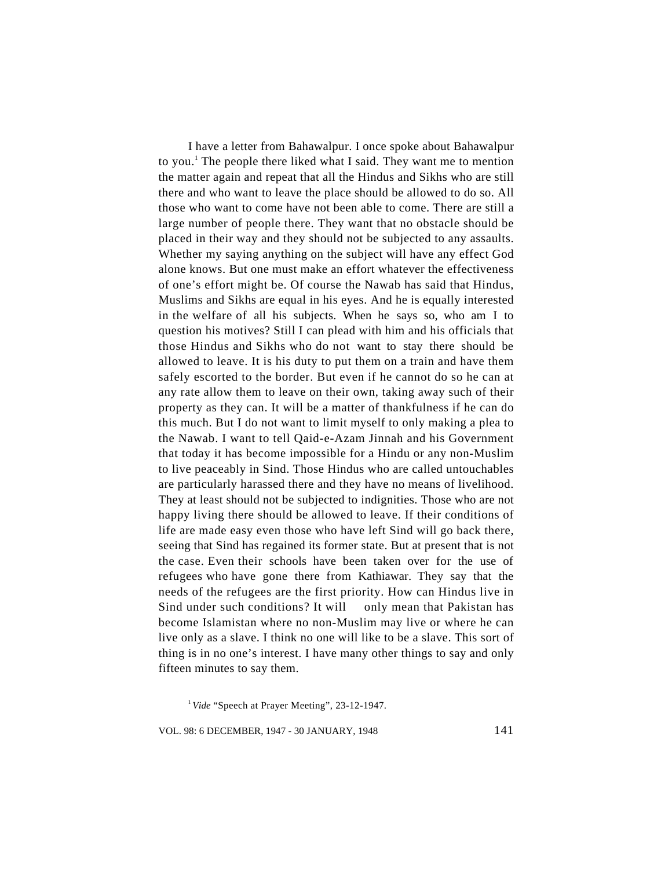I have a letter from Bahawalpur. I once spoke about Bahawalpur to you.<sup>1</sup> The people there liked what I said. They want me to mention the matter again and repeat that all the Hindus and Sikhs who are still there and who want to leave the place should be allowed to do so. All those who want to come have not been able to come. There are still a large number of people there. They want that no obstacle should be placed in their way and they should not be subjected to any assaults. Whether my saying anything on the subject will have any effect God alone knows. But one must make an effort whatever the effectiveness of one's effort might be. Of course the Nawab has said that Hindus, Muslims and Sikhs are equal in his eyes. And he is equally interested in the welfare of all his subjects. When he says so, who am I to question his motives? Still I can plead with him and his officials that those Hindus and Sikhs who do not want to stay there should be allowed to leave. It is his duty to put them on a train and have them safely escorted to the border. But even if he cannot do so he can at any rate allow them to leave on their own, taking away such of their property as they can. It will be a matter of thankfulness if he can do this much. But I do not want to limit myself to only making a plea to the Nawab. I want to tell Qaid-e-Azam Jinnah and his Government that today it has become impossible for a Hindu or any non-Muslim to live peaceably in Sind. Those Hindus who are called untouchables are particularly harassed there and they have no means of livelihood. They at least should not be subjected to indignities. Those who are not happy living there should be allowed to leave. If their conditions of life are made easy even those who have left Sind will go back there, seeing that Sind has regained its former state. But at present that is not the case. Even their schools have been taken over for the use of refugees who have gone there from Kathiawar. They say that the needs of the refugees are the first priority. How can Hindus live in Sind under such conditions? It will only mean that Pakistan has become Islamistan where no non-Muslim may live or where he can live only as a slave. I think no one will like to be a slave. This sort of thing is in no one's interest. I have many other things to say and only fifteen minutes to say them.

<sup>&</sup>lt;sup>1</sup> Vide "Speech at Prayer Meeting", 23-12-1947.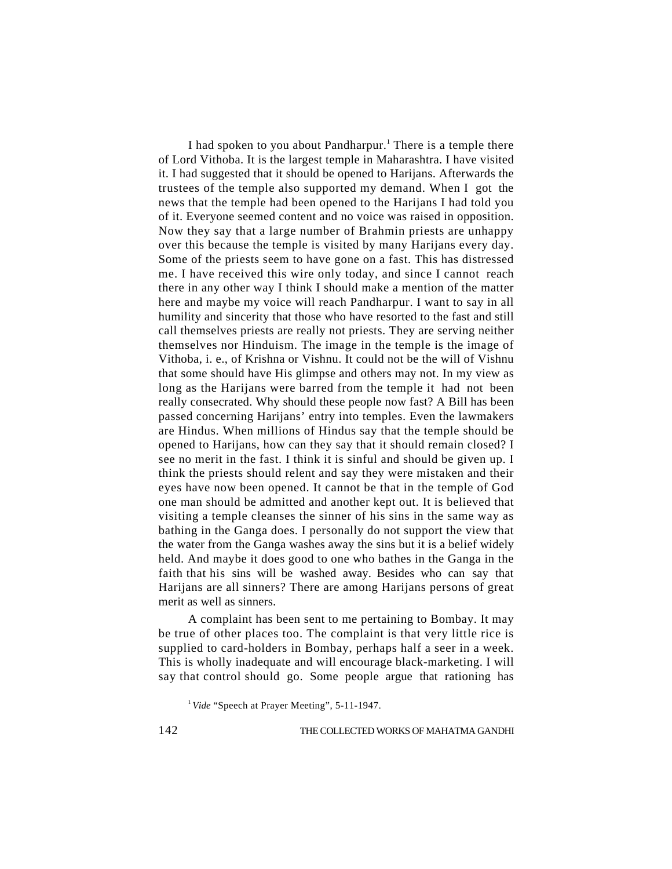I had spoken to you about Pandharpur.<sup>1</sup> There is a temple there of Lord Vithoba. It is the largest temple in Maharashtra. I have visited it. I had suggested that it should be opened to Harijans. Afterwards the trustees of the temple also supported my demand. When I got the news that the temple had been opened to the Harijans I had told you of it. Everyone seemed content and no voice was raised in opposition. Now they say that a large number of Brahmin priests are unhappy over this because the temple is visited by many Harijans every day. Some of the priests seem to have gone on a fast. This has distressed me. I have received this wire only today, and since I cannot reach there in any other way I think I should make a mention of the matter here and maybe my voice will reach Pandharpur. I want to say in all humility and sincerity that those who have resorted to the fast and still call themselves priests are really not priests. They are serving neither themselves nor Hinduism. The image in the temple is the image of Vithoba, i. e., of Krishna or Vishnu. It could not be the will of Vishnu that some should have His glimpse and others may not. In my view as long as the Harijans were barred from the temple it had not been really consecrated. Why should these people now fast? A Bill has been passed concerning Harijans' entry into temples. Even the lawmakers are Hindus. When millions of Hindus say that the temple should be opened to Harijans, how can they say that it should remain closed? I see no merit in the fast. I think it is sinful and should be given up. I think the priests should relent and say they were mistaken and their eyes have now been opened. It cannot be that in the temple of God one man should be admitted and another kept out. It is believed that visiting a temple cleanses the sinner of his sins in the same way as bathing in the Ganga does. I personally do not support the view that the water from the Ganga washes away the sins but it is a belief widely held. And maybe it does good to one who bathes in the Ganga in the faith that his sins will be washed away. Besides who can say that Harijans are all sinners? There are among Harijans persons of great merit as well as sinners.

A complaint has been sent to me pertaining to Bombay. It may be true of other places too. The complaint is that very little rice is supplied to card-holders in Bombay, perhaps half a seer in a week. This is wholly inadequate and will encourage black-marketing. I will say that control should go. Some people argue that rationing has

<sup>1</sup>*Vide* "Speech at Prayer Meeting", 5-11-1947.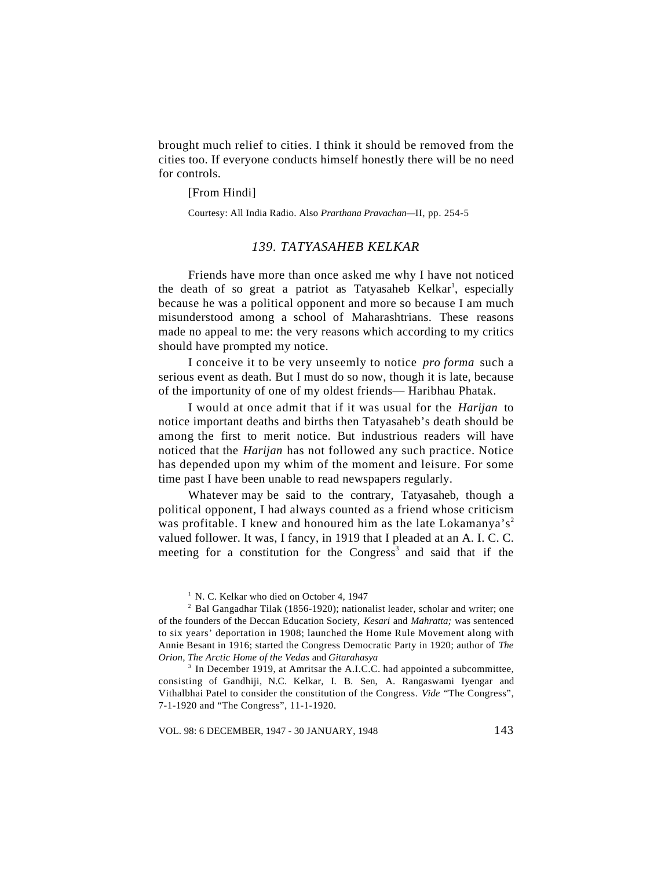brought much relief to cities. I think it should be removed from the cities too. If everyone conducts himself honestly there will be no need for controls.

[From Hindi]

Courtesy: All India Radio. Also *Prarthana Pravachan—*II, pp. 254-5

## *139. TATYASAHEB KELKAR*

Friends have more than once asked me why I have not noticed the death of so great a patriot as Tatyasaheb Kelkar<sup>1</sup>, especially because he was a political opponent and more so because I am much misunderstood among a school of Maharashtrians. These reasons made no appeal to me: the very reasons which according to my critics should have prompted my notice.

I conceive it to be very unseemly to notice *pro forma* such a serious event as death. But I must do so now, though it is late, because of the importunity of one of my oldest friends— Haribhau Phatak.

I would at once admit that if it was usual for the *Harijan* to notice important deaths and births then Tatyasaheb's death should be among the first to merit notice. But industrious readers will have noticed that the *Harijan* has not followed any such practice. Notice has depended upon my whim of the moment and leisure. For some time past I have been unable to read newspapers regularly.

Whatever may be said to the contrary, Tatyasaheb, though a political opponent, I had always counted as a friend whose criticism was profitable. I knew and honoured him as the late Lokamanya's<sup>2</sup> valued follower. It was, I fancy, in 1919 that I pleaded at an A. I. C. C. meeting for a constitution for the Congress<sup>3</sup> and said that if the

 $1$  N. C. Kelkar who died on October 4, 1947

 $2$  Bal Gangadhar Tilak (1856-1920); nationalist leader, scholar and writer; one of the founders of the Deccan Education Society, *Kesari* and *Mahratta;* was sentenced to six years' deportation in 1908; launched the Home Rule Movement along with Annie Besant in 1916; started the Congress Democratic Party in 1920; author of *The Orion, The Arctic Home of the Vedas* and *Gitarahasya*

 $3$  In December 1919, at Amritsar the A.I.C.C. had appointed a subcommittee, consisting of Gandhiji, N.C. Kelkar, I. B. Sen, A. Rangaswami Iyengar and Vithalbhai Patel to consider the constitution of the Congress. *Vide* "The Congress", 7-1-1920 and "The Congress", 11-1-1920.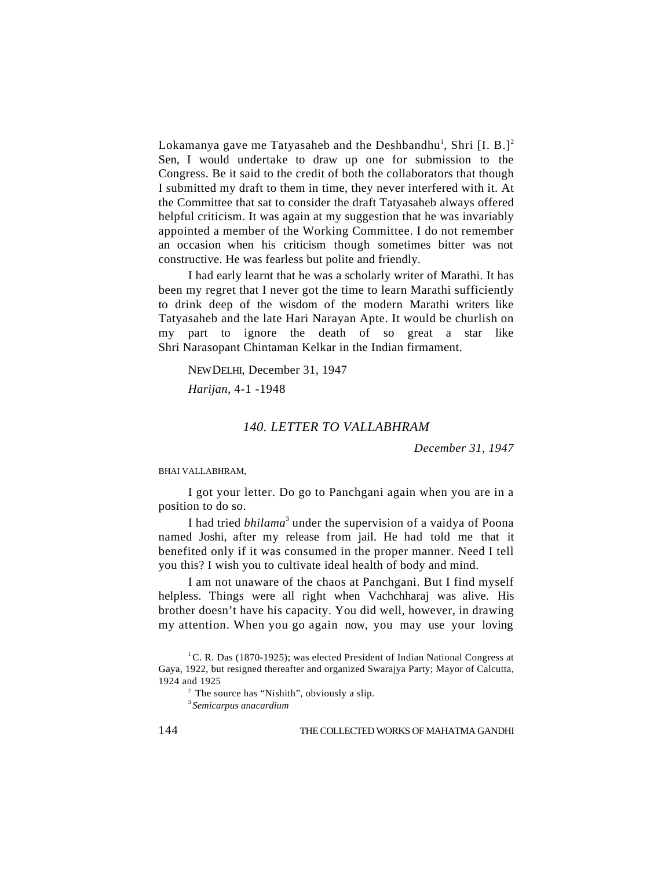Lokamanya gave me Tatyasaheb and the Deshbandhu<sup>1</sup>, Shri [I. B.]<sup>2</sup> Sen, I would undertake to draw up one for submission to the Congress. Be it said to the credit of both the collaborators that though I submitted my draft to them in time, they never interfered with it. At the Committee that sat to consider the draft Tatyasaheb always offered helpful criticism. It was again at my suggestion that he was invariably appointed a member of the Working Committee. I do not remember an occasion when his criticism though sometimes bitter was not constructive. He was fearless but polite and friendly.

I had early learnt that he was a scholarly writer of Marathi. It has been my regret that I never got the time to learn Marathi sufficiently to drink deep of the wisdom of the modern Marathi writers like Tatyasaheb and the late Hari Narayan Apte. It would be churlish on my part to ignore the death of so great a star like Shri Narasopant Chintaman Kelkar in the Indian firmament.

NEW DELHI, December 31, 1947 *Harijan,* 4-1 -1948

#### *140. LETTER TO VALLABHRAM*

*December 31, 1947*

BHAI VALLABHRAM,

I got your letter. Do go to Panchgani again when you are in a position to do so.

I had tried *bhilama*<sup>3</sup> under the supervision of a vaidya of Poona named Joshi, after my release from jail. He had told me that it benefited only if it was consumed in the proper manner. Need I tell you this? I wish you to cultivate ideal health of body and mind.

I am not unaware of the chaos at Panchgani. But I find myself helpless. Things were all right when Vachchharaj was alive. His brother doesn't have his capacity. You did well, however, in drawing my attention. When you go again now, you may use your loving

<sup>&</sup>lt;sup>1</sup>C. R. Das (1870-1925); was elected President of Indian National Congress at Gaya, 1922, but resigned thereafter and organized Swarajya Party; Mayor of Calcutta, 1924 and 1925

<sup>&</sup>lt;sup>2</sup> The source has "Nishith", obviously a slip.

<sup>3</sup>*Semicarpus anacardium*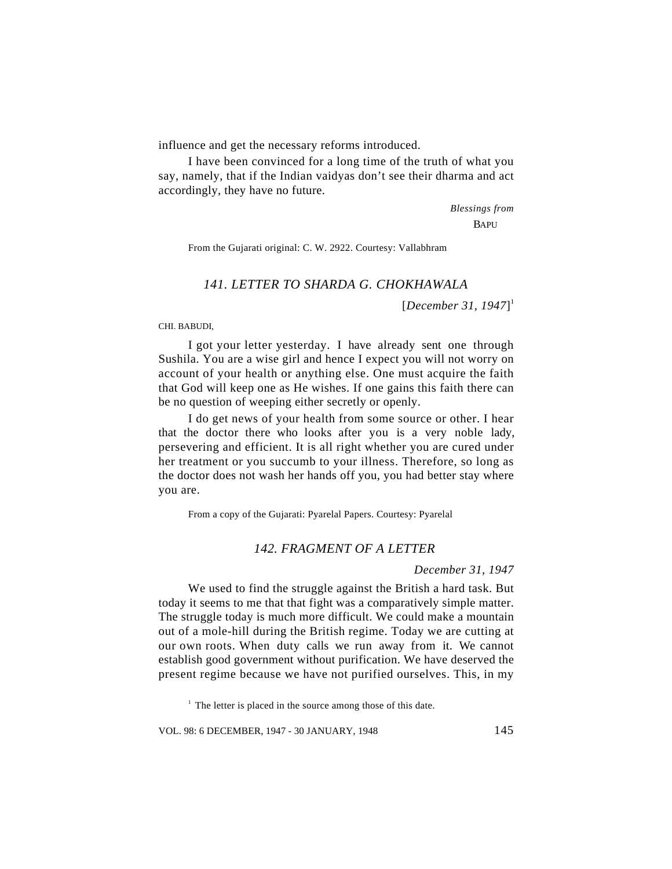influence and get the necessary reforms introduced.

I have been convinced for a long time of the truth of what you say, namely, that if the Indian vaidyas don't see their dharma and act accordingly, they have no future.

> *Blessings from* **BAPU**

From the Gujarati original: C. W. 2922. Courtesy: Vallabhram

### *141. LETTER TO SHARDA G. CHOKHAWALA*

[*December 31, 1947*] 1

CHI. BABUDI,

I got your letter yesterday. I have already sent one through Sushila. You are a wise girl and hence I expect you will not worry on account of your health or anything else. One must acquire the faith that God will keep one as He wishes. If one gains this faith there can be no question of weeping either secretly or openly.

I do get news of your health from some source or other. I hear that the doctor there who looks after you is a very noble lady, persevering and efficient. It is all right whether you are cured under her treatment or you succumb to your illness. Therefore, so long as the doctor does not wash her hands off you, you had better stay where you are.

From a copy of the Gujarati: Pyarelal Papers. Courtesy: Pyarelal

#### *142. FRAGMENT OF A LETTER*

*December 31, 1947*

We used to find the struggle against the British a hard task. But today it seems to me that that fight was a comparatively simple matter. The struggle today is much more difficult. We could make a mountain out of a mole-hill during the British regime. Today we are cutting at our own roots. When duty calls we run away from it. We cannot establish good government without purification. We have deserved the present regime because we have not purified ourselves. This, in my

 $<sup>1</sup>$  The letter is placed in the source among those of this date.</sup>

VOL. 98: 6 DECEMBER, 1947 - 30 JANUARY, 1948 145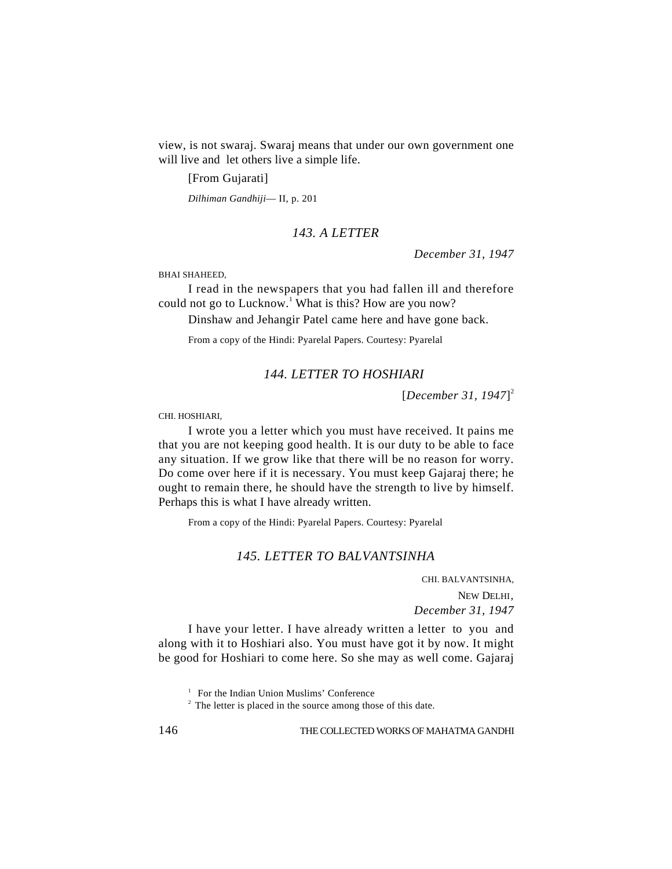view, is not swaraj. Swaraj means that under our own government one will live and let others live a simple life.

[From Gujarati]

*Dilhiman Gandhiji*— II, p. 201

### *143. A LETTER*

*December 31, 1947*

BHAI SHAHEED,

I read in the newspapers that you had fallen ill and therefore could not go to Lucknow.<sup>1</sup> What is this? How are you now?

Dinshaw and Jehangir Patel came here and have gone back.

From a copy of the Hindi: Pyarelal Papers. Courtesy: Pyarelal

## *144. LETTER TO HOSHIARI*

[*December 31, 1947*] 2

CHI. HOSHIARI,

I wrote you a letter which you must have received. It pains me that you are not keeping good health. It is our duty to be able to face any situation. If we grow like that there will be no reason for worry. Do come over here if it is necessary. You must keep Gajaraj there; he ought to remain there, he should have the strength to live by himself. Perhaps this is what I have already written.

From a copy of the Hindi: Pyarelal Papers. Courtesy: Pyarelal

## *145. LETTER TO BALVANTSINHA*

CHI. BALVANTSINHA,

NEW DELHI, *December 31, 1947*

I have your letter. I have already written a letter to you and along with it to Hoshiari also. You must have got it by now. It might be good for Hoshiari to come here. So she may as well come. Gajaraj

 $<sup>1</sup>$  For the Indian Union Muslims' Conference</sup>

 $2^{\circ}$  The letter is placed in the source among those of this date.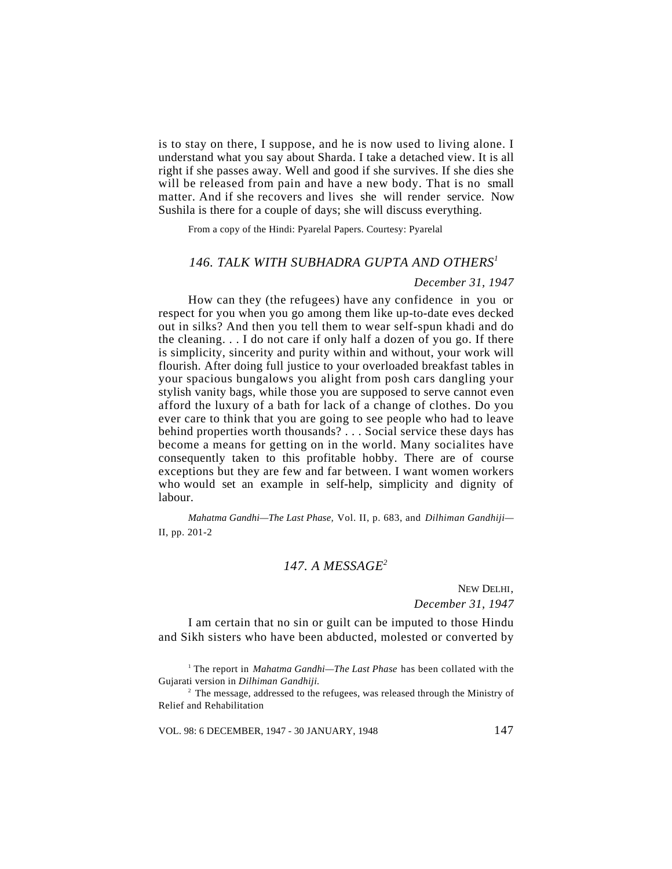is to stay on there, I suppose, and he is now used to living alone. I understand what you say about Sharda. I take a detached view. It is all right if she passes away. Well and good if she survives. If she dies she will be released from pain and have a new body. That is no small matter. And if she recovers and lives she will render service. Now Sushila is there for a couple of days; she will discuss everything.

From a copy of the Hindi: Pyarelal Papers. Courtesy: Pyarelal

#### *146. TALK WITH SUBHADRA GUPTA AND OTHERS<sup>1</sup>*

#### *December 31, 1947*

How can they (the refugees) have any confidence in you or respect for you when you go among them like up-to-date eves decked out in silks? And then you tell them to wear self-spun khadi and do the cleaning. . . I do not care if only half a dozen of you go. If there is simplicity, sincerity and purity within and without, your work will flourish. After doing full justice to your overloaded breakfast tables in your spacious bungalows you alight from posh cars dangling your stylish vanity bags, while those you are supposed to serve cannot even afford the luxury of a bath for lack of a change of clothes. Do you ever care to think that you are going to see people who had to leave behind properties worth thousands? . . . Social service these days has become a means for getting on in the world. Many socialites have consequently taken to this profitable hobby. There are of course exceptions but they are few and far between. I want women workers who would set an example in self-help, simplicity and dignity of labour.

*Mahatma Gandhi—The Last Phase,* Vol. II, p. 683, and *Dilhiman Gandhiji—* II, pp. 201-2

### *147. A MESSAGE<sup>2</sup>*

NEW DELHI, *December 31, 1947*

I am certain that no sin or guilt can be imputed to those Hindu and Sikh sisters who have been abducted, molested or converted by

<sup>1</sup> The report in *Mahatma Gandhi—The Last Phase* has been collated with the Gujarati version in *Dilhiman Gandhiji.*

 $2$  The message, addressed to the refugees, was released through the Ministry of Relief and Rehabilitation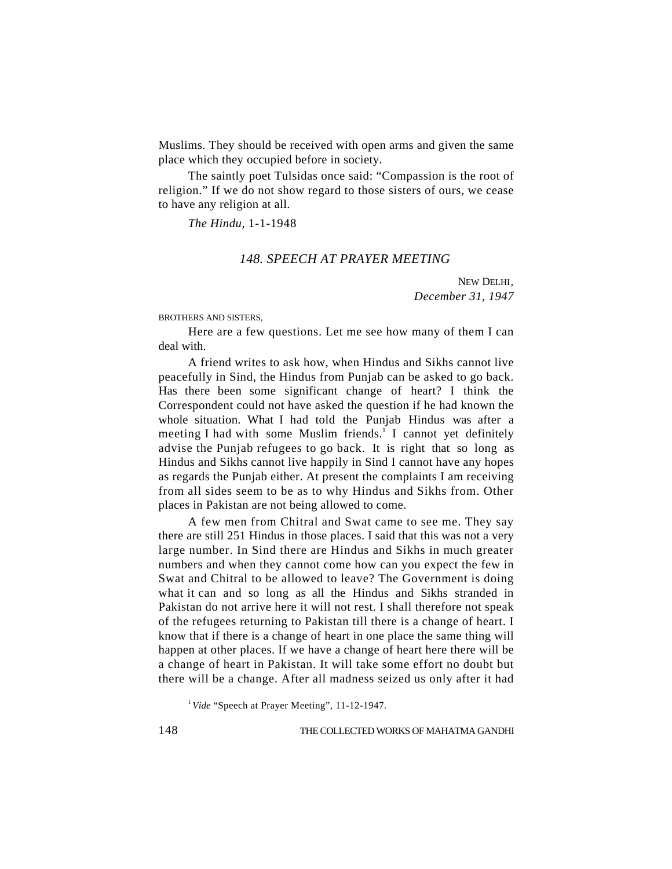Muslims. They should be received with open arms and given the same place which they occupied before in society.

The saintly poet Tulsidas once said: "Compassion is the root of religion." If we do not show regard to those sisters of ours, we cease to have any religion at all.

*The Hindu,* 1-1-1948

### *148. SPEECH AT PRAYER MEETING*

NEW DELHI, *December 31, 1947*

#### BROTHERS AND SISTERS,

Here are a few questions. Let me see how many of them I can deal with.

A friend writes to ask how, when Hindus and Sikhs cannot live peacefully in Sind, the Hindus from Punjab can be asked to go back. Has there been some significant change of heart? I think the Correspondent could not have asked the question if he had known the whole situation. What I had told the Punjab Hindus was after a meeting I had with some Muslim friends.<sup>1</sup> I cannot yet definitely advise the Punjab refugees to go back. It is right that so long as Hindus and Sikhs cannot live happily in Sind I cannot have any hopes as regards the Punjab either. At present the complaints I am receiving from all sides seem to be as to why Hindus and Sikhs from. Other places in Pakistan are not being allowed to come.

A few men from Chitral and Swat came to see me. They say there are still 251 Hindus in those places. I said that this was not a very large number. In Sind there are Hindus and Sikhs in much greater numbers and when they cannot come how can you expect the few in Swat and Chitral to be allowed to leave? The Government is doing what it can and so long as all the Hindus and Sikhs stranded in Pakistan do not arrive here it will not rest. I shall therefore not speak of the refugees returning to Pakistan till there is a change of heart. I know that if there is a change of heart in one place the same thing will happen at other places. If we have a change of heart here there will be a change of heart in Pakistan. It will take some effort no doubt but there will be a change. After all madness seized us only after it had

<sup>1</sup> Vide "Speech at Prayer Meeting", 11-12-1947.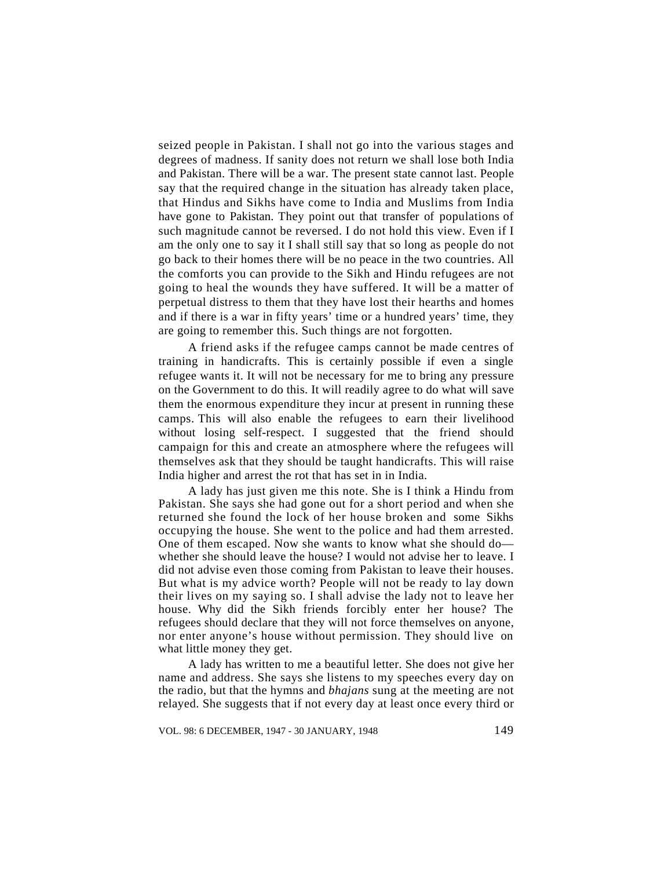seized people in Pakistan. I shall not go into the various stages and degrees of madness. If sanity does not return we shall lose both India and Pakistan. There will be a war. The present state cannot last. People say that the required change in the situation has already taken place, that Hindus and Sikhs have come to India and Muslims from India have gone to Pakistan. They point out that transfer of populations of such magnitude cannot be reversed. I do not hold this view. Even if I am the only one to say it I shall still say that so long as people do not go back to their homes there will be no peace in the two countries. All the comforts you can provide to the Sikh and Hindu refugees are not going to heal the wounds they have suffered. It will be a matter of perpetual distress to them that they have lost their hearths and homes and if there is a war in fifty years' time or a hundred years' time, they are going to remember this. Such things are not forgotten.

A friend asks if the refugee camps cannot be made centres of training in handicrafts. This is certainly possible if even a single refugee wants it. It will not be necessary for me to bring any pressure on the Government to do this. It will readily agree to do what will save them the enormous expenditure they incur at present in running these camps. This will also enable the refugees to earn their livelihood without losing self-respect. I suggested that the friend should campaign for this and create an atmosphere where the refugees will themselves ask that they should be taught handicrafts. This will raise India higher and arrest the rot that has set in in India.

A lady has just given me this note. She is I think a Hindu from Pakistan. She says she had gone out for a short period and when she returned she found the lock of her house broken and some Sikhs occupying the house. She went to the police and had them arrested. One of them escaped. Now she wants to know what she should do whether she should leave the house? I would not advise her to leave. I did not advise even those coming from Pakistan to leave their houses. But what is my advice worth? People will not be ready to lay down their lives on my saying so. I shall advise the lady not to leave her house. Why did the Sikh friends forcibly enter her house? The refugees should declare that they will not force themselves on anyone, nor enter anyone's house without permission. They should live on what little money they get.

A lady has written to me a beautiful letter. She does not give her name and address. She says she listens to my speeches every day on the radio, but that the hymns and *bhajans* sung at the meeting are not relayed. She suggests that if not every day at least once every third or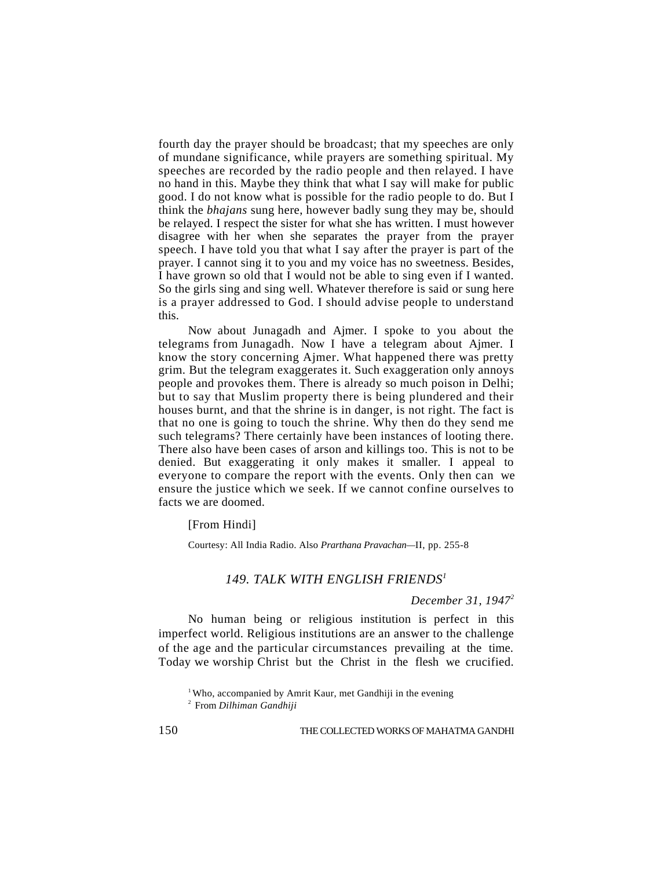fourth day the prayer should be broadcast; that my speeches are only of mundane significance, while prayers are something spiritual. My speeches are recorded by the radio people and then relayed. I have no hand in this. Maybe they think that what I say will make for public good. I do not know what is possible for the radio people to do. But I think the *bhajans* sung here, however badly sung they may be, should be relayed. I respect the sister for what she has written. I must however disagree with her when she separates the prayer from the prayer speech. I have told you that what I say after the prayer is part of the prayer. I cannot sing it to you and my voice has no sweetness. Besides, I have grown so old that I would not be able to sing even if I wanted. So the girls sing and sing well. Whatever therefore is said or sung here is a prayer addressed to God. I should advise people to understand this.

Now about Junagadh and Ajmer. I spoke to you about the telegrams from Junagadh. Now I have a telegram about Ajmer. I know the story concerning Ajmer. What happened there was pretty grim. But the telegram exaggerates it. Such exaggeration only annoys people and provokes them. There is already so much poison in Delhi; but to say that Muslim property there is being plundered and their houses burnt, and that the shrine is in danger, is not right. The fact is that no one is going to touch the shrine. Why then do they send me such telegrams? There certainly have been instances of looting there. There also have been cases of arson and killings too. This is not to be denied. But exaggerating it only makes it smaller. I appeal to everyone to compare the report with the events. Only then can we ensure the justice which we seek. If we cannot confine ourselves to facts we are doomed.

[From Hindi]

Courtesy: All India Radio. Also *Prarthana Pravachan—*II, pp. 255-8

## *149. TALK WITH ENGLISH FRIENDS<sup>1</sup>*

*December 31, 1947<sup>2</sup>*

No human being or religious institution is perfect in this imperfect world. Religious institutions are an answer to the challenge of the age and the particular circumstances prevailing at the time. Today we worship Christ but the Christ in the flesh we crucified.

<sup>&</sup>lt;sup>1</sup> Who, accompanied by Amrit Kaur, met Gandhiji in the evening

<sup>2</sup>From *Dilhiman Gandhiji*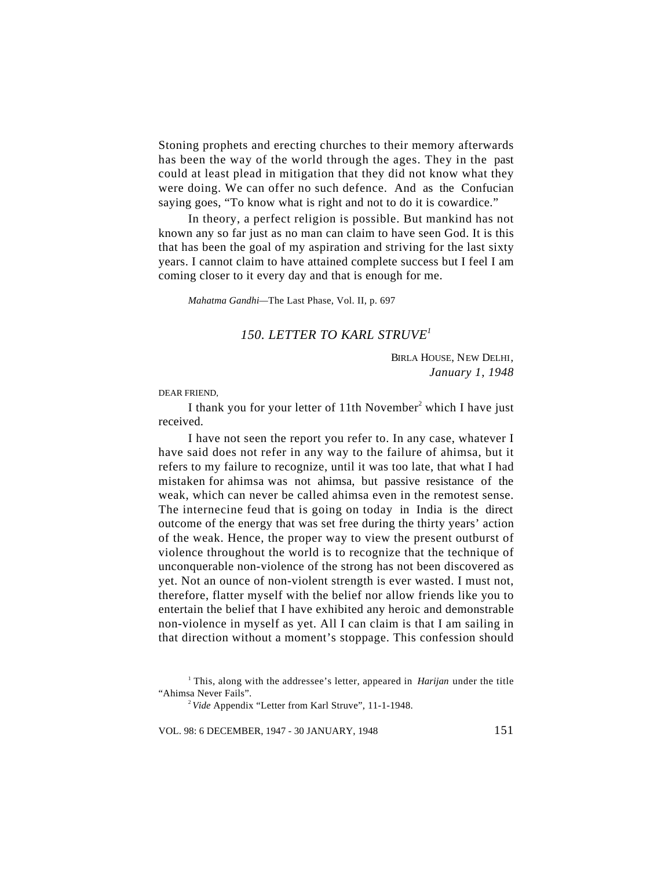Stoning prophets and erecting churches to their memory afterwards has been the way of the world through the ages. They in the past could at least plead in mitigation that they did not know what they were doing. We can offer no such defence. And as the Confucian saying goes, "To know what is right and not to do it is cowardice."

In theory, a perfect religion is possible. But mankind has not known any so far just as no man can claim to have seen God. It is this that has been the goal of my aspiration and striving for the last sixty years. I cannot claim to have attained complete success but I feel I am coming closer to it every day and that is enough for me.

*Mahatma Gandhi—*The Last Phase, Vol. II, p. 697

## *150. LETTER TO KARL STRUVE<sup>1</sup>*

BIRLA HOUSE, NEW DELHI, *January 1, 1948*

DEAR FRIEND,

I thank you for your letter of 11th November<sup>2</sup> which I have just received.

I have not seen the report you refer to. In any case, whatever I have said does not refer in any way to the failure of ahimsa, but it refers to my failure to recognize, until it was too late, that what I had mistaken for ahimsa was not ahimsa, but passive resistance of the weak, which can never be called ahimsa even in the remotest sense. The internecine feud that is going on today in India is the direct outcome of the energy that was set free during the thirty years' action of the weak. Hence, the proper way to view the present outburst of violence throughout the world is to recognize that the technique of unconquerable non-violence of the strong has not been discovered as yet. Not an ounce of non-violent strength is ever wasted. I must not, therefore, flatter myself with the belief nor allow friends like you to entertain the belief that I have exhibited any heroic and demonstrable non-violence in myself as yet. All I can claim is that I am sailing in that direction without a moment's stoppage. This confession should

<sup>&</sup>lt;sup>1</sup> This, along with the addressee's letter, appeared in *Harijan* under the title "Ahimsa Never Fails".

<sup>2</sup>*Vide* Appendix "Letter from Karl Struve", 11-1-1948.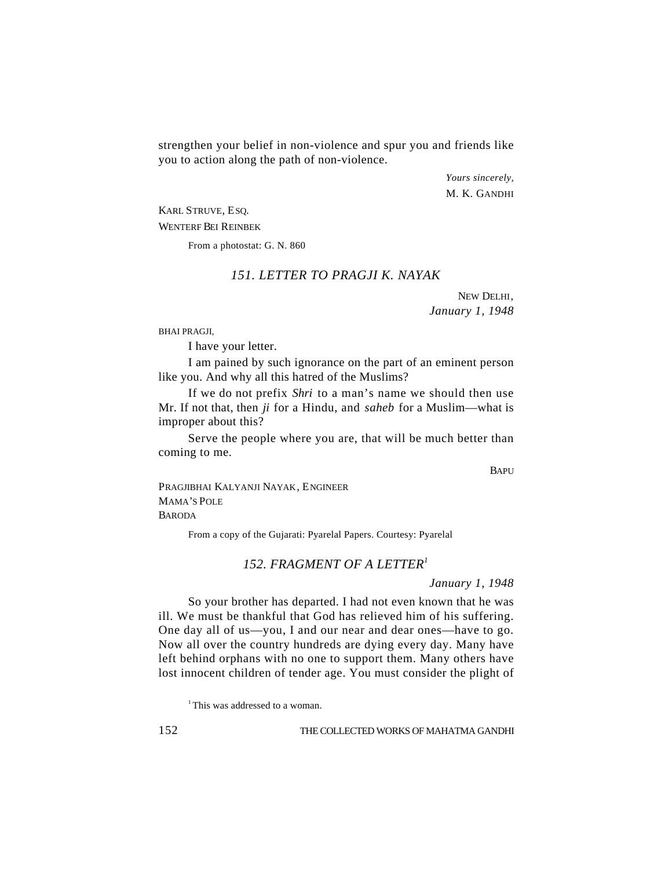strengthen your belief in non-violence and spur you and friends like you to action along the path of non-violence.

> *Yours sincerely,* M. K. GANDHI

KARL STRUVE, ESQ. WENTERF BEI REINBEK

From a photostat: G. N. 860

# *151. LETTER TO PRAGJI K. NAYAK*

NEW DELHI, *January 1, 1948*

BHAI PRAGJI,

I have your letter.

I am pained by such ignorance on the part of an eminent person like you. And why all this hatred of the Muslims?

If we do not prefix *Shri* to a man's name we should then use Mr. If not that, then *ji* for a Hindu, and *saheb* for a Muslim—what is improper about this?

Serve the people where you are, that will be much better than coming to me.

**BAPU** 

PRAGJIBHAI KALYANJI NAYAK, ENGINEER MAMA'S POLE BARODA

From a copy of the Gujarati: Pyarelal Papers. Courtesy: Pyarelal

# *152. FRAGMENT OF A LETTER<sup>1</sup>*

*January 1, 1948*

So your brother has departed. I had not even known that he was ill. We must be thankful that God has relieved him of his suffering. One day all of us—you, I and our near and dear ones—have to go. Now all over the country hundreds are dying every day. Many have left behind orphans with no one to support them. Many others have lost innocent children of tender age. You must consider the plight of

<sup>1</sup> This was addressed to a woman.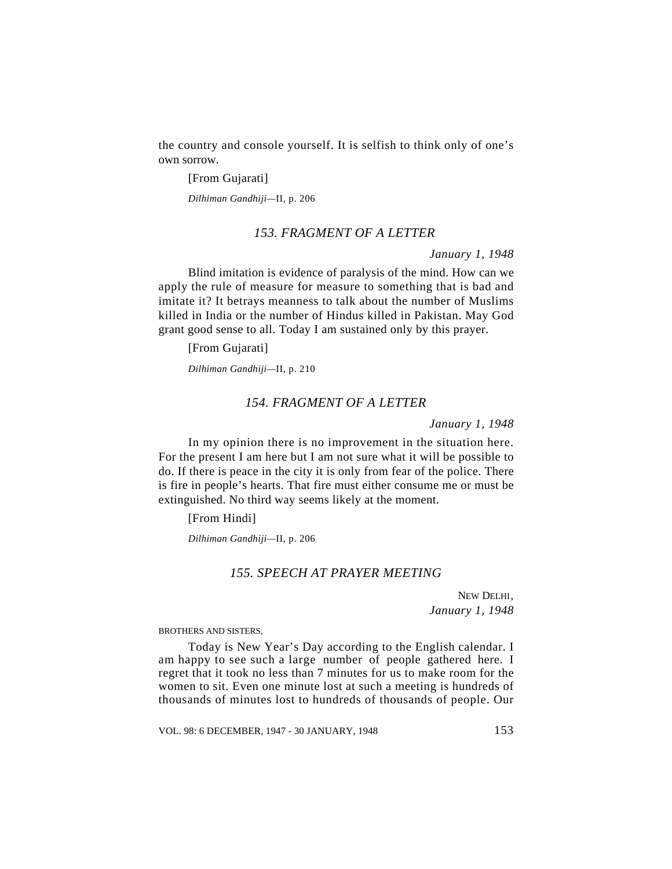the country and console yourself. It is selfish to think only of one's own sorrow.

[From Gujarati]

*Dilhiman Gandhiji—*II, p. 206

### *153. FRAGMENT OF A LETTER*

*January 1, 1948*

Blind imitation is evidence of paralysis of the mind. How can we apply the rule of measure for measure to something that is bad and imitate it? It betrays meanness to talk about the number of Muslims killed in India or the number of Hindus killed in Pakistan. May God grant good sense to all. Today I am sustained only by this prayer.

[From Gujarati]

*Dilhiman Gandhiji—*II, p. 210

### *154. FRAGMENT OF A LETTER*

*January 1, 1948*

In my opinion there is no improvement in the situation here. For the present I am here but I am not sure what it will be possible to do. If there is peace in the city it is only from fear of the police. There is fire in people's hearts. That fire must either consume me or must be extinguished. No third way seems likely at the moment.

[From Hindi]

*Dilhiman Gandhiji—*II, p. 206

### *155. SPEECH AT PRAYER MEETING*

NEW DELHI, *January 1, 1948*

BROTHERS AND SISTERS,

Today is New Year's Day according to the English calendar. I am happy to see such a large number of people gathered here. I regret that it took no less than 7 minutes for us to make room for the women to sit. Even one minute lost at such a meeting is hundreds of thousands of minutes lost to hundreds of thousands of people. Our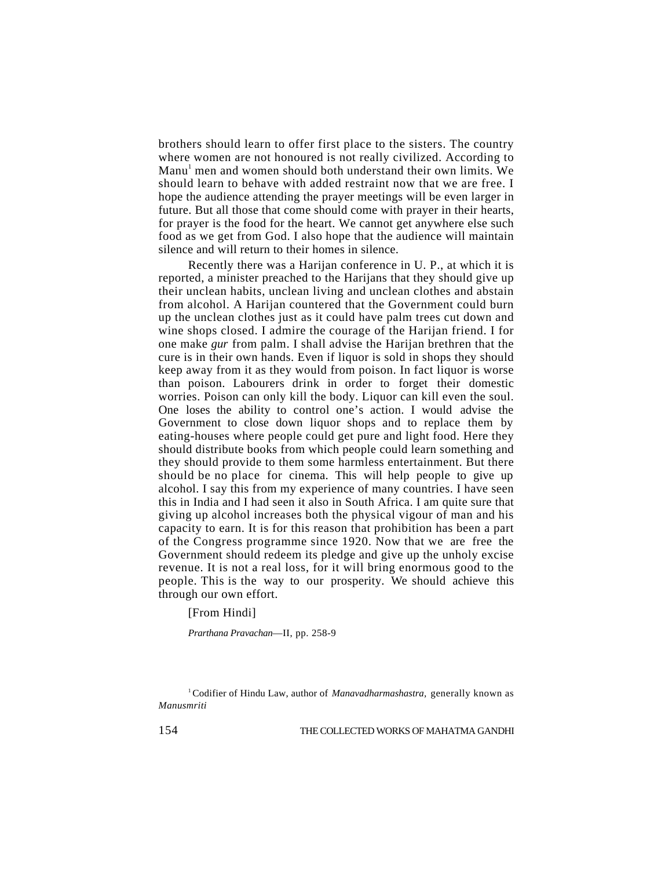brothers should learn to offer first place to the sisters. The country where women are not honoured is not really civilized. According to Manu<sup>1</sup> men and women should both understand their own limits. We should learn to behave with added restraint now that we are free. I hope the audience attending the prayer meetings will be even larger in future. But all those that come should come with prayer in their hearts, for prayer is the food for the heart. We cannot get anywhere else such food as we get from God. I also hope that the audience will maintain silence and will return to their homes in silence.

Recently there was a Harijan conference in U. P., at which it is reported, a minister preached to the Harijans that they should give up their unclean habits, unclean living and unclean clothes and abstain from alcohol. A Harijan countered that the Government could burn up the unclean clothes just as it could have palm trees cut down and wine shops closed. I admire the courage of the Harijan friend. I for one make *gur* from palm. I shall advise the Harijan brethren that the cure is in their own hands. Even if liquor is sold in shops they should keep away from it as they would from poison. In fact liquor is worse than poison. Labourers drink in order to forget their domestic worries. Poison can only kill the body. Liquor can kill even the soul. One loses the ability to control one's action. I would advise the Government to close down liquor shops and to replace them by eating-houses where people could get pure and light food. Here they should distribute books from which people could learn something and they should provide to them some harmless entertainment. But there should be no place for cinema. This will help people to give up alcohol. I say this from my experience of many countries. I have seen this in India and I had seen it also in South Africa. I am quite sure that giving up alcohol increases both the physical vigour of man and his capacity to earn. It is for this reason that prohibition has been a part of the Congress programme since 1920. Now that we are free the Government should redeem its pledge and give up the unholy excise revenue. It is not a real loss, for it will bring enormous good to the people. This is the way to our prosperity. We should achieve this through our own effort.

[From Hindi]

*Prarthana Pravachan*—II, pp. 258-9

<sup>1</sup> Codifier of Hindu Law, author of *Manavadharmashastra*, generally known as *Manusmriti*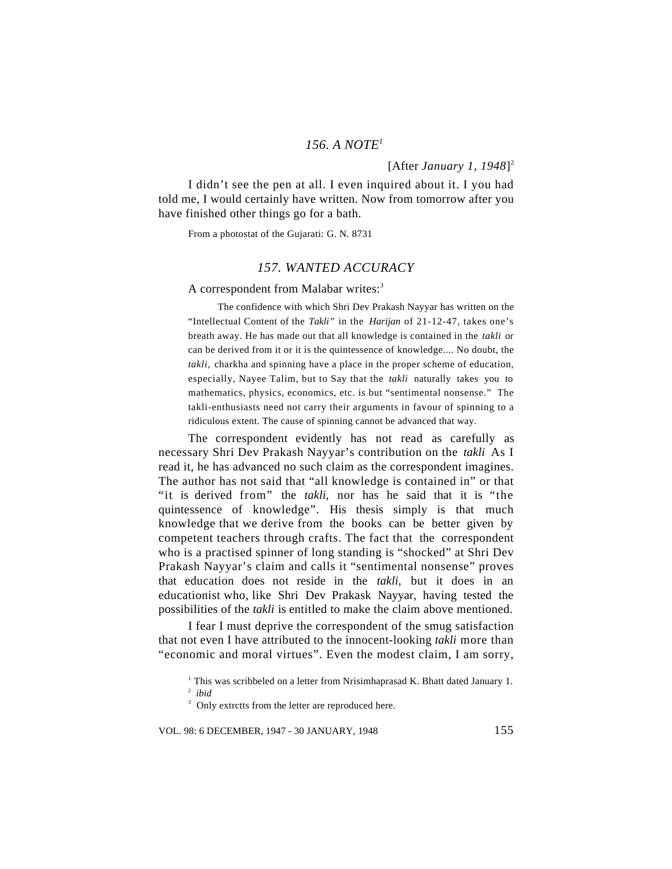### *156. A NOTE<sup>1</sup>*

[After *January 1, 1948*] 2

I didn't see the pen at all. I even inquired about it. I you had told me, I would certainly have written. Now from tomorrow after you have finished other things go for a bath.

From a photostat of the Gujarati: G. N. 8731

### *157. WANTED ACCURACY*

A correspondent from Malabar writes:<sup>3</sup>

The confidence with which Shri Dev Prakash Nayyar has written on the "Intellectual Content of the *Takli"* in the *Harijan* of 21-12-47, takes one's breath away. He has made out that all knowledge is contained in the *takli* or can be derived from it or it is the quintessence of knowledge.... No doubt, the *takli,* charkha and spinning have a place in the proper scheme of education, especially, Nayee Talim, but to Say that the *takli* naturally takes you to mathematics, physics, economics, etc. is but "sentimental nonsense." The takli-enthusiasts need not carry their arguments in favour of spinning to a ridiculous extent. The cause of spinning cannot be advanced that way.

The correspondent evidently has not read as carefully as necessary Shri Dev Prakash Nayyar's contribution on the *takli* As I read it, he has advanced no such claim as the correspondent imagines. The author has not said that "all knowledge is contained in" or that "it is derived from" the *takli,* nor has he said that it is "the quintessence of knowledge". His thesis simply is that much knowledge that we derive from the books can be better given by competent teachers through crafts. The fact that the correspondent who is a practised spinner of long standing is "shocked" at Shri Dev Prakash Nayyar's claim and calls it "sentimental nonsense" proves that education does not reside in the *takli,* but it does in an educationist who, like Shri Dev Prakask Nayyar, having tested the possibilities of the *takli* is entitled to make the claim above mentioned.

I fear I must deprive the correspondent of the smug satisfaction that not even I have attributed to the innocent-looking *takli* more than "economic and moral virtues". Even the modest claim, I am sorry,

<sup>&</sup>lt;sup>1</sup> This was scribbeled on a letter from Nrisimhaprasad K. Bhatt dated January 1.

<sup>2</sup>  *ibid*

<sup>&</sup>lt;sup>3</sup> Only extrctts from the letter are reproduced here.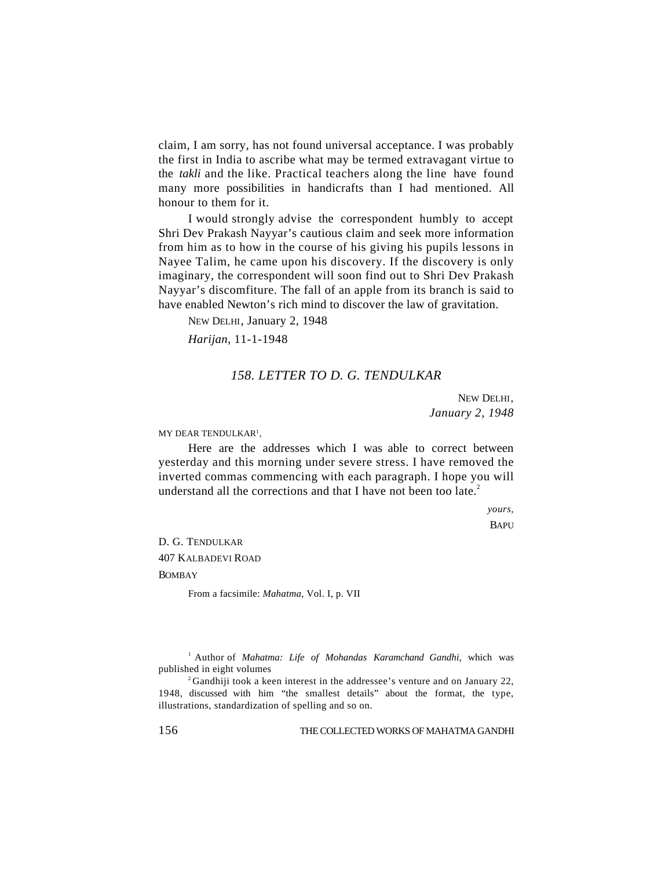claim, I am sorry, has not found universal acceptance. I was probably the first in India to ascribe what may be termed extravagant virtue to the *takli* and the like. Practical teachers along the line have found many more possibilities in handicrafts than I had mentioned. All honour to them for it.

I would strongly advise the correspondent humbly to accept Shri Dev Prakash Nayyar's cautious claim and seek more information from him as to how in the course of his giving his pupils lessons in Nayee Talim, he came upon his discovery. If the discovery is only imaginary, the correspondent will soon find out to Shri Dev Prakash Nayyar's discomfiture. The fall of an apple from its branch is said to have enabled Newton's rich mind to discover the law of gravitation.

NEW DELHI, January 2, 1948

*Harijan,* 11-1-1948

### *158. LETTER TO D. G. TENDULKAR*

NEW DELHI, *January 2, 1948*

MY DEAR TENDULKAR<sup>1</sup>,

Here are the addresses which I was able to correct between yesterday and this morning under severe stress. I have removed the inverted commas commencing with each paragraph. I hope you will understand all the corrections and that I have not been too late.<sup>2</sup>

> *yours,* BAPU

D. G. TENDULKAR 407 KALBADEVI ROAD BOMBAY

From a facsimile: *Mahatma,* Vol. I, p. VII

<sup>1</sup> Author of *Mahatma: Life of Mohandas Karamchand Gandhi*, which was published in eight volumes

<sup>&</sup>lt;sup>2</sup> Gandhiji took a keen interest in the addressee's venture and on January 22, 1948, discussed with him "the smallest details" about the format, the type, illustrations, standardization of spelling and so on.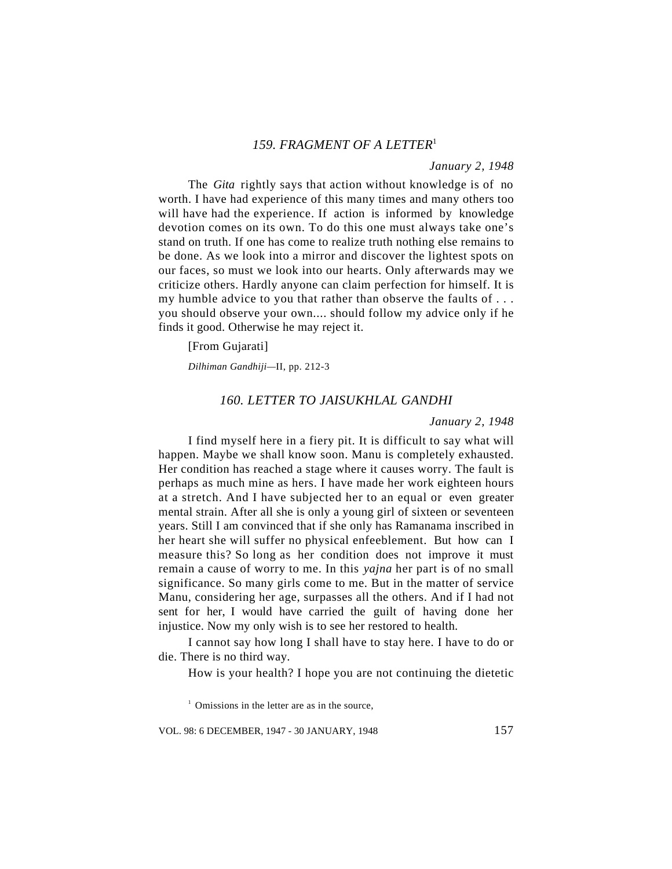### *159. FRAGMENT OF A LETTER*<sup>1</sup>

*January 2, 1948*

The *Gita* rightly says that action without knowledge is of no worth. I have had experience of this many times and many others too will have had the experience. If action is informed by knowledge devotion comes on its own. To do this one must always take one's stand on truth. If one has come to realize truth nothing else remains to be done. As we look into a mirror and discover the lightest spots on our faces, so must we look into our hearts. Only afterwards may we criticize others. Hardly anyone can claim perfection for himself. It is my humble advice to you that rather than observe the faults of . . . you should observe your own.... should follow my advice only if he finds it good. Otherwise he may reject it.

[From Gujarati]

*Dilhiman Gandhiji—*II, pp. 212-3

### *160. LETTER TO JAISUKHLAL GANDHI*

#### *January 2, 1948*

I find myself here in a fiery pit. It is difficult to say what will happen. Maybe we shall know soon. Manu is completely exhausted. Her condition has reached a stage where it causes worry. The fault is perhaps as much mine as hers. I have made her work eighteen hours at a stretch. And I have subjected her to an equal or even greater mental strain. After all she is only a young girl of sixteen or seventeen years. Still I am convinced that if she only has Ramanama inscribed in her heart she will suffer no physical enfeeblement. But how can I measure this? So long as her condition does not improve it must remain a cause of worry to me. In this *yajna* her part is of no small significance. So many girls come to me. But in the matter of service Manu, considering her age, surpasses all the others. And if I had not sent for her, I would have carried the guilt of having done her injustice. Now my only wish is to see her restored to health.

I cannot say how long I shall have to stay here. I have to do or die. There is no third way.

How is your health? I hope you are not continuing the dietetic

 $1$  Omissions in the letter are as in the source.

VOL. 98: 6 DECEMBER, 1947 - 30 JANUARY, 1948 157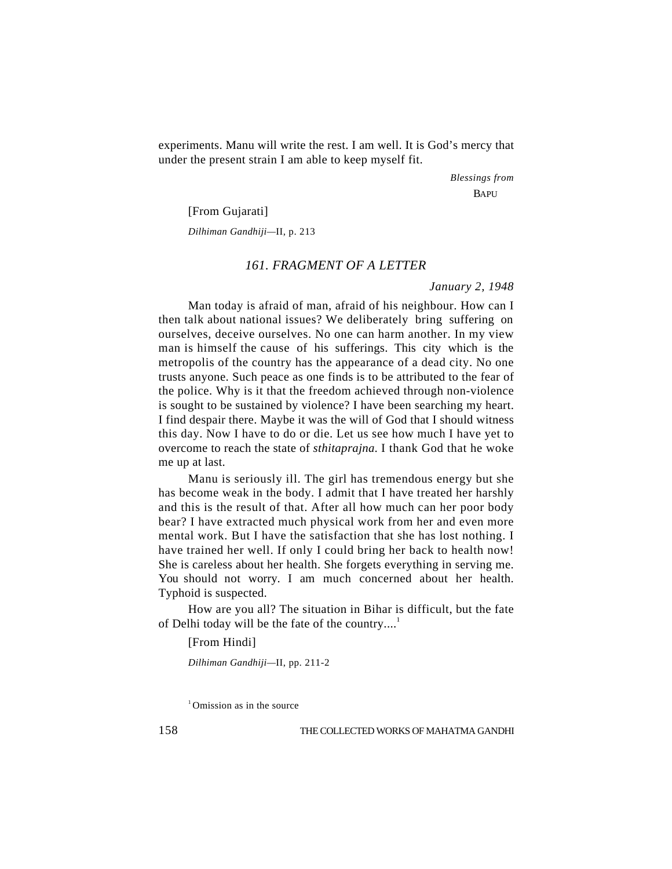experiments. Manu will write the rest. I am well. It is God's mercy that under the present strain I am able to keep myself fit.

> *Blessings from* **BAPU**

[From Gujarati] *Dilhiman Gandhiji—*II, p. 213

## *161. FRAGMENT OF A LETTER*

*January 2, 1948*

Man today is afraid of man, afraid of his neighbour. How can I then talk about national issues? We deliberately bring suffering on ourselves, deceive ourselves. No one can harm another. In my view man is himself the cause of his sufferings. This city which is the metropolis of the country has the appearance of a dead city. No one trusts anyone. Such peace as one finds is to be attributed to the fear of the police. Why is it that the freedom achieved through non-violence is sought to be sustained by violence? I have been searching my heart. I find despair there. Maybe it was the will of God that I should witness this day. Now I have to do or die. Let us see how much I have yet to overcome to reach the state of *sthitaprajna.* I thank God that he woke me up at last.

Manu is seriously ill. The girl has tremendous energy but she has become weak in the body. I admit that I have treated her harshly and this is the result of that. After all how much can her poor body bear? I have extracted much physical work from her and even more mental work. But I have the satisfaction that she has lost nothing. I have trained her well. If only I could bring her back to health now! She is careless about her health. She forgets everything in serving me. You should not worry. I am much concerned about her health. Typhoid is suspected.

How are you all? The situation in Bihar is difficult, but the fate of Delhi today will be the fate of the country....<sup>1</sup>

[From Hindi]

*Dilhiman Gandhiji—*II, pp. 211-2

 $1$  Omission as in the source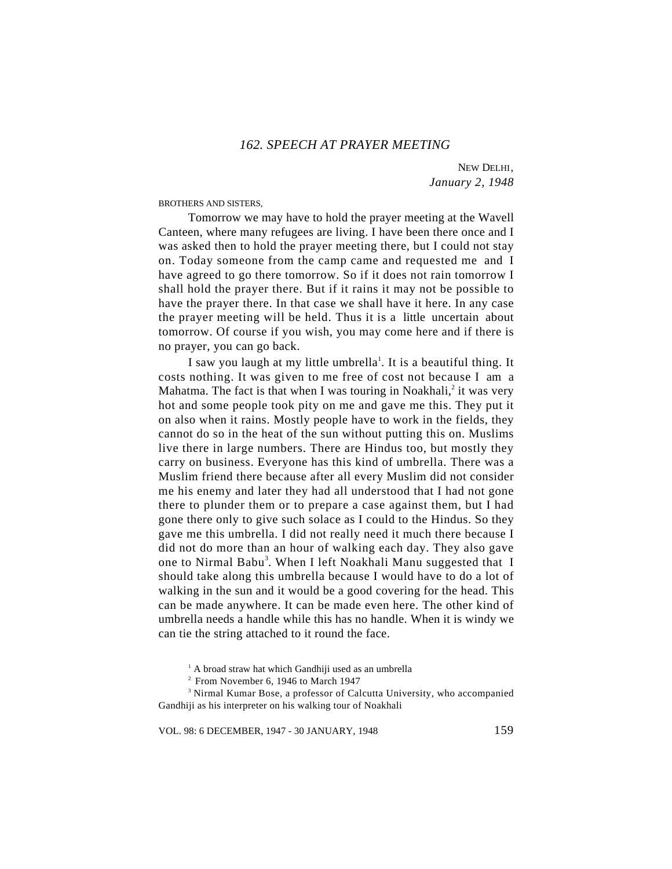### *162. SPEECH AT PRAYER MEETING*

NEW DELHI, *January 2, 1948*

#### BROTHERS AND SISTERS,

Tomorrow we may have to hold the prayer meeting at the Wavell Canteen, where many refugees are living. I have been there once and I was asked then to hold the prayer meeting there, but I could not stay on. Today someone from the camp came and requested me and I have agreed to go there tomorrow. So if it does not rain tomorrow I shall hold the prayer there. But if it rains it may not be possible to have the prayer there. In that case we shall have it here. In any case the prayer meeting will be held. Thus it is a little uncertain about tomorrow. Of course if you wish, you may come here and if there is no prayer, you can go back.

I saw you laugh at my little umbrella<sup>1</sup>. It is a beautiful thing. It costs nothing. It was given to me free of cost not because I am a Mahatma. The fact is that when I was touring in Noakhali, $2$  it was very hot and some people took pity on me and gave me this. They put it on also when it rains. Mostly people have to work in the fields, they cannot do so in the heat of the sun without putting this on. Muslims live there in large numbers. There are Hindus too, but mostly they carry on business. Everyone has this kind of umbrella. There was a Muslim friend there because after all every Muslim did not consider me his enemy and later they had all understood that I had not gone there to plunder them or to prepare a case against them, but I had gone there only to give such solace as I could to the Hindus. So they gave me this umbrella. I did not really need it much there because I did not do more than an hour of walking each day. They also gave one to Nirmal Babu<sup>3</sup>. When I left Noakhali Manu suggested that I should take along this umbrella because I would have to do a lot of walking in the sun and it would be a good covering for the head. This can be made anywhere. It can be made even here. The other kind of umbrella needs a handle while this has no handle. When it is windy we can tie the string attached to it round the face.

 $1$  A broad straw hat which Gandhiji used as an umbrella

 $2$  From November 6, 1946 to March 1947

<sup>3</sup> Nirmal Kumar Bose, a professor of Calcutta University, who accompanied Gandhiji as his interpreter on his walking tour of Noakhali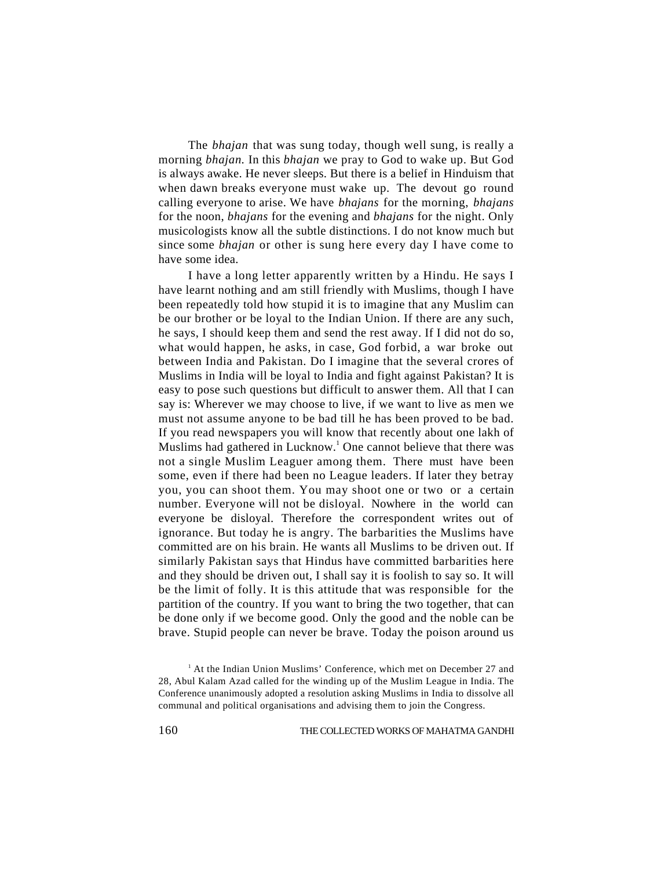The *bhajan* that was sung today, though well sung, is really a morning *bhajan.* In this *bhajan* we pray to God to wake up. But God is always awake. He never sleeps. But there is a belief in Hinduism that when dawn breaks everyone must wake up. The devout go round calling everyone to arise. We have *bhajans* for the morning, *bhajans* for the noon, *bhajans* for the evening and *bhajans* for the night. Only musicologists know all the subtle distinctions. I do not know much but since some *bhajan* or other is sung here every day I have come to have some idea.

I have a long letter apparently written by a Hindu. He says I have learnt nothing and am still friendly with Muslims, though I have been repeatedly told how stupid it is to imagine that any Muslim can be our brother or be loyal to the Indian Union. If there are any such, he says, I should keep them and send the rest away. If I did not do so, what would happen, he asks, in case, God forbid, a war broke out between India and Pakistan. Do I imagine that the several crores of Muslims in India will be loyal to India and fight against Pakistan? It is easy to pose such questions but difficult to answer them. All that I can say is: Wherever we may choose to live, if we want to live as men we must not assume anyone to be bad till he has been proved to be bad. If you read newspapers you will know that recently about one lakh of Muslims had gathered in Lucknow.<sup>1</sup> One cannot believe that there was not a single Muslim Leaguer among them. There must have been some, even if there had been no League leaders. If later they betray you, you can shoot them. You may shoot one or two or a certain number. Everyone will not be disloyal. Nowhere in the world can everyone be disloyal. Therefore the correspondent writes out of ignorance. But today he is angry. The barbarities the Muslims have committed are on his brain. He wants all Muslims to be driven out. If similarly Pakistan says that Hindus have committed barbarities here and they should be driven out, I shall say it is foolish to say so. It will be the limit of folly. It is this attitude that was responsible for the partition of the country. If you want to bring the two together, that can be done only if we become good. Only the good and the noble can be brave. Stupid people can never be brave. Today the poison around us

 $<sup>1</sup>$  At the Indian Union Muslims' Conference, which met on December 27 and</sup> 28, Abul Kalam Azad called for the winding up of the Muslim League in India. The Conference unanimously adopted a resolution asking Muslims in India to dissolve all communal and political organisations and advising them to join the Congress.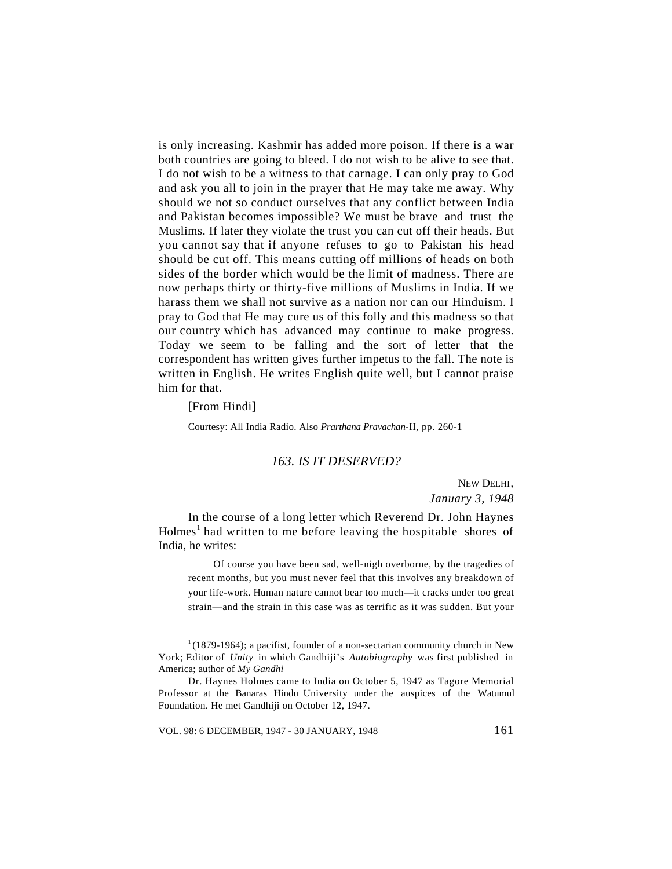is only increasing. Kashmir has added more poison. If there is a war both countries are going to bleed. I do not wish to be alive to see that. I do not wish to be a witness to that carnage. I can only pray to God and ask you all to join in the prayer that He may take me away. Why should we not so conduct ourselves that any conflict between India and Pakistan becomes impossible? We must be brave and trust the Muslims. If later they violate the trust you can cut off their heads. But you cannot say that if anyone refuses to go to Pakistan his head should be cut off. This means cutting off millions of heads on both sides of the border which would be the limit of madness. There are now perhaps thirty or thirty-five millions of Muslims in India. If we harass them we shall not survive as a nation nor can our Hinduism. I pray to God that He may cure us of this folly and this madness so that our country which has advanced may continue to make progress. Today we seem to be falling and the sort of letter that the correspondent has written gives further impetus to the fall. The note is written in English. He writes English quite well, but I cannot praise him for that.

#### [From Hindi]

Courtesy: All India Radio. Also *Prarthana Pravachan*-II, pp. 260-1

### *163. IS IT DESERVED?*

NEW DELHI, *January 3, 1948*

In the course of a long letter which Reverend Dr. John Haynes Holmes<sup>1</sup> had written to me before leaving the hospitable shores of India, he writes:

Of course you have been sad, well-nigh overborne, by the tragedies of recent months, but you must never feel that this involves any breakdown of your life-work. Human nature cannot bear too much—it cracks under too great strain—and the strain in this case was as terrific as it was sudden. But your

 $1(1879-1964)$ ; a pacifist, founder of a non-sectarian community church in New York; Editor of *Unity* in which Gandhiji's *Autobiography* was first published in America; author of *My Gandhi*

Dr. Haynes Holmes came to India on October 5, 1947 as Tagore Memorial Professor at the Banaras Hindu University under the auspices of the Watumul Foundation. He met Gandhiji on October 12, 1947.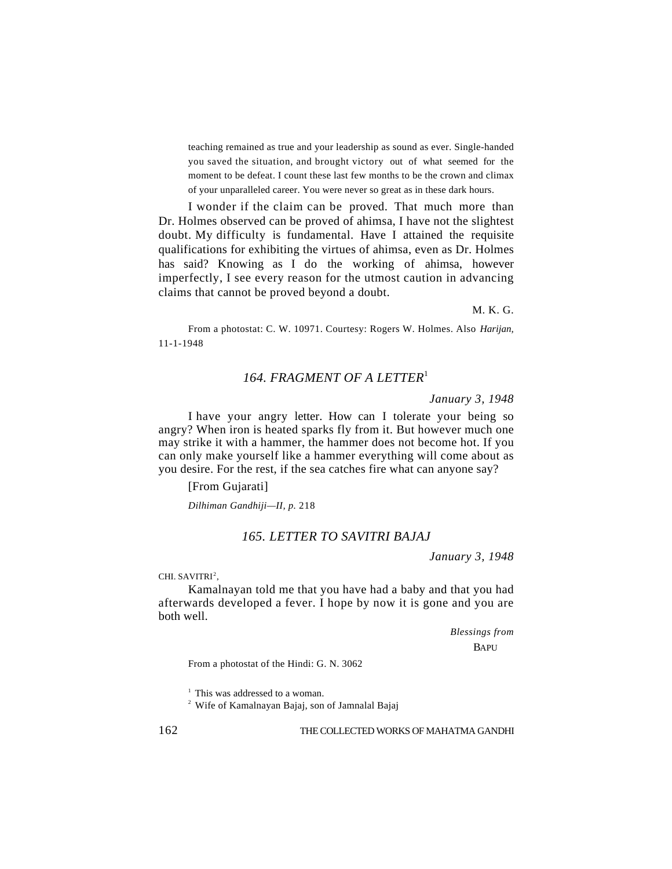teaching remained as true and your leadership as sound as ever. Single-handed you saved the situation, and brought victory out of what seemed for the moment to be defeat. I count these last few months to be the crown and climax of your unparalleled career. You were never so great as in these dark hours.

I wonder if the claim can be proved. That much more than Dr. Holmes observed can be proved of ahimsa, I have not the slightest doubt. My difficulty is fundamental. Have I attained the requisite qualifications for exhibiting the virtues of ahimsa, even as Dr. Holmes has said? Knowing as I do the working of ahimsa, however imperfectly, I see every reason for the utmost caution in advancing claims that cannot be proved beyond a doubt.

M. K. G.

From a photostat: C. W. 10971. Courtesy: Rogers W. Holmes. Also *Harijan,* 11-1-1948

## *164. FRAGMENT OF A LETTER*<sup>1</sup>

*January 3, 1948*

I have your angry letter. How can I tolerate your being so angry? When iron is heated sparks fly from it. But however much one may strike it with a hammer, the hammer does not become hot. If you can only make yourself like a hammer everything will come about as you desire. For the rest, if the sea catches fire what can anyone say?

[From Gujarati]

*Dilhiman Gandhiji—II, p.* 218

# *165. LETTER TO SAVITRI BAJAJ*

*January 3, 1948*

CHI. SAVITRI<sup>2</sup>,

Kamalnayan told me that you have had a baby and that you had afterwards developed a fever. I hope by now it is gone and you are both well.

> *Blessings from* **BAPU**

From a photostat of the Hindi: G. N. 3062

 $<sup>1</sup>$  This was addressed to a woman.</sup>

2 Wife of Kamalnayan Bajaj, son of Jamnalal Bajaj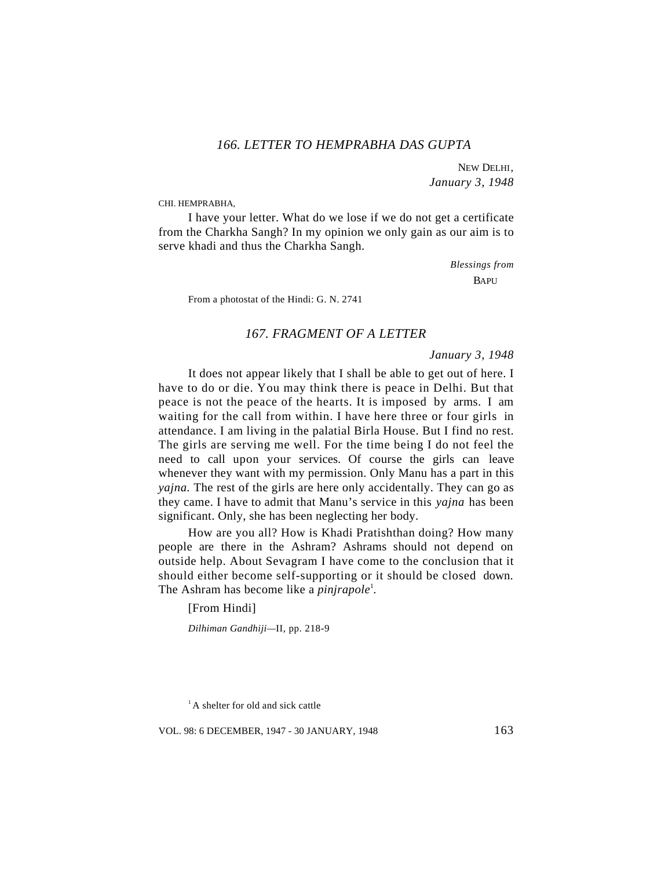#### *166. LETTER TO HEMPRABHA DAS GUPTA*

NEW DELHI. *January 3, 1948*

CHI. HEMPRABHA,

I have your letter. What do we lose if we do not get a certificate from the Charkha Sangh? In my opinion we only gain as our aim is to serve khadi and thus the Charkha Sangh.

> *Blessings from* **BAPU**

From a photostat of the Hindi: G. N. 2741

#### *167. FRAGMENT OF A LETTER*

*January 3, 1948*

It does not appear likely that I shall be able to get out of here. I have to do or die. You may think there is peace in Delhi. But that peace is not the peace of the hearts. It is imposed by arms. I am waiting for the call from within. I have here three or four girls in attendance. I am living in the palatial Birla House. But I find no rest. The girls are serving me well. For the time being I do not feel the need to call upon your services. Of course the girls can leave whenever they want with my permission. Only Manu has a part in this *yajna.* The rest of the girls are here only accidentally. They can go as they came. I have to admit that Manu's service in this *yajna* has been significant. Only, she has been neglecting her body.

How are you all? How is Khadi Pratishthan doing? How many people are there in the Ashram? Ashrams should not depend on outside help. About Sevagram I have come to the conclusion that it should either become self-supporting or it should be closed down. The Ashram has become like a *pinjrapole*<sup>1</sup>.

[From Hindi]

*Dilhiman Gandhiji—*II, pp. 218-9

<sup>1</sup> A shelter for old and sick cattle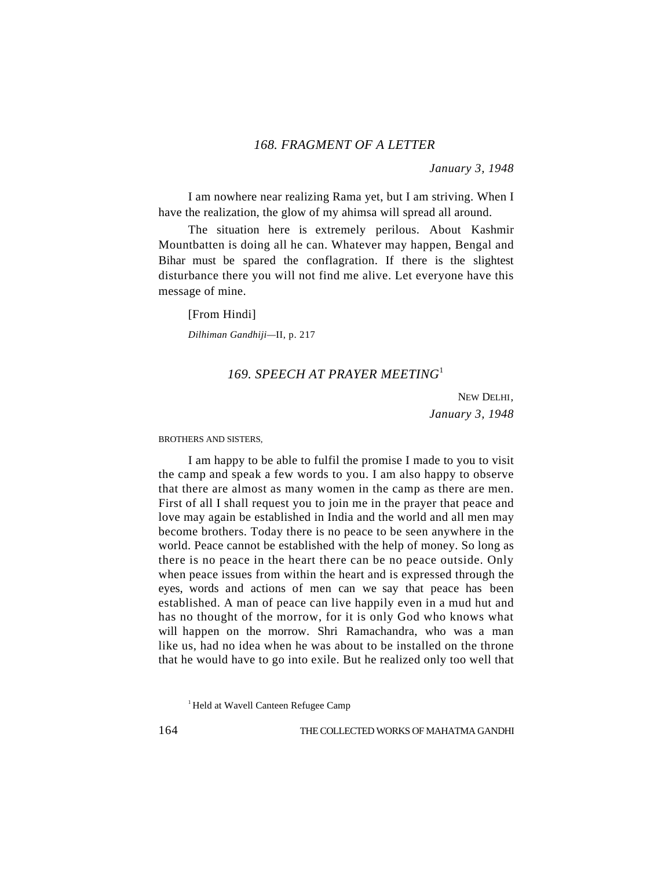### *168. FRAGMENT OF A LETTER*

*January 3, 1948*

I am nowhere near realizing Rama yet, but I am striving. When I have the realization, the glow of my ahimsa will spread all around.

The situation here is extremely perilous. About Kashmir Mountbatten is doing all he can. Whatever may happen, Bengal and Bihar must be spared the conflagration. If there is the slightest disturbance there you will not find me alive. Let everyone have this message of mine.

[From Hindi]

*Dilhiman Gandhiji—*II, p. 217

# *169. SPEECH AT PRAYER MEETING*<sup>1</sup>

NEW DELHI, *January 3, 1948*

BROTHERS AND SISTERS,

I am happy to be able to fulfil the promise I made to you to visit the camp and speak a few words to you. I am also happy to observe that there are almost as many women in the camp as there are men. First of all I shall request you to join me in the prayer that peace and love may again be established in India and the world and all men may become brothers. Today there is no peace to be seen anywhere in the world. Peace cannot be established with the help of money. So long as there is no peace in the heart there can be no peace outside. Only when peace issues from within the heart and is expressed through the eyes, words and actions of men can we say that peace has been established. A man of peace can live happily even in a mud hut and has no thought of the morrow, for it is only God who knows what will happen on the morrow. Shri Ramachandra, who was a man like us, had no idea when he was about to be installed on the throne that he would have to go into exile. But he realized only too well that

<sup>1</sup> Held at Wavell Canteen Refugee Camp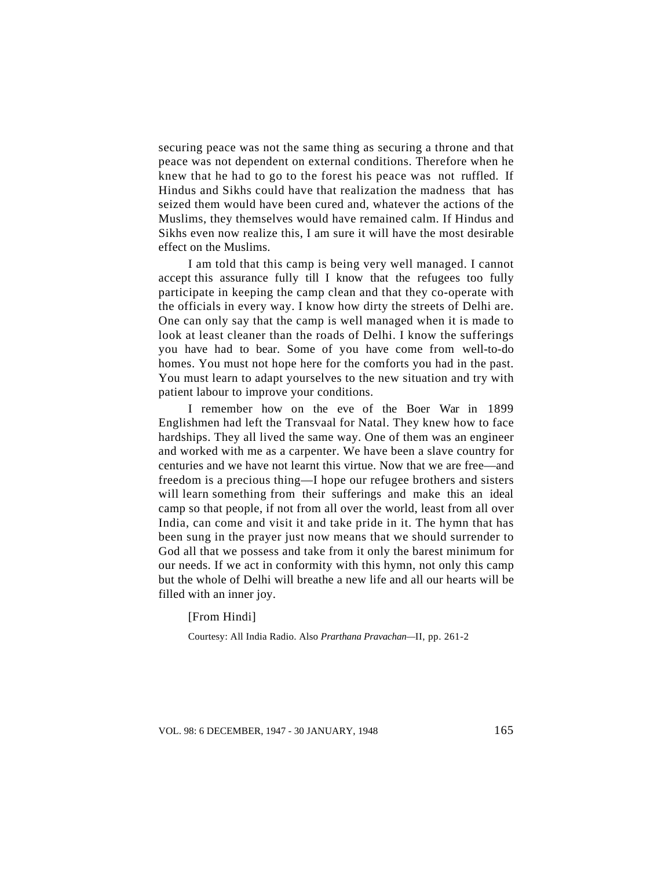securing peace was not the same thing as securing a throne and that peace was not dependent on external conditions. Therefore when he knew that he had to go to the forest his peace was not ruffled. If Hindus and Sikhs could have that realization the madness that has seized them would have been cured and, whatever the actions of the Muslims, they themselves would have remained calm. If Hindus and Sikhs even now realize this, I am sure it will have the most desirable effect on the Muslims.

I am told that this camp is being very well managed. I cannot accept this assurance fully till I know that the refugees too fully participate in keeping the camp clean and that they co-operate with the officials in every way. I know how dirty the streets of Delhi are. One can only say that the camp is well managed when it is made to look at least cleaner than the roads of Delhi. I know the sufferings you have had to bear. Some of you have come from well-to-do homes. You must not hope here for the comforts you had in the past. You must learn to adapt yourselves to the new situation and try with patient labour to improve your conditions.

I remember how on the eve of the Boer War in 1899 Englishmen had left the Transvaal for Natal. They knew how to face hardships. They all lived the same way. One of them was an engineer and worked with me as a carpenter. We have been a slave country for centuries and we have not learnt this virtue. Now that we are free—and freedom is a precious thing—I hope our refugee brothers and sisters will learn something from their sufferings and make this an ideal camp so that people, if not from all over the world, least from all over India, can come and visit it and take pride in it. The hymn that has been sung in the prayer just now means that we should surrender to God all that we possess and take from it only the barest minimum for our needs. If we act in conformity with this hymn, not only this camp but the whole of Delhi will breathe a new life and all our hearts will be filled with an inner joy.

### [From Hindi]

Courtesy: All India Radio. Also *Prarthana Pravachan—*II, pp. 261-2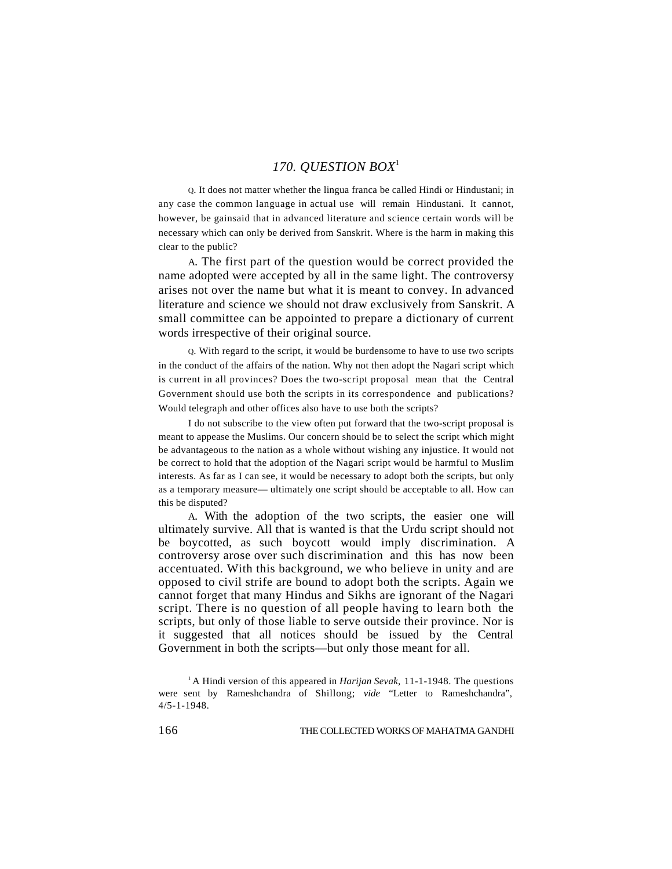# *170. QUESTION BOX*<sup>1</sup>

Q. It does not matter whether the lingua franca be called Hindi or Hindustani; in any case the common language in actual use will remain Hindustani. It cannot, however, be gainsaid that in advanced literature and science certain words will be necessary which can only be derived from Sanskrit. Where is the harm in making this clear to the public?

A. The first part of the question would be correct provided the name adopted were accepted by all in the same light. The controversy arises not over the name but what it is meant to convey. In advanced literature and science we should not draw exclusively from Sanskrit. A small committee can be appointed to prepare a dictionary of current words irrespective of their original source.

Q. With regard to the script, it would be burdensome to have to use two scripts in the conduct of the affairs of the nation. Why not then adopt the Nagari script which is current in all provinces? Does the two-script proposal mean that the Central Government should use both the scripts in its correspondence and publications? Would telegraph and other offices also have to use both the scripts?

I do not subscribe to the view often put forward that the two-script proposal is meant to appease the Muslims. Our concern should be to select the script which might be advantageous to the nation as a whole without wishing any injustice. It would not be correct to hold that the adoption of the Nagari script would be harmful to Muslim interests. As far as I can see, it would be necessary to adopt both the scripts, but only as a temporary measure— ultimately one script should be acceptable to all. How can this be disputed?

A. With the adoption of the two scripts, the easier one will ultimately survive. All that is wanted is that the Urdu script should not be boycotted, as such boycott would imply discrimination. A controversy arose over such discrimination and this has now been accentuated. With this background, we who believe in unity and are opposed to civil strife are bound to adopt both the scripts. Again we cannot forget that many Hindus and Sikhs are ignorant of the Nagari script. There is no question of all people having to learn both the scripts, but only of those liable to serve outside their province. Nor is it suggested that all notices should be issued by the Central Government in both the scripts—but only those meant for all.

<sup>&</sup>lt;sup>1</sup>A Hindi version of this appeared in *Harijan Sevak*, 11-1-1948. The questions were sent by Rameshchandra of Shillong; *vide* "Letter to Rameshchandra", 4/5-1-1948*.*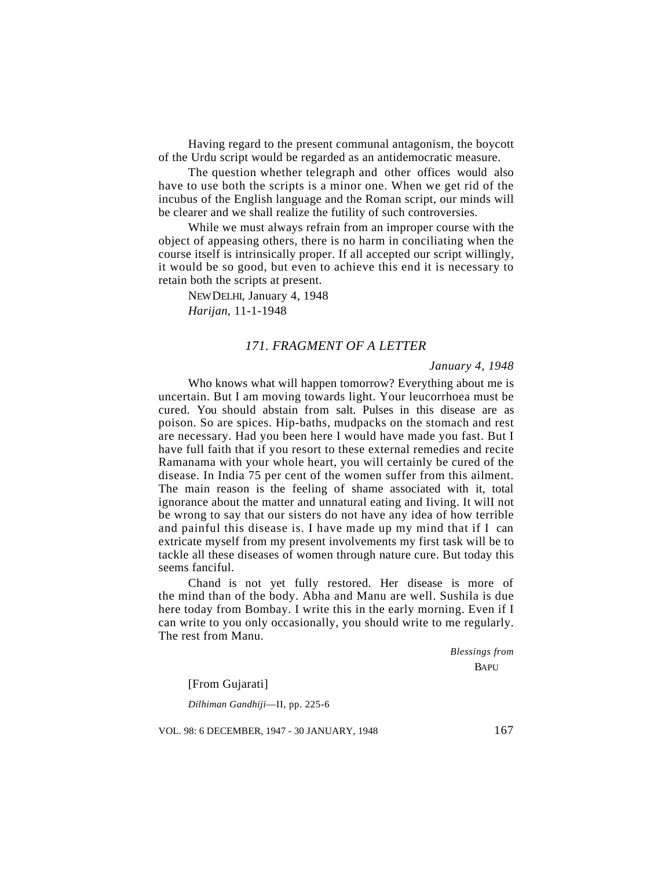Having regard to the present communal antagonism, the boycott of the Urdu script would be regarded as an antidemocratic measure.

The question whether telegraph and other offices would also have to use both the scripts is a minor one. When we get rid of the incubus of the English language and the Roman script, our minds will be clearer and we shall realize the futility of such controversies.

While we must always refrain from an improper course with the object of appeasing others, there is no harm in conciliating when the course itself is intrinsically proper. If all accepted our script willingly, it would be so good, but even to achieve this end it is necessary to retain both the scripts at present.

NEW DELHI, January 4, 1948 *Harijan*, 11-1-1948

#### *171. FRAGMENT OF A LETTER*

#### *January 4, 1948*

Who knows what will happen tomorrow? Everything about me is uncertain. But I am moving towards light. Your leucorrhoea must be cured. You should abstain from salt. Pulses in this disease are as poison. So are spices. Hip-baths, mudpacks on the stomach and rest are necessary. Had you been here I would have made you fast. But I have full faith that if you resort to these external remedies and recite Ramanama with your whole heart, you will certainly be cured of the disease. In India 75 per cent of the women suffer from this ailment. The main reason is the feeling of shame associated with it, total ignorance about the matter and unnatural eating and Iiving. It wilI not be wrong to say that our sisters do not have any idea of how terrible and painful this disease is. I have made up my mind that if I can extricate myself from my present involvements my first task will be to tackle all these diseases of women through nature cure. But today this seems fanciful.

Chand is not yet fully restored. Her disease is more of the mind than of the body. Abha and Manu are well. Sushila is due here today from Bombay. I write this in the early morning. Even if I can write to you only occasionally, you should write to me regularly. The rest from Manu.

> *Blessings from* **BAPU**

[From Gujarati]

*Dilhiman Gandhiji*—II, pp. 225-6

VOL. 98: 6 DECEMBER, 1947 - 30 JANUARY, 1948 167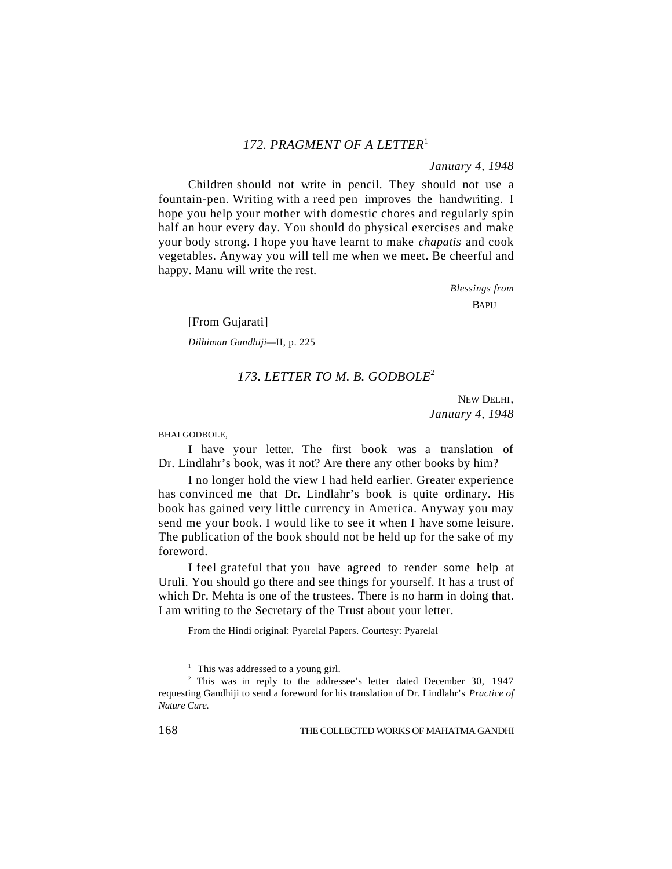### *172. PRAGMENT OF A LETTER*<sup>1</sup>

*January 4, 1948*

Children should not write in pencil. They should not use a fountain-pen. Writing with a reed pen improves the handwriting. I hope you help your mother with domestic chores and regularly spin half an hour every day. You should do physical exercises and make your body strong. I hope you have learnt to make *chapatis* and cook vegetables. Anyway you will tell me when we meet. Be cheerful and happy. Manu will write the rest.

> *Blessings from* **BAPU**

[From Gujarati]

*Dilhiman Gandhiji—*II, p. 225

### *173. LETTER TO M. B. GODBOLE*<sup>2</sup>

NEW DELHI, *January 4, 1948*

BHAI GODBOLE,

I have your letter. The first book was a translation of Dr. Lindlahr's book, was it not? Are there any other books by him?

I no longer hold the view I had held earlier. Greater experience has convinced me that Dr. Lindlahr's book is quite ordinary. His book has gained very little currency in America. Anyway you may send me your book. I would like to see it when I have some leisure. The publication of the book should not be held up for the sake of my foreword.

I feel grateful that you have agreed to render some help at Uruli. You should go there and see things for yourself. It has a trust of which Dr. Mehta is one of the trustees. There is no harm in doing that. I am writing to the Secretary of the Trust about your letter.

From the Hindi original: Pyarelal Papers. Courtesy: Pyarelal

<sup>1</sup> This was addressed to a young girl.

<sup>2</sup> This was in reply to the addressee's letter dated December 30, 1947 requesting Gandhiji to send a foreword for his translation of Dr. Lindlahr's *Practice of Nature Cure.*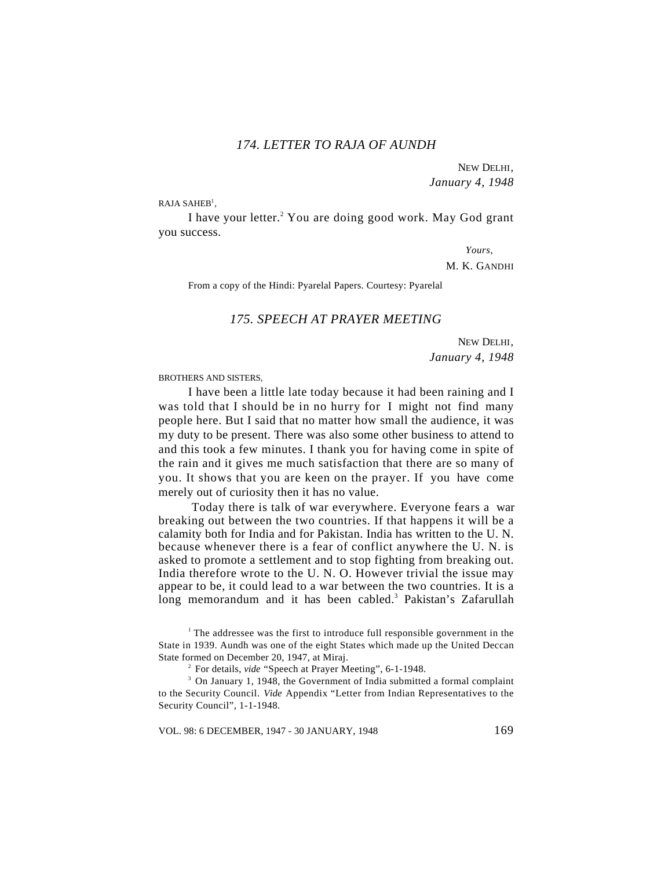#### *174. LETTER TO RAJA OF AUNDH*

NEW DELHI, *January 4, 1948*

 $RAJA SAHEB<sup>1</sup>,$ 

I have your letter.<sup>2</sup> You are doing good work. May God grant you success.

> *Yours,* M. K. GANDHI

From a copy of the Hindi: Pyarelal Papers. Courtesy: Pyarelal

#### *175. SPEECH AT PRAYER MEETING*

NEW DELHI, *January 4, 1948*

BROTHERS AND SISTERS,

I have been a little late today because it had been raining and I was told that I should be in no hurry for I might not find many people here. But I said that no matter how small the audience, it was my duty to be present. There was also some other business to attend to and this took a few minutes. I thank you for having come in spite of the rain and it gives me much satisfaction that there are so many of you. It shows that you are keen on the prayer. If you have come merely out of curiosity then it has no value.

 Today there is talk of war everywhere. Everyone fears a war breaking out between the two countries. If that happens it will be a calamity both for India and for Pakistan. India has written to the U. N. because whenever there is a fear of conflict anywhere the U. N. is asked to promote a settlement and to stop fighting from breaking out. India therefore wrote to the U. N. O. However trivial the issue may appear to be, it could lead to a war between the two countries. It is a long memorandum and it has been cabled.<sup>3</sup> Pakistan's Zafarullah

<sup>1</sup> The addressee was the first to introduce full responsible government in the State in 1939. Aundh was one of the eight States which made up the United Deccan State formed on December 20, 1947, at Miraj.

<sup>3</sup> On January 1, 1948, the Government of India submitted a formal complaint to the Security Council. *Vide* Appendix "Letter from Indian Representatives to the Security Council", 1-1-1948.

<sup>&</sup>lt;sup>2</sup> For details, *vide* "Speech at Prayer Meeting", 6-1-1948.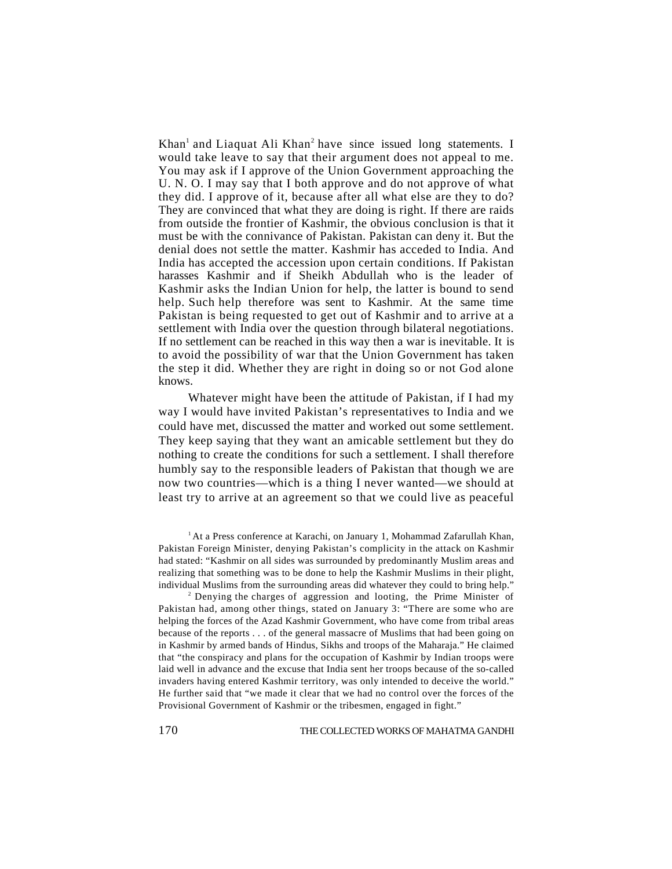Khan<sup>1</sup> and Liaquat Ali Khan<sup>2</sup> have since issued long statements. I would take leave to say that their argument does not appeal to me. You may ask if I approve of the Union Government approaching the U. N. O. I may say that I both approve and do not approve of what they did. I approve of it, because after all what else are they to do? They are convinced that what they are doing is right. If there are raids from outside the frontier of Kashmir, the obvious conclusion is that it must be with the connivance of Pakistan. Pakistan can deny it. But the denial does not settle the matter. Kashmir has acceded to India. And India has accepted the accession upon certain conditions. If Pakistan harasses Kashmir and if Sheikh Abdullah who is the leader of Kashmir asks the Indian Union for help, the latter is bound to send help. Such help therefore was sent to Kashmir. At the same time Pakistan is being requested to get out of Kashmir and to arrive at a settlement with India over the question through bilateral negotiations. If no settlement can be reached in this way then a war is inevitable. It is to avoid the possibility of war that the Union Government has taken the step it did. Whether they are right in doing so or not God alone knows.

Whatever might have been the attitude of Pakistan, if I had my way I would have invited Pakistan's representatives to India and we could have met, discussed the matter and worked out some settlement. They keep saying that they want an amicable settlement but they do nothing to create the conditions for such a settlement. I shall therefore humbly say to the responsible leaders of Pakistan that though we are now two countries—which is a thing I never wanted—we should at least try to arrive at an agreement so that we could live as peaceful

 $<sup>1</sup>$ At a Press conference at Karachi, on January 1, Mohammad Zafarullah Khan,</sup> Pakistan Foreign Minister, denying Pakistan's complicity in the attack on Kashmir had stated: "Kashmir on all sides was surrounded by predominantly Muslim areas and realizing that something was to be done to help the Kashmir Muslims in their plight, individual Muslims from the surrounding areas did whatever they could to bring help."

 $2^2$  Denying the charges of aggression and looting, the Prime Minister of Pakistan had, among other things, stated on January 3: "There are some who are helping the forces of the Azad Kashmir Government, who have come from tribal areas because of the reports . . . of the general massacre of Muslims that had been going on in Kashmir by armed bands of Hindus, Sikhs and troops of the Maharaja." He claimed that "the conspiracy and plans for the occupation of Kashmir by Indian troops were laid well in advance and the excuse that India sent her troops because of the so-called invaders having entered Kashmir territory, was only intended to deceive the world." He further said that "we made it clear that we had no control over the forces of the Provisional Government of Kashmir or the tribesmen, engaged in fight."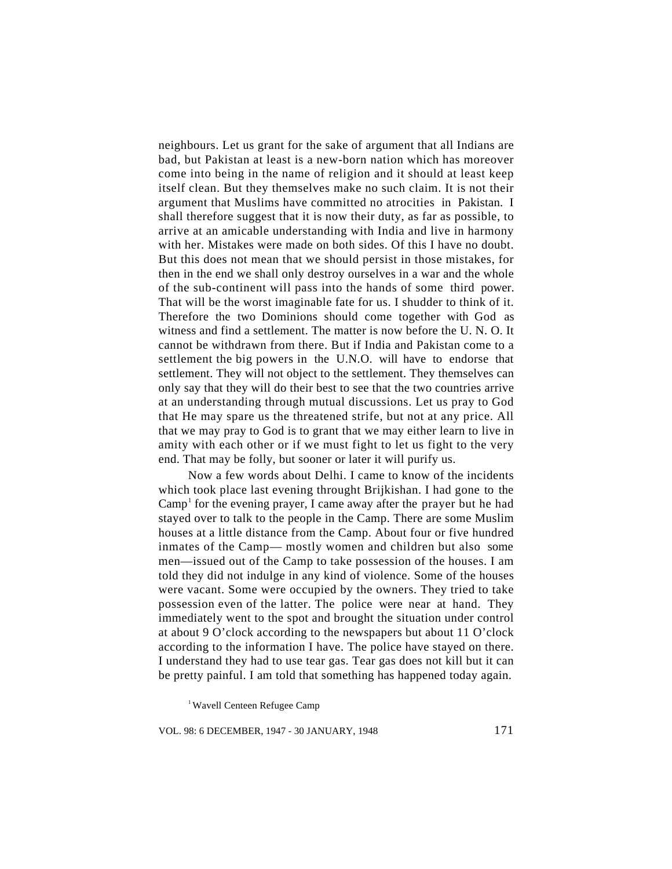neighbours. Let us grant for the sake of argument that all Indians are bad, but Pakistan at least is a new-born nation which has moreover come into being in the name of religion and it should at least keep itself clean. But they themselves make no such claim. It is not their argument that Muslims have committed no atrocities in Pakistan. I shall therefore suggest that it is now their duty, as far as possible, to arrive at an amicable understanding with India and live in harmony with her. Mistakes were made on both sides. Of this I have no doubt. But this does not mean that we should persist in those mistakes, for then in the end we shall only destroy ourselves in a war and the whole of the sub-continent will pass into the hands of some third power. That will be the worst imaginable fate for us. I shudder to think of it. Therefore the two Dominions should come together with God as witness and find a settlement. The matter is now before the U. N. O. It cannot be withdrawn from there. But if India and Pakistan come to a settlement the big powers in the U.N.O. will have to endorse that settlement. They will not object to the settlement. They themselves can only say that they will do their best to see that the two countries arrive at an understanding through mutual discussions. Let us pray to God that He may spare us the threatened strife, but not at any price. All that we may pray to God is to grant that we may either learn to live in amity with each other or if we must fight to let us fight to the very end. That may be folly, but sooner or later it will purify us.

Now a few words about Delhi. I came to know of the incidents which took place last evening throught Brijkishan. I had gone to the  $\text{ Camp}^1$  for the evening prayer, I came away after the prayer but he had stayed over to talk to the people in the Camp. There are some Muslim houses at a little distance from the Camp. About four or five hundred inmates of the Camp— mostly women and children but also some men—issued out of the Camp to take possession of the houses. I am told they did not indulge in any kind of violence. Some of the houses were vacant. Some were occupied by the owners. They tried to take possession even of the latter. The police were near at hand. They immediately went to the spot and brought the situation under control at about 9 O'clock according to the newspapers but about 11 O'clock according to the information I have. The police have stayed on there. I understand they had to use tear gas. Tear gas does not kill but it can be pretty painful. I am told that something has happened today again.

1 Wavell Centeen Refugee Camp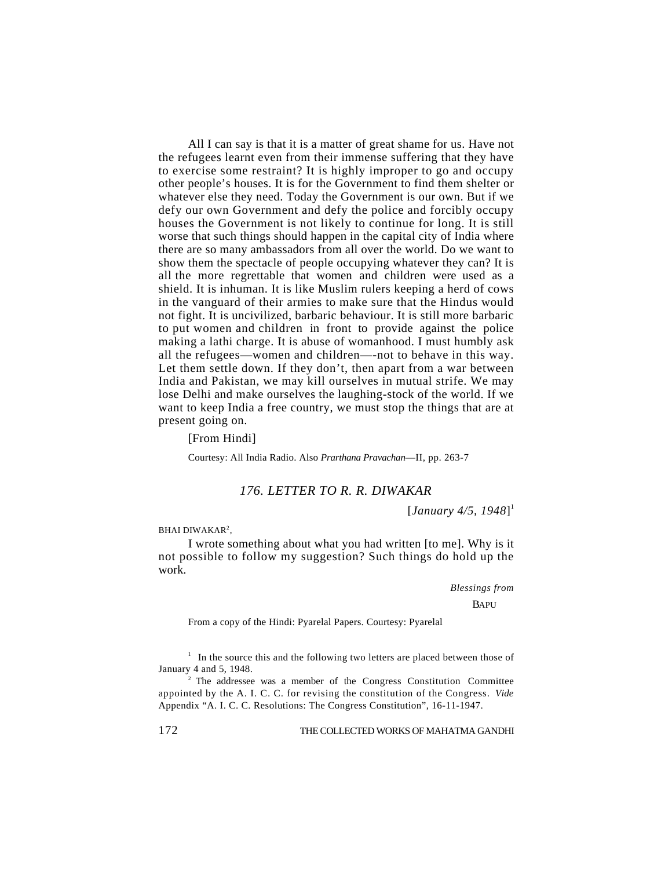All I can say is that it is a matter of great shame for us. Have not the refugees learnt even from their immense suffering that they have to exercise some restraint? It is highly improper to go and occupy other people's houses. It is for the Government to find them shelter or whatever else they need. Today the Government is our own. But if we defy our own Government and defy the police and forcibly occupy houses the Government is not likely to continue for long. It is still worse that such things should happen in the capital city of India where there are so many ambassadors from all over the world. Do we want to show them the spectacle of people occupying whatever they can? It is all the more regrettable that women and children were used as a shield. It is inhuman. It is like Muslim rulers keeping a herd of cows in the vanguard of their armies to make sure that the Hindus would not fight. It is uncivilized, barbaric behaviour. It is still more barbaric to put women and children in front to provide against the police making a lathi charge. It is abuse of womanhood. I must humbly ask all the refugees—women and children—-not to behave in this way. Let them settle down. If they don't, then apart from a war between India and Pakistan, we may kill ourselves in mutual strife. We may lose Delhi and make ourselves the laughing-stock of the world. If we want to keep India a free country, we must stop the things that are at present going on.

[From Hindi]

Courtesy: All India Radio. Also *Prarthana Pravachan*—II, pp. 263-7

#### *176. LETTER TO R. R. DIWAKAR*

[*January 4/5, 1948*] 1

BHAI DIWAKAR<sup>2</sup>,

I wrote something about what you had written [to me]. Why is it not possible to follow my suggestion? Such things do hold up the work.

*Blessings from*

**BAPU** 

From a copy of the Hindi: Pyarelal Papers. Courtesy: Pyarelal

 $1$  In the source this and the following two letters are placed between those of January 4 and 5, 1948.

 $2$  The addressee was a member of the Congress Constitution Committee appointed by the A. I. C. C. for revising the constitution of the Congress. *Vide* Appendix "A. I. C. C. Resolutions: The Congress Constitution", 16-11-1947.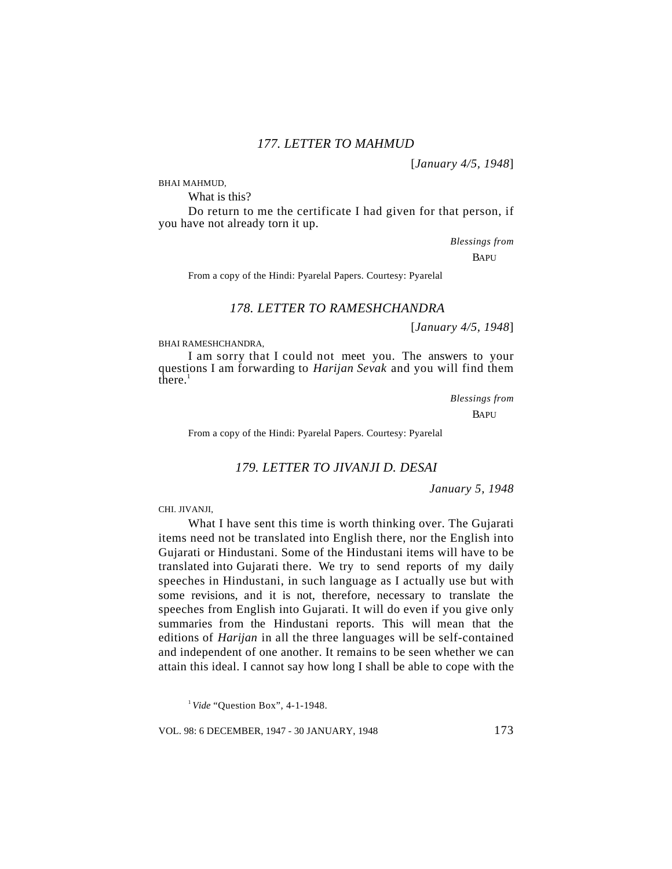[*January 4/5, 1948*]

BHAI MAHMUD,

What is this?

Do return to me the certificate I had given for that person, if you have not already torn it up.

> *Blessings from* **BAPU**

From a copy of the Hindi: Pyarelal Papers. Courtesy: Pyarelal

#### *178. LETTER TO RAMESHCHANDRA*

[*January 4/5, 1948*]

#### BHAI RAMESHCHANDRA,

I am sorry that I could not meet you. The answers to your questions I am forwarding to *Harijan Sevak* and you will find them there. $<sup>1</sup>$ </sup>

*Blessings from*

**BAPU** 

From a copy of the Hindi: Pyarelal Papers. Courtesy: Pyarelal

#### *179. LETTER TO JIVANJI D. DESAI*

*January 5, 1948*

CHI. JIVANJI,

What I have sent this time is worth thinking over. The Gujarati items need not be translated into English there, nor the English into Gujarati or Hindustani. Some of the Hindustani items will have to be translated into Gujarati there. We try to send reports of my daily speeches in Hindustani, in such language as I actually use but with some revisions, and it is not, therefore, necessary to translate the speeches from English into Gujarati. It will do even if you give only summaries from the Hindustani reports. This will mean that the editions of *Harijan* in all the three languages will be self-contained and independent of one another. It remains to be seen whether we can attain this ideal. I cannot say how long I shall be able to cope with the

<sup>1</sup>*Vide* "Question Box", 4-1-1948.

VOL. 98: 6 DECEMBER, 1947 - 30 JANUARY, 1948 173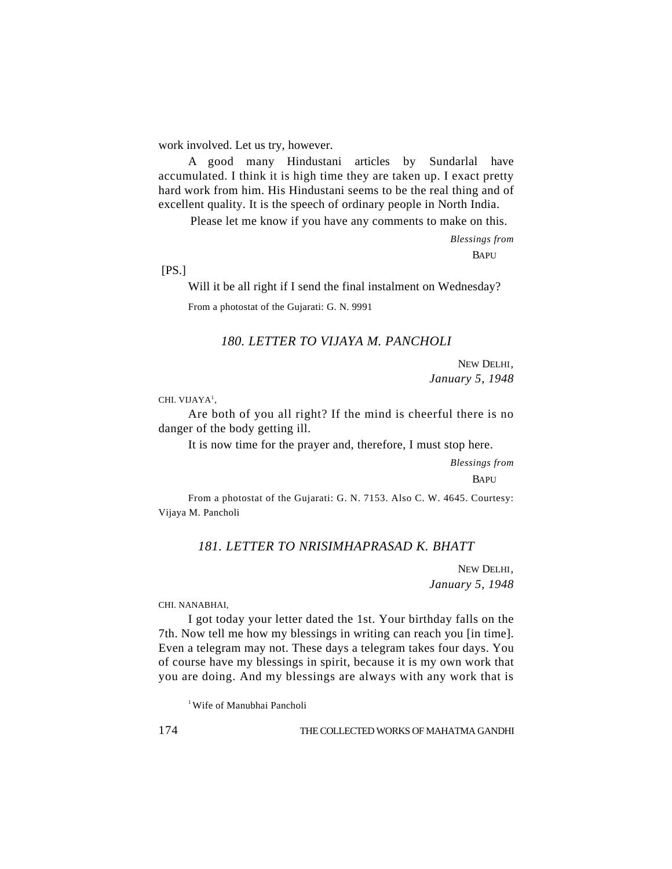work involved. Let us try, however.

A good many Hindustani articles by Sundarlal have accumulated. I think it is high time they are taken up. I exact pretty hard work from him. His Hindustani seems to be the real thing and of excellent quality. It is the speech of ordinary people in North India.

Please let me know if you have any comments to make on this.

*Blessings from* **BAPU** 

 $[PS.]$ 

Will it be all right if I send the final instalment on Wednesday?

From a photostat of the Gujarati: G. N. 9991

## *180. LETTER TO VIJAYA M. PANCHOLI*

NEW DELHI, *January 5, 1948*

CHI. VIJAYA<sup>1</sup>,

Are both of you all right? If the mind is cheerful there is no danger of the body getting ill.

It is now time for the prayer and, therefore, I must stop here.

*Blessings from* BAPU

From a photostat of the Gujarati: G. N. 7153. Also C. W. 4645. Courtesy: Vijaya M. Pancholi

## *181. LETTER TO NRISIMHAPRASAD K. BHATT*

NEW DELHI, *January 5, 1948*

CHI. NANABHAI,

I got today your letter dated the 1st. Your birthday falls on the 7th. Now tell me how my blessings in writing can reach you [in time]. Even a telegram may not. These days a telegram takes four days. You of course have my blessings in spirit, because it is my own work that you are doing. And my blessings are always with any work that is

<sup>1</sup> Wife of Manubhai Pancholi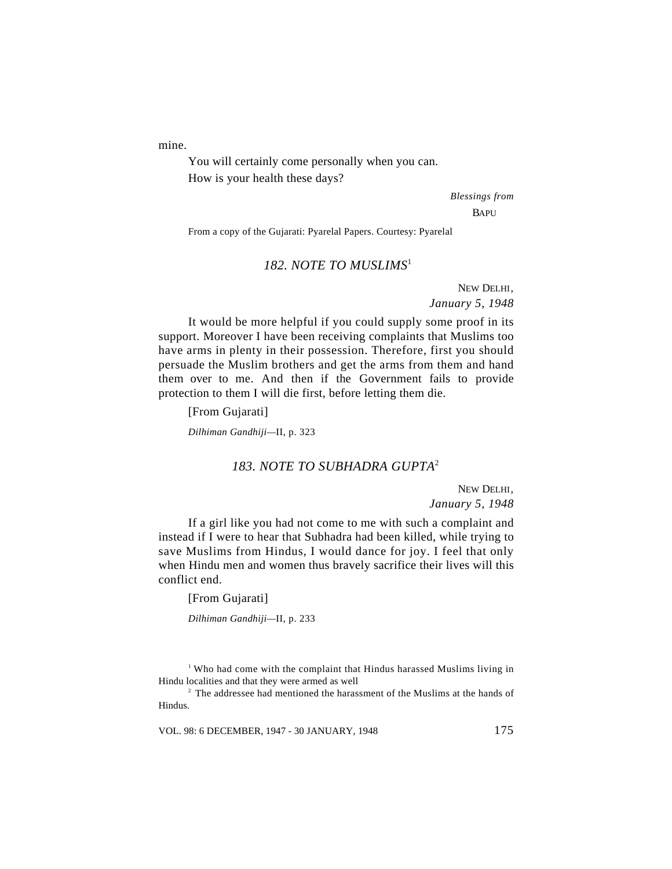mine.

You will certainly come personally when you can. How is your health these days?

> *Blessings from* **BAPU**

From a copy of the Gujarati: Pyarelal Papers. Courtesy: Pyarelal

# *182. NOTE TO MUSLIMS*<sup>1</sup>

NEW DELHI, *January 5, 1948*

It would be more helpful if you could supply some proof in its support. Moreover I have been receiving complaints that Muslims too have arms in plenty in their possession. Therefore, first you should persuade the Muslim brothers and get the arms from them and hand them over to me. And then if the Government fails to provide protection to them I will die first, before letting them die.

[From Gujarati]

*Dilhiman Gandhiji—*II, p. 323

### *183. NOTE TO SUBHADRA GUPTA*<sup>2</sup>

NEW DELHI, *January 5, 1948*

If a girl like you had not come to me with such a complaint and instead if I were to hear that Subhadra had been killed, while trying to save Muslims from Hindus, I would dance for joy. I feel that only when Hindu men and women thus bravely sacrifice their lives will this conflict end.

[From Gujarati]

*Dilhiman Gandhiji—*II, p. 233

<sup>1</sup> Who had come with the complaint that Hindus harassed Muslims living in Hindu localities and that they were armed as well

 $2$  The addressee had mentioned the harassment of the Muslims at the hands of Hindus.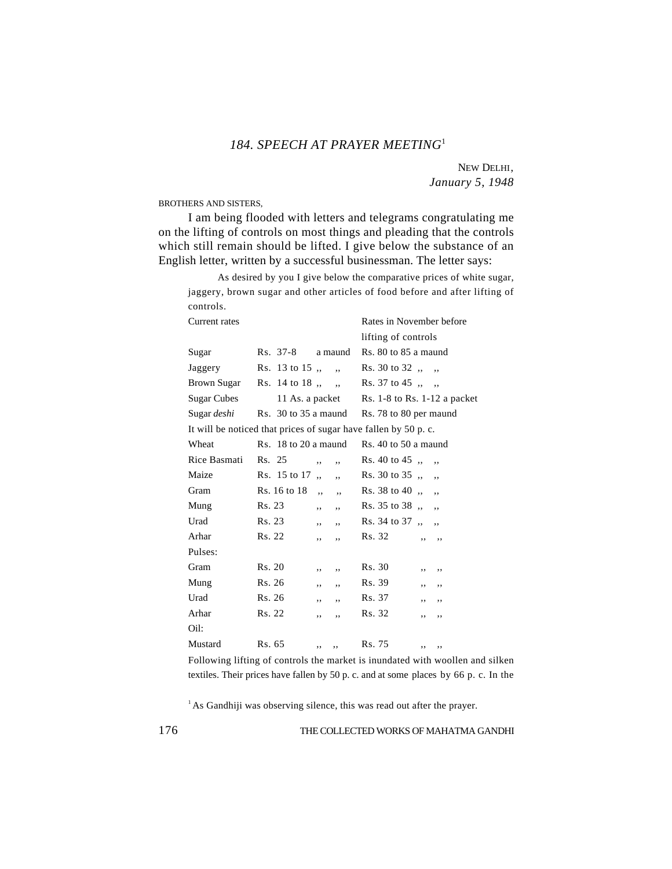# *184. SPEECH AT PRAYER MEETING*<sup>1</sup>

NEW DELHI, *January 5, 1948*

#### BROTHERS AND SISTERS,

I am being flooded with letters and telegrams congratulating me on the lifting of controls on most things and pleading that the controls which still remain should be lifted. I give below the substance of an English letter, written by a successful businessman. The letter says:

As desired by you I give below the comparative prices of white sugar, jaggery, brown sugar and other articles of food before and after lifting of controls.

| Current rates                                                   |                        |                 | Rates in November before         |           |
|-----------------------------------------------------------------|------------------------|-----------------|----------------------------------|-----------|
|                                                                 |                        |                 | lifting of controls              |           |
| Sugar                                                           | Rs. 37-8               | a maund         | Rs. 80 to 85 a manual            |           |
| Jaggery                                                         | Rs. 13 to 15,          | $\ddotsc$       | Rs. 30 to 32                     | ٠,        |
| <b>Brown Sugar</b>                                              | Rs. 14 to 18,          | ٠,              | Rs. 37 to 45,                    | $\ddotsc$ |
| Sugar Cubes                                                     | 11 As. a packet        |                 | Rs. $1-8$ to Rs. $1-12$ a packet |           |
| Sugar <i>deshi</i>                                              | Rs. 30 to 35 a maund   |                 | Rs. 78 to 80 per maund           |           |
| It will be noticed that prices of sugar have fallen by 50 p. c. |                        |                 |                                  |           |
| Wheat                                                           | $Rs.$ 18 to 20 a maund |                 | Rs. 40 to 50 a manual            |           |
| Rice Basmati                                                    | Rs. 25                 | ٠,<br>,,        | Rs. 40 to 45,                    | ,,        |
| Maize                                                           | Rs. 15 to 17           | $\ddotsc$<br>٠, | Rs. 30 to 35,                    | ٠,        |
| Gram                                                            | Rs. 16 to 18           | ,,<br>,,        | Rs. 38 to 40                     | ,,        |
| Mung                                                            | Rs. 23                 | ,,<br>,,        | Rs. 35 to 38,                    | ,,        |
| Urad                                                            | Rs. 23                 | ,,<br>,,        | Rs. 34 to 37                     | ,,        |
| Arhar                                                           | Rs. 22                 | ,,<br>,,        | Rs. 32                           | ٠,<br>٠,  |
| Pulses:                                                         |                        |                 |                                  |           |
| Gram                                                            | Rs. 20                 | ,,<br>,,        | Rs. 30                           | ,,<br>,,  |
| Mung                                                            | Rs. 26                 | ,,<br>,,        | Rs. 39                           | ٠,<br>٠,  |
| Urad                                                            | Rs. 26                 | ,,<br>,,        | Rs. 37                           | ,,<br>٠,  |
| Arhar                                                           | Rs. 22                 | ,,<br>,,        | Rs. 32                           | ,,<br>٠,  |
| Oil:                                                            |                        |                 |                                  |           |
| Mustard                                                         | Rs. 65                 | ,,<br>,,        | Rs. 75                           | ,,<br>,,  |

Following lifting of controls the market is inundated with woollen and silken textiles. Their prices have fallen by 50 p. c. and at some places by 66 p. c. In the

 $<sup>1</sup>$  As Gandhiji was observing silence, this was read out after the prayer.</sup>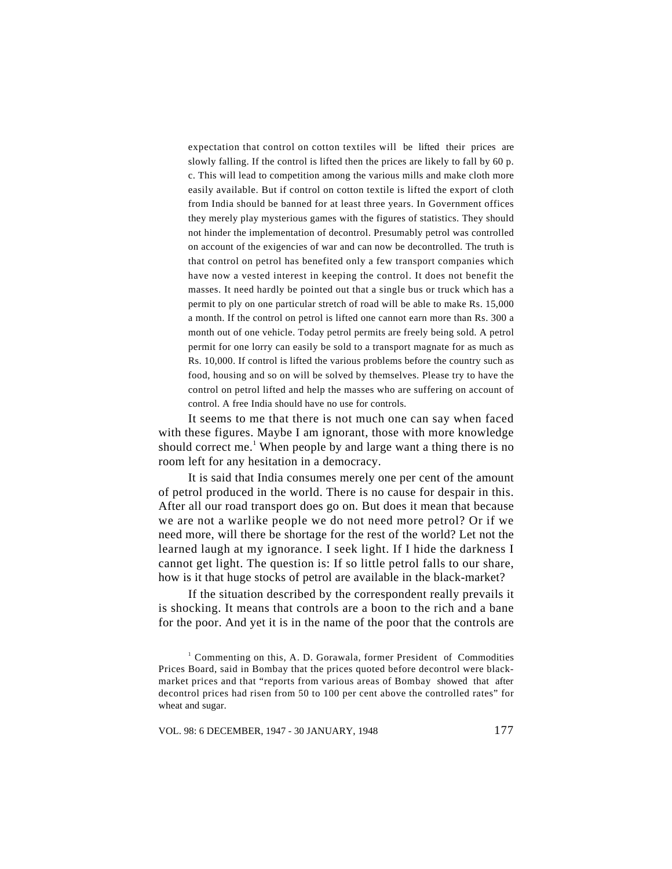expectation that control on cotton textiles will be lifted their prices are slowly falling. If the control is lifted then the prices are likely to fall by 60 p. c. This will lead to competition among the various mills and make cloth more easily available. But if control on cotton textile is lifted the export of cloth from India should be banned for at least three years. In Government offices they merely play mysterious games with the figures of statistics. They should not hinder the implementation of decontrol. Presumably petrol was controlled on account of the exigencies of war and can now be decontrolled. The truth is that control on petrol has benefited only a few transport companies which have now a vested interest in keeping the control. It does not benefit the masses. It need hardly be pointed out that a single bus or truck which has a permit to ply on one particular stretch of road will be able to make Rs. 15,000 a month. If the control on petrol is lifted one cannot earn more than Rs. 300 a month out of one vehicle. Today petrol permits are freely being sold. A petrol permit for one lorry can easily be sold to a transport magnate for as much as Rs. 10,000. If control is lifted the various problems before the country such as food, housing and so on will be solved by themselves. Please try to have the control on petrol lifted and help the masses who are suffering on account of control. A free India should have no use for controls.

It seems to me that there is not much one can say when faced with these figures. Maybe I am ignorant, those with more knowledge should correct me.<sup>1</sup> When people by and large want a thing there is no room left for any hesitation in a democracy.

It is said that India consumes merely one per cent of the amount of petrol produced in the world. There is no cause for despair in this. After all our road transport does go on. But does it mean that because we are not a warlike people we do not need more petrol? Or if we need more, will there be shortage for the rest of the world? Let not the learned laugh at my ignorance. I seek light. If I hide the darkness I cannot get light. The question is: If so little petrol falls to our share, how is it that huge stocks of petrol are available in the black-market?

If the situation described by the correspondent really prevails it is shocking. It means that controls are a boon to the rich and a bane for the poor. And yet it is in the name of the poor that the controls are

 $1$  Commenting on this, A. D. Gorawala, former President of Commodities Prices Board, said in Bombay that the prices quoted before decontrol were blackmarket prices and that "reports from various areas of Bombay showed that after decontrol prices had risen from 50 to 100 per cent above the controlled rates" for wheat and sugar.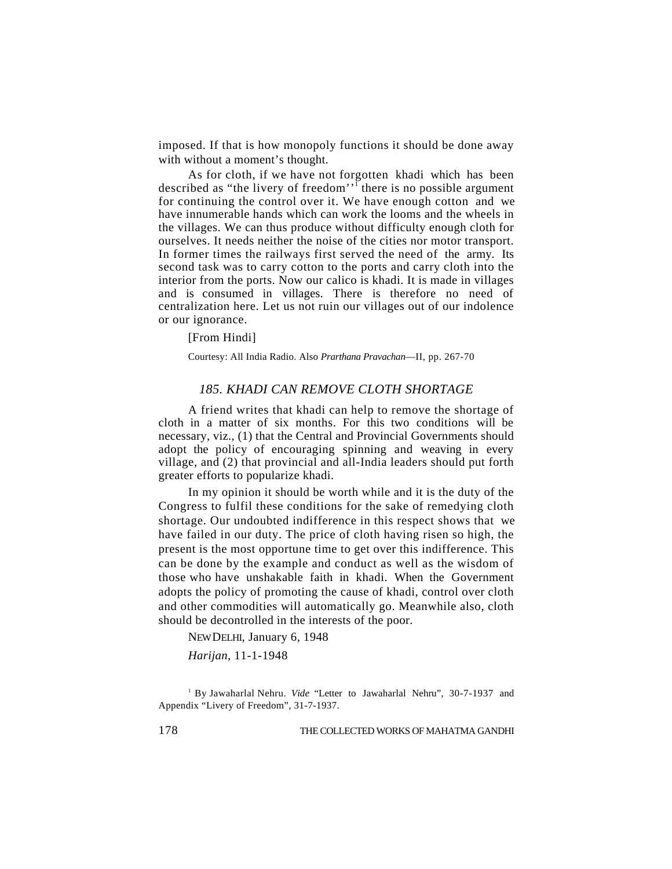imposed. If that is how monopoly functions it should be done away with without a moment's thought.

As for cloth, if we have not forgotten khadi which has been described as "the livery of freedom"<sup>1</sup> there is no possible argument for continuing the control over it. We have enough cotton and we have innumerable hands which can work the looms and the wheels in the villages. We can thus produce without difficulty enough cloth for ourselves. It needs neither the noise of the cities nor motor transport. In former times the railways first served the need of the army. Its second task was to carry cotton to the ports and carry cloth into the interior from the ports. Now our calico is khadi. It is made in villages and is consumed in villages. There is therefore no need of centralization here. Let us not ruin our villages out of our indolence or our ignorance.

[From Hindi]

Courtesy: All India Radio. Also *Prarthana Pravachan*—II, pp. 267-70

## *185. KHADI CAN REMOVE CLOTH SHORTAGE*

A friend writes that khadi can help to remove the shortage of cloth in a matter of six months. For this two conditions will be necessary, viz., (1) that the Central and Provincial Governments should adopt the policy of encouraging spinning and weaving in every village, and (2) that provincial and all-India leaders should put forth greater efforts to popularize khadi.

In my opinion it should be worth while and it is the duty of the Congress to fulfil these conditions for the sake of remedying cloth shortage. Our undoubted indifference in this respect shows that we have failed in our duty. The price of cloth having risen so high, the present is the most opportune time to get over this indifference. This can be done by the example and conduct as well as the wisdom of those who have unshakable faith in khadi. When the Government adopts the policy of promoting the cause of khadi, control over cloth and other commodities will automatically go. Meanwhile also, cloth should be decontrolled in the interests of the poor.

NEW DELHI, January 6, 1948

*Harijan,* 11-1-1948

<sup>&</sup>lt;sup>1</sup> By Jawaharlal Nehru. *Vide* "Letter to Jawaharlal Nehru", 30-7-1937 and Appendix "Livery of Freedom", 31-7-1937.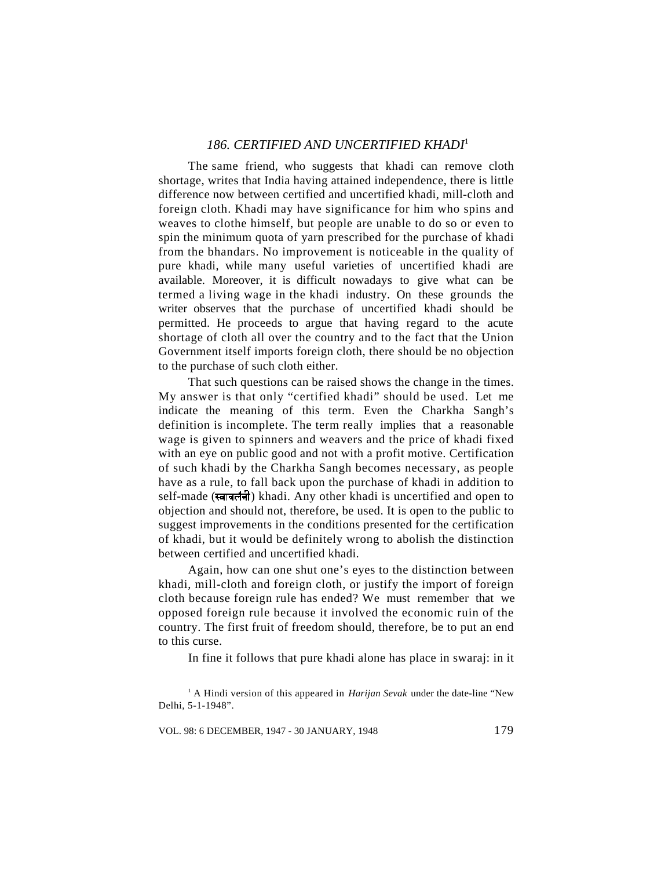### *186. CERTIFIED AND UNCERTIFIED KHADI*<sup>1</sup>

The same friend, who suggests that khadi can remove cloth shortage, writes that India having attained independence, there is little difference now between certified and uncertified khadi, mill-cloth and foreign cloth. Khadi may have significance for him who spins and weaves to clothe himself, but people are unable to do so or even to spin the minimum quota of yarn prescribed for the purchase of khadi from the bhandars. No improvement is noticeable in the quality of pure khadi, while many useful varieties of uncertified khadi are available. Moreover, it is difficult nowadays to give what can be termed a living wage in the khadi industry. On these grounds the writer observes that the purchase of uncertified khadi should be permitted. He proceeds to argue that having regard to the acute shortage of cloth all over the country and to the fact that the Union Government itself imports foreign cloth, there should be no objection to the purchase of such cloth either.

That such questions can be raised shows the change in the times. My answer is that only "certified khadi" should be used. Let me indicate the meaning of this term. Even the Charkha Sangh's definition is incomplete. The term really implies that a reasonable wage is given to spinners and weavers and the price of khadi fixed with an eye on public good and not with a profit motive. Certification of such khadi by the Charkha Sangh becomes necessary, as people have as a rule, to fall back upon the purchase of khadi in addition to self-made (स्वावलनी) khadi. Any other khadi is uncertified and open to objection and should not, therefore, be used. It is open to the public to suggest improvements in the conditions presented for the certification of khadi, but it would be definitely wrong to abolish the distinction between certified and uncertified khadi.

Again, how can one shut one's eyes to the distinction between khadi, mill-cloth and foreign cloth, or justify the import of foreign cloth because foreign rule has ended? We must remember that we opposed foreign rule because it involved the economic ruin of the country. The first fruit of freedom should, therefore, be to put an end to this curse.

In fine it follows that pure khadi alone has place in swaraj: in it

<sup>&</sup>lt;sup>1</sup> A Hindi version of this appeared in *Harijan Sevak* under the date-line "New Delhi, 5-1-1948".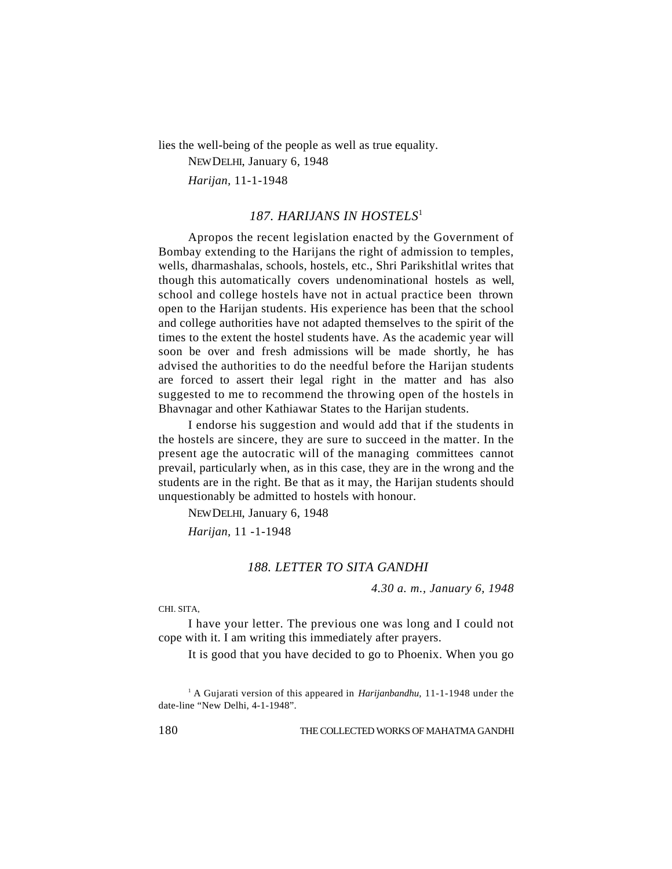lies the well-being of the people as well as true equality.

NEW DELHI, January 6, 1948

*Harijan,* 11-1-1948

# *187. HARIJANS IN HOSTELS*<sup>1</sup>

Apropos the recent legislation enacted by the Government of Bombay extending to the Harijans the right of admission to temples, wells, dharmashalas, schools, hostels, etc., Shri Parikshitlal writes that though this automatically covers undenominational hostels as well, school and college hostels have not in actual practice been thrown open to the Harijan students. His experience has been that the school and college authorities have not adapted themselves to the spirit of the times to the extent the hostel students have. As the academic year will soon be over and fresh admissions will be made shortly, he has advised the authorities to do the needful before the Harijan students are forced to assert their legal right in the matter and has also suggested to me to recommend the throwing open of the hostels in Bhavnagar and other Kathiawar States to the Harijan students.

I endorse his suggestion and would add that if the students in the hostels are sincere, they are sure to succeed in the matter. In the present age the autocratic will of the managing committees cannot prevail, particularly when, as in this case, they are in the wrong and the students are in the right. Be that as it may, the Harijan students should unquestionably be admitted to hostels with honour.

NEW DELHI, January 6, 1948

*Harijan,* 11 -1-1948

### *188. LETTER TO SITA GANDHI*

*4.30 a. m., January 6, 1948*

CHI. SITA,

I have your letter. The previous one was long and I could not cope with it. I am writing this immediately after prayers.

It is good that you have decided to go to Phoenix. When you go

<sup>&</sup>lt;sup>1</sup> A Gujarati version of this appeared in *Harijanbandhu*, 11-1-1948 under the date-line "New Delhi, 4-1-1948".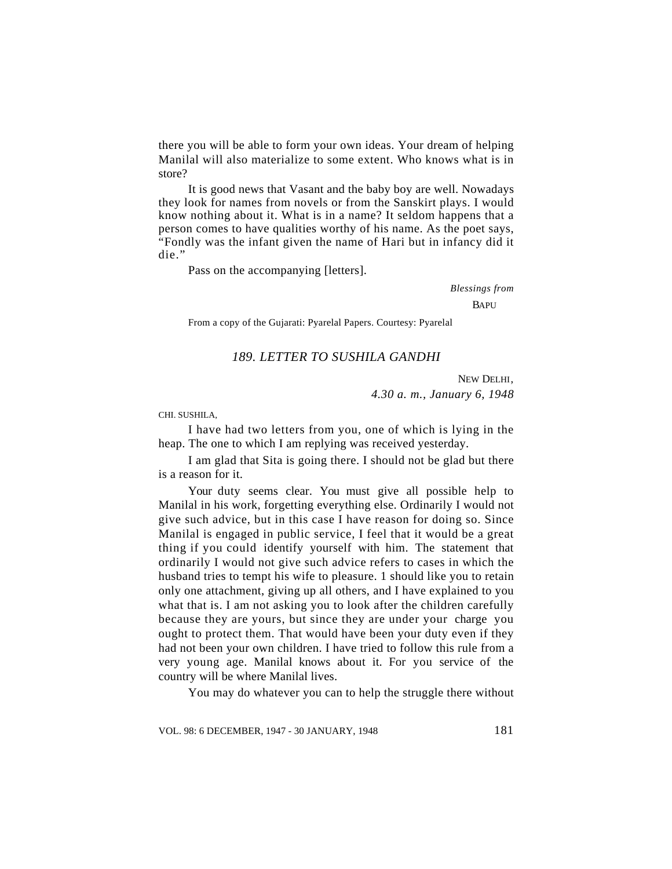there you will be able to form your own ideas. Your dream of helping Manilal will also materialize to some extent. Who knows what is in store?

It is good news that Vasant and the baby boy are well. Nowadays they look for names from novels or from the Sanskirt plays. I would know nothing about it. What is in a name? It seldom happens that a person comes to have qualities worthy of his name. As the poet says, "Fondly was the infant given the name of Hari but in infancy did it die."

Pass on the accompanying [letters].

*Blessings from*

**BAPU** 

From a copy of the Gujarati: Pyarelal Papers. Courtesy: Pyarelal

#### *189. LETTER TO SUSHILA GANDHI*

NEW DELHI, *4.30 a. m., January 6, 1948*

CHI. SUSHILA,

I have had two letters from you, one of which is lying in the heap. The one to which I am replying was received yesterday.

I am glad that Sita is going there. I should not be glad but there is a reason for it.

Your duty seems clear. You must give all possible help to Manilal in his work, forgetting everything else. Ordinarily I would not give such advice, but in this case I have reason for doing so. Since Manilal is engaged in public service, I feel that it would be a great thing if you could identify yourself with him. The statement that ordinarily I would not give such advice refers to cases in which the husband tries to tempt his wife to pleasure. 1 should like you to retain only one attachment, giving up all others, and I have explained to you what that is. I am not asking you to look after the children carefully because they are yours, but since they are under your charge you ought to protect them. That would have been your duty even if they had not been your own children. I have tried to follow this rule from a very young age. Manilal knows about it. For you service of the country will be where Manilal lives.

You may do whatever you can to help the struggle there without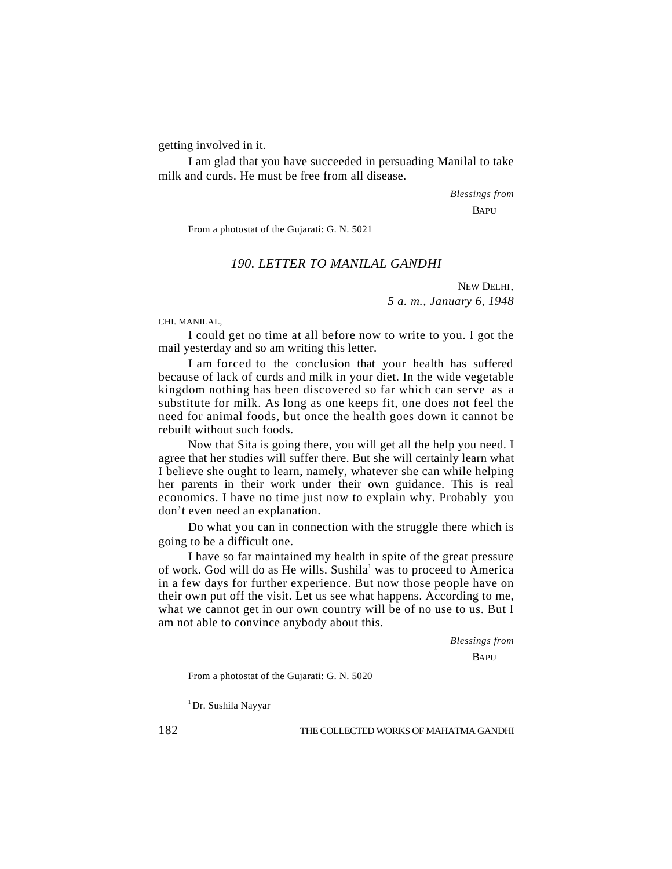getting involved in it.

I am glad that you have succeeded in persuading Manilal to take milk and curds. He must be free from all disease.

> *Blessings from* **BAPU**

From a photostat of the Gujarati: G. N. 5021

# *190. LETTER TO MANILAL GANDHI*

NEW DELHI, *5 a. m., January 6, 1948*

CHI. MANILAL,

I could get no time at all before now to write to you. I got the mail yesterday and so am writing this letter.

I am forced to the conclusion that your health has suffered because of lack of curds and milk in your diet. In the wide vegetable kingdom nothing has been discovered so far which can serve as a substitute for milk. As long as one keeps fit, one does not feel the need for animal foods, but once the health goes down it cannot be rebuilt without such foods.

Now that Sita is going there, you will get all the help you need. I agree that her studies will suffer there. But she will certainly learn what I believe she ought to learn, namely, whatever she can while helping her parents in their work under their own guidance. This is real economics. I have no time just now to explain why. Probably you don't even need an explanation.

Do what you can in connection with the struggle there which is going to be a difficult one.

I have so far maintained my health in spite of the great pressure of work. God will do as He wills. Sushila<sup>1</sup> was to proceed to America in a few days for further experience. But now those people have on their own put off the visit. Let us see what happens. According to me, what we cannot get in our own country will be of no use to us. But I am not able to convince anybody about this.

> *Blessings from* BAPU

From a photostat of the Gujarati: G. N. 5020

1 Dr. Sushila Nayyar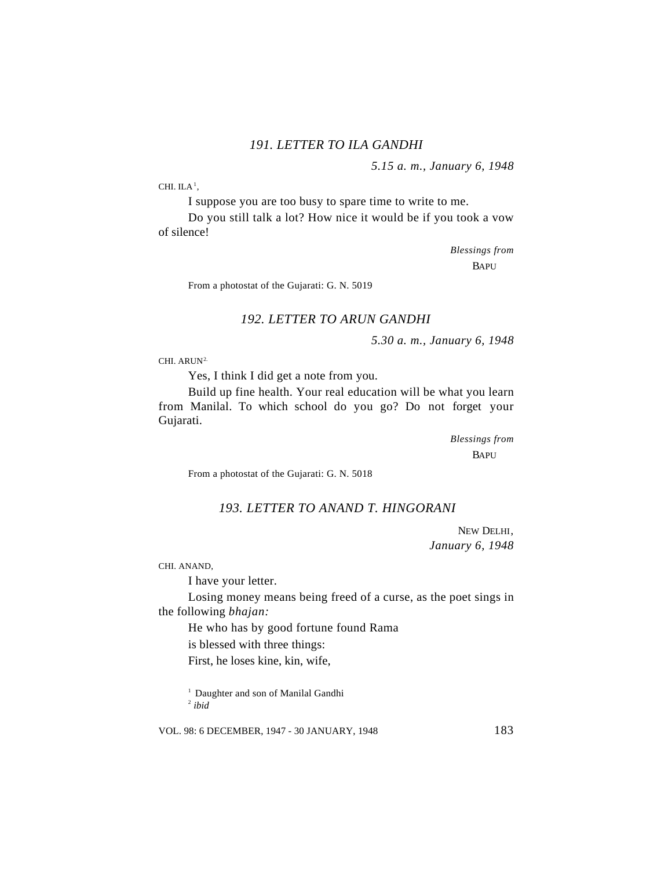# *191. LETTER TO ILA GANDHI*

*5.15 a. m., January 6, 1948*

CHI. ILA<sup>1</sup>,

I suppose you are too busy to spare time to write to me.

Do you still talk a lot? How nice it would be if you took a vow of silence!

> *Blessings from* **BAPU**

From a photostat of the Gujarati: G. N. 5019

#### *192. LETTER TO ARUN GANDHI*

*5.30 a. m., January 6, 1948*

CHI. ARUN<sup>2.</sup>

Yes, I think I did get a note from you.

Build up fine health. Your real education will be what you learn from Manilal. To which school do you go? Do not forget your Gujarati.

> *Blessings from* **BAPU**

From a photostat of the Gujarati: G. N. 5018

# *193. LETTER TO ANAND T. HINGORANI*

NEW DELHI, *January 6, 1948*

CHI. ANAND,

I have your letter.

Losing money means being freed of a curse, as the poet sings in the following *bhajan:*

He who has by good fortune found Rama

is blessed with three things:

First, he loses kine, kin, wife,

<sup>1</sup> Daughter and son of Manilal Gandhi 2 *ibid*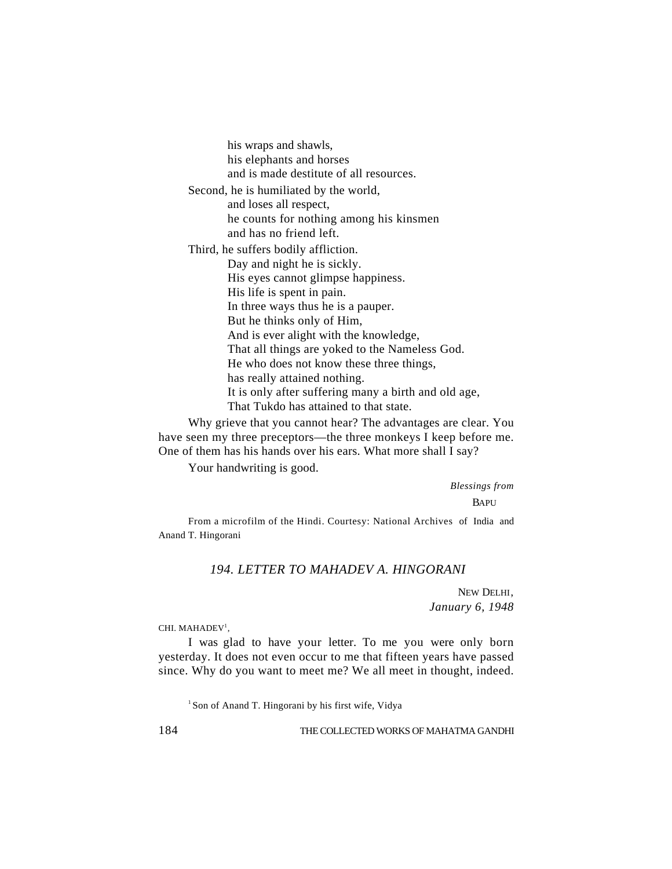his wraps and shawls, his elephants and horses and is made destitute of all resources. Second, he is humiliated by the world, and loses all respect, he counts for nothing among his kinsmen and has no friend left. Third, he suffers bodily affliction. Day and night he is sickly. His eyes cannot glimpse happiness. His life is spent in pain. In three ways thus he is a pauper. But he thinks only of Him, And is ever alight with the knowledge, That all things are yoked to the Nameless God. He who does not know these three things, has really attained nothing. It is only after suffering many a birth and old age, That Tukdo has attained to that state.

Why grieve that you cannot hear? The advantages are clear. You have seen my three preceptors—the three monkeys I keep before me. One of them has his hands over his ears. What more shall I say?

Your handwriting is good.

*Blessings from* BAPU

From a microfilm of the Hindi. Courtesy: National Archives of India and Anand T. Hingorani

## *194. LETTER TO MAHADEV A. HINGORANI*

NEW DELHI, *January 6, 1948*

CHI. MAHADEV<sup>1</sup>,

I was glad to have your letter. To me you were only born yesterday. It does not even occur to me that fifteen years have passed since. Why do you want to meet me? We all meet in thought, indeed.

 $1$  Son of Anand T. Hingorani by his first wife, Vidya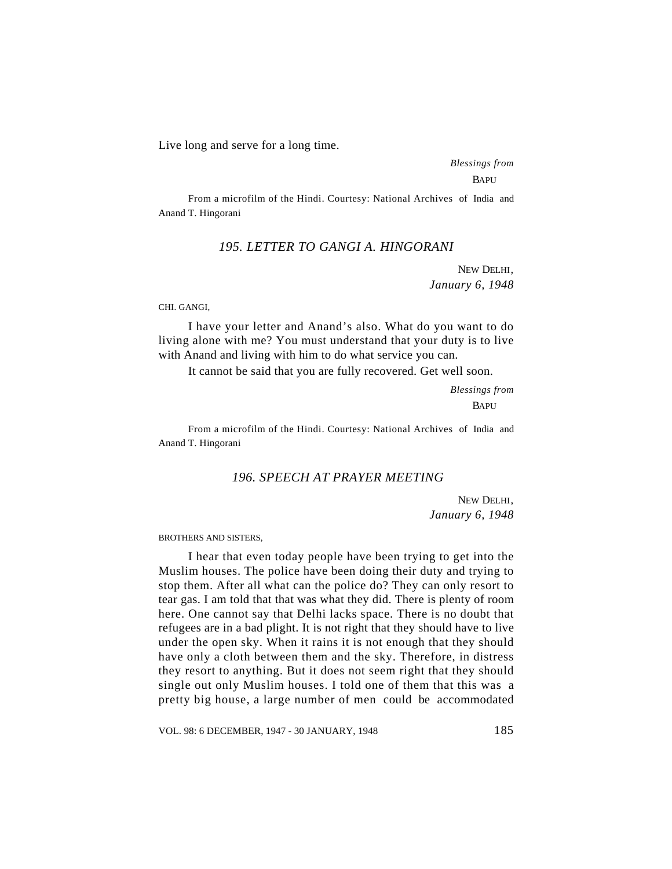Live long and serve for a long time.

*Blessings from*

**BAPU** 

From a microfilm of the Hindi. Courtesy: National Archives of India and Anand T. Hingorani

### *195. LETTER TO GANGI A. HINGORANI*

NEW DELHI, *January 6, 1948*

CHI. GANGI,

I have your letter and Anand's also. What do you want to do living alone with me? You must understand that your duty is to live with Anand and living with him to do what service you can.

It cannot be said that you are fully recovered. Get well soon.

*Blessings from* **BAPU** 

From a microfilm of the Hindi. Courtesy: National Archives of India and Anand T. Hingorani

#### *196. SPEECH AT PRAYER MEETING*

NEW DELHI, *January 6, 1948*

BROTHERS AND SISTERS,

I hear that even today people have been trying to get into the Muslim houses. The police have been doing their duty and trying to stop them. After all what can the police do? They can only resort to tear gas. I am told that that was what they did. There is plenty of room here. One cannot say that Delhi lacks space. There is no doubt that refugees are in a bad plight. It is not right that they should have to live under the open sky. When it rains it is not enough that they should have only a cloth between them and the sky. Therefore, in distress they resort to anything. But it does not seem right that they should single out only Muslim houses. I told one of them that this was a pretty big house, a large number of men could be accommodated

VOL. 98: 6 DECEMBER, 1947 - 30 JANUARY, 1948 185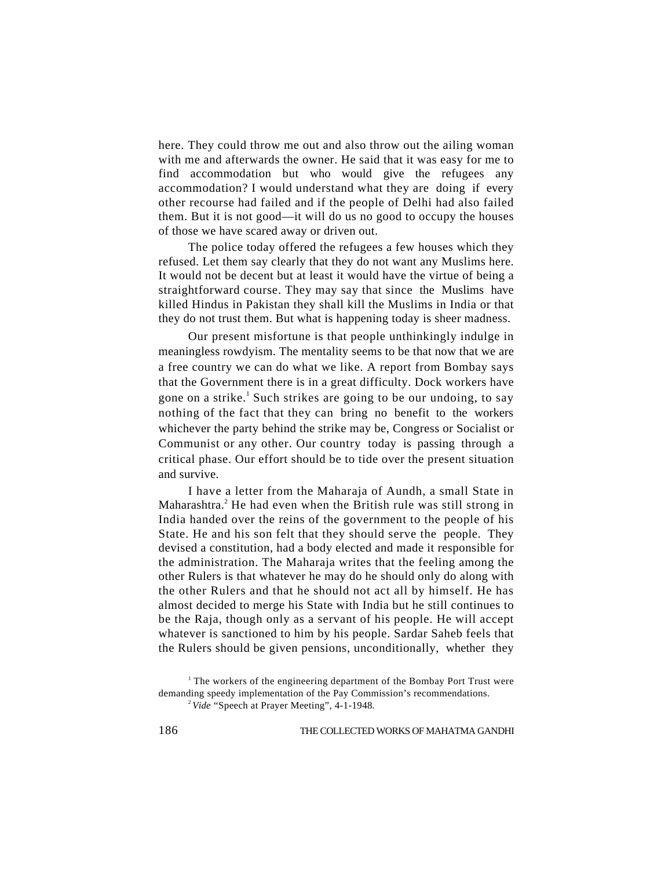here. They could throw me out and also throw out the ailing woman with me and afterwards the owner. He said that it was easy for me to find accommodation but who would give the refugees any accommodation? I would understand what they are doing if every other recourse had failed and if the people of Delhi had also failed them. But it is not good—it will do us no good to occupy the houses of those we have scared away or driven out.

The police today offered the refugees a few houses which they refused. Let them say clearly that they do not want any Muslims here. It would not be decent but at least it would have the virtue of being a straightforward course. They may say that since the Muslims have killed Hindus in Pakistan they shall kill the Muslims in India or that they do not trust them. But what is happening today is sheer madness.

Our present misfortune is that people unthinkingly indulge in meaningless rowdyism. The mentality seems to be that now that we are a free country we can do what we like. A report from Bombay says that the Government there is in a great difficulty. Dock workers have gone on a strike.<sup>1</sup> Such strikes are going to be our undoing, to say nothing of the fact that they can bring no benefit to the workers whichever the party behind the strike may be, Congress or Socialist or Communist or any other. Our country today is passing through a critical phase. Our effort should be to tide over the present situation and survive.

I have a letter from the Maharaja of Aundh, a small State in Maharashtra.<sup>2</sup> He had even when the British rule was still strong in India handed over the reins of the government to the people of his State. He and his son felt that they should serve the people. They devised a constitution, had a body elected and made it responsible for the administration. The Maharaja writes that the feeling among the other Rulers is that whatever he may do he should only do along with the other Rulers and that he should not act all by himself. He has almost decided to merge his State with India but he still continues to be the Raja, though only as a servant of his people. He will accept whatever is sanctioned to him by his people. Sardar Saheb feels that the Rulers should be given pensions, unconditionally, whether they

 $1$ <sup>1</sup> The workers of the engineering department of the Bombay Port Trust were demanding speedy implementation of the Pay Commission's recommendations.

<sup>2</sup>*Vide* "Speech at Prayer Meeting", 4-1-1948*.*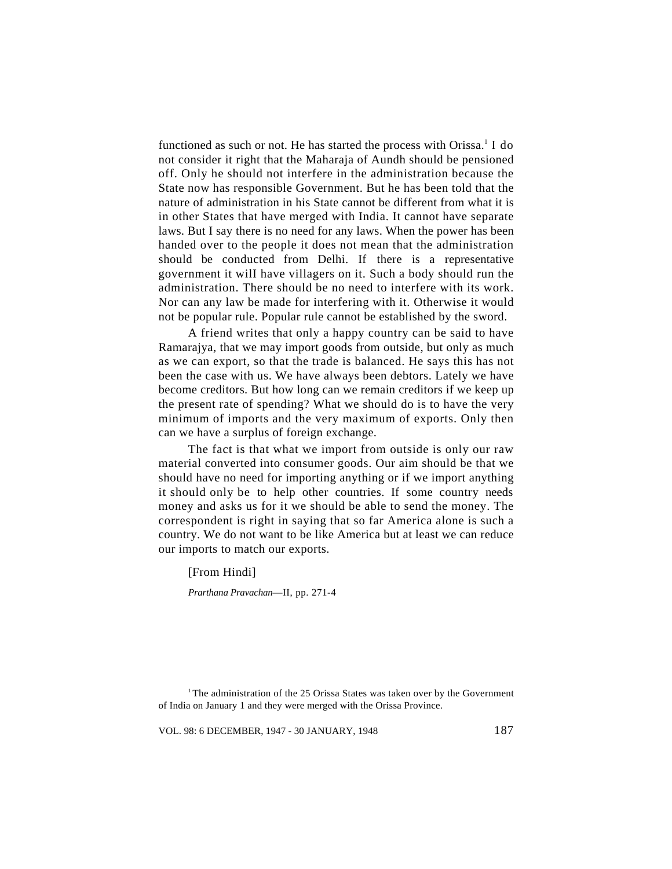functioned as such or not. He has started the process with Orissa.<sup>1</sup> I do not consider it right that the Maharaja of Aundh should be pensioned off. Only he should not interfere in the administration because the State now has responsible Government. But he has been told that the nature of administration in his State cannot be different from what it is in other States that have merged with India. It cannot have separate laws. But I say there is no need for any laws. When the power has been handed over to the people it does not mean that the administration should be conducted from Delhi. If there is a representative government it wilI have villagers on it. Such a body should run the administration. There should be no need to interfere with its work. Nor can any law be made for interfering with it. Otherwise it would not be popular rule. Popular rule cannot be established by the sword.

A friend writes that only a happy country can be said to have Ramarajya, that we may import goods from outside, but only as much as we can export, so that the trade is balanced. He says this has not been the case with us. We have always been debtors. Lately we have become creditors. But how long can we remain creditors if we keep up the present rate of spending? What we should do is to have the very minimum of imports and the very maximum of exports. Only then can we have a surplus of foreign exchange.

The fact is that what we import from outside is only our raw material converted into consumer goods. Our aim should be that we should have no need for importing anything or if we import anything it should only be to help other countries. If some country needs money and asks us for it we should be able to send the money. The correspondent is right in saying that so far America alone is such a country. We do not want to be like America but at least we can reduce our imports to match our exports.

[From Hindi] *Prarthana Pravachan*—II, pp. 271-4

 $1$ <sup>1</sup>The administration of the 25 Orissa States was taken over by the Government of India on January 1 and they were merged with the Orissa Province.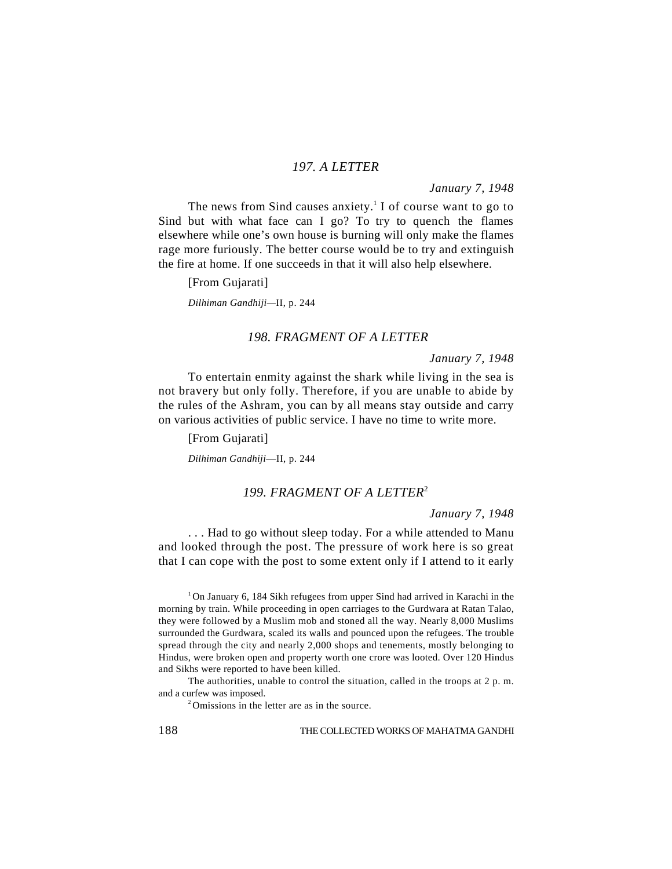# *197. A LETTER*

*January 7, 1948*

The news from Sind causes anxiety.<sup>1</sup> I of course want to go to Sind but with what face can I go? To try to quench the flames elsewhere while one's own house is burning will only make the flames rage more furiously. The better course would be to try and extinguish the fire at home. If one succeeds in that it will also help elsewhere.

[From Gujarati]

*Dilhiman Gandhiji—*II, p. 244

## *198. FRAGMENT OF A LETTER*

*January 7, 1948*

To entertain enmity against the shark while living in the sea is not bravery but only folly. Therefore, if you are unable to abide by the rules of the Ashram, you can by all means stay outside and carry on various activities of public service. I have no time to write more.

[From Gujarati]

*Dilhiman Gandhiji*—II, p. 244

# *199. FRAGMENT OF A LETTER*<sup>2</sup>

*January 7, 1948*

. . . Had to go without sleep today. For a while attended to Manu and looked through the post. The pressure of work here is so great that I can cope with the post to some extent only if I attend to it early

 $1$ On January 6, 184 Sikh refugees from upper Sind had arrived in Karachi in the morning by train. While proceeding in open carriages to the Gurdwara at Ratan Talao, they were followed by a Muslim mob and stoned all the way. Nearly 8,000 Muslims surrounded the Gurdwara, scaled its walls and pounced upon the refugees. The trouble spread through the city and nearly 2,000 shops and tenements, mostly belonging to Hindus, were broken open and property worth one crore was looted. Over 120 Hindus and Sikhs were reported to have been killed.

The authorities, unable to control the situation, called in the troops at 2 p. m. and a curfew was imposed.

2 Omissions in the letter are as in the source.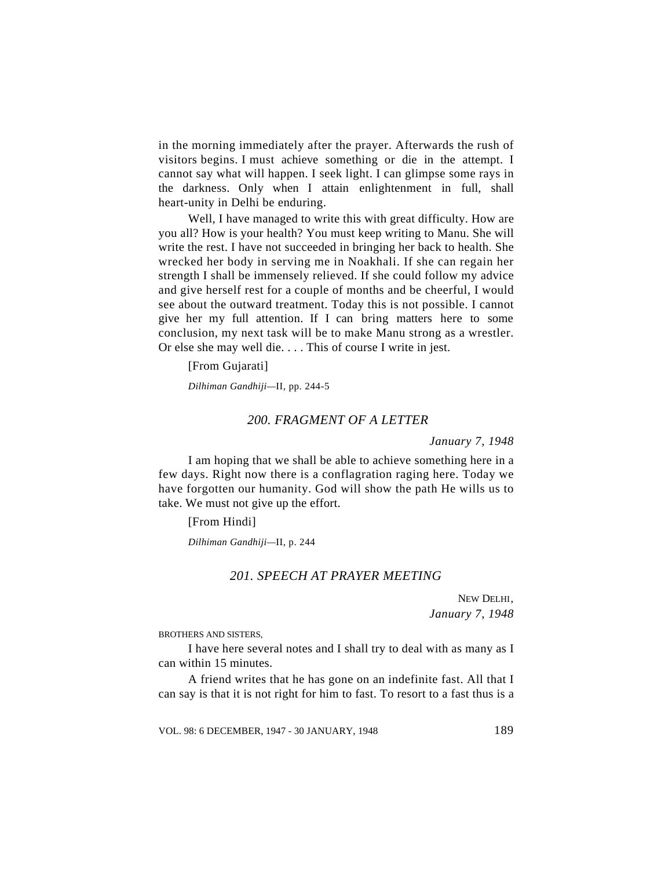in the morning immediately after the prayer. Afterwards the rush of visitors begins. I must achieve something or die in the attempt. I cannot say what will happen. I seek light. I can glimpse some rays in the darkness. Only when I attain enlightenment in full, shall heart-unity in Delhi be enduring.

Well, I have managed to write this with great difficulty. How are you all? How is your health? You must keep writing to Manu. She will write the rest. I have not succeeded in bringing her back to health. She wrecked her body in serving me in Noakhali. If she can regain her strength I shall be immensely relieved. If she could follow my advice and give herself rest for a couple of months and be cheerful, I would see about the outward treatment. Today this is not possible. I cannot give her my full attention. If I can bring matters here to some conclusion, my next task will be to make Manu strong as a wrestler. Or else she may well die. . . . This of course I write in jest.

[From Gujarati]

*Dilhiman Gandhiji—*II, pp. 244-5

## *200. FRAGMENT OF A LETTER*

*January 7, 1948*

I am hoping that we shall be able to achieve something here in a few days. Right now there is a conflagration raging here. Today we have forgotten our humanity. God will show the path He wills us to take. We must not give up the effort.

[From Hindi]

*Dilhiman Gandhiji—*II, p. 244

## *201. SPEECH AT PRAYER MEETING*

NEW DELHI, *January 7, 1948*

BROTHERS AND SISTERS,

I have here several notes and I shall try to deal with as many as I can within 15 minutes.

A friend writes that he has gone on an indefinite fast. All that I can say is that it is not right for him to fast. To resort to a fast thus is a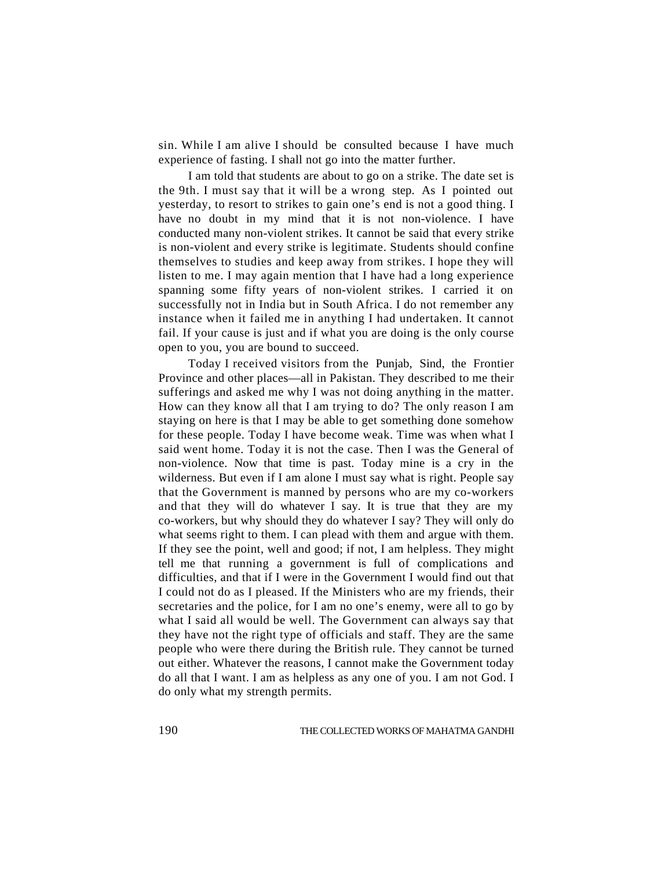sin. While I am alive I should be consulted because I have much experience of fasting. I shall not go into the matter further.

I am told that students are about to go on a strike. The date set is the 9th. I must say that it will be a wrong step. As I pointed out yesterday, to resort to strikes to gain one's end is not a good thing. I have no doubt in my mind that it is not non-violence. I have conducted many non-violent strikes. It cannot be said that every strike is non-violent and every strike is legitimate. Students should confine themselves to studies and keep away from strikes. I hope they will listen to me. I may again mention that I have had a long experience spanning some fifty years of non-violent strikes. I carried it on successfully not in India but in South Africa. I do not remember any instance when it failed me in anything I had undertaken. It cannot fail. If your cause is just and if what you are doing is the only course open to you, you are bound to succeed.

Today I received visitors from the Punjab, Sind, the Frontier Province and other places—all in Pakistan. They described to me their sufferings and asked me why I was not doing anything in the matter. How can they know all that I am trying to do? The only reason I am staying on here is that I may be able to get something done somehow for these people. Today I have become weak. Time was when what I said went home. Today it is not the case. Then I was the General of non-violence. Now that time is past. Today mine is a cry in the wilderness. But even if I am alone I must say what is right. People say that the Government is manned by persons who are my co-workers and that they will do whatever I say. It is true that they are my co-workers, but why should they do whatever I say? They will only do what seems right to them. I can plead with them and argue with them. If they see the point, well and good; if not, I am helpless. They might tell me that running a government is full of complications and difficulties, and that if I were in the Government I would find out that I could not do as I pleased. If the Ministers who are my friends, their secretaries and the police, for I am no one's enemy, were all to go by what I said all would be well. The Government can always say that they have not the right type of officials and staff. They are the same people who were there during the British rule. They cannot be turned out either. Whatever the reasons, I cannot make the Government today do all that I want. I am as helpless as any one of you. I am not God. I do only what my strength permits.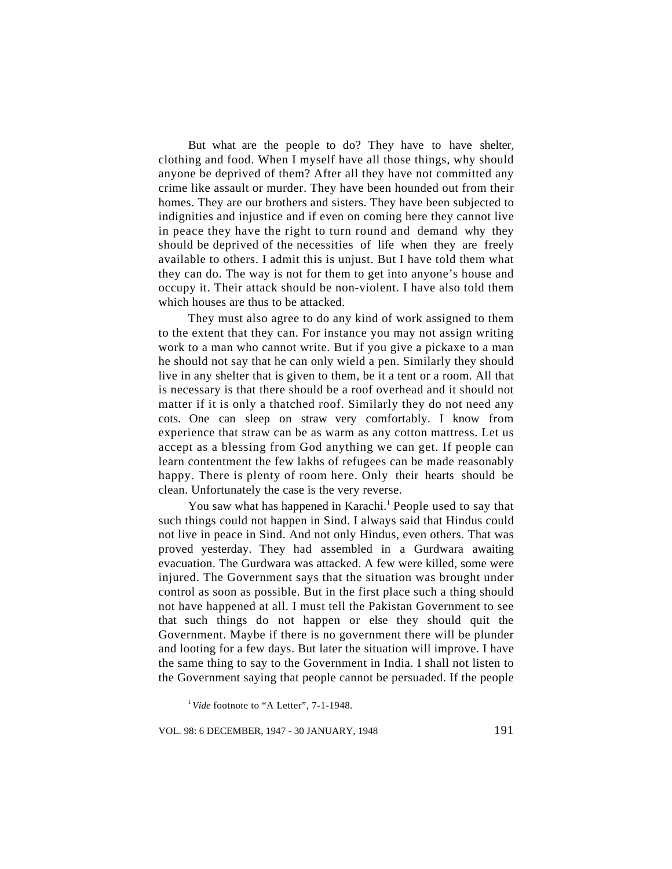But what are the people to do? They have to have shelter, clothing and food. When I myself have all those things, why should anyone be deprived of them? After all they have not committed any crime like assault or murder. They have been hounded out from their homes. They are our brothers and sisters. They have been subjected to indignities and injustice and if even on coming here they cannot live in peace they have the right to turn round and demand why they should be deprived of the necessities of life when they are freely available to others. I admit this is unjust. But I have told them what they can do. The way is not for them to get into anyone's house and occupy it. Their attack should be non-violent. I have also told them which houses are thus to be attacked.

They must also agree to do any kind of work assigned to them to the extent that they can. For instance you may not assign writing work to a man who cannot write. But if you give a pickaxe to a man he should not say that he can only wield a pen. Similarly they should live in any shelter that is given to them, be it a tent or a room. All that is necessary is that there should be a roof overhead and it should not matter if it is only a thatched roof. Similarly they do not need any cots. One can sleep on straw very comfortably. I know from experience that straw can be as warm as any cotton mattress. Let us accept as a blessing from God anything we can get. If people can learn contentment the few lakhs of refugees can be made reasonably happy. There is plenty of room here. Only their hearts should be clean. Unfortunately the case is the very reverse.

You saw what has happened in Karachi.<sup>1</sup> People used to say that such things could not happen in Sind. I always said that Hindus could not live in peace in Sind. And not only Hindus, even others. That was proved yesterday. They had assembled in a Gurdwara awaiting evacuation. The Gurdwara was attacked. A few were killed, some were injured. The Government says that the situation was brought under control as soon as possible. But in the first place such a thing should not have happened at all. I must tell the Pakistan Government to see that such things do not happen or else they should quit the Government. Maybe if there is no government there will be plunder and looting for a few days. But later the situation will improve. I have the same thing to say to the Government in India. I shall not listen to the Government saying that people cannot be persuaded. If the people

<sup>1</sup> Vide footnote to "A Letter", 7-1-1948.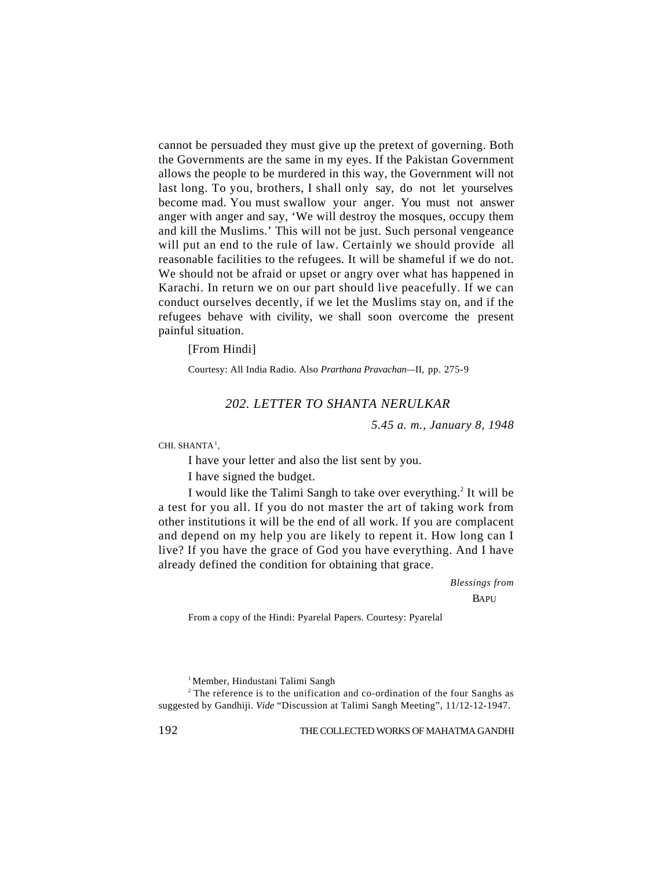cannot be persuaded they must give up the pretext of governing. Both the Governments are the same in my eyes. If the Pakistan Government allows the people to be murdered in this way, the Government will not last long. To you, brothers, I shall only say, do not let yourselves become mad. You must swallow your anger. You must not answer anger with anger and say, 'We will destroy the mosques, occupy them and kill the Muslims.' This will not be just. Such personal vengeance will put an end to the rule of law. Certainly we should provide all reasonable facilities to the refugees. It will be shameful if we do not. We should not be afraid or upset or angry over what has happened in Karachi. In return we on our part should live peacefully. If we can conduct ourselves decently, if we let the Muslims stay on, and if the refugees behave with civility, we shall soon overcome the present painful situation.

[From Hindi]

Courtesy: All India Radio. Also *Prarthana Pravachan—*II*,* pp. 275-9

# *202. LETTER TO SHANTA NERULKAR*

*5.45 a. m., January 8, 1948*

CHI. SHANTA $^1$ ,

I have your letter and also the list sent by you.

I have signed the budget.

I would like the Talimi Sangh to take over everything.<sup>2</sup> It will be a test for you all. If you do not master the art of taking work from other institutions it will be the end of all work. If you are complacent and depend on my help you are likely to repent it. How long can I live? If you have the grace of God you have everything. And I have already defined the condition for obtaining that grace.

> *Blessings from* **BAPU**

From a copy of the Hindi: Pyarelal Papers. Courtesy: Pyarelal

<sup>1</sup> Member, Hindustani Talimi Sangh

<sup>2</sup> The reference is to the unification and co-ordination of the four Sanghs as suggested by Gandhiji. *Vide* "Discussion at Talimi Sangh Meeting", 11/12-12-1947.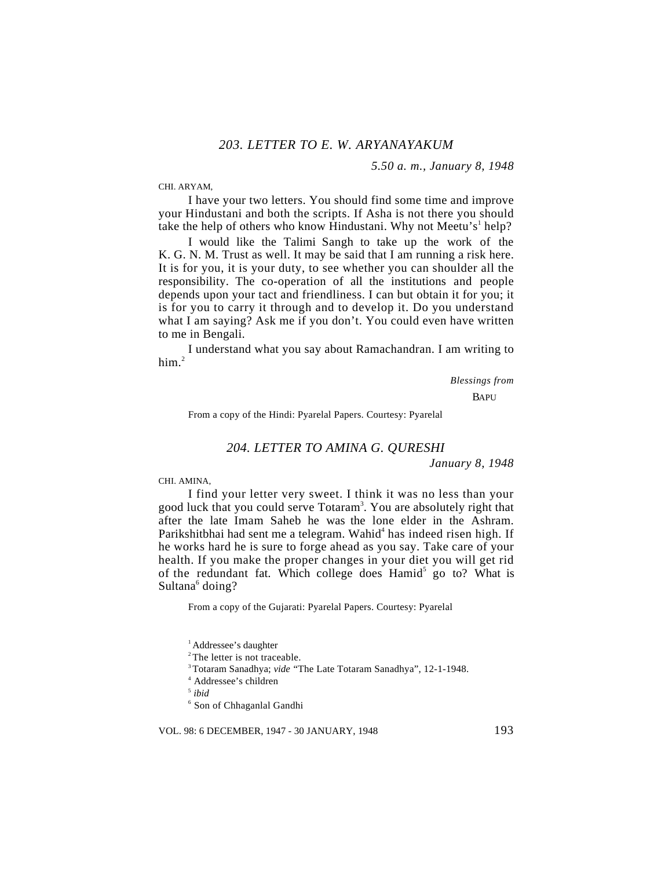*5.50 a. m., January 8, 1948*

CHI. ARYAM,

I have your two letters. You should find some time and improve your Hindustani and both the scripts. If Asha is not there you should take the help of others who know Hindustani. Why not Meetu's<sup>1</sup> help?

I would like the Talimi Sangh to take up the work of the K. G. N. M. Trust as well. It may be said that I am running a risk here. It is for you, it is your duty, to see whether you can shoulder all the responsibility. The co-operation of all the institutions and people depends upon your tact and friendliness. I can but obtain it for you; it is for you to carry it through and to develop it. Do you understand what I am saying? Ask me if you don't. You could even have written to me in Bengali.

I understand what you say about Ramachandran. I am writing to him $^2$ 

*Blessings from*

**BAPU** 

From a copy of the Hindi: Pyarelal Papers. Courtesy: Pyarelal

#### *204. LETTER TO AMINA G. QURESHI*

*January 8, 1948*

CHI. AMINA,

I find your letter very sweet. I think it was no less than your good luck that you could serve Totaram<sup>3</sup>. You are absolutely right that after the late Imam Saheb he was the lone elder in the Ashram. Parikshitbhai had sent me a telegram. Wahid<sup>4</sup> has indeed risen high. If he works hard he is sure to forge ahead as you say. Take care of your health. If you make the proper changes in your diet you will get rid of the redundant fat. Which college does Hamid<sup>5</sup> go to? What is Sultana<sup>6</sup> doing?

From a copy of the Gujarati: Pyarelal Papers. Courtesy: Pyarelal

<sup>1</sup> Addressee's daughter

- <sup>2</sup>The letter is not traceable.
- <sup>3</sup>Totaram Sanadhya; *vide* "The Late Totaram Sanadhya", 12-1-1948.
- 4 Addressee's children

6 Son of Chhaganlal Gandhi

<sup>5</sup> *ibid*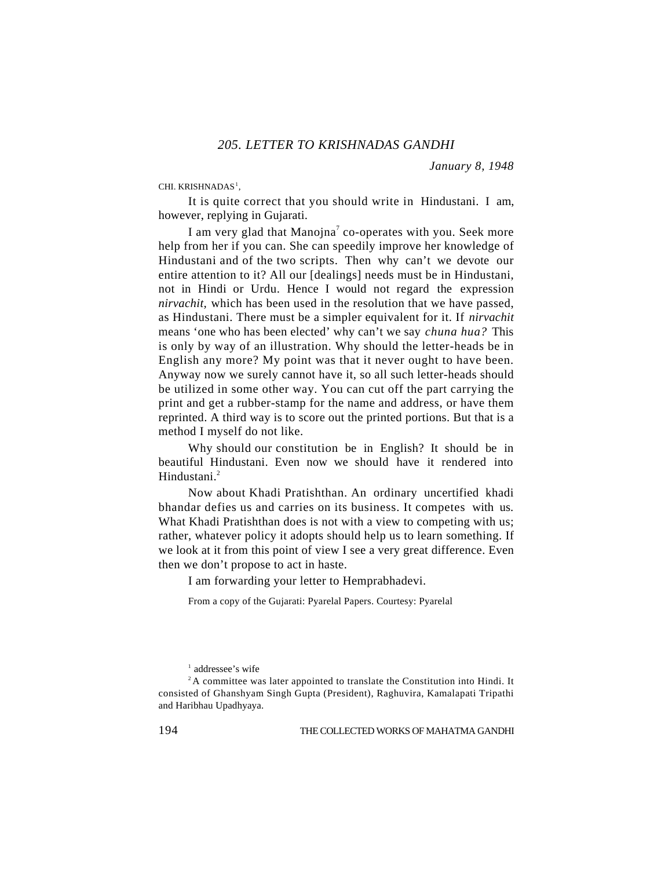*January 8, 1948*

CHI. KRISHNADAS<sup>1</sup>,

It is quite correct that you should write in Hindustani. I am, however, replying in Gujarati.

I am very glad that Manojna<sup>7</sup> co-operates with you. Seek more help from her if you can. She can speedily improve her knowledge of Hindustani and of the two scripts. Then why can't we devote our entire attention to it? All our [dealings] needs must be in Hindustani, not in Hindi or Urdu. Hence I would not regard the expression *nirvachit,* which has been used in the resolution that we have passed, as Hindustani. There must be a simpler equivalent for it. If *nirvachit* means 'one who has been elected' why can't we say *chuna hua?* This is only by way of an illustration. Why should the letter-heads be in English any more? My point was that it never ought to have been. Anyway now we surely cannot have it, so all such letter-heads should be utilized in some other way. You can cut off the part carrying the print and get a rubber-stamp for the name and address, or have them reprinted. A third way is to score out the printed portions. But that is a method I myself do not like.

Why should our constitution be in English? It should be in beautiful Hindustani. Even now we should have it rendered into Hindustani.<sup>2</sup>

Now about Khadi Pratishthan. An ordinary uncertified khadi bhandar defies us and carries on its business. It competes with us. What Khadi Pratishthan does is not with a view to competing with us; rather, whatever policy it adopts should help us to learn something. If we look at it from this point of view I see a very great difference. Even then we don't propose to act in haste.

I am forwarding your letter to Hemprabhadevi.

From a copy of the Gujarati: Pyarelal Papers. Courtesy: Pyarelal

<sup>1</sup> addressee's wife

 $2^2$ A committee was later appointed to translate the Constitution into Hindi. It consisted of Ghanshyam Singh Gupta (President), Raghuvira, Kamalapati Tripathi and Haribhau Upadhyaya.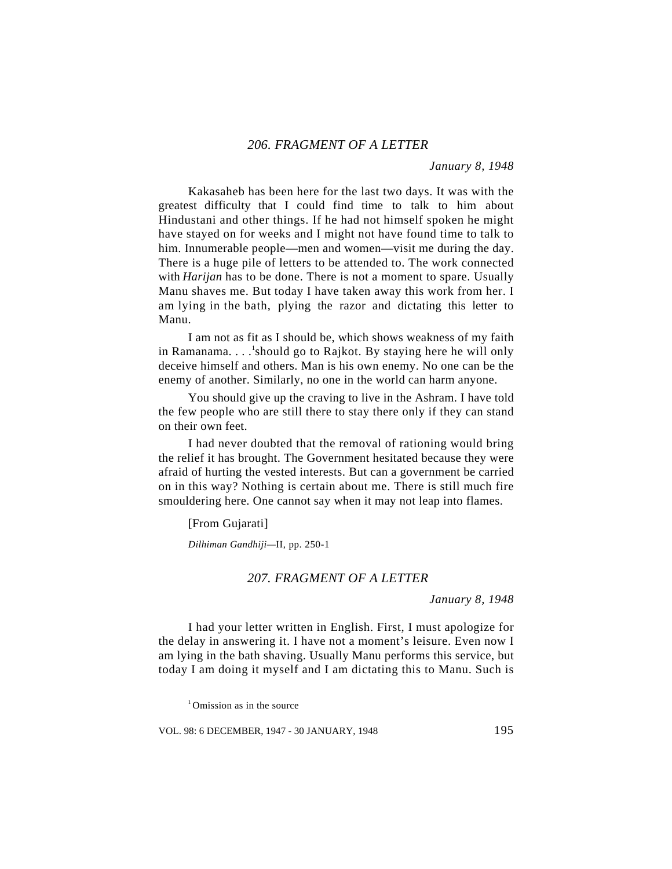## *206. FRAGMENT OF A LETTER*

*January 8, 1948*

Kakasaheb has been here for the last two days. It was with the greatest difficulty that I could find time to talk to him about Hindustani and other things. If he had not himself spoken he might have stayed on for weeks and I might not have found time to talk to him. Innumerable people—men and women—visit me during the day. There is a huge pile of letters to be attended to. The work connected with *Harijan* has to be done. There is not a moment to spare. Usually Manu shaves me. But today I have taken away this work from her. I am lying in the bath, plying the razor and dictating this letter to Manu.

I am not as fit as I should be, which shows weakness of my faith in Ramanama....<sup>1</sup>should go to Rajkot. By staying here he will only deceive himself and others. Man is his own enemy. No one can be the enemy of another. Similarly, no one in the world can harm anyone.

You should give up the craving to live in the Ashram. I have told the few people who are still there to stay there only if they can stand on their own feet.

I had never doubted that the removal of rationing would bring the relief it has brought. The Government hesitated because they were afraid of hurting the vested interests. But can a government be carried on in this way? Nothing is certain about me. There is still much fire smouldering here. One cannot say when it may not leap into flames.

[From Gujarati]

*Dilhiman Gandhiji—*II, pp. 250-1

#### *207. FRAGMENT OF A LETTER*

*January 8, 1948*

I had your letter written in English. First, I must apologize for the delay in answering it. I have not a moment's leisure. Even now I am lying in the bath shaving. Usually Manu performs this service, but today I am doing it myself and I am dictating this to Manu. Such is

 $1$  Omission as in the source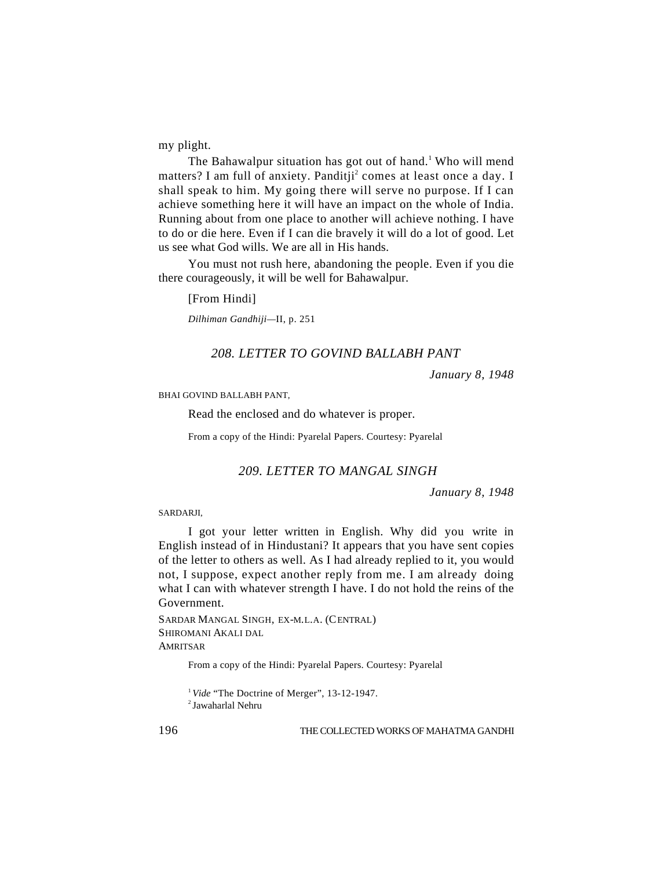my plight.

The Bahawalpur situation has got out of hand.<sup>1</sup> Who will mend matters? I am full of anxiety. Panditji<sup>2</sup> comes at least once a day. I shall speak to him. My going there will serve no purpose. If I can achieve something here it will have an impact on the whole of India. Running about from one place to another will achieve nothing. I have to do or die here. Even if I can die bravely it will do a lot of good. Let us see what God wills. We are all in His hands.

You must not rush here, abandoning the people. Even if you die there courageously, it will be well for Bahawalpur.

[From Hindi]

*Dilhiman Gandhiji—*II, p. 251

# *208. LETTER TO GOVIND BALLABH PANT*

*January 8, 1948*

BHAI GOVIND BALLABH PANT,

Read the enclosed and do whatever is proper.

From a copy of the Hindi: Pyarelal Papers. Courtesy: Pyarelal

## *209. LETTER TO MANGAL SINGH*

*January 8, 1948*

SARDARJI,

I got your letter written in English. Why did you write in English instead of in Hindustani? It appears that you have sent copies of the letter to others as well. As I had already replied to it, you would not, I suppose, expect another reply from me. I am already doing what I can with whatever strength I have. I do not hold the reins of the Government.

SARDAR MANGAL SINGH, EX-M.L.A. (CENTRAL) SHIROMANI AKALI DAL AMRITSAR

From a copy of the Hindi: Pyarelal Papers. Courtesy: Pyarelal

<sup>1</sup> Vide "The Doctrine of Merger", 13-12-1947. 2 Jawaharlal Nehru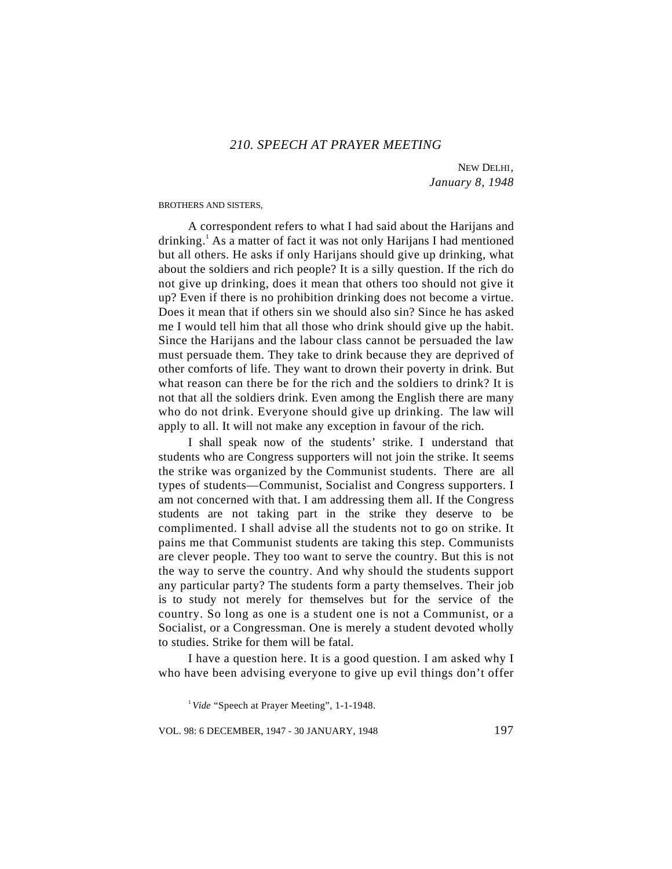# *210. SPEECH AT PRAYER MEETING*

NEW DELHI. *January 8, 1948*

#### BROTHERS AND SISTERS,

A correspondent refers to what I had said about the Harijans and drinking.<sup>1</sup> As a matter of fact it was not only Harijans I had mentioned but all others. He asks if only Harijans should give up drinking, what about the soldiers and rich people? It is a silly question. If the rich do not give up drinking, does it mean that others too should not give it up? Even if there is no prohibition drinking does not become a virtue. Does it mean that if others sin we should also sin? Since he has asked me I would tell him that all those who drink should give up the habit. Since the Harijans and the labour class cannot be persuaded the law must persuade them. They take to drink because they are deprived of other comforts of life. They want to drown their poverty in drink. But what reason can there be for the rich and the soldiers to drink? It is not that all the soldiers drink. Even among the English there are many who do not drink. Everyone should give up drinking. The law will apply to all. It will not make any exception in favour of the rich.

I shall speak now of the students' strike. I understand that students who are Congress supporters will not join the strike. It seems the strike was organized by the Communist students. There are all types of students—Communist, Socialist and Congress supporters. I am not concerned with that. I am addressing them all. If the Congress students are not taking part in the strike they deserve to be complimented. I shall advise all the students not to go on strike. It pains me that Communist students are taking this step. Communists are clever people. They too want to serve the country. But this is not the way to serve the country. And why should the students support any particular party? The students form a party themselves. Their job is to study not merely for themselves but for the service of the country. So long as one is a student one is not a Communist, or a Socialist, or a Congressman. One is merely a student devoted wholly to studies. Strike for them will be fatal.

I have a question here. It is a good question. I am asked why I who have been advising everyone to give up evil things don't offer

<sup>1</sup> Vide "Speech at Prayer Meeting", 1-1-1948.

VOL. 98: 6 DECEMBER, 1947 - 30 JANUARY, 1948 197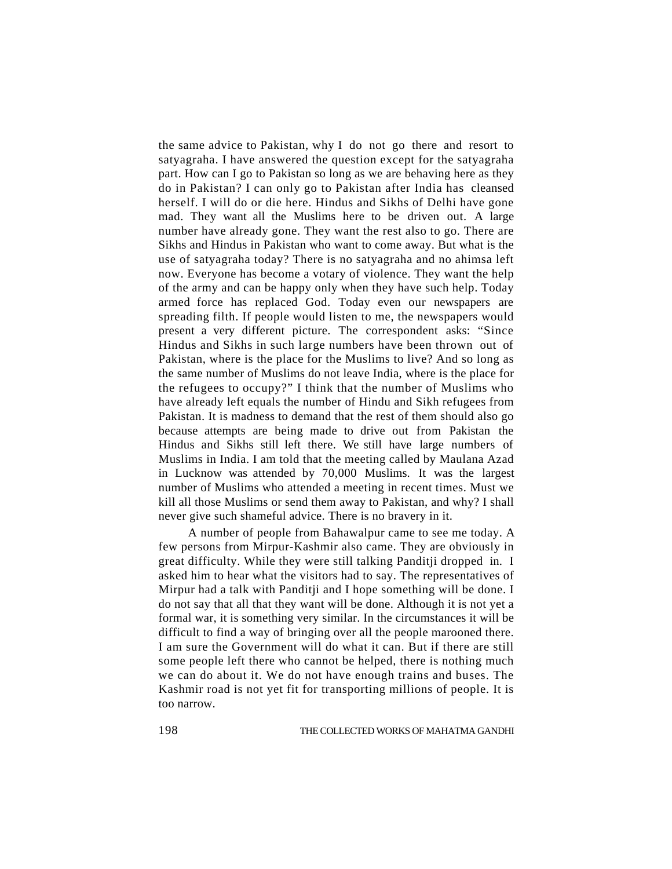the same advice to Pakistan, why I do not go there and resort to satyagraha. I have answered the question except for the satyagraha part. How can I go to Pakistan so long as we are behaving here as they do in Pakistan? I can only go to Pakistan after India has cleansed herself. I will do or die here. Hindus and Sikhs of Delhi have gone mad. They want all the Muslims here to be driven out. A large number have already gone. They want the rest also to go. There are Sikhs and Hindus in Pakistan who want to come away. But what is the use of satyagraha today? There is no satyagraha and no ahimsa left now. Everyone has become a votary of violence. They want the help of the army and can be happy only when they have such help. Today armed force has replaced God. Today even our newspapers are spreading filth. If people would listen to me, the newspapers would present a very different picture. The correspondent asks: "Since Hindus and Sikhs in such large numbers have been thrown out of Pakistan, where is the place for the Muslims to live? And so long as the same number of Muslims do not leave India, where is the place for the refugees to occupy?" I think that the number of Muslims who have already left equals the number of Hindu and Sikh refugees from Pakistan. It is madness to demand that the rest of them should also go because attempts are being made to drive out from Pakistan the Hindus and Sikhs still left there. We still have large numbers of Muslims in India. I am told that the meeting called by Maulana Azad in Lucknow was attended by 70,000 Muslims. It was the largest number of Muslims who attended a meeting in recent times. Must we kill all those Muslims or send them away to Pakistan, and why? I shall never give such shameful advice. There is no bravery in it.

A number of people from Bahawalpur came to see me today. A few persons from Mirpur-Kashmir also came. They are obviously in great difficulty. While they were still talking Panditji dropped in. I asked him to hear what the visitors had to say. The representatives of Mirpur had a talk with Panditji and I hope something will be done. I do not say that all that they want will be done. Although it is not yet a formal war, it is something very similar. In the circumstances it will be difficult to find a way of bringing over all the people marooned there. I am sure the Government will do what it can. But if there are still some people left there who cannot be helped, there is nothing much we can do about it. We do not have enough trains and buses. The Kashmir road is not yet fit for transporting millions of people. It is too narrow.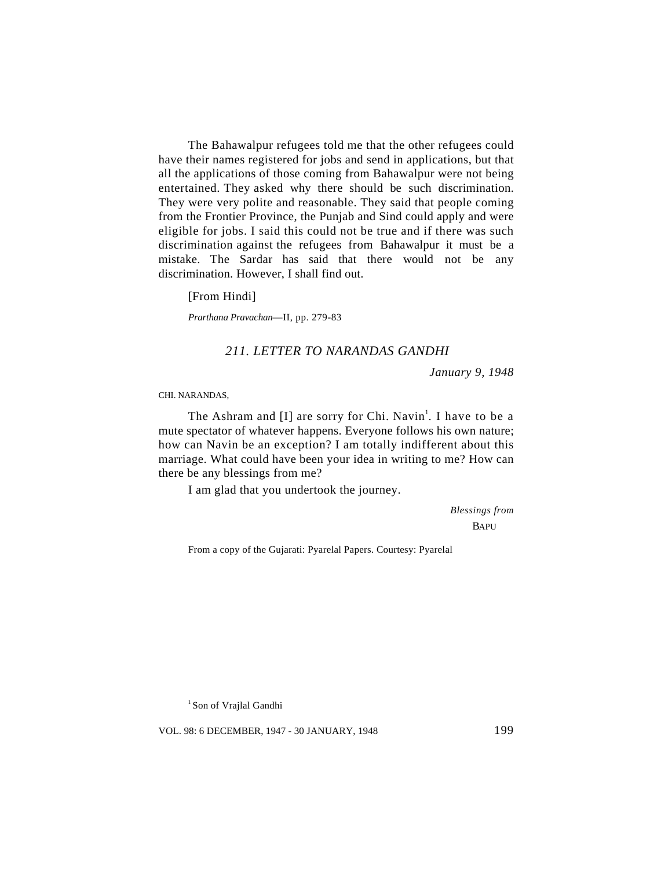The Bahawalpur refugees told me that the other refugees could have their names registered for jobs and send in applications, but that all the applications of those coming from Bahawalpur were not being entertained. They asked why there should be such discrimination. They were very polite and reasonable. They said that people coming from the Frontier Province, the Punjab and Sind could apply and were eligible for jobs. I said this could not be true and if there was such discrimination against the refugees from Bahawalpur it must be a mistake. The Sardar has said that there would not be any discrimination. However, I shall find out.

[From Hindi]

*Prarthana Pravachan*—II, pp. 279-83

# *211. LETTER TO NARANDAS GANDHI*

*January 9, 1948*

CHI. NARANDAS,

The Ashram and [I] are sorry for Chi. Navin<sup>1</sup>. I have to be a mute spectator of whatever happens. Everyone follows his own nature; how can Navin be an exception? I am totally indifferent about this marriage. What could have been your idea in writing to me? How can there be any blessings from me?

I am glad that you undertook the journey.

*Blessings from* **BAPU** 

From a copy of the Gujarati: Pyarelal Papers. Courtesy: Pyarelal

<sup>1</sup> Son of Vrajlal Gandhi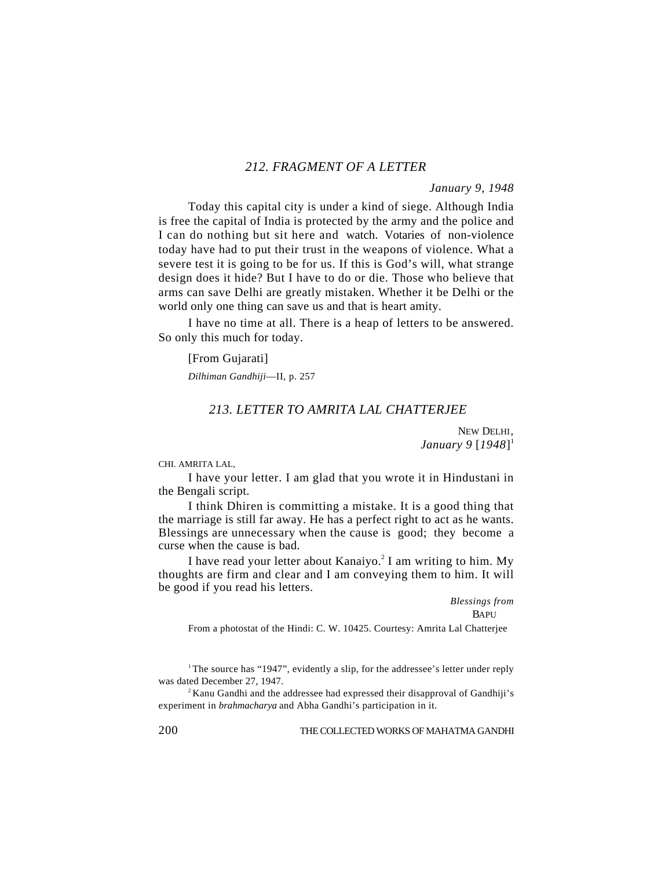# *212. FRAGMENT OF A LETTER*

#### *January 9, 1948*

Today this capital city is under a kind of siege. Although India is free the capital of India is protected by the army and the police and I can do nothing but sit here and watch. Votaries of non-violence today have had to put their trust in the weapons of violence. What a severe test it is going to be for us. If this is God's will, what strange design does it hide? But I have to do or die. Those who believe that arms can save Delhi are greatly mistaken. Whether it be Delhi or the world only one thing can save us and that is heart amity.

I have no time at all. There is a heap of letters to be answered. So only this much for today.

[From Gujarati] *Dilhiman Gandhiji*—II, p. 257

#### *213. LETTER TO AMRITA LAL CHATTERJEE*

NEW DELHI, *January 9* [*1948*] 1

CHI. AMRITA LAL,

I have your letter. I am glad that you wrote it in Hindustani in the Bengali script.

I think Dhiren is committing a mistake. It is a good thing that the marriage is still far away. He has a perfect right to act as he wants. Blessings are unnecessary when the cause is good; they become a curse when the cause is bad.

I have read your letter about Kanaiyo.<sup>2</sup> I am writing to him. My thoughts are firm and clear and I am conveying them to him. It will be good if you read his letters.

> *Blessings from* **BAPU**

From a photostat of the Hindi: C. W. 10425. Courtesy: Amrita Lal Chatterjee

<sup>1</sup>The source has "1947", evidently a slip, for the addressee's letter under reply was dated December 27, 1947.

 $2$ Kanu Gandhi and the addressee had expressed their disapproval of Gandhiji's experiment in *brahmacharya* and Abha Gandhi's participation in it.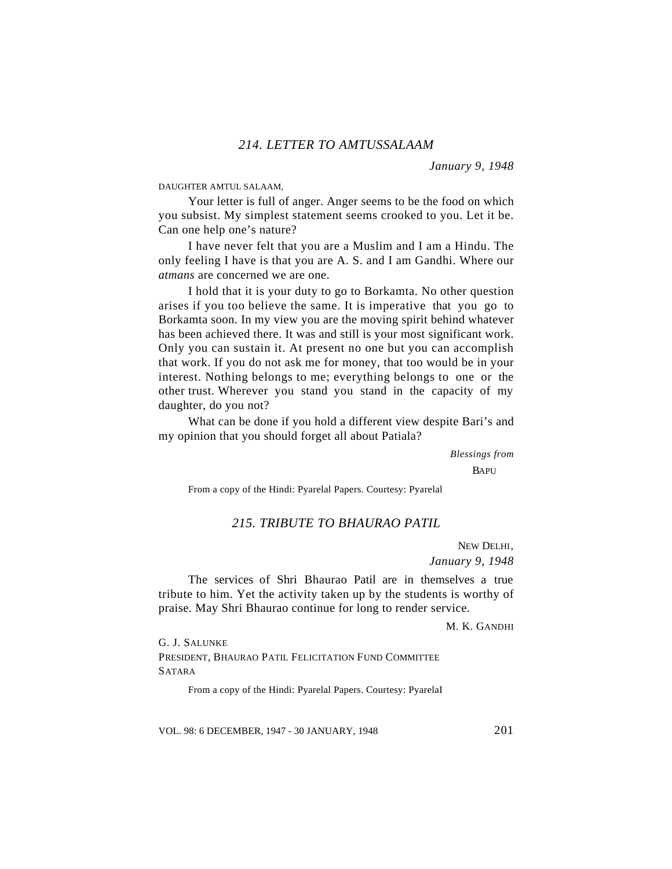*January 9, 1948*

#### DAUGHTER AMTUL SALAAM,

Your letter is full of anger. Anger seems to be the food on which you subsist. My simplest statement seems crooked to you. Let it be. Can one help one's nature?

I have never felt that you are a Muslim and I am a Hindu. The only feeling I have is that you are A. S. and I am Gandhi. Where our *atmans* are concerned we are one.

I hold that it is your duty to go to Borkamta. No other question arises if you too believe the same. It is imperative that you go to Borkamta soon. In my view you are the moving spirit behind whatever has been achieved there. It was and still is your most significant work. Only you can sustain it. At present no one but you can accomplish that work. If you do not ask me for money, that too would be in your interest. Nothing belongs to me; everything belongs to one or the other trust. Wherever you stand you stand in the capacity of my daughter, do you not?

What can be done if you hold a different view despite Bari's and my opinion that you should forget all about Patiala?

> *Blessings from* **BAPU**

From a copy of the Hindi: Pyarelal Papers. Courtesy: Pyarelal

## *215. TRIBUTE TO BHAURAO PATIL*

NEW DELHI, *January 9, 1948*

The services of Shri Bhaurao Patil are in themselves a true tribute to him. Yet the activity taken up by the students is worthy of praise. May Shri Bhaurao continue for long to render service.

M. K. GANDHI

G. J. SALUNKE PRESIDENT, BHAURAO PATIL FELICITATION FUND COMMITTEE SATARA

From a copy of the Hindi: Pyarelal Papers. Courtesy: PyarelaI

VOL. 98: 6 DECEMBER, 1947 - 30 JANUARY, 1948 201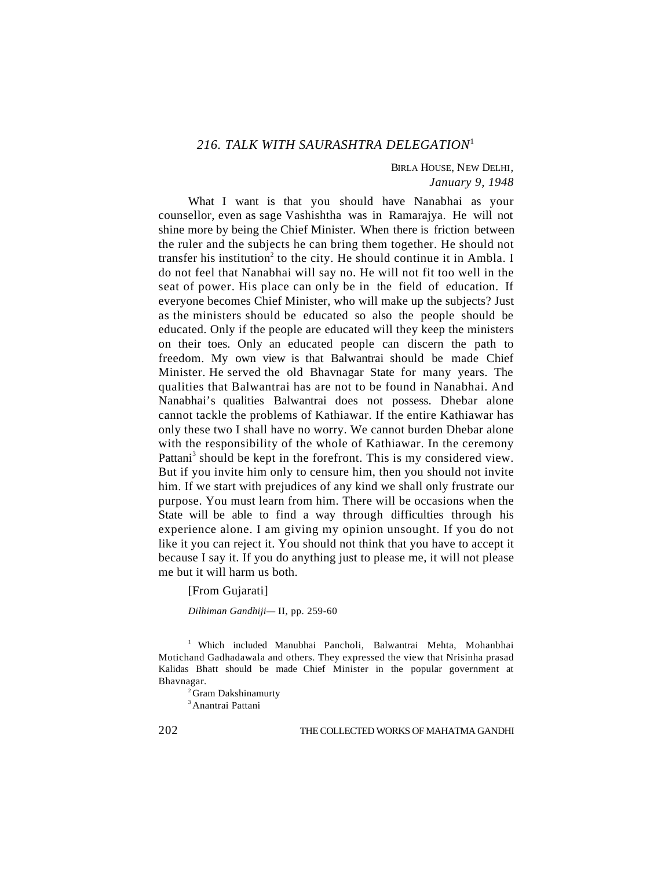BIRLA HOUSE, NEW DELHI, *January 9, 1948*

What I want is that you should have Nanabhai as your counsellor, even as sage Vashishtha was in Ramarajya. He will not shine more by being the Chief Minister. When there is friction between the ruler and the subjects he can bring them together. He should not transfer his institution<sup>2</sup> to the city. He should continue it in Ambla. I do not feel that Nanabhai will say no. He will not fit too well in the seat of power. His place can only be in the field of education. If everyone becomes Chief Minister, who will make up the subjects? Just as the ministers should be educated so also the people should be educated. Only if the people are educated will they keep the ministers on their toes. Only an educated people can discern the path to freedom. My own view is that Balwantrai should be made Chief Minister. He served the old Bhavnagar State for many years. The qualities that Balwantrai has are not to be found in Nanabhai. And Nanabhai's qualities Balwantrai does not possess. Dhebar alone cannot tackle the problems of Kathiawar. If the entire Kathiawar has only these two I shall have no worry. We cannot burden Dhebar alone with the responsibility of the whole of Kathiawar. In the ceremony Pattani<sup>3</sup> should be kept in the forefront. This is my considered view. But if you invite him only to censure him, then you should not invite him. If we start with prejudices of any kind we shall only frustrate our purpose. You must learn from him. There will be occasions when the State will be able to find a way through difficulties through his experience alone. I am giving my opinion unsought. If you do not like it you can reject it. You should not think that you have to accept it because I say it. If you do anything just to please me, it will not please me but it will harm us both.

[From Gujarati]

*Dilhiman Gandhiji—* II, pp. 259-60

<sup>1</sup> Which included Manubhai Pancholi, Balwantrai Mehta, Mohanbhai Motichand Gadhadawala and others. They expressed the view that Nrisinha prasad Kalidas Bhatt should be made Chief Minister in the popular government at Bhavnagar.

<sup>2</sup> Gram Dakshinamurty 3 Anantrai Pattani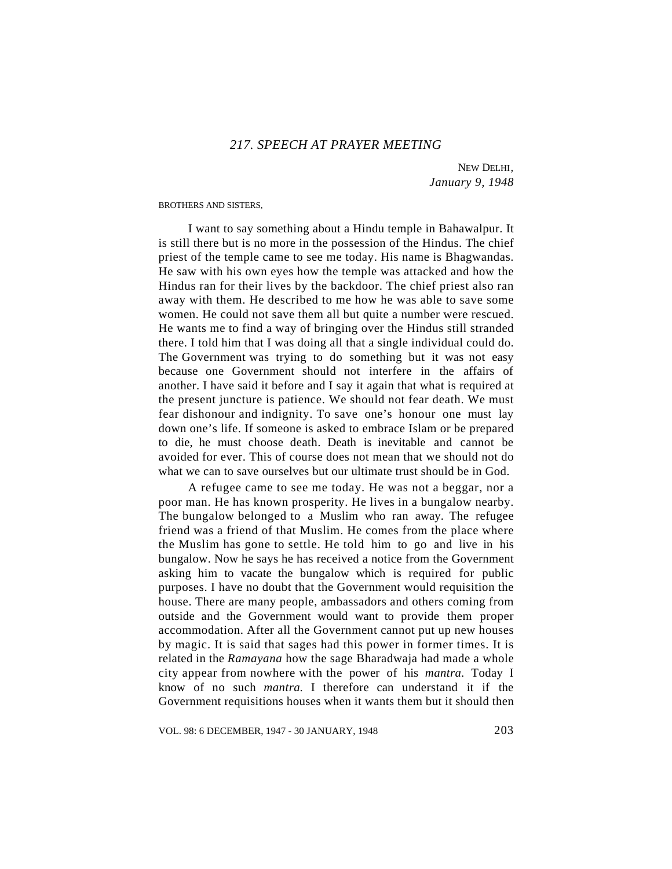## *217. SPEECH AT PRAYER MEETING*

NEW DELHI, *January 9, 1948*

#### BROTHERS AND SISTERS,

I want to say something about a Hindu temple in Bahawalpur. It is still there but is no more in the possession of the Hindus. The chief priest of the temple came to see me today. His name is Bhagwandas. He saw with his own eyes how the temple was attacked and how the Hindus ran for their lives by the backdoor. The chief priest also ran away with them. He described to me how he was able to save some women. He could not save them all but quite a number were rescued. He wants me to find a way of bringing over the Hindus still stranded there. I told him that I was doing all that a single individual could do. The Government was trying to do something but it was not easy because one Government should not interfere in the affairs of another. I have said it before and I say it again that what is required at the present juncture is patience. We should not fear death. We must fear dishonour and indignity. To save one's honour one must lay down one's life. If someone is asked to embrace Islam or be prepared to die, he must choose death. Death is inevitable and cannot be avoided for ever. This of course does not mean that we should not do what we can to save ourselves but our ultimate trust should be in God.

A refugee came to see me today. He was not a beggar, nor a poor man. He has known prosperity. He lives in a bungalow nearby. The bungalow belonged to a Muslim who ran away. The refugee friend was a friend of that Muslim. He comes from the place where the Muslim has gone to settle. He told him to go and live in his bungalow. Now he says he has received a notice from the Government asking him to vacate the bungalow which is required for public purposes. I have no doubt that the Government would requisition the house. There are many people, ambassadors and others coming from outside and the Government would want to provide them proper accommodation. After all the Government cannot put up new houses by magic. It is said that sages had this power in former times. It is related in the *Ramayana* how the sage Bharadwaja had made a whole city appear from nowhere with the power of his *mantra.* Today I know of no such *mantra.* I therefore can understand it if the Government requisitions houses when it wants them but it should then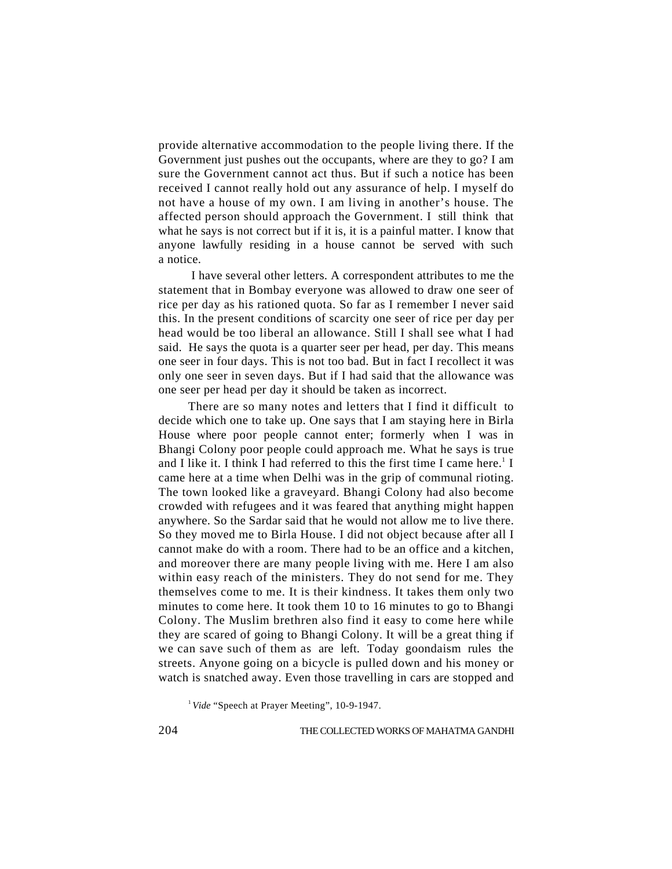provide alternative accommodation to the people living there. If the Government just pushes out the occupants, where are they to go? I am sure the Government cannot act thus. But if such a notice has been received I cannot really hold out any assurance of help. I myself do not have a house of my own. I am living in another's house. The affected person should approach the Government. I still think that what he says is not correct but if it is, it is a painful matter. I know that anyone lawfully residing in a house cannot be served with such a notice.

 I have several other letters. A correspondent attributes to me the statement that in Bombay everyone was allowed to draw one seer of rice per day as his rationed quota. So far as I remember I never said this. In the present conditions of scarcity one seer of rice per day per head would be too liberal an allowance. Still I shall see what I had said. He says the quota is a quarter seer per head, per day. This means one seer in four days. This is not too bad. But in fact I recollect it was only one seer in seven days. But if I had said that the allowance was one seer per head per day it should be taken as incorrect.

There are so many notes and letters that I find it difficult to decide which one to take up. One says that I am staying here in Birla House where poor people cannot enter; formerly when I was in Bhangi Colony poor people could approach me. What he says is true and I like it. I think I had referred to this the first time I came here.<sup>1</sup> I came here at a time when Delhi was in the grip of communal rioting. The town looked like a graveyard. Bhangi Colony had also become crowded with refugees and it was feared that anything might happen anywhere. So the Sardar said that he would not allow me to live there. So they moved me to Birla House. I did not object because after all I cannot make do with a room. There had to be an office and a kitchen, and moreover there are many people living with me. Here I am also within easy reach of the ministers. They do not send for me. They themselves come to me. It is their kindness. It takes them only two minutes to come here. It took them 10 to 16 minutes to go to Bhangi Colony. The Muslim brethren also find it easy to come here while they are scared of going to Bhangi Colony. It will be a great thing if we can save such of them as are left. Today goondaism rules the streets. Anyone going on a bicycle is pulled down and his money or watch is snatched away. Even those travelling in cars are stopped and

<sup>1</sup> Vide "Speech at Prayer Meeting", 10-9-1947.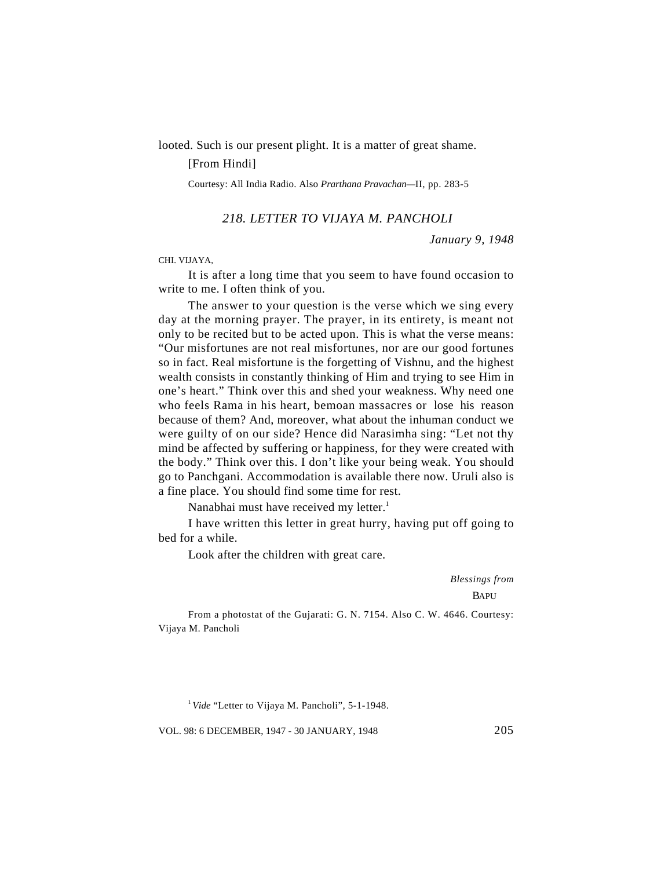looted. Such is our present plight. It is a matter of great shame.

[From Hindi]

Courtesy: All India Radio. Also *Prarthana Pravachan—*II, pp. 283-5

#### *218. LETTER TO VIJAYA M. PANCHOLI*

*January 9, 1948*

CHI. VIJAYA,

It is after a long time that you seem to have found occasion to write to me. I often think of you.

The answer to your question is the verse which we sing every day at the morning prayer. The prayer, in its entirety, is meant not only to be recited but to be acted upon. This is what the verse means: "Our misfortunes are not real misfortunes, nor are our good fortunes so in fact. Real misfortune is the forgetting of Vishnu, and the highest wealth consists in constantly thinking of Him and trying to see Him in one's heart." Think over this and shed your weakness. Why need one who feels Rama in his heart, bemoan massacres or lose his reason because of them? And, moreover, what about the inhuman conduct we were guilty of on our side? Hence did Narasimha sing: "Let not thy mind be affected by suffering or happiness, for they were created with the body." Think over this. I don't like your being weak. You should go to Panchgani. Accommodation is available there now. Uruli also is a fine place. You should find some time for rest.

Nanabhai must have received my letter. $1$ 

I have written this letter in great hurry, having put off going to bed for a while.

Look after the children with great care.

*Blessings from* BAPU

From a photostat of the Gujarati: G. N. 7154. Also C. W. 4646. Courtesy: Vijaya M. Pancholi

<sup>1</sup> Vide "Letter to Vijaya M. Pancholi", 5-1-1948.

VOL. 98: 6 DECEMBER, 1947 - 30 JANUARY, 1948 205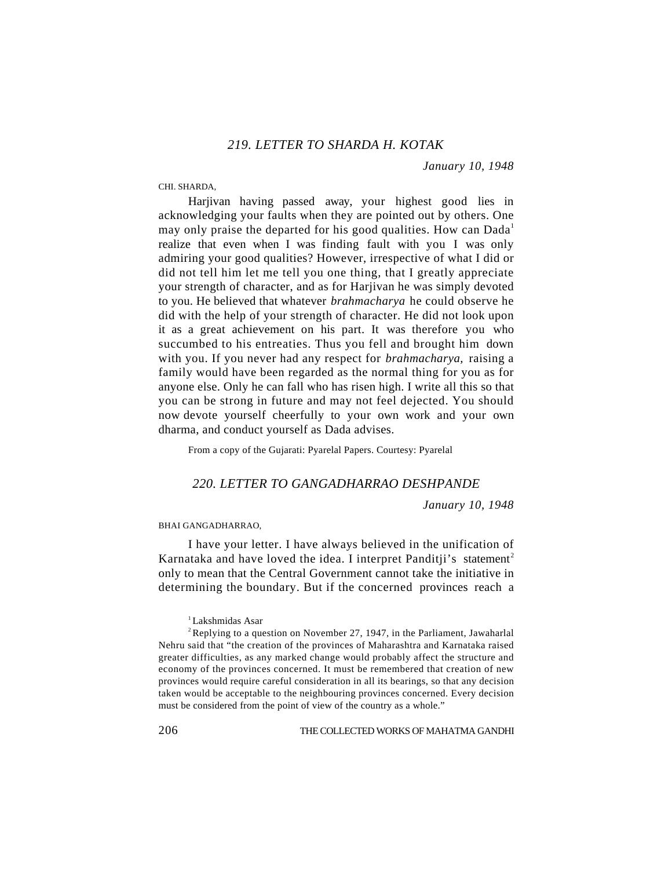*January 10, 1948*

CHI. SHARDA,

Harjivan having passed away, your highest good lies in acknowledging your faults when they are pointed out by others. One may only praise the departed for his good qualities. How can  $Dada<sup>1</sup>$ realize that even when I was finding fault with you I was only admiring your good qualities? However, irrespective of what I did or did not tell him let me tell you one thing, that I greatly appreciate your strength of character, and as for Harjivan he was simply devoted to you. He believed that whatever *brahmacharya* he could observe he did with the help of your strength of character. He did not look upon it as a great achievement on his part. It was therefore you who succumbed to his entreaties. Thus you fell and brought him down with you. If you never had any respect for *brahmacharya,* raising a family would have been regarded as the normal thing for you as for anyone else. Only he can fall who has risen high. I write all this so that you can be strong in future and may not feel dejected. You should now devote yourself cheerfully to your own work and your own dharma, and conduct yourself as Dada advises.

From a copy of the Gujarati: Pyarelal Papers. Courtesy: Pyarelal

#### *220. LETTER TO GANGADHARRAO DESHPANDE*

*January 10, 1948*

BHAI GANGADHARRAO,

I have your letter. I have always believed in the unification of Karnataka and have loved the idea. I interpret Panditii's statement<sup>2</sup> only to mean that the Central Government cannot take the initiative in determining the boundary. But if the concerned provinces reach a

<sup>1</sup>Lakshmidas Asar

<sup>2</sup> Replying to a question on November 27, 1947, in the Parliament, Jawaharlal Nehru said that "the creation of the provinces of Maharashtra and Karnataka raised greater difficulties, as any marked change would probably affect the structure and economy of the provinces concerned. It must be remembered that creation of new provinces would require careful consideration in all its bearings, so that any decision taken would be acceptable to the neighbouring provinces concerned. Every decision must be considered from the point of view of the country as a whole."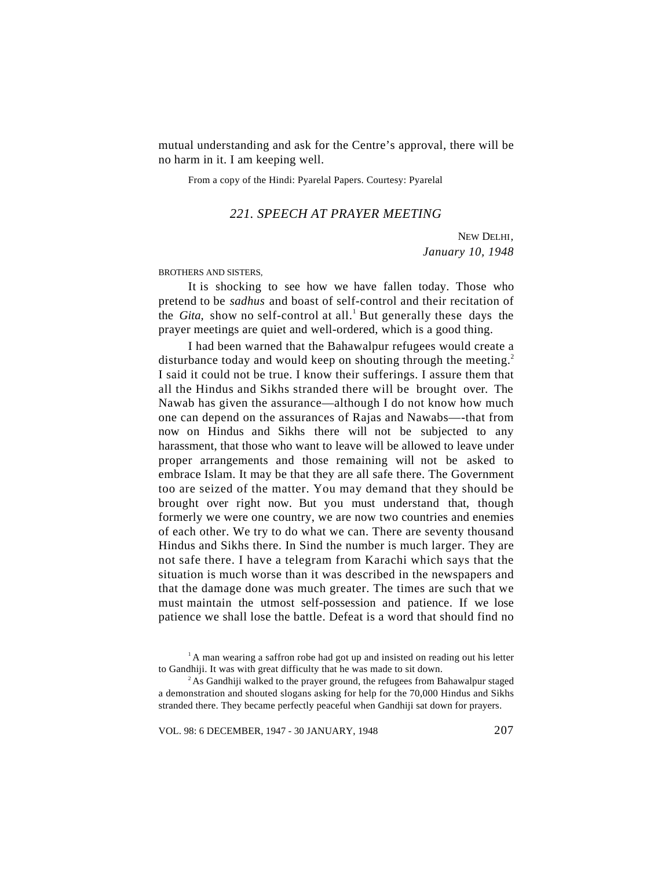mutual understanding and ask for the Centre's approval, there will be no harm in it. I am keeping well.

From a copy of the Hindi: Pyarelal Papers. Courtesy: Pyarelal

#### *221. SPEECH AT PRAYER MEETING*

NEW DELHI, *January 10, 1948*

BROTHERS AND SISTERS,

It is shocking to see how we have fallen today. Those who pretend to be *sadhus* and boast of self-control and their recitation of the *Gita*, show no self-control at all.<sup>1</sup> But generally these days the prayer meetings are quiet and well-ordered, which is a good thing.

I had been warned that the Bahawalpur refugees would create a disturbance today and would keep on shouting through the meeting.<sup>2</sup> I said it could not be true. I know their sufferings. I assure them that all the Hindus and Sikhs stranded there will be brought over. The Nawab has given the assurance—although I do not know how much one can depend on the assurances of Rajas and Nawabs—-that from now on Hindus and Sikhs there will not be subjected to any harassment, that those who want to leave will be allowed to leave under proper arrangements and those remaining will not be asked to embrace Islam. It may be that they are all safe there. The Government too are seized of the matter. You may demand that they should be brought over right now. But you must understand that, though formerly we were one country, we are now two countries and enemies of each other. We try to do what we can. There are seventy thousand Hindus and Sikhs there. In Sind the number is much larger. They are not safe there. I have a telegram from Karachi which says that the situation is much worse than it was described in the newspapers and that the damage done was much greater. The times are such that we must maintain the utmost self-possession and patience. If we lose patience we shall lose the battle. Defeat is a word that should find no

 $<sup>1</sup>A$  man wearing a saffron robe had got up and insisted on reading out his letter</sup> to Gandhiji. It was with great difficulty that he was made to sit down.

 $2^{2}$  As Gandhiji walked to the prayer ground, the refugees from Bahawalpur staged a demonstration and shouted slogans asking for help for the 70,000 Hindus and Sikhs stranded there. They became perfectly peaceful when Gandhiji sat down for prayers.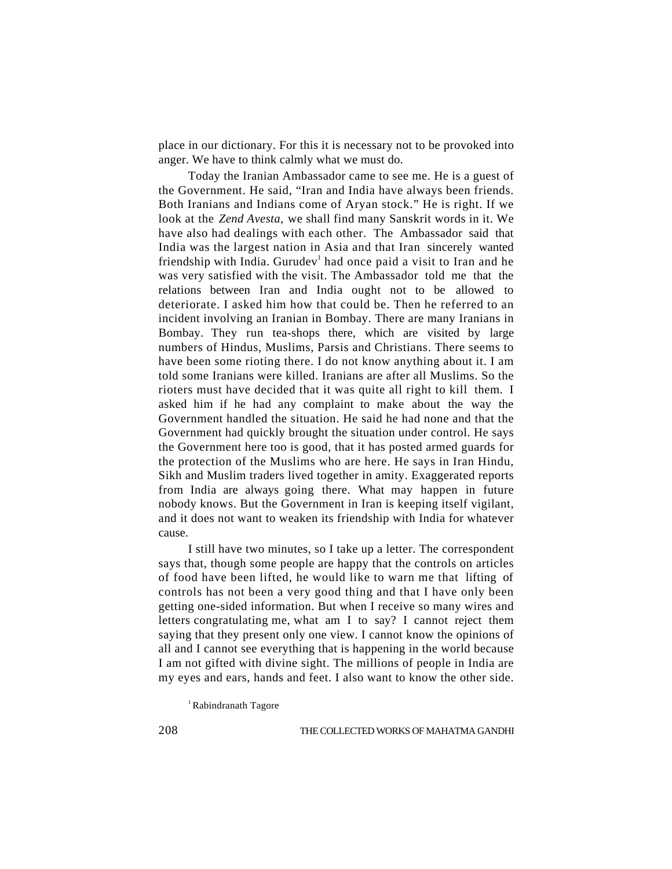place in our dictionary. For this it is necessary not to be provoked into anger. We have to think calmly what we must do.

Today the Iranian Ambassador came to see me. He is a guest of the Government. He said, "Iran and India have always been friends. Both Iranians and Indians come of Aryan stock." He is right. If we look at the *Zend Avesta,* we shall find many Sanskrit words in it. We have also had dealings with each other. The Ambassador said that India was the largest nation in Asia and that Iran sincerely wanted friendship with India. Gurudev<sup>1</sup> had once paid a visit to Iran and he was very satisfied with the visit. The Ambassador told me that the relations between Iran and India ought not to be allowed to deteriorate. I asked him how that could be. Then he referred to an incident involving an Iranian in Bombay. There are many Iranians in Bombay. They run tea-shops there, which are visited by large numbers of Hindus, Muslims, Parsis and Christians. There seems to have been some rioting there. I do not know anything about it. I am told some Iranians were killed. Iranians are after all Muslims. So the rioters must have decided that it was quite all right to kill them. I asked him if he had any complaint to make about the way the Government handled the situation. He said he had none and that the Government had quickly brought the situation under control. He says the Government here too is good, that it has posted armed guards for the protection of the Muslims who are here. He says in Iran Hindu, Sikh and Muslim traders lived together in amity. Exaggerated reports from India are always going there. What may happen in future nobody knows. But the Government in Iran is keeping itself vigilant, and it does not want to weaken its friendship with India for whatever cause.

I still have two minutes, so I take up a letter. The correspondent says that, though some people are happy that the controls on articles of food have been lifted, he would like to warn me that lifting of controls has not been a very good thing and that I have only been getting one-sided information. But when I receive so many wires and letters congratulating me, what am I to say? I cannot reject them saying that they present only one view. I cannot know the opinions of all and I cannot see everything that is happening in the world because I am not gifted with divine sight. The millions of people in India are my eyes and ears, hands and feet. I also want to know the other side.

<sup>1</sup> Rabindranath Tagore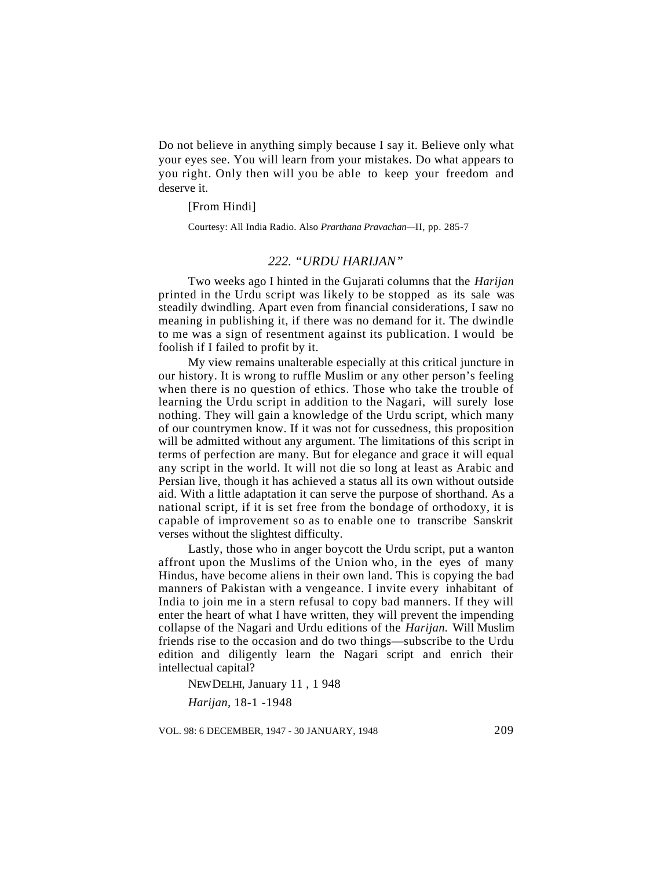Do not believe in anything simply because I say it. Believe only what your eyes see. You will learn from your mistakes. Do what appears to you right. Only then will you be able to keep your freedom and deserve it.

[From Hindi]

Courtesy: All India Radio. Also *Prarthana Pravachan—*II, pp. 285-7

#### *222. "URDU HARIJAN"*

Two weeks ago I hinted in the Gujarati columns that the *Harijan* printed in the Urdu script was likely to be stopped as its sale was steadily dwindling. Apart even from financial considerations, I saw no meaning in publishing it, if there was no demand for it. The dwindle to me was a sign of resentment against its publication. I would be foolish if I failed to profit by it.

My view remains unalterable especially at this critical juncture in our history. It is wrong to ruffle Muslim or any other person's feeling when there is no question of ethics. Those who take the trouble of learning the Urdu script in addition to the Nagari, will surely lose nothing. They will gain a knowledge of the Urdu script, which many of our countrymen know. If it was not for cussedness, this proposition will be admitted without any argument. The limitations of this script in terms of perfection are many. But for elegance and grace it will equal any script in the world. It will not die so long at least as Arabic and Persian live, though it has achieved a status all its own without outside aid. With a little adaptation it can serve the purpose of shorthand. As a national script, if it is set free from the bondage of orthodoxy, it is capable of improvement so as to enable one to transcribe Sanskrit verses without the slightest difficulty.

Lastly, those who in anger boycott the Urdu script, put a wanton affront upon the Muslims of the Union who, in the eyes of many Hindus, have become aliens in their own land. This is copying the bad manners of Pakistan with a vengeance. I invite every inhabitant of India to join me in a stern refusal to copy bad manners. If they will enter the heart of what I have written, they will prevent the impending collapse of the Nagari and Urdu editions of the *Harijan.* Will Muslim friends rise to the occasion and do two things—subscribe to the Urdu edition and diligently learn the Nagari script and enrich their intellectual capital?

NEW DELHI, January 11 , 1 948

*Harijan,* 18-1 -1948

VOL. 98: 6 DECEMBER, 1947 - 30 JANUARY, 1948 209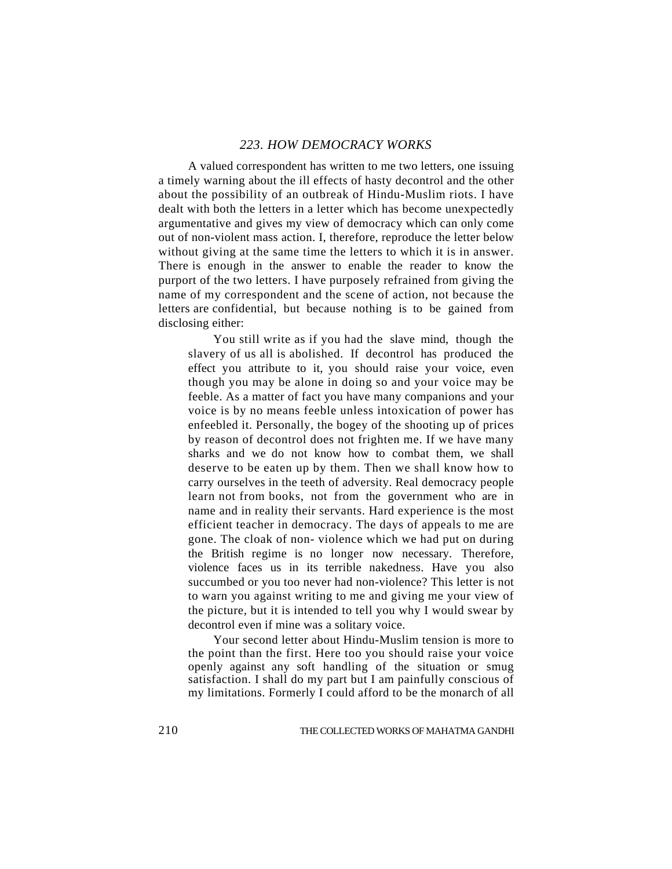# *223. HOW DEMOCRACY WORKS*

A valued correspondent has written to me two letters, one issuing a timely warning about the ill effects of hasty decontrol and the other about the possibility of an outbreak of Hindu-Muslim riots. I have dealt with both the letters in a letter which has become unexpectedly argumentative and gives my view of democracy which can only come out of non-violent mass action. I, therefore, reproduce the letter below without giving at the same time the letters to which it is in answer. There is enough in the answer to enable the reader to know the purport of the two letters. I have purposely refrained from giving the name of my correspondent and the scene of action, not because the letters are confidential, but because nothing is to be gained from disclosing either:

You still write as if you had the slave mind, though the slavery of us all is abolished. If decontrol has produced the effect you attribute to it, you should raise your voice, even though you may be alone in doing so and your voice may be feeble. As a matter of fact you have many companions and your voice is by no means feeble unless intoxication of power has enfeebled it. Personally, the bogey of the shooting up of prices by reason of decontrol does not frighten me. If we have many sharks and we do not know how to combat them, we shall deserve to be eaten up by them. Then we shall know how to carry ourselves in the teeth of adversity. Real democracy people learn not from books, not from the government who are in name and in reality their servants. Hard experience is the most efficient teacher in democracy. The days of appeals to me are gone. The cloak of non- violence which we had put on during the British regime is no longer now necessary. Therefore, violence faces us in its terrible nakedness. Have you also succumbed or you too never had non-violence? This letter is not to warn you against writing to me and giving me your view of the picture, but it is intended to tell you why I would swear by decontrol even if mine was a solitary voice.

Your second letter about Hindu-Muslim tension is more to the point than the first. Here too you should raise your voice openly against any soft handling of the situation or smug satisfaction. I shall do my part but I am painfully conscious of my limitations. Formerly I could afford to be the monarch of all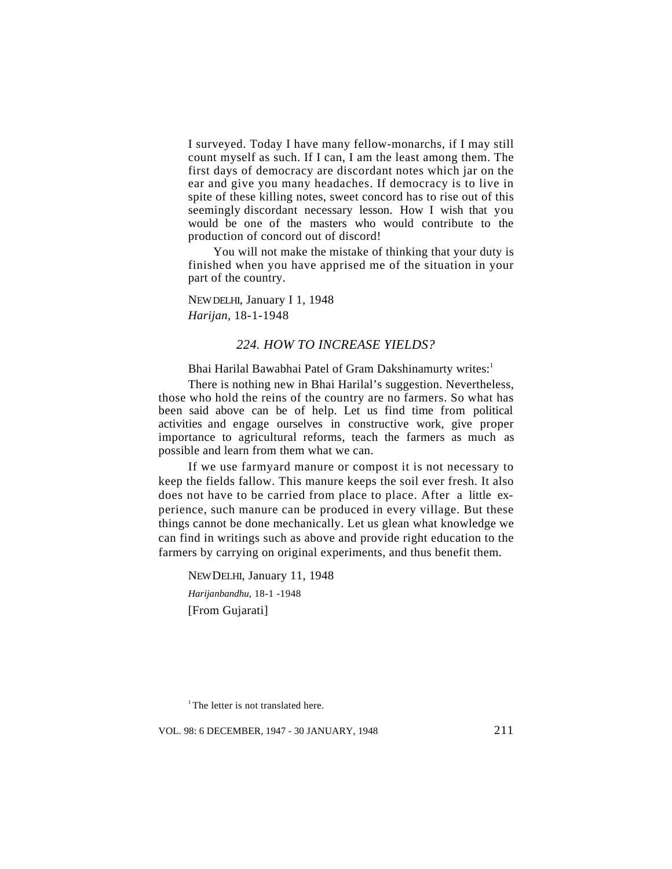I surveyed. Today I have many fellow-monarchs, if I may still count myself as such. If I can, I am the least among them. The first days of democracy are discordant notes which jar on the ear and give you many headaches. If democracy is to live in spite of these killing notes, sweet concord has to rise out of this seemingly discordant necessary lesson. How I wish that you would be one of the masters who would contribute to the production of concord out of discord!

You will not make the mistake of thinking that your duty is finished when you have apprised me of the situation in your part of the country.

NEW DELHI, January I 1, 1948 *Harijan,* 18-1-1948

## *224. HOW TO INCREASE YIELDS?*

Bhai Harilal Bawabhai Patel of Gram Dakshinamurty writes:

There is nothing new in Bhai Harilal's suggestion. Nevertheless, those who hold the reins of the country are no farmers. So what has been said above can be of help. Let us find time from political activities and engage ourselves in constructive work, give proper importance to agricultural reforms, teach the farmers as much as possible and learn from them what we can.

If we use farmyard manure or compost it is not necessary to keep the fields fallow. This manure keeps the soil ever fresh. It also does not have to be carried from place to place. After a little experience, such manure can be produced in every village. But these things cannot be done mechanically. Let us glean what knowledge we can find in writings such as above and provide right education to the farmers by carrying on original experiments, and thus benefit them.

NEW DELHI, January 11, 1948 *Harijanbandhu,* 18-1 -1948 [From Gujarati]

<sup>&</sup>lt;sup>1</sup> The letter is not translated here.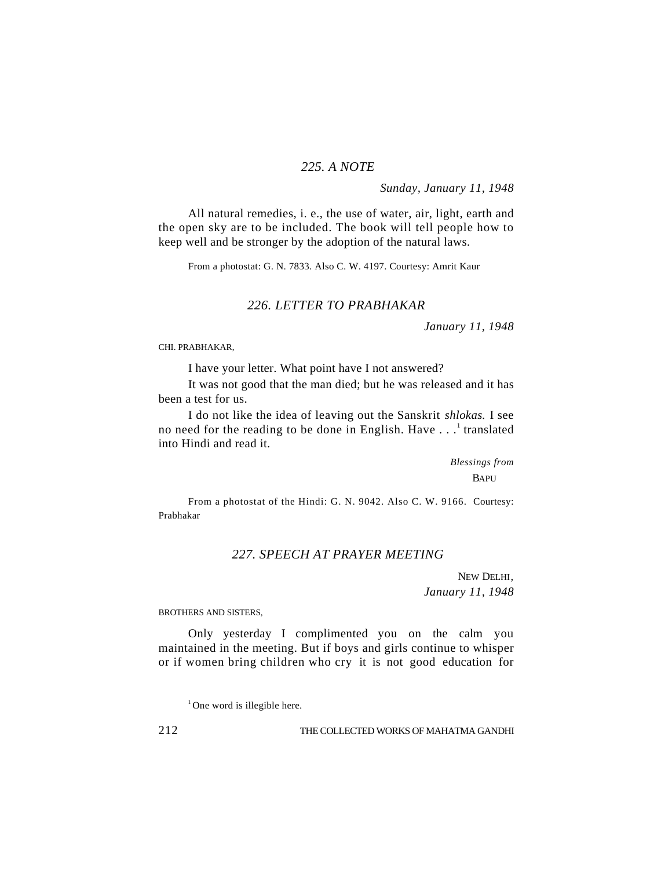# *225. A NOTE*

*Sunday, January 11, 1948*

All natural remedies, i. e., the use of water, air, light, earth and the open sky are to be included. The book will tell people how to keep well and be stronger by the adoption of the natural laws.

From a photostat: G. N. 7833. Also C. W. 4197. Courtesy: Amrit Kaur

## *226. LETTER TO PRABHAKAR*

*January 11, 1948*

CHI. PRABHAKAR,

I have your letter. What point have I not answered?

It was not good that the man died; but he was released and it has been a test for us.

I do not like the idea of leaving out the Sanskrit *shlokas.* I see no need for the reading to be done in English. Have  $\dots$ <sup>1</sup> translated into Hindi and read it.

> *Blessings from* **BAPU**

From a photostat of the Hindi: G. N. 9042. Also C. W. 9166. Courtesy: Prabhakar

## *227. SPEECH AT PRAYER MEETING*

NEW DELHI, *January 11, 1948*

BROTHERS AND SISTERS,

Only yesterday I complimented you on the calm you maintained in the meeting. But if boys and girls continue to whisper or if women bring children who cry it is not good education for

 $1$  One word is illegible here.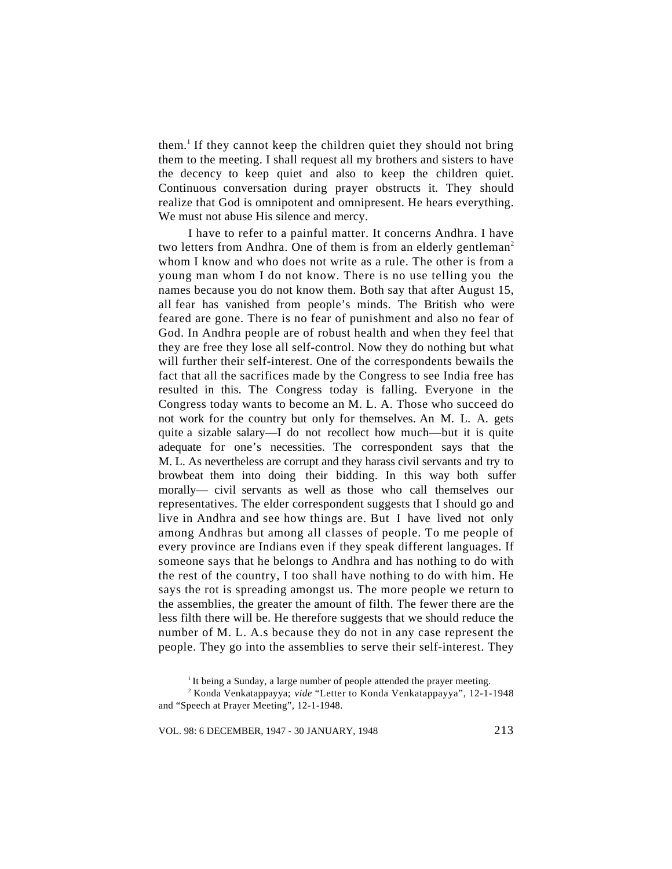them.<sup>1</sup> If they cannot keep the children quiet they should not bring them to the meeting. I shall request all my brothers and sisters to have the decency to keep quiet and also to keep the children quiet. Continuous conversation during prayer obstructs it. They should realize that God is omnipotent and omnipresent. He hears everything. We must not abuse His silence and mercy.

I have to refer to a painful matter. It concerns Andhra. I have two letters from Andhra. One of them is from an elderly gentleman<sup>2</sup> whom I know and who does not write as a rule. The other is from a young man whom I do not know. There is no use telling you the names because you do not know them. Both say that after August 15, all fear has vanished from people's minds. The British who were feared are gone. There is no fear of punishment and also no fear of God. In Andhra people are of robust health and when they feel that they are free they lose all self-control. Now they do nothing but what will further their self-interest. One of the correspondents bewails the fact that all the sacrifices made by the Congress to see India free has resulted in this. The Congress today is falling. Everyone in the Congress today wants to become an M. L. A. Those who succeed do not work for the country but only for themselves. An M. L. A. gets quite a sizable salary—I do not recollect how much—but it is quite adequate for one's necessities. The correspondent says that the M. L. As nevertheless are corrupt and they harass civil servants and try to browbeat them into doing their bidding. In this way both suffer morally— civil servants as well as those who call themselves our representatives. The elder correspondent suggests that I should go and live in Andhra and see how things are. But I have lived not only among Andhras but among all classes of people. To me people of every province are Indians even if they speak different languages. If someone says that he belongs to Andhra and has nothing to do with the rest of the country, I too shall have nothing to do with him. He says the rot is spreading amongst us. The more people we return to the assemblies, the greater the amount of filth. The fewer there are the less filth there will be. He therefore suggests that we should reduce the number of M. L. A.s because they do not in any case represent the people. They go into the assemblies to serve their self-interest. They

 $1$ It being a Sunday, a large number of people attended the prayer meeting.

<sup>2</sup>Konda Venkatappayya; *vide* "Letter to Konda Venkatappayya", 12-1-1948 and "Speech at Prayer Meeting", 12-1-1948.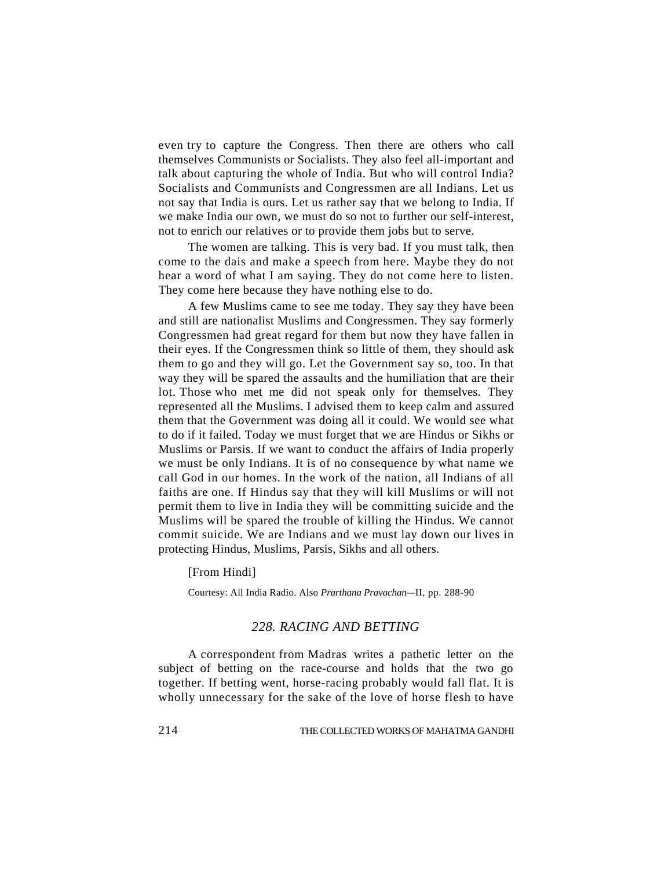even try to capture the Congress. Then there are others who call themselves Communists or Socialists. They also feel all-important and talk about capturing the whole of India. But who will control India? Socialists and Communists and Congressmen are all Indians. Let us not say that India is ours. Let us rather say that we belong to India. If we make India our own, we must do so not to further our self-interest, not to enrich our relatives or to provide them jobs but to serve.

The women are talking. This is very bad. If you must talk, then come to the dais and make a speech from here. Maybe they do not hear a word of what I am saying. They do not come here to listen. They come here because they have nothing else to do.

A few Muslims came to see me today. They say they have been and still are nationalist Muslims and Congressmen. They say formerly Congressmen had great regard for them but now they have fallen in their eyes. If the Congressmen think so little of them, they should ask them to go and they will go. Let the Government say so, too. In that way they will be spared the assaults and the humiliation that are their lot. Those who met me did not speak only for themselves. They represented all the Muslims. I advised them to keep calm and assured them that the Government was doing all it could. We would see what to do if it failed. Today we must forget that we are Hindus or Sikhs or Muslims or Parsis. If we want to conduct the affairs of India properly we must be only Indians. It is of no consequence by what name we call God in our homes. In the work of the nation, all Indians of all faiths are one. If Hindus say that they will kill Muslims or will not permit them to live in India they will be committing suicide and the Muslims will be spared the trouble of killing the Hindus. We cannot commit suicide. We are Indians and we must lay down our lives in protecting Hindus, Muslims, Parsis, Sikhs and all others.

#### [From Hindi]

Courtesy: All India Radio. Also *Prarthana Pravachan—*II, pp. 288-90

## *228. RACING AND BETTING*

A correspondent from Madras writes a pathetic letter on the subject of betting on the race-course and holds that the two go together. If betting went, horse-racing probably would fall flat. It is wholly unnecessary for the sake of the love of horse flesh to have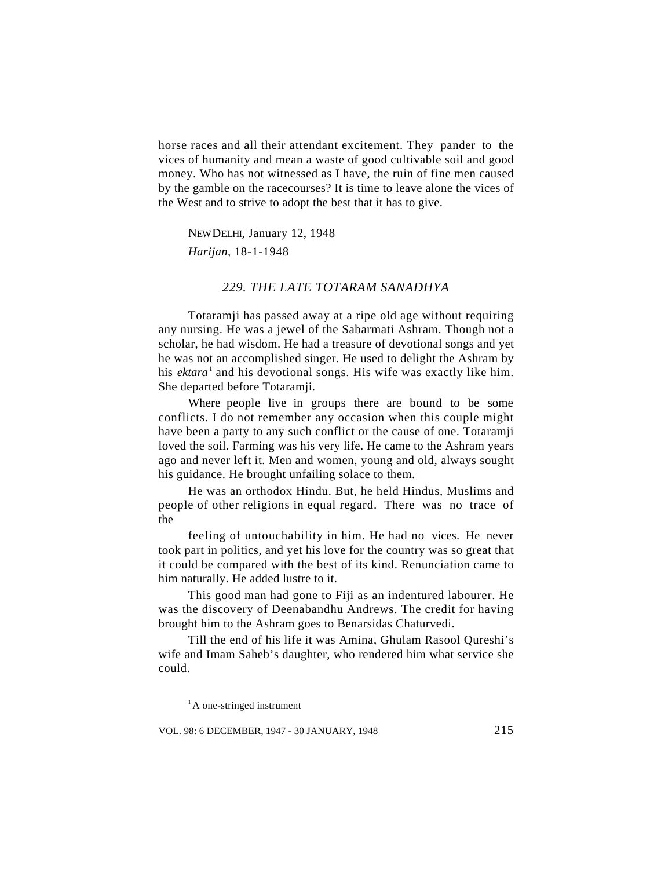horse races and all their attendant excitement. They pander to the vices of humanity and mean a waste of good cultivable soil and good money. Who has not witnessed as I have, the ruin of fine men caused by the gamble on the racecourses? It is time to leave alone the vices of the West and to strive to adopt the best that it has to give.

NEW DELHI, January 12, 1948 *Harijan,* 18-1-1948

# *229. THE LATE TOTARAM SANADHYA*

Totaramji has passed away at a ripe old age without requiring any nursing. He was a jewel of the Sabarmati Ashram. Though not a scholar, he had wisdom. He had a treasure of devotional songs and yet he was not an accomplished singer. He used to delight the Ashram by his *ektara*<sup>1</sup> and his devotional songs. His wife was exactly like him. She departed before Totaramji.

Where people live in groups there are bound to be some conflicts. I do not remember any occasion when this couple might have been a party to any such conflict or the cause of one. Totaramji loved the soil. Farming was his very life. He came to the Ashram years ago and never left it. Men and women, young and old, always sought his guidance. He brought unfailing solace to them.

He was an orthodox Hindu. But, he held Hindus, Muslims and people of other religions in equal regard. There was no trace of the

feeling of untouchability in him. He had no vices. He never took part in politics, and yet his love for the country was so great that it could be compared with the best of its kind. Renunciation came to him naturally. He added lustre to it.

This good man had gone to Fiji as an indentured labourer. He was the discovery of Deenabandhu Andrews. The credit for having brought him to the Ashram goes to Benarsidas Chaturvedi.

Till the end of his life it was Amina, Ghulam Rasool Qureshi's wife and Imam Saheb's daughter, who rendered him what service she could.

 ${}^{1}$ A one-stringed instrument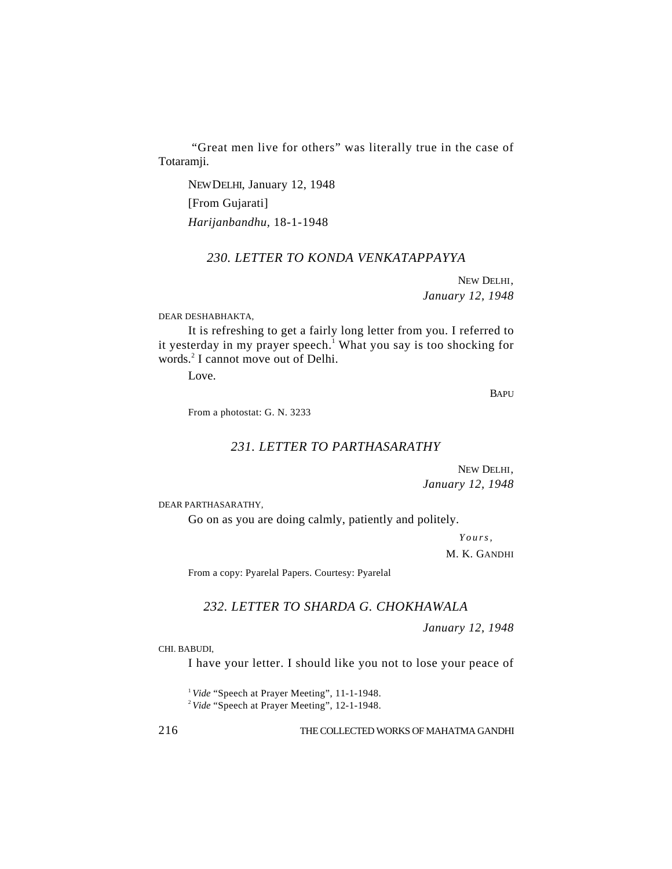"Great men live for others" was literally true in the case of Totaramji.

NEW DELHI, January 12, 1948 [From Gujarati] *Harijanbandhu,* 18-1-1948

# *230. LETTER TO KONDA VENKATAPPAYYA*

NEW DELHI, *January 12, 1948*

DEAR DESHABHAKTA,

It is refreshing to get a fairly long letter from you. I referred to it yesterday in my prayer speech.<sup>1</sup> What you say is too shocking for words.<sup>2</sup> I cannot move out of Delhi.

Love.

**BAPU** 

From a photostat: G. N. 3233

# *231. LETTER TO PARTHASARATHY*

NEW DELHI, *January 12, 1948*

DEAR PARTHASARATHY,

Go on as you are doing calmly, patiently and politely.

*Yours,* 

M. K. GANDHI

From a copy: Pyarelal Papers. Courtesy: Pyarelal

## *232. LETTER TO SHARDA G. CHOKHAWALA*

*January 12, 1948*

CHI. BABUDI,

I have your letter. I should like you not to lose your peace of

<sup>1</sup> Vide "Speech at Prayer Meeting", 11-1-1948. <sup>2</sup>*Vide* "Speech at Prayer Meeting", 12-1-1948.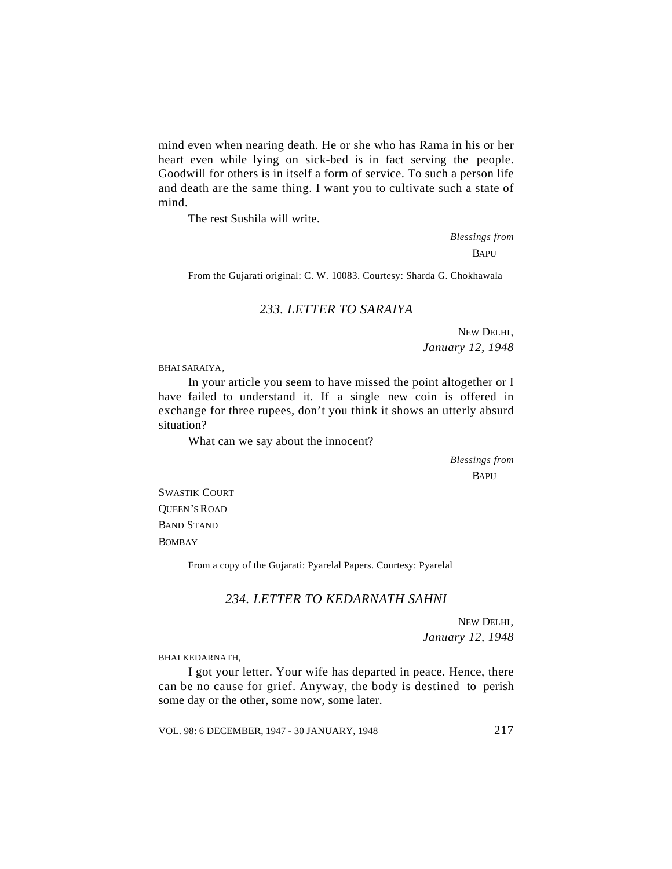mind even when nearing death. He or she who has Rama in his or her heart even while lying on sick-bed is in fact serving the people. Goodwill for others is in itself a form of service. To such a person life and death are the same thing. I want you to cultivate such a state of mind.

The rest Sushila will write.

*Blessings from*

**BAPU** 

From the Gujarati original: C. W. 10083. Courtesy: Sharda G. Chokhawala

# *233. LETTER TO SARAIYA*

NEW DELHI, *January 12, 1948*

BHAI SARAIYA*,*

In your article you seem to have missed the point altogether or I have failed to understand it. If a single new coin is offered in exchange for three rupees, don't you think it shows an utterly absurd situation?

What can we say about the innocent?

*Blessings from* **BAPU** 

SWASTIK COURT QUEEN'S ROAD BAND STAND **BOMBAY** 

From a copy of the Gujarati: Pyarelal Papers. Courtesy: Pyarelal

### *234. LETTER TO KEDARNATH SAHNI*

NEW DELHI. *January 12, 1948*

BHAI KEDARNATH,

I got your letter. Your wife has departed in peace. Hence, there can be no cause for grief. Anyway, the body is destined to perish some day or the other, some now, some later.

VOL. 98: 6 DECEMBER, 1947 - 30 JANUARY, 1948 217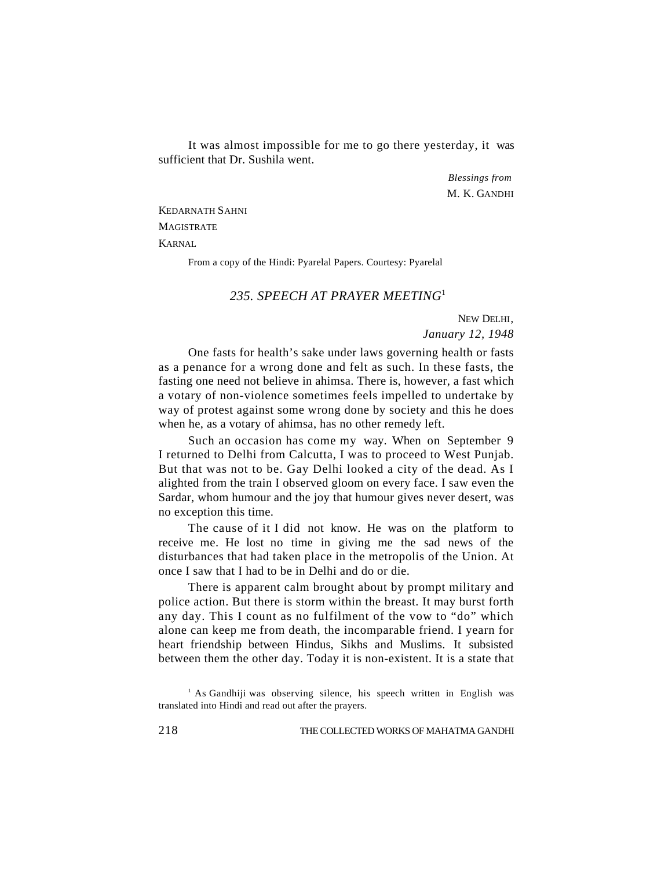It was almost impossible for me to go there yesterday, it was sufficient that Dr. Sushila went.

> *Blessings from* M. K. GANDHI

KEDARNATH SAHNI **MAGISTRATE** KARNAL

From a copy of the Hindi: Pyarelal Papers. Courtesy: Pyarelal

## *235. SPEECH AT PRAYER MEETING*<sup>1</sup>

NEW DELHI. *January 12, 1948*

One fasts for health's sake under laws governing health or fasts as a penance for a wrong done and felt as such. In these fasts, the fasting one need not believe in ahimsa. There is, however, a fast which a votary of non-violence sometimes feels impelled to undertake by way of protest against some wrong done by society and this he does when he, as a votary of ahimsa, has no other remedy left.

Such an occasion has come my way. When on September 9 I returned to Delhi from Calcutta, I was to proceed to West Punjab. But that was not to be. Gay Delhi looked a city of the dead. As I alighted from the train I observed gloom on every face. I saw even the Sardar, whom humour and the joy that humour gives never desert, was no exception this time.

The cause of it I did not know. He was on the platform to receive me. He lost no time in giving me the sad news of the disturbances that had taken place in the metropolis of the Union. At once I saw that I had to be in Delhi and do or die.

There is apparent calm brought about by prompt military and police action. But there is storm within the breast. It may burst forth any day. This I count as no fulfilment of the vow to "do" which alone can keep me from death, the incomparable friend. I yearn for heart friendship between Hindus, Sikhs and Muslims. It subsisted between them the other day. Today it is non-existent. It is a state that

<sup>&</sup>lt;sup>1</sup> As Gandhiji was observing silence, his speech written in English was translated into Hindi and read out after the prayers.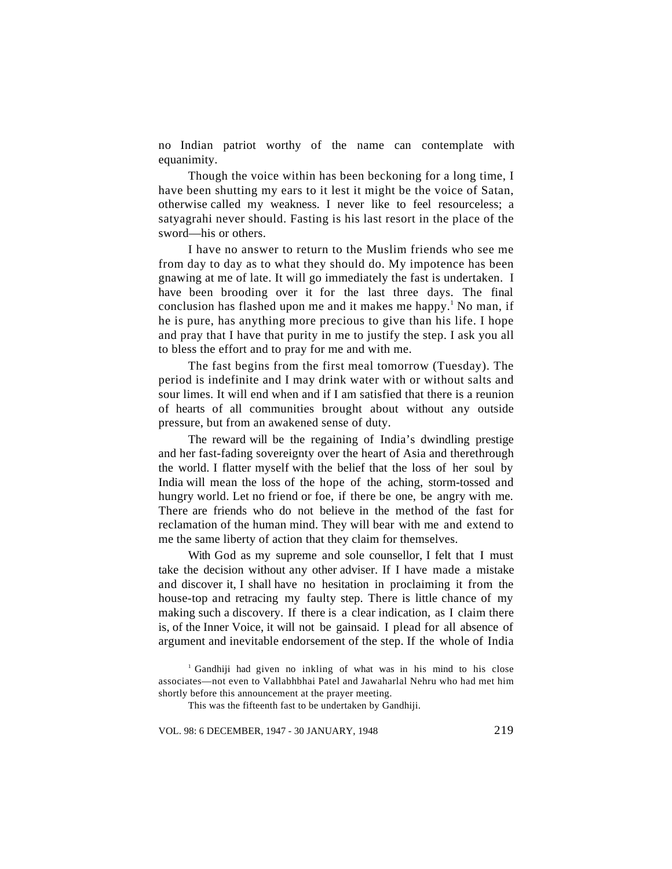no Indian patriot worthy of the name can contemplate with equanimity.

Though the voice within has been beckoning for a long time, I have been shutting my ears to it lest it might be the voice of Satan, otherwise called my weakness. I never like to feel resourceless; a satyagrahi never should. Fasting is his last resort in the place of the sword—his or others.

I have no answer to return to the Muslim friends who see me from day to day as to what they should do. My impotence has been gnawing at me of late. It will go immediately the fast is undertaken. I have been brooding over it for the last three days. The final conclusion has flashed upon me and it makes me happy.<sup>1</sup> No man, if he is pure, has anything more precious to give than his life. I hope and pray that I have that purity in me to justify the step. I ask you all to bless the effort and to pray for me and with me.

The fast begins from the first meal tomorrow (Tuesday). The period is indefinite and I may drink water with or without salts and sour limes. It will end when and if I am satisfied that there is a reunion of hearts of all communities brought about without any outside pressure, but from an awakened sense of duty.

The reward will be the regaining of India's dwindling prestige and her fast-fading sovereignty over the heart of Asia and therethrough the world. I flatter myself with the belief that the loss of her soul by India will mean the loss of the hope of the aching, storm-tossed and hungry world. Let no friend or foe, if there be one, be angry with me. There are friends who do not believe in the method of the fast for reclamation of the human mind. They will bear with me and extend to me the same liberty of action that they claim for themselves.

With God as my supreme and sole counsellor, I felt that I must take the decision without any other adviser. If I have made a mistake and discover it, I shall have no hesitation in proclaiming it from the house-top and retracing my faulty step. There is little chance of my making such a discovery. If there is a clear indication, as I claim there is, of the Inner Voice, it will not be gainsaid. I plead for all absence of argument and inevitable endorsement of the step. If the whole of India

This was the fifteenth fast to be undertaken by Gandhiji.

<sup>&</sup>lt;sup>1</sup> Gandhiji had given no inkling of what was in his mind to his close associates—not even to Vallabhbhai Patel and Jawaharlal Nehru who had met him shortly before this announcement at the prayer meeting.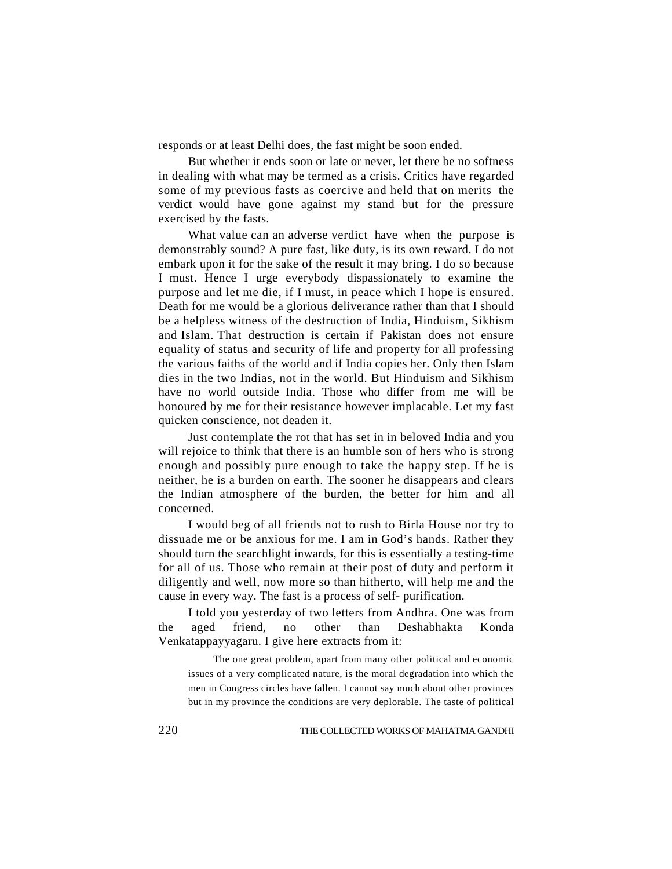responds or at least Delhi does, the fast might be soon ended.

But whether it ends soon or late or never, let there be no softness in dealing with what may be termed as a crisis. Critics have regarded some of my previous fasts as coercive and held that on merits the verdict would have gone against my stand but for the pressure exercised by the fasts.

What value can an adverse verdict have when the purpose is demonstrably sound? A pure fast, like duty, is its own reward. I do not embark upon it for the sake of the result it may bring. I do so because I must. Hence I urge everybody dispassionately to examine the purpose and let me die, if I must, in peace which I hope is ensured. Death for me would be a glorious deliverance rather than that I should be a helpless witness of the destruction of India, Hinduism, Sikhism and Islam. That destruction is certain if Pakistan does not ensure equality of status and security of life and property for all professing the various faiths of the world and if India copies her. Only then Islam dies in the two Indias, not in the world. But Hinduism and Sikhism have no world outside India. Those who differ from me will be honoured by me for their resistance however implacable. Let my fast quicken conscience, not deaden it.

Just contemplate the rot that has set in in beloved India and you will rejoice to think that there is an humble son of hers who is strong enough and possibly pure enough to take the happy step. If he is neither, he is a burden on earth. The sooner he disappears and clears the Indian atmosphere of the burden, the better for him and all concerned.

I would beg of all friends not to rush to Birla House nor try to dissuade me or be anxious for me. I am in God's hands. Rather they should turn the searchlight inwards, for this is essentially a testing-time for all of us. Those who remain at their post of duty and perform it diligently and well, now more so than hitherto, will help me and the cause in every way. The fast is a process of self- purification.

I told you yesterday of two letters from Andhra. One was from the aged friend, no other than Deshabhakta Konda Venkatappayyagaru. I give here extracts from it:

The one great problem, apart from many other political and economic issues of a very complicated nature, is the moral degradation into which the men in Congress circles have fallen. I cannot say much about other provinces but in my province the conditions are very deplorable. The taste of political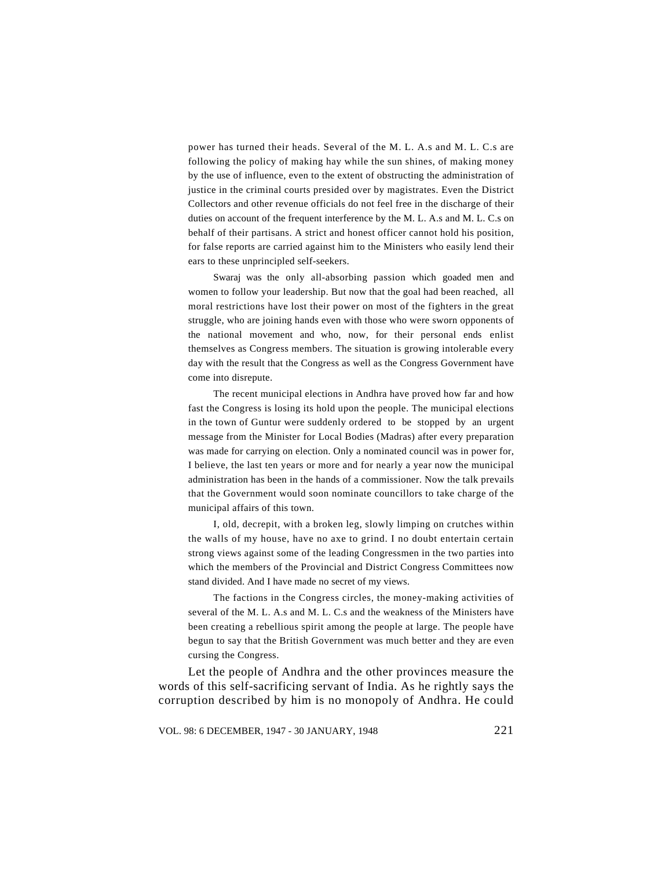power has turned their heads. Several of the M. L. A.s and M. L. C.s are following the policy of making hay while the sun shines, of making money by the use of influence, even to the extent of obstructing the administration of justice in the criminal courts presided over by magistrates. Even the District Collectors and other revenue officials do not feel free in the discharge of their duties on account of the frequent interference by the M. L. A.s and M. L. C.s on behalf of their partisans. A strict and honest officer cannot hold his position, for false reports are carried against him to the Ministers who easily lend their ears to these unprincipled self-seekers.

Swaraj was the only all-absorbing passion which goaded men and women to follow your leadership. But now that the goal had been reached, all moral restrictions have lost their power on most of the fighters in the great struggle, who are joining hands even with those who were sworn opponents of the national movement and who, now, for their personal ends enlist themselves as Congress members. The situation is growing intolerable every day with the result that the Congress as well as the Congress Government have come into disrepute.

The recent municipal elections in Andhra have proved how far and how fast the Congress is losing its hold upon the people. The municipal elections in the town of Guntur were suddenly ordered to be stopped by an urgent message from the Minister for Local Bodies (Madras) after every preparation was made for carrying on election. Only a nominated council was in power for, I believe, the last ten years or more and for nearly a year now the municipal administration has been in the hands of a commissioner. Now the talk prevails that the Government would soon nominate councillors to take charge of the municipal affairs of this town.

I, old, decrepit, with a broken leg, slowly limping on crutches within the walls of my house, have no axe to grind. I no doubt entertain certain strong views against some of the leading Congressmen in the two parties into which the members of the Provincial and District Congress Committees now stand divided. And I have made no secret of my views.

The factions in the Congress circles, the money-making activities of several of the M. L. A.s and M. L. C.s and the weakness of the Ministers have been creating a rebellious spirit among the people at large. The people have begun to say that the British Government was much better and they are even cursing the Congress.

Let the people of Andhra and the other provinces measure the words of this self-sacrificing servant of India. As he rightly says the corruption described by him is no monopoly of Andhra. He could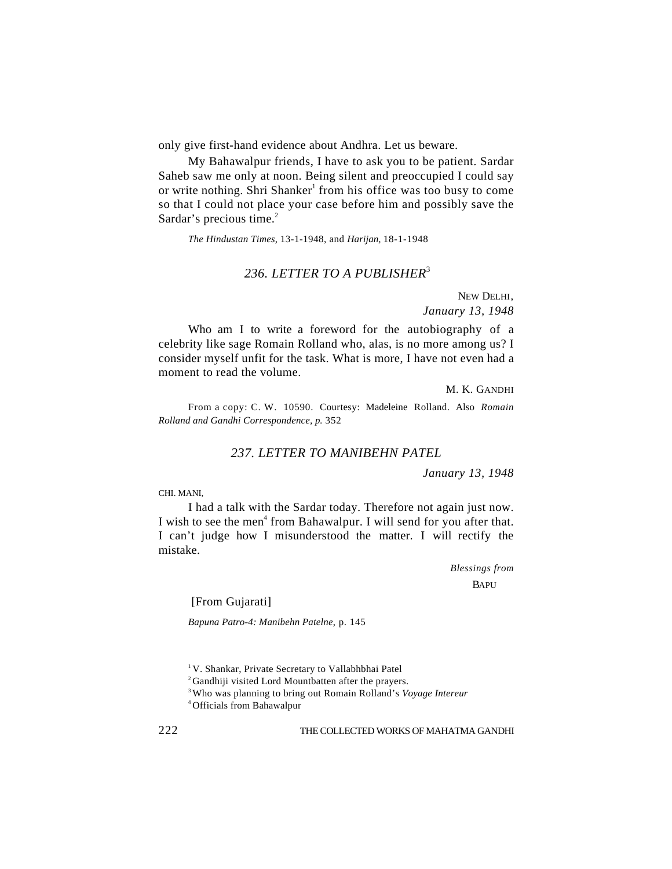only give first-hand evidence about Andhra. Let us beware.

My Bahawalpur friends, I have to ask you to be patient. Sardar Saheb saw me only at noon. Being silent and preoccupied I could say or write nothing. Shri Shanker<sup>1</sup> from his office was too busy to come so that I could not place your case before him and possibly save the Sardar's precious time. $2$ 

*The Hindustan Times,* 13-1-1948, and *Harijan,* 18-1-1948

# *236. LETTER TO A PUBLISHER*<sup>3</sup>

NEW DELHI, *January 13, 1948*

Who am I to write a foreword for the autobiography of a celebrity like sage Romain Rolland who, alas, is no more among us? I consider myself unfit for the task. What is more, I have not even had a moment to read the volume.

M. K. GANDHI

From a copy: C. W. 10590. Courtesy: Madeleine Rolland. Also *Romain Rolland and Gandhi Correspondence, p.* 352

## *237. LETTER TO MANIBEHN PATEL*

*January 13, 1948*

CHI. MANI,

I had a talk with the Sardar today. Therefore not again just now. I wish to see the men<sup>4</sup> from Bahawalpur. I will send for you after that. I can't judge how I misunderstood the matter. I will rectify the mistake.

> *Blessings from* **BAPU**

[From Gujarati]

*Bapuna Patro-4: Manibehn Patelne*, p. 145

<sup>1</sup>V. Shankar, Private Secretary to Vallabhbhai Patel

 $2^2$ Gandhiji visited Lord Mountbatten after the prayers.

<sup>3</sup>Who was planning to bring out Romain Rolland's *Voyage Intereur*

<sup>4</sup> Officials from Bahawalpur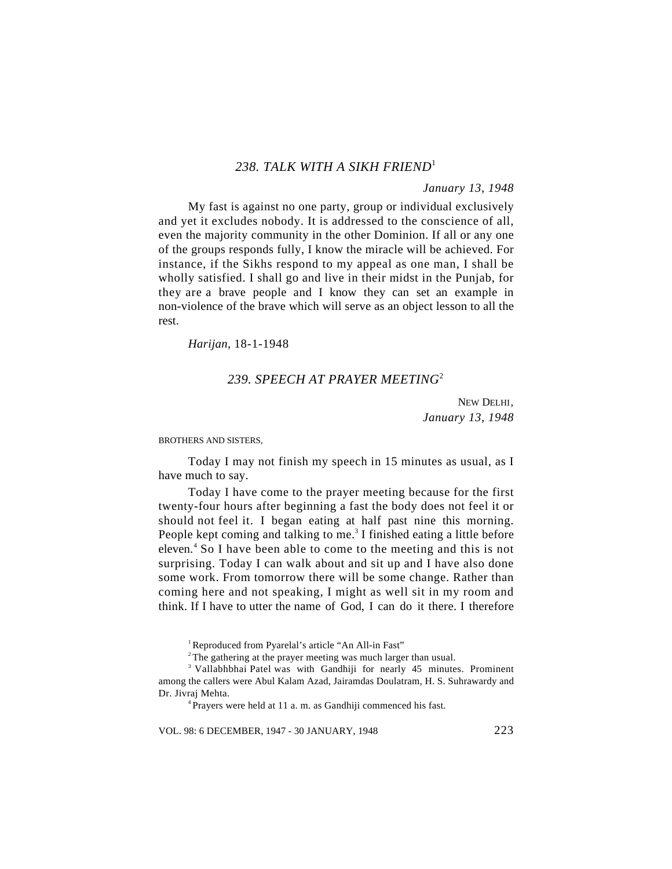### *238. TALK WITH A SIKH FRIEND*<sup>1</sup>

#### *January 13, 1948*

My fast is against no one party, group or individual exclusively and yet it excludes nobody. It is addressed to the conscience of all, even the majority community in the other Dominion. If all or any one of the groups responds fully, I know the miracle will be achieved. For instance, if the Sikhs respond to my appeal as one man, I shall be wholly satisfied. I shall go and live in their midst in the Punjab, for they are a brave people and I know they can set an example in non-violence of the brave which will serve as an object lesson to all the rest.

*Harijan,* 18-1-1948

# *239. SPEECH AT PRAYER MEETING*<sup>2</sup>

NEW DELHI, *January 13, 1948*

BROTHERS AND SISTERS,

Today I may not finish my speech in 15 minutes as usual, as I have much to say.

Today I have come to the prayer meeting because for the first twenty-four hours after beginning a fast the body does not feel it or should not feel it. I began eating at half past nine this morning. People kept coming and talking to me.<sup>3</sup> I finished eating a little before eleven.<sup>4</sup> So I have been able to come to the meeting and this is not surprising. Today I can walk about and sit up and I have also done some work. From tomorrow there will be some change. Rather than coming here and not speaking, I might as well sit in my room and think. If I have to utter the name of God, I can do it there. I therefore

<sup>1</sup> Reproduced from Pyarelal's article "An All-in Fast"

<sup>2</sup>The gathering at the prayer meeting was much larger than usual.

4 Prayers were held at 11 a. m. as Gandhiji commenced his fast.

VOL. 98: 6 DECEMBER, 1947 - 30 JANUARY, 1948 223

<sup>&</sup>lt;sup>3</sup> Vallabhbhai Patel was with Gandhiji for nearly 45 minutes. Prominent among the callers were Abul Kalam Azad, Jairamdas Doulatram, H. S. Suhrawardy and Dr. Jivraj Mehta.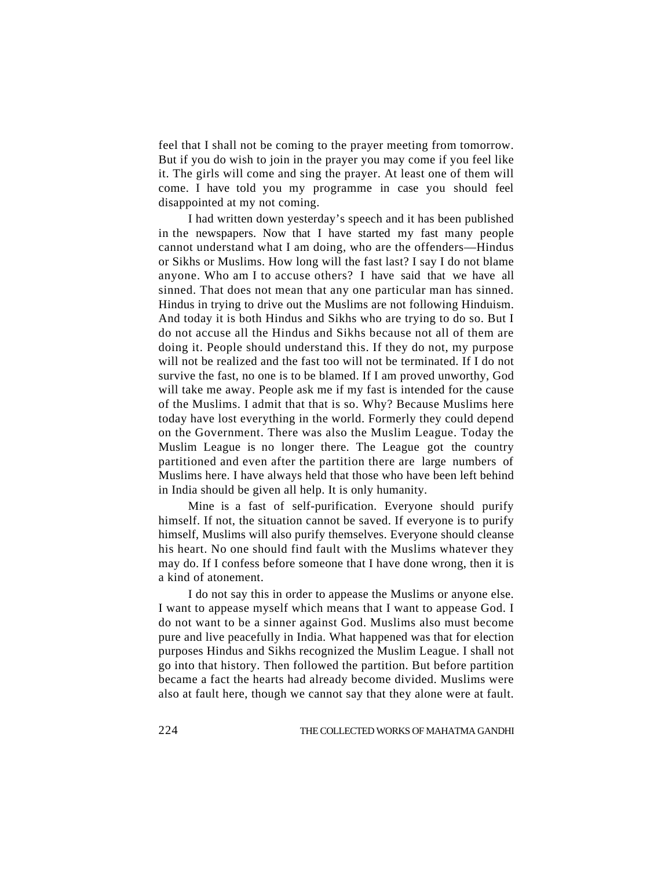feel that I shall not be coming to the prayer meeting from tomorrow. But if you do wish to join in the prayer you may come if you feel like it. The girls will come and sing the prayer. At least one of them will come. I have told you my programme in case you should feel disappointed at my not coming.

I had written down yesterday's speech and it has been published in the newspapers. Now that I have started my fast many people cannot understand what I am doing, who are the offenders—Hindus or Sikhs or Muslims. How long will the fast last? I say I do not blame anyone. Who am I to accuse others? I have said that we have all sinned. That does not mean that any one particular man has sinned. Hindus in trying to drive out the Muslims are not following Hinduism. And today it is both Hindus and Sikhs who are trying to do so. But I do not accuse all the Hindus and Sikhs because not all of them are doing it. People should understand this. If they do not, my purpose will not be realized and the fast too will not be terminated. If I do not survive the fast, no one is to be blamed. If I am proved unworthy, God will take me away. People ask me if my fast is intended for the cause of the Muslims. I admit that that is so. Why? Because Muslims here today have lost everything in the world. Formerly they could depend on the Government. There was also the Muslim League. Today the Muslim League is no longer there. The League got the country partitioned and even after the partition there are large numbers of Muslims here. I have always held that those who have been left behind in India should be given all help. It is only humanity.

Mine is a fast of self-purification. Everyone should purify himself. If not, the situation cannot be saved. If everyone is to purify himself, Muslims will also purify themselves. Everyone should cleanse his heart. No one should find fault with the Muslims whatever they may do. If I confess before someone that I have done wrong, then it is a kind of atonement.

I do not say this in order to appease the Muslims or anyone else. I want to appease myself which means that I want to appease God. I do not want to be a sinner against God. Muslims also must become pure and live peacefully in India. What happened was that for election purposes Hindus and Sikhs recognized the Muslim League. I shall not go into that history. Then followed the partition. But before partition became a fact the hearts had already become divided. Muslims were also at fault here, though we cannot say that they alone were at fault.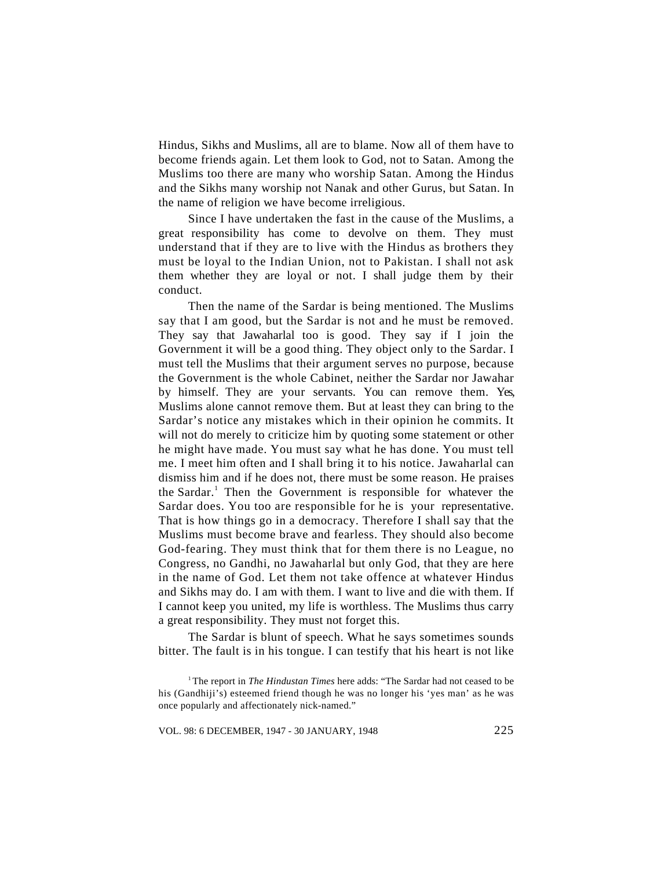Hindus, Sikhs and Muslims, all are to blame. Now all of them have to become friends again. Let them look to God, not to Satan. Among the Muslims too there are many who worship Satan. Among the Hindus and the Sikhs many worship not Nanak and other Gurus, but Satan. In the name of religion we have become irreligious.

Since I have undertaken the fast in the cause of the Muslims, a great responsibility has come to devolve on them. They must understand that if they are to live with the Hindus as brothers they must be loyal to the Indian Union, not to Pakistan. I shall not ask them whether they are loyal or not. I shall judge them by their conduct.

Then the name of the Sardar is being mentioned. The Muslims say that I am good, but the Sardar is not and he must be removed. They say that Jawaharlal too is good. They say if I join the Government it will be a good thing. They object only to the Sardar. I must tell the Muslims that their argument serves no purpose, because the Government is the whole Cabinet, neither the Sardar nor Jawahar by himself. They are your servants. You can remove them. Yes, Muslims alone cannot remove them. But at least they can bring to the Sardar's notice any mistakes which in their opinion he commits. It will not do merely to criticize him by quoting some statement or other he might have made. You must say what he has done. You must tell me. I meet him often and I shall bring it to his notice. Jawaharlal can dismiss him and if he does not, there must be some reason. He praises the Sardar.<sup>1</sup> Then the Government is responsible for whatever the Sardar does. You too are responsible for he is your representative. That is how things go in a democracy. Therefore I shall say that the Muslims must become brave and fearless. They should also become God-fearing. They must think that for them there is no League, no Congress, no Gandhi, no Jawaharlal but only God, that they are here in the name of God. Let them not take offence at whatever Hindus and Sikhs may do. I am with them. I want to live and die with them. If I cannot keep you united, my life is worthless. The Muslims thus carry a great responsibility. They must not forget this.

The Sardar is blunt of speech. What he says sometimes sounds bitter. The fault is in his tongue. I can testify that his heart is not like

<sup>&</sup>lt;sup>1</sup>The report in *The Hindustan Times* here adds: "The Sardar had not ceased to be his (Gandhiji's) esteemed friend though he was no longer his 'yes man' as he was once popularly and affectionately nick-named."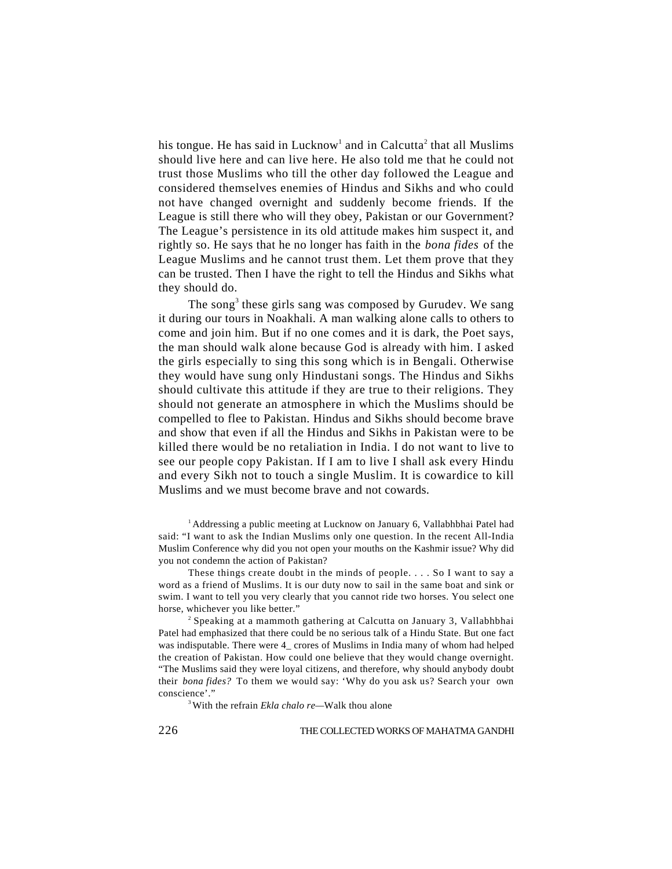his tongue. He has said in Lucknow<sup>1</sup> and in Calcutta<sup>2</sup> that all Muslims should live here and can live here. He also told me that he could not trust those Muslims who till the other day followed the League and considered themselves enemies of Hindus and Sikhs and who could not have changed overnight and suddenly become friends. If the League is still there who will they obey, Pakistan or our Government? The League's persistence in its old attitude makes him suspect it, and rightly so. He says that he no longer has faith in the *bona fides* of the League Muslims and he cannot trust them. Let them prove that they can be trusted. Then I have the right to tell the Hindus and Sikhs what they should do.

The song<sup>3</sup> these girls sang was composed by Gurudev. We sang it during our tours in Noakhali. A man walking alone calls to others to come and join him. But if no one comes and it is dark, the Poet says, the man should walk alone because God is already with him. I asked the girls especially to sing this song which is in Bengali. Otherwise they would have sung only Hindustani songs. The Hindus and Sikhs should cultivate this attitude if they are true to their religions. They should not generate an atmosphere in which the Muslims should be compelled to flee to Pakistan. Hindus and Sikhs should become brave and show that even if all the Hindus and Sikhs in Pakistan were to be killed there would be no retaliation in India. I do not want to live to see our people copy Pakistan. If I am to live I shall ask every Hindu and every Sikh not to touch a single Muslim. It is cowardice to kill Muslims and we must become brave and not cowards.

 $1$ Addressing a public meeting at Lucknow on January 6, Vallabhbhai Patel had said: "I want to ask the Indian Muslims only one question. In the recent All-India Muslim Conference why did you not open your mouths on the Kashmir issue? Why did you not condemn the action of Pakistan?

These things create doubt in the minds of people. . . . So I want to say a word as a friend of Muslims. It is our duty now to sail in the same boat and sink or swim. I want to tell you very clearly that you cannot ride two horses. You select one horse, whichever you like better."

 $2$  Speaking at a mammoth gathering at Calcutta on January 3, Vallabhbhai Patel had emphasized that there could be no serious talk of a Hindu State. But one fact was indisputable. There were 4\_ crores of Muslims in India many of whom had helped the creation of Pakistan. How could one believe that they would change overnight. "The Muslims said they were loyal citizens, and therefore, why should anybody doubt their *bona fides?* To them we would say: 'Why do you ask us? Search your own conscience'."

<sup>3</sup>With the refrain *Ekla chalo re—*Walk thou alone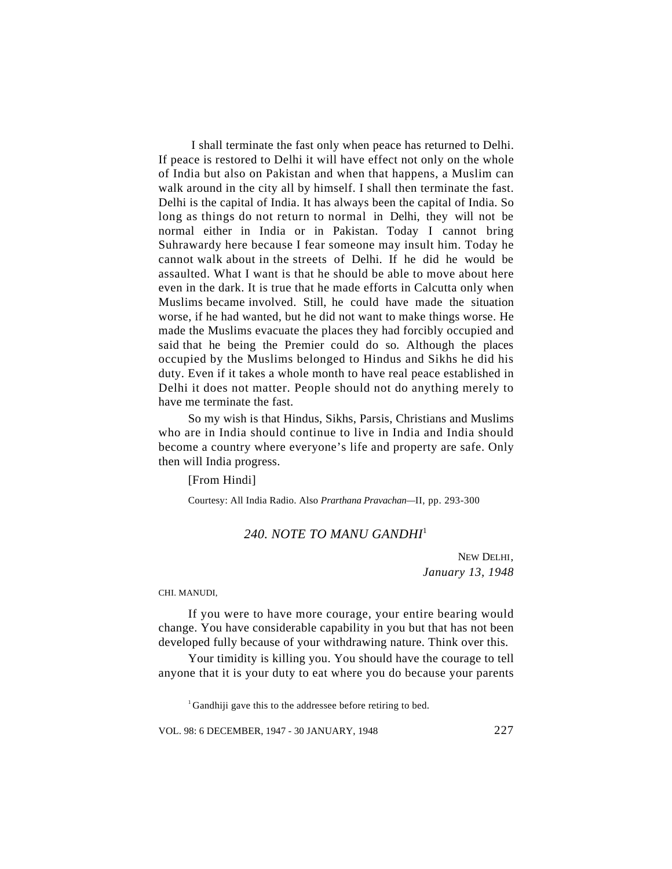I shall terminate the fast only when peace has returned to Delhi. If peace is restored to Delhi it will have effect not only on the whole of India but also on Pakistan and when that happens, a Muslim can walk around in the city all by himself. I shall then terminate the fast. Delhi is the capital of India. It has always been the capital of India. So long as things do not return to normal in Delhi, they will not be normal either in India or in Pakistan. Today I cannot bring Suhrawardy here because I fear someone may insult him. Today he cannot walk about in the streets of Delhi. If he did he would be assaulted. What I want is that he should be able to move about here even in the dark. It is true that he made efforts in Calcutta only when Muslims became involved. Still, he could have made the situation worse, if he had wanted, but he did not want to make things worse. He made the Muslims evacuate the places they had forcibly occupied and said that he being the Premier could do so. Although the places occupied by the Muslims belonged to Hindus and Sikhs he did his duty. Even if it takes a whole month to have real peace established in Delhi it does not matter. People should not do anything merely to have me terminate the fast.

So my wish is that Hindus, Sikhs, Parsis, Christians and Muslims who are in India should continue to live in India and India should become a country where everyone's life and property are safe. Only then will India progress.

[From Hindi]

Courtesy: All India Radio. Also *Prarthana Pravachan—*II, pp. 293-300

## *240. NOTE TO MANU GANDHI*<sup>1</sup>

NEW DELHI, *January 13, 1948*

CHI. MANUDI,

If you were to have more courage, your entire bearing would change. You have considerable capability in you but that has not been developed fully because of your withdrawing nature. Think over this.

Your timidity is killing you. You should have the courage to tell anyone that it is your duty to eat where you do because your parents

 $1$  Gandhiji gave this to the addressee before retiring to bed.

VOL. 98: 6 DECEMBER, 1947 - 30 JANUARY, 1948 227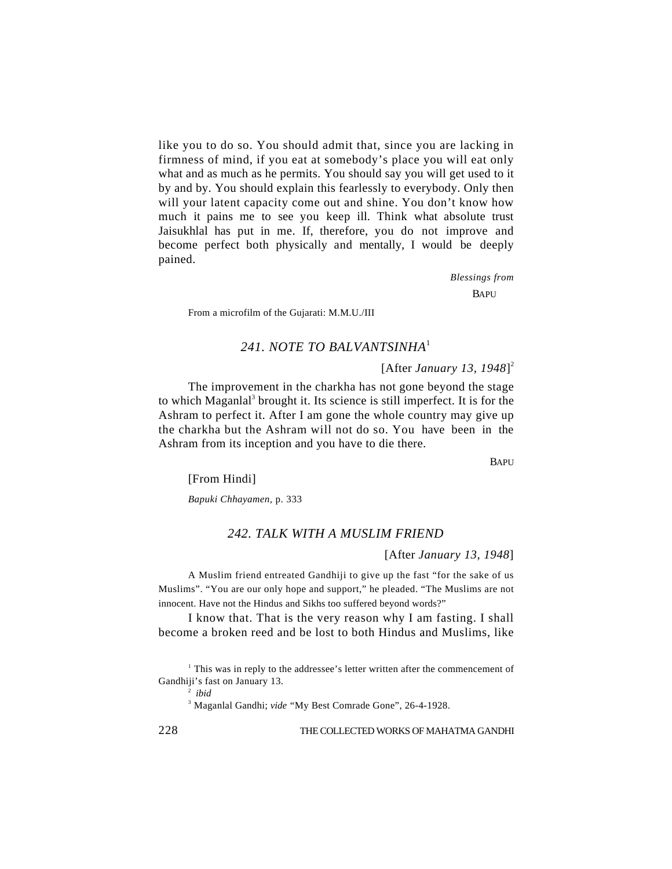like you to do so. You should admit that, since you are lacking in firmness of mind, if you eat at somebody's place you will eat only what and as much as he permits. You should say you will get used to it by and by. You should explain this fearlessly to everybody. Only then will your latent capacity come out and shine. You don't know how much it pains me to see you keep ill. Think what absolute trust Jaisukhlal has put in me. If, therefore, you do not improve and become perfect both physically and mentally, I would be deeply pained.

> *Blessings from* **BAPU**

From a microfilm of the Gujarati: M.M.U./III

## *241. NOTE TO BALVANTSINHA*<sup>1</sup>

[After *January 13, 1948*] 2

The improvement in the charkha has not gone beyond the stage to which Maganlal<sup>3</sup> brought it. Its science is still imperfect. It is for the Ashram to perfect it. After I am gone the whole country may give up the charkha but the Ashram will not do so. You have been in the Ashram from its inception and you have to die there.

**BAPU** 

[From Hindi]

*Bapuki Chhayamen,* p. 333

## *242. TALK WITH A MUSLIM FRIEND*

[After *January 13, 1948*]

A Muslim friend entreated Gandhiji to give up the fast "for the sake of us Muslims". "You are our only hope and support," he pleaded. "The Muslims are not innocent. Have not the Hindus and Sikhs too suffered beyond words?"

I know that. That is the very reason why I am fasting. I shall become a broken reed and be lost to both Hindus and Muslims, like

<sup>&</sup>lt;sup>1</sup> This was in reply to the addressee's letter written after the commencement of Gandhiji's fast on January 13.

<sup>2</sup> *ibid*

<sup>&</sup>lt;sup>3</sup> Maganlal Gandhi; *vide* "My Best Comrade Gone", 26-4-1928.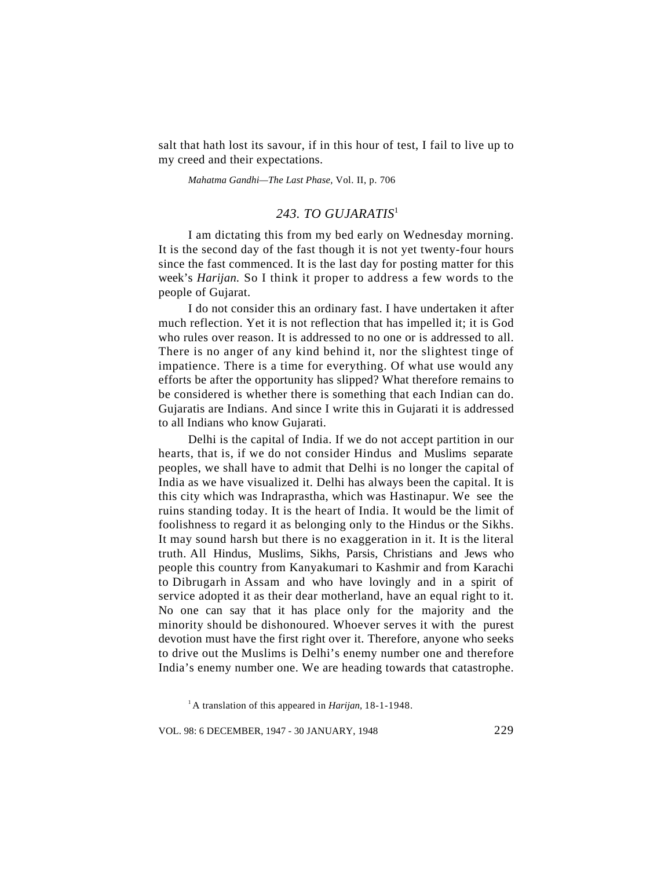salt that hath lost its savour, if in this hour of test, I fail to live up to my creed and their expectations.

*Mahatma Gandhi—The Last Phase,* Vol. II, p. 706

# *243. TO GUJARATIS*<sup>1</sup>

I am dictating this from my bed early on Wednesday morning. It is the second day of the fast though it is not yet twenty-four hours since the fast commenced. It is the last day for posting matter for this week's *Harijan.* So I think it proper to address a few words to the people of Gujarat.

I do not consider this an ordinary fast. I have undertaken it after much reflection. Yet it is not reflection that has impelled it; it is God who rules over reason. It is addressed to no one or is addressed to all. There is no anger of any kind behind it, nor the slightest tinge of impatience. There is a time for everything. Of what use would any efforts be after the opportunity has slipped? What therefore remains to be considered is whether there is something that each Indian can do. Gujaratis are Indians. And since I write this in Gujarati it is addressed to all Indians who know Gujarati.

Delhi is the capital of India. If we do not accept partition in our hearts, that is, if we do not consider Hindus and Muslims separate peoples, we shall have to admit that Delhi is no longer the capital of India as we have visualized it. Delhi has always been the capital. It is this city which was Indraprastha, which was Hastinapur. We see the ruins standing today. It is the heart of India. It would be the limit of foolishness to regard it as belonging only to the Hindus or the Sikhs. It may sound harsh but there is no exaggeration in it. It is the literal truth. All Hindus, Muslims, Sikhs, Parsis, Christians and Jews who people this country from Kanyakumari to Kashmir and from Karachi to Dibrugarh in Assam and who have lovingly and in a spirit of service adopted it as their dear motherland, have an equal right to it. No one can say that it has place only for the majority and the minority should be dishonoured. Whoever serves it with the purest devotion must have the first right over it. Therefore, anyone who seeks to drive out the Muslims is Delhi's enemy number one and therefore India's enemy number one. We are heading towards that catastrophe.

<sup>1</sup>A translation of this appeared in *Harijan*, 18-1-1948.

VOL. 98: 6 DECEMBER, 1947 - 30 JANUARY, 1948 229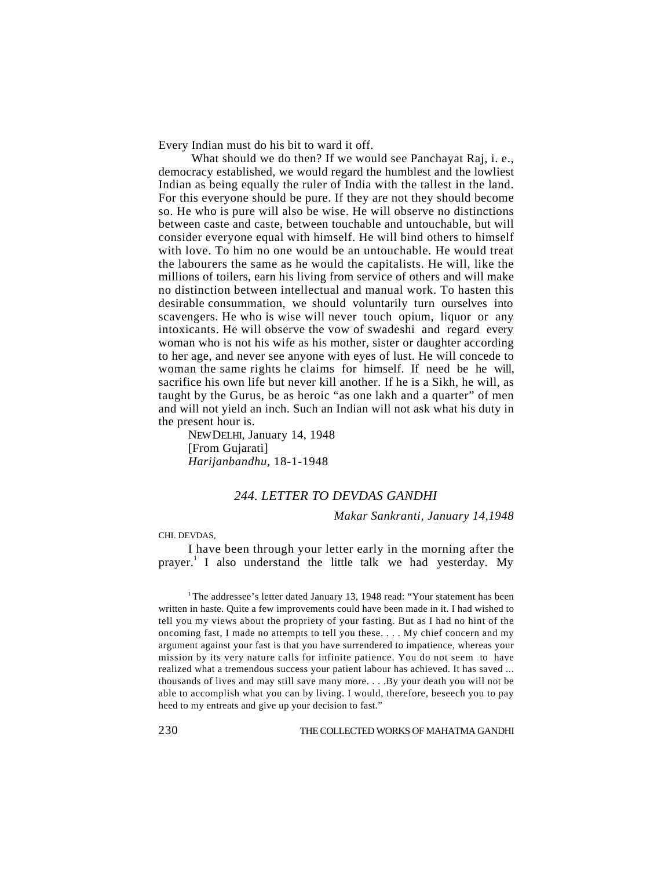Every Indian must do his bit to ward it off.

 What should we do then? If we would see Panchayat Raj, i. e., democracy established, we would regard the humblest and the lowliest Indian as being equally the ruler of India with the tallest in the land. For this everyone should be pure. If they are not they should become so. He who is pure will also be wise. He will observe no distinctions between caste and caste, between touchable and untouchable, but will consider everyone equal with himself. He will bind others to himself with love. To him no one would be an untouchable. He would treat the labourers the same as he would the capitalists. He will, like the millions of toilers, earn his living from service of others and will make no distinction between intellectual and manual work. To hasten this desirable consummation, we should voluntarily turn ourselves into scavengers. He who is wise will never touch opium, liquor or any intoxicants. He will observe the vow of swadeshi and regard every woman who is not his wife as his mother, sister or daughter according to her age, and never see anyone with eyes of lust. He will concede to woman the same rights he claims for himself. If need be he will, sacrifice his own life but never kill another. If he is a Sikh, he will, as taught by the Gurus, be as heroic "as one lakh and a quarter" of men and will not yield an inch. Such an Indian will not ask what his duty in the present hour is.

NEW DELHI, January 14, 1948 [From Gujarati] *Harijanbandhu,* 18-1-1948

### *244. LETTER TO DEVDAS GANDHI*

*Makar Sankranti, January 14,1948*

#### CHI. DEVDAS,

I have been through your letter early in the morning after the prayer.<sup>1</sup> I also understand the little talk we had yesterday. My

<sup>1</sup>The addressee's letter dated January 13, 1948 read: "Your statement has been written in haste. Quite a few improvements could have been made in it. I had wished to tell you my views about the propriety of your fasting. But as I had no hint of the oncoming fast, I made no attempts to tell you these. . . . My chief concern and my argument against your fast is that you have surrendered to impatience, whereas your mission by its very nature calls for infinite patience. You do not seem to have realized what a tremendous success your patient labour has achieved. It has saved ... thousands of lives and may still save many more. . . .By your death you will not be able to accomplish what you can by living. I would, therefore, beseech you to pay heed to my entreats and give up your decision to fast."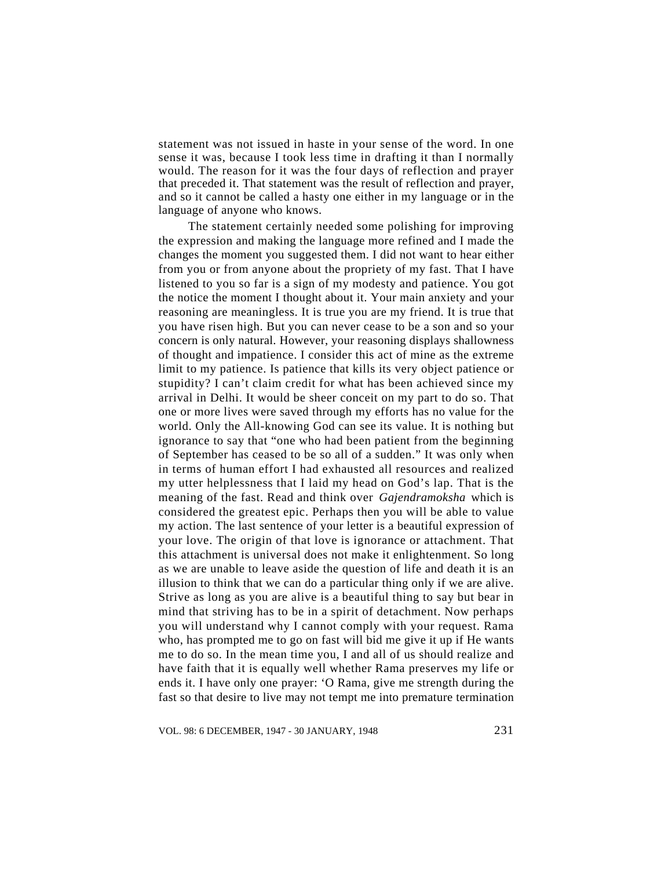statement was not issued in haste in your sense of the word. In one sense it was, because I took less time in drafting it than I normally would. The reason for it was the four days of reflection and prayer that preceded it. That statement was the result of reflection and prayer, and so it cannot be called a hasty one either in my language or in the language of anyone who knows.

The statement certainly needed some polishing for improving the expression and making the language more refined and I made the changes the moment you suggested them. I did not want to hear either from you or from anyone about the propriety of my fast. That I have listened to you so far is a sign of my modesty and patience. You got the notice the moment I thought about it. Your main anxiety and your reasoning are meaningless. It is true you are my friend. It is true that you have risen high. But you can never cease to be a son and so your concern is only natural. However, your reasoning displays shallowness of thought and impatience. I consider this act of mine as the extreme limit to my patience. Is patience that kills its very object patience or stupidity? I can't claim credit for what has been achieved since my arrival in Delhi. It would be sheer conceit on my part to do so. That one or more lives were saved through my efforts has no value for the world. Only the All-knowing God can see its value. It is nothing but ignorance to say that "one who had been patient from the beginning of September has ceased to be so all of a sudden." It was only when in terms of human effort I had exhausted all resources and realized my utter helplessness that I laid my head on God's lap. That is the meaning of the fast. Read and think over *Gajendramoksha* which is considered the greatest epic. Perhaps then you will be able to value my action. The last sentence of your letter is a beautiful expression of your love. The origin of that love is ignorance or attachment. That this attachment is universal does not make it enlightenment. So long as we are unable to leave aside the question of life and death it is an illusion to think that we can do a particular thing only if we are alive. Strive as long as you are alive is a beautiful thing to say but bear in mind that striving has to be in a spirit of detachment. Now perhaps you will understand why I cannot comply with your request. Rama who, has prompted me to go on fast will bid me give it up if He wants me to do so. In the mean time you, I and all of us should realize and have faith that it is equally well whether Rama preserves my life or ends it. I have only one prayer: 'O Rama, give me strength during the fast so that desire to live may not tempt me into premature termination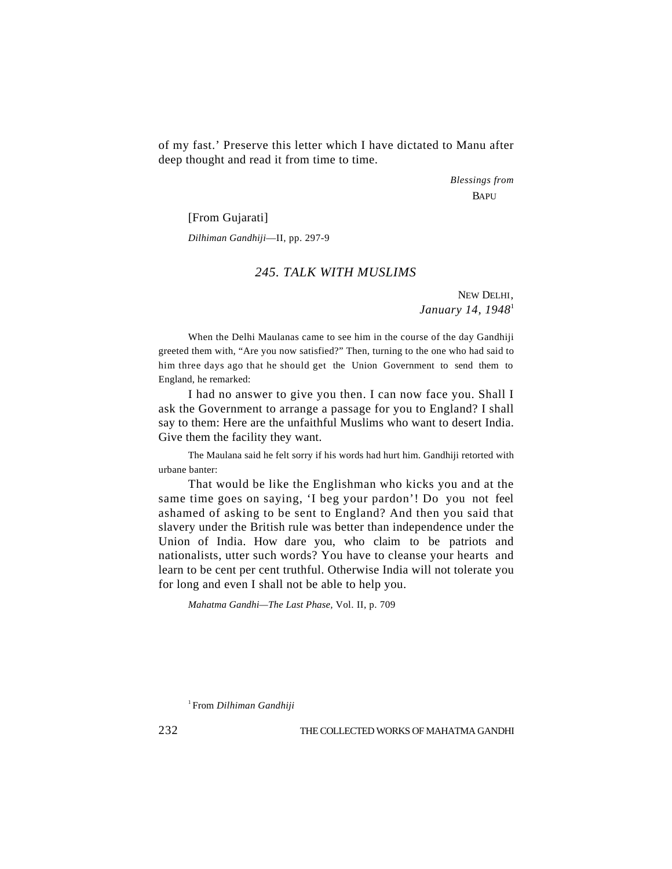of my fast.' Preserve this letter which I have dictated to Manu after deep thought and read it from time to time.

> *Blessings from* **BAPU**

[From Gujarati]

*Dilhiman Gandhiji*—II, pp. 297-9

## *245. TALK WITH MUSLIMS*

NEW DELHI, *January 14, 1948*<sup>1</sup>

When the Delhi Maulanas came to see him in the course of the day Gandhiji greeted them with, "Are you now satisfied?" Then, turning to the one who had said to him three days ago that he should get the Union Government to send them to England, he remarked:

I had no answer to give you then. I can now face you. Shall I ask the Government to arrange a passage for you to England? I shall say to them: Here are the unfaithful Muslims who want to desert India. Give them the facility they want.

The Maulana said he felt sorry if his words had hurt him. Gandhiji retorted with urbane banter:

That would be like the Englishman who kicks you and at the same time goes on saying, 'I beg your pardon'! Do you not feel ashamed of asking to be sent to England? And then you said that slavery under the British rule was better than independence under the Union of India. How dare you, who claim to be patriots and nationalists, utter such words? You have to cleanse your hearts and learn to be cent per cent truthful. Otherwise India will not tolerate you for long and even I shall not be able to help you.

*Mahatma Gandhi—The Last Phase,* Vol. II, p. 709

<sup>1</sup>From *Dilhiman Gandhiji*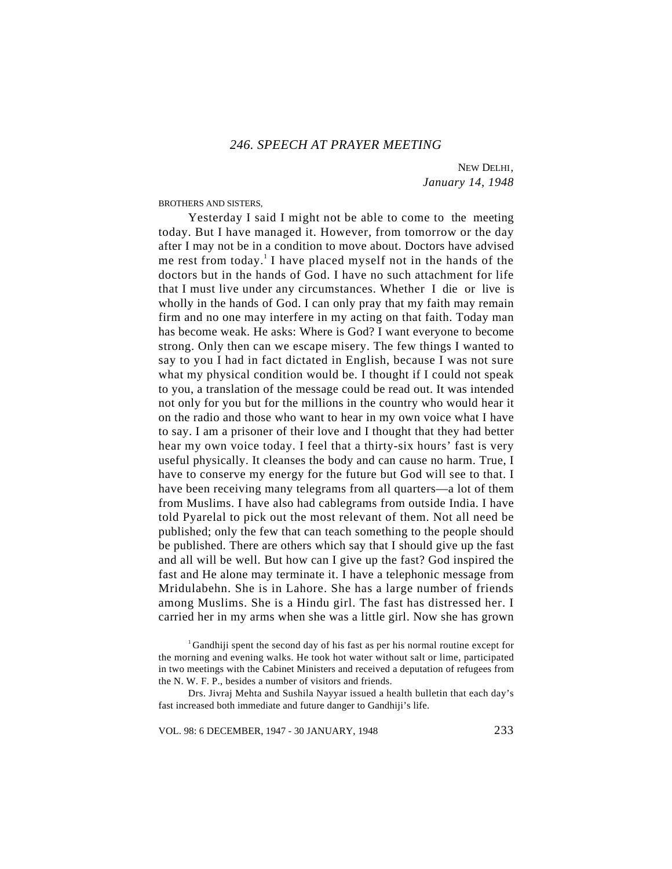## *246. SPEECH AT PRAYER MEETING*

NEW DELHI, *January 14, 1948*

BROTHERS AND SISTERS,

Yesterday I said I might not be able to come to the meeting today. But I have managed it. However, from tomorrow or the day after I may not be in a condition to move about. Doctors have advised me rest from today.<sup>1</sup> I have placed myself not in the hands of the doctors but in the hands of God. I have no such attachment for life that I must live under any circumstances. Whether I die or live is wholly in the hands of God. I can only pray that my faith may remain firm and no one may interfere in my acting on that faith. Today man has become weak. He asks: Where is God? I want everyone to become strong. Only then can we escape misery. The few things I wanted to say to you I had in fact dictated in English, because I was not sure what my physical condition would be. I thought if I could not speak to you, a translation of the message could be read out. It was intended not only for you but for the millions in the country who would hear it on the radio and those who want to hear in my own voice what I have to say. I am a prisoner of their love and I thought that they had better hear my own voice today. I feel that a thirty-six hours' fast is very useful physically. It cleanses the body and can cause no harm. True, I have to conserve my energy for the future but God will see to that. I have been receiving many telegrams from all quarters—a lot of them from Muslims. I have also had cablegrams from outside India. I have told Pyarelal to pick out the most relevant of them. Not all need be published; only the few that can teach something to the people should be published. There are others which say that I should give up the fast and all will be well. But how can I give up the fast? God inspired the fast and He alone may terminate it. I have a telephonic message from Mridulabehn. She is in Lahore. She has a large number of friends among Muslims. She is a Hindu girl. The fast has distressed her. I carried her in my arms when she was a little girl. Now she has grown

 $1$ Gandhiji spent the second day of his fast as per his normal routine except for the morning and evening walks. He took hot water without salt or lime, participated in two meetings with the Cabinet Ministers and received a deputation of refugees from the N. W. F. P., besides a number of visitors and friends.

Drs. Jivraj Mehta and Sushila Nayyar issued a health bulletin that each day's fast increased both immediate and future danger to Gandhiji's life.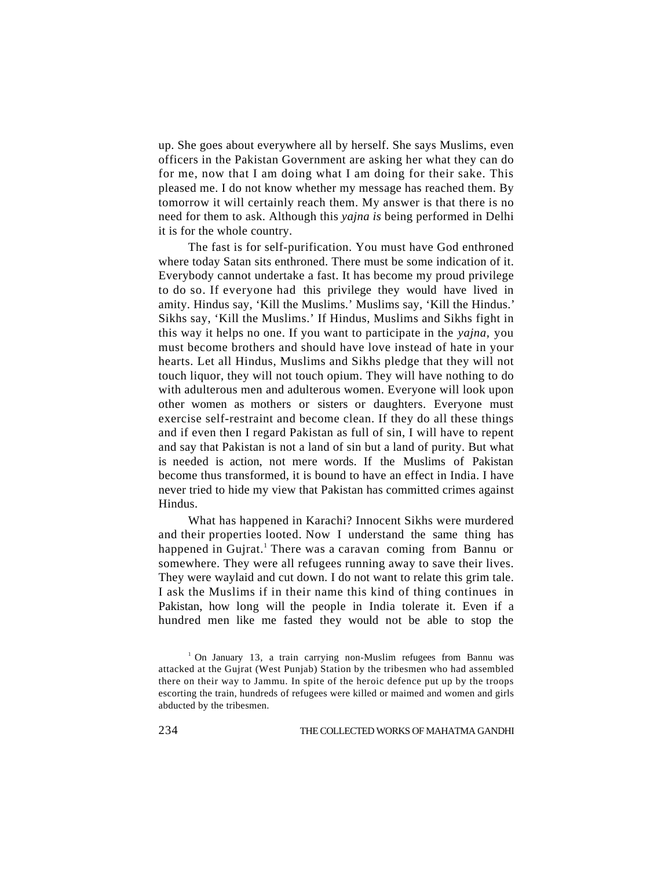up. She goes about everywhere all by herself. She says Muslims, even officers in the Pakistan Government are asking her what they can do for me, now that I am doing what I am doing for their sake. This pleased me. I do not know whether my message has reached them. By tomorrow it will certainly reach them. My answer is that there is no need for them to ask. Although this *yajna is* being performed in Delhi it is for the whole country.

The fast is for self-purification. You must have God enthroned where today Satan sits enthroned. There must be some indication of it. Everybody cannot undertake a fast. It has become my proud privilege to do so. If everyone had this privilege they would have lived in amity. Hindus say, 'Kill the Muslims.' Muslims say, 'Kill the Hindus.' Sikhs say, 'Kill the Muslims.' If Hindus, Muslims and Sikhs fight in this way it helps no one. If you want to participate in the *yajna,* you must become brothers and should have love instead of hate in your hearts. Let all Hindus, Muslims and Sikhs pledge that they will not touch liquor, they will not touch opium. They will have nothing to do with adulterous men and adulterous women. Everyone will look upon other women as mothers or sisters or daughters. Everyone must exercise self-restraint and become clean. If they do all these things and if even then I regard Pakistan as full of sin, I will have to repent and say that Pakistan is not a land of sin but a land of purity. But what is needed is action, not mere words. If the Muslims of Pakistan become thus transformed, it is bound to have an effect in India. I have never tried to hide my view that Pakistan has committed crimes against Hindus.

What has happened in Karachi? Innocent Sikhs were murdered and their properties looted. Now I understand the same thing has happened in Gujrat.<sup>1</sup> There was a caravan coming from Bannu or somewhere. They were all refugees running away to save their lives. They were waylaid and cut down. I do not want to relate this grim tale. I ask the Muslims if in their name this kind of thing continues in Pakistan, how long will the people in India tolerate it. Even if a hundred men like me fasted they would not be able to stop the

<sup>1</sup> On January 13, a train carrying non-Muslim refugees from Bannu was attacked at the Gujrat (West Punjab) Station by the tribesmen who had assembled there on their way to Jammu. In spite of the heroic defence put up by the troops escorting the train, hundreds of refugees were killed or maimed and women and girls abducted by the tribesmen.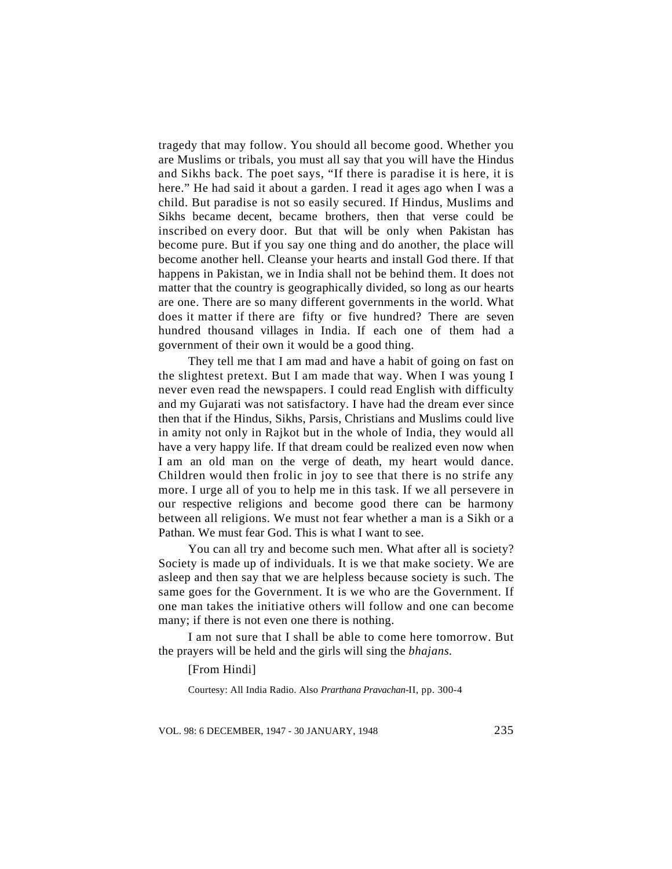tragedy that may follow. You should all become good. Whether you are Muslims or tribals, you must all say that you will have the Hindus and Sikhs back. The poet says, "If there is paradise it is here, it is here." He had said it about a garden. I read it ages ago when I was a child. But paradise is not so easily secured. If Hindus, Muslims and Sikhs became decent, became brothers, then that verse could be inscribed on every door. But that will be only when Pakistan has become pure. But if you say one thing and do another, the place will become another hell. Cleanse your hearts and install God there. If that happens in Pakistan, we in India shall not be behind them. It does not matter that the country is geographically divided, so long as our hearts are one. There are so many different governments in the world. What does it matter if there are fifty or five hundred? There are seven hundred thousand villages in India. If each one of them had a government of their own it would be a good thing.

They tell me that I am mad and have a habit of going on fast on the slightest pretext. But I am made that way. When I was young I never even read the newspapers. I could read English with difficulty and my Gujarati was not satisfactory. I have had the dream ever since then that if the Hindus, Sikhs, Parsis, Christians and Muslims could live in amity not only in Rajkot but in the whole of India, they would all have a very happy life. If that dream could be realized even now when I am an old man on the verge of death, my heart would dance. Children would then frolic in joy to see that there is no strife any more. I urge all of you to help me in this task. If we all persevere in our respective religions and become good there can be harmony between all religions. We must not fear whether a man is a Sikh or a Pathan. We must fear God. This is what I want to see.

You can all try and become such men. What after all is society? Society is made up of individuals. It is we that make society. We are asleep and then say that we are helpless because society is such. The same goes for the Government. It is we who are the Government. If one man takes the initiative others will follow and one can become many; if there is not even one there is nothing.

I am not sure that I shall be able to come here tomorrow. But the prayers will be held and the girls will sing the *bhajans.*

[From Hindi]

Courtesy: All India Radio. Also *Prarthana Pravachan-*II, pp. 300-4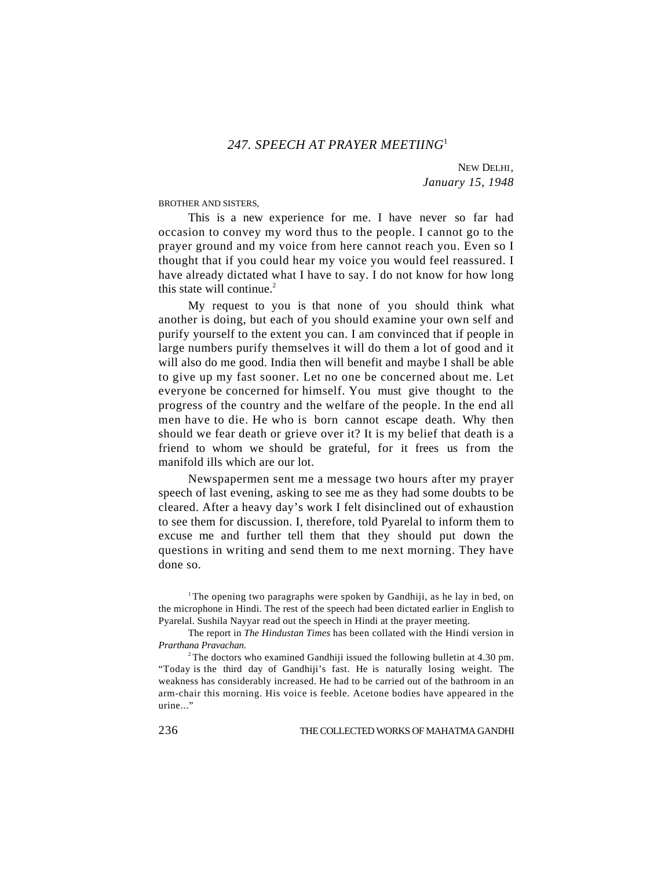### *247. SPEECH AT PRAYER MEETIING*<sup>1</sup>

NEW DELHI, *January 15, 1948*

BROTHER AND SISTERS,

This is a new experience for me. I have never so far had occasion to convey my word thus to the people. I cannot go to the prayer ground and my voice from here cannot reach you. Even so I thought that if you could hear my voice you would feel reassured. I have already dictated what I have to say. I do not know for how long this state will continue. $2$ 

My request to you is that none of you should think what another is doing, but each of you should examine your own self and purify yourself to the extent you can. I am convinced that if people in large numbers purify themselves it will do them a lot of good and it will also do me good. India then will benefit and maybe I shall be able to give up my fast sooner. Let no one be concerned about me. Let everyone be concerned for himself. You must give thought to the progress of the country and the welfare of the people. In the end all men have to die. He who is born cannot escape death. Why then should we fear death or grieve over it? It is my belief that death is a friend to whom we should be grateful, for it frees us from the manifold ills which are our lot.

Newspapermen sent me a message two hours after my prayer speech of last evening, asking to see me as they had some doubts to be cleared. After a heavy day's work I felt disinclined out of exhaustion to see them for discussion. I, therefore, told Pyarelal to inform them to excuse me and further tell them that they should put down the questions in writing and send them to me next morning. They have done so.

<sup>1</sup>The opening two paragraphs were spoken by Gandhiji, as he lay in bed, on the microphone in Hindi. The rest of the speech had been dictated earlier in English to Pyarelal. Sushila Nayyar read out the speech in Hindi at the prayer meeting.

The report in *The Hindustan Times* has been collated with the Hindi version in *Prarthana Pravachan.*

 $2$ <sup>2</sup>The doctors who examined Gandhiji issued the following bulletin at 4.30 pm. "Today is the third day of Gandhiji's fast. He is naturally losing weight. The weakness has considerably increased. He had to be carried out of the bathroom in an arm-chair this morning. His voice is feeble. Acetone bodies have appeared in the urine."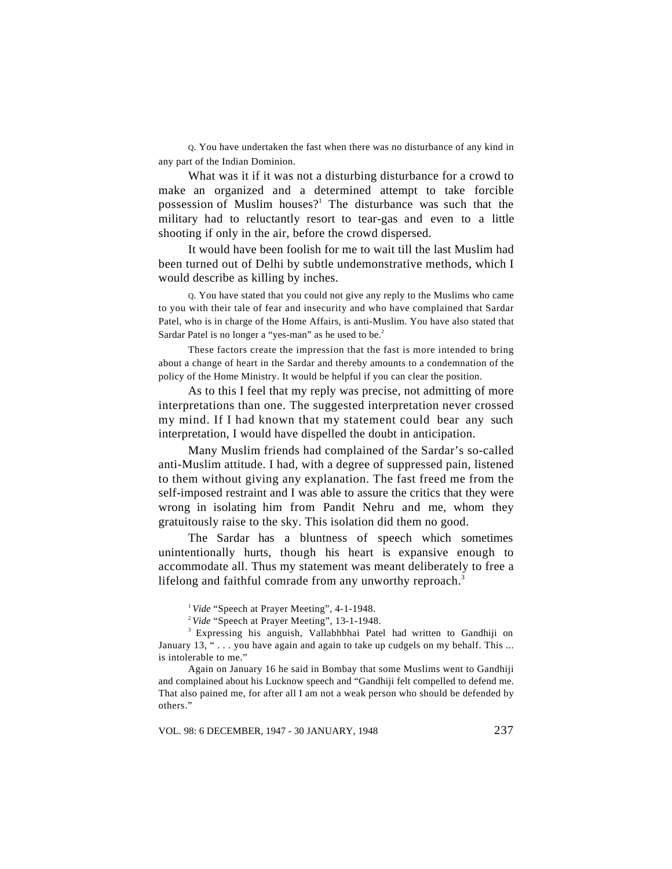Q. You have undertaken the fast when there was no disturbance of any kind in any part of the Indian Dominion.

What was it if it was not a disturbing disturbance for a crowd to make an organized and a determined attempt to take forcible possession of Muslim houses?<sup>1</sup> The disturbance was such that the military had to reluctantly resort to tear-gas and even to a little shooting if only in the air, before the crowd dispersed.

It would have been foolish for me to wait till the last Muslim had been turned out of Delhi by subtle undemonstrative methods, which I would describe as killing by inches.

Q. You have stated that you could not give any reply to the Muslims who came to you with their tale of fear and insecurity and who have complained that Sardar Patel, who is in charge of the Home Affairs, is anti-Muslim. You have also stated that Sardar Patel is no longer a "yes-man" as he used to be.<sup>2</sup>

These factors create the impression that the fast is more intended to bring about a change of heart in the Sardar and thereby amounts to a condemnation of the policy of the Home Ministry. It would be helpful if you can clear the position.

As to this I feel that my reply was precise, not admitting of more interpretations than one. The suggested interpretation never crossed my mind. If I had known that my statement could bear any such interpretation, I would have dispelled the doubt in anticipation.

Many Muslim friends had complained of the Sardar's so-called anti-Muslim attitude. I had, with a degree of suppressed pain, listened to them without giving any explanation. The fast freed me from the self-imposed restraint and I was able to assure the critics that they were wrong in isolating him from Pandit Nehru and me, whom they gratuitously raise to the sky. This isolation did them no good.

The Sardar has a bluntness of speech which sometimes unintentionally hurts, though his heart is expansive enough to accommodate all. Thus my statement was meant deliberately to free a lifelong and faithful comrade from any unworthy reproach.<sup>3</sup>

<sup>1</sup> Vide "Speech at Prayer Meeting", 4-1-1948.

<sup>2</sup>*Vide* "Speech at Prayer Meeting", 13-1-1948.

<sup>3</sup> Expressing his anguish, Vallabhbhai Patel had written to Gandhiji on January 13, "... you have again and again to take up cudgels on my behalf. This ... is intolerable to me."

Again on January 16 he said in Bombay that some Muslims went to Gandhiji and complained about his Lucknow speech and "Gandhiji felt compelled to defend me. That also pained me, for after all I am not a weak person who should be defended by others."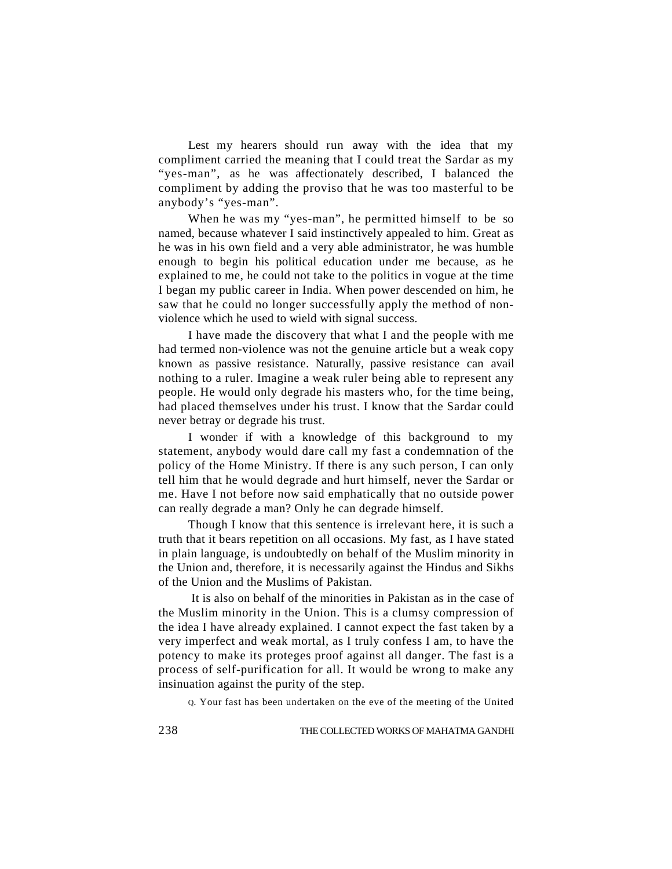Lest my hearers should run away with the idea that my compliment carried the meaning that I could treat the Sardar as my "yes-man", as he was affectionately described, I balanced the compliment by adding the proviso that he was too masterful to be anybody's "yes-man".

When he was my "yes-man", he permitted himself to be so named, because whatever I said instinctively appealed to him. Great as he was in his own field and a very able administrator, he was humble enough to begin his political education under me because, as he explained to me, he could not take to the politics in vogue at the time I began my public career in India. When power descended on him, he saw that he could no longer successfully apply the method of nonviolence which he used to wield with signal success.

I have made the discovery that what I and the people with me had termed non-violence was not the genuine article but a weak copy known as passive resistance. Naturally, passive resistance can avail nothing to a ruler. Imagine a weak ruler being able to represent any people. He would only degrade his masters who, for the time being, had placed themselves under his trust. I know that the Sardar could never betray or degrade his trust.

I wonder if with a knowledge of this background to my statement, anybody would dare call my fast a condemnation of the policy of the Home Ministry. If there is any such person, I can only tell him that he would degrade and hurt himself, never the Sardar or me. Have I not before now said emphatically that no outside power can really degrade a man? Only he can degrade himself.

Though I know that this sentence is irrelevant here, it is such a truth that it bears repetition on all occasions. My fast, as I have stated in plain language, is undoubtedly on behalf of the Muslim minority in the Union and, therefore, it is necessarily against the Hindus and Sikhs of the Union and the Muslims of Pakistan.

It is also on behalf of the minorities in Pakistan as in the case of the Muslim minority in the Union. This is a clumsy compression of the idea I have already explained. I cannot expect the fast taken by a very imperfect and weak mortal, as I truly confess I am, to have the potency to make its proteges proof against all danger. The fast is a process of self-purification for all. It would be wrong to make any insinuation against the purity of the step.

Q. Your fast has been undertaken on the eve of the meeting of the United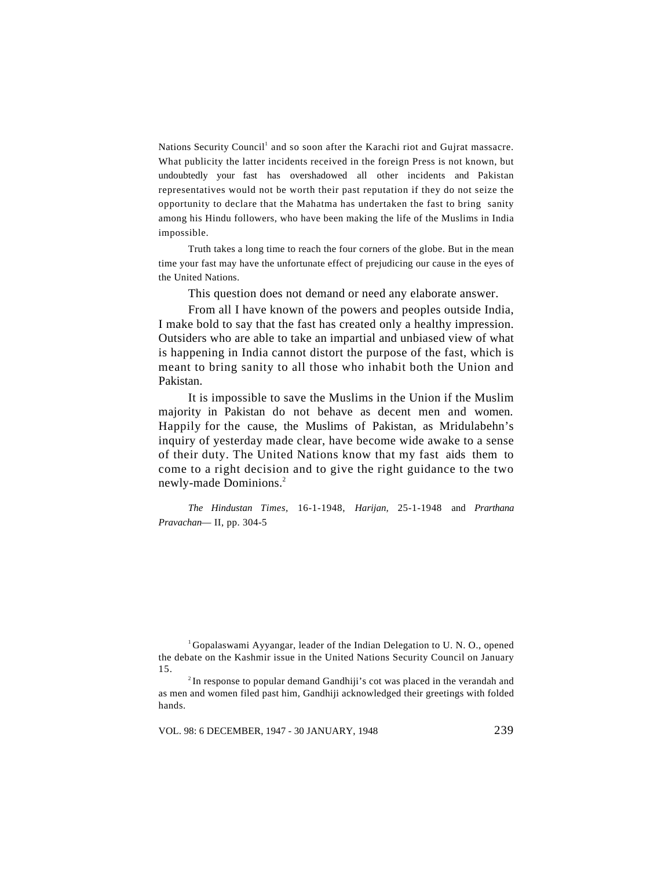Nations Security Council<sup>1</sup> and so soon after the Karachi riot and Gujrat massacre. What publicity the latter incidents received in the foreign Press is not known, but undoubtedly your fast has overshadowed all other incidents and Pakistan representatives would not be worth their past reputation if they do not seize the opportunity to declare that the Mahatma has undertaken the fast to bring sanity among his Hindu followers, who have been making the life of the Muslims in India impossible.

Truth takes a long time to reach the four corners of the globe. But in the mean time your fast may have the unfortunate effect of prejudicing our cause in the eyes of the United Nations.

This question does not demand or need any elaborate answer.

From all I have known of the powers and peoples outside India, I make bold to say that the fast has created only a healthy impression. Outsiders who are able to take an impartial and unbiased view of what is happening in India cannot distort the purpose of the fast, which is meant to bring sanity to all those who inhabit both the Union and Pakistan.

It is impossible to save the Muslims in the Union if the Muslim majority in Pakistan do not behave as decent men and women. Happily for the cause, the Muslims of Pakistan, as Mridulabehn's inquiry of yesterday made clear, have become wide awake to a sense of their duty. The United Nations know that my fast aids them to come to a right decision and to give the right guidance to the two newly-made Dominions.<sup>2</sup>

*The Hindustan Times,* 16-1-1948, *Harijan,* 25-1-1948 and *Prarthana Pravachan*— II, pp. 304-5

 $1$ Gopalaswami Ayyangar, leader of the Indian Delegation to U. N. O., opened the debate on the Kashmir issue in the United Nations Security Council on January 15.

 $2^{2}$ In response to popular demand Gandhiji's cot was placed in the verandah and as men and women filed past him, Gandhiji acknowledged their greetings with folded hands.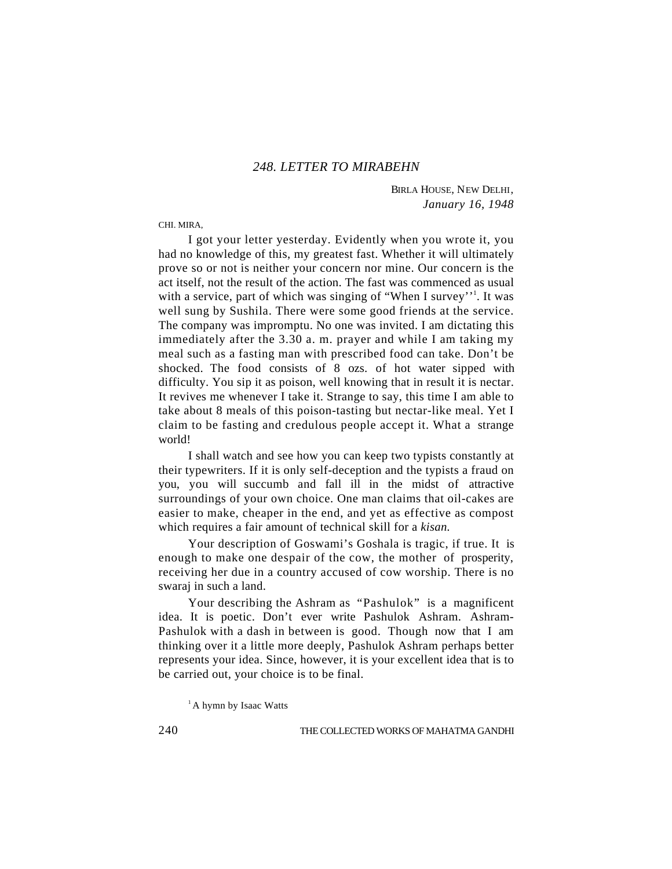# *248. LETTER TO MIRABEHN*

BIRLA HOUSE, NEW DELHI, *January 16, 1948*

CHI. MIRA

I got your letter yesterday. Evidently when you wrote it, you had no knowledge of this, my greatest fast. Whether it will ultimately prove so or not is neither your concern nor mine. Our concern is the act itself, not the result of the action. The fast was commenced as usual with a service, part of which was singing of "When I survey"<sup>1</sup>. It was well sung by Sushila. There were some good friends at the service. The company was impromptu. No one was invited. I am dictating this immediately after the 3.30 a. m. prayer and while I am taking my meal such as a fasting man with prescribed food can take. Don't be shocked. The food consists of 8 ozs. of hot water sipped with difficulty. You sip it as poison, well knowing that in result it is nectar. It revives me whenever I take it. Strange to say, this time I am able to take about 8 meals of this poison-tasting but nectar-like meal. Yet I claim to be fasting and credulous people accept it. What a strange world!

I shall watch and see how you can keep two typists constantly at their typewriters. If it is only self-deception and the typists a fraud on you, you will succumb and fall ill in the midst of attractive surroundings of your own choice. One man claims that oil-cakes are easier to make, cheaper in the end, and yet as effective as compost which requires a fair amount of technical skill for a *kisan.*

Your description of Goswami's Goshala is tragic, if true. It is enough to make one despair of the cow, the mother of prosperity, receiving her due in a country accused of cow worship. There is no swaraj in such a land.

Your describing the Ashram as "Pashulok" is a magnificent idea. It is poetic. Don't ever write Pashulok Ashram. Ashram-Pashulok with a dash in between is good. Though now that I am thinking over it a little more deeply, Pashulok Ashram perhaps better represents your idea. Since, however, it is your excellent idea that is to be carried out, your choice is to be final.

 $<sup>1</sup>$  A hymn by Isaac Watts</sup>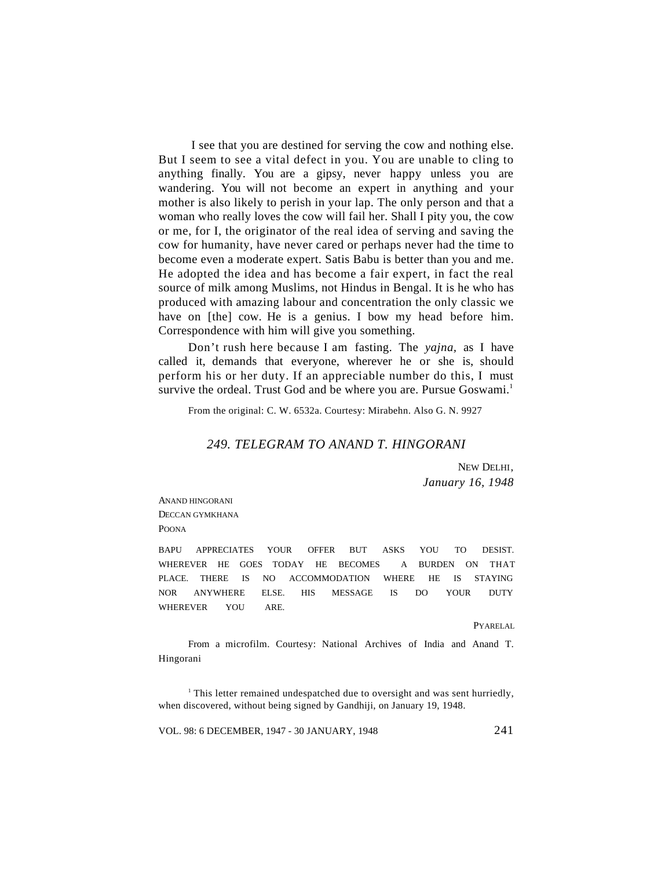I see that you are destined for serving the cow and nothing else. But I seem to see a vital defect in you. You are unable to cling to anything finally. You are a gipsy, never happy unless you are wandering. You will not become an expert in anything and your mother is also likely to perish in your lap. The only person and that a woman who really loves the cow will fail her. Shall I pity you, the cow or me, for I, the originator of the real idea of serving and saving the cow for humanity, have never cared or perhaps never had the time to become even a moderate expert. Satis Babu is better than you and me. He adopted the idea and has become a fair expert, in fact the real source of milk among Muslims, not Hindus in Bengal. It is he who has produced with amazing labour and concentration the only classic we have on [the] cow. He is a genius. I bow my head before him. Correspondence with him will give you something.

Don't rush here because I am fasting. The *yajna,* as I have called it, demands that everyone, wherever he or she is, should perform his or her duty. If an appreciable number do this, I must survive the ordeal. Trust God and be where you are. Pursue Goswami.<sup>1</sup>

From the original: C. W. 6532a. Courtesy: Mirabehn. Also G. N. 9927

### *249. TELEGRAM TO ANAND T. HINGORANI*

NEW DELHI, *January 16, 1948*

ANAND HINGORANI DECCAN GYMKHANA POONA

BAPU APPRECIATES YOUR OFFER BUT ASKS YOU TO DESIST. WHEREVER HE GOES TODAY HE BECOMES A BURDEN ON THAT PLACE. THERE IS NO ACCOMMODATION WHERE HE IS STAYING NOR ANYWHERE ELSE. HIS MESSAGE IS DO YOUR DUTY WHEREVER YOU ARE.

PYARELAL

From a microfilm. Courtesy: National Archives of India and Anand T. Hingorani

 $1$ This letter remained undespatched due to oversight and was sent hurriedly, when discovered, without being signed by Gandhiji, on January 19, 1948.

VOL. 98: 6 DECEMBER, 1947 - 30 JANUARY, 1948 241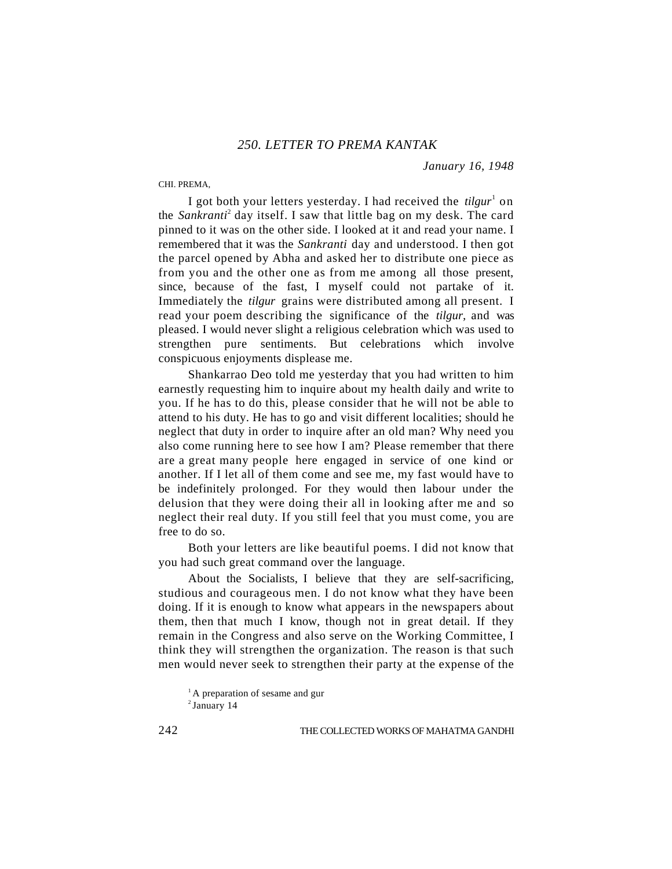*January 16, 1948*

CHI. PREMA,

I got both your letters yesterday. I had received the *tilgur*<sup>1</sup> on the *Sankranti*<sup>2</sup> day itself. I saw that little bag on my desk. The card pinned to it was on the other side. I looked at it and read your name. I remembered that it was the *Sankranti* day and understood. I then got the parcel opened by Abha and asked her to distribute one piece as from you and the other one as from me among all those present, since, because of the fast, I myself could not partake of it. Immediately the *tilgur* grains were distributed among all present. I read your poem describing the significance of the *tilgur,* and was pleased. I would never slight a religious celebration which was used to strengthen pure sentiments. But celebrations which involve conspicuous enjoyments displease me.

Shankarrao Deo told me yesterday that you had written to him earnestly requesting him to inquire about my health daily and write to you. If he has to do this, please consider that he will not be able to attend to his duty. He has to go and visit different localities; should he neglect that duty in order to inquire after an old man? Why need you also come running here to see how I am? Please remember that there are a great many people here engaged in service of one kind or another. If I let all of them come and see me, my fast would have to be indefinitely prolonged. For they would then labour under the delusion that they were doing their all in looking after me and so neglect their real duty. If you still feel that you must come, you are free to do so.

Both your letters are like beautiful poems. I did not know that you had such great command over the language.

About the Socialists, I believe that they are self-sacrificing, studious and courageous men. I do not know what they have been doing. If it is enough to know what appears in the newspapers about them, then that much I know, though not in great detail. If they remain in the Congress and also serve on the Working Committee, I think they will strengthen the organization. The reason is that such men would never seek to strengthen their party at the expense of the

 $<sup>1</sup>$  A preparation of sesame and gur</sup>

 $2$  January 14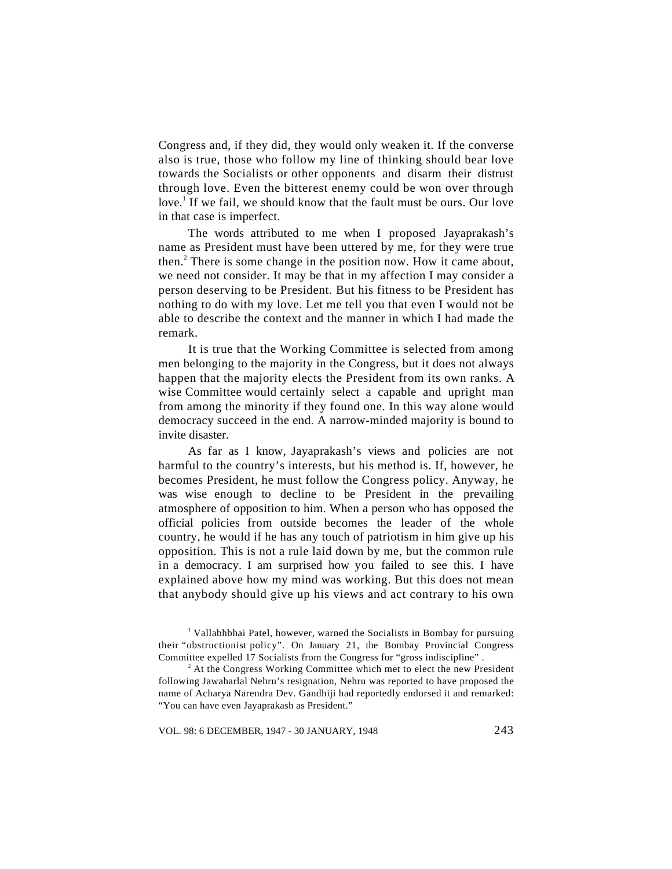Congress and, if they did, they would only weaken it. If the converse also is true, those who follow my line of thinking should bear love towards the Socialists or other opponents and disarm their distrust through love. Even the bitterest enemy could be won over through love.<sup>1</sup> If we fail, we should know that the fault must be ours. Our love in that case is imperfect.

The words attributed to me when I proposed Jayaprakash's name as President must have been uttered by me, for they were true then.<sup>2</sup> There is some change in the position now. How it came about, we need not consider. It may be that in my affection I may consider a person deserving to be President. But his fitness to be President has nothing to do with my love. Let me tell you that even I would not be able to describe the context and the manner in which I had made the remark.

It is true that the Working Committee is selected from among men belonging to the majority in the Congress, but it does not always happen that the majority elects the President from its own ranks. A wise Committee would certainly select a capable and upright man from among the minority if they found one. In this way alone would democracy succeed in the end. A narrow-minded majority is bound to invite disaster.

As far as I know, Jayaprakash's views and policies are not harmful to the country's interests, but his method is. If, however, he becomes President, he must follow the Congress policy. Anyway, he was wise enough to decline to be President in the prevailing atmosphere of opposition to him. When a person who has opposed the official policies from outside becomes the leader of the whole country, he would if he has any touch of patriotism in him give up his opposition. This is not a rule laid down by me, but the common rule in a democracy. I am surprised how you failed to see this. I have explained above how my mind was working. But this does not mean that anybody should give up his views and act contrary to his own

 $1$  Vallabhbhai Patel, however, warned the Socialists in Bombay for pursuing their "obstructionist policy". On January 21, the Bombay Provincial Congress Committee expelled 17 Socialists from the Congress for "gross indiscipline" .

 $2^2$  At the Congress Working Committee which met to elect the new President following Jawaharlal Nehru's resignation, Nehru was reported to have proposed the name of Acharya Narendra Dev. Gandhiji had reportedly endorsed it and remarked: "You can have even Jayaprakash as President."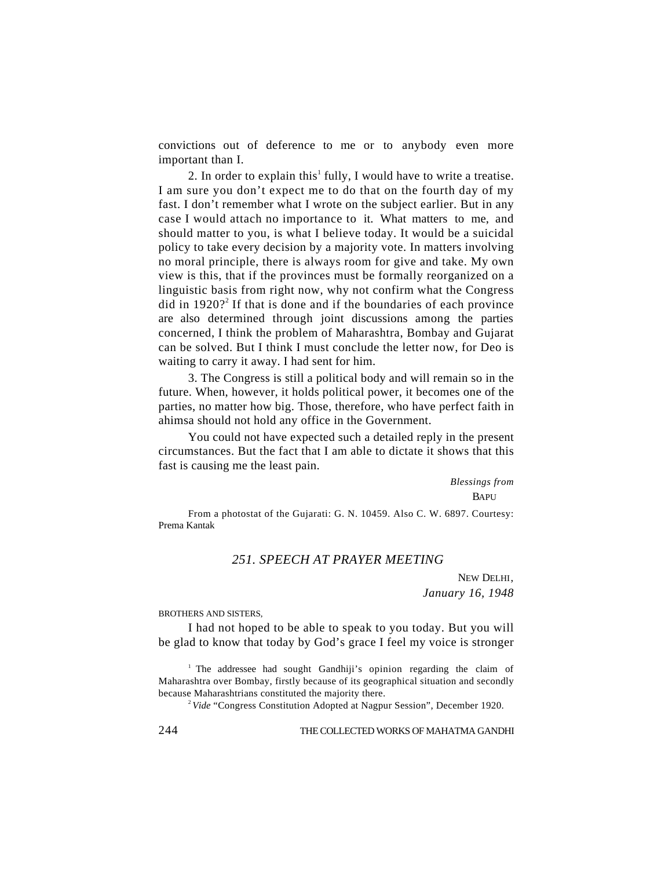convictions out of deference to me or to anybody even more important than I.

2. In order to explain this<sup>1</sup> fully, I would have to write a treatise. I am sure you don't expect me to do that on the fourth day of my fast. I don't remember what I wrote on the subject earlier. But in any case I would attach no importance to it. What matters to me, and should matter to you, is what I believe today. It would be a suicidal policy to take every decision by a majority vote. In matters involving no moral principle, there is always room for give and take. My own view is this, that if the provinces must be formally reorganized on a linguistic basis from right now, why not confirm what the Congress did in  $1920$ ? If that is done and if the boundaries of each province are also determined through joint discussions among the parties concerned, I think the problem of Maharashtra, Bombay and Gujarat can be solved. But I think I must conclude the letter now, for Deo is waiting to carry it away. I had sent for him.

3. The Congress is still a political body and will remain so in the future. When, however, it holds political power, it becomes one of the parties, no matter how big. Those, therefore, who have perfect faith in ahimsa should not hold any office in the Government.

You could not have expected such a detailed reply in the present circumstances. But the fact that I am able to dictate it shows that this fast is causing me the least pain.

> *Blessings from* **BAPU**

From a photostat of the Gujarati: G. N. 10459. Also C. W. 6897. Courtesy: Prema Kantak

## *251. SPEECH AT PRAYER MEETING*

NEW DELHI, *January 16, 1948*

BROTHERS AND SISTERS,

I had not hoped to be able to speak to you today. But you will be glad to know that today by God's grace I feel my voice is stronger

<sup>1</sup> The addressee had sought Gandhiji's opinion regarding the claim of Maharashtra over Bombay, firstly because of its geographical situation and secondly because Maharashtrians constituted the majority there.

<sup>2</sup>*Vide* "Congress Constitution Adopted at Nagpur Session", December 1920.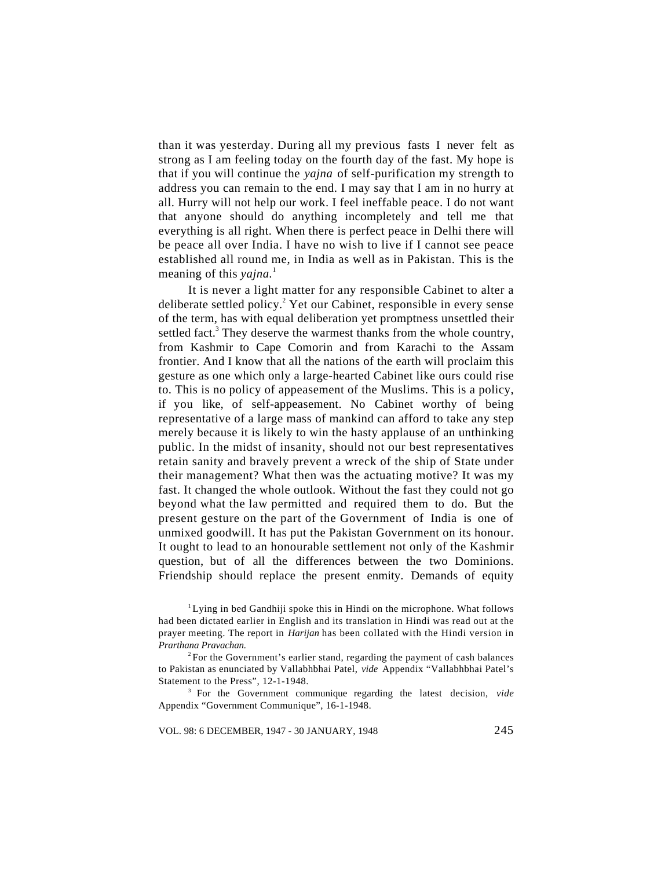than it was yesterday. During all my previous fasts I never felt as strong as I am feeling today on the fourth day of the fast. My hope is that if you will continue the *yajna* of self-purification my strength to address you can remain to the end. I may say that I am in no hurry at all. Hurry will not help our work. I feel ineffable peace. I do not want that anyone should do anything incompletely and tell me that everything is all right. When there is perfect peace in Delhi there will be peace all over India. I have no wish to live if I cannot see peace established all round me, in India as well as in Pakistan. This is the meaning of this *yajna*.<sup>1</sup>

It is never a light matter for any responsible Cabinet to alter a deliberate settled policy.<sup>2</sup> Yet our Cabinet, responsible in every sense of the term, has with equal deliberation yet promptness unsettled their settled fact.<sup>3</sup> They deserve the warmest thanks from the whole country, from Kashmir to Cape Comorin and from Karachi to the Assam frontier. And I know that all the nations of the earth will proclaim this gesture as one which only a large-hearted Cabinet like ours could rise to. This is no policy of appeasement of the Muslims. This is a policy, if you like, of self-appeasement. No Cabinet worthy of being representative of a large mass of mankind can afford to take any step merely because it is likely to win the hasty applause of an unthinking public. In the midst of insanity, should not our best representatives retain sanity and bravely prevent a wreck of the ship of State under their management? What then was the actuating motive? It was my fast. It changed the whole outlook. Without the fast they could not go beyond what the law permitted and required them to do. But the present gesture on the part of the Government of India is one of unmixed goodwill. It has put the Pakistan Government on its honour. It ought to lead to an honourable settlement not only of the Kashmir question, but of all the differences between the two Dominions. Friendship should replace the present enmity. Demands of equity

<sup>3</sup>For the Government communique regarding the latest decision, *vide* Appendix "Government Communique", 16-1-1948.

 $1$  Lying in bed Gandhiji spoke this in Hindi on the microphone. What follows had been dictated earlier in English and its translation in Hindi was read out at the prayer meeting. The report in *Harijan* has been collated with the Hindi version in *Prarthana Pravachan.*

<sup>&</sup>lt;sup>2</sup>For the Government's earlier stand, regarding the payment of cash balances to Pakistan as enunciated by Vallabhbhai Patel, *vide* Appendix "Vallabhbhai Patel's Statement to the Press", 12-1-1948.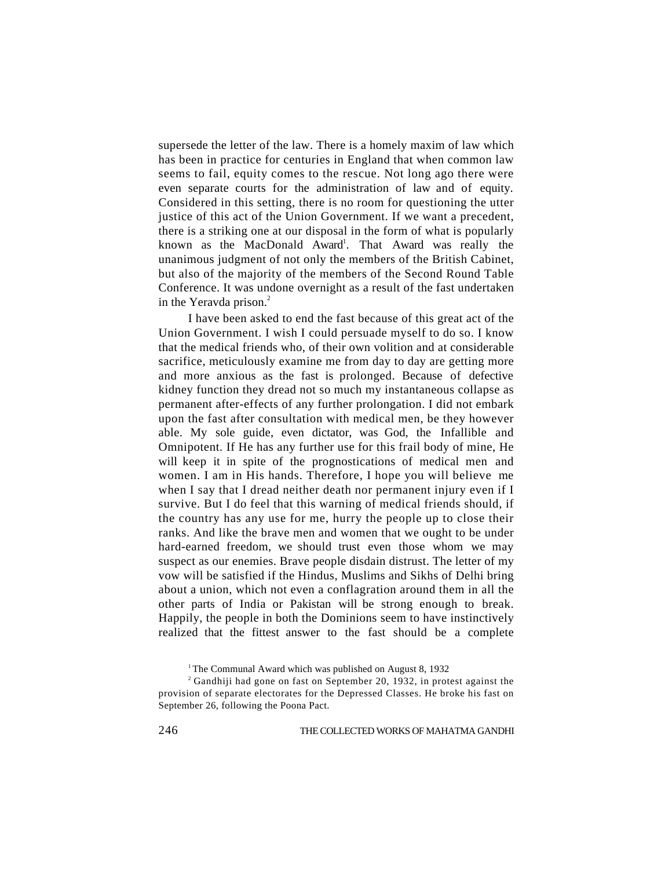supersede the letter of the law. There is a homely maxim of law which has been in practice for centuries in England that when common law seems to fail, equity comes to the rescue. Not long ago there were even separate courts for the administration of law and of equity. Considered in this setting, there is no room for questioning the utter justice of this act of the Union Government. If we want a precedent, there is a striking one at our disposal in the form of what is popularly known as the MacDonald Award<sup>1</sup>. That Award was really the unanimous judgment of not only the members of the British Cabinet, but also of the majority of the members of the Second Round Table Conference. It was undone overnight as a result of the fast undertaken in the Yeravda prison.<sup>2</sup>

I have been asked to end the fast because of this great act of the Union Government. I wish I could persuade myself to do so. I know that the medical friends who, of their own volition and at considerable sacrifice, meticulously examine me from day to day are getting more and more anxious as the fast is prolonged. Because of defective kidney function they dread not so much my instantaneous collapse as permanent after-effects of any further prolongation. I did not embark upon the fast after consultation with medical men, be they however able. My sole guide, even dictator, was God, the Infallible and Omnipotent. If He has any further use for this frail body of mine, He will keep it in spite of the prognostications of medical men and women. I am in His hands. Therefore, I hope you will believe me when I say that I dread neither death nor permanent injury even if I survive. But I do feel that this warning of medical friends should, if the country has any use for me, hurry the people up to close their ranks. And like the brave men and women that we ought to be under hard-earned freedom, we should trust even those whom we may suspect as our enemies. Brave people disdain distrust. The letter of my vow will be satisfied if the Hindus, Muslims and Sikhs of Delhi bring about a union, which not even a conflagration around them in all the other parts of India or Pakistan will be strong enough to break. Happily, the people in both the Dominions seem to have instinctively realized that the fittest answer to the fast should be a complete

<sup>&</sup>lt;sup>1</sup> The Communal Award which was published on August 8, 1932

 $2^{\circ}$  Gandhiji had gone on fast on September 20, 1932, in protest against the provision of separate electorates for the Depressed Classes. He broke his fast on September 26, following the Poona Pact.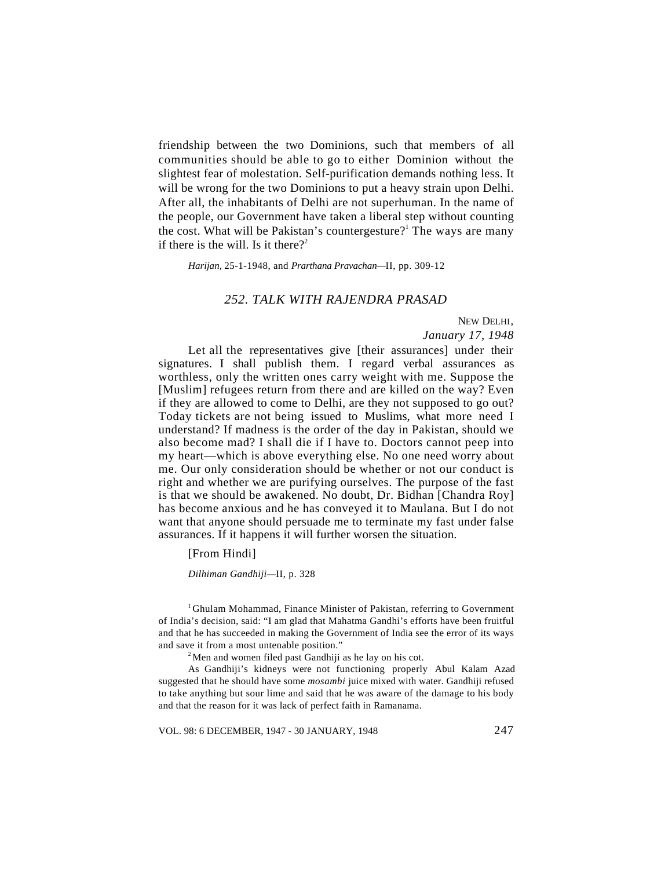friendship between the two Dominions, such that members of all communities should be able to go to either Dominion without the slightest fear of molestation. Self-purification demands nothing less. It will be wrong for the two Dominions to put a heavy strain upon Delhi. After all, the inhabitants of Delhi are not superhuman. In the name of the people, our Government have taken a liberal step without counting the cost. What will be Pakistan's countergesture?<sup>1</sup> The ways are many if there is the will. Is it there?<sup>2</sup>

*Harijan,* 25-1-1948, and *Prarthana Pravachan—*II, pp. 309-12

### *252. TALK WITH RAJENDRA PRASAD*

NEW DELHI, *January 17, 1948*

Let all the representatives give [their assurances] under their signatures. I shall publish them. I regard verbal assurances as worthless, only the written ones carry weight with me. Suppose the [Muslim] refugees return from there and are killed on the way? Even if they are allowed to come to Delhi, are they not supposed to go out? Today tickets are not being issued to Muslims, what more need I understand? If madness is the order of the day in Pakistan, should we also become mad? I shall die if I have to. Doctors cannot peep into my heart—which is above everything else. No one need worry about me. Our only consideration should be whether or not our conduct is right and whether we are purifying ourselves. The purpose of the fast is that we should be awakened. No doubt, Dr. Bidhan [Chandra Roy] has become anxious and he has conveyed it to Maulana. But I do not want that anyone should persuade me to terminate my fast under false assurances. If it happens it will further worsen the situation.

[From Hindi]

*Dilhiman Gandhiji—*II, p. 328

 $1$ Ghulam Mohammad, Finance Minister of Pakistan, referring to Government of India's decision, said: "I am glad that Mahatma Gandhi's efforts have been fruitful and that he has succeeded in making the Government of India see the error of its ways and save it from a most untenable position."

 $2$ Men and women filed past Gandhiji as he lay on his cot.

As Gandhiji's kidneys were not functioning properly Abul Kalam Azad suggested that he should have some *mosambi* juice mixed with water. Gandhiji refused to take anything but sour lime and said that he was aware of the damage to his body and that the reason for it was lack of perfect faith in Ramanama.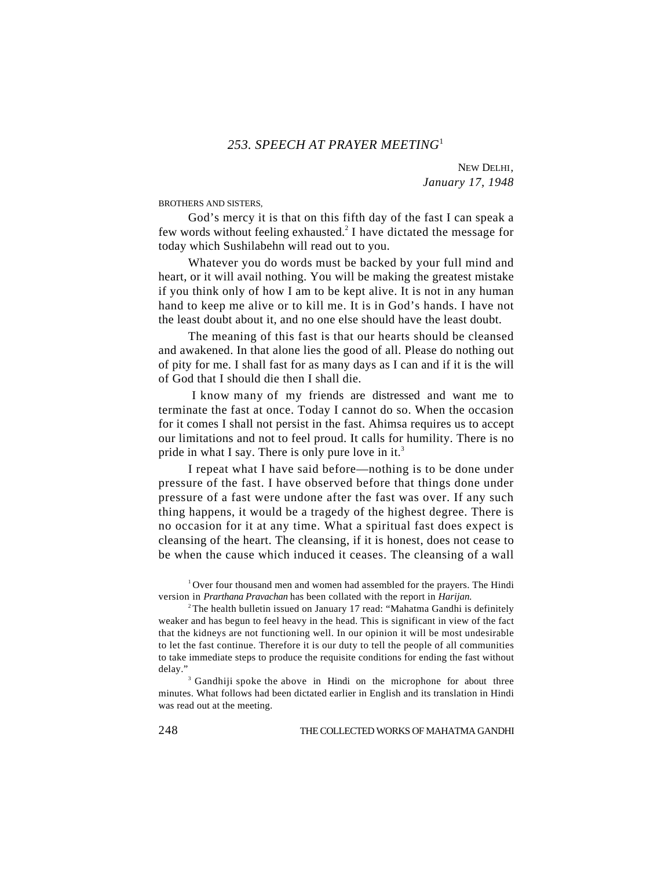# *253. SPEECH AT PRAYER MEETING*<sup>1</sup>

NEW DELHI, *January 17, 1948*

#### BROTHERS AND SISTERS,

God's mercy it is that on this fifth day of the fast I can speak a few words without feeling exhausted.<sup>2</sup> I have dictated the message for today which Sushilabehn will read out to you.

Whatever you do words must be backed by your full mind and heart, or it will avail nothing. You will be making the greatest mistake if you think only of how I am to be kept alive. It is not in any human hand to keep me alive or to kill me. It is in God's hands. I have not the least doubt about it, and no one else should have the least doubt.

The meaning of this fast is that our hearts should be cleansed and awakened. In that alone lies the good of all. Please do nothing out of pity for me. I shall fast for as many days as I can and if it is the will of God that I should die then I shall die.

 I know many of my friends are distressed and want me to terminate the fast at once. Today I cannot do so. When the occasion for it comes I shall not persist in the fast. Ahimsa requires us to accept our limitations and not to feel proud. It calls for humility. There is no pride in what I say. There is only pure love in it.<sup>3</sup>

I repeat what I have said before—nothing is to be done under pressure of the fast. I have observed before that things done under pressure of a fast were undone after the fast was over. If any such thing happens, it would be a tragedy of the highest degree. There is no occasion for it at any time. What a spiritual fast does expect is cleansing of the heart. The cleansing, if it is honest, does not cease to be when the cause which induced it ceases. The cleansing of a wall

 $1$  Over four thousand men and women had assembled for the prayers. The Hindi version in *Prarthana Pravachan* has been collated with the report in *Harijan.*

 $2$ <sup>2</sup>The health bulletin issued on January 17 read: "Mahatma Gandhi is definitely weaker and has begun to feel heavy in the head. This is significant in view of the fact that the kidneys are not functioning well. In our opinion it will be most undesirable to let the fast continue. Therefore it is our duty to tell the people of all communities to take immediate steps to produce the requisite conditions for ending the fast without delay."

<sup>3</sup> Gandhiji spoke the above in Hindi on the microphone for about three minutes. What follows had been dictated earlier in English and its translation in Hindi was read out at the meeting.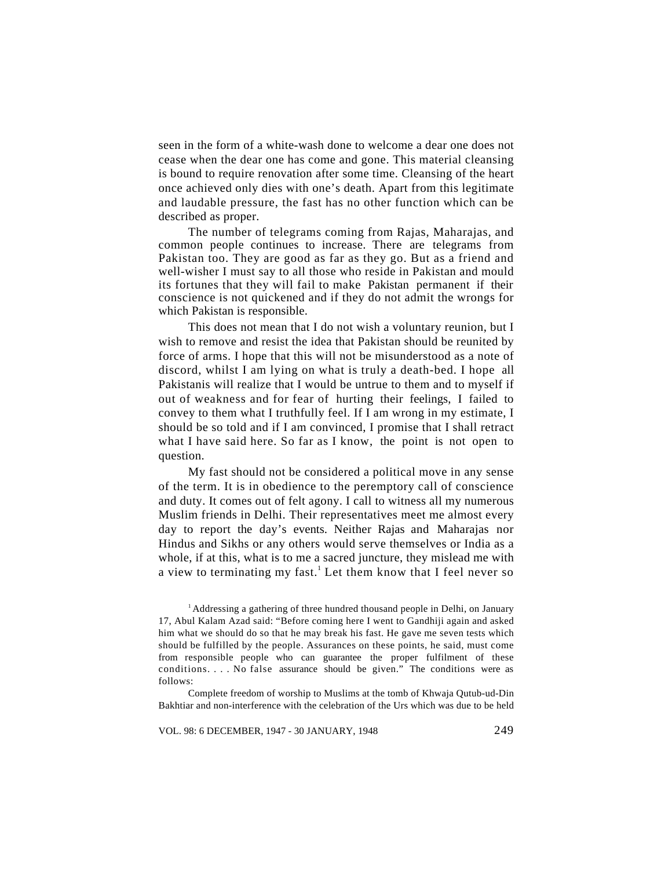seen in the form of a white-wash done to welcome a dear one does not cease when the dear one has come and gone. This material cleansing is bound to require renovation after some time. Cleansing of the heart once achieved only dies with one's death. Apart from this legitimate and laudable pressure, the fast has no other function which can be described as proper.

The number of telegrams coming from Rajas, Maharajas, and common people continues to increase. There are telegrams from Pakistan too. They are good as far as they go. But as a friend and well-wisher I must say to all those who reside in Pakistan and mould its fortunes that they will fail to make Pakistan permanent if their conscience is not quickened and if they do not admit the wrongs for which Pakistan is responsible.

This does not mean that I do not wish a voluntary reunion, but I wish to remove and resist the idea that Pakistan should be reunited by force of arms. I hope that this will not be misunderstood as a note of discord, whilst I am lying on what is truly a death-bed. I hope all Pakistanis will realize that I would be untrue to them and to myself if out of weakness and for fear of hurting their feelings, I failed to convey to them what I truthfully feel. If I am wrong in my estimate, I should be so told and if I am convinced, I promise that I shall retract what I have said here. So far as I know, the point is not open to question.

My fast should not be considered a political move in any sense of the term. It is in obedience to the peremptory call of conscience and duty. It comes out of felt agony. I call to witness all my numerous Muslim friends in Delhi. Their representatives meet me almost every day to report the day's events. Neither Rajas and Maharajas nor Hindus and Sikhs or any others would serve themselves or India as a whole, if at this, what is to me a sacred juncture, they mislead me with a view to terminating my fast.<sup>1</sup> Let them know that I feel never so

 $<sup>1</sup>$  Addressing a gathering of three hundred thousand people in Delhi, on January</sup> 17, Abul Kalam Azad said: "Before coming here I went to Gandhiji again and asked him what we should do so that he may break his fast. He gave me seven tests which should be fulfilled by the people. Assurances on these points, he said, must come from responsible people who can guarantee the proper fulfilment of these conditions. . . . No false assurance should be given." The conditions were as follows:

Complete freedom of worship to Muslims at the tomb of Khwaja Qutub-ud-Din Bakhtiar and non-interference with the celebration of the Urs which was due to be held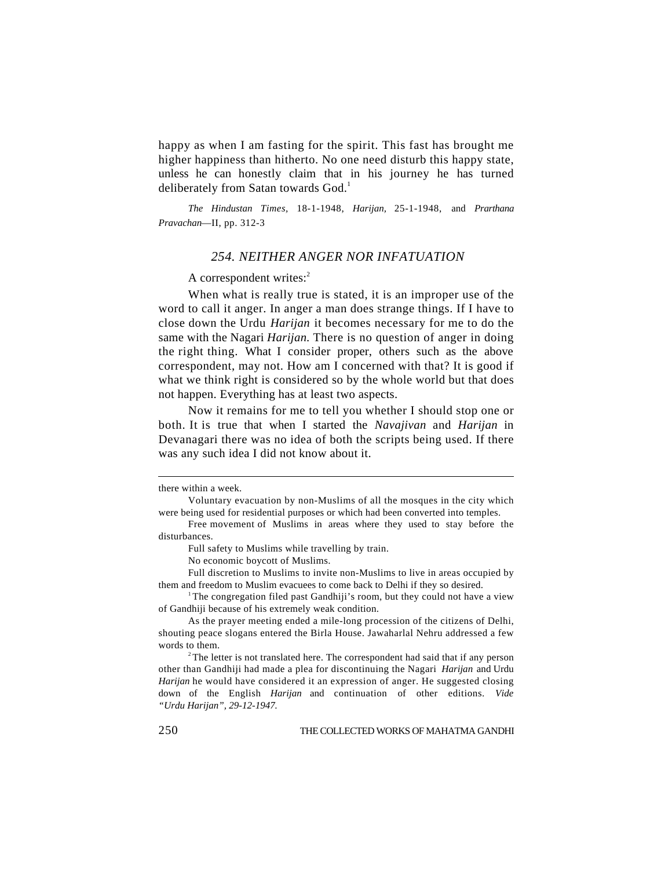happy as when I am fasting for the spirit. This fast has brought me higher happiness than hitherto. No one need disturb this happy state, unless he can honestly claim that in his journey he has turned deliberately from Satan towards God.<sup>1</sup>

*The Hindustan Times,* 18-1-1948, *Harijan,* 25-1-1948, and *Prarthana Pravachan*—II, pp. 312-3

## *254. NEITHER ANGER NOR INFATUATION*

A correspondent writes: $2$ 

When what is really true is stated, it is an improper use of the word to call it anger. In anger a man does strange things. If I have to close down the Urdu *Harijan* it becomes necessary for me to do the same with the Nagari *Harijan.* There is no question of anger in doing the right thing. What I consider proper, others such as the above correspondent, may not. How am I concerned with that? It is good if what we think right is considered so by the whole world but that does not happen. Everything has at least two aspects.

Now it remains for me to tell you whether I should stop one or both. It is true that when I started the *Navajivan* and *Harijan* in Devanagari there was no idea of both the scripts being used. If there was any such idea I did not know about it.

 $\overline{a}$ 

there within a week.

Voluntary evacuation by non-Muslims of all the mosques in the city which were being used for residential purposes or which had been converted into temples.

Free movement of Muslims in areas where they used to stay before the disturbances.

Full safety to Muslims while travelling by train.

No economic boycott of Muslims.

Full discretion to Muslims to invite non-Muslims to live in areas occupied by them and freedom to Muslim evacuees to come back to Delhi if they so desired.

<sup>&</sup>lt;sup>1</sup>The congregation filed past Gandhiji's room, but they could not have a view of Gandhiji because of his extremely weak condition.

As the prayer meeting ended a mile-long procession of the citizens of Delhi, shouting peace slogans entered the Birla House. Jawaharlal Nehru addressed a few words to them.

 $2$ The letter is not translated here. The correspondent had said that if any person other than Gandhiji had made a plea for discontinuing the Nagari *Harijan* and Urdu *Harijan* he would have considered it an expression of anger. He suggested closing down of the English *Harijan* and continuation of other editions. *Vide "Urdu Harijan", 29-12-1947*.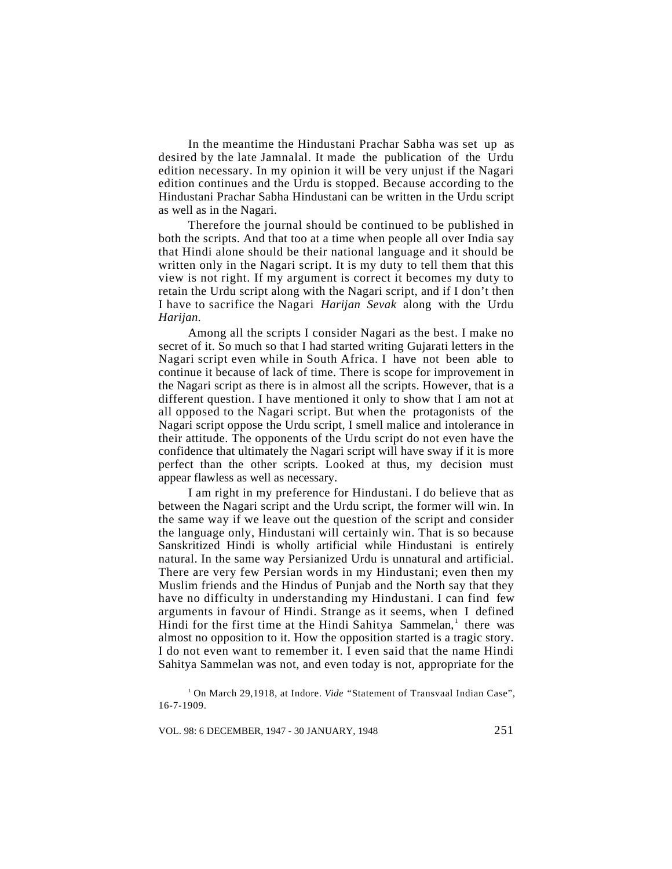In the meantime the Hindustani Prachar Sabha was set up as desired by the late Jamnalal. It made the publication of the Urdu edition necessary. In my opinion it will be very unjust if the Nagari edition continues and the Urdu is stopped. Because according to the Hindustani Prachar Sabha Hindustani can be written in the Urdu script as well as in the Nagari.

Therefore the journal should be continued to be published in both the scripts. And that too at a time when people all over India say that Hindi alone should be their national language and it should be written only in the Nagari script. It is my duty to tell them that this view is not right. If my argument is correct it becomes my duty to retain the Urdu script along with the Nagari script, and if I don't then I have to sacrifice the Nagari *Harijan Sevak* along with the Urdu *Harijan.*

Among all the scripts I consider Nagari as the best. I make no secret of it. So much so that I had started writing Gujarati letters in the Nagari script even while in South Africa. I have not been able to continue it because of lack of time. There is scope for improvement in the Nagari script as there is in almost all the scripts. However, that is a different question. I have mentioned it only to show that I am not at all opposed to the Nagari script. But when the protagonists of the Nagari script oppose the Urdu script, I smell malice and intolerance in their attitude. The opponents of the Urdu script do not even have the confidence that ultimately the Nagari script will have sway if it is more perfect than the other scripts. Looked at thus, my decision must appear flawless as well as necessary.

I am right in my preference for Hindustani. I do believe that as between the Nagari script and the Urdu script, the former will win. In the same way if we leave out the question of the script and consider the language only, Hindustani will certainly win. That is so because Sanskritized Hindi is wholly artificial while Hindustani is entirely natural. In the same way Persianized Urdu is unnatural and artificial. There are very few Persian words in my Hindustani; even then my Muslim friends and the Hindus of Punjab and the North say that they have no difficulty in understanding my Hindustani. I can find few arguments in favour of Hindi. Strange as it seems, when I defined Hindi for the first time at the Hindi Sahitya Sammelan,<sup>1</sup> there was almost no opposition to it. How the opposition started is a tragic story. I do not even want to remember it. I even said that the name Hindi Sahitya Sammelan was not, and even today is not, appropriate for the

<sup>1</sup> On March 29,1918, at Indore. *Vide* "Statement of Transvaal Indian Case", 16-7-1909.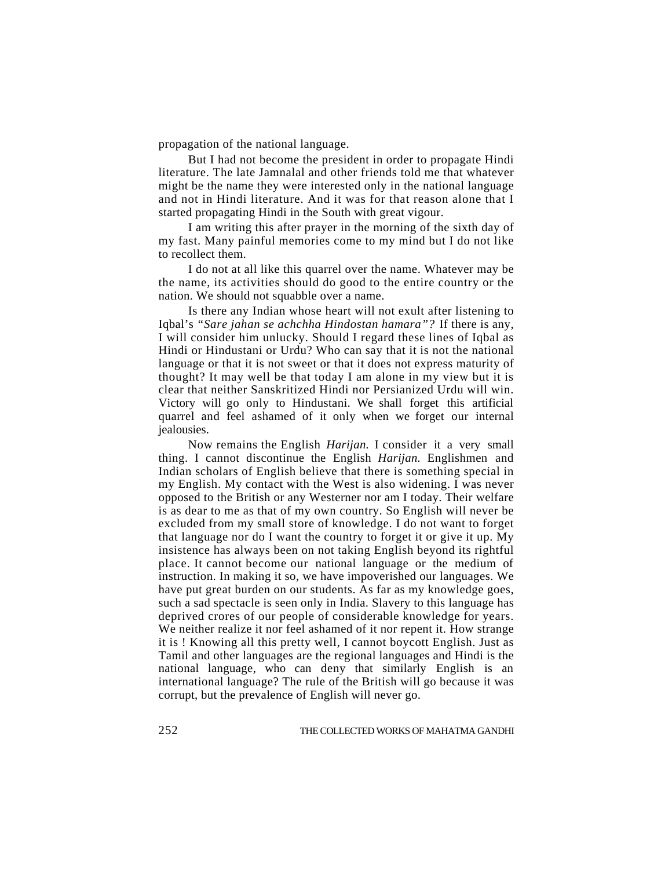propagation of the national language.

But I had not become the president in order to propagate Hindi literature. The late Jamnalal and other friends told me that whatever might be the name they were interested only in the national language and not in Hindi literature. And it was for that reason alone that I started propagating Hindi in the South with great vigour.

I am writing this after prayer in the morning of the sixth day of my fast. Many painful memories come to my mind but I do not like to recollect them.

I do not at all like this quarrel over the name. Whatever may be the name, its activities should do good to the entire country or the nation. We should not squabble over a name.

Is there any Indian whose heart will not exult after listening to Iqbal's *"Sare jahan se achchha Hindostan hamara"?* If there is any, I will consider him unlucky. Should I regard these lines of Iqbal as Hindi or Hindustani or Urdu? Who can say that it is not the national language or that it is not sweet or that it does not express maturity of thought? It may well be that today I am alone in my view but it is clear that neither Sanskritized Hindi nor Persianized Urdu will win. Victory will go only to Hindustani. We shall forget this artificial quarrel and feel ashamed of it only when we forget our internal jealousies.

Now remains the English *Harijan.* I consider it a very small thing. I cannot discontinue the English *Harijan.* Englishmen and Indian scholars of English believe that there is something special in my English. My contact with the West is also widening. I was never opposed to the British or any Westerner nor am I today. Their welfare is as dear to me as that of my own country. So English will never be excluded from my small store of knowledge. I do not want to forget that language nor do I want the country to forget it or give it up. My insistence has always been on not taking English beyond its rightful place. It cannot become our national language or the medium of instruction. In making it so, we have impoverished our languages. We have put great burden on our students. As far as my knowledge goes, such a sad spectacle is seen only in India. Slavery to this language has deprived crores of our people of considerable knowledge for years. We neither realize it nor feel ashamed of it nor repent it. How strange it is ! Knowing all this pretty well, I cannot boycott English. Just as Tamil and other languages are the regional languages and Hindi is the national language, who can deny that similarly English is an international language? The rule of the British will go because it was corrupt, but the prevalence of English will never go.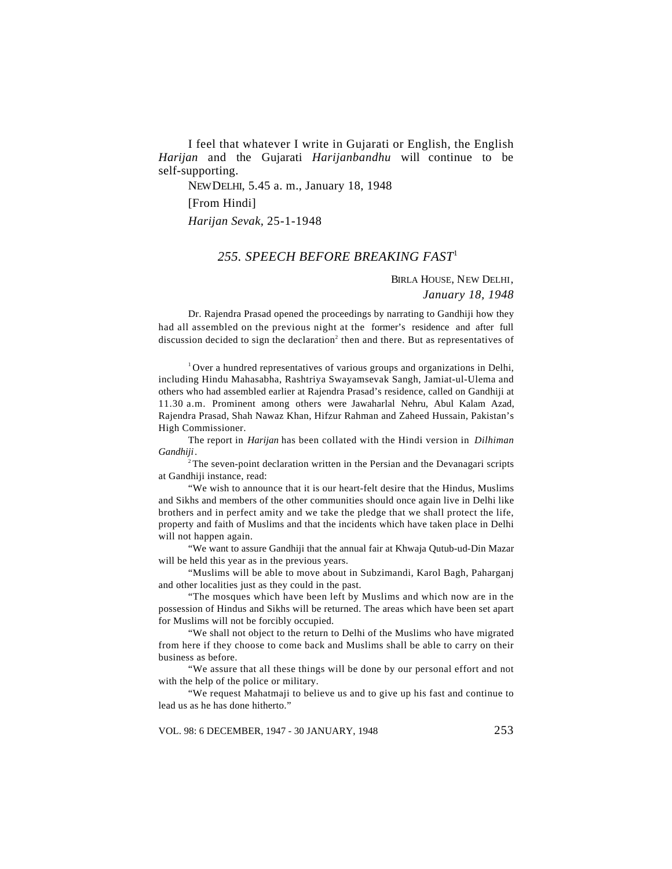I feel that whatever I write in Gujarati or English, the English *Harijan* and the Gujarati *Harijanbandhu* will continue to be self-supporting.

NEW DELHI, 5.45 a. m., January 18, 1948 [From Hindi] *Harijan Sevak,* 25-1-1948

## *255. SPEECH BEFORE BREAKING FAST*<sup>1</sup>

#### BIRLA HOUSE, NEW DELHI, *January 18, 1948*

Dr. Rajendra Prasad opened the proceedings by narrating to Gandhiji how they had all assembled on the previous night at the former's residence and after full discussion decided to sign the declaration<sup>2</sup> then and there. But as representatives of

 $1$ Over a hundred representatives of various groups and organizations in Delhi, including Hindu Mahasabha, Rashtriya Swayamsevak Sangh, Jamiat-ul-Ulema and others who had assembled earlier at Rajendra Prasad's residence, called on Gandhiji at 11.30 a.m. Prominent among others were Jawaharlal Nehru, Abul Kalam Azad, Rajendra Prasad, Shah Nawaz Khan, Hifzur Rahman and Zaheed Hussain, Pakistan's High Commissioner.

The report in *Harijan* has been collated with the Hindi version in *Dilhiman Gandhiji*.

 $2^2$ The seven-point declaration written in the Persian and the Devanagari scripts at Gandhiji instance, read:

"We wish to announce that it is our heart-felt desire that the Hindus, Muslims and Sikhs and members of the other communities should once again live in Delhi like brothers and in perfect amity and we take the pledge that we shall protect the life, property and faith of Muslims and that the incidents which have taken place in Delhi will not happen again.

"We want to assure Gandhiji that the annual fair at Khwaja Qutub-ud-Din Mazar will be held this year as in the previous years.

"Muslims will be able to move about in Subzimandi, Karol Bagh, Paharganj and other localities just as they could in the past.

"The mosques which have been left by Muslims and which now are in the possession of Hindus and Sikhs will be returned. The areas which have been set apart for Muslims will not be forcibly occupied.

"We shall not object to the return to Delhi of the Muslims who have migrated from here if they choose to come back and Muslims shall be able to carry on their business as before.

"We assure that all these things will be done by our personal effort and not with the help of the police or military.

"We request Mahatmaji to believe us and to give up his fast and continue to lead us as he has done hitherto."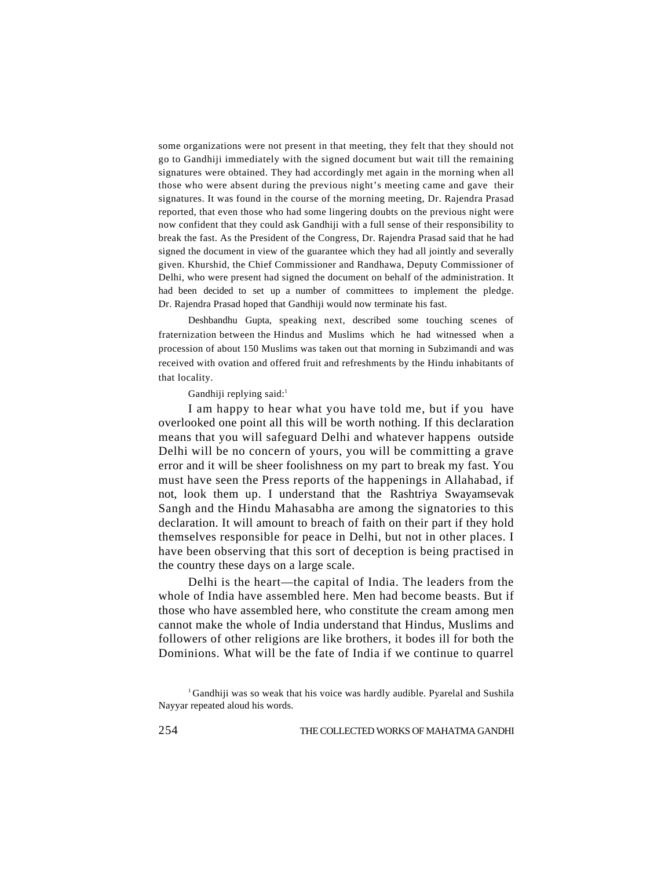some organizations were not present in that meeting, they felt that they should not go to Gandhiji immediately with the signed document but wait till the remaining signatures were obtained. They had accordingly met again in the morning when all those who were absent during the previous night's meeting came and gave their signatures. It was found in the course of the morning meeting, Dr. Rajendra Prasad reported, that even those who had some lingering doubts on the previous night were now confident that they could ask Gandhiji with a full sense of their responsibility to break the fast. As the President of the Congress, Dr. Rajendra Prasad said that he had signed the document in view of the guarantee which they had all jointly and severally given. Khurshid, the Chief Commissioner and Randhawa, Deputy Commissioner of Delhi, who were present had signed the document on behalf of the administration. It had been decided to set up a number of committees to implement the pledge. Dr. Rajendra Prasad hoped that Gandhiji would now terminate his fast.

Deshbandhu Gupta, speaking next, described some touching scenes of fraternization between the Hindus and Muslims which he had witnessed when a procession of about 150 Muslims was taken out that morning in Subzimandi and was received with ovation and offered fruit and refreshments by the Hindu inhabitants of that locality.

Gandhiji replying said: $<sup>1</sup>$ </sup>

I am happy to hear what you have told me, but if you have overlooked one point all this will be worth nothing. If this declaration means that you will safeguard Delhi and whatever happens outside Delhi will be no concern of yours, you will be committing a grave error and it will be sheer foolishness on my part to break my fast. You must have seen the Press reports of the happenings in Allahabad, if not, look them up. I understand that the Rashtriya Swayamsevak Sangh and the Hindu Mahasabha are among the signatories to this declaration. It will amount to breach of faith on their part if they hold themselves responsible for peace in Delhi, but not in other places. I have been observing that this sort of deception is being practised in the country these days on a large scale.

Delhi is the heart—the capital of India. The leaders from the whole of India have assembled here. Men had become beasts. But if those who have assembled here, who constitute the cream among men cannot make the whole of India understand that Hindus, Muslims and followers of other religions are like brothers, it bodes ill for both the Dominions. What will be the fate of India if we continue to quarrel

<sup>&</sup>lt;sup>1</sup>Gandhiji was so weak that his voice was hardly audible. Pyarelal and Sushila Nayyar repeated aloud his words.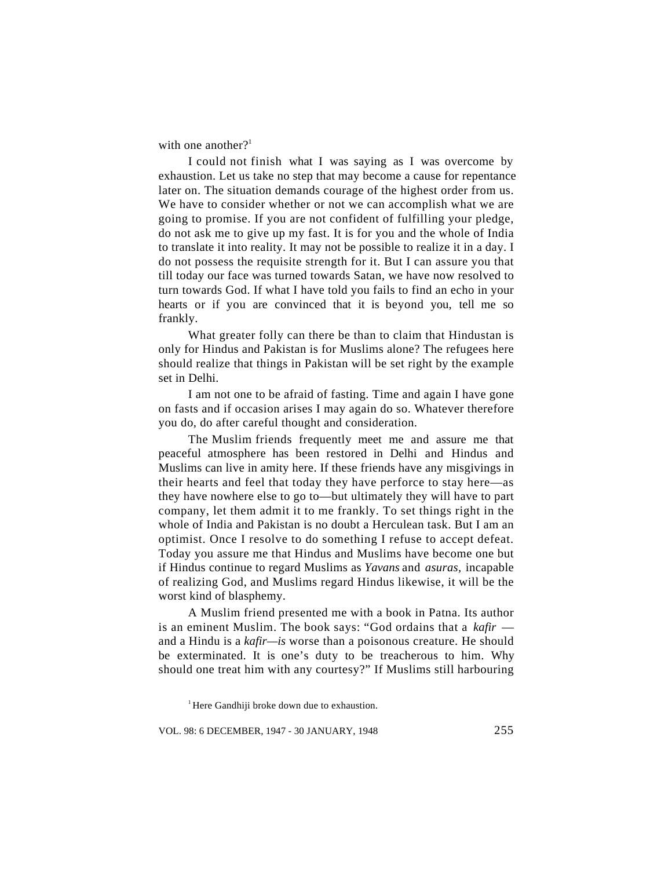with one another  $2^1$ 

I could not finish what I was saying as I was overcome by exhaustion. Let us take no step that may become a cause for repentance later on. The situation demands courage of the highest order from us. We have to consider whether or not we can accomplish what we are going to promise. If you are not confident of fulfilling your pledge, do not ask me to give up my fast. It is for you and the whole of India to translate it into reality. It may not be possible to realize it in a day. I do not possess the requisite strength for it. But I can assure you that till today our face was turned towards Satan, we have now resolved to turn towards God. If what I have told you fails to find an echo in your hearts or if you are convinced that it is beyond you, tell me so frankly.

What greater folly can there be than to claim that Hindustan is only for Hindus and Pakistan is for Muslims alone? The refugees here should realize that things in Pakistan will be set right by the example set in Delhi.

I am not one to be afraid of fasting. Time and again I have gone on fasts and if occasion arises I may again do so. Whatever therefore you do, do after careful thought and consideration.

The Muslim friends frequently meet me and assure me that peaceful atmosphere has been restored in Delhi and Hindus and Muslims can live in amity here. If these friends have any misgivings in their hearts and feel that today they have perforce to stay here—as they have nowhere else to go to—but ultimately they will have to part company, let them admit it to me frankly. To set things right in the whole of India and Pakistan is no doubt a Herculean task. But I am an optimist. Once I resolve to do something I refuse to accept defeat. Today you assure me that Hindus and Muslims have become one but if Hindus continue to regard Muslims as *Yavans* and *asuras,* incapable of realizing God, and Muslims regard Hindus likewise, it will be the worst kind of blasphemy.

A Muslim friend presented me with a book in Patna. Its author is an eminent Muslim. The book says: "God ordains that a *kafir*  and a Hindu is a *kafir—is* worse than a poisonous creature. He should be exterminated. It is one's duty to be treacherous to him. Why should one treat him with any courtesy?" If Muslims still harbouring

<sup>1</sup> Here Gandhiji broke down due to exhaustion.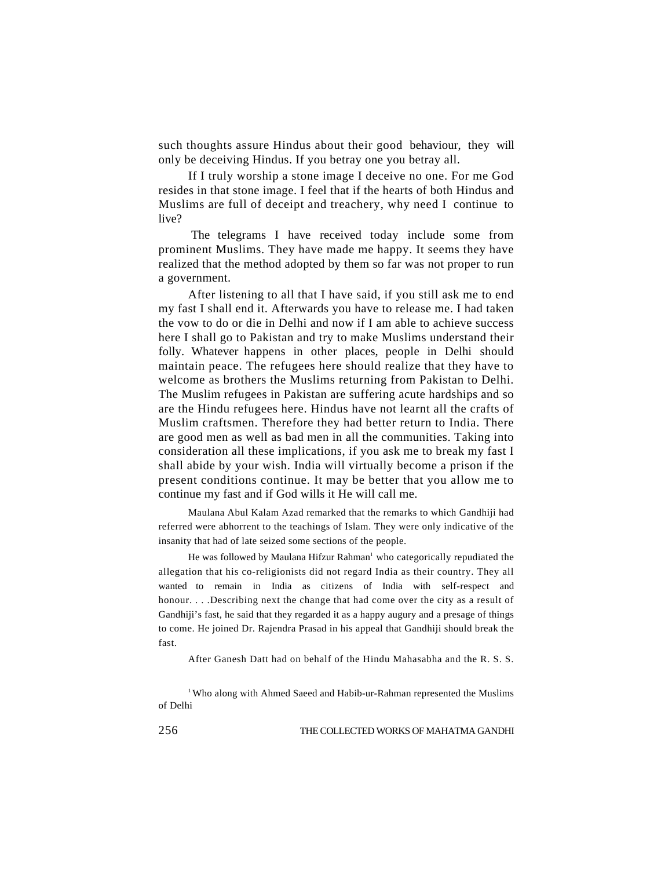such thoughts assure Hindus about their good behaviour, they will only be deceiving Hindus. If you betray one you betray all.

If I truly worship a stone image I deceive no one. For me God resides in that stone image. I feel that if the hearts of both Hindus and Muslims are full of deceipt and treachery, why need I continue to live?

 The telegrams I have received today include some from prominent Muslims. They have made me happy. It seems they have realized that the method adopted by them so far was not proper to run a government.

After listening to all that I have said, if you still ask me to end my fast I shall end it. Afterwards you have to release me. I had taken the vow to do or die in Delhi and now if I am able to achieve success here I shall go to Pakistan and try to make Muslims understand their folly. Whatever happens in other places, people in Delhi should maintain peace. The refugees here should realize that they have to welcome as brothers the Muslims returning from Pakistan to Delhi. The Muslim refugees in Pakistan are suffering acute hardships and so are the Hindu refugees here. Hindus have not learnt all the crafts of Muslim craftsmen. Therefore they had better return to India. There are good men as well as bad men in all the communities. Taking into consideration all these implications, if you ask me to break my fast I shall abide by your wish. India will virtually become a prison if the present conditions continue. It may be better that you allow me to continue my fast and if God wills it He will call me.

Maulana Abul Kalam Azad remarked that the remarks to which Gandhiji had referred were abhorrent to the teachings of Islam. They were only indicative of the insanity that had of late seized some sections of the people.

He was followed by Maulana Hifzur Rahman<sup>1</sup> who categorically repudiated the allegation that his co-religionists did not regard India as their country. They all wanted to remain in India as citizens of India with self-respect and honour. . . .Describing next the change that had come over the city as a result of Gandhiji's fast, he said that they regarded it as a happy augury and a presage of things to come. He joined Dr. Rajendra Prasad in his appeal that Gandhiji should break the fast.

After Ganesh Datt had on behalf of the Hindu Mahasabha and the R. S. S.

<sup>1</sup> Who along with Ahmed Saeed and Habib-ur-Rahman represented the Muslims of Delhi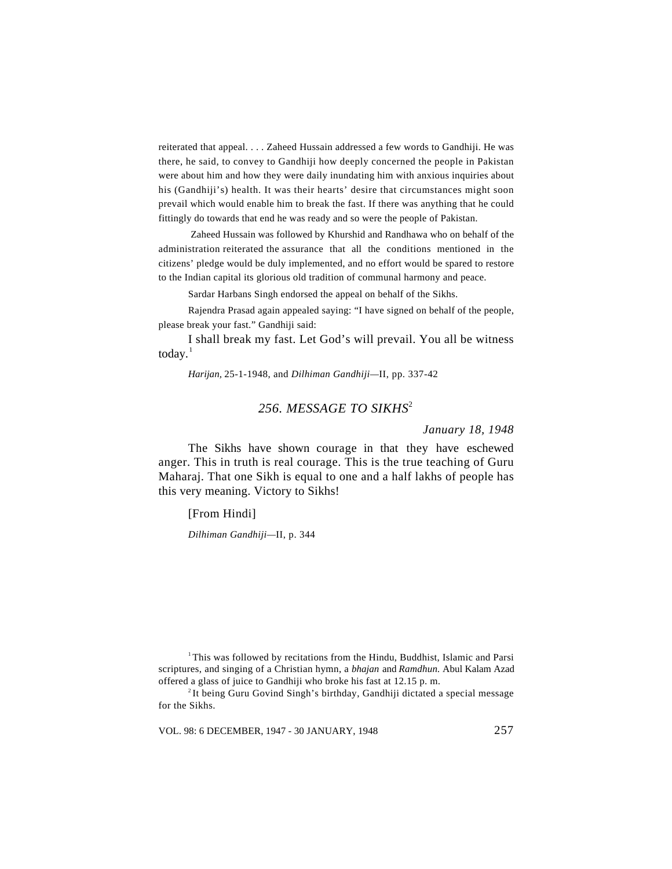reiterated that appeal. . . . Zaheed Hussain addressed a few words to Gandhiji. He was there, he said, to convey to Gandhiji how deeply concerned the people in Pakistan were about him and how they were daily inundating him with anxious inquiries about his (Gandhiji's) health. It was their hearts' desire that circumstances might soon prevail which would enable him to break the fast. If there was anything that he could fittingly do towards that end he was ready and so were the people of Pakistan.

 Zaheed Hussain was followed by Khurshid and Randhawa who on behalf of the administration reiterated the assurance that all the conditions mentioned in the citizens' pledge would be duly implemented, and no effort would be spared to restore to the Indian capital its glorious old tradition of communal harmony and peace.

Sardar Harbans Singh endorsed the appeal on behalf of the Sikhs.

Rajendra Prasad again appealed saying: "I have signed on behalf of the people, please break your fast." Gandhiji said:

I shall break my fast. Let God's will prevail. You all be witness today.<sup>1</sup>

*Harijan,* 25-1-1948, and *Dilhiman Gandhiji—*II, pp. 337-42

### *256. MESSAGE TO SIKHS*<sup>2</sup>

*January 18, 1948*

The Sikhs have shown courage in that they have eschewed anger. This in truth is real courage. This is the true teaching of Guru Maharaj. That one Sikh is equal to one and a half lakhs of people has this very meaning. Victory to Sikhs!

[From Hindi]

*Dilhiman Gandhiji—*II, p. 344

<sup>&</sup>lt;sup>1</sup>This was followed by recitations from the Hindu, Buddhist, Islamic and Parsi scriptures, and singing of a Christian hymn, a *bhajan* and *Ramdhun.* Abul Kalam Azad offered a glass of juice to Gandhiji who broke his fast at 12.15 p. m.

<sup>&</sup>lt;sup>2</sup>It being Guru Govind Singh's birthday, Gandhiji dictated a special message for the Sikhs.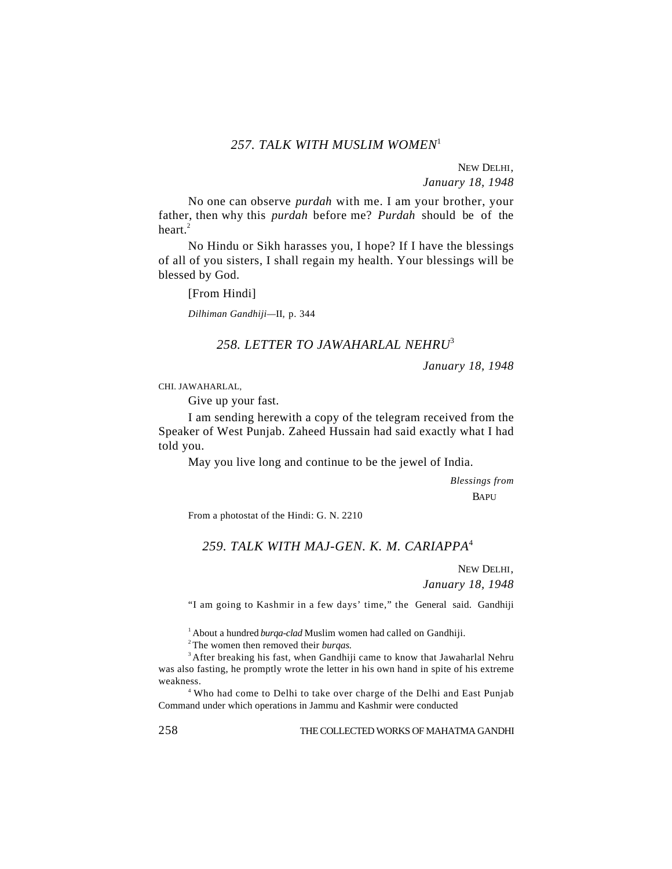## *257. TALK WITH MUSLIM WOMEN*<sup>1</sup>

NEW DELHI, *January 18, 1948*

No one can observe *purdah* with me. I am your brother, your father, then why this *purdah* before me? *Purdah* should be of the heart. $^{2}$ 

No Hindu or Sikh harasses you, I hope? If I have the blessings of all of you sisters, I shall regain my health. Your blessings will be blessed by God.

[From Hindi]

*Dilhiman Gandhiji—*II*,* p. 344

## *258. LETTER TO JAWAHARLAL NEHRU*<sup>3</sup>

*January 18, 1948*

CHI. JAWAHARLAL,

Give up your fast.

I am sending herewith a copy of the telegram received from the Speaker of West Punjab. Zaheed Hussain had said exactly what I had told you.

May you live long and continue to be the jewel of India.

*Blessings from* **BAPU** 

From a photostat of the Hindi: G. N. 2210

## *259. TALK WITH MAJ-GEN. K. M. CARIAPPA*<sup>4</sup>

NEW DELHI, *January 18, 1948*

"I am going to Kashmir in a few days' time," the General said. Gandhiji

<sup>1</sup> About a hundred *burga-clad* Muslim women had called on Gandhiji.

<sup>2</sup>The women then removed their *burqas.*

<sup>3</sup> After breaking his fast, when Gandhiji came to know that Jawaharlal Nehru was also fasting, he promptly wrote the letter in his own hand in spite of his extreme weakness.

<sup>4</sup> Who had come to Delhi to take over charge of the Delhi and East Punjab Command under which operations in Jammu and Kashmir were conducted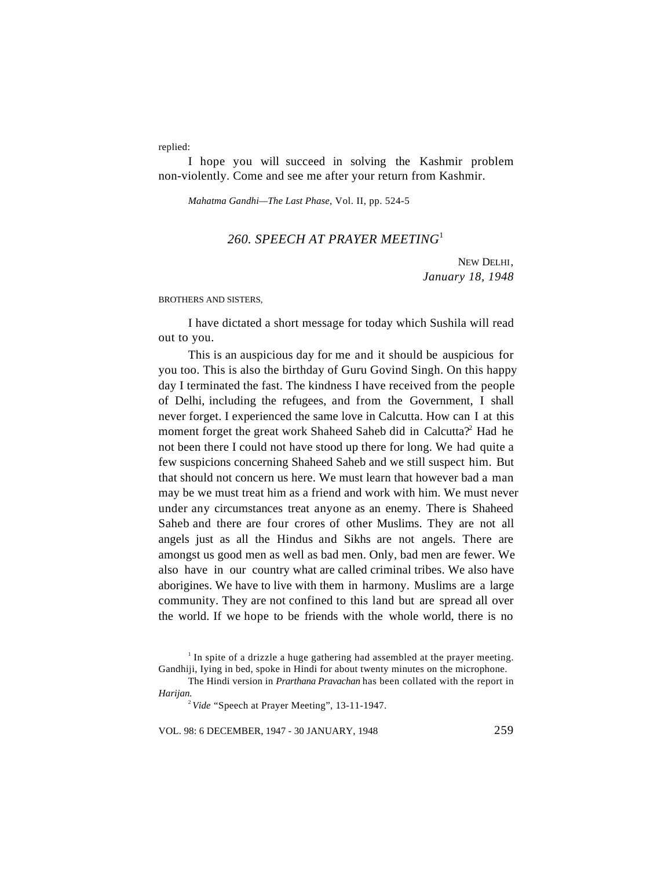replied:

I hope you will succeed in solving the Kashmir problem non-violently. Come and see me after your return from Kashmir.

*Mahatma Gandhi—The Last Phase*, Vol. II, pp. 524-5

*260. SPEECH AT PRAYER MEETING*<sup>1</sup>

NEW DELHI, *January 18, 1948*

#### BROTHERS AND SISTERS,

I have dictated a short message for today which Sushila will read out to you.

This is an auspicious day for me and it should be auspicious for you too. This is also the birthday of Guru Govind Singh. On this happy day I terminated the fast. The kindness I have received from the people of Delhi, including the refugees, and from the Government, I shall never forget. I experienced the same love in Calcutta. How can I at this moment forget the great work Shaheed Saheb did in Calcutta?<sup>2</sup> Had he not been there I could not have stood up there for long. We had quite a few suspicions concerning Shaheed Saheb and we still suspect him. But that should not concern us here. We must learn that however bad a man may be we must treat him as a friend and work with him. We must never under any circumstances treat anyone as an enemy. There is Shaheed Saheb and there are four crores of other Muslims. They are not all angels just as all the Hindus and Sikhs are not angels. There are amongst us good men as well as bad men. Only, bad men are fewer. We also have in our country what are called criminal tribes. We also have aborigines. We have to live with them in harmony. Muslims are a large community. They are not confined to this land but are spread all over the world. If we hope to be friends with the whole world, there is no

 $<sup>1</sup>$  In spite of a drizzle a huge gathering had assembled at the prayer meeting.</sup> Gandhiji, Iying in bed, spoke in Hindi for about twenty minutes on the microphone.

The Hindi version in *Prarthana Pravachan* has been collated with the report in *Harijan.*

<sup>2</sup>*Vide* "Speech at Prayer Meeting", 13-11-1947.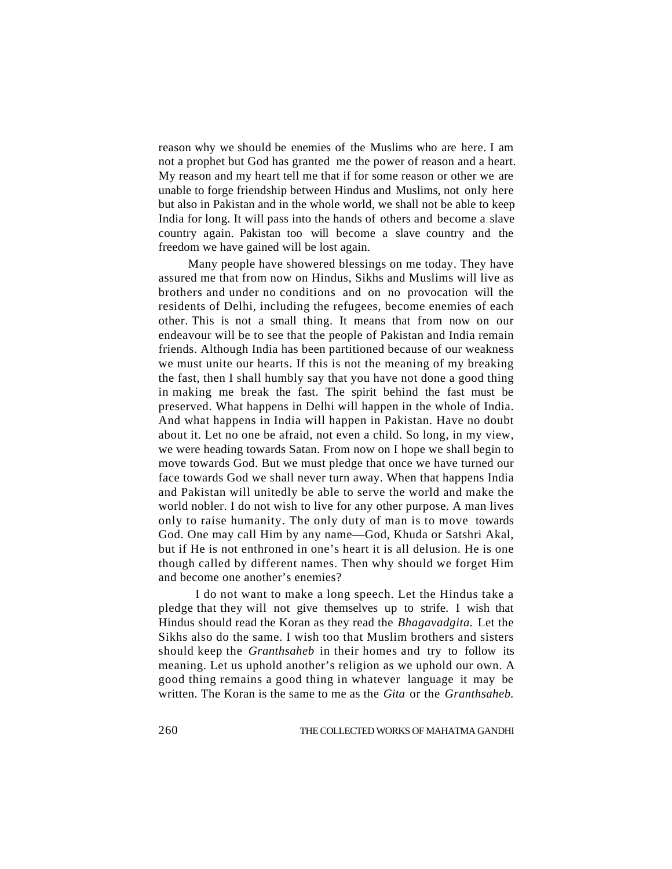reason why we should be enemies of the Muslims who are here. I am not a prophet but God has granted me the power of reason and a heart. My reason and my heart tell me that if for some reason or other we are unable to forge friendship between Hindus and Muslims, not only here but also in Pakistan and in the whole world, we shall not be able to keep India for long. It will pass into the hands of others and become a slave country again. Pakistan too will become a slave country and the freedom we have gained will be lost again.

Many people have showered blessings on me today. They have assured me that from now on Hindus, Sikhs and Muslims will live as brothers and under no conditions and on no provocation will the residents of Delhi, including the refugees, become enemies of each other. This is not a small thing. It means that from now on our endeavour will be to see that the people of Pakistan and India remain friends. Although India has been partitioned because of our weakness we must unite our hearts. If this is not the meaning of my breaking the fast, then I shall humbly say that you have not done a good thing in making me break the fast. The spirit behind the fast must be preserved. What happens in Delhi will happen in the whole of India. And what happens in India will happen in Pakistan. Have no doubt about it. Let no one be afraid, not even a child. So long, in my view, we were heading towards Satan. From now on I hope we shall begin to move towards God. But we must pledge that once we have turned our face towards God we shall never turn away. When that happens India and Pakistan will unitedly be able to serve the world and make the world nobler. I do not wish to live for any other purpose. A man lives only to raise humanity. The only duty of man is to move towards God. One may call Him by any name—God, Khuda or Satshri Akal, but if He is not enthroned in one's heart it is all delusion. He is one though called by different names. Then why should we forget Him and become one another's enemies?

 I do not want to make a long speech. Let the Hindus take a pledge that they will not give themselves up to strife. I wish that Hindus should read the Koran as they read the *Bhagavadgita.* Let the Sikhs also do the same. I wish too that Muslim brothers and sisters should keep the *Granthsaheb* in their homes and try to follow its meaning. Let us uphold another's religion as we uphold our own. A good thing remains a good thing in whatever language it may be written. The Koran is the same to me as the *Gita* or the *Granthsaheb.*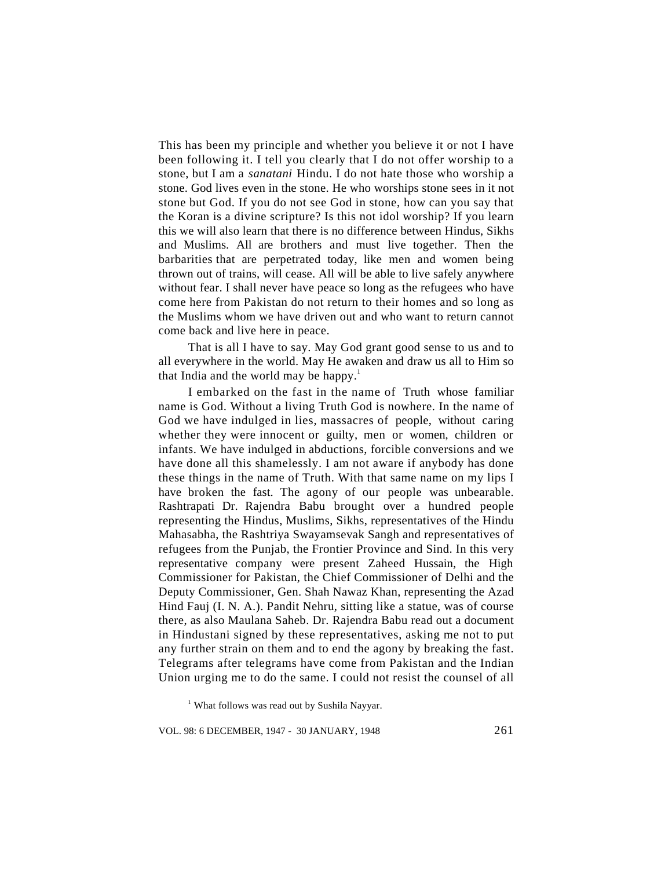This has been my principle and whether you believe it or not I have been following it. I tell you clearly that I do not offer worship to a stone, but I am a *sanatani* Hindu. I do not hate those who worship a stone. God lives even in the stone. He who worships stone sees in it not stone but God. If you do not see God in stone, how can you say that the Koran is a divine scripture? Is this not idol worship? If you learn this we will also learn that there is no difference between Hindus, Sikhs and Muslims. All are brothers and must live together. Then the barbarities that are perpetrated today, like men and women being thrown out of trains, will cease. All will be able to live safely anywhere without fear. I shall never have peace so long as the refugees who have come here from Pakistan do not return to their homes and so long as the Muslims whom we have driven out and who want to return cannot come back and live here in peace.

That is all I have to say. May God grant good sense to us and to all everywhere in the world. May He awaken and draw us all to Him so that India and the world may be happy.<sup>1</sup>

I embarked on the fast in the name of Truth whose familiar name is God. Without a living Truth God is nowhere. In the name of God we have indulged in lies, massacres of people, without caring whether they were innocent or guilty, men or women, children or infants. We have indulged in abductions, forcible conversions and we have done all this shamelessly. I am not aware if anybody has done these things in the name of Truth. With that same name on my lips I have broken the fast. The agony of our people was unbearable. Rashtrapati Dr. Rajendra Babu brought over a hundred people representing the Hindus, Muslims, Sikhs, representatives of the Hindu Mahasabha, the Rashtriya Swayamsevak Sangh and representatives of refugees from the Punjab, the Frontier Province and Sind. In this very representative company were present Zaheed Hussain, the High Commissioner for Pakistan, the Chief Commissioner of Delhi and the Deputy Commissioner, Gen. Shah Nawaz Khan, representing the Azad Hind Fauj (I. N. A.). Pandit Nehru, sitting like a statue, was of course there, as also Maulana Saheb. Dr. Rajendra Babu read out a document in Hindustani signed by these representatives, asking me not to put any further strain on them and to end the agony by breaking the fast. Telegrams after telegrams have come from Pakistan and the Indian Union urging me to do the same. I could not resist the counsel of all

<sup>1</sup> What follows was read out by Sushila Nayyar.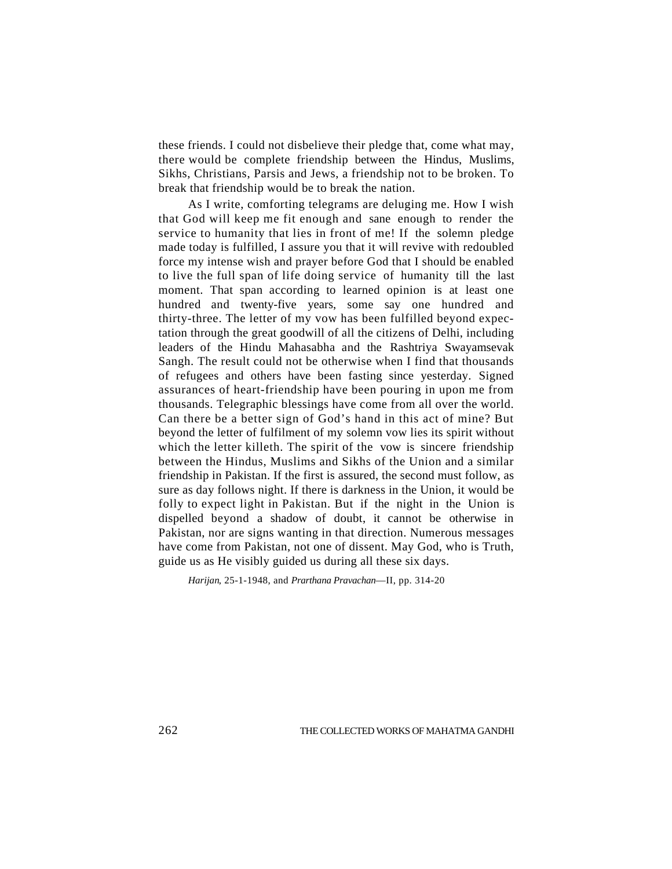these friends. I could not disbelieve their pledge that, come what may, there would be complete friendship between the Hindus, Muslims, Sikhs, Christians, Parsis and Jews, a friendship not to be broken. To break that friendship would be to break the nation.

As I write, comforting telegrams are deluging me. How I wish that God will keep me fit enough and sane enough to render the service to humanity that lies in front of me! If the solemn pledge made today is fulfilled, I assure you that it will revive with redoubled force my intense wish and prayer before God that I should be enabled to live the full span of life doing service of humanity till the last moment. That span according to learned opinion is at least one hundred and twenty-five years, some say one hundred and thirty-three. The letter of my vow has been fulfilled beyond expectation through the great goodwill of all the citizens of Delhi, including leaders of the Hindu Mahasabha and the Rashtriya Swayamsevak Sangh. The result could not be otherwise when I find that thousands of refugees and others have been fasting since yesterday. Signed assurances of heart-friendship have been pouring in upon me from thousands. Telegraphic blessings have come from all over the world. Can there be a better sign of God's hand in this act of mine? But beyond the letter of fulfilment of my solemn vow lies its spirit without which the letter killeth. The spirit of the vow is sincere friendship between the Hindus, Muslims and Sikhs of the Union and a similar friendship in Pakistan. If the first is assured, the second must follow, as sure as day follows night. If there is darkness in the Union, it would be folly to expect light in Pakistan. But if the night in the Union is dispelled beyond a shadow of doubt, it cannot be otherwise in Pakistan, nor are signs wanting in that direction. Numerous messages have come from Pakistan, not one of dissent. May God, who is Truth, guide us as He visibly guided us during all these six days.

*Harijan*, 25-1-1948, and *Prarthana Pravachan*—II, pp. 314-20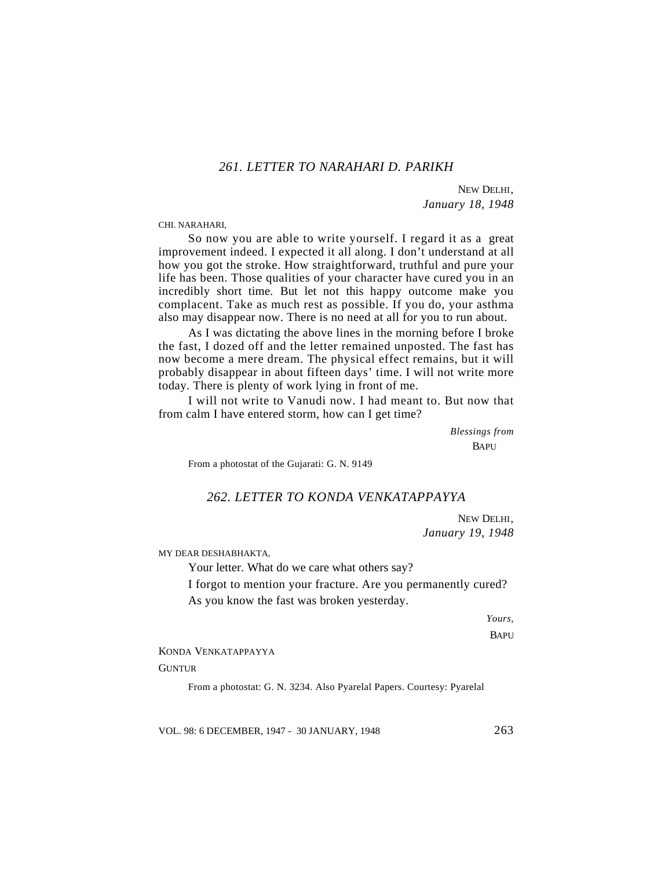## *261. LETTER TO NARAHARI D. PARIKH*

NEW DELHI, *January 18, 1948*

#### CHI. NARAHARI,

So now you are able to write yourself. I regard it as a great improvement indeed. I expected it all along. I don't understand at all how you got the stroke. How straightforward, truthful and pure your life has been. Those qualities of your character have cured you in an incredibly short time. But let not this happy outcome make you complacent. Take as much rest as possible. If you do, your asthma also may disappear now. There is no need at all for you to run about.

As I was dictating the above lines in the morning before I broke the fast, I dozed off and the letter remained unposted. The fast has now become a mere dream. The physical effect remains, but it will probably disappear in about fifteen days' time. I will not write more today. There is plenty of work lying in front of me.

I will not write to Vanudi now. I had meant to. But now that from calm I have entered storm, how can I get time?

> *Blessings from* **BAPU**

From a photostat of the Gujarati: G. N. 9149

## *262. LETTER TO KONDA VENKATAPPAYYA*

NEW DELHI, *January 19, 1948*

MY DEAR DESHABHAKTA,

Your letter. What do we care what others say?

I forgot to mention your fracture. Are you permanently cured? As you know the fast was broken yesterday.

*Yours,*

BAPU

#### KONDA VENKATAPPAYYA

**GUNTUR** 

From a photostat: G. N. 3234. Also Pyarelal Papers. Courtesy: Pyarelal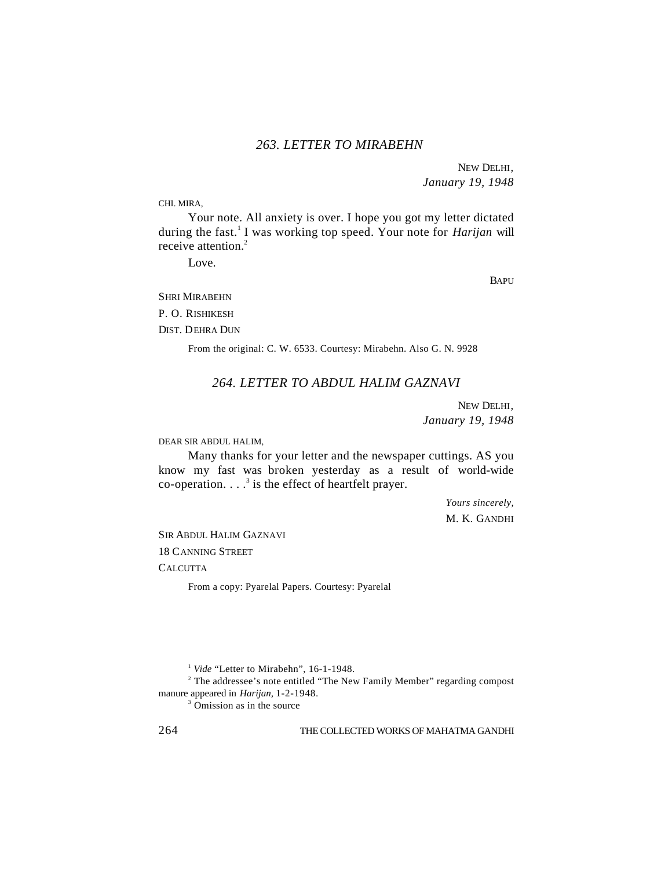## *263. LETTER TO MIRABEHN*

NEW DELHI, *January 19, 1948*

CHI. MIRA,

Your note. All anxiety is over. I hope you got my letter dictated during the fast.<sup>1</sup> I was working top speed. Your note for *Harijan* will receive attention.<sup>2</sup>

Love.

**BAPU** 

SHRI MIRABEHN P. O. RISHIKESH

DIST. DEHRA DUN

From the original: C. W. 6533. Courtesy: Mirabehn. Also G. N. 9928

## *264. LETTER TO ABDUL HALIM GAZNAVI*

NEW DELHI, *January 19, 1948*

#### DEAR SIR ABDUL HALIM,

Many thanks for your letter and the newspaper cuttings. AS you know my fast was broken yesterday as a result of world-wide co-operation.  $\ldots$ <sup>3</sup> is the effect of heartfelt prayer.

> *Yours sincerely,* M. K. GANDHI

SIR ABDUL HALIM GAZNAVI 18 CANNING STREET **CALCUTTA** 

From a copy: Pyarelal Papers. Courtesy: Pyarelal

<sup>&</sup>lt;sup>1</sup> *Vide* "Letter to Mirabehn", 16-1-1948.

<sup>&</sup>lt;sup>2</sup> The addressee's note entitled "The New Family Member" regarding compost manure appeared in *Harijan,* 1-2-1948.

<sup>3</sup> Omission as in the source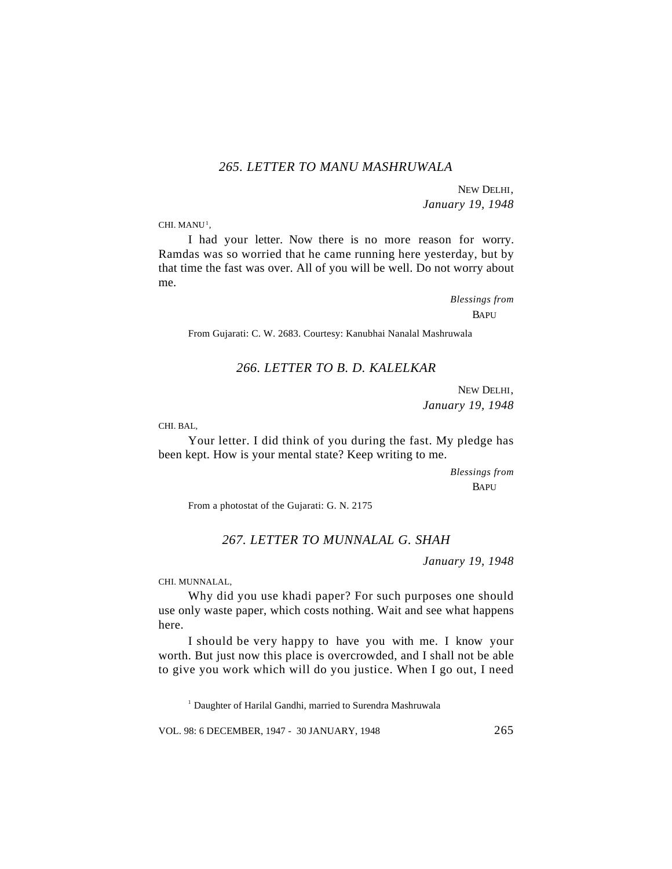## *265. LETTER TO MANU MASHRUWALA*

NEW DELHI, *January 19, 1948*

CHI. MANU<sup>1</sup>,

I had your letter. Now there is no more reason for worry. Ramdas was so worried that he came running here yesterday, but by that time the fast was over. All of you will be well. Do not worry about me.

> *Blessings from* **BAPU**

From Gujarati: C. W. 2683. Courtesy: Kanubhai Nanalal Mashruwala

### *266. LETTER TO B. D. KALELKAR*

NEW DELHI, *January 19, 1948*

CHI. BAL,

Your letter. I did think of you during the fast. My pledge has been kept. How is your mental state? Keep writing to me.

> *Blessings from* **BAPU**

From a photostat of the Gujarati: G. N. 2175

## *267. LETTER TO MUNNALAL G. SHAH*

*January 19, 1948*

CHI. MUNNALAL,

Why did you use khadi paper? For such purposes one should use only waste paper, which costs nothing. Wait and see what happens here.

I should be very happy to have you with me. I know your worth. But just now this place is overcrowded, and I shall not be able to give you work which will do you justice. When I go out, I need

<sup>1</sup> Daughter of Harilal Gandhi, married to Surendra Mashruwala

VOL. 98: 6 DECEMBER, 1947 - 30 JANUARY, 1948 265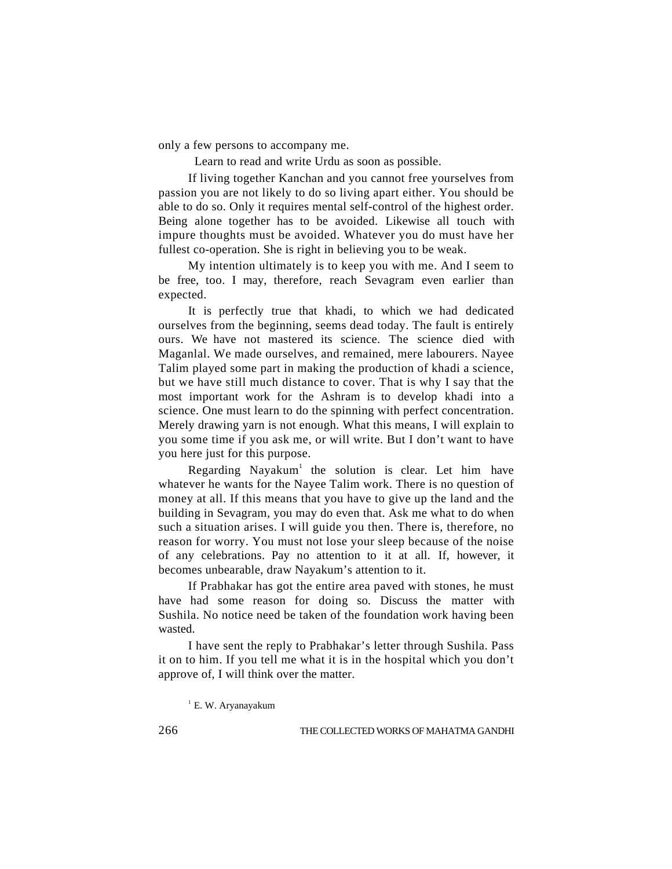only a few persons to accompany me.

Learn to read and write Urdu as soon as possible.

If living together Kanchan and you cannot free yourselves from passion you are not likely to do so living apart either. You should be able to do so. Only it requires mental self-control of the highest order. Being alone together has to be avoided. Likewise all touch with impure thoughts must be avoided. Whatever you do must have her fullest co-operation. She is right in believing you to be weak.

My intention ultimately is to keep you with me. And I seem to be free, too. I may, therefore, reach Sevagram even earlier than expected.

It is perfectly true that khadi, to which we had dedicated ourselves from the beginning, seems dead today. The fault is entirely ours. We have not mastered its science. The science died with Maganlal. We made ourselves, and remained, mere labourers. Nayee Talim played some part in making the production of khadi a science, but we have still much distance to cover. That is why I say that the most important work for the Ashram is to develop khadi into a science. One must learn to do the spinning with perfect concentration. Merely drawing yarn is not enough. What this means, I will explain to you some time if you ask me, or will write. But I don't want to have you here just for this purpose.

Regarding Nayakum<sup>1</sup> the solution is clear. Let him have whatever he wants for the Nayee Talim work. There is no question of money at all. If this means that you have to give up the land and the building in Sevagram, you may do even that. Ask me what to do when such a situation arises. I will guide you then. There is, therefore, no reason for worry. You must not lose your sleep because of the noise of any celebrations. Pay no attention to it at all. If, however, it becomes unbearable, draw Nayakum's attention to it.

If Prabhakar has got the entire area paved with stones, he must have had some reason for doing so. Discuss the matter with Sushila. No notice need be taken of the foundation work having been wasted.

I have sent the reply to Prabhakar's letter through Sushila. Pass it on to him. If you tell me what it is in the hospital which you don't approve of, I will think over the matter.

<sup>1</sup> E. W. Aryanayakum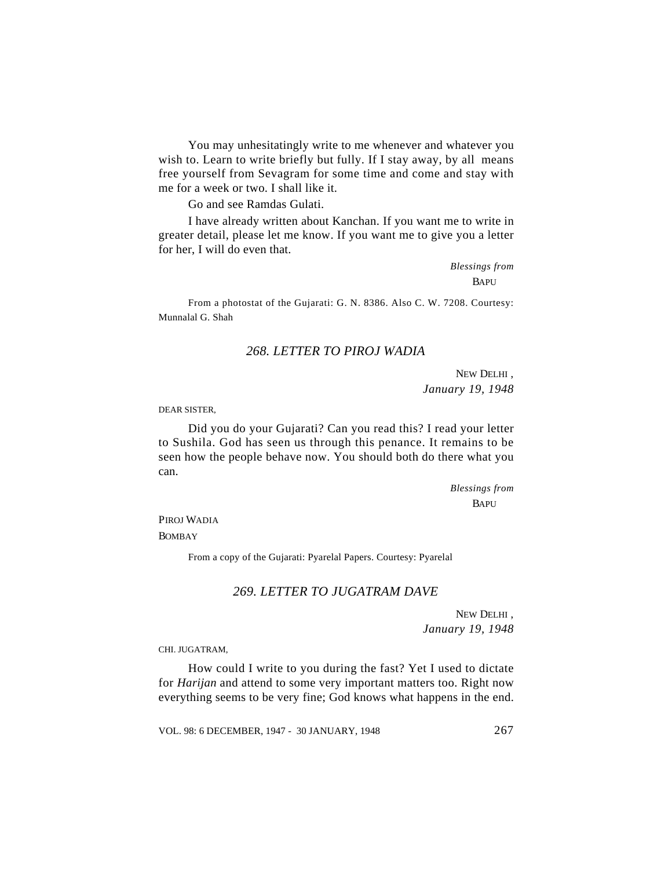You may unhesitatingly write to me whenever and whatever you wish to. Learn to write briefly but fully. If I stay away, by all means free yourself from Sevagram for some time and come and stay with me for a week or two. I shall like it.

Go and see Ramdas Gulati.

I have already written about Kanchan. If you want me to write in greater detail, please let me know. If you want me to give you a letter for her, I will do even that.

> *Blessings from* BAPU

From a photostat of the Gujarati: G. N. 8386. Also C. W. 7208. Courtesy: Munnalal G. Shah

## *268. LETTER TO PIROJ WADIA*

NEW DELHI , *January 19, 1948*

DEAR SISTER,

Did you do your Gujarati? Can you read this? I read your letter to Sushila. God has seen us through this penance. It remains to be seen how the people behave now. You should both do there what you can.

> *Blessings from* **BAPU**

PIROJ WADIA

**BOMBAY** 

From a copy of the Gujarati: Pyarelal Papers. Courtesy: Pyarelal

## *269. LETTER TO JUGATRAM DAVE*

NEW DELHI , *January 19, 1948*

CHI. JUGATRAM,

How could I write to you during the fast? Yet I used to dictate for *Harijan* and attend to some very important matters too. Right now everything seems to be very fine; God knows what happens in the end.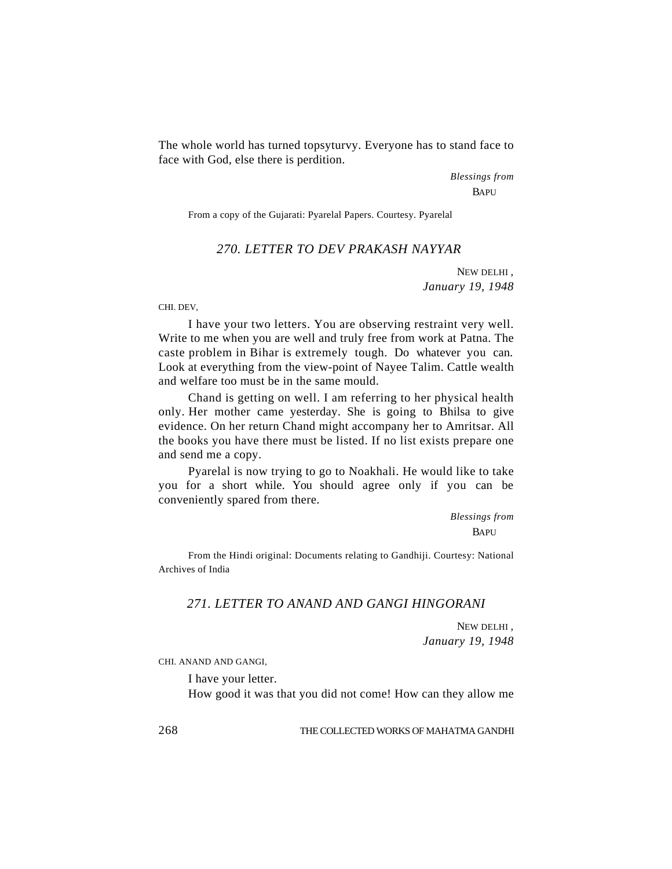The whole world has turned topsyturvy. Everyone has to stand face to face with God, else there is perdition.

> *Blessings from* **BAPU**

From a copy of the Gujarati: Pyarelal Papers. Courtesy. Pyarelal

## *270. LETTER TO DEV PRAKASH NAYYAR*

NEW DELHI , *January 19, 1948*

CHI. DEV

I have your two letters. You are observing restraint very well. Write to me when you are well and truly free from work at Patna. The caste problem in Bihar is extremely tough. Do whatever you can. Look at everything from the view-point of Nayee Talim. Cattle wealth and welfare too must be in the same mould.

Chand is getting on well. I am referring to her physical health only. Her mother came yesterday. She is going to Bhilsa to give evidence. On her return Chand might accompany her to Amritsar. All the books you have there must be listed. If no list exists prepare one and send me a copy.

Pyarelal is now trying to go to Noakhali. He would like to take you for a short while. You should agree only if you can be conveniently spared from there.

> *Blessings from* **BAPU**

From the Hindi original: Documents relating to Gandhiji. Courtesy: National Archives of India

### *271. LETTER TO ANAND AND GANGI HINGORANI*

NEW DELHI , *January 19, 1948*

CHI. ANAND AND GANGI,

I have your letter.

How good it was that you did not come! How can they allow me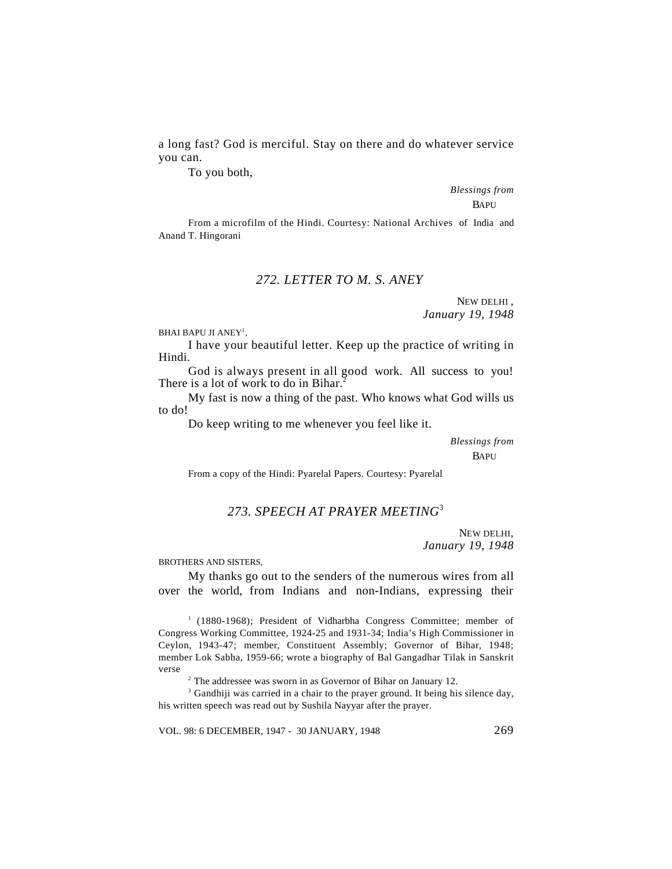a long fast? God is merciful. Stay on there and do whatever service you can.

To you both,

*Blessings from* **BAPU** 

From a microfilm of the Hindi. Courtesy: National Archives of India and Anand T. Hingorani

## *272. LETTER TO M. S. ANEY*

NEW DELHI , *January 19, 1948*

 $B$ HAI BAPU JI ANEY<sup>1</sup>,

I have your beautiful letter. Keep up the practice of writing in Hindi.

God is always present in all good work. All success to you! There is a lot of work to do in Bihar.

My fast is now a thing of the past. Who knows what God wills us to do!

Do keep writing to me whenever you feel like it.

*Blessings from* **BAPU** 

From a copy of the Hindi: Pyarelal Papers. Courtesy: Pyarelal

# *273. SPEECH AT PRAYER MEETING*<sup>3</sup>

NEW DELHI, *January 19, 1948*

BROTHERS AND SISTERS,

My thanks go out to the senders of the numerous wires from all over the world, from Indians and non-Indians, expressing their

<sup>1</sup> (1880-1968); President of Vidharbha Congress Committee; member of Congress Working Committee, 1924-25 and 1931-34; India's High Commissioner in Ceylon, 1943-47; member, Constituent Assembly; Governor of Bihar, 1948; member Lok Sabha, 1959-66; wrote a biography of Bal Gangadhar Tilak in Sanskrit verse

<sup>2</sup> The addressee was sworn in as Governor of Bihar on January 12.

<sup>3</sup> Gandhiji was carried in a chair to the prayer ground. It being his silence day, his written speech was read out by Sushila Nayyar after the prayer.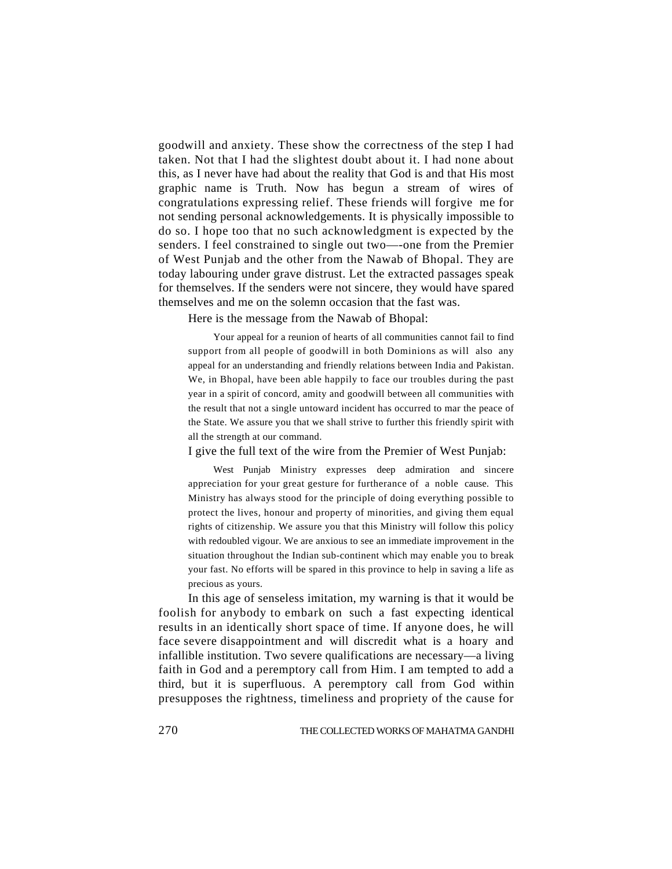goodwill and anxiety. These show the correctness of the step I had taken. Not that I had the slightest doubt about it. I had none about this, as I never have had about the reality that God is and that His most graphic name is Truth. Now has begun a stream of wires of congratulations expressing relief. These friends will forgive me for not sending personal acknowledgements. It is physically impossible to do so. I hope too that no such acknowledgment is expected by the senders. I feel constrained to single out two—-one from the Premier of West Punjab and the other from the Nawab of Bhopal. They are today labouring under grave distrust. Let the extracted passages speak for themselves. If the senders were not sincere, they would have spared themselves and me on the solemn occasion that the fast was.

Here is the message from the Nawab of Bhopal:

Your appeal for a reunion of hearts of all communities cannot fail to find support from all people of goodwill in both Dominions as will also any appeal for an understanding and friendly relations between India and Pakistan. We, in Bhopal, have been able happily to face our troubles during the past year in a spirit of concord, amity and goodwill between all communities with the result that not a single untoward incident has occurred to mar the peace of the State. We assure you that we shall strive to further this friendly spirit with all the strength at our command.

I give the full text of the wire from the Premier of West Punjab:

West Punjab Ministry expresses deep admiration and sincere appreciation for your great gesture for furtherance of a noble cause. This Ministry has always stood for the principle of doing everything possible to protect the lives, honour and property of minorities, and giving them equal rights of citizenship. We assure you that this Ministry will follow this policy with redoubled vigour. We are anxious to see an immediate improvement in the situation throughout the Indian sub-continent which may enable you to break your fast. No efforts will be spared in this province to help in saving a life as precious as yours.

In this age of senseless imitation, my warning is that it would be foolish for anybody to embark on such a fast expecting identical results in an identically short space of time. If anyone does, he will face severe disappointment and will discredit what is a hoary and infallible institution. Two severe qualifications are necessary—a living faith in God and a peremptory call from Him. I am tempted to add a third, but it is superfluous. A peremptory call from God within presupposes the rightness, timeliness and propriety of the cause for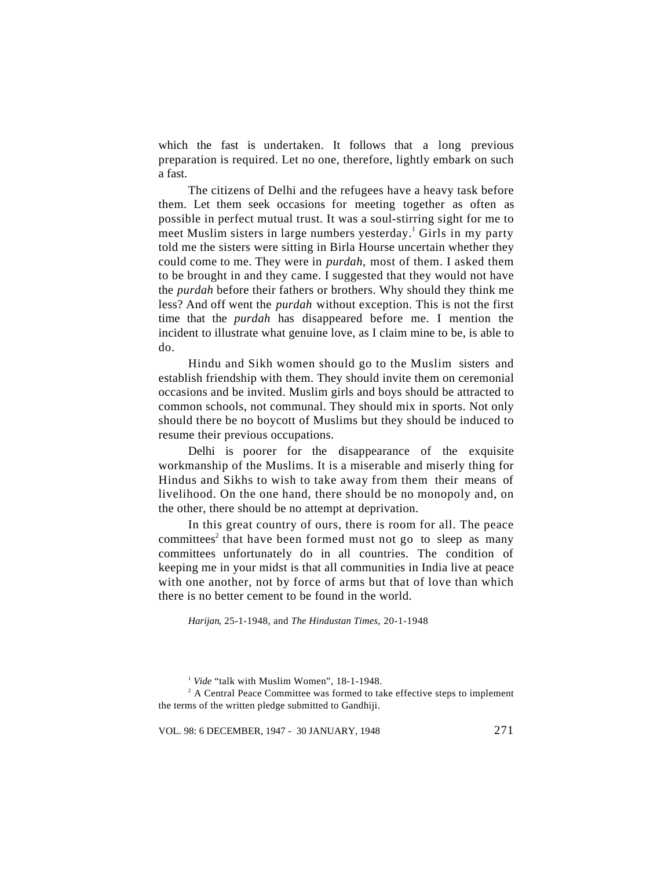which the fast is undertaken. It follows that a long previous preparation is required. Let no one, therefore, lightly embark on such a fast.

The citizens of Delhi and the refugees have a heavy task before them. Let them seek occasions for meeting together as often as possible in perfect mutual trust. It was a soul-stirring sight for me to meet Muslim sisters in large numbers yesterday.<sup>1</sup> Girls in my party told me the sisters were sitting in Birla Hourse uncertain whether they could come to me. They were in *purdah,* most of them. I asked them to be brought in and they came. I suggested that they would not have the *purdah* before their fathers or brothers. Why should they think me less? And off went the *purdah* without exception. This is not the first time that the *purdah* has disappeared before me. I mention the incident to illustrate what genuine love, as I claim mine to be, is able to do.

Hindu and Sikh women should go to the Muslim sisters and establish friendship with them. They should invite them on ceremonial occasions and be invited. Muslim girls and boys should be attracted to common schools, not communal. They should mix in sports. Not only should there be no boycott of Muslims but they should be induced to resume their previous occupations.

Delhi is poorer for the disappearance of the exquisite workmanship of the Muslims. It is a miserable and miserly thing for Hindus and Sikhs to wish to take away from them their means of livelihood. On the one hand, there should be no monopoly and, on the other, there should be no attempt at deprivation.

In this great country of ours, there is room for all. The peace committees<sup>2</sup> that have been formed must not go to sleep as many committees unfortunately do in all countries. The condition of keeping me in your midst is that all communities in India live at peace with one another, not by force of arms but that of love than which there is no better cement to be found in the world.

*Harijan*, 25-1-1948, and *The Hindustan Times*, 20-1-1948

<sup>1</sup> *Vide* "talk with Muslim Women", 18-1-1948.

 $2^2$  A Central Peace Committee was formed to take effective steps to implement the terms of the written pledge submitted to Gandhiji.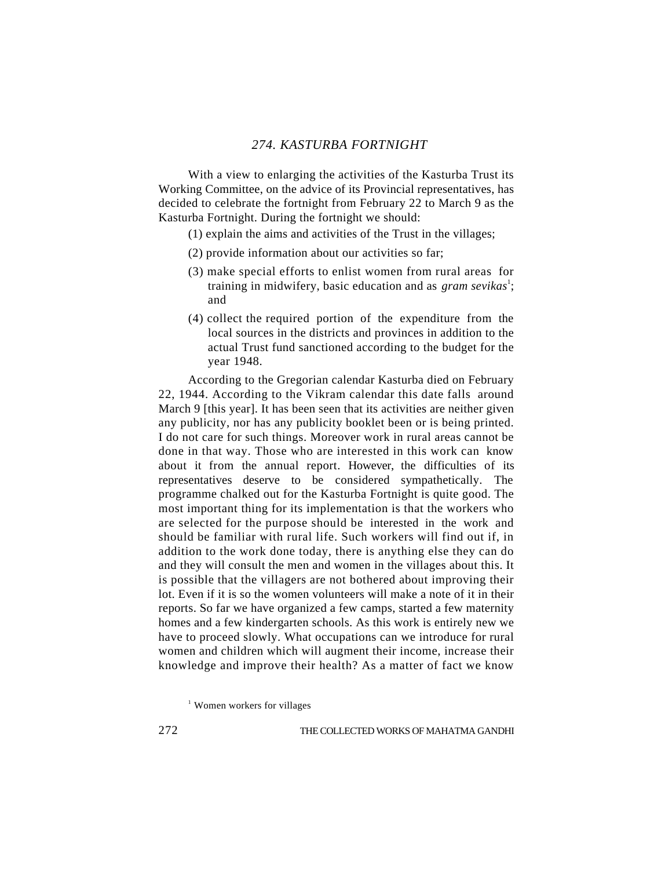## *274. KASTURBA FORTNIGHT*

With a view to enlarging the activities of the Kasturba Trust its Working Committee, on the advice of its Provincial representatives, has decided to celebrate the fortnight from February 22 to March 9 as the Kasturba Fortnight. During the fortnight we should:

(1) explain the aims and activities of the Trust in the villages;

- (2) provide information about our activities so far;
- (3) make special efforts to enlist women from rural areas for training in midwifery, basic education and as *gram sevikas*<sup>1</sup>; and
- (4) collect the required portion of the expenditure from the local sources in the districts and provinces in addition to the actual Trust fund sanctioned according to the budget for the year 1948.

According to the Gregorian calendar Kasturba died on February 22, 1944. According to the Vikram calendar this date falls around March 9 [this year]. It has been seen that its activities are neither given any publicity, nor has any publicity booklet been or is being printed. I do not care for such things. Moreover work in rural areas cannot be done in that way. Those who are interested in this work can know about it from the annual report. However, the difficulties of its representatives deserve to be considered sympathetically. The programme chalked out for the Kasturba Fortnight is quite good. The most important thing for its implementation is that the workers who are selected for the purpose should be interested in the work and should be familiar with rural life. Such workers will find out if, in addition to the work done today, there is anything else they can do and they will consult the men and women in the villages about this. It is possible that the villagers are not bothered about improving their lot. Even if it is so the women volunteers will make a note of it in their reports. So far we have organized a few camps, started a few maternity homes and a few kindergarten schools. As this work is entirely new we have to proceed slowly. What occupations can we introduce for rural women and children which will augment their income, increase their knowledge and improve their health? As a matter of fact we know

<sup>1</sup> Women workers for villages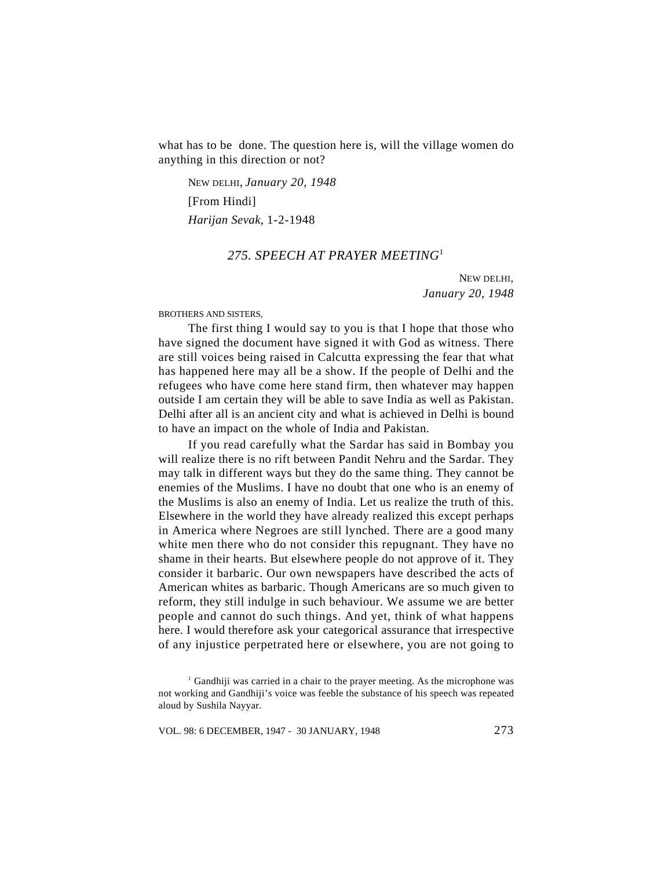what has to be done. The question here is, will the village women do anything in this direction or not?

NEW DELHI, *January 20, 1948* [From Hindi] *Harijan Sevak,* 1-2-1948

## *275. SPEECH AT PRAYER MEETING*<sup>1</sup>

NEW DELHI, *January 20, 1948*

#### BROTHERS AND SISTERS,

The first thing I would say to you is that I hope that those who have signed the document have signed it with God as witness. There are still voices being raised in Calcutta expressing the fear that what has happened here may all be a show. If the people of Delhi and the refugees who have come here stand firm, then whatever may happen outside I am certain they will be able to save India as well as Pakistan. Delhi after all is an ancient city and what is achieved in Delhi is bound to have an impact on the whole of India and Pakistan.

If you read carefully what the Sardar has said in Bombay you will realize there is no rift between Pandit Nehru and the Sardar. They may talk in different ways but they do the same thing. They cannot be enemies of the Muslims. I have no doubt that one who is an enemy of the Muslims is also an enemy of India. Let us realize the truth of this. Elsewhere in the world they have already realized this except perhaps in America where Negroes are still lynched. There are a good many white men there who do not consider this repugnant. They have no shame in their hearts. But elsewhere people do not approve of it. They consider it barbaric. Our own newspapers have described the acts of American whites as barbaric. Though Americans are so much given to reform, they still indulge in such behaviour. We assume we are better people and cannot do such things. And yet, think of what happens here. I would therefore ask your categorical assurance that irrespective of any injustice perpetrated here or elsewhere, you are not going to

<sup>&</sup>lt;sup>1</sup> Gandhiji was carried in a chair to the prayer meeting. As the microphone was not working and Gandhiji's voice was feeble the substance of his speech was repeated aloud by Sushila Nayyar.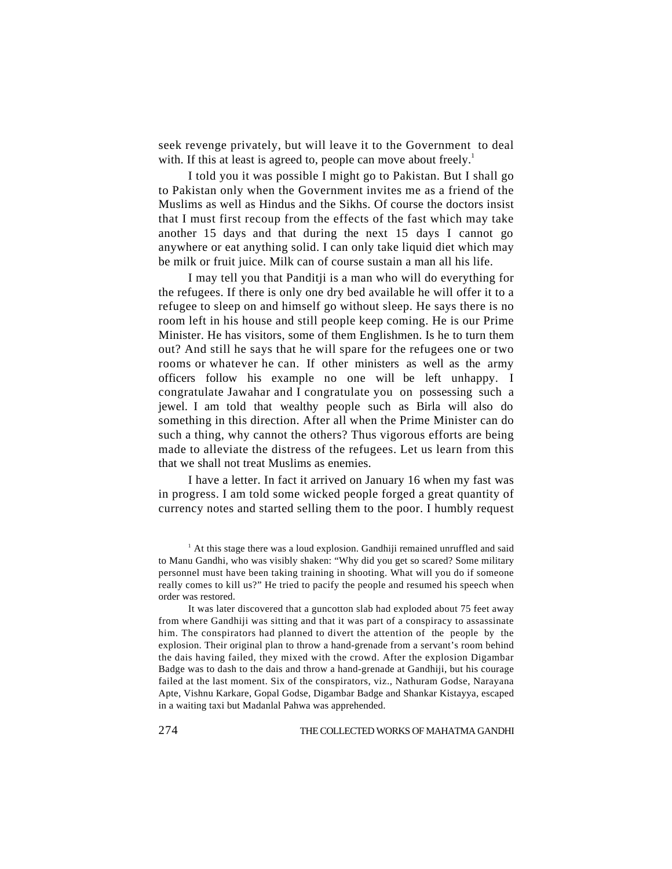seek revenge privately, but will leave it to the Government to deal with. If this at least is agreed to, people can move about freely.<sup>1</sup>

I told you it was possible I might go to Pakistan. But I shall go to Pakistan only when the Government invites me as a friend of the Muslims as well as Hindus and the Sikhs. Of course the doctors insist that I must first recoup from the effects of the fast which may take another 15 days and that during the next 15 days I cannot go anywhere or eat anything solid. I can only take liquid diet which may be milk or fruit juice. Milk can of course sustain a man all his life.

I may tell you that Panditji is a man who will do everything for the refugees. If there is only one dry bed available he will offer it to a refugee to sleep on and himself go without sleep. He says there is no room left in his house and still people keep coming. He is our Prime Minister. He has visitors, some of them Englishmen. Is he to turn them out? And still he says that he will spare for the refugees one or two rooms or whatever he can. If other ministers as well as the army officers follow his example no one will be left unhappy. I congratulate Jawahar and I congratulate you on possessing such a jewel. I am told that wealthy people such as Birla will also do something in this direction. After all when the Prime Minister can do such a thing, why cannot the others? Thus vigorous efforts are being made to alleviate the distress of the refugees. Let us learn from this that we shall not treat Muslims as enemies.

I have a letter. In fact it arrived on January 16 when my fast was in progress. I am told some wicked people forged a great quantity of currency notes and started selling them to the poor. I humbly request

<sup>1</sup> At this stage there was a loud explosion. Gandhiji remained unruffled and said to Manu Gandhi, who was visibly shaken: "Why did you get so scared? Some military personnel must have been taking training in shooting. What will you do if someone really comes to kill us?" He tried to pacify the people and resumed his speech when order was restored.

It was later discovered that a guncotton slab had exploded about 75 feet away from where Gandhiji was sitting and that it was part of a conspiracy to assassinate him. The conspirators had planned to divert the attention of the people by the explosion. Their original plan to throw a hand-grenade from a servant's room behind the dais having failed, they mixed with the crowd. After the explosion Digambar Badge was to dash to the dais and throw a hand-grenade at Gandhiji, but his courage failed at the last moment. Six of the conspirators, viz., Nathuram Godse, Narayana Apte, Vishnu Karkare, Gopal Godse, Digambar Badge and Shankar Kistayya, escaped in a waiting taxi but Madanlal Pahwa was apprehended.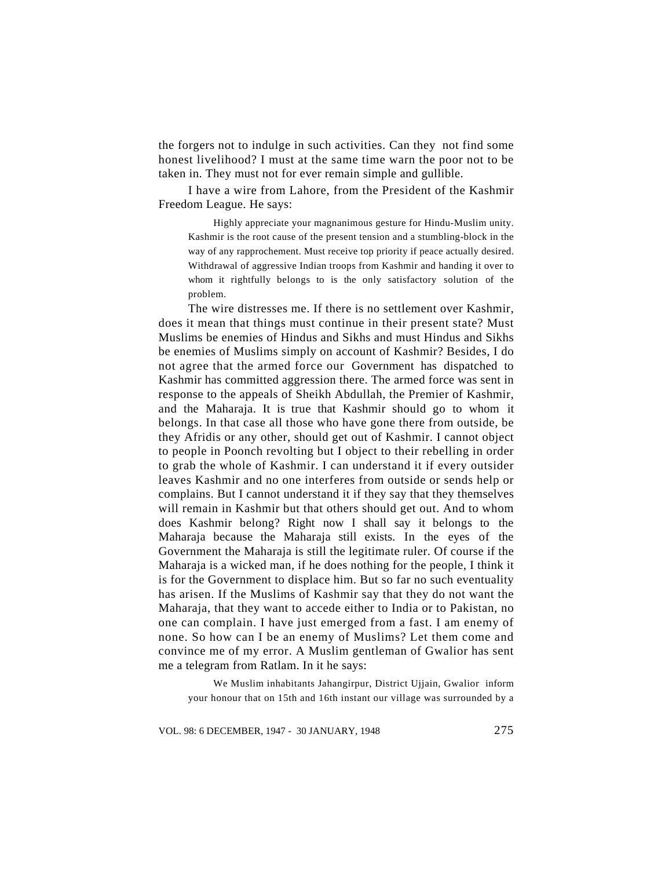the forgers not to indulge in such activities. Can they not find some honest livelihood? I must at the same time warn the poor not to be taken in. They must not for ever remain simple and gullible.

I have a wire from Lahore, from the President of the Kashmir Freedom League. He says:

Highly appreciate your magnanimous gesture for Hindu-Muslim unity. Kashmir is the root cause of the present tension and a stumbling-block in the way of any rapprochement. Must receive top priority if peace actually desired. Withdrawal of aggressive Indian troops from Kashmir and handing it over to whom it rightfully belongs to is the only satisfactory solution of the problem.

The wire distresses me. If there is no settlement over Kashmir, does it mean that things must continue in their present state? Must Muslims be enemies of Hindus and Sikhs and must Hindus and Sikhs be enemies of Muslims simply on account of Kashmir? Besides, I do not agree that the armed force our Government has dispatched to Kashmir has committed aggression there. The armed force was sent in response to the appeals of Sheikh Abdullah, the Premier of Kashmir, and the Maharaja. It is true that Kashmir should go to whom it belongs. In that case all those who have gone there from outside, be they Afridis or any other, should get out of Kashmir. I cannot object to people in Poonch revolting but I object to their rebelling in order to grab the whole of Kashmir. I can understand it if every outsider leaves Kashmir and no one interferes from outside or sends help or complains. But I cannot understand it if they say that they themselves will remain in Kashmir but that others should get out. And to whom does Kashmir belong? Right now I shall say it belongs to the Maharaja because the Maharaja still exists. In the eyes of the Government the Maharaja is still the legitimate ruler. Of course if the Maharaja is a wicked man, if he does nothing for the people, I think it is for the Government to displace him. But so far no such eventuality has arisen. If the Muslims of Kashmir say that they do not want the Maharaja, that they want to accede either to India or to Pakistan, no one can complain. I have just emerged from a fast. I am enemy of none. So how can I be an enemy of Muslims? Let them come and convince me of my error. A Muslim gentleman of Gwalior has sent me a telegram from Ratlam. In it he says:

We Muslim inhabitants Jahangirpur, District Ujjain, Gwalior inform your honour that on 15th and 16th instant our village was surrounded by a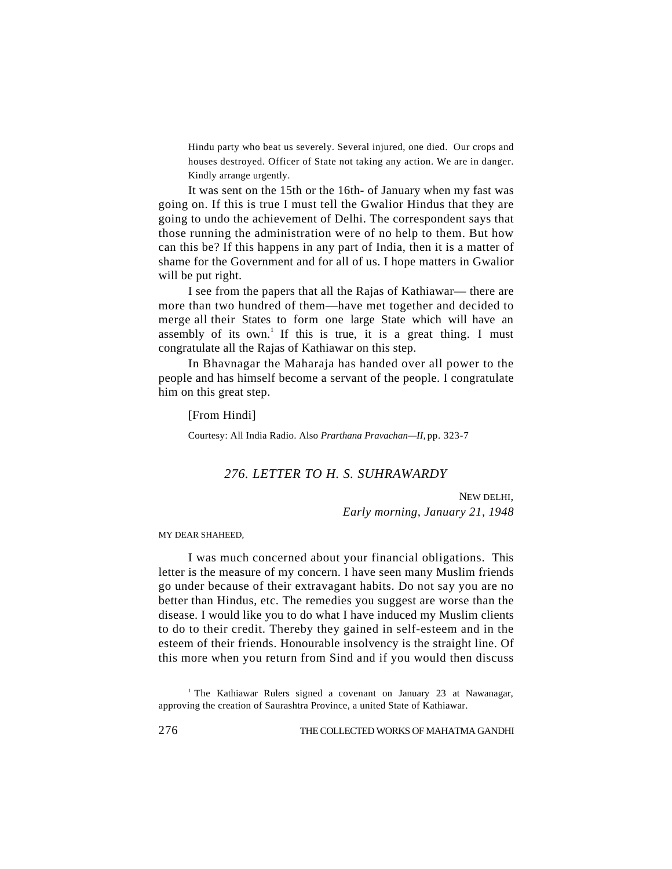Hindu party who beat us severely. Several injured, one died. Our crops and houses destroyed. Officer of State not taking any action. We are in danger. Kindly arrange urgently.

It was sent on the 15th or the 16th- of January when my fast was going on. If this is true I must tell the Gwalior Hindus that they are going to undo the achievement of Delhi. The correspondent says that those running the administration were of no help to them. But how can this be? If this happens in any part of India, then it is a matter of shame for the Government and for all of us. I hope matters in Gwalior will be put right.

I see from the papers that all the Rajas of Kathiawar— there are more than two hundred of them—have met together and decided to merge all their States to form one large State which will have an assembly of its own.<sup>1</sup> If this is true, it is a great thing. I must congratulate all the Rajas of Kathiawar on this step.

In Bhavnagar the Maharaja has handed over all power to the people and has himself become a servant of the people. I congratulate him on this great step.

[From Hindi]

Courtesy: All India Radio. Also *Prarthana Pravachan—II,* pp. 323-7

## *276. LETTER TO H. S. SUHRAWARDY*

NEW DELHI, *Early morning, January 21, 1948*

MY DEAR SHAHEED,

I was much concerned about your financial obligations. This letter is the measure of my concern. I have seen many Muslim friends go under because of their extravagant habits. Do not say you are no better than Hindus, etc. The remedies you suggest are worse than the disease. I would like you to do what I have induced my Muslim clients to do to their credit. Thereby they gained in self-esteem and in the esteem of their friends. Honourable insolvency is the straight line. Of this more when you return from Sind and if you would then discuss

<sup>&</sup>lt;sup>1</sup> The Kathiawar Rulers signed a covenant on January 23 at Nawanagar, approving the creation of Saurashtra Province, a united State of Kathiawar.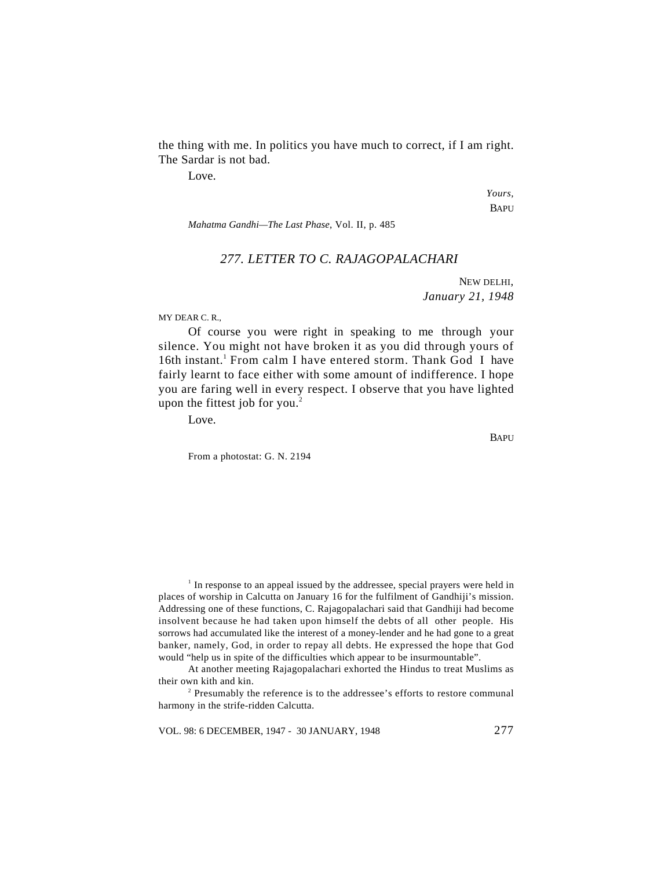the thing with me. In politics you have much to correct, if I am right. The Sardar is not bad.

Love.

*Yours,* **BAPU** 

*Mahatma Gandhi—The Last Phase*, Vol. II, p. 485

## *277. LETTER TO C. RAJAGOPALACHARI*

NEW DELHI, *January 21, 1948*

MY DEAR C. R.,

Of course you were right in speaking to me through your silence. You might not have broken it as you did through yours of 16th instant.<sup>1</sup> From calm I have entered storm. Thank God I have fairly learnt to face either with some amount of indifference. I hope you are faring well in every respect. I observe that you have lighted upon the fittest job for you. $2$ 

Love.

**BAPU** 

From a photostat: G. N. 2194

<sup>1</sup> In response to an appeal issued by the addressee, special prayers were held in places of worship in Calcutta on January 16 for the fulfilment of Gandhiji's mission. Addressing one of these functions, C. Rajagopalachari said that Gandhiji had become insolvent because he had taken upon himself the debts of all other people. His sorrows had accumulated like the interest of a money-lender and he had gone to a great banker, namely, God, in order to repay all debts. He expressed the hope that God would "help us in spite of the difficulties which appear to be insurmountable".

At another meeting Rajagopalachari exhorted the Hindus to treat Muslims as their own kith and kin.

<sup>2</sup> Presumably the reference is to the addressee's efforts to restore communal harmony in the strife-ridden Calcutta.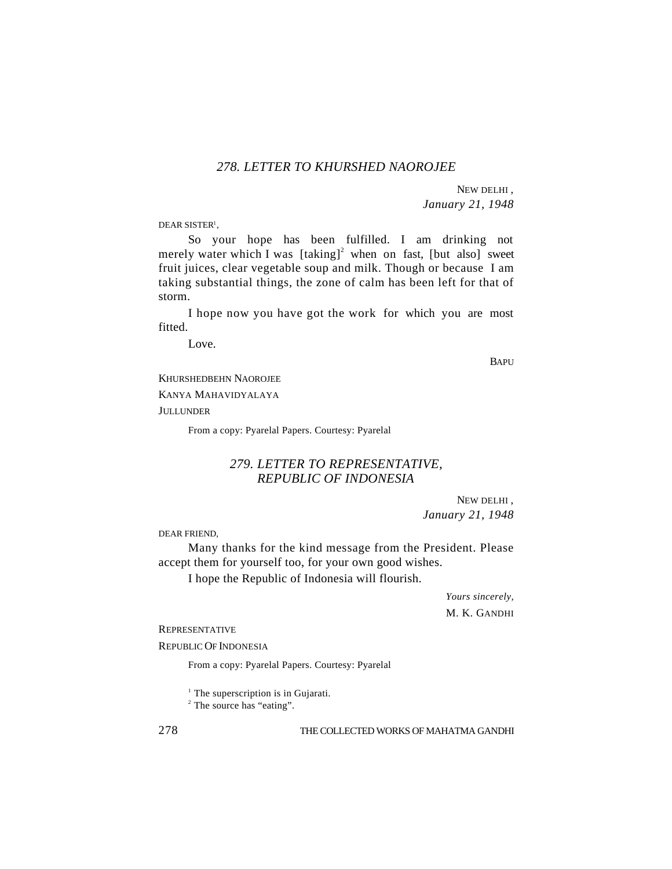NEW DELHI , *January 21, 1948*

DEAR SISTER<sup>1</sup>,

So your hope has been fulfilled. I am drinking not merely water which I was  $[taking]<sup>2</sup>$  when on fast, [but also] sweet fruit juices, clear vegetable soup and milk. Though or because I am taking substantial things, the zone of calm has been left for that of storm.

I hope now you have got the work for which you are most fitted.

Love.

**BAPU** 

KHURSHEDBEHN NAOROJEE

KANYA MAHAVIDYALAYA

**JULLUNDER** 

From a copy: Pyarelal Papers. Courtesy: Pyarelal

# *279. LETTER TO REPRESENTATIVE, REPUBLIC OF INDONESIA*

NEW DELHI , *January 21, 1948*

DEAR FRIEND,

Many thanks for the kind message from the President. Please accept them for yourself too, for your own good wishes.

I hope the Republic of Indonesia will flourish.

*Yours sincerely,* M. K. GANDHI

REPRESENTATIVE

REPUBLIC OF INDONESIA

From a copy: Pyarelal Papers. Courtesy: Pyarelal

<sup>1</sup> The superscription is in Gujarati.

<sup>2</sup> The source has "eating".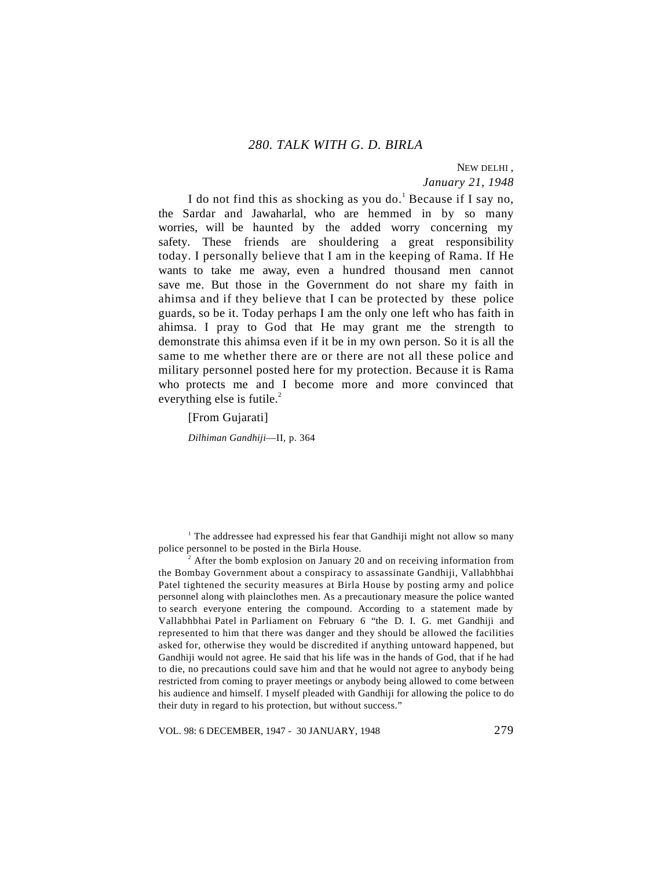NEW DELHI , *January 21, 1948*

I do not find this as shocking as you do.<sup>1</sup> Because if I say no, the Sardar and Jawaharlal, who are hemmed in by so many worries, will be haunted by the added worry concerning my safety. These friends are shouldering a great responsibility today. I personally believe that I am in the keeping of Rama. If He wants to take me away, even a hundred thousand men cannot save me. But those in the Government do not share my faith in ahimsa and if they believe that I can be protected by these police guards, so be it. Today perhaps I am the only one left who has faith in ahimsa. I pray to God that He may grant me the strength to demonstrate this ahimsa even if it be in my own person. So it is all the same to me whether there are or there are not all these police and military personnel posted here for my protection. Because it is Rama who protects me and I become more and more convinced that everything else is futile. $2$ 

[From Gujarati] *Dilhiman Gandhiji*—II, p. 364

<sup>1</sup> The addressee had expressed his fear that Gandhiji might not allow so many police personnel to be posted in the Birla House.

 $2<sup>2</sup>$  After the bomb explosion on January 20 and on receiving information from the Bombay Government about a conspiracy to assassinate Gandhiji, Vallabhbhai Patel tightened the security measures at Birla House by posting army and police personnel along with plainclothes men. As a precautionary measure the police wanted to search everyone entering the compound. According to a statement made by Vallabhbhai Patel in Parliament on February 6 "the D. I. G. met Gandhiji and represented to him that there was danger and they should be allowed the facilities asked for, otherwise they would be discredited if anything untoward happened, but Gandhiji would not agree. He said that his life was in the hands of God, that if he had to die, no precautions could save him and that he would not agree to anybody being restricted from coming to prayer meetings or anybody being allowed to come between his audience and himself. I myself pleaded with Gandhiji for allowing the police to do their duty in regard to his protection, but without success."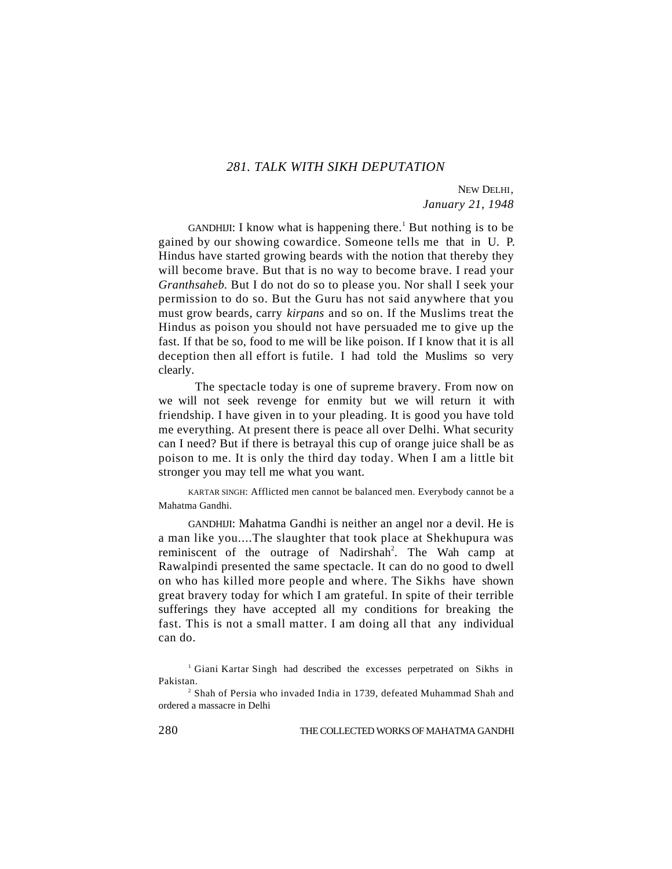## *281. TALK WITH SIKH DEPUTATION*

NEW DELHI, *January 21, 1948*

GANDHIJI: I know what is happening there.<sup>1</sup> But nothing is to be gained by our showing cowardice. Someone tells me that in U. P. Hindus have started growing beards with the notion that thereby they will become brave. But that is no way to become brave. I read your *Granthsaheb.* But I do not do so to please you. Nor shall I seek your permission to do so. But the Guru has not said anywhere that you must grow beards, carry *kirpans* and so on. If the Muslims treat the Hindus as poison you should not have persuaded me to give up the fast. If that be so, food to me will be like poison. If I know that it is all deception then all effort is futile. I had told the Muslims so very clearly.

 The spectacle today is one of supreme bravery. From now on we will not seek revenge for enmity but we will return it with friendship. I have given in to your pleading. It is good you have told me everything. At present there is peace all over Delhi. What security can I need? But if there is betrayal this cup of orange juice shall be as poison to me. It is only the third day today. When I am a little bit stronger you may tell me what you want.

KARTAR SINGH: Afflicted men cannot be balanced men. Everybody cannot be a Mahatma Gandhi.

GANDHIJI: Mahatma Gandhi is neither an angel nor a devil. He is a man like you....The slaughter that took place at Shekhupura was reminiscent of the outrage of Nadirshah<sup>2</sup>. The Wah camp at Rawalpindi presented the same spectacle. It can do no good to dwell on who has killed more people and where. The Sikhs have shown great bravery today for which I am grateful. In spite of their terrible sufferings they have accepted all my conditions for breaking the fast. This is not a small matter. I am doing all that any individual can do.

<sup>1</sup> Giani Kartar Singh had described the excesses perpetrated on Sikhs in Pakistan.

<sup>2</sup> Shah of Persia who invaded India in 1739, defeated Muhammad Shah and ordered a massacre in Delhi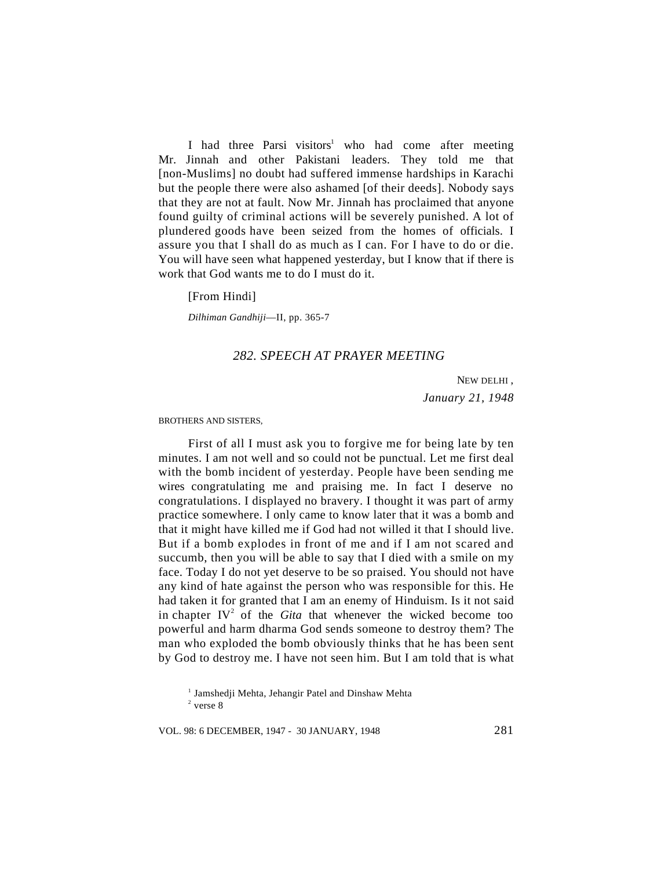I had three Parsi visitors<sup>1</sup> who had come after meeting Mr. Jinnah and other Pakistani leaders. They told me that [non-Muslims] no doubt had suffered immense hardships in Karachi but the people there were also ashamed [of their deeds]. Nobody says that they are not at fault. Now Mr. Jinnah has proclaimed that anyone found guilty of criminal actions will be severely punished. A lot of plundered goods have been seized from the homes of officials. I assure you that I shall do as much as I can. For I have to do or die. You will have seen what happened yesterday, but I know that if there is work that God wants me to do I must do it.

[From Hindi]

*Dilhiman Gandhiji*—II, pp. 365-7

## *282. SPEECH AT PRAYER MEETING*

NEW DELHI , *January 21, 1948*

#### BROTHERS AND SISTERS,

First of all I must ask you to forgive me for being late by ten minutes. I am not well and so could not be punctual. Let me first deal with the bomb incident of yesterday. People have been sending me wires congratulating me and praising me. In fact I deserve no congratulations. I displayed no bravery. I thought it was part of army practice somewhere. I only came to know later that it was a bomb and that it might have killed me if God had not willed it that I should live. But if a bomb explodes in front of me and if I am not scared and succumb, then you will be able to say that I died with a smile on my face. Today I do not yet deserve to be so praised. You should not have any kind of hate against the person who was responsible for this. He had taken it for granted that I am an enemy of Hinduism. Is it not said in chapter  $IV^2$  of the *Gita* that whenever the wicked become too powerful and harm dharma God sends someone to destroy them? The man who exploded the bomb obviously thinks that he has been sent by God to destroy me. I have not seen him. But I am told that is what

<sup>1</sup> Jamshedji Mehta, Jehangir Patel and Dinshaw Mehta  $2$  verse 8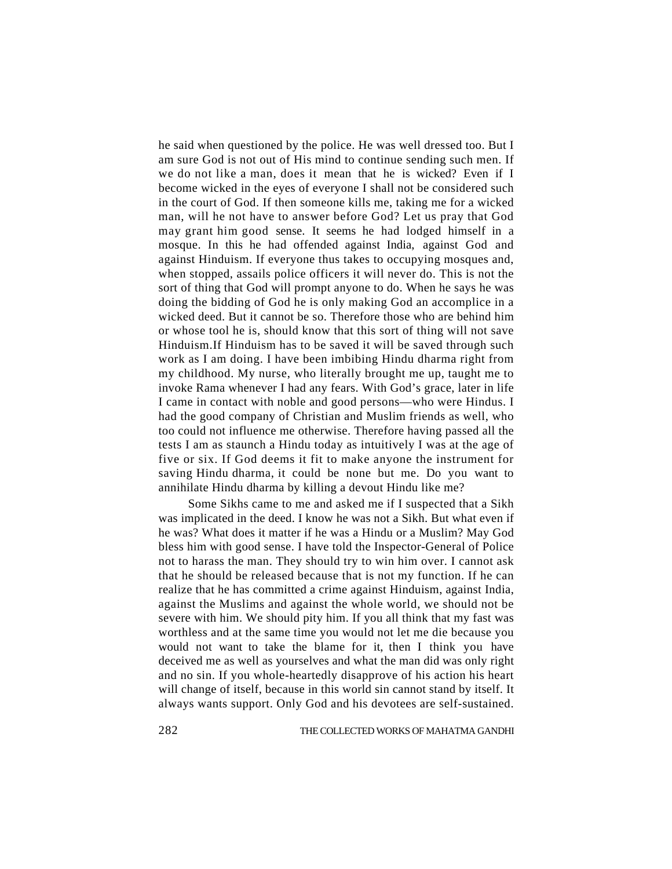he said when questioned by the police. He was well dressed too. But I am sure God is not out of His mind to continue sending such men. If we do not like a man, does it mean that he is wicked? Even if I become wicked in the eyes of everyone I shall not be considered such in the court of God. If then someone kills me, taking me for a wicked man, will he not have to answer before God? Let us pray that God may grant him good sense. It seems he had lodged himself in a mosque. In this he had offended against India, against God and against Hinduism. If everyone thus takes to occupying mosques and, when stopped, assails police officers it will never do. This is not the sort of thing that God will prompt anyone to do. When he says he was doing the bidding of God he is only making God an accomplice in a wicked deed. But it cannot be so. Therefore those who are behind him or whose tool he is, should know that this sort of thing will not save Hinduism.If Hinduism has to be saved it will be saved through such work as I am doing. I have been imbibing Hindu dharma right from my childhood. My nurse, who literally brought me up, taught me to invoke Rama whenever I had any fears. With God's grace, later in life I came in contact with noble and good persons—who were Hindus. I had the good company of Christian and Muslim friends as well, who too could not influence me otherwise. Therefore having passed all the tests I am as staunch a Hindu today as intuitively I was at the age of five or six. If God deems it fit to make anyone the instrument for saving Hindu dharma, it could be none but me. Do you want to annihilate Hindu dharma by killing a devout Hindu like me?

Some Sikhs came to me and asked me if I suspected that a Sikh was implicated in the deed. I know he was not a Sikh. But what even if he was? What does it matter if he was a Hindu or a Muslim? May God bless him with good sense. I have told the Inspector-General of Police not to harass the man. They should try to win him over. I cannot ask that he should be released because that is not my function. If he can realize that he has committed a crime against Hinduism, against India, against the Muslims and against the whole world, we should not be severe with him. We should pity him. If you all think that my fast was worthless and at the same time you would not let me die because you would not want to take the blame for it, then I think you have deceived me as well as yourselves and what the man did was only right and no sin. If you whole-heartedly disapprove of his action his heart will change of itself, because in this world sin cannot stand by itself. It always wants support. Only God and his devotees are self-sustained.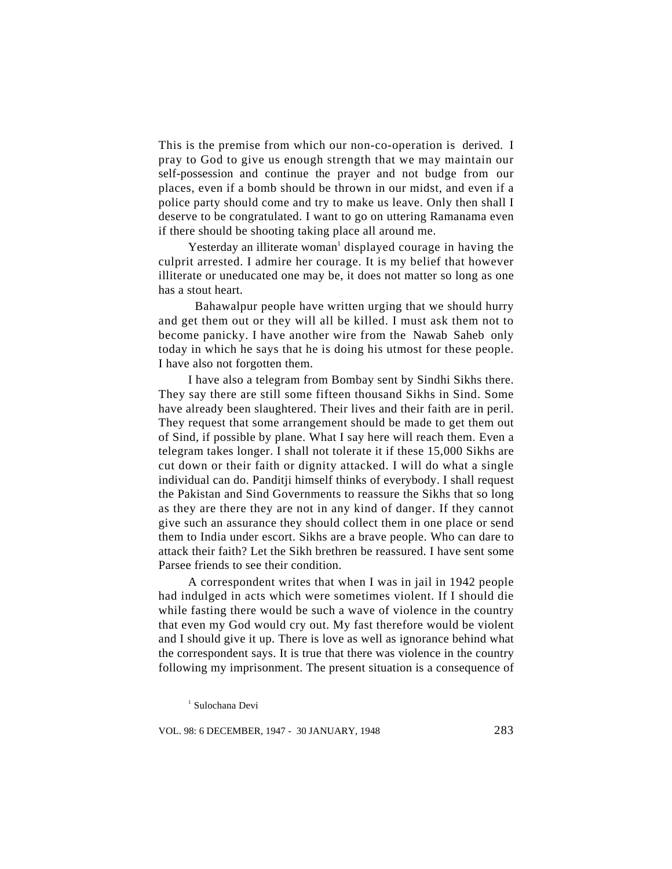This is the premise from which our non-co-operation is derived. I pray to God to give us enough strength that we may maintain our self-possession and continue the prayer and not budge from our places, even if a bomb should be thrown in our midst, and even if a police party should come and try to make us leave. Only then shall I deserve to be congratulated. I want to go on uttering Ramanama even if there should be shooting taking place all around me.

Yesterday an illiterate woman<sup>1</sup> displayed courage in having the culprit arrested. I admire her courage. It is my belief that however illiterate or uneducated one may be, it does not matter so long as one has a stout heart.

 Bahawalpur people have written urging that we should hurry and get them out or they will all be killed. I must ask them not to become panicky. I have another wire from the Nawab Saheb only today in which he says that he is doing his utmost for these people. I have also not forgotten them.

I have also a telegram from Bombay sent by Sindhi Sikhs there. They say there are still some fifteen thousand Sikhs in Sind. Some have already been slaughtered. Their lives and their faith are in peril. They request that some arrangement should be made to get them out of Sind, if possible by plane. What I say here will reach them. Even a telegram takes longer. I shall not tolerate it if these 15,000 Sikhs are cut down or their faith or dignity attacked. I will do what a single individual can do. Panditji himself thinks of everybody. I shall request the Pakistan and Sind Governments to reassure the Sikhs that so long as they are there they are not in any kind of danger. If they cannot give such an assurance they should collect them in one place or send them to India under escort. Sikhs are a brave people. Who can dare to attack their faith? Let the Sikh brethren be reassured. I have sent some Parsee friends to see their condition.

A correspondent writes that when I was in jail in 1942 people had indulged in acts which were sometimes violent. If I should die while fasting there would be such a wave of violence in the country that even my God would cry out. My fast therefore would be violent and I should give it up. There is love as well as ignorance behind what the correspondent says. It is true that there was violence in the country following my imprisonment. The present situation is a consequence of

<sup>&</sup>lt;sup>1</sup> Sulochana Devi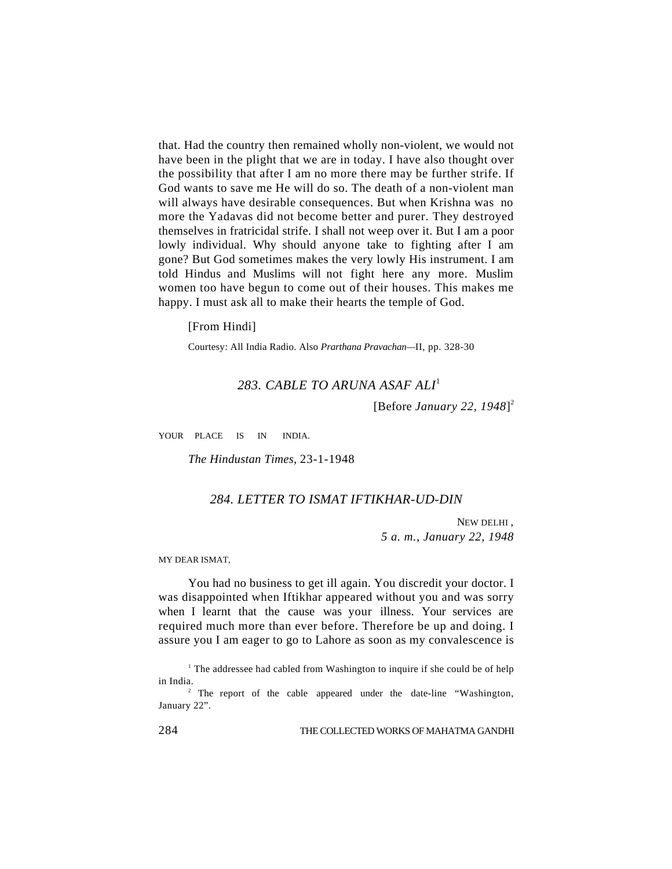that. Had the country then remained wholly non-violent, we would not have been in the plight that we are in today. I have also thought over the possibility that after I am no more there may be further strife. If God wants to save me He will do so. The death of a non-violent man will always have desirable consequences. But when Krishna was no more the Yadavas did not become better and purer. They destroyed themselves in fratricidal strife. I shall not weep over it. But I am a poor lowly individual. Why should anyone take to fighting after I am gone? But God sometimes makes the very lowly His instrument. I am told Hindus and Muslims will not fight here any more. Muslim women too have begun to come out of their houses. This makes me happy. I must ask all to make their hearts the temple of God.

#### [From Hindi]

Courtesy: All India Radio. Also *Prarthana Pravachan—*II, pp. 328-30

## *283. CABLE TO ARUNA ASAF ALI*<sup>1</sup>

[Before *January 22, 1948*] 2

YOUR PLACE IS IN INDIA.

*The Hindustan Times,* 23-1-1948

### *284. LETTER TO ISMAT IFTIKHAR-UD-DIN*

NEW DELHI , *5 a. m., January 22, 1948*

MY DEAR ISMAT,

You had no business to get ill again. You discredit your doctor. I was disappointed when Iftikhar appeared without you and was sorry when I learnt that the cause was your illness. Your services are required much more than ever before. Therefore be up and doing. I assure you I am eager to go to Lahore as soon as my convalescence is

<sup>&</sup>lt;sup>1</sup> The addressee had cabled from Washington to inquire if she could be of help in India.

<sup>&</sup>lt;sup>2</sup> The report of the cable appeared under the date-line "Washington, January 22".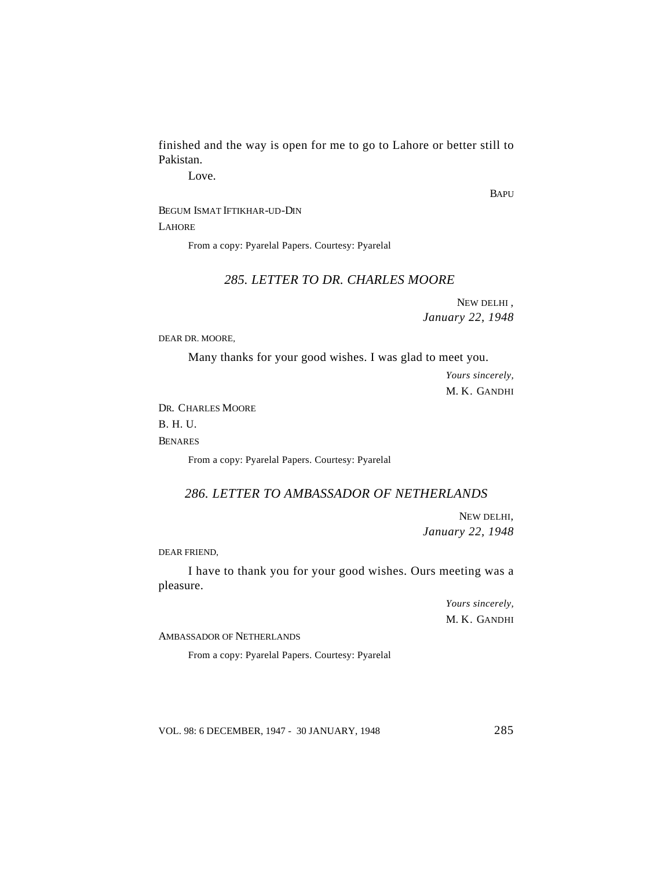finished and the way is open for me to go to Lahore or better still to Pakistan.

Love.

BAPU

# BEGUM ISMAT IFTIKHAR-UD-DIN LAHORE

From a copy: Pyarelal Papers. Courtesy: Pyarelal

# *285. LETTER TO DR. CHARLES MOORE*

NEW DELHI , *January 22, 1948*

DEAR DR. MOORE*,*

Many thanks for your good wishes. I was glad to meet you.

*Yours sincerely,* M. K*.* GANDHI

DR. CHARLES MOORE B. H. U.

BENARES

From a copy: Pyarelal Papers. Courtesy: Pyarelal

## *286. LETTER TO AMBASSADOR OF NETHERLANDS*

NEW DELHI, *January 22, 1948*

DEAR FRIEND,

I have to thank you for your good wishes. Ours meeting was a pleasure.

> *Yours sincerely,* M. K*.* GANDHI

#### AMBASSADOR OF NETHERLANDS

From a copy: Pyarelal Papers. Courtesy: Pyarelal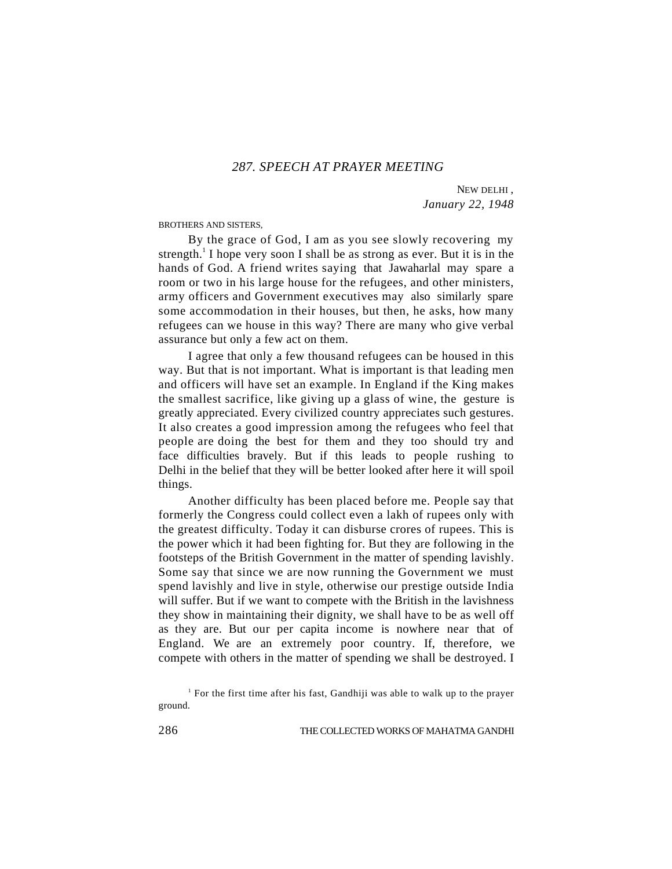## *287. SPEECH AT PRAYER MEETING*

NEW DELHI , *January 22, 1948*

#### BROTHERS AND SISTERS,

By the grace of God, I am as you see slowly recovering my strength.<sup>1</sup> I hope very soon I shall be as strong as ever. But it is in the hands of God. A friend writes saying that Jawaharlal may spare a room or two in his large house for the refugees, and other ministers, army officers and Government executives may also similarly spare some accommodation in their houses, but then, he asks, how many refugees can we house in this way? There are many who give verbal assurance but only a few act on them.

I agree that only a few thousand refugees can be housed in this way. But that is not important. What is important is that leading men and officers will have set an example. In England if the King makes the smallest sacrifice, like giving up a glass of wine, the gesture is greatly appreciated. Every civilized country appreciates such gestures. It also creates a good impression among the refugees who feel that people are doing the best for them and they too should try and face difficulties bravely. But if this leads to people rushing to Delhi in the belief that they will be better looked after here it will spoil things.

Another difficulty has been placed before me. People say that formerly the Congress could collect even a lakh of rupees only with the greatest difficulty. Today it can disburse crores of rupees. This is the power which it had been fighting for. But they are following in the footsteps of the British Government in the matter of spending lavishly. Some say that since we are now running the Government we must spend lavishly and live in style, otherwise our prestige outside India will suffer. But if we want to compete with the British in the lavishness they show in maintaining their dignity, we shall have to be as well off as they are. But our per capita income is nowhere near that of England. We are an extremely poor country. If, therefore, we compete with others in the matter of spending we shall be destroyed. I

<sup>&</sup>lt;sup>1</sup> For the first time after his fast, Gandhiji was able to walk up to the prayer ground.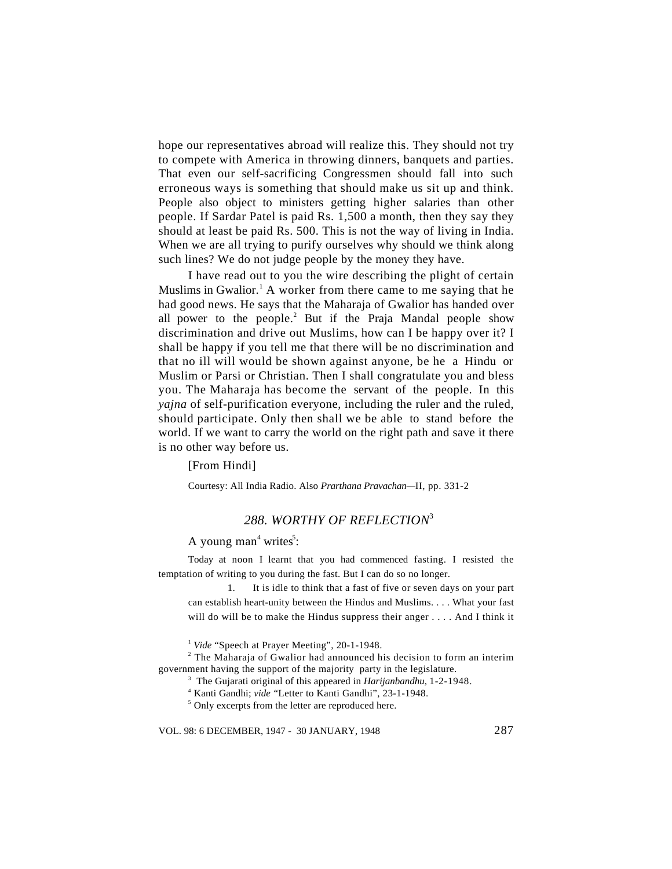hope our representatives abroad will realize this. They should not try to compete with America in throwing dinners, banquets and parties. That even our self-sacrificing Congressmen should fall into such erroneous ways is something that should make us sit up and think. People also object to ministers getting higher salaries than other people. If Sardar Patel is paid Rs. 1,500 a month, then they say they should at least be paid Rs. 500. This is not the way of living in India. When we are all trying to purify ourselves why should we think along such lines? We do not judge people by the money they have.

I have read out to you the wire describing the plight of certain Muslims in Gwalior.<sup>1</sup> A worker from there came to me saying that he had good news. He says that the Maharaja of Gwalior has handed over all power to the people.<sup>2</sup> But if the Praja Mandal people show discrimination and drive out Muslims, how can I be happy over it? I shall be happy if you tell me that there will be no discrimination and that no ill will would be shown against anyone, be he a Hindu or Muslim or Parsi or Christian. Then I shall congratulate you and bless you. The Maharaja has become the servant of the people. In this *yajna* of self-purification everyone, including the ruler and the ruled, should participate. Only then shall we be able to stand before the world. If we want to carry the world on the right path and save it there is no other way before us.

[From Hindi]

Courtesy: All India Radio. Also *Prarthana Pravachan—*II, pp. 331-2

## *288. WORTHY OF REFLECTION*<sup>3</sup>

A young man<sup>4</sup> writes<sup>5</sup>:

Today at noon I learnt that you had commenced fasting. I resisted the temptation of writing to you during the fast. But I can do so no longer.

1. It is idle to think that a fast of five or seven days on your part can establish heart-unity between the Hindus and Muslims. . . . What your fast will do will be to make the Hindus suppress their anger . . . . And I think it

<sup>1</sup> *Vide* "Speech at Prayer Meeting", 20-1-1948.

<sup>2</sup> The Maharaja of Gwalior had announced his decision to form an interim government having the support of the majority party in the legislature.

3 The Gujarati original of this appeared in *Harijanbandhu,* 1-2-1948.

4 Kanti Gandhi; *vide* "Letter to Kanti Gandhi", 23-1-1948.

<sup>5</sup> Only excerpts from the letter are reproduced here.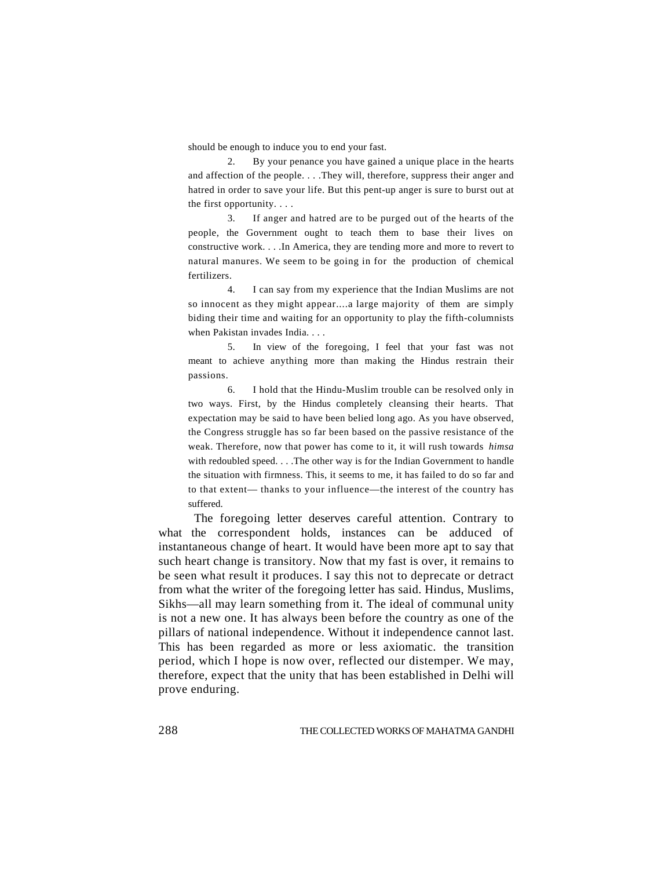should be enough to induce you to end your fast.

2. By your penance you have gained a unique place in the hearts and affection of the people. . . .They will, therefore, suppress their anger and hatred in order to save your life. But this pent-up anger is sure to burst out at the first opportunity. . . .

3. If anger and hatred are to be purged out of the hearts of the people, the Government ought to teach them to base their lives on constructive work. . . .In America, they are tending more and more to revert to natural manures. We seem to be going in for the production of chemical fertilizers.

4. I can say from my experience that the Indian Muslims are not so innocent as they might appear....a large majority of them are simply biding their time and waiting for an opportunity to play the fifth-columnists when Pakistan invades India. . . .

5. In view of the foregoing, I feel that your fast was not meant to achieve anything more than making the Hindus restrain their passions.

6. I hold that the Hindu-Muslim trouble can be resolved only in two ways. First, by the Hindus completely cleansing their hearts. That expectation may be said to have been belied long ago. As you have observed, the Congress struggle has so far been based on the passive resistance of the weak. Therefore, now that power has come to it, it will rush towards *himsa* with redoubled speed. . . . The other way is for the Indian Government to handle the situation with firmness. This, it seems to me, it has failed to do so far and to that extent— thanks to your influence—the interest of the country has suffered.

 The foregoing letter deserves careful attention. Contrary to what the correspondent holds, instances can be adduced of instantaneous change of heart. It would have been more apt to say that such heart change is transitory. Now that my fast is over, it remains to be seen what result it produces. I say this not to deprecate or detract from what the writer of the foregoing letter has said. Hindus, Muslims, Sikhs—all may learn something from it. The ideal of communal unity is not a new one. It has always been before the country as one of the pillars of national independence. Without it independence cannot last. This has been regarded as more or less axiomatic. the transition period, which I hope is now over, reflected our distemper. We may, therefore, expect that the unity that has been established in Delhi will prove enduring.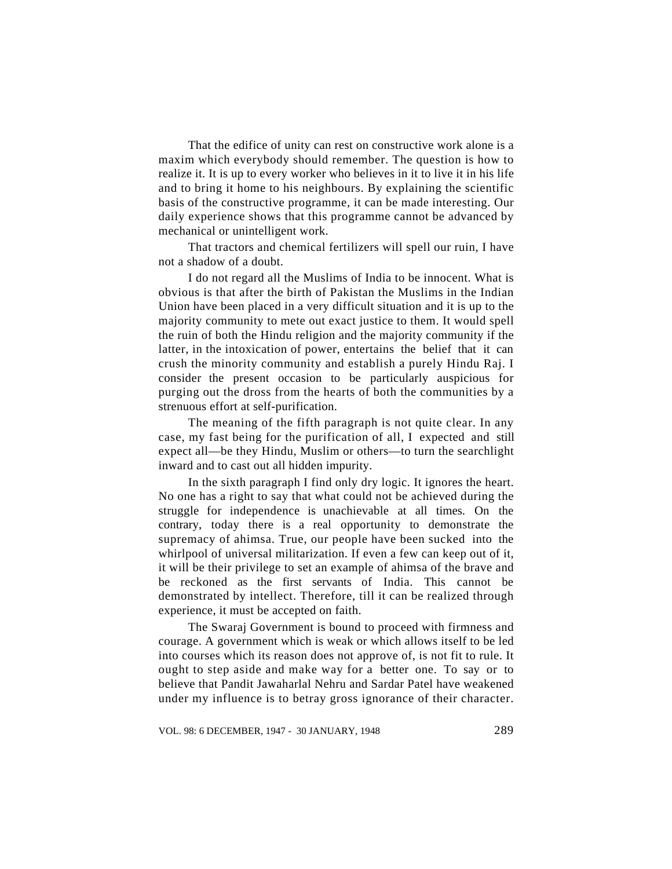That the edifice of unity can rest on constructive work alone is a maxim which everybody should remember. The question is how to realize it. It is up to every worker who believes in it to live it in his life and to bring it home to his neighbours. By explaining the scientific basis of the constructive programme, it can be made interesting. Our daily experience shows that this programme cannot be advanced by mechanical or unintelligent work.

That tractors and chemical fertilizers will spell our ruin, I have not a shadow of a doubt.

I do not regard all the Muslims of India to be innocent. What is obvious is that after the birth of Pakistan the Muslims in the Indian Union have been placed in a very difficult situation and it is up to the majority community to mete out exact justice to them. It would spell the ruin of both the Hindu religion and the majority community if the latter, in the intoxication of power, entertains the belief that it can crush the minority community and establish a purely Hindu Raj. I consider the present occasion to be particularly auspicious for purging out the dross from the hearts of both the communities by a strenuous effort at self-purification.

The meaning of the fifth paragraph is not quite clear. In any case, my fast being for the purification of all, I expected and still expect all—be they Hindu, Muslim or others—to turn the searchlight inward and to cast out all hidden impurity.

In the sixth paragraph I find only dry logic. It ignores the heart. No one has a right to say that what could not be achieved during the struggle for independence is unachievable at all times. On the contrary, today there is a real opportunity to demonstrate the supremacy of ahimsa. True, our people have been sucked into the whirlpool of universal militarization. If even a few can keep out of it, it will be their privilege to set an example of ahimsa of the brave and be reckoned as the first servants of India. This cannot be demonstrated by intellect. Therefore, till it can be realized through experience, it must be accepted on faith.

The Swaraj Government is bound to proceed with firmness and courage. A government which is weak or which allows itself to be led into courses which its reason does not approve of, is not fit to rule. It ought to step aside and make way for a better one. To say or to believe that Pandit Jawaharlal Nehru and Sardar Patel have weakened under my influence is to betray gross ignorance of their character.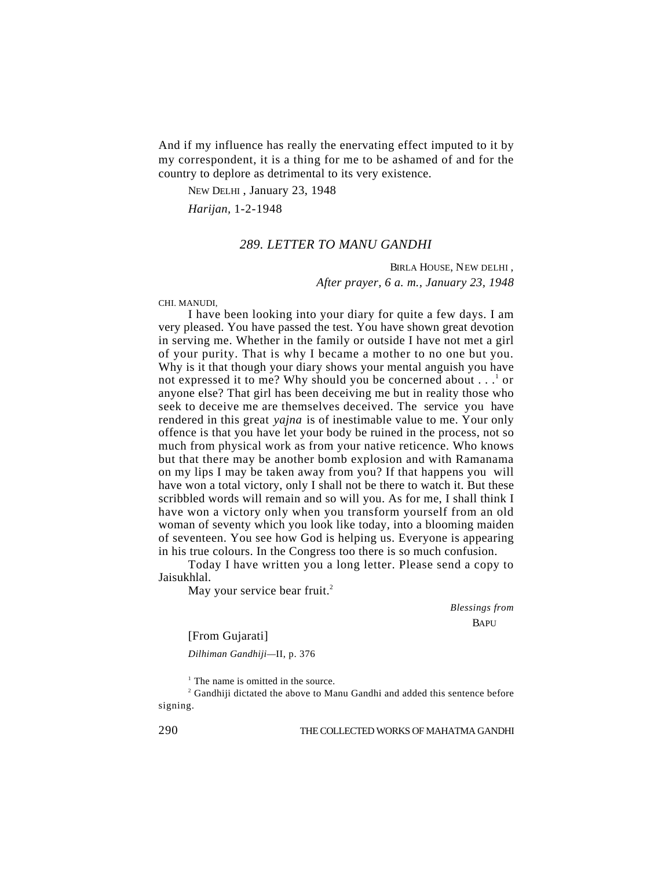And if my influence has really the enervating effect imputed to it by my correspondent, it is a thing for me to be ashamed of and for the country to deplore as detrimental to its very existence.

NEW DELHI , January 23, 1948

*Harijan,* 1-2-1948

#### *289. LETTER TO MANU GANDHI*

BIRLA HOUSE, NEW DELHI , *After prayer, 6 a. m., January 23, 1948*

CHI. MANUDI,

I have been looking into your diary for quite a few days. I am very pleased. You have passed the test. You have shown great devotion in serving me. Whether in the family or outside I have not met a girl of your purity. That is why I became a mother to no one but you. Why is it that though your diary shows your mental anguish you have not expressed it to me? Why should you be concerned about  $\dots$ <sup>1</sup> or anyone else? That girl has been deceiving me but in reality those who seek to deceive me are themselves deceived. The service you have rendered in this great *yajna* is of inestimable value to me. Your only offence is that you have let your body be ruined in the process, not so much from physical work as from your native reticence. Who knows but that there may be another bomb explosion and with Ramanama on my lips I may be taken away from you? If that happens you will have won a total victory, only I shall not be there to watch it. But these scribbled words will remain and so will you. As for me, I shall think I have won a victory only when you transform yourself from an old woman of seventy which you look like today, into a blooming maiden of seventeen. You see how God is helping us. Everyone is appearing in his true colours. In the Congress too there is so much confusion.

Today I have written you a long letter. Please send a copy to Jaisukhlal.

May your service bear fruit.<sup>2</sup>

*Blessings from* **BAPU** 

[From Gujarati]

*Dilhiman Gandhiji—*II, p. 376

<sup>1</sup> The name is omitted in the source.

 $2$  Gandhiji dictated the above to Manu Gandhi and added this sentence before signing.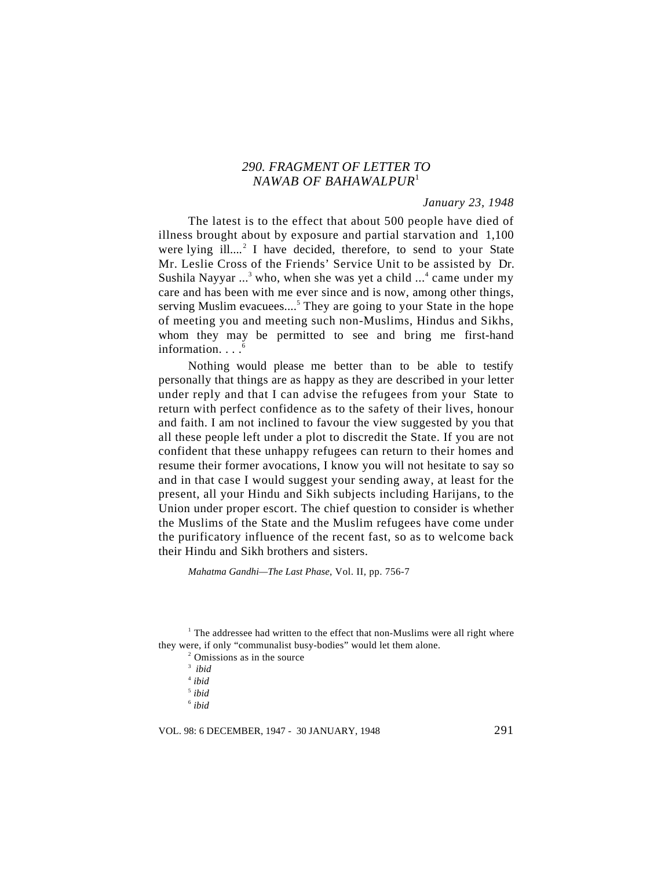## *290. FRAGMENT OF LETTER TO NAWAB OF BAHAWALPUR*<sup>1</sup>

#### *January 23, 1948*

The latest is to the effect that about 500 people have died of illness brought about by exposure and partial starvation and 1,100 were lying ill....<sup>2</sup> I have decided, therefore, to send to your State Mr. Leslie Cross of the Friends' Service Unit to be assisted by Dr. Sushila Nayyar  $\ldots$ <sup>3</sup> who, when she was yet a child  $\ldots$ <sup>4</sup> came under my care and has been with me ever since and is now, among other things, serving Muslim evacuees....<sup>5</sup> They are going to your State in the hope of meeting you and meeting such non-Muslims, Hindus and Sikhs, whom they may be permitted to see and bring me first-hand information  $6\,$ 

Nothing would please me better than to be able to testify personally that things are as happy as they are described in your letter under reply and that I can advise the refugees from your State to return with perfect confidence as to the safety of their lives, honour and faith. I am not inclined to favour the view suggested by you that all these people left under a plot to discredit the State. If you are not confident that these unhappy refugees can return to their homes and resume their former avocations, I know you will not hesitate to say so and in that case I would suggest your sending away, at least for the present, all your Hindu and Sikh subjects including Harijans, to the Union under proper escort. The chief question to consider is whether the Muslims of the State and the Muslim refugees have come under the purificatory influence of the recent fast, so as to welcome back their Hindu and Sikh brothers and sisters.

*Mahatma Gandhi—The Last Phase*, Vol. II, pp. 756-7

<sup>1</sup> The addressee had written to the effect that non-Muslims were all right where they were, if only "communalist busy-bodies" would let them alone.

2 Omissions as in the source

6 *ibid*

<sup>3</sup> *ibid*

<sup>4</sup> *ibid*

<sup>5</sup> *ibid*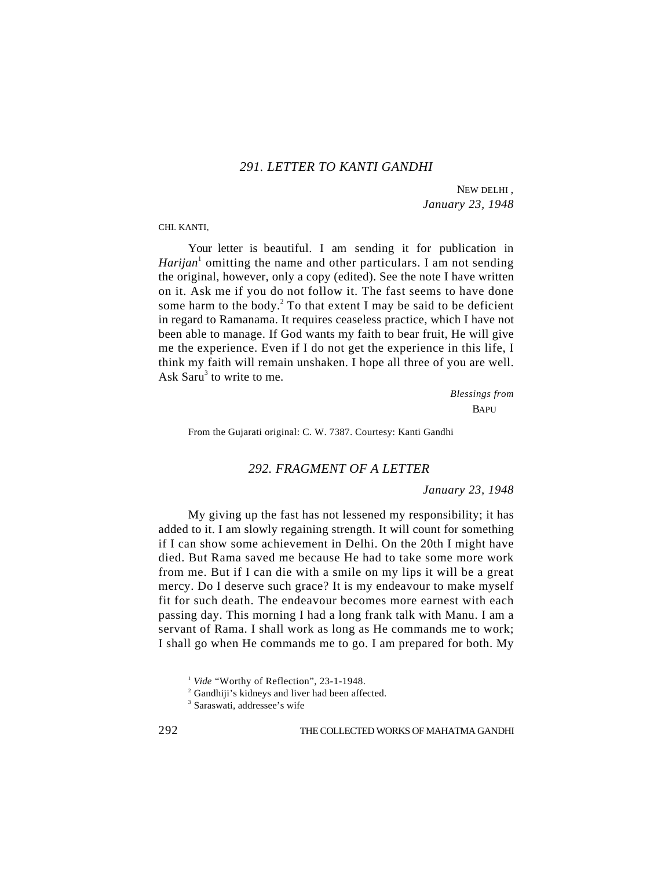## *291. LETTER TO KANTI GANDHI*

NEW DELHI , *January 23, 1948*

CHI. KANTI,

Your letter is beautiful. I am sending it for publication in Harijan<sup>1</sup> omitting the name and other particulars. I am not sending the original, however, only a copy (edited). See the note I have written on it. Ask me if you do not follow it. The fast seems to have done some harm to the body. $^{2}$  To that extent I may be said to be deficient in regard to Ramanama. It requires ceaseless practice, which I have not been able to manage. If God wants my faith to bear fruit, He will give me the experience. Even if I do not get the experience in this life, I think my faith will remain unshaken. I hope all three of you are well. Ask  $Saru<sup>3</sup>$  to write to me.

> *Blessings from* **BAPU**

From the Gujarati original: C. W. 7387. Courtesy: Kanti Gandhi

#### *292. FRAGMENT OF A LETTER*

*January 23, 1948*

My giving up the fast has not lessened my responsibility; it has added to it. I am slowly regaining strength. It will count for something if I can show some achievement in Delhi. On the 20th I might have died. But Rama saved me because He had to take some more work from me. But if I can die with a smile on my lips it will be a great mercy. Do I deserve such grace? It is my endeavour to make myself fit for such death. The endeavour becomes more earnest with each passing day. This morning I had a long frank talk with Manu. I am a servant of Rama. I shall work as long as He commands me to work; I shall go when He commands me to go. I am prepared for both. My

<sup>&</sup>lt;sup>1</sup> *Vide* "Worthy of Reflection", 23-1-1948.

<sup>&</sup>lt;sup>2</sup> Gandhiji's kidneys and liver had been affected.

<sup>3</sup> Saraswati, addressee's wife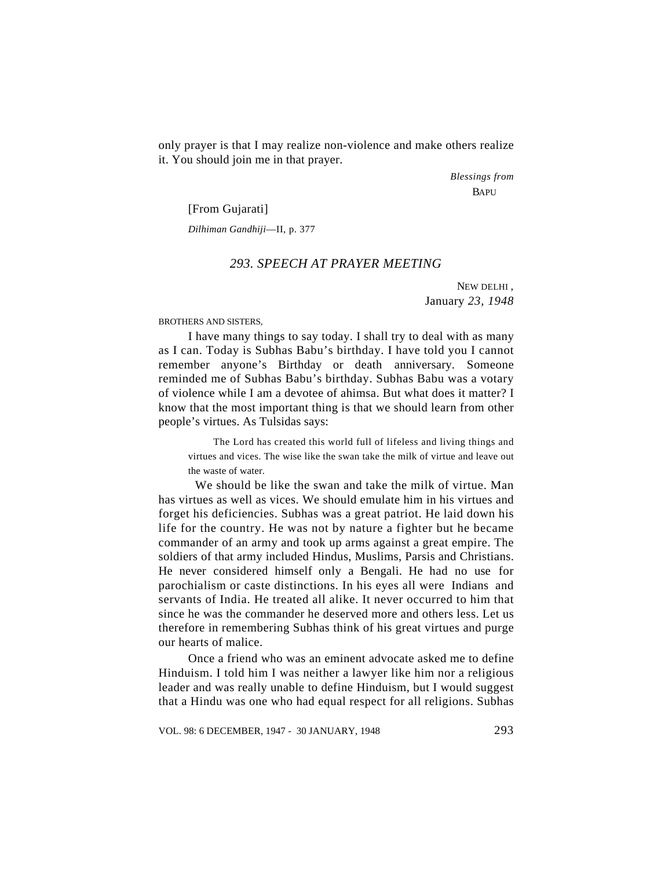only prayer is that I may realize non-violence and make others realize it. You should join me in that prayer.

> *Blessings from* **BAPU**

[From Gujarati]

*Dilhiman Gandhiji*—II, p. 377

## *293. SPEECH AT PRAYER MEETING*

NEW DELHI , January *23, 1948*

#### BROTHERS AND SISTERS,

I have many things to say today. I shall try to deal with as many as I can. Today is Subhas Babu's birthday. I have told you I cannot remember anyone's Birthday or death anniversary. Someone reminded me of Subhas Babu's birthday. Subhas Babu was a votary of violence while I am a devotee of ahimsa. But what does it matter? I know that the most important thing is that we should learn from other people's virtues. As Tulsidas says:

The Lord has created this world full of lifeless and living things and virtues and vices. The wise like the swan take the milk of virtue and leave out the waste of water.

 We should be like the swan and take the milk of virtue. Man has virtues as well as vices. We should emulate him in his virtues and forget his deficiencies. Subhas was a great patriot. He laid down his life for the country. He was not by nature a fighter but he became commander of an army and took up arms against a great empire. The soldiers of that army included Hindus, Muslims, Parsis and Christians. He never considered himself only a Bengali. He had no use for parochialism or caste distinctions. In his eyes all were Indians and servants of India. He treated all alike. It never occurred to him that since he was the commander he deserved more and others less. Let us therefore in remembering Subhas think of his great virtues and purge our hearts of malice.

Once a friend who was an eminent advocate asked me to define Hinduism. I told him I was neither a lawyer like him nor a religious leader and was really unable to define Hinduism, but I would suggest that a Hindu was one who had equal respect for all religions. Subhas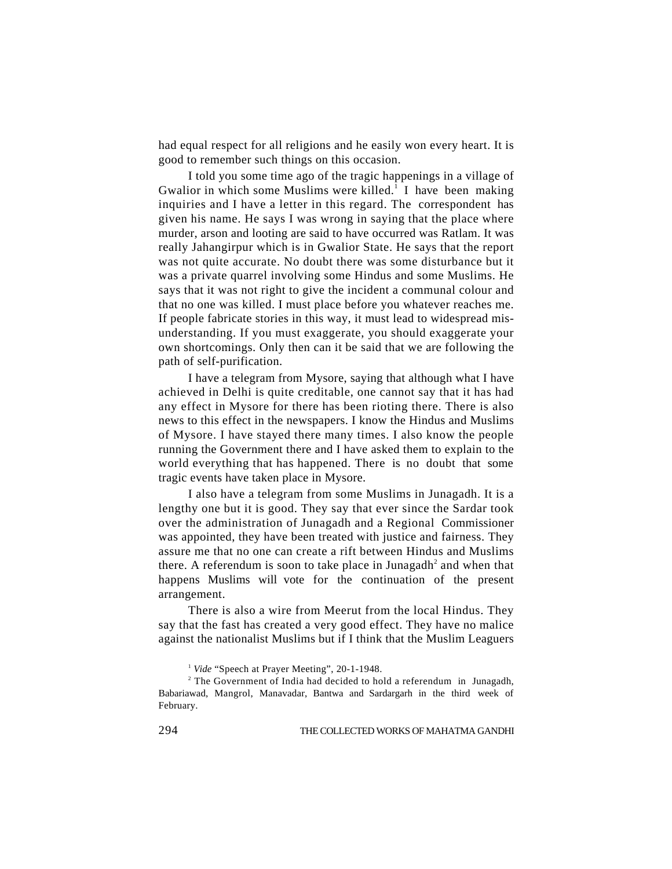had equal respect for all religions and he easily won every heart. It is good to remember such things on this occasion.

I told you some time ago of the tragic happenings in a village of Gwalior in which some Muslims were killed.<sup>1</sup> I have been making inquiries and I have a letter in this regard. The correspondent has given his name. He says I was wrong in saying that the place where murder, arson and looting are said to have occurred was Ratlam. It was really Jahangirpur which is in Gwalior State. He says that the report was not quite accurate. No doubt there was some disturbance but it was a private quarrel involving some Hindus and some Muslims. He says that it was not right to give the incident a communal colour and that no one was killed. I must place before you whatever reaches me. If people fabricate stories in this way, it must lead to widespread misunderstanding. If you must exaggerate, you should exaggerate your own shortcomings. Only then can it be said that we are following the path of self-purification.

I have a telegram from Mysore, saying that although what I have achieved in Delhi is quite creditable, one cannot say that it has had any effect in Mysore for there has been rioting there. There is also news to this effect in the newspapers. I know the Hindus and Muslims of Mysore. I have stayed there many times. I also know the people running the Government there and I have asked them to explain to the world everything that has happened. There is no doubt that some tragic events have taken place in Mysore.

I also have a telegram from some Muslims in Junagadh. It is a lengthy one but it is good. They say that ever since the Sardar took over the administration of Junagadh and a Regional Commissioner was appointed, they have been treated with justice and fairness. They assure me that no one can create a rift between Hindus and Muslims there. A referendum is soon to take place in Junagadh<sup>2</sup> and when that happens Muslims will vote for the continuation of the present arrangement.

There is also a wire from Meerut from the local Hindus. They say that the fast has created a very good effect. They have no malice against the nationalist Muslims but if I think that the Muslim Leaguers

<sup>&</sup>lt;sup>1</sup> *Vide* "Speech at Prayer Meeting", 20-1-1948.

 $2$  The Government of India had decided to hold a referendum in Junagadh, Babariawad, Mangrol, Manavadar, Bantwa and Sardargarh in the third week of February.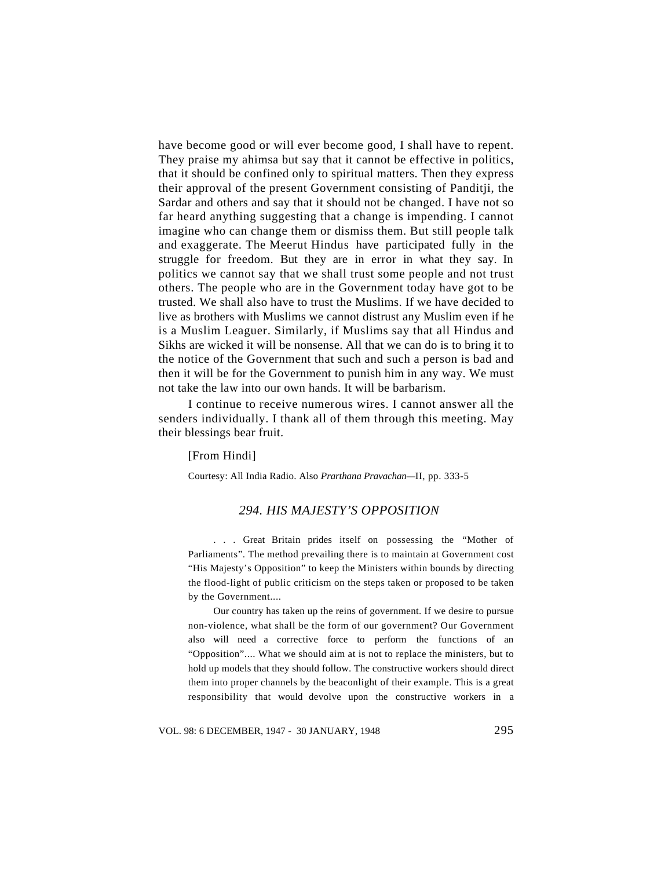have become good or will ever become good, I shall have to repent. They praise my ahimsa but say that it cannot be effective in politics, that it should be confined only to spiritual matters. Then they express their approval of the present Government consisting of Panditji, the Sardar and others and say that it should not be changed. I have not so far heard anything suggesting that a change is impending. I cannot imagine who can change them or dismiss them. But still people talk and exaggerate. The Meerut Hindus have participated fully in the struggle for freedom. But they are in error in what they say. In politics we cannot say that we shall trust some people and not trust others. The people who are in the Government today have got to be trusted. We shall also have to trust the Muslims. If we have decided to live as brothers with Muslims we cannot distrust any Muslim even if he is a Muslim Leaguer. Similarly, if Muslims say that all Hindus and Sikhs are wicked it will be nonsense. All that we can do is to bring it to the notice of the Government that such and such a person is bad and then it will be for the Government to punish him in any way. We must not take the law into our own hands. It will be barbarism.

I continue to receive numerous wires. I cannot answer all the senders individually. I thank all of them through this meeting. May their blessings bear fruit.

[From Hindi]

Courtesy: All India Radio. Also *Prarthana Pravachan—*II, pp. 333-5

# *294. HIS MAJESTY'S OPPOSITION*

. . . Great Britain prides itself on possessing the "Mother of Parliaments". The method prevailing there is to maintain at Government cost "His Majesty's Opposition" to keep the Ministers within bounds by directing the flood-light of public criticism on the steps taken or proposed to be taken by the Government....

Our country has taken up the reins of government. If we desire to pursue non-violence, what shall be the form of our government? Our Government also will need a corrective force to perform the functions of an "Opposition".... What we should aim at is not to replace the ministers, but to hold up models that they should follow. The constructive workers should direct them into proper channels by the beaconlight of their example. This is a great responsibility that would devolve upon the constructive workers in a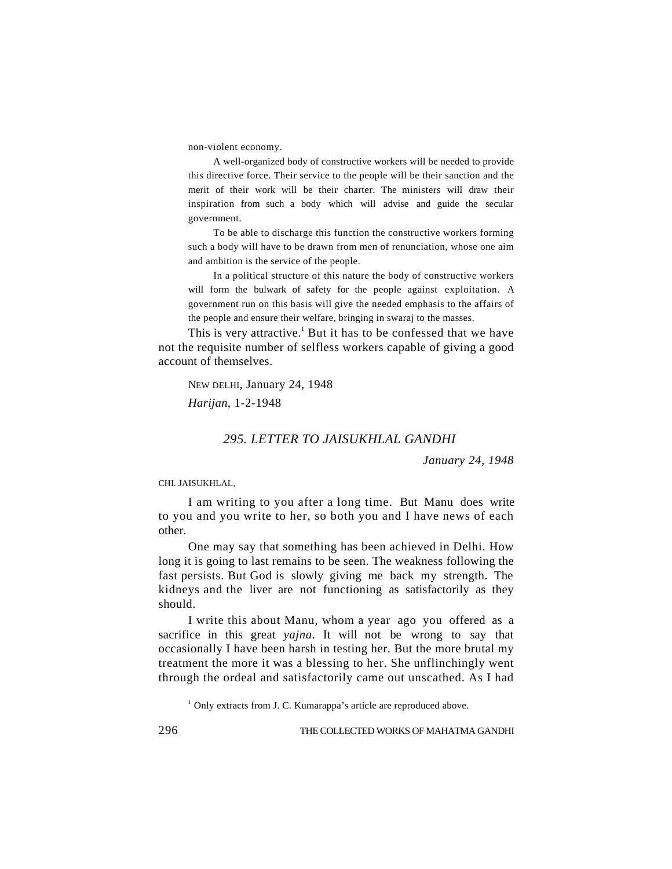non-violent economy.

A well-organized body of constructive workers will be needed to provide this directive force. Their service to the people will be their sanction and the merit of their work will be their charter. The ministers will draw their inspiration from such a body which will advise and guide the secular government.

To be able to discharge this function the constructive workers forming such a body will have to be drawn from men of renunciation, whose one aim and ambition is the service of the people.

In a political structure of this nature the body of constructive workers will form the bulwark of safety for the people against exploitation. A government run on this basis will give the needed emphasis to the affairs of the people and ensure their welfare, bringing in swaraj to the masses.

This is very attractive.<sup>1</sup> But it has to be confessed that we have not the requisite number of selfless workers capable of giving a good account of themselves.

NEW DELHI, January 24, 1948 *Harijan*, 1-2-1948

#### *295. LETTER TO JAISUKHLAL GANDHI*

*January 24, 1948*

CHI. JAISUKHLAL,

I am writing to you after a long time. But Manu does write to you and you write to her, so both you and I have news of each other.

One may say that something has been achieved in Delhi. How long it is going to last remains to be seen. The weakness following the fast persists. But God is slowly giving me back my strength. The kidneys and the liver are not functioning as satisfactorily as they should.

I write this about Manu, whom a year ago you offered as a sacrifice in this great *yajna*. It will not be wrong to say that occasionally I have been harsh in testing her. But the more brutal my treatment the more it was a blessing to her. She unflinchingly went through the ordeal and satisfactorily came out unscathed. As I had

<sup>1</sup> Only extracts from J. C. Kumarappa's article are reproduced above.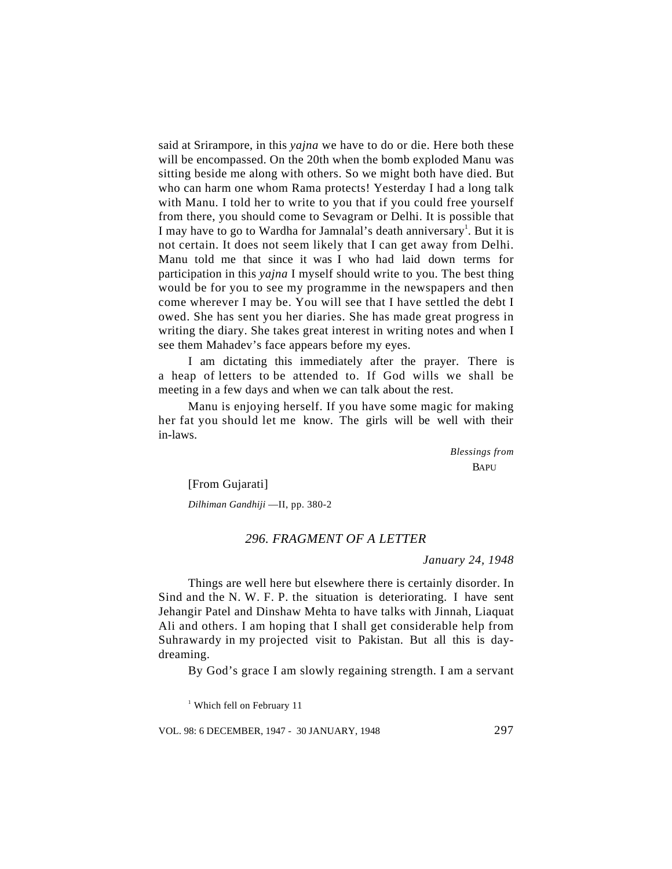said at Srirampore, in this *yajna* we have to do or die. Here both these will be encompassed. On the 20th when the bomb exploded Manu was sitting beside me along with others. So we might both have died. But who can harm one whom Rama protects! Yesterday I had a long talk with Manu. I told her to write to you that if you could free yourself from there, you should come to Sevagram or Delhi. It is possible that I may have to go to Wardha for Jamnalal's death anniversary<sup>1</sup>. But it is not certain. It does not seem likely that I can get away from Delhi. Manu told me that since it was I who had laid down terms for participation in this *yajna* I myself should write to you. The best thing would be for you to see my programme in the newspapers and then come wherever I may be. You will see that I have settled the debt I owed. She has sent you her diaries. She has made great progress in writing the diary. She takes great interest in writing notes and when I see them Mahadev's face appears before my eyes.

I am dictating this immediately after the prayer. There is a heap of letters to be attended to. If God wills we shall be meeting in a few days and when we can talk about the rest.

Manu is enjoying herself. If you have some magic for making her fat you should let me know. The girls will be well with their in-laws.

> *Blessings from* **BAPU**

[From Gujarati]

*Dilhiman Gandhiji* —II, pp. 380-2

#### *296. FRAGMENT OF A LETTER*

*January 24, 1948*

Things are well here but elsewhere there is certainly disorder. In Sind and the N. W. F. P. the situation is deteriorating. I have sent Jehangir Patel and Dinshaw Mehta to have talks with Jinnah, Liaquat Ali and others. I am hoping that I shall get considerable help from Suhrawardy in my projected visit to Pakistan. But all this is daydreaming.

By God's grace I am slowly regaining strength. I am a servant

<sup>1</sup> Which fell on February 11

VOL. 98: 6 DECEMBER, 1947 - 30 JANUARY, 1948 297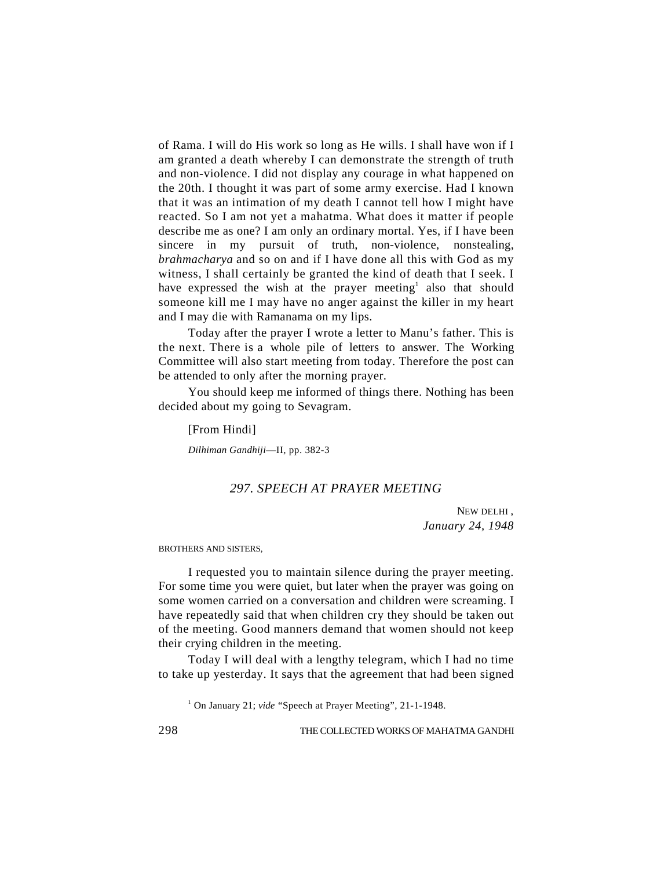of Rama. I will do His work so long as He wills. I shall have won if I am granted a death whereby I can demonstrate the strength of truth and non-violence. I did not display any courage in what happened on the 20th. I thought it was part of some army exercise. Had I known that it was an intimation of my death I cannot tell how I might have reacted. So I am not yet a mahatma. What does it matter if people describe me as one? I am only an ordinary mortal. Yes, if I have been sincere in my pursuit of truth, non-violence, nonstealing, *brahmacharya* and so on and if I have done all this with God as my witness, I shall certainly be granted the kind of death that I seek. I have expressed the wish at the prayer meeting<sup>1</sup> also that should someone kill me I may have no anger against the killer in my heart and I may die with Ramanama on my lips.

Today after the prayer I wrote a letter to Manu's father. This is the next. There is a whole pile of letters to answer. The Working Committee will also start meeting from today. Therefore the post can be attended to only after the morning prayer.

You should keep me informed of things there. Nothing has been decided about my going to Sevagram.

[From Hindi] *Dilhiman Gandhiji*—II, pp. 382-3

# *297. SPEECH AT PRAYER MEETING*

NEW DELHI , *January 24, 1948*

#### BROTHERS AND SISTERS,

I requested you to maintain silence during the prayer meeting. For some time you were quiet, but later when the prayer was going on some women carried on a conversation and children were screaming. I have repeatedly said that when children cry they should be taken out of the meeting. Good manners demand that women should not keep their crying children in the meeting.

Today I will deal with a lengthy telegram, which I had no time to take up yesterday. It says that the agreement that had been signed

<sup>1</sup> On January 21; *vide* "Speech at Prayer Meeting", 21-1-1948.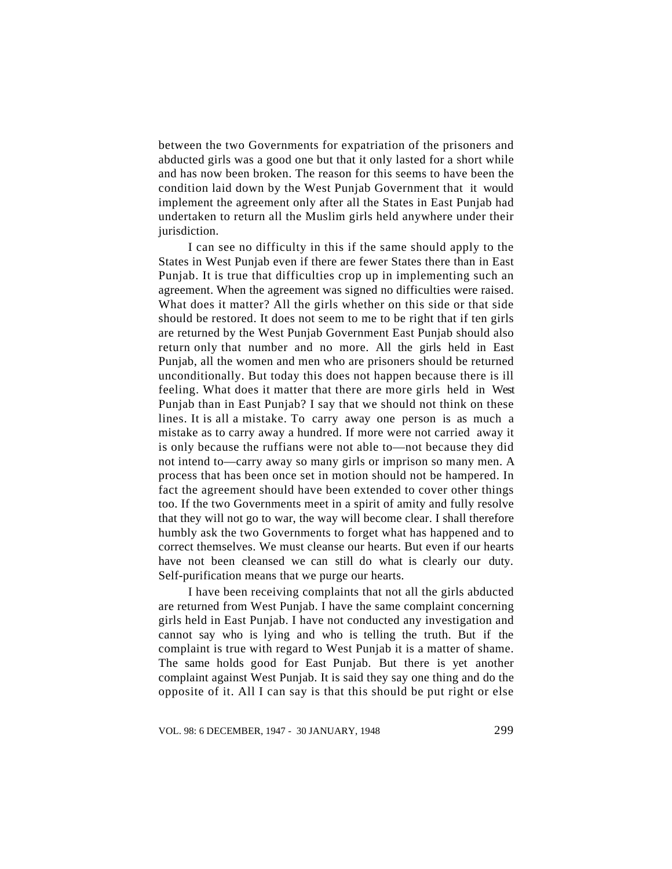between the two Governments for expatriation of the prisoners and abducted girls was a good one but that it only lasted for a short while and has now been broken. The reason for this seems to have been the condition laid down by the West Punjab Government that it would implement the agreement only after all the States in East Punjab had undertaken to return all the Muslim girls held anywhere under their jurisdiction.

I can see no difficulty in this if the same should apply to the States in West Punjab even if there are fewer States there than in East Punjab. It is true that difficulties crop up in implementing such an agreement. When the agreement was signed no difficulties were raised. What does it matter? All the girls whether on this side or that side should be restored. It does not seem to me to be right that if ten girls are returned by the West Punjab Government East Punjab should also return only that number and no more. All the girls held in East Punjab, all the women and men who are prisoners should be returned unconditionally. But today this does not happen because there is ill feeling. What does it matter that there are more girls held in West Punjab than in East Punjab? I say that we should not think on these lines. It is all a mistake. To carry away one person is as much a mistake as to carry away a hundred. If more were not carried away it is only because the ruffians were not able to—not because they did not intend to—carry away so many girls or imprison so many men. A process that has been once set in motion should not be hampered. In fact the agreement should have been extended to cover other things too. If the two Governments meet in a spirit of amity and fully resolve that they will not go to war, the way will become clear. I shall therefore humbly ask the two Governments to forget what has happened and to correct themselves. We must cleanse our hearts. But even if our hearts have not been cleansed we can still do what is clearly our duty. Self-purification means that we purge our hearts.

I have been receiving complaints that not all the girls abducted are returned from West Punjab. I have the same complaint concerning girls held in East Punjab. I have not conducted any investigation and cannot say who is lying and who is telling the truth. But if the complaint is true with regard to West Punjab it is a matter of shame. The same holds good for East Punjab. But there is yet another complaint against West Punjab. It is said they say one thing and do the opposite of it. All I can say is that this should be put right or else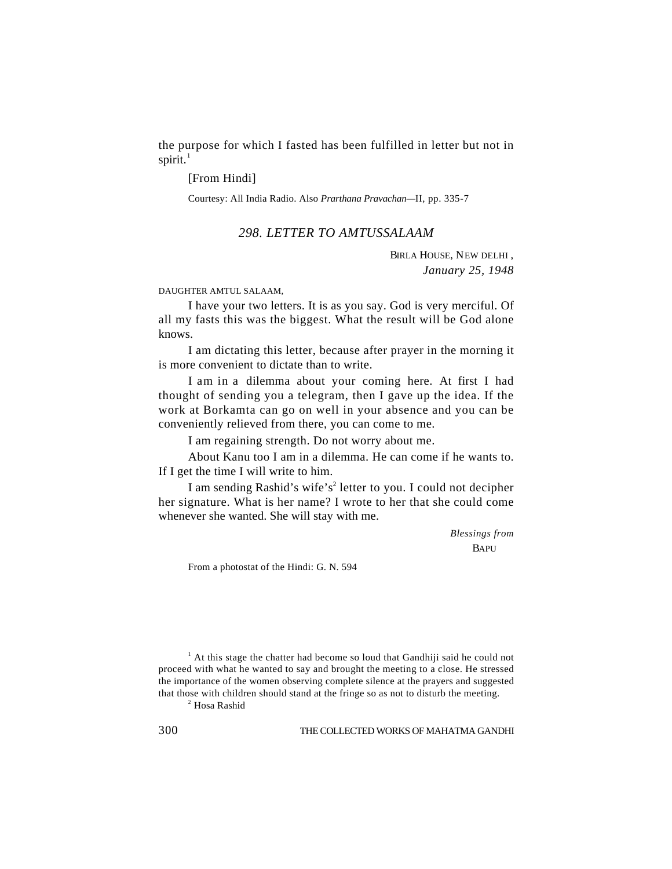the purpose for which I fasted has been fulfilled in letter but not in spirit.<sup>1</sup>

[From Hindi]

Courtesy: All India Radio. Also *Prarthana Pravachan—*II, pp. 335-7

## *298. LETTER TO AMTUSSALAAM*

BIRLA HOUSE, NEW DELHI , *January 25, 1948*

#### DAUGHTER AMTUL SALAAM,

I have your two letters. It is as you say. God is very merciful. Of all my fasts this was the biggest. What the result will be God alone knows.

I am dictating this letter, because after prayer in the morning it is more convenient to dictate than to write.

I am in a dilemma about your coming here. At first I had thought of sending you a telegram, then I gave up the idea. If the work at Borkamta can go on well in your absence and you can be conveniently relieved from there, you can come to me.

I am regaining strength. Do not worry about me.

About Kanu too I am in a dilemma. He can come if he wants to. If I get the time I will write to him.

I am sending Rashid's wife's<sup>2</sup> letter to you. I could not decipher her signature. What is her name? I wrote to her that she could come whenever she wanted. She will stay with me.

> *Blessings from* **BAPU**

From a photostat of the Hindi: G. N. 594

<sup>1</sup> At this stage the chatter had become so loud that Gandhiji said he could not proceed with what he wanted to say and brought the meeting to a close. He stressed the importance of the women observing complete silence at the prayers and suggested that those with children should stand at the fringe so as not to disturb the meeting.

2 Hosa Rashid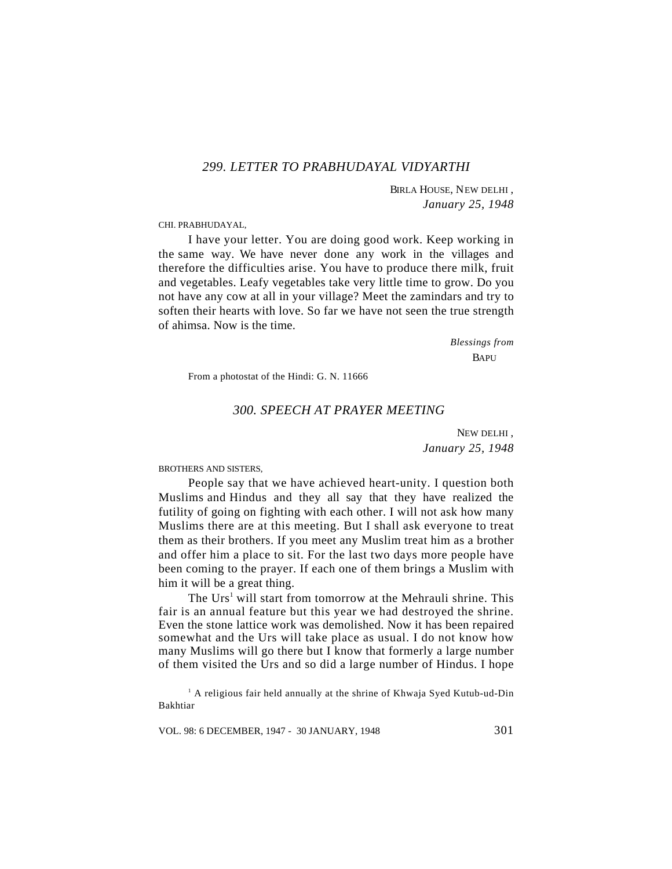BIRLA HOUSE, NEW DELHI , *January 25, 1948*

CHI. PRABHUDAYAL,

I have your letter. You are doing good work. Keep working in the same way. We have never done any work in the villages and therefore the difficulties arise. You have to produce there milk, fruit and vegetables. Leafy vegetables take very little time to grow. Do you not have any cow at all in your village? Meet the zamindars and try to soften their hearts with love. So far we have not seen the true strength of ahimsa. Now is the time.

> *Blessings from* BAPU

From a photostat of the Hindi: G. N. 11666

## *300. SPEECH AT PRAYER MEETING*

NEW DELHI , *January 25, 1948*

BROTHERS AND SISTERS,

People say that we have achieved heart-unity. I question both Muslims and Hindus and they all say that they have realized the futility of going on fighting with each other. I will not ask how many Muslims there are at this meeting. But I shall ask everyone to treat them as their brothers. If you meet any Muslim treat him as a brother and offer him a place to sit. For the last two days more people have been coming to the prayer. If each one of them brings a Muslim with him it will be a great thing.

The Urs<sup>1</sup> will start from tomorrow at the Mehrauli shrine. This fair is an annual feature but this year we had destroyed the shrine. Even the stone lattice work was demolished. Now it has been repaired somewhat and the Urs will take place as usual. I do not know how many Muslims will go there but I know that formerly a large number of them visited the Urs and so did a large number of Hindus. I hope

<sup>1</sup> A religious fair held annually at the shrine of Khwaja Syed Kutub-ud-Din Bakhtiar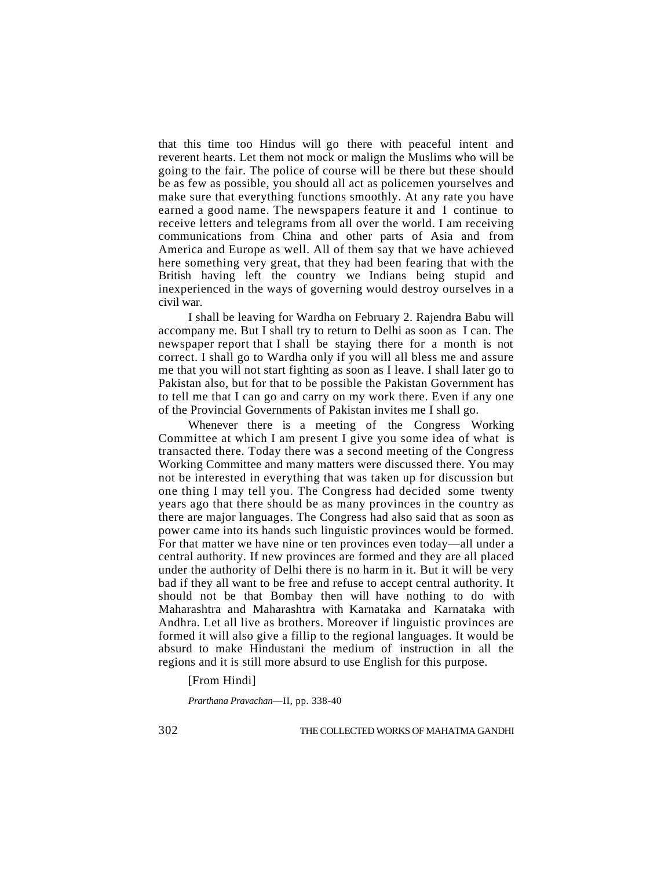that this time too Hindus will go there with peaceful intent and reverent hearts. Let them not mock or malign the Muslims who will be going to the fair. The police of course will be there but these should be as few as possible, you should all act as policemen yourselves and make sure that everything functions smoothly. At any rate you have earned a good name. The newspapers feature it and I continue to receive letters and telegrams from all over the world. I am receiving communications from China and other parts of Asia and from America and Europe as well. All of them say that we have achieved here something very great, that they had been fearing that with the British having left the country we Indians being stupid and inexperienced in the ways of governing would destroy ourselves in a civil war.

I shall be leaving for Wardha on February 2. Rajendra Babu will accompany me. But I shall try to return to Delhi as soon as I can. The newspaper report that I shall be staying there for a month is not correct. I shall go to Wardha only if you will all bless me and assure me that you will not start fighting as soon as I leave. I shall later go to Pakistan also, but for that to be possible the Pakistan Government has to tell me that I can go and carry on my work there. Even if any one of the Provincial Governments of Pakistan invites me I shall go.

Whenever there is a meeting of the Congress Working Committee at which I am present I give you some idea of what is transacted there. Today there was a second meeting of the Congress Working Committee and many matters were discussed there. You may not be interested in everything that was taken up for discussion but one thing I may tell you. The Congress had decided some twenty years ago that there should be as many provinces in the country as there are major languages. The Congress had also said that as soon as power came into its hands such linguistic provinces would be formed. For that matter we have nine or ten provinces even today—all under a central authority. If new provinces are formed and they are all placed under the authority of Delhi there is no harm in it. But it will be very bad if they all want to be free and refuse to accept central authority. It should not be that Bombay then will have nothing to do with Maharashtra and Maharashtra with Karnataka and Karnataka with Andhra. Let all live as brothers. Moreover if linguistic provinces are formed it will also give a fillip to the regional languages. It would be absurd to make Hindustani the medium of instruction in all the regions and it is still more absurd to use English for this purpose.

## [From Hindi]

*Prarthana Pravachan*—II, pp. 338-40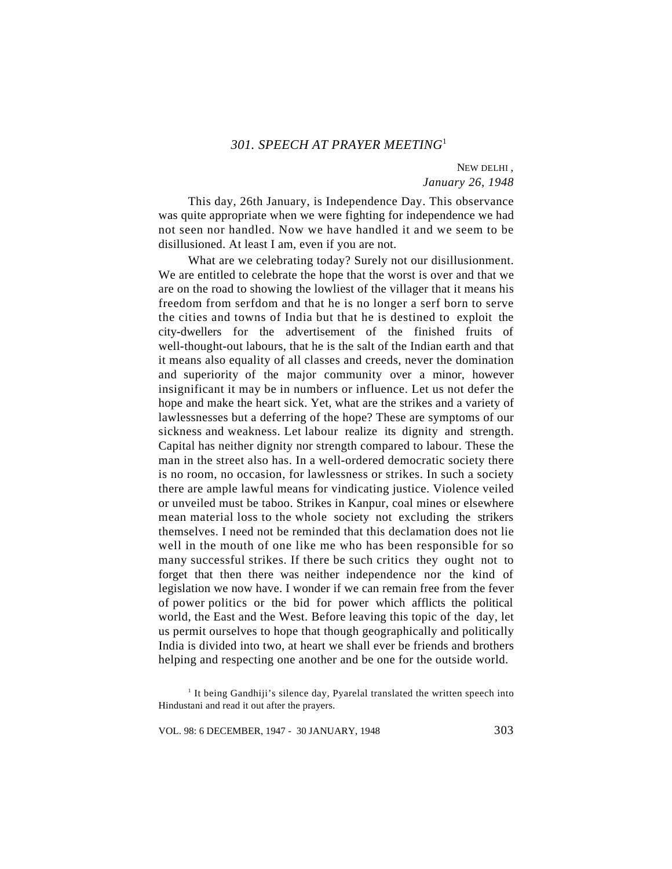## *301. SPEECH AT PRAYER MEETING*<sup>1</sup>

NEW DELHI , *January 26, 1948*

This day, 26th January, is Independence Day. This observance was quite appropriate when we were fighting for independence we had not seen nor handled. Now we have handled it and we seem to be disillusioned. At least I am, even if you are not.

What are we celebrating today? Surely not our disillusionment. We are entitled to celebrate the hope that the worst is over and that we are on the road to showing the lowliest of the villager that it means his freedom from serfdom and that he is no longer a serf born to serve the cities and towns of India but that he is destined to exploit the city-dwellers for the advertisement of the finished fruits of well-thought-out labours, that he is the salt of the Indian earth and that it means also equality of all classes and creeds, never the domination and superiority of the major community over a minor, however insignificant it may be in numbers or influence. Let us not defer the hope and make the heart sick. Yet, what are the strikes and a variety of lawlessnesses but a deferring of the hope? These are symptoms of our sickness and weakness. Let labour realize its dignity and strength. Capital has neither dignity nor strength compared to labour. These the man in the street also has. In a well-ordered democratic society there is no room, no occasion, for lawlessness or strikes. In such a society there are ample lawful means for vindicating justice. Violence veiled or unveiled must be taboo. Strikes in Kanpur, coal mines or elsewhere mean material loss to the whole society not excluding the strikers themselves. I need not be reminded that this declamation does not lie well in the mouth of one like me who has been responsible for so many successful strikes. If there be such critics they ought not to forget that then there was neither independence nor the kind of legislation we now have. I wonder if we can remain free from the fever of power politics or the bid for power which afflicts the political world, the East and the West. Before leaving this topic of the day, let us permit ourselves to hope that though geographically and politically India is divided into two, at heart we shall ever be friends and brothers helping and respecting one another and be one for the outside world.

<sup>&</sup>lt;sup>1</sup> It being Gandhiji's silence day, Pyarelal translated the written speech into Hindustani and read it out after the prayers.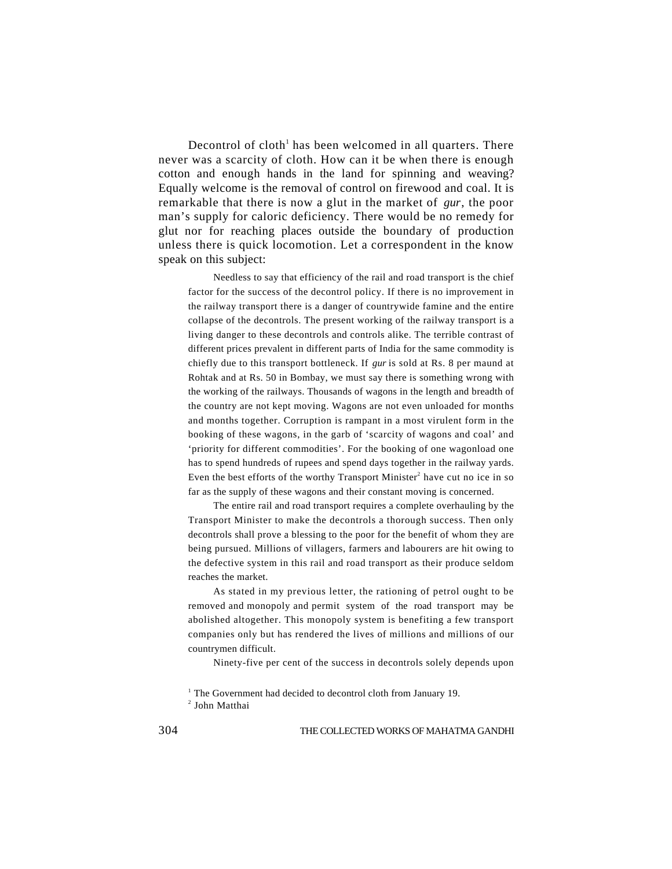Decontrol of cloth<sup>1</sup> has been welcomed in all quarters. There never was a scarcity of cloth. How can it be when there is enough cotton and enough hands in the land for spinning and weaving? Equally welcome is the removal of control on firewood and coal. It is remarkable that there is now a glut in the market of *gur*, the poor man's supply for caloric deficiency. There would be no remedy for glut nor for reaching places outside the boundary of production unless there is quick locomotion. Let a correspondent in the know speak on this subject:

Needless to say that efficiency of the rail and road transport is the chief factor for the success of the decontrol policy. If there is no improvement in the railway transport there is a danger of countrywide famine and the entire collapse of the decontrols. The present working of the railway transport is a living danger to these decontrols and controls alike. The terrible contrast of different prices prevalent in different parts of India for the same commodity is chiefly due to this transport bottleneck. If *gur* is sold at Rs. 8 per maund at Rohtak and at Rs. 50 in Bombay, we must say there is something wrong with the working of the railways. Thousands of wagons in the length and breadth of the country are not kept moving. Wagons are not even unloaded for months and months together. Corruption is rampant in a most virulent form in the booking of these wagons, in the garb of 'scarcity of wagons and coal' and 'priority for different commodities'. For the booking of one wagonload one has to spend hundreds of rupees and spend days together in the railway yards. Even the best efforts of the worthy Transport Minister<sup>2</sup> have cut no ice in so far as the supply of these wagons and their constant moving is concerned.

The entire rail and road transport requires a complete overhauling by the Transport Minister to make the decontrols a thorough success. Then only decontrols shall prove a blessing to the poor for the benefit of whom they are being pursued. Millions of villagers, farmers and labourers are hit owing to the defective system in this rail and road transport as their produce seldom reaches the market.

As stated in my previous letter, the rationing of petrol ought to be removed and monopoly and permit system of the road transport may be abolished altogether. This monopoly system is benefiting a few transport companies only but has rendered the lives of millions and millions of our countrymen difficult.

Ninety-five per cent of the success in decontrols solely depends upon

<sup>&</sup>lt;sup>1</sup> The Government had decided to decontrol cloth from January 19.

<sup>2</sup> John Matthai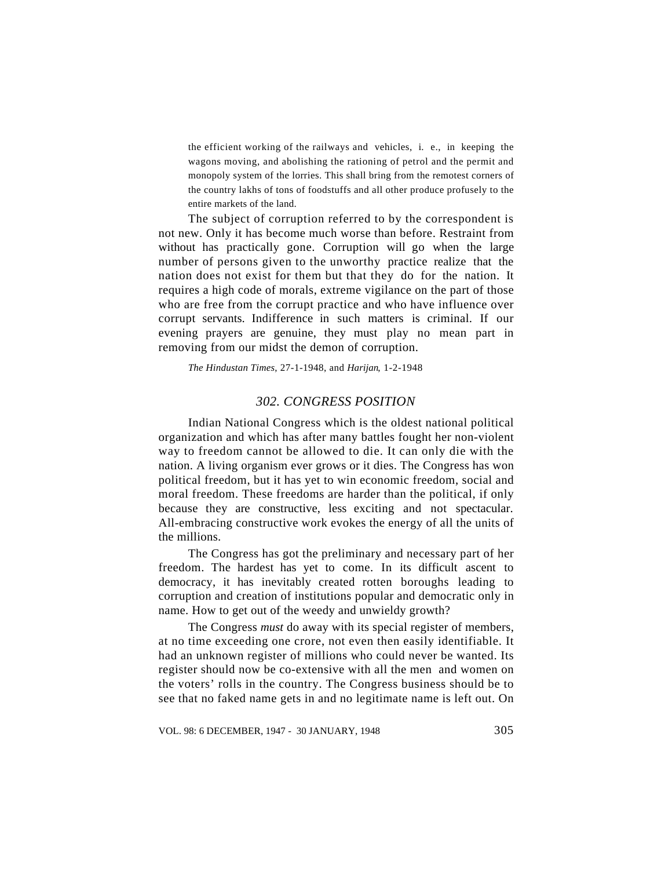the efficient working of the railways and vehicles, i. e., in keeping the wagons moving, and abolishing the rationing of petrol and the permit and monopoly system of the lorries. This shall bring from the remotest corners of the country lakhs of tons of foodstuffs and all other produce profusely to the entire markets of the land.

The subject of corruption referred to by the correspondent is not new. Only it has become much worse than before. Restraint from without has practically gone. Corruption will go when the large number of persons given to the unworthy practice realize that the nation does not exist for them but that they do for the nation. It requires a high code of morals, extreme vigilance on the part of those who are free from the corrupt practice and who have influence over corrupt servants. Indifference in such matters is criminal. If our evening prayers are genuine, they must play no mean part in removing from our midst the demon of corruption.

*The Hindustan Times*, 27-1-1948, and *Harijan*, 1-2-1948

## *302. CONGRESS POSITION*

Indian National Congress which is the oldest national political organization and which has after many battles fought her non-violent way to freedom cannot be allowed to die. It can only die with the nation. A living organism ever grows or it dies. The Congress has won political freedom, but it has yet to win economic freedom, social and moral freedom. These freedoms are harder than the political, if only because they are constructive, less exciting and not spectacular. All-embracing constructive work evokes the energy of all the units of the millions.

The Congress has got the preliminary and necessary part of her freedom. The hardest has yet to come. In its difficult ascent to democracy, it has inevitably created rotten boroughs leading to corruption and creation of institutions popular and democratic only in name. How to get out of the weedy and unwieldy growth?

The Congress *must* do away with its special register of members, at no time exceeding one crore, not even then easily identifiable. It had an unknown register of millions who could never be wanted. Its register should now be co-extensive with all the men and women on the voters' rolls in the country. The Congress business should be to see that no faked name gets in and no legitimate name is left out. On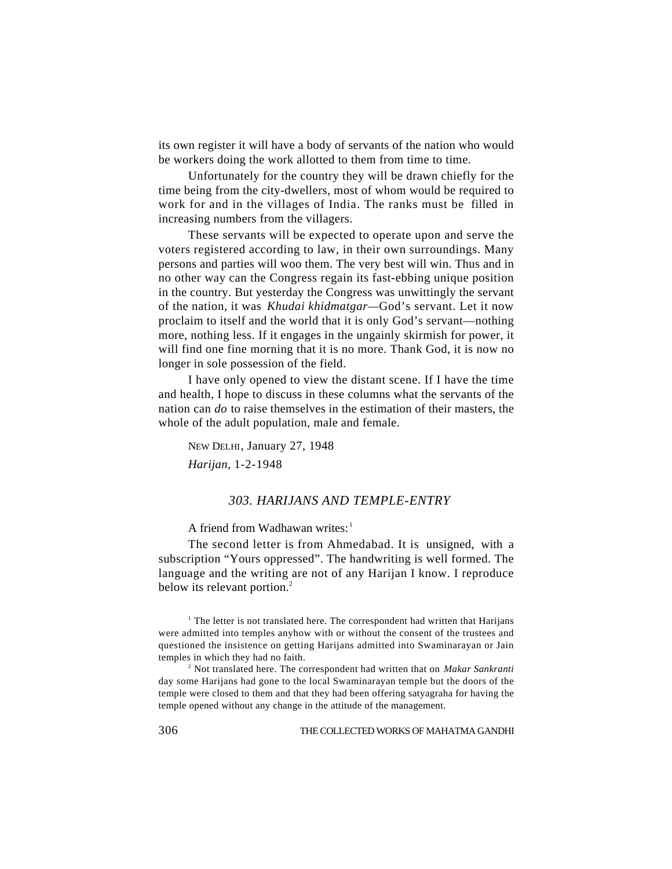its own register it will have a body of servants of the nation who would be workers doing the work allotted to them from time to time.

Unfortunately for the country they will be drawn chiefly for the time being from the city-dwellers, most of whom would be required to work for and in the villages of India. The ranks must be filled in increasing numbers from the villagers.

These servants will be expected to operate upon and serve the voters registered according to law, in their own surroundings. Many persons and parties will woo them. The very best will win. Thus and in no other way can the Congress regain its fast-ebbing unique position in the country. But yesterday the Congress was unwittingly the servant of the nation, it was *Khudai khidmatgar—*God's servant. Let it now proclaim to itself and the world that it is only God's servant—nothing more, nothing less. If it engages in the ungainly skirmish for power, it will find one fine morning that it is no more. Thank God, it is now no longer in sole possession of the field.

I have only opened to view the distant scene. If I have the time and health, I hope to discuss in these columns what the servants of the nation can *do* to raise themselves in the estimation of their masters, the whole of the adult population, male and female.

NEW DELHI, January 27, 1948 *Harijan,* 1-2-1948

## *303. HARIJANS AND TEMPLE-ENTRY*

A friend from Wadhawan writes:  $1$ 

The second letter is from Ahmedabad. It is unsigned, with a subscription "Yours oppressed". The handwriting is well formed. The language and the writing are not of any Harijan I know. I reproduce below its relevant portion.<sup>2</sup>

<sup>1</sup> The letter is not translated here. The correspondent had written that Harijans were admitted into temples anyhow with or without the consent of the trustees and questioned the insistence on getting Harijans admitted into Swaminarayan or Jain temples in which they had no faith.

2 Not translated here. The correspondent had written that on *Makar Sankranti* day some Harijans had gone to the local Swaminarayan temple but the doors of the temple were closed to them and that they had been offering satyagraha for having the temple opened without any change in the attitude of the management.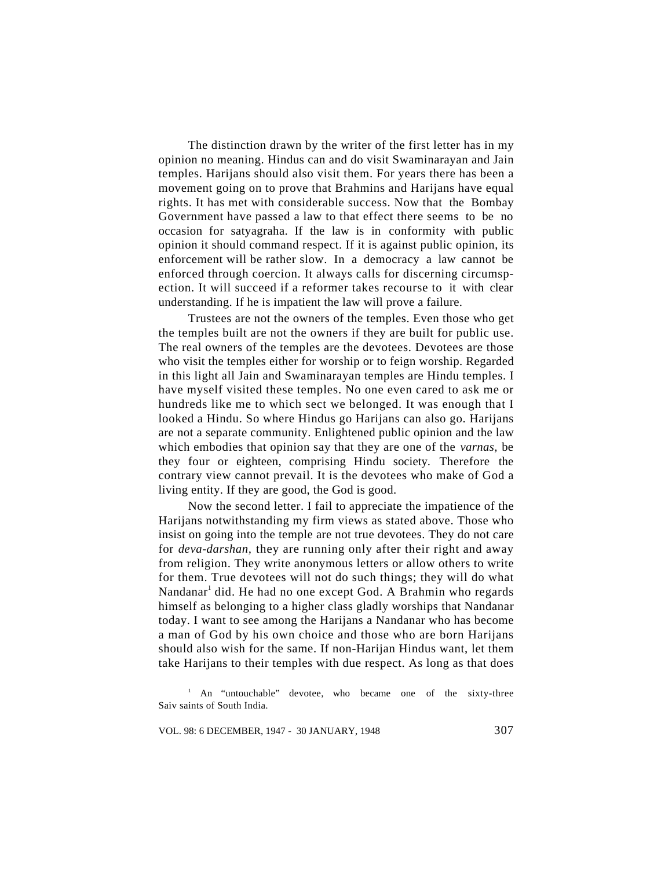The distinction drawn by the writer of the first letter has in my opinion no meaning. Hindus can and do visit Swaminarayan and Jain temples. Harijans should also visit them. For years there has been a movement going on to prove that Brahmins and Harijans have equal rights. It has met with considerable success. Now that the Bombay Government have passed a law to that effect there seems to be no occasion for satyagraha. If the law is in conformity with public opinion it should command respect. If it is against public opinion, its enforcement will be rather slow. In a democracy a law cannot be enforced through coercion. It always calls for discerning circumspection. It will succeed if a reformer takes recourse to it with clear understanding. If he is impatient the law will prove a failure.

Trustees are not the owners of the temples. Even those who get the temples built are not the owners if they are built for public use. The real owners of the temples are the devotees. Devotees are those who visit the temples either for worship or to feign worship. Regarded in this light all Jain and Swaminarayan temples are Hindu temples. I have myself visited these temples. No one even cared to ask me or hundreds like me to which sect we belonged. It was enough that I looked a Hindu. So where Hindus go Harijans can also go. Harijans are not a separate community. Enlightened public opinion and the law which embodies that opinion say that they are one of the *varnas,* be they four or eighteen, comprising Hindu society. Therefore the contrary view cannot prevail. It is the devotees who make of God a living entity. If they are good, the God is good.

Now the second letter. I fail to appreciate the impatience of the Harijans notwithstanding my firm views as stated above. Those who insist on going into the temple are not true devotees. They do not care for *deva-darshan,* they are running only after their right and away from religion. They write anonymous letters or allow others to write for them. True devotees will not do such things; they will do what Nandanar<sup>1</sup> did. He had no one except God. A Brahmin who regards himself as belonging to a higher class gladly worships that Nandanar today. I want to see among the Harijans a Nandanar who has become a man of God by his own choice and those who are born Harijans should also wish for the same. If non-Harijan Hindus want, let them take Harijans to their temples with due respect. As long as that does

An "untouchable" devotee, who became one of the sixty-three Saiv saints of South India.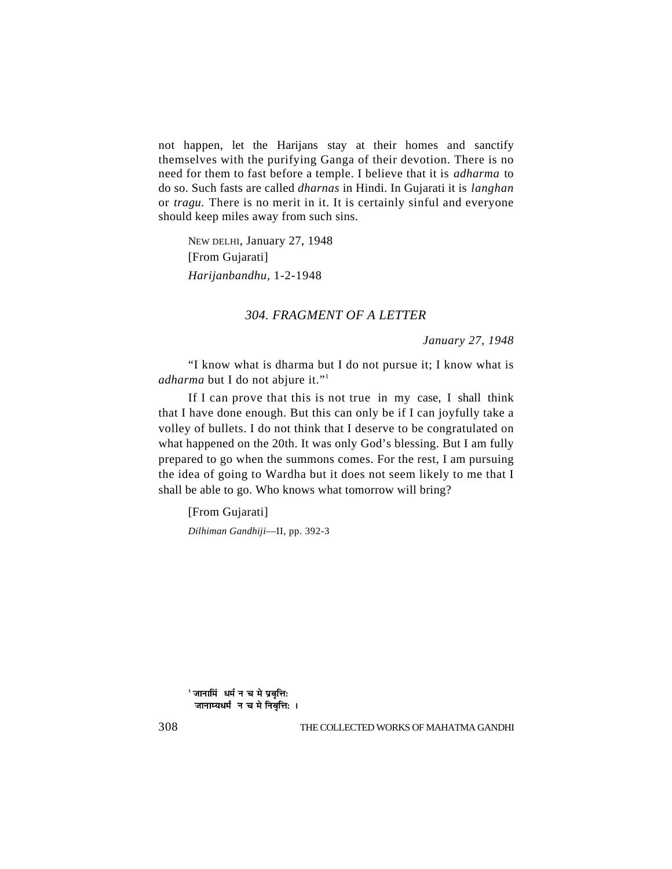not happen, let the Harijans stay at their homes and sanctify themselves with the purifying Ganga of their devotion. There is no need for them to fast before a temple. I believe that it is *adharma* to do so. Such fasts are called *dharnas* in Hindi. In Gujarati it is *langhan* or *tragu.* There is no merit in it. It is certainly sinful and everyone should keep miles away from such sins.

NEW DELHI, January 27, 1948 [From Gujarati] *Harijanbandhu,* 1-2-1948

## *304. FRAGMENT OF A LETTER*

*January 27, 1948*

"I know what is dharma but I do not pursue it; I know what is *adharma* but I do not abjure it."<sup>1</sup>

If I can prove that this is not true in my case, I shall think that I have done enough. But this can only be if I can joyfully take a volley of bullets. I do not think that I deserve to be congratulated on what happened on the 20th. It was only God's blessing. But I am fully prepared to go when the summons comes. For the rest, I am pursuing the idea of going to Wardha but it does not seem likely to me that I shall be able to go. Who knows what tomorrow will bring?

[From Gujarati] *Dilhiman Gandhiji*—II, pp. 392-3

```
ैजानामिं धर्म न च मे प्रवक्ति:
जानाम्यधर्म न च मे निवृत्तिः ।
```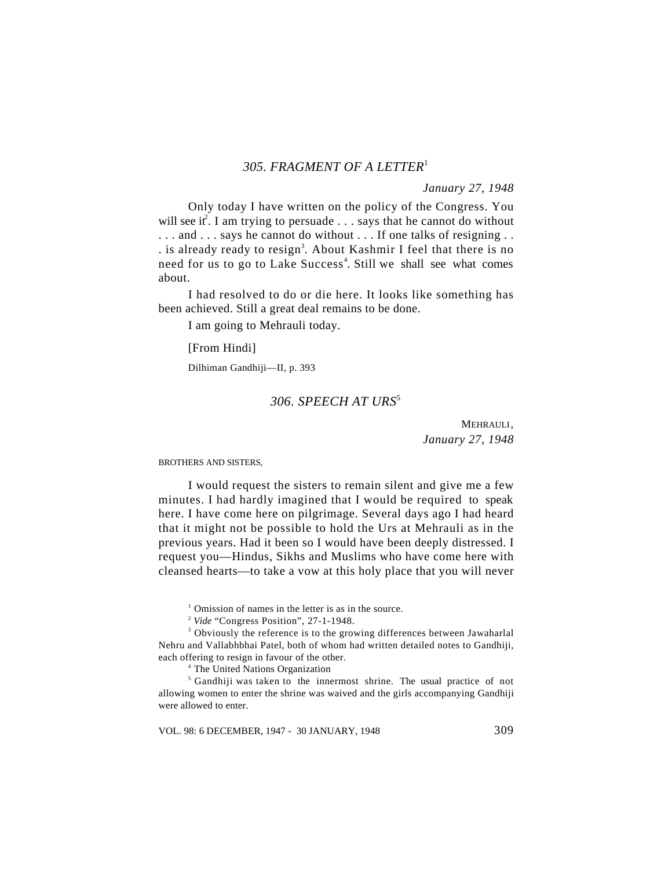## *305. FRAGMENT OF A LETTER*<sup>1</sup>

#### *January 27, 1948*

Only today I have written on the policy of the Congress. You will see it<sup>2</sup>. I am trying to persuade  $\ldots$  says that he cannot do without ... and ... says he cannot do without ... If one talks of resigning ... . is already ready to resign<sup>3</sup>. About Kashmir I feel that there is no need for us to go to Lake Success<sup>4</sup>. Still we shall see what comes about.

I had resolved to do or die here. It looks like something has been achieved. Still a great deal remains to be done.

I am going to Mehrauli today.

[From Hindi]

Dilhiman Gandhiji—II, p. 393

## *306. SPEECH AT URS*<sup>5</sup>

MEHRAULI, *January 27, 1948*

BROTHERS AND SISTERS,

I would request the sisters to remain silent and give me a few minutes. I had hardly imagined that I would be required to speak here. I have come here on pilgrimage. Several days ago I had heard that it might not be possible to hold the Urs at Mehrauli as in the previous years. Had it been so I would have been deeply distressed. I request you—Hindus, Sikhs and Muslims who have come here with cleansed hearts—to take a vow at this holy place that you will never

<sup>1</sup> Omission of names in the letter is as in the source.

<sup>2</sup> *Vide* "Congress Position", 27-1-1948.

<sup>3</sup> Obviously the reference is to the growing differences between Jawaharlal Nehru and Vallabhbhai Patel, both of whom had written detailed notes to Gandhiji, each offering to resign in favour of the other.

4 The United Nations Organization

<sup>5</sup> Gandhiji was taken to the innermost shrine. The usual practice of not allowing women to enter the shrine was waived and the girls accompanying Gandhiji were allowed to enter.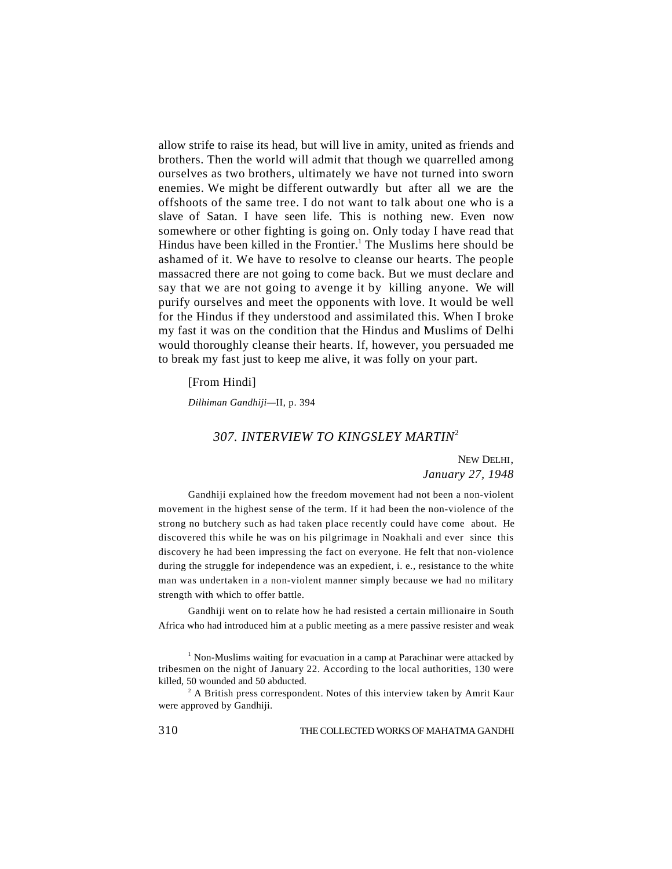allow strife to raise its head, but will live in amity, united as friends and brothers. Then the world will admit that though we quarrelled among ourselves as two brothers, ultimately we have not turned into sworn enemies. We might be different outwardly but after all we are the offshoots of the same tree. I do not want to talk about one who is a slave of Satan. I have seen life. This is nothing new. Even now somewhere or other fighting is going on. Only today I have read that Hindus have been killed in the Frontier.<sup>1</sup> The Muslims here should be ashamed of it. We have to resolve to cleanse our hearts. The people massacred there are not going to come back. But we must declare and say that we are not going to avenge it by killing anyone. We will purify ourselves and meet the opponents with love. It would be well for the Hindus if they understood and assimilated this. When I broke my fast it was on the condition that the Hindus and Muslims of Delhi would thoroughly cleanse their hearts. If, however, you persuaded me to break my fast just to keep me alive, it was folly on your part.

#### [From Hindi]

*Dilhiman Gandhiji—*II, p. 394

## *307. INTERVIEW TO KINGSLEY MARTIN*<sup>2</sup>

NEW DELHI, *January 27, 1948*

Gandhiji explained how the freedom movement had not been a non-violent movement in the highest sense of the term. If it had been the non-violence of the strong no butchery such as had taken place recently could have come about. He discovered this while he was on his pilgrimage in Noakhali and ever since this discovery he had been impressing the fact on everyone. He felt that non-violence during the struggle for independence was an expedient, i. e., resistance to the white man was undertaken in a non-violent manner simply because we had no military strength with which to offer battle.

Gandhiji went on to relate how he had resisted a certain millionaire in South Africa who had introduced him at a public meeting as a mere passive resister and weak

<sup>&</sup>lt;sup>1</sup> Non-Muslims waiting for evacuation in a camp at Parachinar were attacked by tribesmen on the night of January 22. According to the local authorities, 130 were killed, 50 wounded and 50 abducted.

<sup>&</sup>lt;sup>2</sup> A British press correspondent. Notes of this interview taken by Amrit Kaur were approved by Gandhiji.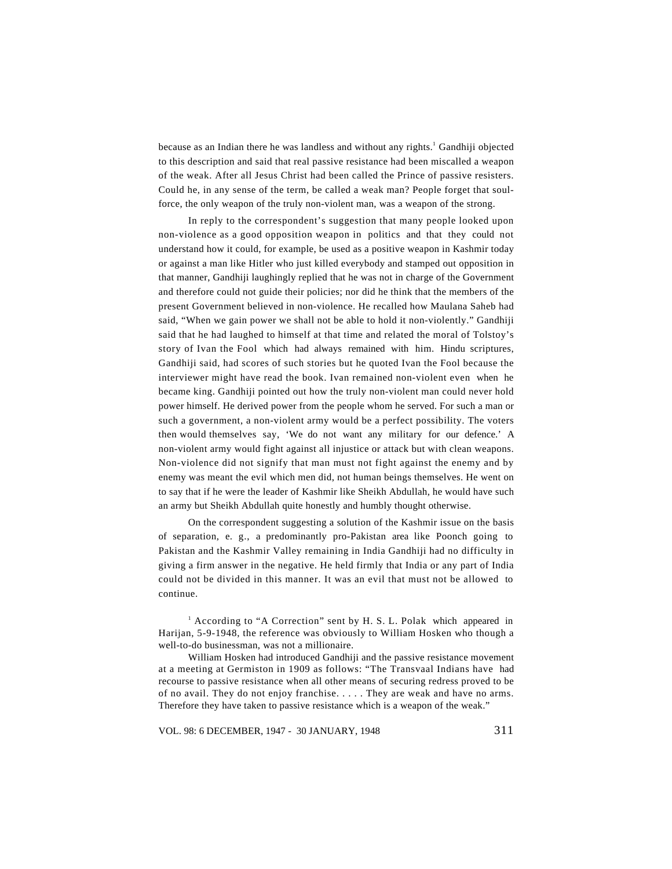because as an Indian there he was landless and without any rights.<sup>1</sup> Gandhiji objected to this description and said that real passive resistance had been miscalled a weapon of the weak. After all Jesus Christ had been called the Prince of passive resisters. Could he, in any sense of the term, be called a weak man? People forget that soulforce, the only weapon of the truly non-violent man, was a weapon of the strong.

In reply to the correspondent's suggestion that many people looked upon non-violence as a good opposition weapon in politics and that they could not understand how it could, for example, be used as a positive weapon in Kashmir today or against a man like Hitler who just killed everybody and stamped out opposition in that manner, Gandhiji laughingly replied that he was not in charge of the Government and therefore could not guide their policies; nor did he think that the members of the present Government believed in non-violence. He recalled how Maulana Saheb had said, "When we gain power we shall not be able to hold it non-violently." Gandhiji said that he had laughed to himself at that time and related the moral of Tolstoy's story of Ivan the Fool which had always remained with him. Hindu scriptures, Gandhiji said, had scores of such stories but he quoted Ivan the Fool because the interviewer might have read the book. Ivan remained non-violent even when he became king. Gandhiji pointed out how the truly non-violent man could never hold power himself. He derived power from the people whom he served. For such a man or such a government, a non-violent army would be a perfect possibility. The voters then would themselves say, 'We do not want any military for our defence.' A non-violent army would fight against all injustice or attack but with clean weapons. Non-violence did not signify that man must not fight against the enemy and by enemy was meant the evil which men did, not human beings themselves. He went on to say that if he were the leader of Kashmir like Sheikh Abdullah, he would have such an army but Sheikh Abdullah quite honestly and humbly thought otherwise.

On the correspondent suggesting a solution of the Kashmir issue on the basis of separation, e. g., a predominantly pro-Pakistan area like Poonch going to Pakistan and the Kashmir Valley remaining in India Gandhiji had no difficulty in giving a firm answer in the negative. He held firmly that India or any part of India could not be divided in this manner. It was an evil that must not be allowed to continue.

<sup>1</sup> According to "A Correction" sent by H. S. L. Polak which appeared in Harijan, 5-9-1948, the reference was obviously to William Hosken who though a well-to-do businessman, was not a millionaire.

William Hosken had introduced Gandhiji and the passive resistance movement at a meeting at Germiston in 1909 as follows: "The Transvaal Indians have had recourse to passive resistance when all other means of securing redress proved to be of no avail. They do not enjoy franchise. . . . . They are weak and have no arms. Therefore they have taken to passive resistance which is a weapon of the weak."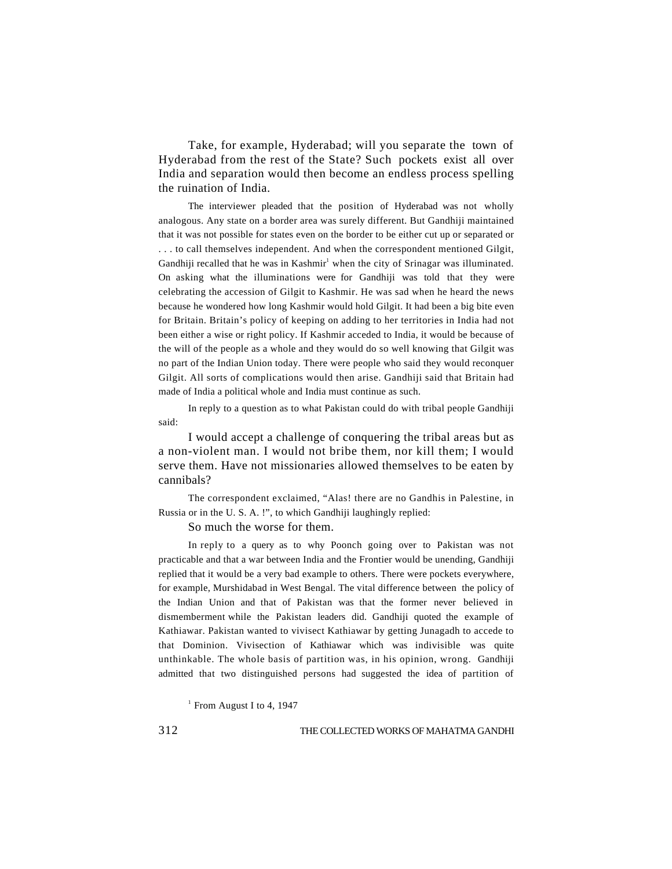Take, for example, Hyderabad; will you separate the town of Hyderabad from the rest of the State? Such pockets exist all over India and separation would then become an endless process spelling the ruination of India.

The interviewer pleaded that the position of Hyderabad was not wholly analogous. Any state on a border area was surely different. But Gandhiji maintained that it was not possible for states even on the border to be either cut up or separated or . . . to call themselves independent. And when the correspondent mentioned Gilgit, Gandhiji recalled that he was in Kashmir<sup>1</sup> when the city of Srinagar was illuminated. On asking what the illuminations were for Gandhiji was told that they were celebrating the accession of Gilgit to Kashmir. He was sad when he heard the news because he wondered how long Kashmir would hold Gilgit. It had been a big bite even for Britain. Britain's policy of keeping on adding to her territories in India had not been either a wise or right policy. If Kashmir acceded to India, it would be because of the will of the people as a whole and they would do so well knowing that Gilgit was no part of the Indian Union today. There were people who said they would reconquer Gilgit. All sorts of complications would then arise. Gandhiji said that Britain had made of India a political whole and India must continue as such.

In reply to a question as to what Pakistan could do with tribal people Gandhiji said:

I would accept a challenge of conquering the tribal areas but as a non-violent man. I would not bribe them, nor kill them; I would serve them. Have not missionaries allowed themselves to be eaten by cannibals?

The correspondent exclaimed, "Alas! there are no Gandhis in Palestine, in Russia or in the U. S. A. !", to which Gandhiji laughingly replied:

So much the worse for them.

In reply to a query as to why Poonch going over to Pakistan was not practicable and that a war between India and the Frontier would be unending, Gandhiji replied that it would be a very bad example to others. There were pockets everywhere, for example, Murshidabad in West Bengal. The vital difference between the policy of the Indian Union and that of Pakistan was that the former never believed in dismemberment while the Pakistan leaders did. Gandhiji quoted the example of Kathiawar. Pakistan wanted to vivisect Kathiawar by getting Junagadh to accede to that Dominion. Vivisection of Kathiawar which was indivisible was quite unthinkable. The whole basis of partition was, in his opinion, wrong. Gandhiji admitted that two distinguished persons had suggested the idea of partition of

<sup>1</sup> From August I to 4, 1947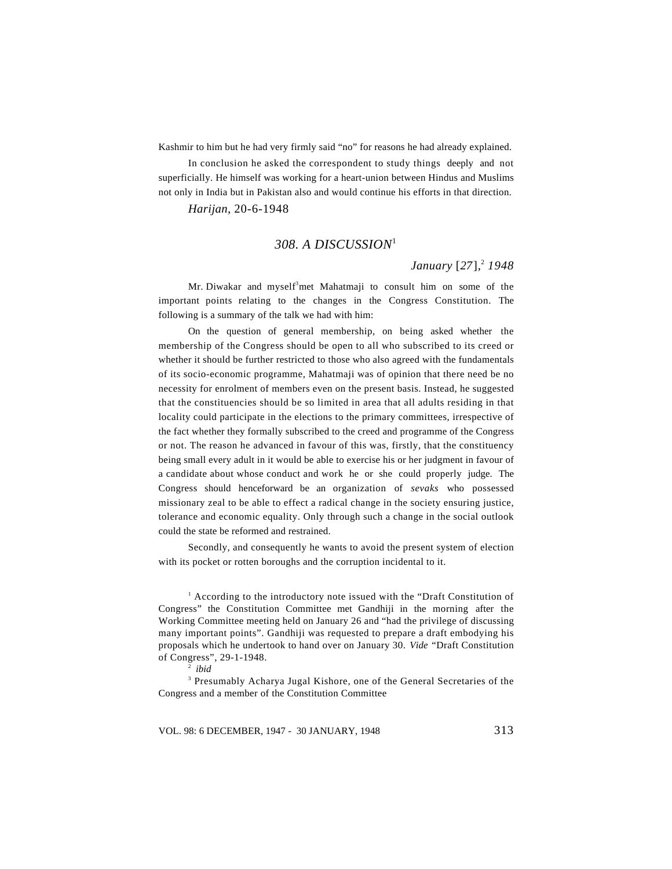Kashmir to him but he had very firmly said "no" for reasons he had already explained.

In conclusion he asked the correspondent to study things deeply and not superficially. He himself was working for a heart-union between Hindus and Muslims not only in India but in Pakistan also and would continue his efforts in that direction.

*Harijan,* 20-6-1948

#### *308. A DISCUSSION*<sup>1</sup>

*January* [*27*]*,* 2  *1948*

Mr. Diwakar and myself<sup>3</sup>met Mahatmaji to consult him on some of the important points relating to the changes in the Congress Constitution. The following is a summary of the talk we had with him:

On the question of general membership, on being asked whether the membership of the Congress should be open to all who subscribed to its creed or whether it should be further restricted to those who also agreed with the fundamentals of its socio-economic programme, Mahatmaji was of opinion that there need be no necessity for enrolment of members even on the present basis. Instead, he suggested that the constituencies should be so limited in area that all adults residing in that locality could participate in the elections to the primary committees, irrespective of the fact whether they formally subscribed to the creed and programme of the Congress or not. The reason he advanced in favour of this was, firstly, that the constituency being small every adult in it would be able to exercise his or her judgment in favour of a candidate about whose conduct and work he or she could properly judge. The Congress should henceforward be an organization of *sevaks* who possessed missionary zeal to be able to effect a radical change in the society ensuring justice, tolerance and economic equality. Only through such a change in the social outlook could the state be reformed and restrained.

Secondly, and consequently he wants to avoid the present system of election with its pocket or rotten boroughs and the corruption incidental to it.

<sup>1</sup> According to the introductory note issued with the "Draft Constitution of Congress" the Constitution Committee met Gandhiji in the morning after the Working Committee meeting held on January 26 and "had the privilege of discussing many important points". Gandhiji was requested to prepare a draft embodying his proposals which he undertook to hand over on January 30. *Vide* "Draft Constitution of Congress", 29-1-1948.

*ibid*

<sup>3</sup> Presumably Acharya Jugal Kishore, one of the General Secretaries of the Congress and a member of the Constitution Committee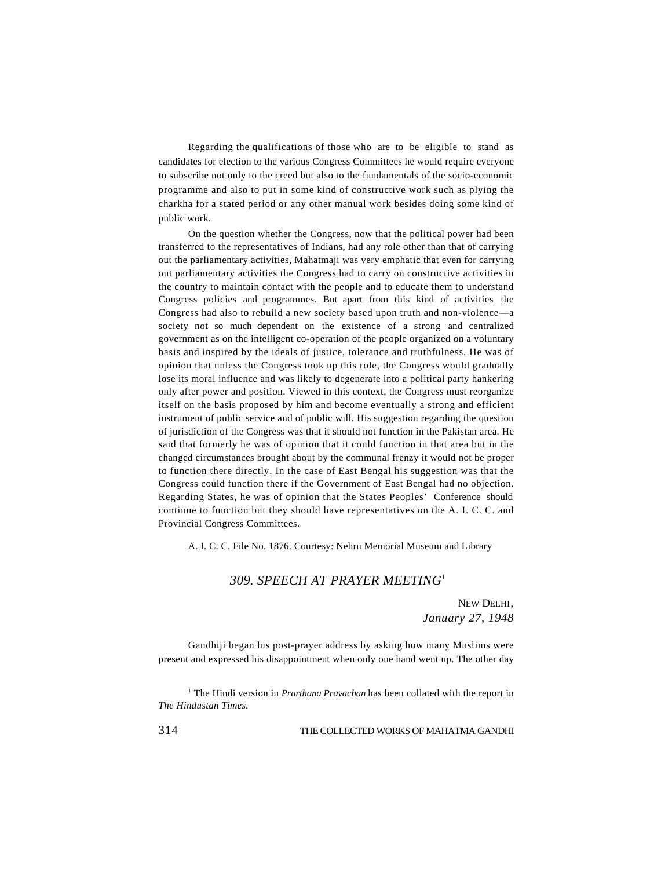Regarding the qualifications of those who are to be eligible to stand as candidates for election to the various Congress Committees he would require everyone to subscribe not only to the creed but also to the fundamentals of the socio-economic programme and also to put in some kind of constructive work such as plying the charkha for a stated period or any other manual work besides doing some kind of public work.

On the question whether the Congress, now that the political power had been transferred to the representatives of Indians, had any role other than that of carrying out the parliamentary activities, Mahatmaji was very emphatic that even for carrying out parliamentary activities the Congress had to carry on constructive activities in the country to maintain contact with the people and to educate them to understand Congress policies and programmes. But apart from this kind of activities the Congress had also to rebuild a new society based upon truth and non-violence—a society not so much dependent on the existence of a strong and centralized government as on the intelligent co-operation of the people organized on a voluntary basis and inspired by the ideals of justice, tolerance and truthfulness. He was of opinion that unless the Congress took up this role, the Congress would gradually lose its moral influence and was likely to degenerate into a political party hankering only after power and position. Viewed in this context, the Congress must reorganize itself on the basis proposed by him and become eventually a strong and efficient instrument of public service and of public will. His suggestion regarding the question of jurisdiction of the Congress was that it should not function in the Pakistan area. He said that formerly he was of opinion that it could function in that area but in the changed circumstances brought about by the communal frenzy it would not be proper to function there directly. In the case of East Bengal his suggestion was that the Congress could function there if the Government of East Bengal had no objection. Regarding States, he was of opinion that the States Peoples' Conference should continue to function but they should have representatives on the A. I. C. C. and Provincial Congress Committees.

A. I. C. C. File No. 1876. Courtesy: Nehru Memorial Museum and Library

# *309. SPEECH AT PRAYER MEETING*<sup>1</sup>

NEW DELHI, *January 27, 1948*

Gandhiji began his post-prayer address by asking how many Muslims were present and expressed his disappointment when only one hand went up. The other day

<sup>1</sup> The Hindi version in *Prarthana Pravachan* has been collated with the report in *The Hindustan Times.*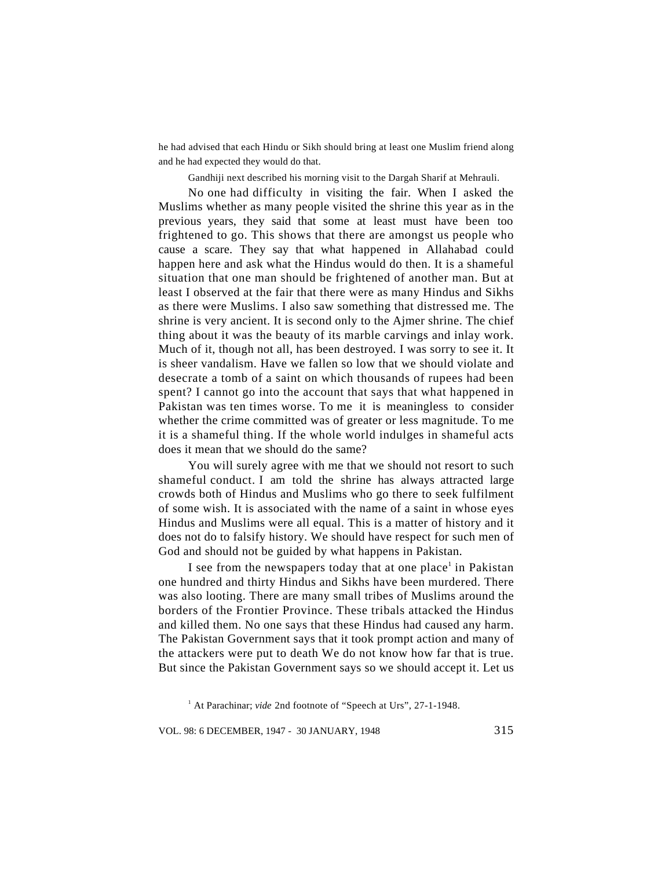he had advised that each Hindu or Sikh should bring at least one Muslim friend along and he had expected they would do that.

Gandhiji next described his morning visit to the Dargah Sharif at Mehrauli.

No one had difficulty in visiting the fair. When I asked the Muslims whether as many people visited the shrine this year as in the previous years, they said that some at least must have been too frightened to go. This shows that there are amongst us people who cause a scare. They say that what happened in Allahabad could happen here and ask what the Hindus would do then. It is a shameful situation that one man should be frightened of another man. But at least I observed at the fair that there were as many Hindus and Sikhs as there were Muslims. I also saw something that distressed me. The shrine is very ancient. It is second only to the Ajmer shrine. The chief thing about it was the beauty of its marble carvings and inlay work. Much of it, though not all, has been destroyed. I was sorry to see it. It is sheer vandalism. Have we fallen so low that we should violate and desecrate a tomb of a saint on which thousands of rupees had been spent? I cannot go into the account that says that what happened in Pakistan was ten times worse. To me it is meaningless to consider whether the crime committed was of greater or less magnitude. To me it is a shameful thing. If the whole world indulges in shameful acts does it mean that we should do the same?

You will surely agree with me that we should not resort to such shameful conduct. I am told the shrine has always attracted large crowds both of Hindus and Muslims who go there to seek fulfilment of some wish. It is associated with the name of a saint in whose eyes Hindus and Muslims were all equal. This is a matter of history and it does not do to falsify history. We should have respect for such men of God and should not be guided by what happens in Pakistan.

I see from the newspapers today that at one place<sup>1</sup> in Pakistan one hundred and thirty Hindus and Sikhs have been murdered. There was also looting. There are many small tribes of Muslims around the borders of the Frontier Province. These tribals attacked the Hindus and killed them. No one says that these Hindus had caused any harm. The Pakistan Government says that it took prompt action and many of the attackers were put to death We do not know how far that is true. But since the Pakistan Government says so we should accept it. Let us

<sup>&</sup>lt;sup>1</sup> At Parachinar; *vide* 2nd footnote of "Speech at Urs", 27-1-1948.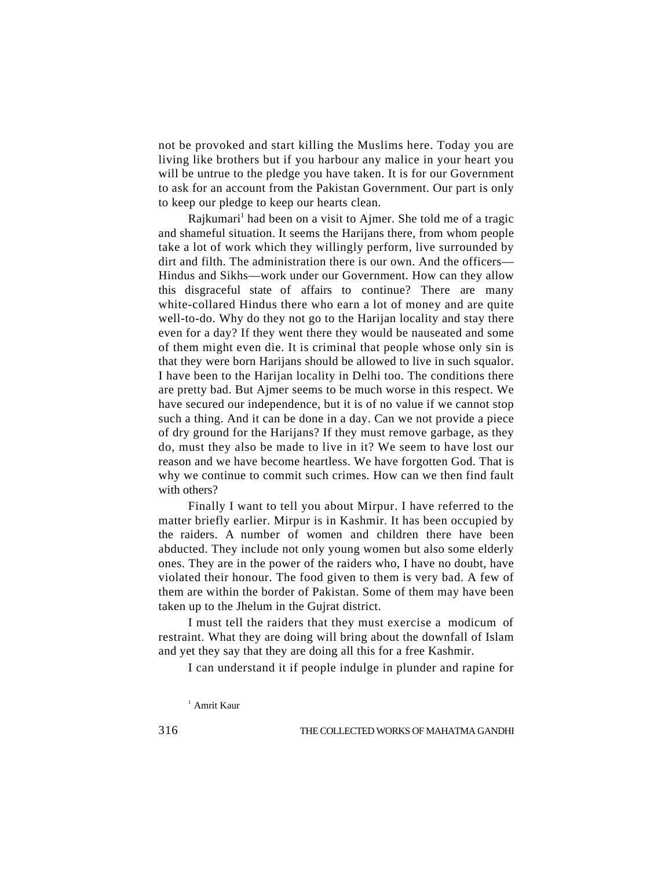not be provoked and start killing the Muslims here. Today you are living like brothers but if you harbour any malice in your heart you will be untrue to the pledge you have taken. It is for our Government to ask for an account from the Pakistan Government. Our part is only to keep our pledge to keep our hearts clean.

Rajkumari<sup>1</sup> had been on a visit to Ajmer. She told me of a tragic and shameful situation. It seems the Harijans there, from whom people take a lot of work which they willingly perform, live surrounded by dirt and filth. The administration there is our own. And the officers— Hindus and Sikhs—work under our Government. How can they allow this disgraceful state of affairs to continue? There are many white-collared Hindus there who earn a lot of money and are quite well-to-do. Why do they not go to the Harijan locality and stay there even for a day? If they went there they would be nauseated and some of them might even die. It is criminal that people whose only sin is that they were born Harijans should be allowed to live in such squalor. I have been to the Harijan locality in Delhi too. The conditions there are pretty bad. But Ajmer seems to be much worse in this respect. We have secured our independence, but it is of no value if we cannot stop such a thing. And it can be done in a day. Can we not provide a piece of dry ground for the Harijans? If they must remove garbage, as they do, must they also be made to live in it? We seem to have lost our reason and we have become heartless. We have forgotten God. That is why we continue to commit such crimes. How can we then find fault with others?

Finally I want to tell you about Mirpur. I have referred to the matter briefly earlier. Mirpur is in Kashmir. It has been occupied by the raiders. A number of women and children there have been abducted. They include not only young women but also some elderly ones. They are in the power of the raiders who, I have no doubt, have violated their honour. The food given to them is very bad. A few of them are within the border of Pakistan. Some of them may have been taken up to the Jhelum in the Gujrat district.

I must tell the raiders that they must exercise a modicum of restraint. What they are doing will bring about the downfall of Islam and yet they say that they are doing all this for a free Kashmir.

I can understand it if people indulge in plunder and rapine for

<sup>1</sup> Amrit Kaur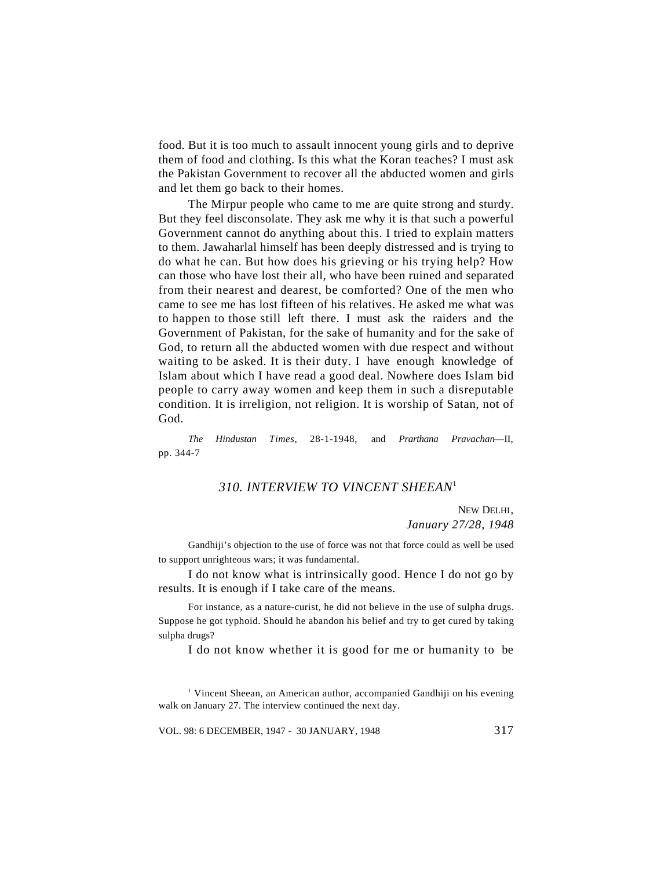food. But it is too much to assault innocent young girls and to deprive them of food and clothing. Is this what the Koran teaches? I must ask the Pakistan Government to recover all the abducted women and girls and let them go back to their homes.

The Mirpur people who came to me are quite strong and sturdy. But they feel disconsolate. They ask me why it is that such a powerful Government cannot do anything about this. I tried to explain matters to them. Jawaharlal himself has been deeply distressed and is trying to do what he can. But how does his grieving or his trying help? How can those who have lost their all, who have been ruined and separated from their nearest and dearest, be comforted? One of the men who came to see me has lost fifteen of his relatives. He asked me what was to happen to those still left there. I must ask the raiders and the Government of Pakistan, for the sake of humanity and for the sake of God, to return all the abducted women with due respect and without waiting to be asked. It is their duty. I have enough knowledge of Islam about which I have read a good deal. Nowhere does Islam bid people to carry away women and keep them in such a disreputable condition. It is irreligion, not religion. It is worship of Satan, not of God.

*The Hindustan Times*, 28-1-1948, and *Prarthana Pravachan*—II, pp. 344-7

# *310. INTERVIEW TO VINCENT SHEEAN*<sup>1</sup>

NEW DELHI, *January 27/28, 1948*

Gandhiji's objection to the use of force was not that force could as well be used to support unrighteous wars; it was fundamental.

I do not know what is intrinsically good. Hence I do not go by results. It is enough if I take care of the means.

For instance, as a nature-curist, he did not believe in the use of sulpha drugs. Suppose he got typhoid. Should he abandon his belief and try to get cured by taking sulpha drugs?

I do not know whether it is good for me or humanity to be

<sup>1</sup> Vincent Sheean, an American author, accompanied Gandhiji on his evening walk on January 27. The interview continued the next day.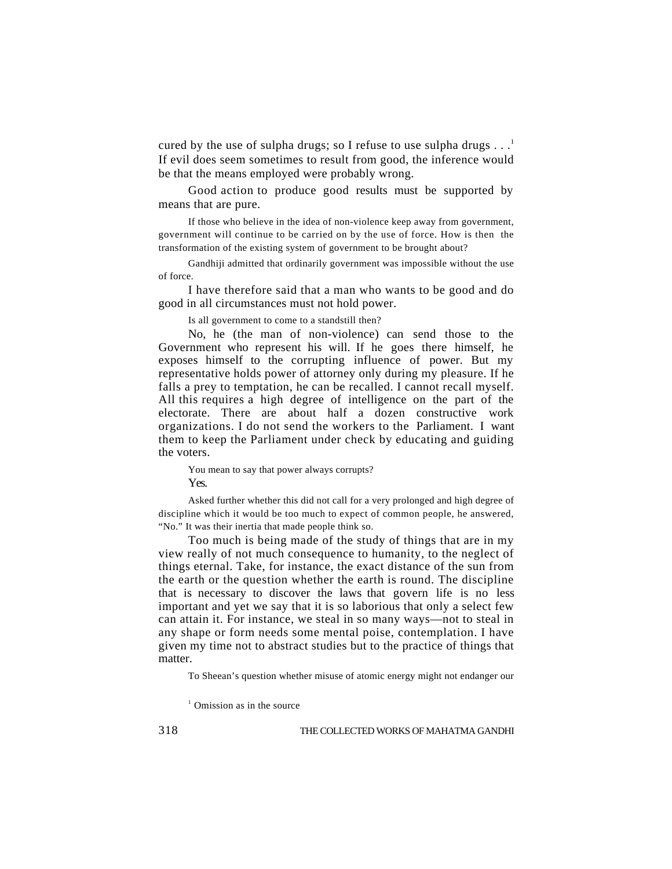cured by the use of sulpha drugs; so I refuse to use sulpha drugs  $\dots$ <sup>1</sup> If evil does seem sometimes to result from good, the inference would be that the means employed were probably wrong.

Good action to produce good results must be supported by means that are pure.

If those who believe in the idea of non-violence keep away from government, government will continue to be carried on by the use of force. How is then the transformation of the existing system of government to be brought about?

Gandhiji admitted that ordinarily government was impossible without the use of force.

I have therefore said that a man who wants to be good and do good in all circumstances must not hold power.

Is all government to come to a standstill then?

No, he (the man of non-violence) can send those to the Government who represent his will. If he goes there himself, he exposes himself to the corrupting influence of power. But my representative holds power of attorney only during my pleasure. If he falls a prey to temptation, he can be recalled. I cannot recall myself. All this requires a high degree of intelligence on the part of the electorate. There are about half a dozen constructive work organizations. I do not send the workers to the Parliament. I want them to keep the Parliament under check by educating and guiding the voters.

You mean to say that power always corrupts? Yes.

Asked further whether this did not call for a very prolonged and high degree of discipline which it would be too much to expect of common people, he answered, "No." It was their inertia that made people think so.

Too much is being made of the study of things that are in my view really of not much consequence to humanity, to the neglect of things eternal. Take, for instance, the exact distance of the sun from the earth or the question whether the earth is round. The discipline that is necessary to discover the laws that govern life is no less important and yet we say that it is so laborious that only a select few can attain it. For instance, we steal in so many ways—not to steal in any shape or form needs some mental poise, contemplation. I have given my time not to abstract studies but to the practice of things that matter.

To Sheean's question whether misuse of atomic energy might not endanger our

<sup>1</sup> Omission as in the source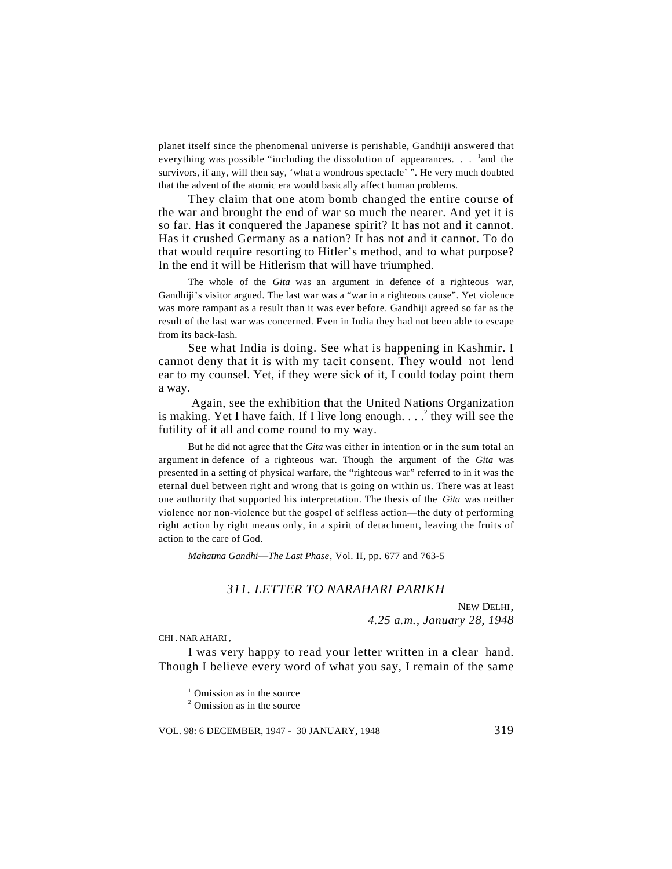planet itself since the phenomenal universe is perishable, Gandhiji answered that everything was possible "including the dissolution of appearances...<sup>1</sup> and the survivors, if any, will then say, 'what a wondrous spectacle' ". He very much doubted that the advent of the atomic era would basically affect human problems.

They claim that one atom bomb changed the entire course of the war and brought the end of war so much the nearer. And yet it is so far. Has it conquered the Japanese spirit? It has not and it cannot. Has it crushed Germany as a nation? It has not and it cannot. To do that would require resorting to Hitler's method, and to what purpose? In the end it will be Hitlerism that will have triumphed.

The whole of the *Gita* was an argument in defence of a righteous war, Gandhiji's visitor argued. The last war was a "war in a righteous cause". Yet violence was more rampant as a result than it was ever before. Gandhiji agreed so far as the result of the last war was concerned. Even in India they had not been able to escape from its back-lash.

See what India is doing. See what is happening in Kashmir. I cannot deny that it is with my tacit consent. They would not lend ear to my counsel. Yet, if they were sick of it, I could today point them a way.

 Again, see the exhibition that the United Nations Organization is making. Yet I have faith. If I live long enough.  $\ldots^2$  they will see the futility of it all and come round to my way.

But he did not agree that the *Gita* was either in intention or in the sum total an argument in defence of a righteous war. Though the argument of the *Gita* was presented in a setting of physical warfare, the "righteous war" referred to in it was the eternal duel between right and wrong that is going on within us. There was at least one authority that supported his interpretation. The thesis of the *Gita* was neither violence nor non-violence but the gospel of selfless action—the duty of performing right action by right means only, in a spirit of detachment, leaving the fruits of action to the care of God.

*Mahatma Gandhi*—*The Last Phase*, Vol. II, pp. 677 and 763-5

#### *311. LETTER TO NARAHARI PARIKH*

NEW DELHI, *4.25 a.m., January 28, 1948*

CHI . NAR AHARI ,

I was very happy to read your letter written in a clear hand. Though I believe every word of what you say, I remain of the same

<sup>1</sup> Omission as in the source 2 Omission as in the source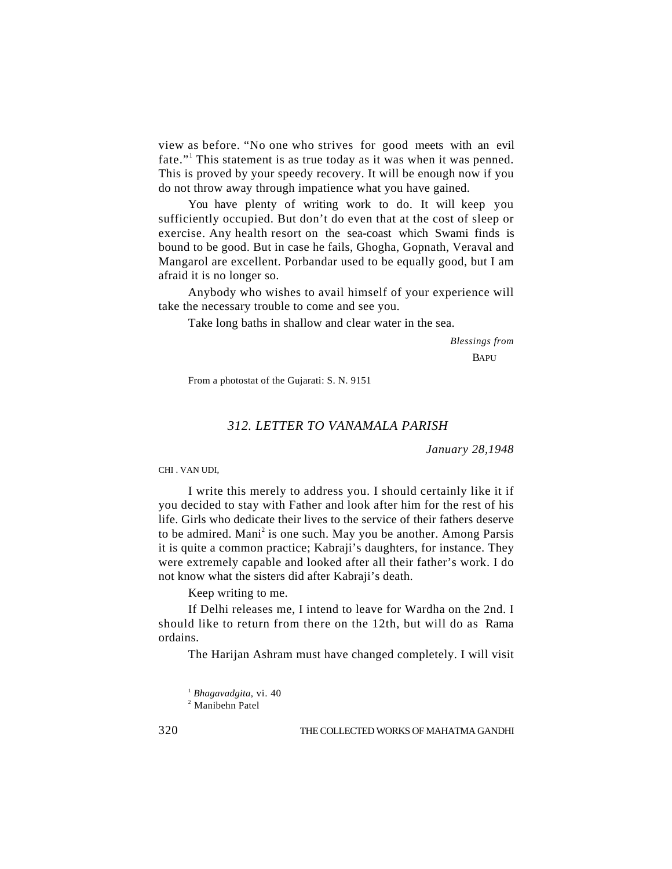view as before. "No one who strives for good meets with an evil fate."<sup>1</sup> This statement is as true today as it was when it was penned. This is proved by your speedy recovery. It will be enough now if you do not throw away through impatience what you have gained.

You have plenty of writing work to do. It will keep you sufficiently occupied. But don't do even that at the cost of sleep or exercise. Any health resort on the sea-coast which Swami finds is bound to be good. But in case he fails, Ghogha, Gopnath, Veraval and Mangarol are excellent. Porbandar used to be equally good, but I am afraid it is no longer so.

Anybody who wishes to avail himself of your experience will take the necessary trouble to come and see you.

Take long baths in shallow and clear water in the sea.

*Blessings from* BAPU

From a photostat of the Gujarati: S. N. 9151

## *312. LETTER TO VANAMALA PARISH*

*January 28,1948*

CHI . VAN UDI,

I write this merely to address you. I should certainly like it if you decided to stay with Father and look after him for the rest of his life. Girls who dedicate their lives to the service of their fathers deserve to be admired. Mani<sup>2</sup> is one such. May you be another. Among Parsis it is quite a common practice; Kabraji's daughters, for instance. They were extremely capable and looked after all their father's work. I do not know what the sisters did after Kabraji's death.

Keep writing to me.

If Delhi releases me, I intend to leave for Wardha on the 2nd. I should like to return from there on the 12th, but will do as Rama ordains.

The Harijan Ashram must have changed completely. I will visit

<sup>1</sup> *Bhagavadgita*, vi. 40 <sup>2</sup> Manibehn Patel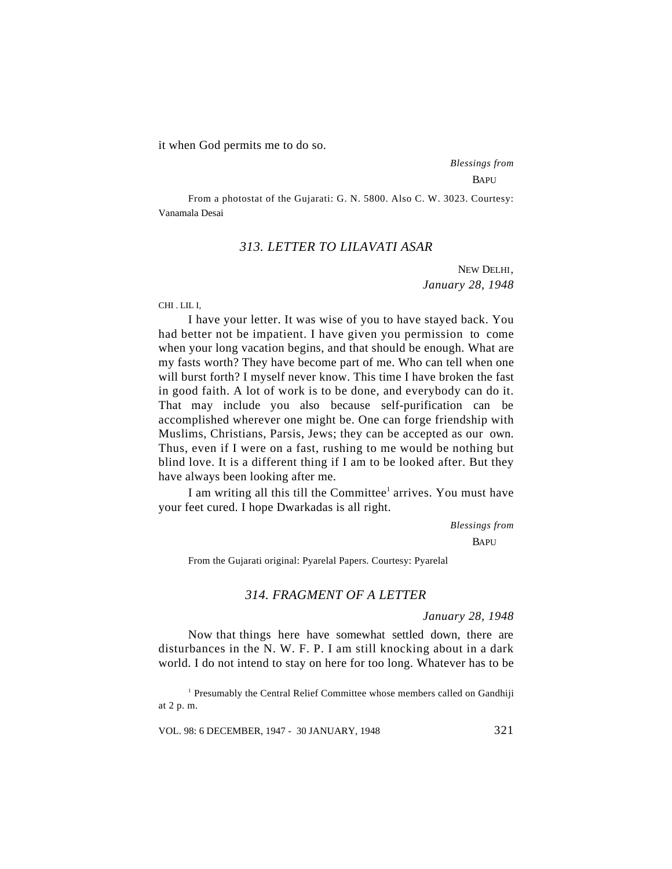it when God permits me to do so.

*Blessings from*

BAPU

From a photostat of the Gujarati: G. N. 5800. Also C. W. 3023. Courtesy: Vanamala Desai

#### *313. LETTER TO LILAVATI ASAR*

NEW DELHI, *January 28, 1948*

#### CHI . LIL I,

I have your letter. It was wise of you to have stayed back. You had better not be impatient. I have given you permission to come when your long vacation begins, and that should be enough. What are my fasts worth? They have become part of me. Who can tell when one will burst forth? I myself never know. This time I have broken the fast in good faith. A lot of work is to be done, and everybody can do it. That may include you also because self-purification can be accomplished wherever one might be. One can forge friendship with Muslims, Christians, Parsis, Jews; they can be accepted as our own. Thus, even if I were on a fast, rushing to me would be nothing but blind love. It is a different thing if I am to be looked after. But they have always been looking after me.

I am writing all this till the Committee<sup>1</sup> arrives. You must have your feet cured. I hope Dwarkadas is all right.

*Blessings from*

**BAPU** 

From the Gujarati original: Pyarelal Papers. Courtesy: Pyarelal

#### *314. FRAGMENT OF A LETTER*

*January 28, 1948*

Now that things here have somewhat settled down, there are disturbances in the N. W. F. P. I am still knocking about in a dark world. I do not intend to stay on here for too long. Whatever has to be

<sup>1</sup> Presumably the Central Relief Committee whose members called on Gandhiji at 2 p. m.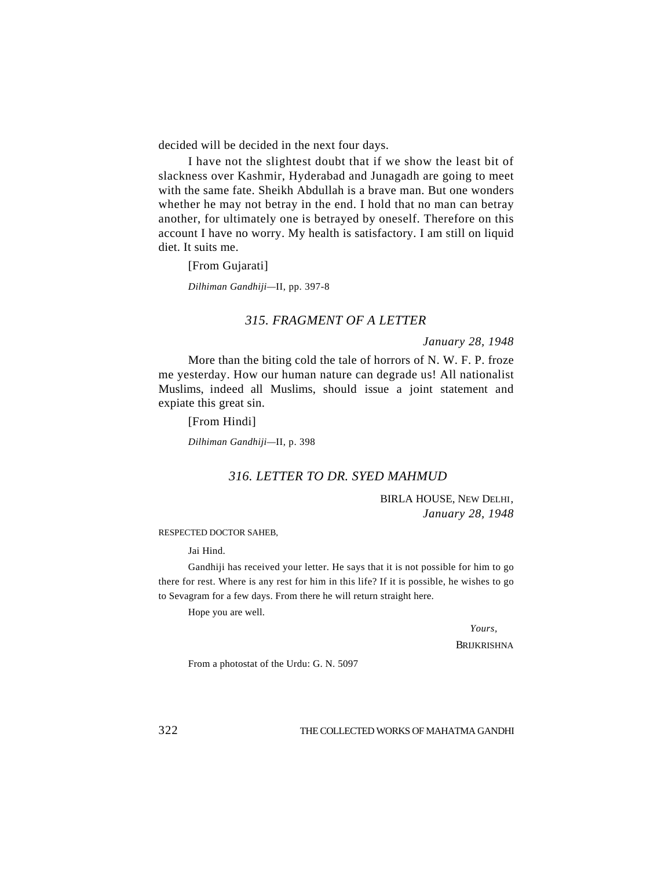decided will be decided in the next four days.

I have not the slightest doubt that if we show the least bit of slackness over Kashmir, Hyderabad and Junagadh are going to meet with the same fate. Sheikh Abdullah is a brave man. But one wonders whether he may not betray in the end. I hold that no man can betray another, for ultimately one is betrayed by oneself. Therefore on this account I have no worry. My health is satisfactory. I am still on liquid diet. It suits me.

[From Gujarati]

*Dilhiman Gandhiji—*II, pp. 397-8

#### *315. FRAGMENT OF A LETTER*

*January 28, 1948*

More than the biting cold the tale of horrors of N. W. F. P. froze me yesterday. How our human nature can degrade us! All nationalist Muslims, indeed all Muslims, should issue a joint statement and expiate this great sin.

[From Hindi]

*Dilhiman Gandhiji—*II, p. 398

## *316. LETTER TO DR. SYED MAHMUD*

BIRLA HOUSE, NEW DELHI, *January 28, 1948*

#### RESPECTED DOCTOR SAHEB,

Jai Hind.

Gandhiji has received your letter. He says that it is not possible for him to go there for rest. Where is any rest for him in this life? If it is possible, he wishes to go to Sevagram for a few days. From there he will return straight here.

Hope you are well.

*Yours,* **BRIJKRISHNA** 

From a photostat of the Urdu: G. N. 5097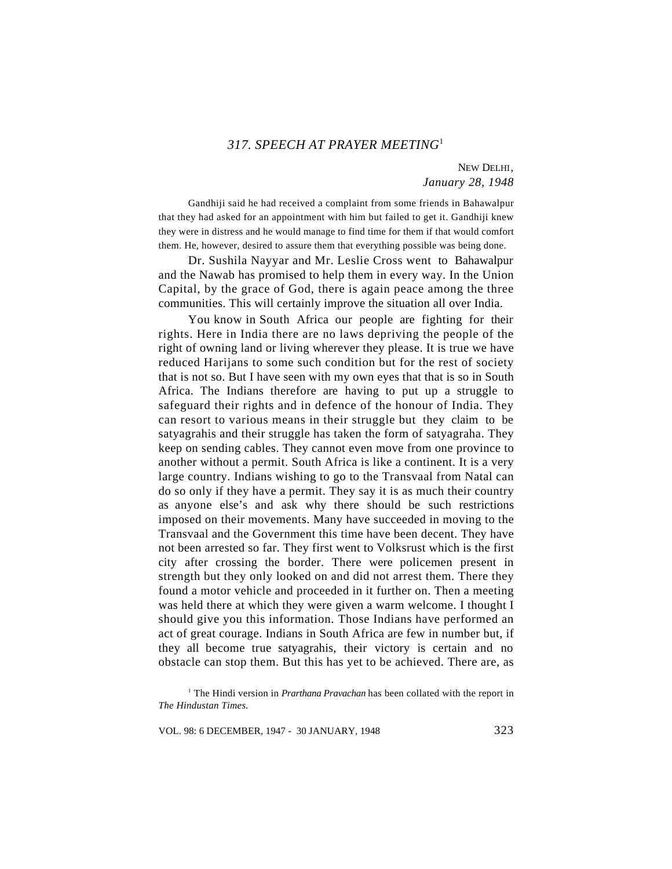## *317. SPEECH AT PRAYER MEETING*<sup>1</sup>

NEW DELHI, *January 28, 1948*

Gandhiji said he had received a complaint from some friends in Bahawalpur that they had asked for an appointment with him but failed to get it. Gandhiji knew they were in distress and he would manage to find time for them if that would comfort them. He, however, desired to assure them that everything possible was being done.

Dr. Sushila Nayyar and Mr. Leslie Cross went to Bahawalpur and the Nawab has promised to help them in every way. In the Union Capital, by the grace of God, there is again peace among the three communities. This will certainly improve the situation all over India.

You know in South Africa our people are fighting for their rights. Here in India there are no laws depriving the people of the right of owning land or living wherever they please. It is true we have reduced Harijans to some such condition but for the rest of society that is not so. But I have seen with my own eyes that that is so in South Africa. The Indians therefore are having to put up a struggle to safeguard their rights and in defence of the honour of India. They can resort to various means in their struggle but they claim to be satyagrahis and their struggle has taken the form of satyagraha. They keep on sending cables. They cannot even move from one province to another without a permit. South Africa is like a continent. It is a very large country. Indians wishing to go to the Transvaal from Natal can do so only if they have a permit. They say it is as much their country as anyone else's and ask why there should be such restrictions imposed on their movements. Many have succeeded in moving to the Transvaal and the Government this time have been decent. They have not been arrested so far. They first went to Volksrust which is the first city after crossing the border. There were policemen present in strength but they only looked on and did not arrest them. There they found a motor vehicle and proceeded in it further on. Then a meeting was held there at which they were given a warm welcome. I thought I should give you this information. Those Indians have performed an act of great courage. Indians in South Africa are few in number but, if they all become true satyagrahis, their victory is certain and no obstacle can stop them. But this has yet to be achieved. There are, as

<sup>&</sup>lt;sup>1</sup> The Hindi version in *Prarthana Pravachan* has been collated with the report in *The Hindustan Times.*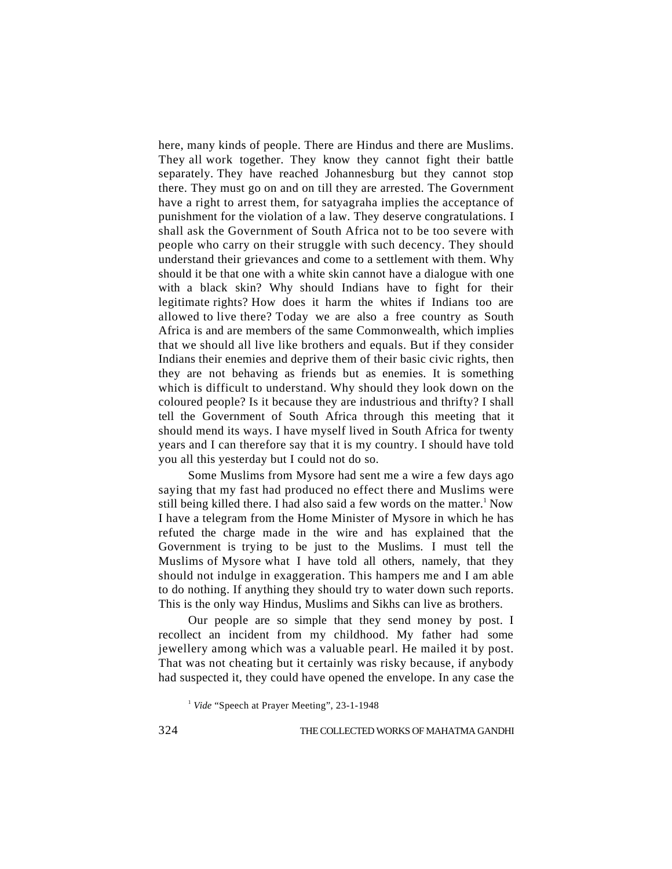here, many kinds of people. There are Hindus and there are Muslims. They all work together. They know they cannot fight their battle separately. They have reached Johannesburg but they cannot stop there. They must go on and on till they are arrested. The Government have a right to arrest them, for satyagraha implies the acceptance of punishment for the violation of a law. They deserve congratulations. I shall ask the Government of South Africa not to be too severe with people who carry on their struggle with such decency. They should understand their grievances and come to a settlement with them. Why should it be that one with a white skin cannot have a dialogue with one with a black skin? Why should Indians have to fight for their legitimate rights? How does it harm the whites if Indians too are allowed to live there? Today we are also a free country as South Africa is and are members of the same Commonwealth, which implies that we should all live like brothers and equals. But if they consider Indians their enemies and deprive them of their basic civic rights, then they are not behaving as friends but as enemies. It is something which is difficult to understand. Why should they look down on the coloured people? Is it because they are industrious and thrifty? I shall tell the Government of South Africa through this meeting that it should mend its ways. I have myself lived in South Africa for twenty years and I can therefore say that it is my country. I should have told you all this yesterday but I could not do so.

Some Muslims from Mysore had sent me a wire a few days ago saying that my fast had produced no effect there and Muslims were still being killed there. I had also said a few words on the matter.<sup>1</sup> Now I have a telegram from the Home Minister of Mysore in which he has refuted the charge made in the wire and has explained that the Government is trying to be just to the Muslims. I must tell the Muslims of Mysore what I have told all others, namely, that they should not indulge in exaggeration. This hampers me and I am able to do nothing. If anything they should try to water down such reports. This is the only way Hindus, Muslims and Sikhs can live as brothers.

Our people are so simple that they send money by post. I recollect an incident from my childhood. My father had some jewellery among which was a valuable pearl. He mailed it by post. That was not cheating but it certainly was risky because, if anybody had suspected it, they could have opened the envelope. In any case the

<sup>&</sup>lt;sup>1</sup> *Vide* "Speech at Prayer Meeting", 23-1-1948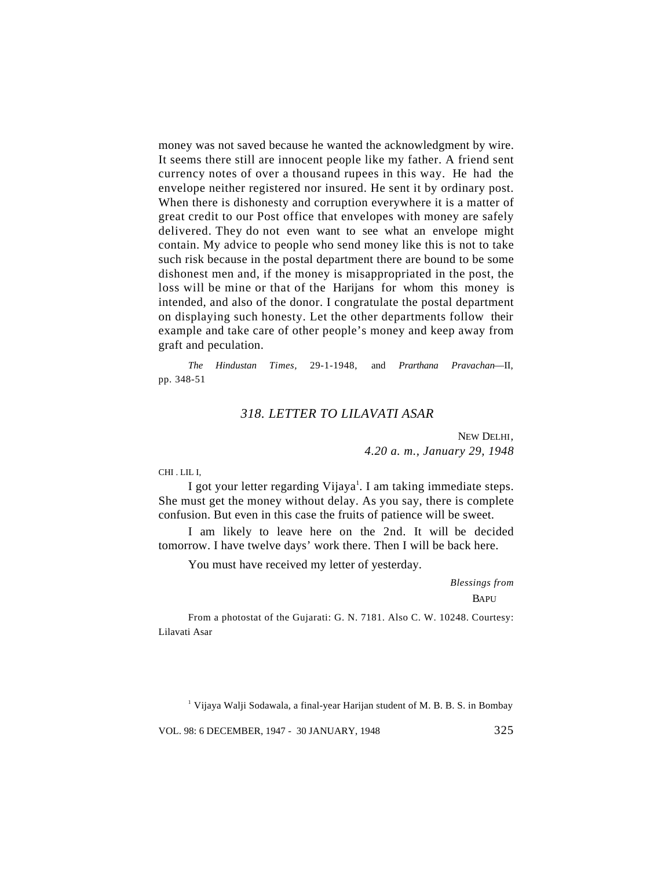money was not saved because he wanted the acknowledgment by wire. It seems there still are innocent people like my father. A friend sent currency notes of over a thousand rupees in this way. He had the envelope neither registered nor insured. He sent it by ordinary post. When there is dishonesty and corruption everywhere it is a matter of great credit to our Post office that envelopes with money are safely delivered. They do not even want to see what an envelope might contain. My advice to people who send money like this is not to take such risk because in the postal department there are bound to be some dishonest men and, if the money is misappropriated in the post, the loss will be mine or that of the Harijans for whom this money is intended, and also of the donor. I congratulate the postal department on displaying such honesty. Let the other departments follow their example and take care of other people's money and keep away from graft and peculation.

*The Hindustan Times,* 29-1-1948, and *Prarthana Pravachan*—II, pp. 348-51

## *318. LETTER TO LILAVATI ASAR*

NEW DELHI, *4.20 a. m., January 29, 1948*

CHI . LIL I,

I got your letter regarding Vijaya<sup>1</sup>. I am taking immediate steps. She must get the money without delay. As you say, there is complete confusion. But even in this case the fruits of patience will be sweet.

I am likely to leave here on the 2nd. It will be decided tomorrow. I have twelve days' work there. Then I will be back here.

You must have received my letter of yesterday.

*Blessings from* **BAPU** 

From a photostat of the Gujarati: G. N. 7181. Also C. W. 10248. Courtesy: Lilavati Asar

<sup>1</sup> Vijaya Walji Sodawala, a final-year Harijan student of M. B. B. S. in Bombay

VOL. 98: 6 DECEMBER, 1947 - 30 JANUARY, 1948 325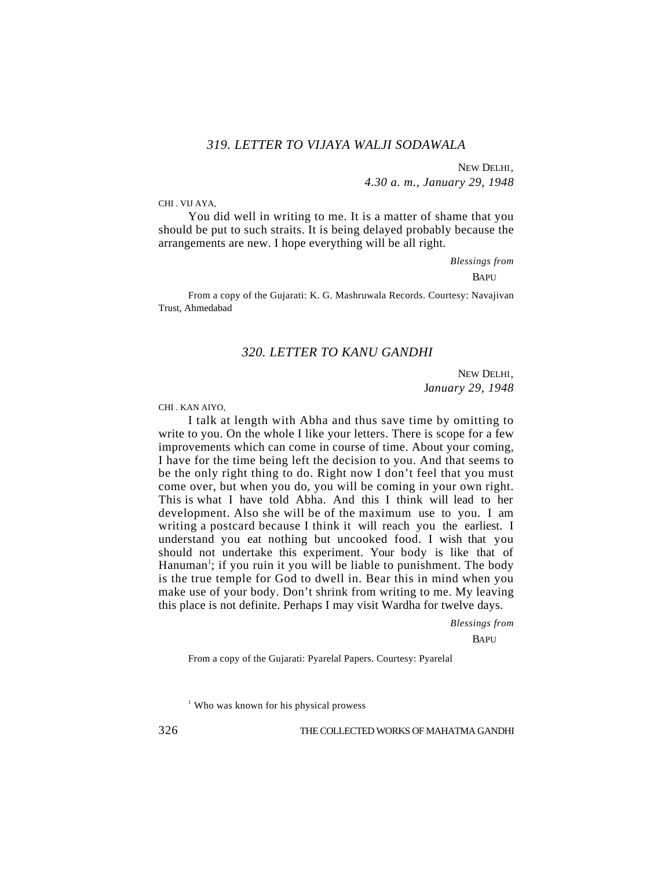## *319. LETTER TO VIJAYA WALJI SODAWALA*

NEW DELHI, *4.30 a. m., January 29, 1948*

CHI . VIJ AYA,

You did well in writing to me. It is a matter of shame that you should be put to such straits. It is being delayed probably because the arrangements are new. I hope everything will be all right.

*Blessings from*

**BAPU** 

From a copy of the Gujarati: K. G. Mashruwala Records. Courtesy: Navajivan Trust, Ahmedabad

#### *320. LETTER TO KANU GANDHI*

NEW DELHI, J*anuary 29, 1948*

CHI . KAN AIYO,

I talk at length with Abha and thus save time by omitting to write to you. On the whole I like your letters. There is scope for a few improvements which can come in course of time. About your coming, I have for the time being left the decision to you. And that seems to be the only right thing to do. Right now I don't feel that you must come over, but when you do, you will be coming in your own right. This is what I have told Abha. And this I think will lead to her development. Also she will be of the maximum use to you. I am writing a postcard because I think it will reach you the earliest. I understand you eat nothing but uncooked food. I wish that you should not undertake this experiment. Your body is like that of Hanuman<sup>1</sup>; if you ruin it you will be liable to punishment. The body is the true temple for God to dwell in. Bear this in mind when you make use of your body. Don't shrink from writing to me. My leaving this place is not definite. Perhaps I may visit Wardha for twelve days.

*Blessings from*

**BAPU** 

From a copy of the Gujarati: Pyarelal Papers. Courtesy: Pyarelal

<sup>1</sup> Who was known for his physical prowess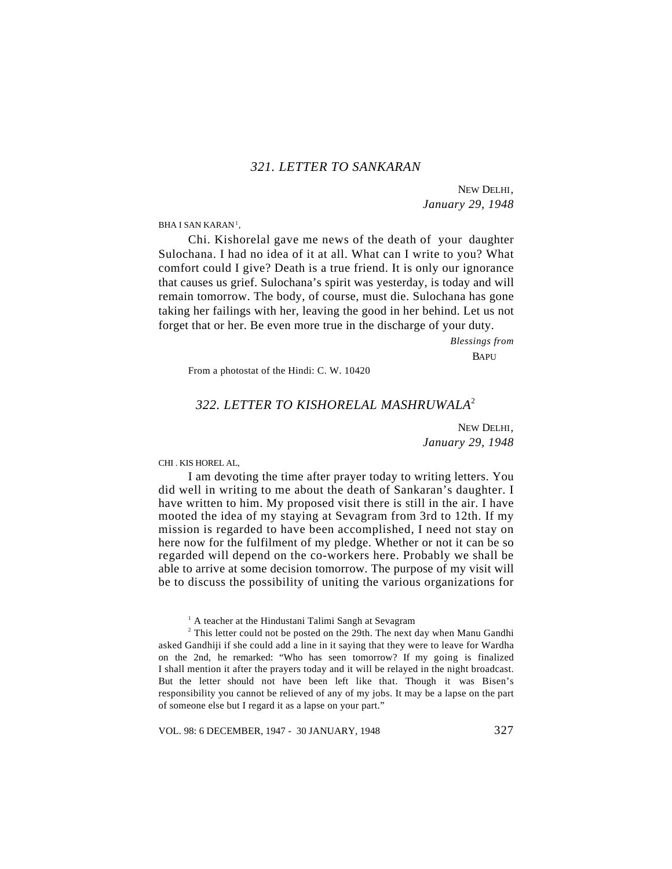#### *321. LETTER TO SANKARAN*

NEW DELHI, *January 29, 1948*

#### BHA I SAN KARAN<sup>1</sup>,

Chi. Kishorelal gave me news of the death of your daughter Sulochana. I had no idea of it at all. What can I write to you? What comfort could I give? Death is a true friend. It is only our ignorance that causes us grief. Sulochana's spirit was yesterday, is today and will remain tomorrow. The body, of course, must die. Sulochana has gone taking her failings with her, leaving the good in her behind. Let us not forget that or her. Be even more true in the discharge of your duty.

> *Blessings from* **BAPU**

From a photostat of the Hindi: C. W. 10420

# *322. LETTER TO KISHORELAL MASHRUWALA*<sup>2</sup>

NEW DELHI, *January 29, 1948*

CHI . KIS HOREL AL,

I am devoting the time after prayer today to writing letters. You did well in writing to me about the death of Sankaran's daughter. I have written to him. My proposed visit there is still in the air. I have mooted the idea of my staying at Sevagram from 3rd to 12th. If my mission is regarded to have been accomplished, I need not stay on here now for the fulfilment of my pledge. Whether or not it can be so regarded will depend on the co-workers here. Probably we shall be able to arrive at some decision tomorrow. The purpose of my visit will be to discuss the possibility of uniting the various organizations for

<sup>1</sup> A teacher at the Hindustani Talimi Sangh at Sevagram

 $2^2$  This letter could not be posted on the 29th. The next day when Manu Gandhi asked Gandhiji if she could add a line in it saying that they were to leave for Wardha on the 2nd, he remarked: "Who has seen tomorrow? If my going is finalized I shall mention it after the prayers today and it will be relayed in the night broadcast. But the letter should not have been left like that. Though it was Bisen's responsibility you cannot be relieved of any of my jobs. It may be a lapse on the part of someone else but I regard it as a lapse on your part."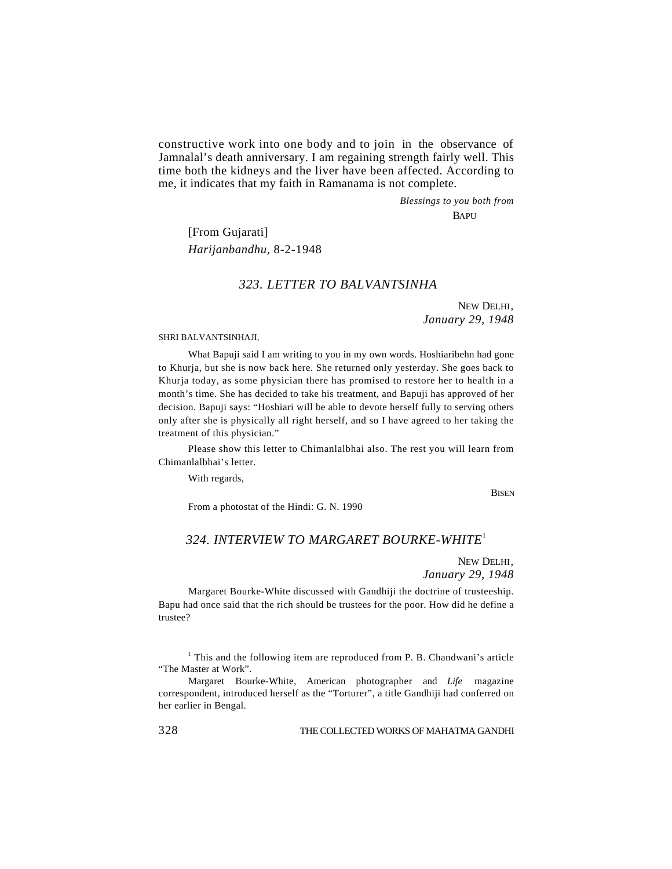constructive work into one body and to join in the observance of Jamnalal's death anniversary. I am regaining strength fairly well. This time both the kidneys and the liver have been affected. According to me, it indicates that my faith in Ramanama is not complete.

> *Blessings to you both from* **BAPU**

[From Gujarati] *Harijanbandhu,* 8-2-1948

#### *323. LETTER TO BALVANTSINHA*

NEW DELHI, *January 29, 1948*

#### SHRI BALVANTSINHAJI,

What Bapuji said I am writing to you in my own words. Hoshiaribehn had gone to Khurja, but she is now back here. She returned only yesterday. She goes back to Khurja today, as some physician there has promised to restore her to health in a month's time. She has decided to take his treatment, and Bapuji has approved of her decision. Bapuji says: "Hoshiari will be able to devote herself fully to serving others only after she is physically all right herself, and so I have agreed to her taking the treatment of this physician."

Please show this letter to Chimanlalbhai also. The rest you will learn from Chimanlalbhai's letter.

With regards,

From a photostat of the Hindi: G. N. 1990

#### *324. INTERVIEW TO MARGARET BOURKE-WHITE*<sup>1</sup>

NEW DELHI, *January 29, 1948*

BISEN

Margaret Bourke-White discussed with Gandhiji the doctrine of trusteeship. Bapu had once said that the rich should be trustees for the poor. How did he define a trustee?

<sup>1</sup> This and the following item are reproduced from P. B. Chandwani's article "The Master at Work".

Margaret Bourke-White, American photographer and *Life* magazine correspondent, introduced herself as the "Torturer", a title Gandhiji had conferred on her earlier in Bengal.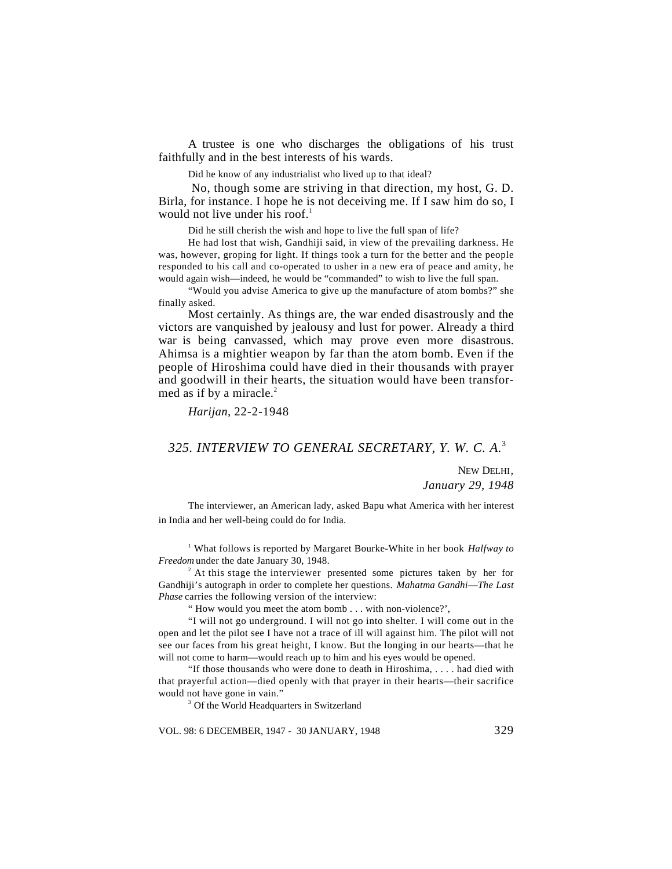A trustee is one who discharges the obligations of his trust faithfully and in the best interests of his wards.

Did he know of any industrialist who lived up to that ideal?

 No, though some are striving in that direction, my host, G. D. Birla, for instance. I hope he is not deceiving me. If I saw him do so, I would not live under his roof.<sup>1</sup>

Did he still cherish the wish and hope to live the full span of life?

He had lost that wish, Gandhiji said, in view of the prevailing darkness. He was, however, groping for light. If things took a turn for the better and the people responded to his call and co-operated to usher in a new era of peace and amity, he would again wish—indeed, he would be "commanded" to wish to live the full span.

"Would you advise America to give up the manufacture of atom bombs?" she finally asked.

Most certainly. As things are, the war ended disastrously and the victors are vanquished by jealousy and lust for power. Already a third war is being canvassed, which may prove even more disastrous. Ahimsa is a mightier weapon by far than the atom bomb. Even if the people of Hiroshima could have died in their thousands with prayer and goodwill in their hearts, the situation would have been transformed as if by a miracle. $^{2}$ 

*Harijan,* 22-2-1948

# *325. INTERVIEW TO GENERAL SECRETARY, Y. W. C. A.*<sup>3</sup>

NEW DELHI, *January 29, 1948*

The interviewer, an American lady, asked Bapu what America with her interest in India and her well-being could do for India.

<sup>1</sup> What follows is reported by Margaret Bourke-White in her book *Halfway to Freedom* under the date January 30, 1948.

<sup>2</sup> At this stage the interviewer presented some pictures taken by her for Gandhiji's autograph in order to complete her questions. *Mahatma Gandhi*—*The Last Phase* carries the following version of the interview:

" How would you meet the atom bomb . . . with non-violence?',

"I will not go underground. I will not go into shelter. I will come out in the open and let the pilot see I have not a trace of ill will against him. The pilot will not see our faces from his great height, I know. But the longing in our hearts—that he will not come to harm—would reach up to him and his eyes would be opened.

"If those thousands who were done to death in Hiroshima, . . . . had died with that prayerful action—died openly with that prayer in their hearts—their sacrifice would not have gone in vain."

<sup>3</sup> Of the World Headquarters in Switzerland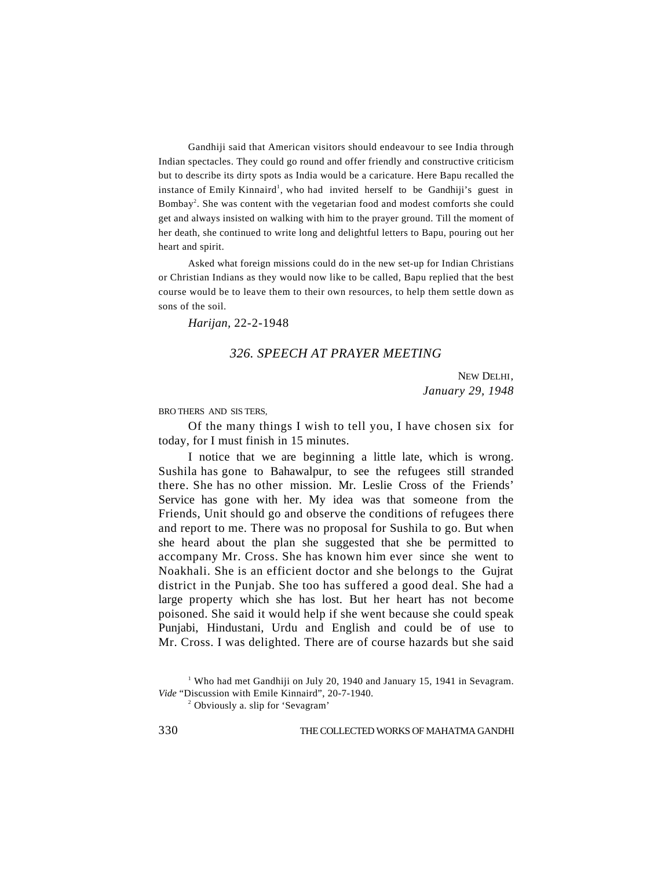Gandhiji said that American visitors should endeavour to see India through Indian spectacles. They could go round and offer friendly and constructive criticism but to describe its dirty spots as India would be a caricature. Here Bapu recalled the instance of Emily Kinnaird<sup>1</sup>, who had invited herself to be Gandhiji's guest in Bombay<sup>2</sup>. She was content with the vegetarian food and modest comforts she could get and always insisted on walking with him to the prayer ground. Till the moment of her death, she continued to write long and delightful letters to Bapu, pouring out her heart and spirit.

Asked what foreign missions could do in the new set-up for Indian Christians or Christian Indians as they would now like to be called, Bapu replied that the best course would be to leave them to their own resources, to help them settle down as sons of the soil.

*Harijan,* 22-2-1948

### *326. SPEECH AT PRAYER MEETING*

NEW DELHI, *January 29, 1948*

BRO THERS AND SIS TERS,

Of the many things I wish to tell you, I have chosen six for today, for I must finish in 15 minutes.

I notice that we are beginning a little late, which is wrong. Sushila has gone to Bahawalpur, to see the refugees still stranded there. She has no other mission. Mr. Leslie Cross of the Friends' Service has gone with her. My idea was that someone from the Friends, Unit should go and observe the conditions of refugees there and report to me. There was no proposal for Sushila to go. But when she heard about the plan she suggested that she be permitted to accompany Mr. Cross. She has known him ever since she went to Noakhali. She is an efficient doctor and she belongs to the Gujrat district in the Punjab. She too has suffered a good deal. She had a large property which she has lost. But her heart has not become poisoned. She said it would help if she went because she could speak Punjabi, Hindustani, Urdu and English and could be of use to Mr. Cross. I was delighted. There are of course hazards but she said

<sup>&</sup>lt;sup>1</sup> Who had met Gandhiji on July 20, 1940 and January 15, 1941 in Sevagram. *Vide* "Discussion with Emile Kinnaird", 20-7-1940.

<sup>&</sup>lt;sup>2</sup> Obviously a. slip for 'Sevagram'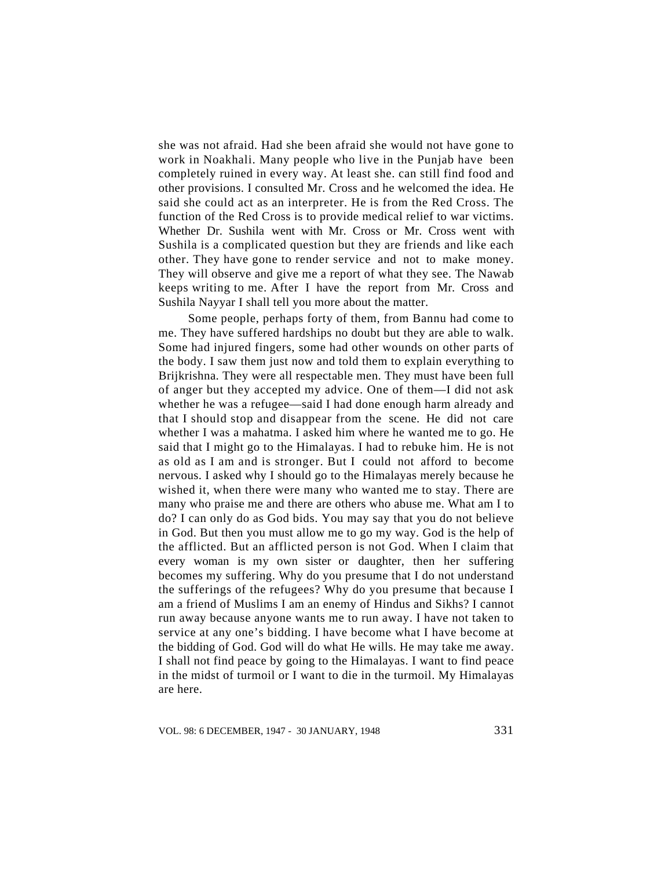she was not afraid. Had she been afraid she would not have gone to work in Noakhali. Many people who live in the Punjab have been completely ruined in every way. At least she. can still find food and other provisions. I consulted Mr. Cross and he welcomed the idea. He said she could act as an interpreter. He is from the Red Cross. The function of the Red Cross is to provide medical relief to war victims. Whether Dr. Sushila went with Mr. Cross or Mr. Cross went with Sushila is a complicated question but they are friends and like each other. They have gone to render service and not to make money. They will observe and give me a report of what they see. The Nawab keeps writing to me. After I have the report from Mr. Cross and Sushila Nayyar I shall tell you more about the matter.

Some people, perhaps forty of them, from Bannu had come to me. They have suffered hardships no doubt but they are able to walk. Some had injured fingers, some had other wounds on other parts of the body. I saw them just now and told them to explain everything to Brijkrishna. They were all respectable men. They must have been full of anger but they accepted my advice. One of them—I did not ask whether he was a refugee—said I had done enough harm already and that I should stop and disappear from the scene. He did not care whether I was a mahatma. I asked him where he wanted me to go. He said that I might go to the Himalayas. I had to rebuke him. He is not as old as I am and is stronger. But I could not afford to become nervous. I asked why I should go to the Himalayas merely because he wished it, when there were many who wanted me to stay. There are many who praise me and there are others who abuse me. What am I to do? I can only do as God bids. You may say that you do not believe in God. But then you must allow me to go my way. God is the help of the afflicted. But an afflicted person is not God. When I claim that every woman is my own sister or daughter, then her suffering becomes my suffering. Why do you presume that I do not understand the sufferings of the refugees? Why do you presume that because I am a friend of Muslims I am an enemy of Hindus and Sikhs? I cannot run away because anyone wants me to run away. I have not taken to service at any one's bidding. I have become what I have become at the bidding of God. God will do what He wills. He may take me away. I shall not find peace by going to the Himalayas. I want to find peace in the midst of turmoil or I want to die in the turmoil. My Himalayas are here.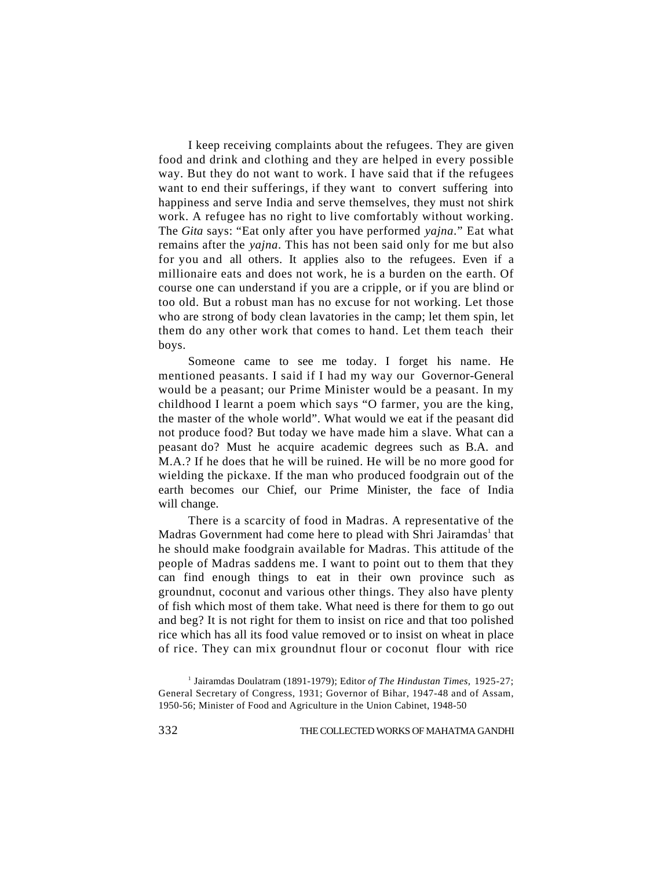I keep receiving complaints about the refugees. They are given food and drink and clothing and they are helped in every possible way. But they do not want to work. I have said that if the refugees want to end their sufferings, if they want to convert suffering into happiness and serve India and serve themselves, they must not shirk work. A refugee has no right to live comfortably without working. The *Gita* says: "Eat only after you have performed *yajna*." Eat what remains after the *yajna*. This has not been said only for me but also for you and all others. It applies also to the refugees. Even if a millionaire eats and does not work, he is a burden on the earth. Of course one can understand if you are a cripple, or if you are blind or too old. But a robust man has no excuse for not working. Let those who are strong of body clean lavatories in the camp; let them spin, let them do any other work that comes to hand. Let them teach their boys.

Someone came to see me today. I forget his name. He mentioned peasants. I said if I had my way our Governor-General would be a peasant; our Prime Minister would be a peasant. In my childhood I learnt a poem which says "O farmer, you are the king, the master of the whole world". What would we eat if the peasant did not produce food? But today we have made him a slave. What can a peasant do? Must he acquire academic degrees such as B.A. and M.A.? If he does that he will be ruined. He will be no more good for wielding the pickaxe. If the man who produced foodgrain out of the earth becomes our Chief, our Prime Minister, the face of India will change.

There is a scarcity of food in Madras. A representative of the Madras Government had come here to plead with Shri Jairamdas<sup>1</sup> that he should make foodgrain available for Madras. This attitude of the people of Madras saddens me. I want to point out to them that they can find enough things to eat in their own province such as groundnut, coconut and various other things. They also have plenty of fish which most of them take. What need is there for them to go out and beg? It is not right for them to insist on rice and that too polished rice which has all its food value removed or to insist on wheat in place of rice. They can mix groundnut flour or coconut flour with rice

<sup>&</sup>lt;sup>1</sup> Jairamdas Doulatram (1891-1979); Editor of The Hindustan Times, 1925-27; General Secretary of Congress, 1931; Governor of Bihar, 1947-48 and of Assam, 1950-56; Minister of Food and Agriculture in the Union Cabinet, 1948-50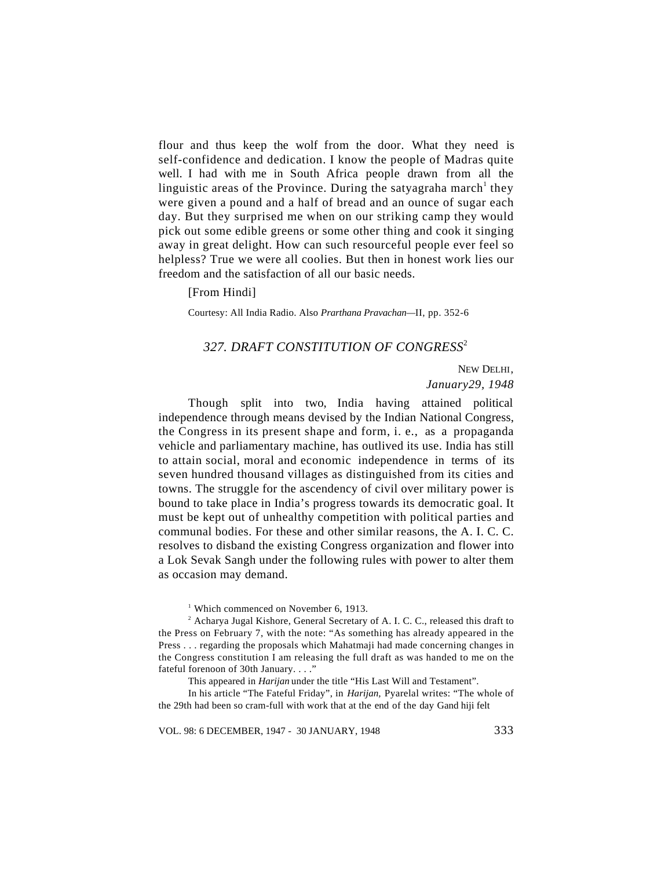flour and thus keep the wolf from the door. What they need is self-confidence and dedication. I know the people of Madras quite well. I had with me in South Africa people drawn from all the linguistic areas of the Province. During the satyagraha march<sup>1</sup> they were given a pound and a half of bread and an ounce of sugar each day. But they surprised me when on our striking camp they would pick out some edible greens or some other thing and cook it singing away in great delight. How can such resourceful people ever feel so helpless? True we were all coolies. But then in honest work lies our freedom and the satisfaction of all our basic needs.

[From Hindi]

Courtesy: All India Radio. Also *Prarthana Pravachan—*II, pp. 352-6

# *327. DRAFT CONSTITUTION OF CONGRESS*<sup>2</sup>

NEW DELHI, *January29, 1948*

Though split into two, India having attained political independence through means devised by the Indian National Congress, the Congress in its present shape and form, i. e., as a propaganda vehicle and parliamentary machine, has outlived its use. India has still to attain social, moral and economic independence in terms of its seven hundred thousand villages as distinguished from its cities and towns. The struggle for the ascendency of civil over military power is bound to take place in India's progress towards its democratic goal. It must be kept out of unhealthy competition with political parties and communal bodies. For these and other similar reasons, the A. I. C. C. resolves to disband the existing Congress organization and flower into a Lok Sevak Sangh under the following rules with power to alter them as occasion may demand.

<sup>1</sup> Which commenced on November 6, 1913.

<sup>2</sup> Acharya Jugal Kishore, General Secretary of A. I. C. C., released this draft to the Press on February 7, with the note: "As something has already appeared in the Press . . . regarding the proposals which Mahatmaji had made concerning changes in the Congress constitution I am releasing the full draft as was handed to me on the fateful forenoon of 30th January. . . ."

This appeared in *Harijan* under the title "His Last Will and Testament".

In his article "The Fateful Friday", in *Harijan,* Pyarelal writes: "The whole of the 29th had been so cram-full with work that at the end of the day Gand hiji felt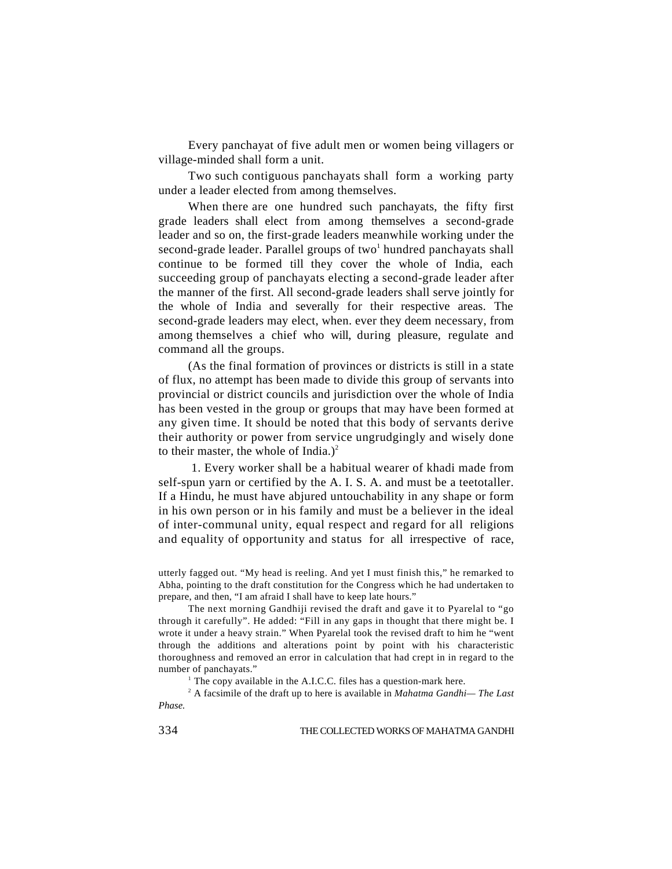Every panchayat of five adult men or women being villagers or village-minded shall form a unit.

Two such contiguous panchayats shall form a working party under a leader elected from among themselves.

When there are one hundred such panchayats, the fifty first grade leaders shall elect from among themselves a second-grade leader and so on, the first-grade leaders meanwhile working under the second-grade leader. Parallel groups of two<sup>1</sup> hundred panchayats shall continue to be formed till they cover the whole of India, each succeeding group of panchayats electing a second-grade leader after the manner of the first. All second-grade leaders shall serve jointly for the whole of India and severally for their respective areas. The second-grade leaders may elect, when. ever they deem necessary, from among themselves a chief who will, during pleasure, regulate and command all the groups.

(As the final formation of provinces or districts is still in a state of flux, no attempt has been made to divide this group of servants into provincial or district councils and jurisdiction over the whole of India has been vested in the group or groups that may have been formed at any given time. It should be noted that this body of servants derive their authority or power from service ungrudgingly and wisely done to their master, the whole of India.)<sup>2</sup>

1. Every worker shall be a habitual wearer of khadi made from self-spun yarn or certified by the A. I. S. A. and must be a teetotaller. If a Hindu, he must have abjured untouchability in any shape or form in his own person or in his family and must be a believer in the ideal of inter-communal unity, equal respect and regard for all religions and equality of opportunity and status for all irrespective of race,

utterly fagged out. "My head is reeling. And yet I must finish this," he remarked to Abha, pointing to the draft constitution for the Congress which he had undertaken to prepare, and then, "I am afraid I shall have to keep late hours."

The next morning Gandhiji revised the draft and gave it to Pyarelal to "go through it carefully". He added: "Fill in any gaps in thought that there might be. I wrote it under a heavy strain." When Pyarelal took the revised draft to him he "went through the additions and alterations point by point with his characteristic thoroughness and removed an error in calculation that had crept in in regard to the number of panchayats."

 $1$  The copy available in the A.I.C.C. files has a question-mark here.

2 A facsimile of the draft up to here is available in *Mahatma Gandhi— The Last Phase.*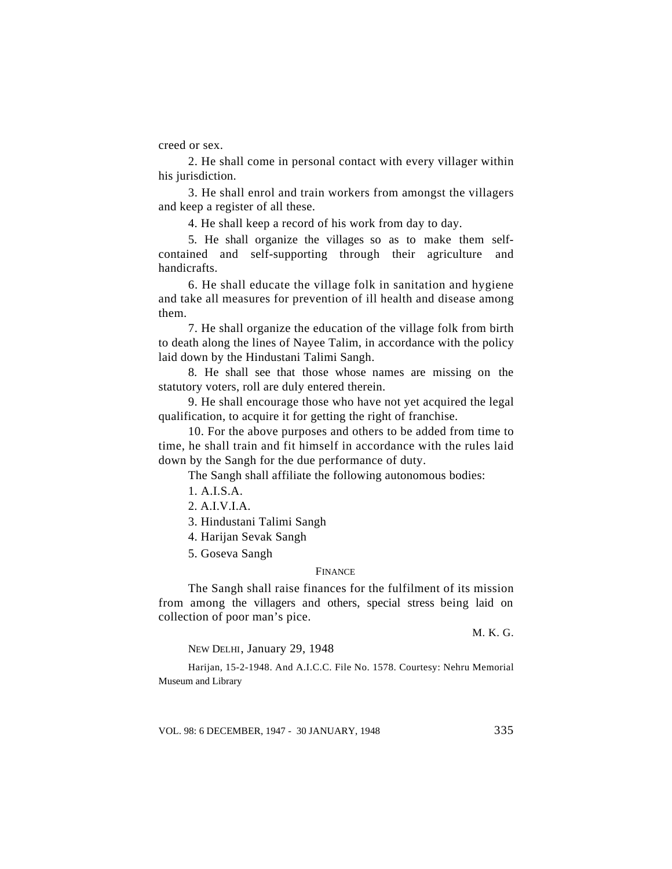creed or sex.

2. He shall come in personal contact with every villager within his jurisdiction.

3. He shall enrol and train workers from amongst the villagers and keep a register of all these.

4. He shall keep a record of his work from day to day.

5. He shall organize the villages so as to make them selfcontained and self-supporting through their agriculture and handicrafts.

6. He shall educate the village folk in sanitation and hygiene and take all measures for prevention of ill health and disease among them.

7. He shall organize the education of the village folk from birth to death along the lines of Nayee Talim, in accordance with the policy laid down by the Hindustani Talimi Sangh.

8. He shall see that those whose names are missing on the statutory voters, roll are duly entered therein.

9. He shall encourage those who have not yet acquired the legal qualification, to acquire it for getting the right of franchise.

10. For the above purposes and others to be added from time to time, he shall train and fit himself in accordance with the rules laid down by the Sangh for the due performance of duty.

The Sangh shall affiliate the following autonomous bodies:

- $1. A I S A$
- 2. A.I.V.I.A.

3. Hindustani Talimi Sangh

4. Harijan Sevak Sangh

5. Goseva Sangh

#### **FINANCE**

The Sangh shall raise finances for the fulfilment of its mission from among the villagers and others, special stress being laid on collection of poor man's pice.

M. K. G.

NEW DELHI, January 29, 1948

Harijan, 15-2-1948. And A.I.C.C. File No. 1578. Courtesy: Nehru Memorial Museum and Library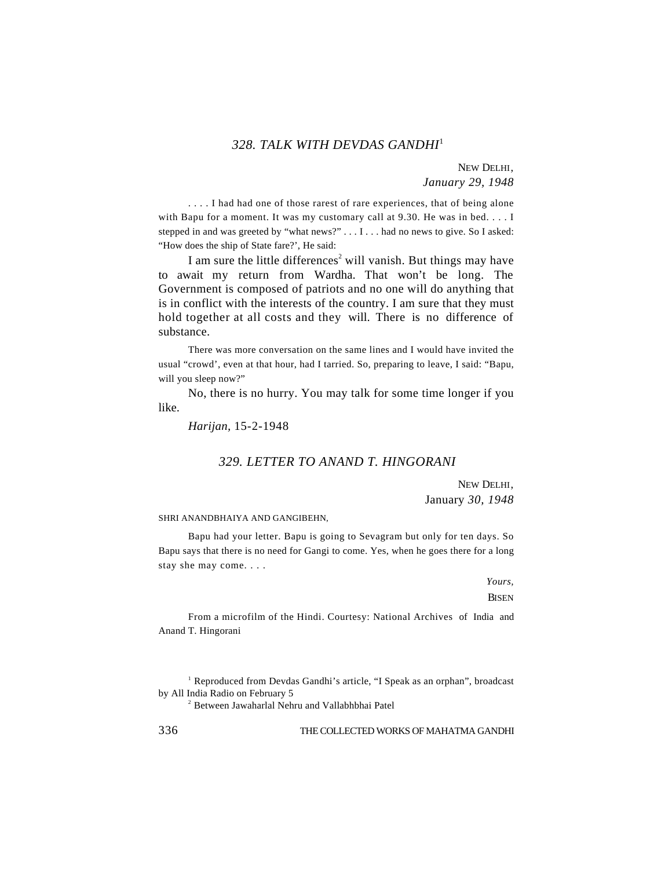### *328. TALK WITH DEVDAS GANDHI*<sup>1</sup>

NEW DELHI, *January 29, 1948*

. . . . I had had one of those rarest of rare experiences, that of being alone with Bapu for a moment. It was my customary call at 9.30. He was in bed. . . . I stepped in and was greeted by "what news?" . . . I . . . had no news to give. So I asked: "How does the ship of State fare?', He said:

I am sure the little differences<sup>2</sup> will vanish. But things may have to await my return from Wardha. That won't be long. The Government is composed of patriots and no one will do anything that is in conflict with the interests of the country. I am sure that they must hold together at all costs and they will. There is no difference of substance.

There was more conversation on the same lines and I would have invited the usual "crowd', even at that hour, had I tarried. So, preparing to leave, I said: "Bapu, will you sleep now?"

No, there is no hurry. You may talk for some time longer if you like.

*Harijan,* 15-2-1948

## *329. LETTER TO ANAND T. HINGORANI*

NEW DELHI, January *30, 1948*

#### SHRI ANANDBHAIYA AND GANGIBEHN,

Bapu had your letter. Bapu is going to Sevagram but only for ten days. So Bapu says that there is no need for Gangi to come. Yes, when he goes there for a long stay she may come. . . .

*Yours,*

BISEN

From a microfilm of the Hindi. Courtesy: National Archives of India and Anand T. Hingorani

<sup>1</sup> Reproduced from Devdas Gandhi's article, "I Speak as an orphan", broadcast by All India Radio on February 5

<sup>2</sup> Between Jawaharlal Nehru and Vallabhbhai Patel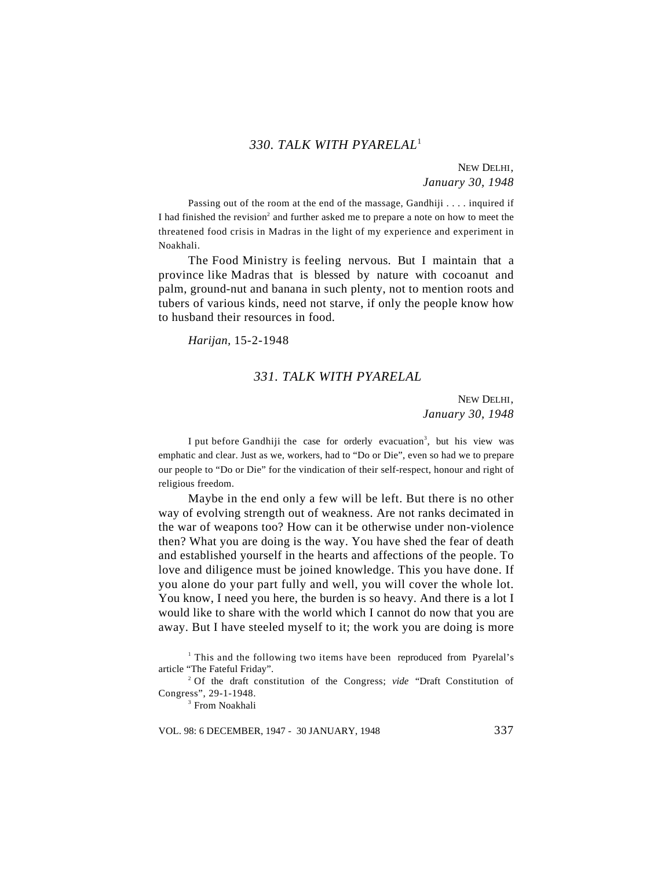## *330. TALK WITH PYARELAL*<sup>1</sup>

NEW DELHI, *January 30, 1948*

Passing out of the room at the end of the massage, Gandhiji . . . . inquired if I had finished the revision<sup>2</sup> and further asked me to prepare a note on how to meet the threatened food crisis in Madras in the light of my experience and experiment in Noakhali.

The Food Ministry is feeling nervous. But I maintain that a province like Madras that is blessed by nature with cocoanut and palm, ground-nut and banana in such plenty, not to mention roots and tubers of various kinds, need not starve, if only the people know how to husband their resources in food.

*Harijan,* 15-2-1948

#### *331. TALK WITH PYARELAL*

NEW DELHI, *January 30, 1948*

I put before Gandhiji the case for orderly evacuation<sup>3</sup>, but his view was emphatic and clear. Just as we, workers, had to "Do or Die", even so had we to prepare our people to "Do or Die" for the vindication of their self-respect, honour and right of religious freedom.

Maybe in the end only a few will be left. But there is no other way of evolving strength out of weakness. Are not ranks decimated in the war of weapons too? How can it be otherwise under non-violence then? What you are doing is the way. You have shed the fear of death and established yourself in the hearts and affections of the people. To love and diligence must be joined knowledge. This you have done. If you alone do your part fully and well, you will cover the whole lot. You know, I need you here, the burden is so heavy. And there is a lot I would like to share with the world which I cannot do now that you are away. But I have steeled myself to it; the work you are doing is more

<sup>3</sup> From Noakhali

<sup>&</sup>lt;sup>1</sup> This and the following two items have been reproduced from Pyarelal's article "The Fateful Friday".

<sup>2</sup> Of the draft constitution of the Congress; *vide* "Draft Constitution of Congress", 29-1-1948.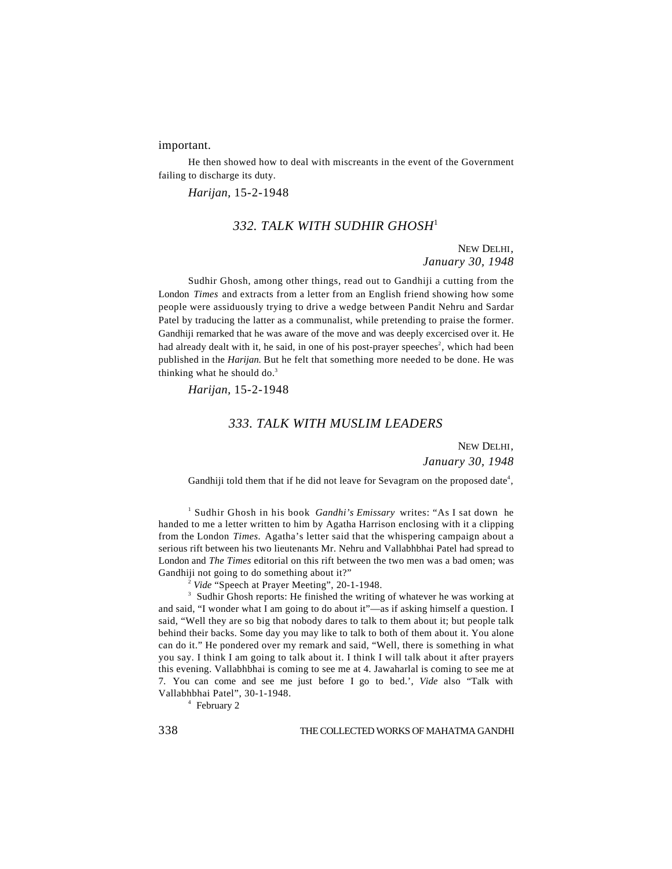important.

He then showed how to deal with miscreants in the event of the Government failing to discharge its duty.

*Harijan,* 15-2-1948

#### *332. TALK WITH SUDHIR GHOSH*<sup>1</sup>

NEW DELHI, *January 30, 1948*

Sudhir Ghosh, among other things, read out to Gandhiji a cutting from the London *Times* and extracts from a letter from an English friend showing how some people were assiduously trying to drive a wedge between Pandit Nehru and Sardar Patel by traducing the latter as a communalist, while pretending to praise the former. Gandhiji remarked that he was aware of the move and was deeply excercised over it. He had already dealt with it, he said, in one of his post-prayer speeches<sup>2</sup>, which had been published in the *Harijan.* But he felt that something more needed to be done. He was thinking what he should do. $3$ 

*Harijan,* 15-2-1948

#### *333. TALK WITH MUSLIM LEADERS*

NEW DELHI, *January 30, 1948*

Gandhiji told them that if he did not leave for Sevagram on the proposed date<sup>4</sup>,

<sup>1</sup> Sudhir Ghosh in his book *Gandhi's Emissary* writes: "As I sat down he handed to me a letter written to him by Agatha Harrison enclosing with it a clipping from the London *Times.* Agatha's letter said that the whispering campaign about a serious rift between his two lieutenants Mr. Nehru and Vallabhbhai Patel had spread to London and *The Times* editorial on this rift between the two men was a bad omen; was Gandhiji not going to do something about it?"

<sup>2</sup> *Vide* "Speech at Prayer Meeting", 20-1-1948.

<sup>3</sup> Sudhir Ghosh reports: He finished the writing of whatever he was working at and said, "I wonder what I am going to do about it"—as if asking himself a question. I said, "Well they are so big that nobody dares to talk to them about it; but people talk behind their backs. Some day you may like to talk to both of them about it. You alone can do it." He pondered over my remark and said, "Well, there is something in what you say. I think I am going to talk about it. I think I will talk about it after prayers this evening. Vallabhbhai is coming to see me at 4. Jawaharlal is coming to see me at 7. You can come and see me just before I go to bed.', *Vide* also "Talk with Vallabhbhai Patel", 30-1-1948.

4 February 2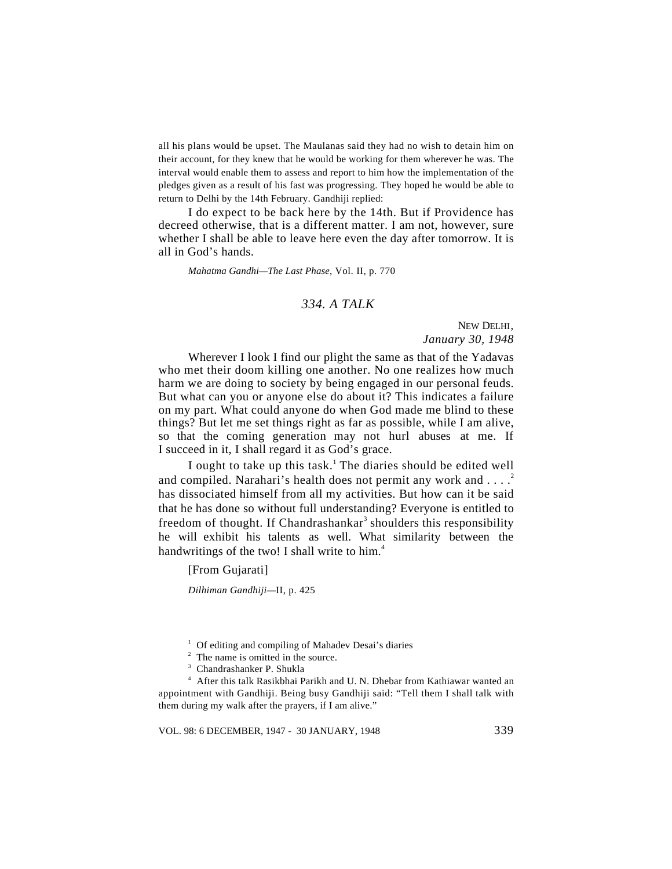all his plans would be upset. The Maulanas said they had no wish to detain him on their account, for they knew that he would be working for them wherever he was. The interval would enable them to assess and report to him how the implementation of the pledges given as a result of his fast was progressing. They hoped he would be able to return to Delhi by the 14th February. Gandhiji replied:

I do expect to be back here by the 14th. But if Providence has decreed otherwise, that is a different matter. I am not, however, sure whether I shall be able to leave here even the day after tomorrow. It is all in God's hands.

*Mahatma Gandhi—The Last Phase*, Vol. II, p. 770

#### *334. A TALK*

NEW DELHI, *January 30, 1948*

Wherever I look I find our plight the same as that of the Yadavas who met their doom killing one another. No one realizes how much harm we are doing to society by being engaged in our personal feuds. But what can you or anyone else do about it? This indicates a failure on my part. What could anyone do when God made me blind to these things? But let me set things right as far as possible, while I am alive, so that the coming generation may not hurl abuses at me. If I succeed in it, I shall regard it as God's grace.

I ought to take up this task.<sup>1</sup> The diaries should be edited well and compiled. Narahari's health does not permit any work and  $\dots$ . has dissociated himself from all my activities. But how can it be said that he has done so without full understanding? Everyone is entitled to freedom of thought. If Chandrashankar<sup>3</sup> shoulders this responsibility he will exhibit his talents as well. What similarity between the handwritings of the two! I shall write to him.<sup>4</sup>

[From Gujarati]

*Dilhiman Gandhiji—*II, p. 425

<sup>1</sup> Of editing and compiling of Mahadev Desai's diaries

- <sup>2</sup> The name is omitted in the source.
- 3 Chandrashanker P. Shukla

4 After this talk Rasikbhai Parikh and U. N. Dhebar from Kathiawar wanted an appointment with Gandhiji. Being busy Gandhiji said: "Tell them I shall talk with them during my walk after the prayers, if I am alive."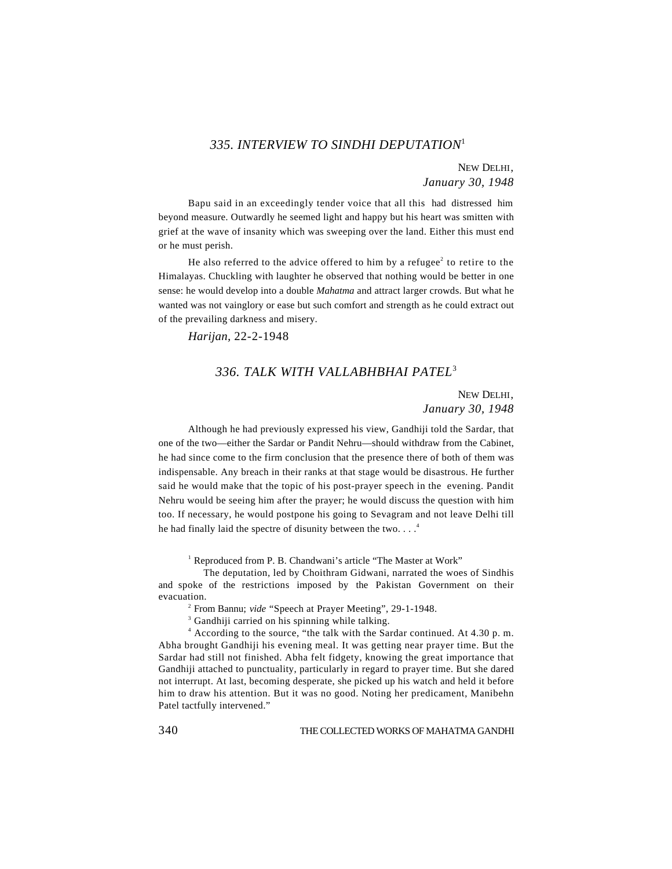## *335. INTERVIEW TO SINDHI DEPUTATION*<sup>1</sup>

NEW DELHI. *January 30, 1948*

Bapu said in an exceedingly tender voice that all this had distressed him beyond measure. Outwardly he seemed light and happy but his heart was smitten with grief at the wave of insanity which was sweeping over the land. Either this must end or he must perish.

He also referred to the advice offered to him by a refugee $^2$  to retire to the Himalayas. Chuckling with laughter he observed that nothing would be better in one sense: he would develop into a double *Mahatma* and attract larger crowds. But what he wanted was not vainglory or ease but such comfort and strength as he could extract out of the prevailing darkness and misery.

*Harijan,* 22-2-1948

# *336. TALK WITH VALLABHBHAI PATEL*<sup>3</sup>

NEW DELHI, *January 30, 1948*

Although he had previously expressed his view, Gandhiji told the Sardar, that one of the two—either the Sardar or Pandit Nehru—should withdraw from the Cabinet, he had since come to the firm conclusion that the presence there of both of them was indispensable. Any breach in their ranks at that stage would be disastrous. He further said he would make that the topic of his post-prayer speech in the evening. Pandit Nehru would be seeing him after the prayer; he would discuss the question with him too. If necessary, he would postpone his going to Sevagram and not leave Delhi till he had finally laid the spectre of disunity between the two...<sup>4</sup>

<sup>1</sup> Reproduced from P. B. Chandwani's article "The Master at Work"

The deputation, led by Choithram Gidwani, narrated the woes of Sindhis and spoke of the restrictions imposed by the Pakistan Government on their evacuation.

<sup>2</sup> From Bannu; *vide* "Speech at Prayer Meeting", 29-1-1948.

<sup>3</sup> Gandhiji carried on his spinning while talking.

<sup>4</sup> According to the source, "the talk with the Sardar continued. At 4.30 p.m. Abha brought Gandhiji his evening meal. It was getting near prayer time. But the Sardar had still not finished. Abha felt fidgety, knowing the great importance that Gandhiji attached to punctuality, particularly in regard to prayer time. But she dared not interrupt. At last, becoming desperate, she picked up his watch and held it before him to draw his attention. But it was no good. Noting her predicament, Manibehn Patel tactfully intervened."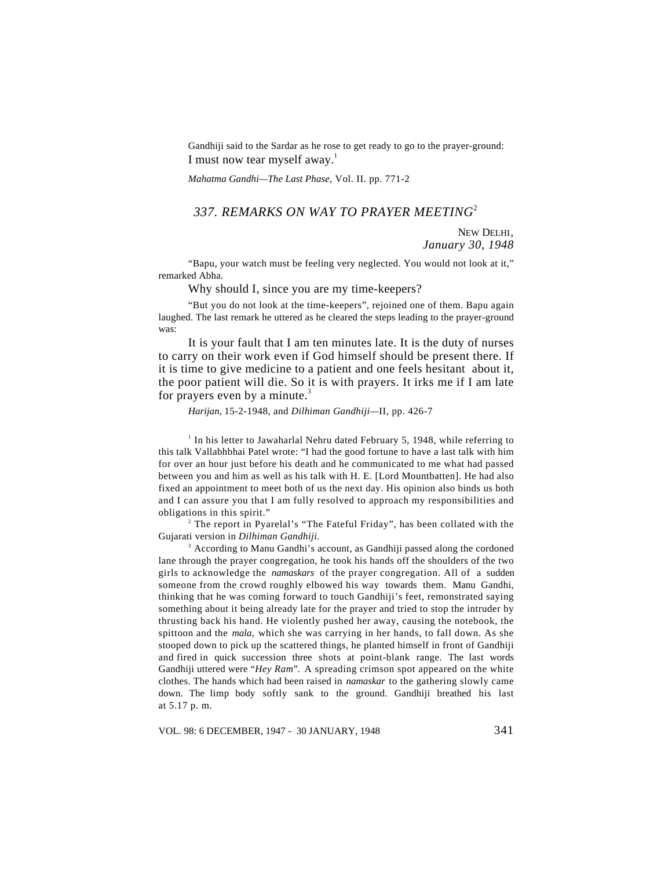Gandhiji said to the Sardar as he rose to get ready to go to the prayer-ground: I must now tear myself away.<sup>1</sup>

*Mahatma Gandhi—The Last Phase*, Vol. II. pp. 771-2

# *337. REMARKS ON WAY TO PRAYER MEETING*<sup>2</sup>

NEW DELHI, *January 30, 1948*

"Bapu, your watch must be feeling very neglected. You would not look at it," remarked Abha.

Why should I, since you are my time-keepers?

"But you do not look at the time-keepers", rejoined one of them. Bapu again laughed. The last remark he uttered as he cleared the steps leading to the prayer-ground was:

It is your fault that I am ten minutes late. It is the duty of nurses to carry on their work even if God himself should be present there. If it is time to give medicine to a patient and one feels hesitant about it, the poor patient will die. So it is with prayers. It irks me if I am late for prayers even by a minute. $3$ 

*Harijan,* 15-2-1948, and *Dilhiman Gandhiji—*II, pp. 426-7

<sup>1</sup> In his letter to Jawaharlal Nehru dated February 5, 1948, while referring to this talk Vallabhbhai Patel wrote: "I had the good fortune to have a last talk with him for over an hour just before his death and he communicated to me what had passed between you and him as well as his talk with H. E. [Lord Mountbatten]. He had also fixed an appointment to meet both of us the next day. His opinion also binds us both and I can assure you that I am fully resolved to approach my responsibilities and obligations in this spirit."

<sup>2</sup> The report in Pyarelal's "The Fateful Friday", has been collated with the Gujarati version in *Dilhiman Gandhiji.*

<sup>3</sup> According to Manu Gandhi's account, as Gandhiji passed along the cordoned lane through the prayer congregation, he took his hands off the shoulders of the two girls to acknowledge the *namaskars* of the prayer congregation. All of a sudden someone from the crowd roughly elbowed his way towards them. Manu Gandhi, thinking that he was coming forward to touch Gandhiji's feet, remonstrated saying something about it being already late for the prayer and tried to stop the intruder by thrusting back his hand. He violently pushed her away, causing the notebook, the spittoon and the *mala,* which she was carrying in her hands, to fall down. As she stooped down to pick up the scattered things, he planted himself in front of Gandhiji and fired in quick succession three shots at point-blank range. The last words Gandhiji uttered were "*Hey Ram*"*.* A spreading crimson spot appeared on the white clothes. The hands which had been raised in *namaskar* to the gathering slowly came down. The limp body softly sank to the ground. Gandhiji breathed his last at 5.17 p. m.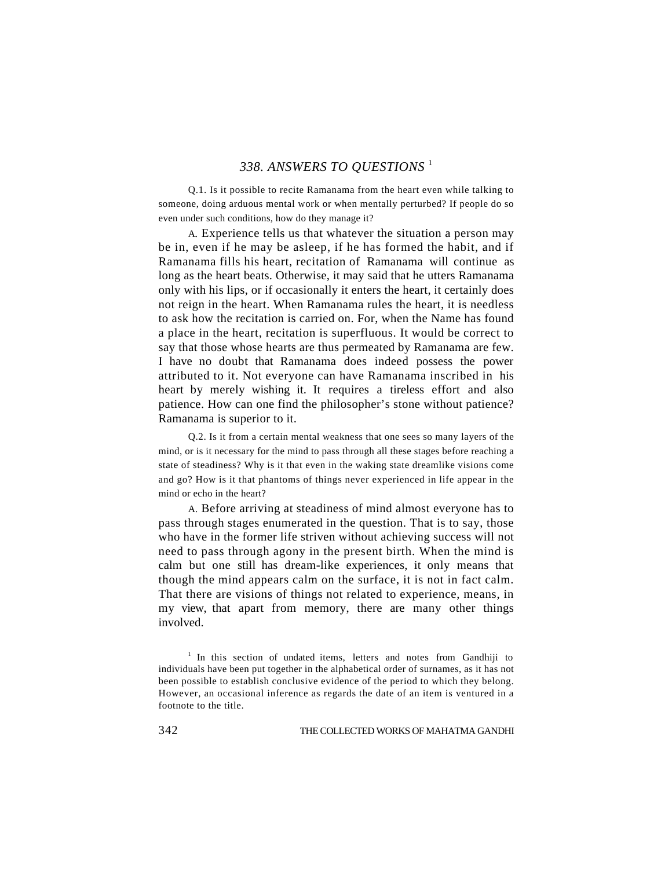# *338. ANSWERS TO QUESTIONS* <sup>1</sup>

Q.1. Is it possible to recite Ramanama from the heart even while talking to someone, doing arduous mental work or when mentally perturbed? If people do so even under such conditions, how do they manage it?

A. Experience tells us that whatever the situation a person may be in, even if he may be asleep, if he has formed the habit, and if Ramanama fills his heart, recitation of Ramanama will continue as long as the heart beats. Otherwise, it may said that he utters Ramanama only with his lips, or if occasionally it enters the heart, it certainly does not reign in the heart. When Ramanama rules the heart, it is needless to ask how the recitation is carried on. For, when the Name has found a place in the heart, recitation is superfluous. It would be correct to say that those whose hearts are thus permeated by Ramanama are few. I have no doubt that Ramanama does indeed possess the power attributed to it. Not everyone can have Ramanama inscribed in his heart by merely wishing it. It requires a tireless effort and also patience. How can one find the philosopher's stone without patience? Ramanama is superior to it.

Q.2. Is it from a certain mental weakness that one sees so many layers of the mind, or is it necessary for the mind to pass through all these stages before reaching a state of steadiness? Why is it that even in the waking state dreamlike visions come and go? How is it that phantoms of things never experienced in life appear in the mind or echo in the heart?

A. Before arriving at steadiness of mind almost everyone has to pass through stages enumerated in the question. That is to say, those who have in the former life striven without achieving success will not need to pass through agony in the present birth. When the mind is calm but one still has dream-like experiences, it only means that though the mind appears calm on the surface, it is not in fact calm. That there are visions of things not related to experience, means, in my view, that apart from memory, there are many other things involved.

<sup>&</sup>lt;sup>1</sup> In this section of undated items, letters and notes from Gandhiji to individuals have been put together in the alphabetical order of surnames, as it has not been possible to establish conclusive evidence of the period to which they belong. However, an occasional inference as regards the date of an item is ventured in a footnote to the title.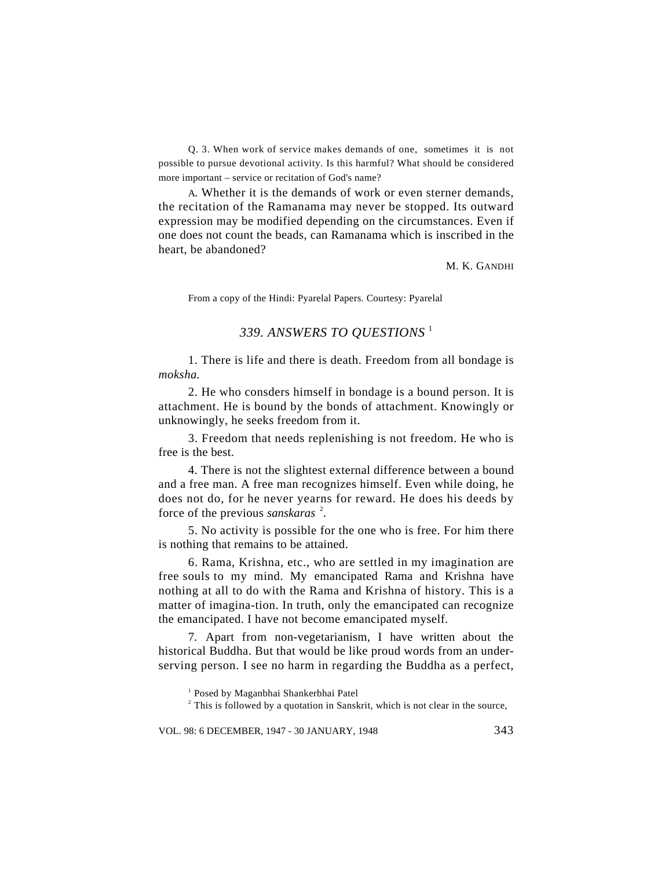Q. 3. When work of service makes demands of one, sometimes it is not possible to pursue devotional activity. Is this harmful? What should be considered more important – service or recitation of God's name?

A. Whether it is the demands of work or even sterner demands, the recitation of the Ramanama may never be stopped. Its outward expression may be modified depending on the circumstances. Even if one does not count the beads, can Ramanama which is inscribed in the heart, be abandoned?

M. K. GANDHI

From a copy of the Hindi: Pyarelal Papers. Courtesy: Pyarelal

# *339. ANSWERS TO QUESTIONS* <sup>1</sup>

1. There is life and there is death. Freedom from all bondage is *moksha.*

2. He who consders himself in bondage is a bound person. It is attachment. He is bound by the bonds of attachment. Knowingly or unknowingly, he seeks freedom from it.

3. Freedom that needs replenishing is not freedom. He who is free is the best.

4. There is not the slightest external difference between a bound and a free man. A free man recognizes himself. Even while doing, he does not do, for he never yearns for reward. He does his deeds by force of the previous *sanskaras*<sup>2</sup>.

5. No activity is possible for the one who is free. For him there is nothing that remains to be attained.

6. Rama, Krishna, etc., who are settled in my imagination are free souls to my mind. My emancipated Rama and Krishna have nothing at all to do with the Rama and Krishna of history. This is a matter of imagina-tion. In truth, only the emancipated can recognize the emancipated. I have not become emancipated myself.

7. Apart from non-vegetarianism, I have written about the historical Buddha. But that would be like proud words from an underserving person. I see no harm in regarding the Buddha as a perfect,

<sup>&</sup>lt;sup>1</sup> Posed by Maganbhai Shankerbhai Patel

 $2$  This is followed by a quotation in Sanskrit, which is not clear in the source,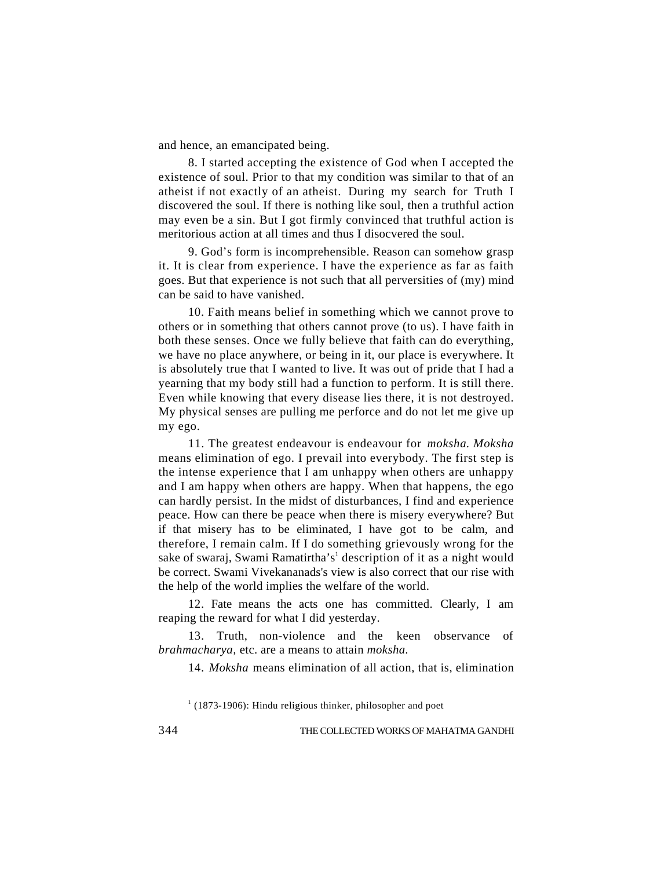and hence, an emancipated being.

8. I started accepting the existence of God when I accepted the existence of soul. Prior to that my condition was similar to that of an atheist if not exactly of an atheist. During my search for Truth I discovered the soul. If there is nothing like soul, then a truthful action may even be a sin. But I got firmly convinced that truthful action is meritorious action at all times and thus I disocvered the soul.

9. God's form is incomprehensible. Reason can somehow grasp it. It is clear from experience. I have the experience as far as faith goes. But that experience is not such that all perversities of (my) mind can be said to have vanished.

10. Faith means belief in something which we cannot prove to others or in something that others cannot prove (to us). I have faith in both these senses. Once we fully believe that faith can do everything, we have no place anywhere, or being in it, our place is everywhere. It is absolutely true that I wanted to live. It was out of pride that I had a yearning that my body still had a function to perform. It is still there. Even while knowing that every disease lies there, it is not destroyed. My physical senses are pulling me perforce and do not let me give up my ego.

11. The greatest endeavour is endeavour for *moksha. Moksha* means elimination of ego. I prevail into everybody. The first step is the intense experience that I am unhappy when others are unhappy and I am happy when others are happy. When that happens, the ego can hardly persist. In the midst of disturbances, I find and experience peace. How can there be peace when there is misery everywhere? But if that misery has to be eliminated, I have got to be calm, and therefore, I remain calm. If I do something grievously wrong for the sake of swaraj, Swami Ramatirtha's<sup>1</sup> description of it as a night would be correct. Swami Vivekananads's view is also correct that our rise with the help of the world implies the welfare of the world.

12. Fate means the acts one has committed. Clearly, I am reaping the reward for what I did yesterday.

13. Truth, non-violence and the keen observance of *brahmacharya,* etc. are a means to attain *moksha.*

14. *Moksha* means elimination of all action, that is, elimination

 $1$  (1873-1906): Hindu religious thinker, philosopher and poet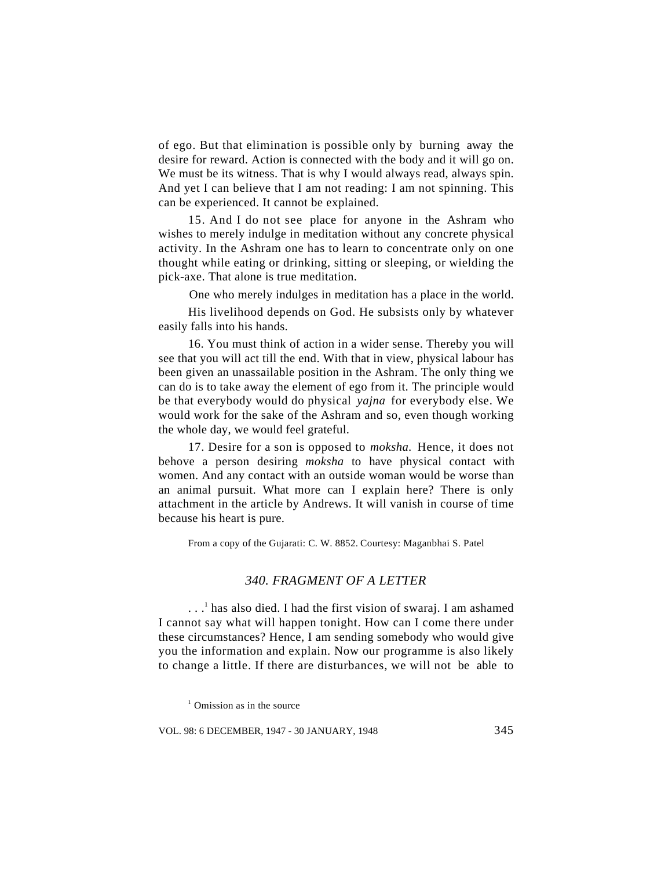of ego. But that elimination is possible only by burning away the desire for reward. Action is connected with the body and it will go on. We must be its witness. That is why I would always read, always spin. And yet I can believe that I am not reading: I am not spinning. This can be experienced. It cannot be explained.

15. And I do not see place for anyone in the Ashram who wishes to merely indulge in meditation without any concrete physical activity. In the Ashram one has to learn to concentrate only on one thought while eating or drinking, sitting or sleeping, or wielding the pick-axe. That alone is true meditation.

One who merely indulges in meditation has a place in the world.

His livelihood depends on God. He subsists only by whatever easily falls into his hands.

16. You must think of action in a wider sense. Thereby you will see that you will act till the end. With that in view, physical labour has been given an unassailable position in the Ashram. The only thing we can do is to take away the element of ego from it. The principle would be that everybody would do physical *yajna* for everybody else. We would work for the sake of the Ashram and so, even though working the whole day, we would feel grateful.

17. Desire for a son is opposed to *moksha.* Hence, it does not behove a person desiring *moksha* to have physical contact with women. And any contact with an outside woman would be worse than an animal pursuit. What more can I explain here? There is only attachment in the article by Andrews. It will vanish in course of time because his heart is pure.

From a copy of the Gujarati: C. W. 8852. Courtesy: Maganbhai S. Patel

# *340. FRAGMENT OF A LETTER*

...<sup>1</sup> has also died. I had the first vision of swaraj. I am ashamed I cannot say what will happen tonight. How can I come there under these circumstances? Hence, I am sending somebody who would give you the information and explain. Now our programme is also likely to change a little. If there are disturbances, we will not be able to

<sup>1</sup> Omission as in the source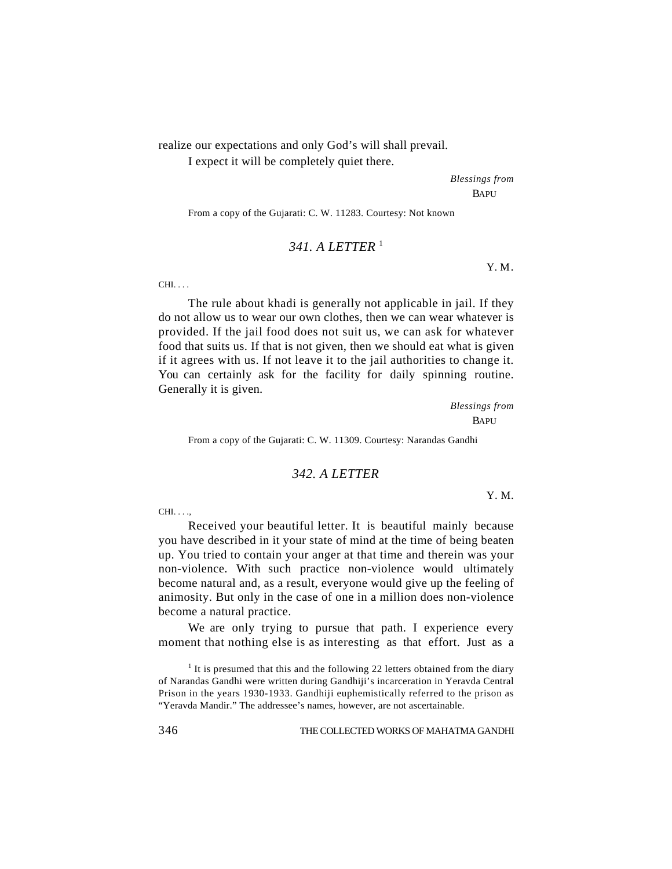realize our expectations and only God's will shall prevail.

I expect it will be completely quiet there.

*Blessings from* **BAPU** 

From a copy of the Gujarati: C. W. 11283. Courtesy: Not known

# *341. A LETTER* <sup>1</sup>

Y. M.

 $CHI.$ ...

The rule about khadi is generally not applicable in jail. If they do not allow us to wear our own clothes, then we can wear whatever is provided. If the jail food does not suit us, we can ask for whatever food that suits us. If that is not given, then we should eat what is given if it agrees with us. If not leave it to the jail authorities to change it. You can certainly ask for the facility for daily spinning routine. Generally it is given.

> *Blessings from* **BAPU**

From a copy of the Gujarati: C. W. 11309. Courtesy: Narandas Gandhi

## *342. A LETTER*

Y. M.

 $CHI. \ldots$ 

Received your beautiful letter. It is beautiful mainly because you have described in it your state of mind at the time of being beaten up. You tried to contain your anger at that time and therein was your non-violence. With such practice non-violence would ultimately become natural and, as a result, everyone would give up the feeling of animosity. But only in the case of one in a million does non-violence become a natural practice.

We are only trying to pursue that path. I experience every moment that nothing else is as interesting as that effort. Just as a

<sup>1</sup> It is presumed that this and the following 22 letters obtained from the diary of Narandas Gandhi were written during Gandhiji's incarceration in Yeravda Central Prison in the years 1930-1933. Gandhiji euphemistically referred to the prison as "Yeravda Mandir." The addressee's names, however, are not ascertainable.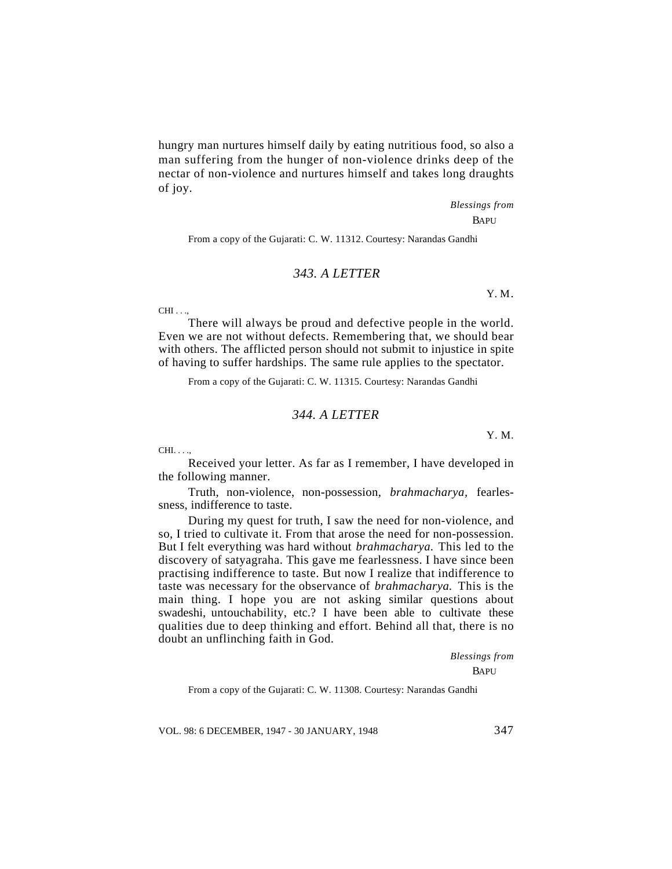hungry man nurtures himself daily by eating nutritious food, so also a man suffering from the hunger of non-violence drinks deep of the nectar of non-violence and nurtures himself and takes long draughts of joy.

> *Blessings from* BAPU

From a copy of the Gujarati: C. W. 11312. Courtesy: Narandas Gandhi

# *343. A LETTER*

Y. M.

 $CHI$  . . .,

There will always be proud and defective people in the world. Even we are not without defects. Remembering that, we should bear with others. The afflicted person should not submit to injustice in spite of having to suffer hardships. The same rule applies to the spectator.

From a copy of the Gujarati: C. W. 11315. Courtesy: Narandas Gandhi

#### *344. A LETTER*

CHI. . . .,

Received your letter. As far as I remember, I have developed in the following manner.

Truth, non-violence, non-possession, *brahmacharya,* fearlessness, indifference to taste.

During my quest for truth, I saw the need for non-violence, and so, I tried to cultivate it. From that arose the need for non-possession. But I felt everything was hard without *brahmacharya.* This led to the discovery of satyagraha. This gave me fearlessness. I have since been practising indifference to taste. But now I realize that indifference to taste was necessary for the observance of *brahmacharya.* This is the main thing. I hope you are not asking similar questions about swadeshi, untouchability, etc.? I have been able to cultivate these qualities due to deep thinking and effort. Behind all that, there is no doubt an unflinching faith in God.

> *Blessings from* **BAPU**

From a copy of the Gujarati: C. W. 11308. Courtesy: Narandas Gandhi

VOL. 98: 6 DECEMBER, 1947 - 30 JANUARY, 1948 347

Y. M.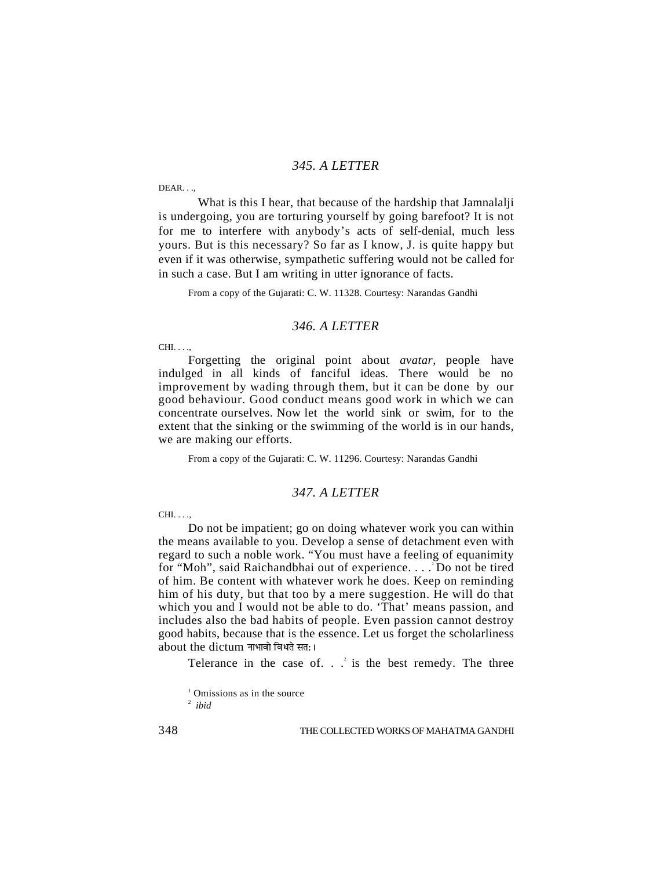DEAR...

What is this I hear, that because of the hardship that Jamnalalji is undergoing, you are torturing yourself by going barefoot? It is not for me to interfere with anybody's acts of self-denial, much less yours. But is this necessary? So far as I know, J. is quite happy but even if it was otherwise, sympathetic suffering would not be called for in such a case. But I am writing in utter ignorance of facts.

From a copy of the Gujarati: C. W. 11328. Courtesy: Narandas Gandhi

#### *346. A LETTER*

 $CHI. \ldots$ 

Forgetting the original point about *avatar,* people have indulged in all kinds of fanciful ideas. There would be no improvement by wading through them, but it can be done by our good behaviour. Good conduct means good work in which we can concentrate ourselves. Now let the world sink or swim, for to the extent that the sinking or the swimming of the world is in our hands, we are making our efforts.

From a copy of the Gujarati: C. W. 11296. Courtesy: Narandas Gandhi

#### *347. A LETTER*

 $CHI. \ldots$ 

Do not be impatient; go on doing whatever work you can within the means available to you. Develop a sense of detachment even with regard to such a noble work. "You must have a feeling of equanimity for "Moh", said Raichandbhai out of experience.... Do not be tired of him. Be content with whatever work he does. Keep on reminding him of his duty, but that too by a mere suggestion. He will do that which you and I would not be able to do. 'That' means passion, and includes also the bad habits of people. Even passion cannot destroy good habits, because that is the essence. Let us forget the scholarliness about the dictum

Telerance in the case of.  $\cdot$   $\cdot$  is the best remedy. The three

 $1$  Omissions as in the source

2 *ibid*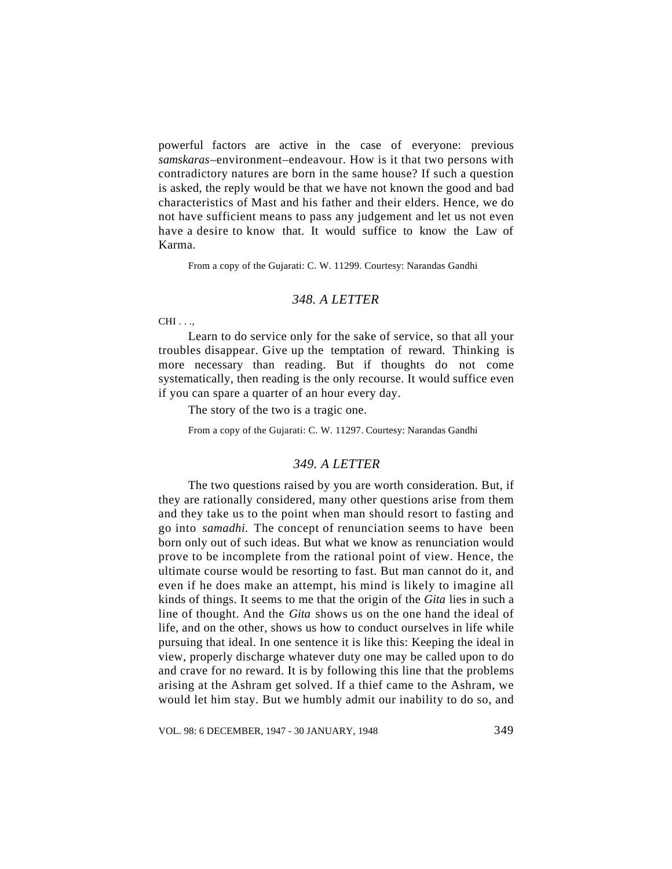powerful factors are active in the case of everyone: previous *samskaras*–environment–endeavour. How is it that two persons with contradictory natures are born in the same house? If such a question is asked, the reply would be that we have not known the good and bad characteristics of Mast and his father and their elders. Hence, we do not have sufficient means to pass any judgement and let us not even have a desire to know that. It would suffice to know the Law of Karma.

From a copy of the Gujarati: C. W. 11299. Courtesy: Narandas Gandhi

# *348. A LETTER*

CHI . . .,

Learn to do service only for the sake of service, so that all your troubles disappear. Give up the temptation of reward. Thinking is more necessary than reading. But if thoughts do not come systematically, then reading is the only recourse. It would suffice even if you can spare a quarter of an hour every day.

The story of the two is a tragic one.

From a copy of the Gujarati: C. W. 11297. Courtesy: Narandas Gandhi

#### *349. A LETTER*

The two questions raised by you are worth consideration. But, if they are rationally considered, many other questions arise from them and they take us to the point when man should resort to fasting and go into *samadhi.* The concept of renunciation seems to have been born only out of such ideas. But what we know as renunciation would prove to be incomplete from the rational point of view. Hence, the ultimate course would be resorting to fast. But man cannot do it, and even if he does make an attempt, his mind is likely to imagine all kinds of things. It seems to me that the origin of the *Gita* lies in such a line of thought. And the *Gita* shows us on the one hand the ideal of life, and on the other, shows us how to conduct ourselves in life while pursuing that ideal. In one sentence it is like this: Keeping the ideal in view, properly discharge whatever duty one may be called upon to do and crave for no reward. It is by following this line that the problems arising at the Ashram get solved. If a thief came to the Ashram, we would let him stay. But we humbly admit our inability to do so, and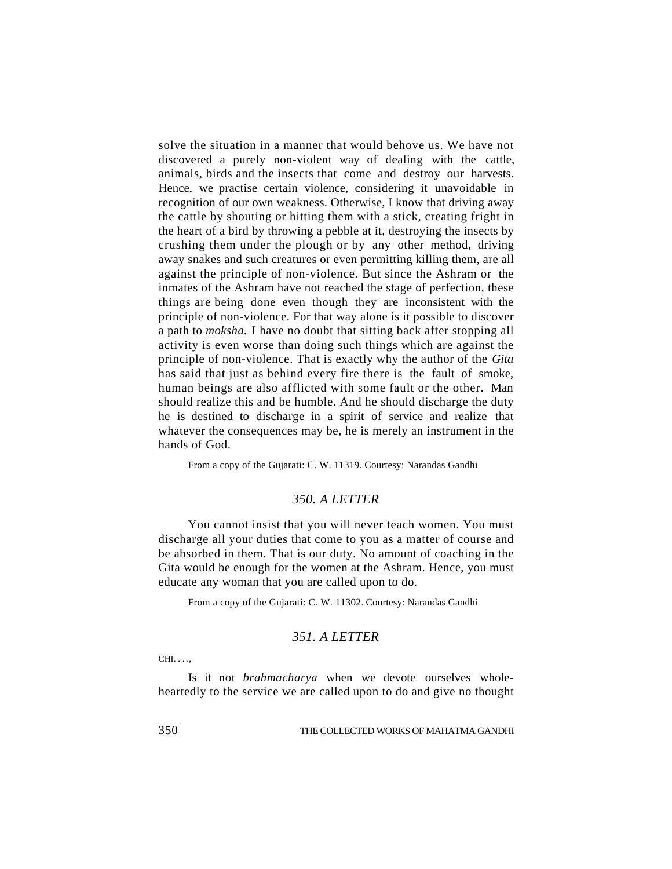solve the situation in a manner that would behove us. We have not discovered a purely non-violent way of dealing with the cattle, animals, birds and the insects that come and destroy our harvests. Hence, we practise certain violence, considering it unavoidable in recognition of our own weakness. Otherwise, I know that driving away the cattle by shouting or hitting them with a stick, creating fright in the heart of a bird by throwing a pebble at it, destroying the insects by crushing them under the plough or by any other method, driving away snakes and such creatures or even permitting killing them, are all against the principle of non-violence. But since the Ashram or the inmates of the Ashram have not reached the stage of perfection, these things are being done even though they are inconsistent with the principle of non-violence. For that way alone is it possible to discover a path to *moksha.* I have no doubt that sitting back after stopping all activity is even worse than doing such things which are against the principle of non-violence. That is exactly why the author of the *Gita* has said that just as behind every fire there is the fault of smoke, human beings are also afflicted with some fault or the other. Man should realize this and be humble. And he should discharge the duty he is destined to discharge in a spirit of service and realize that whatever the consequences may be, he is merely an instrument in the hands of God.

From a copy of the Gujarati: C. W. 11319. Courtesy: Narandas Gandhi

## *350. A LETTER*

You cannot insist that you will never teach women. You must discharge all your duties that come to you as a matter of course and be absorbed in them. That is our duty. No amount of coaching in the Gita would be enough for the women at the Ashram. Hence, you must educate any woman that you are called upon to do.

From a copy of the Gujarati: C. W. 11302. Courtesy: Narandas Gandhi

## *351. A LETTER*

CHI. . . ..

Is it not *brahmacharya* when we devote ourselves wholeheartedly to the service we are called upon to do and give no thought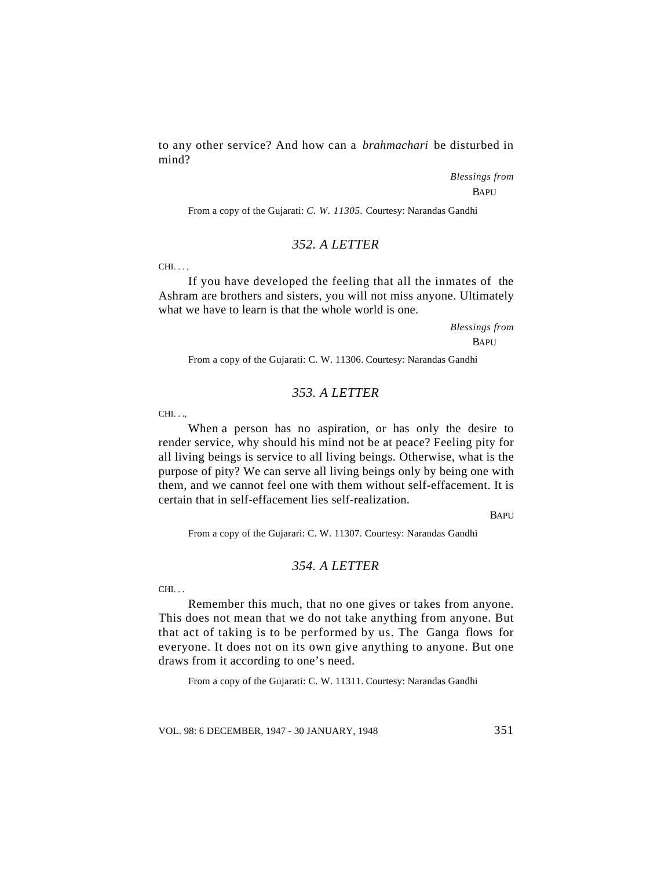to any other service? And how can a *brahmachari* be disturbed in mind?

> *Blessings from* **BAPU**

From a copy of the Gujarati: *C. W. 11305.* Courtesy: Narandas Gandhi

#### *352. A LETTER*

CHI. . . . .

If you have developed the feeling that all the inmates of the Ashram are brothers and sisters, you will not miss anyone. Ultimately what we have to learn is that the whole world is one.

*Blessings from*

**BAPU** 

From a copy of the Gujarati: C. W. 11306. Courtesy: Narandas Gandhi

## *353. A LETTER*

CHI. . .,

When a person has no aspiration, or has only the desire to render service, why should his mind not be at peace? Feeling pity for all living beings is service to all living beings. Otherwise, what is the purpose of pity? We can serve all living beings only by being one with them, and we cannot feel one with them without self-effacement. It is certain that in self-effacement lies self-realization.

**BAPU** 

From a copy of the Gujarari: C. W. 11307. Courtesy: Narandas Gandhi

### *354. A LETTER*

CHI. . .

Remember this much, that no one gives or takes from anyone. This does not mean that we do not take anything from anyone. But that act of taking is to be performed by us. The Ganga flows for everyone. It does not on its own give anything to anyone. But one draws from it according to one's need.

From a copy of the Gujarati: C. W. 11311. Courtesy: Narandas Gandhi

VOL. 98: 6 DECEMBER, 1947 - 30 JANUARY, 1948 351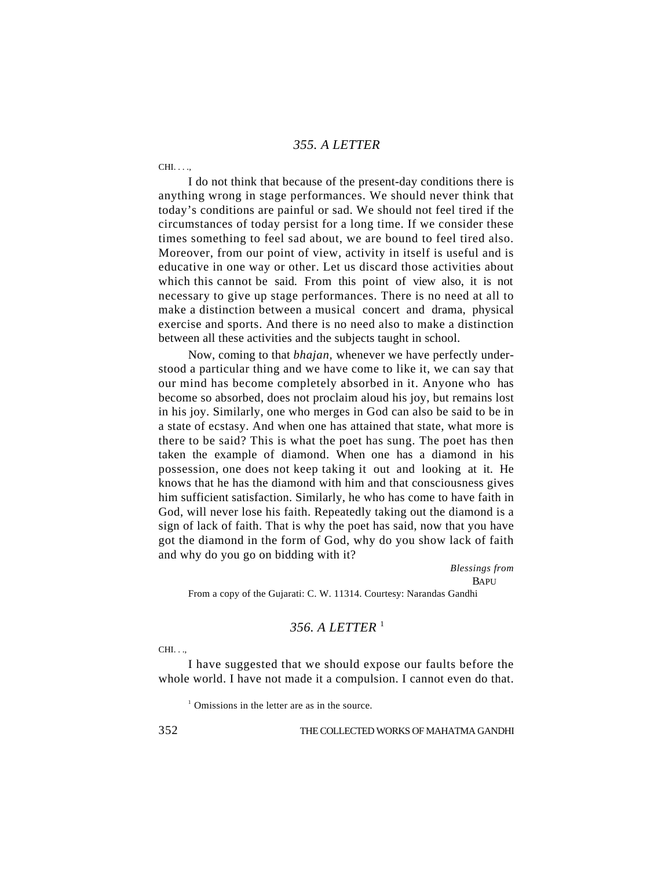CHI. . . .,

I do not think that because of the present-day conditions there is anything wrong in stage performances. We should never think that today's conditions are painful or sad. We should not feel tired if the circumstances of today persist for a long time. If we consider these times something to feel sad about, we are bound to feel tired also. Moreover, from our point of view, activity in itself is useful and is educative in one way or other. Let us discard those activities about which this cannot be said. From this point of view also, it is not necessary to give up stage performances. There is no need at all to make a distinction between a musical concert and drama, physical exercise and sports. And there is no need also to make a distinction between all these activities and the subjects taught in school.

Now, coming to that *bhajan,* whenever we have perfectly understood a particular thing and we have come to like it, we can say that our mind has become completely absorbed in it. Anyone who has become so absorbed, does not proclaim aloud his joy, but remains lost in his joy. Similarly, one who merges in God can also be said to be in a state of ecstasy. And when one has attained that state, what more is there to be said? This is what the poet has sung. The poet has then taken the example of diamond. When one has a diamond in his possession, one does not keep taking it out and looking at it. He knows that he has the diamond with him and that consciousness gives him sufficient satisfaction. Similarly, he who has come to have faith in God, will never lose his faith. Repeatedly taking out the diamond is a sign of lack of faith. That is why the poet has said, now that you have got the diamond in the form of God, why do you show lack of faith and why do you go on bidding with it?

> *Blessings from* **BAPU**

From a copy of the Gujarati: C. W. 11314. Courtesy: Narandas Gandhi

# *356. A LETTER* <sup>1</sup>

 $CHI. \ldots$ 

I have suggested that we should expose our faults before the whole world. I have not made it a compulsion. I cannot even do that.

<sup>1</sup> Omissions in the letter are as in the source.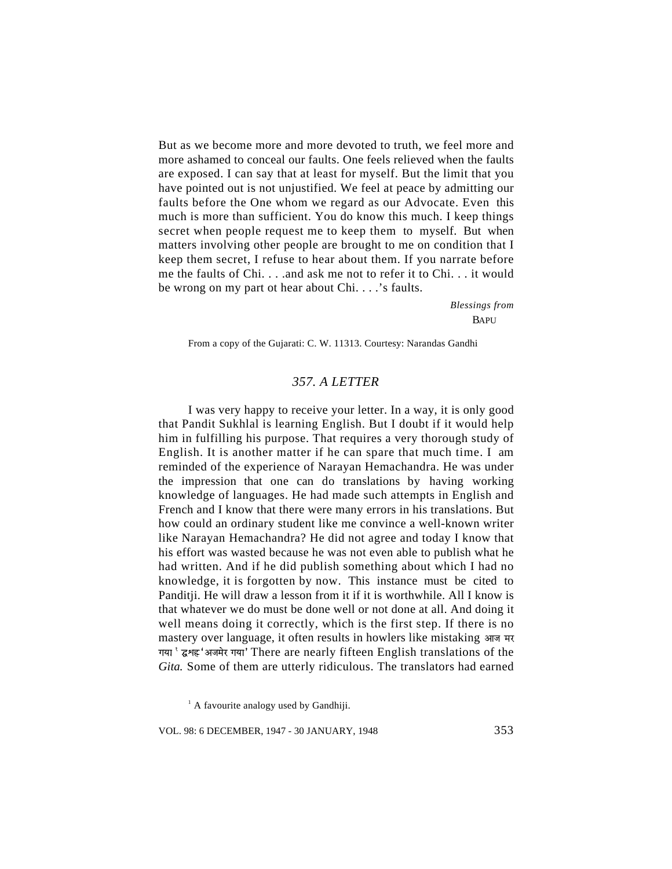But as we become more and more devoted to truth, we feel more and more ashamed to conceal our faults. One feels relieved when the faults are exposed. I can say that at least for myself. But the limit that you have pointed out is not unjustified. We feel at peace by admitting our faults before the One whom we regard as our Advocate. Even this much is more than sufficient. You do know this much. I keep things secret when people request me to keep them to myself. But when matters involving other people are brought to me on condition that I keep them secret, I refuse to hear about them. If you narrate before me the faults of Chi. . . .and ask me not to refer it to Chi. . . it would be wrong on my part ot hear about Chi. . . .'s faults.

> *Blessings from* **BAPU**

From a copy of the Gujarati: C. W. 11313. Courtesy: Narandas Gandhi

# *357. A LETTER*

I was very happy to receive your letter. In a way, it is only good that Pandit Sukhlal is learning English. But I doubt if it would help him in fulfilling his purpose. That requires a very thorough study of English. It is another matter if he can spare that much time. I am reminded of the experience of Narayan Hemachandra. He was under the impression that one can do translations by having working knowledge of languages. He had made such attempts in English and French and I know that there were many errors in his translations. But how could an ordinary student like me convince a well-known writer like Narayan Hemachandra? He did not agree and today I know that his effort was wasted because he was not even able to publish what he had written. And if he did publish something about which I had no knowledge, it is forgotten by now. This instance must be cited to Panditji. He will draw a lesson from it if it is worthwhile. All I know is that whatever we do must be done well or not done at all. And doing it well means doing it correctly, which is the first step. If there is no mastery over language, it often results in howlers like mistaking गया<sup>?</sup> द्वशह'अजमेर गया' There are nearly fifteen English translations of the *Gita.* Some of them are utterly ridiculous. The translators had earned

<sup>1</sup> A favourite analogy used by Gandhiji.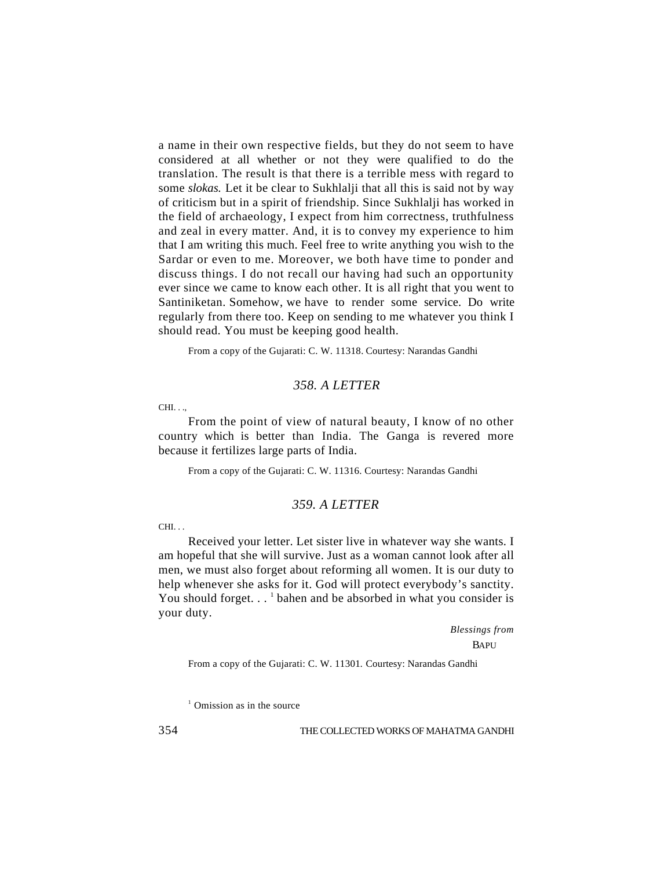a name in their own respective fields, but they do not seem to have considered at all whether or not they were qualified to do the translation. The result is that there is a terrible mess with regard to some *slokas.* Let it be clear to Sukhlalji that all this is said not by way of criticism but in a spirit of friendship. Since Sukhlalji has worked in the field of archaeology, I expect from him correctness, truthfulness and zeal in every matter. And, it is to convey my experience to him that I am writing this much. Feel free to write anything you wish to the Sardar or even to me. Moreover, we both have time to ponder and discuss things. I do not recall our having had such an opportunity ever since we came to know each other. It is all right that you went to Santiniketan. Somehow, we have to render some service. Do write regularly from there too. Keep on sending to me whatever you think I should read. You must be keeping good health.

From a copy of the Gujarati: C. W. 11318. Courtesy: Narandas Gandhi

# *358. A LETTER*

CHI. . .,

From the point of view of natural beauty, I know of no other country which is better than India. The Ganga is revered more because it fertilizes large parts of India.

From a copy of the Gujarati: C. W. 11316. Courtesy: Narandas Gandhi

# *359. A LETTER*

CHI. . . .

Received your letter. Let sister live in whatever way she wants. I am hopeful that she will survive. Just as a woman cannot look after all men, we must also forget about reforming all women. It is our duty to help whenever she asks for it. God will protect everybody's sanctity. You should forget.  $\ldots$ <sup>1</sup> bahen and be absorbed in what you consider is your duty.

> *Blessings from* **BAPU**

From a copy of the Gujarati: C. W. 11301*.* Courtesy: Narandas Gandhi

<sup>1</sup> Omission as in the source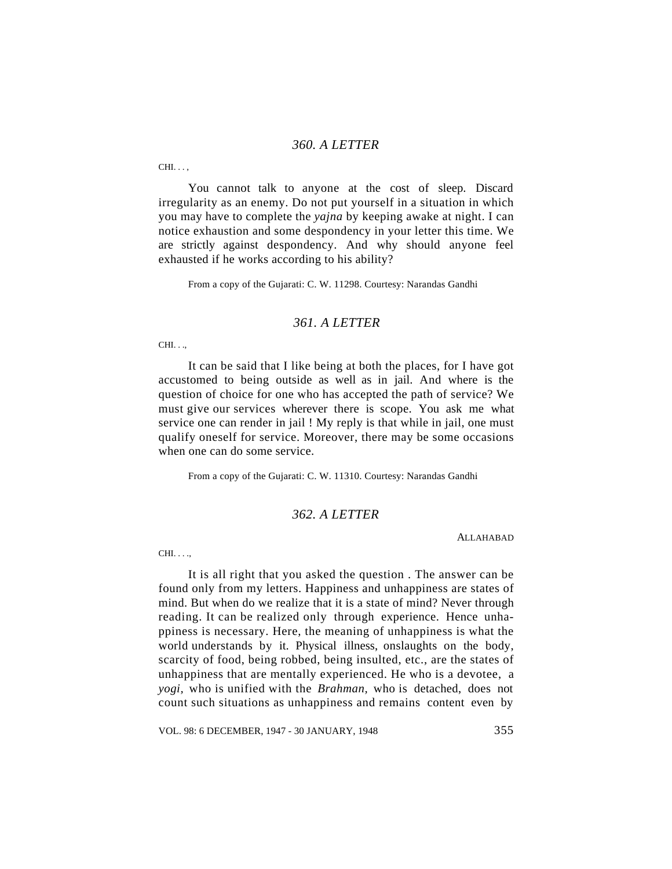CHI. . . ,

You cannot talk to anyone at the cost of sleep. Discard irregularity as an enemy. Do not put yourself in a situation in which you may have to complete the *yajna* by keeping awake at night. I can notice exhaustion and some despondency in your letter this time. We are strictly against despondency. And why should anyone feel exhausted if he works according to his ability?

From a copy of the Gujarati: C. W. 11298. Courtesy: Narandas Gandhi

#### *361. A LETTER*

CHI. . .,

It can be said that I like being at both the places, for I have got accustomed to being outside as well as in jail. And where is the question of choice for one who has accepted the path of service? We must give our services wherever there is scope. You ask me what service one can render in jail ! My reply is that while in jail, one must qualify oneself for service. Moreover, there may be some occasions when one can do some service.

From a copy of the Gujarati: C. W. 11310. Courtesy: Narandas Gandhi

## *362. A LETTER*

ALLAHABAD

CHI. . . ..

It is all right that you asked the question . The answer can be found only from my letters. Happiness and unhappiness are states of mind. But when do we realize that it is a state of mind? Never through reading. It can be realized only through experience. Hence unhappiness is necessary. Here, the meaning of unhappiness is what the world understands by it. Physical illness, onslaughts on the body, scarcity of food, being robbed, being insulted, etc., are the states of unhappiness that are mentally experienced. He who is a devotee, a *yogi,* who is unified with the *Brahman,* who is detached, does not count such situations as unhappiness and remains content even by

VOL. 98: 6 DECEMBER, 1947 - 30 JANUARY, 1948 355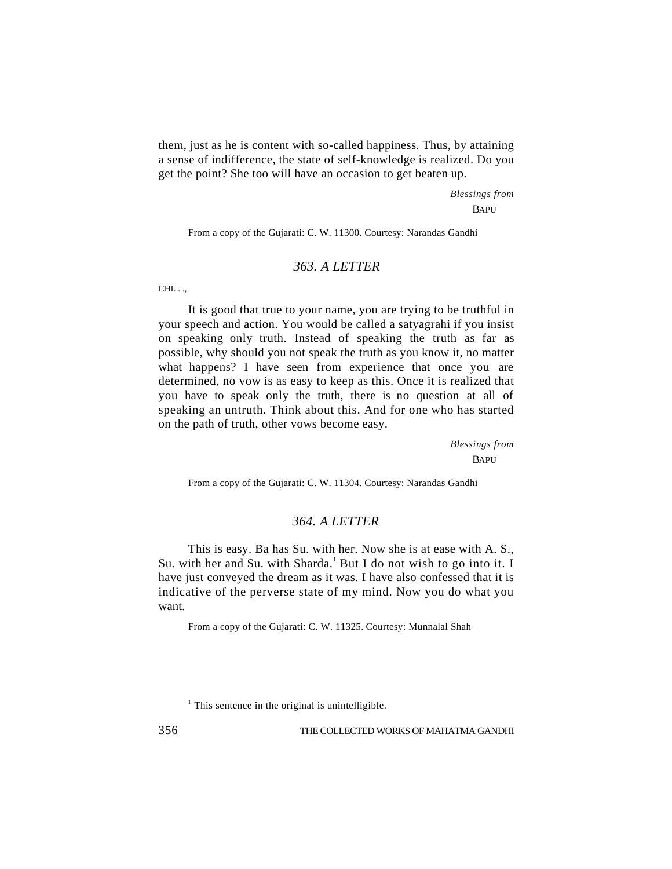them, just as he is content with so-called happiness. Thus, by attaining a sense of indifference, the state of self-knowledge is realized. Do you get the point? She too will have an occasion to get beaten up.

> *Blessings from* **BAPU**

From a copy of the Gujarati: C. W. 11300. Courtesy: Narandas Gandhi

## *363. A LETTER*

CHI. . .,

It is good that true to your name, you are trying to be truthful in your speech and action. You would be called a satyagrahi if you insist on speaking only truth. Instead of speaking the truth as far as possible, why should you not speak the truth as you know it, no matter what happens? I have seen from experience that once you are determined, no vow is as easy to keep as this. Once it is realized that you have to speak only the truth, there is no question at all of speaking an untruth. Think about this. And for one who has started on the path of truth, other vows become easy.

> *Blessings from* BAPU

From a copy of the Gujarati: C. W. 11304. Courtesy: Narandas Gandhi

### *364. A LETTER*

This is easy. Ba has Su. with her. Now she is at ease with A. S., Su. with her and Su. with Sharda.<sup>1</sup> But I do not wish to go into it. I have just conveyed the dream as it was. I have also confessed that it is indicative of the perverse state of my mind. Now you do what you want.

From a copy of the Gujarati: C. W. 11325. Courtesy: Munnalal Shah

 $<sup>1</sup>$  This sentence in the original is unintelligible.</sup>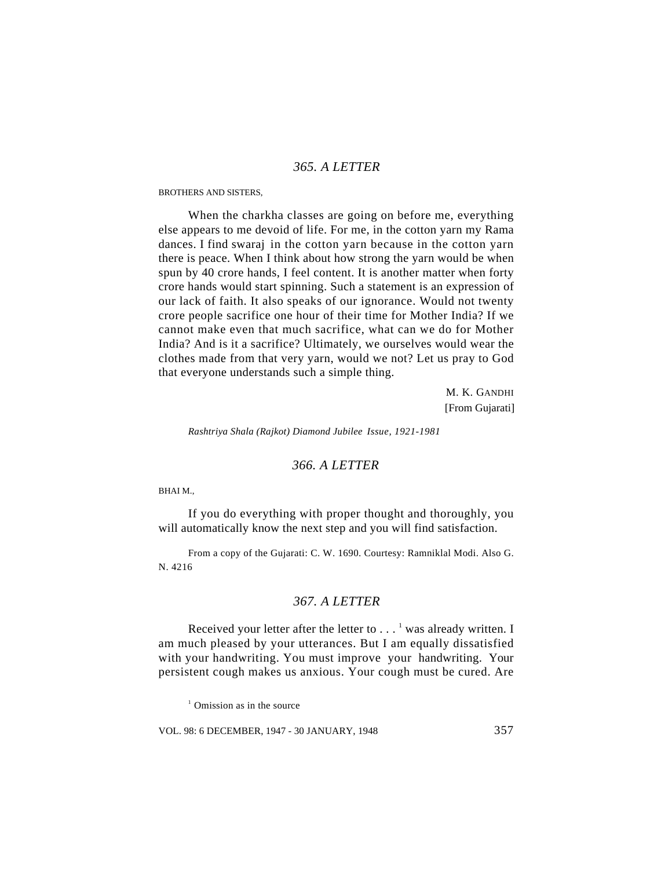## *365. A LETTER*

BROTHERS AND SISTERS,

When the charkha classes are going on before me, everything else appears to me devoid of life. For me, in the cotton yarn my Rama dances. I find swaraj in the cotton yarn because in the cotton yarn there is peace. When I think about how strong the yarn would be when spun by 40 crore hands, I feel content. It is another matter when forty crore hands would start spinning. Such a statement is an expression of our lack of faith. It also speaks of our ignorance. Would not twenty crore people sacrifice one hour of their time for Mother India? If we cannot make even that much sacrifice, what can we do for Mother India? And is it a sacrifice? Ultimately, we ourselves would wear the clothes made from that very yarn, would we not? Let us pray to God that everyone understands such a simple thing.

> M. K. GANDHI [From Gujarati]

*Rashtriya Shala (Rajkot) Diamond Jubilee Issue, 1921-1981*

# *366. A LETTER*

BHAI M.,

If you do everything with proper thought and thoroughly, you will automatically know the next step and you will find satisfaction.

From a copy of the Gujarati: C. W. 1690. Courtesy: Ramniklal Modi. Also G. N. 4216

### *367. A LETTER*

Received your letter after the letter to  $\dots$ <sup>1</sup> was already written. I am much pleased by your utterances. But I am equally dissatisfied with your handwriting. You must improve your handwriting. Your persistent cough makes us anxious. Your cough must be cured. Are

<sup>1</sup> Omission as in the source

VOL. 98: 6 DECEMBER, 1947 - 30 JANUARY, 1948 357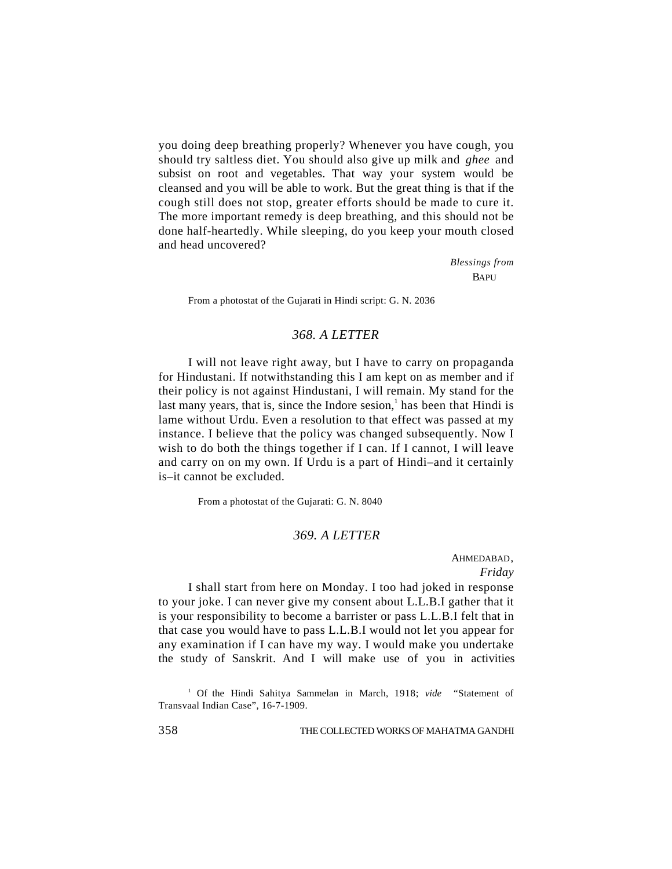you doing deep breathing properly? Whenever you have cough, you should try saltless diet. You should also give up milk and *ghee* and subsist on root and vegetables. That way your system would be cleansed and you will be able to work. But the great thing is that if the cough still does not stop, greater efforts should be made to cure it. The more important remedy is deep breathing, and this should not be done half-heartedly. While sleeping, do you keep your mouth closed and head uncovered?

> *Blessings from* **BAPU**

From a photostat of the Gujarati in Hindi script: G. N. 2036

#### *368. A LETTER*

I will not leave right away, but I have to carry on propaganda for Hindustani. If notwithstanding this I am kept on as member and if their policy is not against Hindustani, I will remain. My stand for the last many years, that is, since the Indore sesion,<sup>1</sup> has been that Hindi is lame without Urdu. Even a resolution to that effect was passed at my instance. I believe that the policy was changed subsequently. Now I wish to do both the things together if I can. If I cannot, I will leave and carry on on my own. If Urdu is a part of Hindi–and it certainly is–it cannot be excluded.

From a photostat of the Gujarati: G. N. 8040

#### *369. A LETTER*

AHMEDABAD, *Friday*

I shall start from here on Monday. I too had joked in response to your joke. I can never give my consent about L.L.B.I gather that it is your responsibility to become a barrister or pass L.L.B.I felt that in that case you would have to pass L.L.B.I would not let you appear for any examination if I can have my way. I would make you undertake the study of Sanskrit. And I will make use of you in activities

<sup>1</sup> Of the Hindi Sahitya Sammelan in March, 1918; *vide* "Statement of Transvaal Indian Case", 16-7-1909.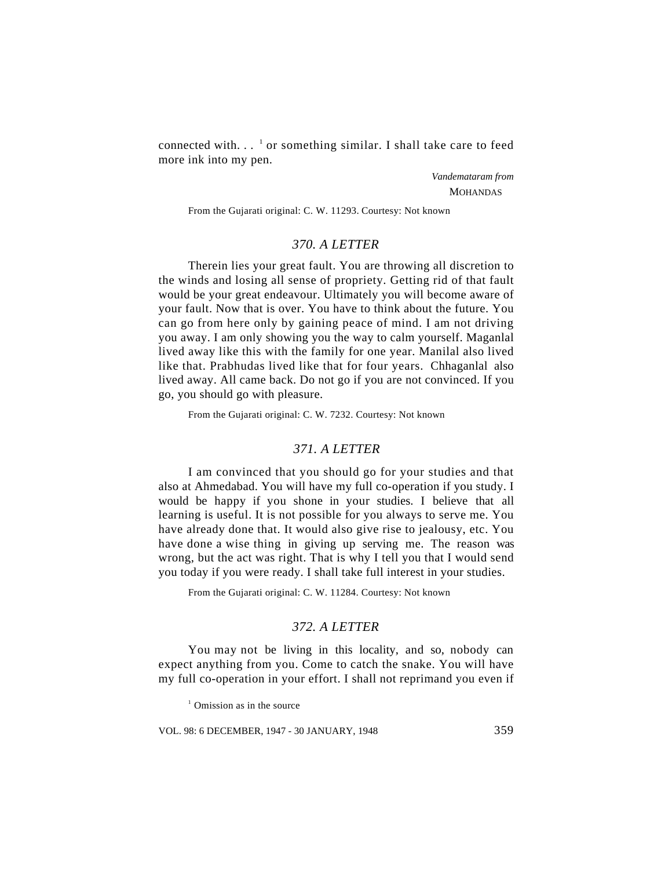connected with...  $\frac{1}{1}$  or something similar. I shall take care to feed more ink into my pen.

> *Vandemataram from* **MOHANDAS**

From the Gujarati original: C. W. 11293. Courtesy: Not known

### *370. A LETTER*

Therein lies your great fault. You are throwing all discretion to the winds and losing all sense of propriety. Getting rid of that fault would be your great endeavour. Ultimately you will become aware of your fault. Now that is over. You have to think about the future. You can go from here only by gaining peace of mind. I am not driving you away. I am only showing you the way to calm yourself. Maganlal lived away like this with the family for one year. Manilal also lived like that. Prabhudas lived like that for four years. Chhaganlal also lived away. All came back. Do not go if you are not convinced. If you go, you should go with pleasure.

From the Gujarati original: C. W. 7232. Courtesy: Not known

#### *371. A LETTER*

I am convinced that you should go for your studies and that also at Ahmedabad. You will have my full co-operation if you study. I would be happy if you shone in your studies. I believe that all learning is useful. It is not possible for you always to serve me. You have already done that. It would also give rise to jealousy, etc. You have done a wise thing in giving up serving me. The reason was wrong, but the act was right. That is why I tell you that I would send you today if you were ready. I shall take full interest in your studies.

From the Gujarati original: C. W. 11284. Courtesy: Not known

## *372. A LETTER*

You may not be living in this locality, and so, nobody can expect anything from you. Come to catch the snake. You will have my full co-operation in your effort. I shall not reprimand you even if

<sup>1</sup> Omission as in the source

VOL. 98: 6 DECEMBER, 1947 - 30 JANUARY, 1948 359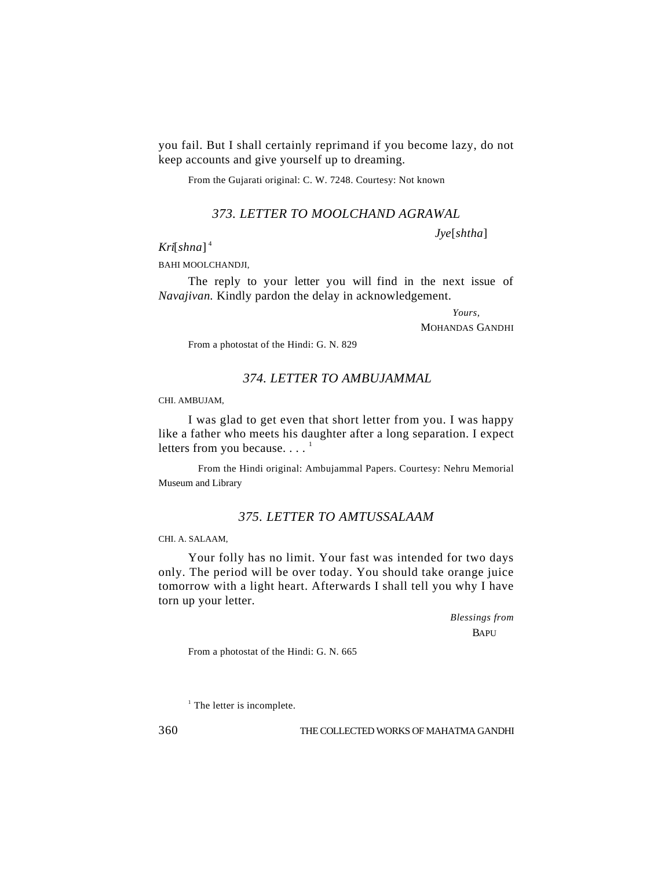you fail. But I shall certainly reprimand if you become lazy, do not keep accounts and give yourself up to dreaming.

From the Gujarati original: C. W. 7248. Courtesy: Not known

## *373. LETTER TO MOOLCHAND AGRAWAL*

*Jye*[*shtha*]

*Kri*[*shna*] 4

BAHI MOOLCHANDJI,

The reply to your letter you will find in the next issue of *Navajivan.* Kindly pardon the delay in acknowledgement.

*Yours,*

MOHANDAS GANDHI

From a photostat of the Hindi: G. N. 829

# *374. LETTER TO AMBUJAMMAL*

CHI. AMBUJAM,

I was glad to get even that short letter from you. I was happy like a father who meets his daughter after a long separation. I expect letters from you because....<sup>1</sup>

From the Hindi original: Ambujammal Papers. Courtesy: Nehru Memorial Museum and Library

# *375. LETTER TO AMTUSSALAAM*

CHI. A. SALAAM,

Your folly has no limit. Your fast was intended for two days only. The period will be over today. You should take orange juice tomorrow with a light heart. Afterwards I shall tell you why I have torn up your letter.

> *Blessings from* **BAPU**

From a photostat of the Hindi: G. N. 665

<sup>1</sup> The letter is incomplete.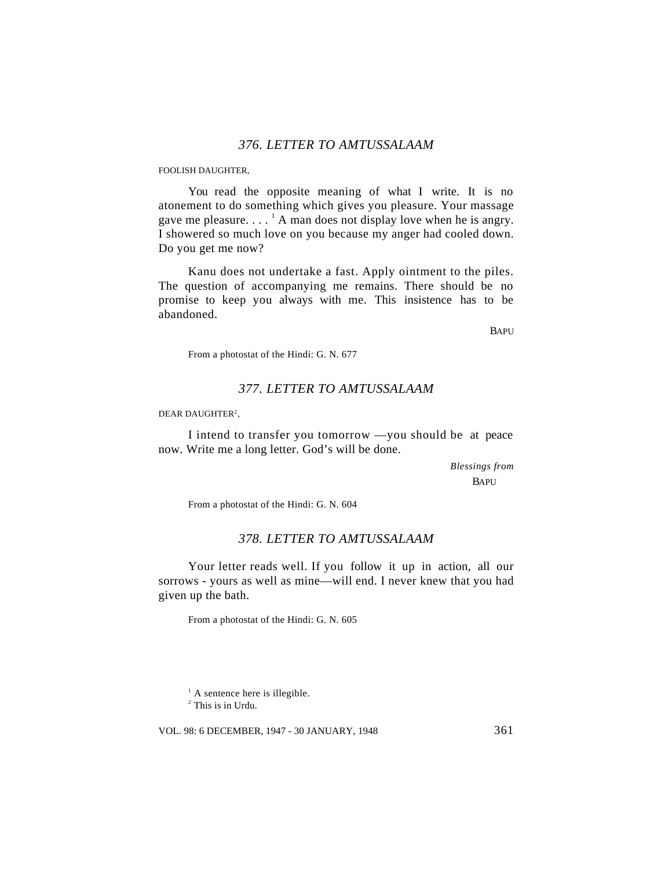FOOLISH DAUGHTER,

You read the opposite meaning of what I write. It is no atonement to do something which gives you pleasure. Your massage gave me pleasure....<sup>1</sup> A man does not display love when he is angry. I showered so much love on you because my anger had cooled down. Do you get me now?

Kanu does not undertake a fast. Apply ointment to the piles. The question of accompanying me remains. There should be no promise to keep you always with me. This insistence has to be abandoned.

**BAPU** 

From a photostat of the Hindi: G. N. 677

### *377. LETTER TO AMTUSSALAAM*

DEAR DAUGHTER<sup>2</sup>,

I intend to transfer you tomorrow —you should be at peace now. Write me a long letter. God's will be done.

> *Blessings from* **BAPU**

From a photostat of the Hindi: G. N. 604

#### *378. LETTER TO AMTUSSALAAM*

Your letter reads well. If you follow it up in action, all our sorrows - yours as well as mine—will end. I never knew that you had given up the bath.

From a photostat of the Hindi: G. N. 605

<sup>&</sup>lt;sup>1</sup> A sentence here is illegible.

<sup>2</sup> This is in Urdu.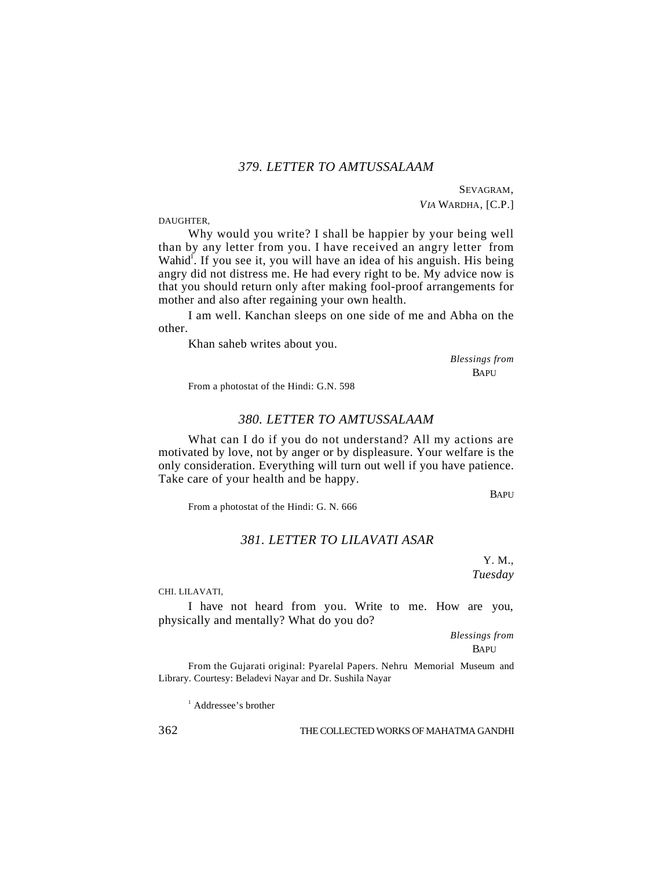## *379. LETTER TO AMTUSSALAAM*

SEVAGRAM, *VIA* WARDHA, [C.P.]

DAUGHTER,

Why would you write? I shall be happier by your being well than by any letter from you. I have received an angry letter from Wahid<sup>1</sup>. If you see it, you will have an idea of his anguish. His being angry did not distress me. He had every right to be. My advice now is that you should return only after making fool-proof arrangements for mother and also after regaining your own health.

I am well. Kanchan sleeps on one side of me and Abha on the other.

Khan saheb writes about you.

*Blessings from* **BAPU** 

From a photostat of the Hindi: G.N. 598

## *380. LETTER TO AMTUSSALAAM*

What can I do if you do not understand? All my actions are motivated by love, not by anger or by displeasure. Your welfare is the only consideration. Everything will turn out well if you have patience. Take care of your health and be happy.

From a photostat of the Hindi: G. N. 666

#### *381. LETTER TO LILAVATI ASAR*

Y. M., *Tuesday*

**BAPU** 

CHI. LILAVATI,

I have not heard from you. Write to me. How are you, physically and mentally? What do you do?

> *Blessings from* **BAPU**

From the Gujarati original: Pyarelal Papers. Nehru Memorial Museum and Library. Courtesy: Beladevi Nayar and Dr. Sushila Nayar

<sup>1</sup> Addressee's brother

362 THE COLLECTED WORKS OF MAHATMA GANDHI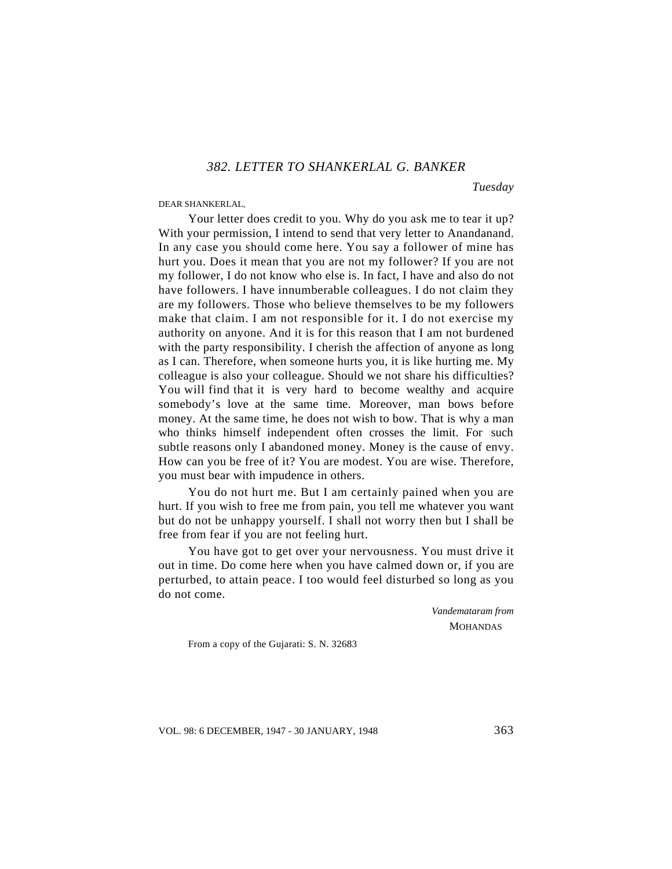*Tuesday*

DEAR SHANKERLAL,

Your letter does credit to you. Why do you ask me to tear it up? With your permission, I intend to send that very letter to Anandanand. In any case you should come here. You say a follower of mine has hurt you. Does it mean that you are not my follower? If you are not my follower, I do not know who else is. In fact, I have and also do not have followers. I have innumberable colleagues. I do not claim they are my followers. Those who believe themselves to be my followers make that claim. I am not responsible for it. I do not exercise my authority on anyone. And it is for this reason that I am not burdened with the party responsibility. I cherish the affection of anyone as long as I can. Therefore, when someone hurts you, it is like hurting me. My colleague is also your colleague. Should we not share his difficulties? You will find that it is very hard to become wealthy and acquire somebody's love at the same time. Moreover, man bows before money. At the same time, he does not wish to bow. That is why a man who thinks himself independent often crosses the limit. For such subtle reasons only I abandoned money. Money is the cause of envy. How can you be free of it? You are modest. You are wise. Therefore, you must bear with impudence in others.

You do not hurt me. But I am certainly pained when you are hurt. If you wish to free me from pain, you tell me whatever you want but do not be unhappy yourself. I shall not worry then but I shall be free from fear if you are not feeling hurt.

You have got to get over your nervousness. You must drive it out in time. Do come here when you have calmed down or, if you are perturbed, to attain peace. I too would feel disturbed so long as you do not come.

> *Vandemataram from* **MOHANDAS**

From a copy of the Gujarati: S. N. 32683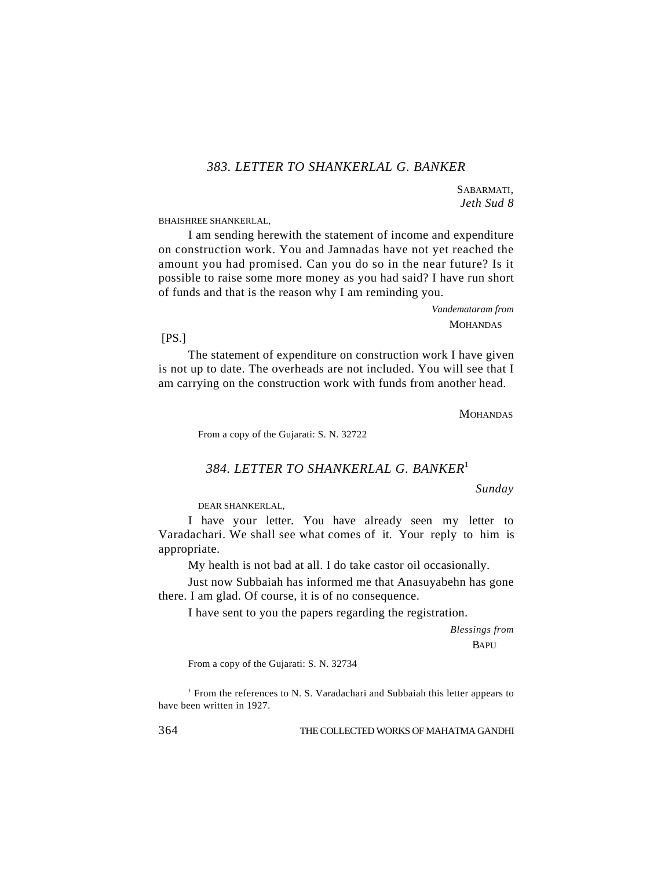# *383. LETTER TO SHANKERLAL G. BANKER*

SABARMATI, *Jeth Sud 8*

#### BHAISHREE SHANKERLAL,

I am sending herewith the statement of income and expenditure on construction work. You and Jamnadas have not yet reached the amount you had promised. Can you do so in the near future? Is it possible to raise some more money as you had said? I have run short of funds and that is the reason why I am reminding you.

> *Vandemataram from* **MOHANDAS**

#### $[PS.]$

The statement of expenditure on construction work I have given is not up to date. The overheads are not included. You will see that I am carrying on the construction work with funds from another head.

**MOHANDAS** 

From a copy of the Gujarati: S. N. 32722

## *384. LETTER TO SHANKERLAL G. BANKER*<sup>1</sup>

*Sunday*

DEAR SHANKERLAL,

I have your letter. You have already seen my letter to Varadachari. We shall see what comes of it. Your reply to him is appropriate.

My health is not bad at all. I do take castor oil occasionally.

Just now Subbaiah has informed me that Anasuyabehn has gone there. I am glad. Of course, it is of no consequence.

I have sent to you the papers regarding the registration.

*Blessings from* **BAPU** 

From a copy of the Gujarati: S. N. 32734

<sup>1</sup> From the references to N. S. Varadachari and Subbaiah this letter appears to have been written in 1927.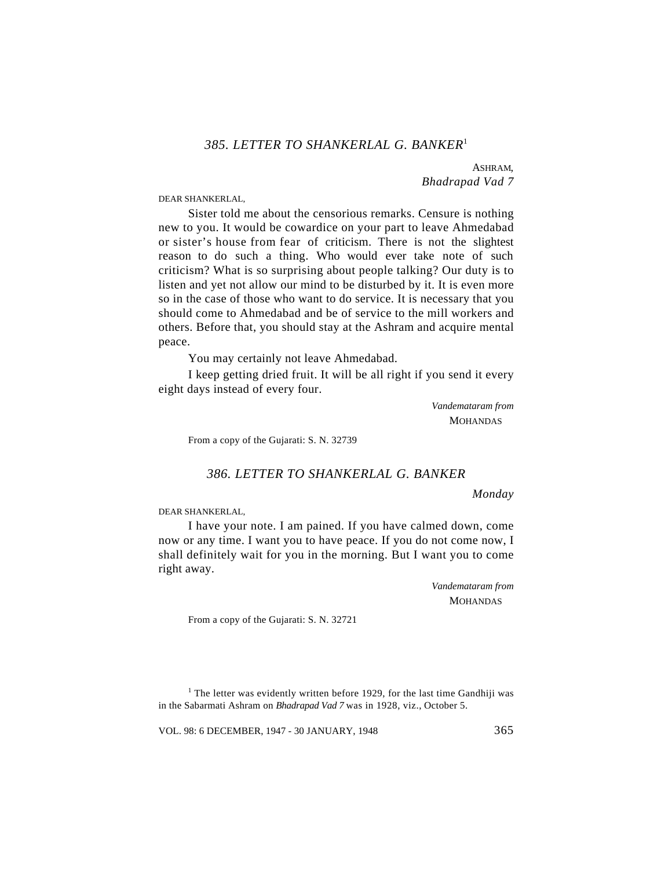## *385. LETTER TO SHANKERLAL G. BANKER*<sup>1</sup>

ASHRAM, *Bhadrapad Vad 7*

DEAR SHANKERLAL,

Sister told me about the censorious remarks. Censure is nothing new to you. It would be cowardice on your part to leave Ahmedabad or sister's house from fear of criticism. There is not the slightest reason to do such a thing. Who would ever take note of such criticism? What is so surprising about people talking? Our duty is to listen and yet not allow our mind to be disturbed by it. It is even more so in the case of those who want to do service. It is necessary that you should come to Ahmedabad and be of service to the mill workers and others. Before that, you should stay at the Ashram and acquire mental peace.

You may certainly not leave Ahmedabad.

I keep getting dried fruit. It will be all right if you send it every eight days instead of every four.

> *Vandemataram from* **MOHANDAS**

From a copy of the Gujarati: S. N. 32739

#### *386. LETTER TO SHANKERLAL G. BANKER*

*Monday*

DEAR SHANKERLAL,

I have your note. I am pained. If you have calmed down, come now or any time. I want you to have peace. If you do not come now, I shall definitely wait for you in the morning. But I want you to come right away.

> *Vandemataram from* **MOHANDAS**

From a copy of the Gujarati: S. N. 32721

VOL. 98: 6 DECEMBER, 1947 - 30 JANUARY, 1948 365

<sup>&</sup>lt;sup>1</sup> The letter was evidently written before 1929, for the last time Gandhiji was in the Sabarmati Ashram on *Bhadrapad Vad 7* was in 1928, viz., October 5.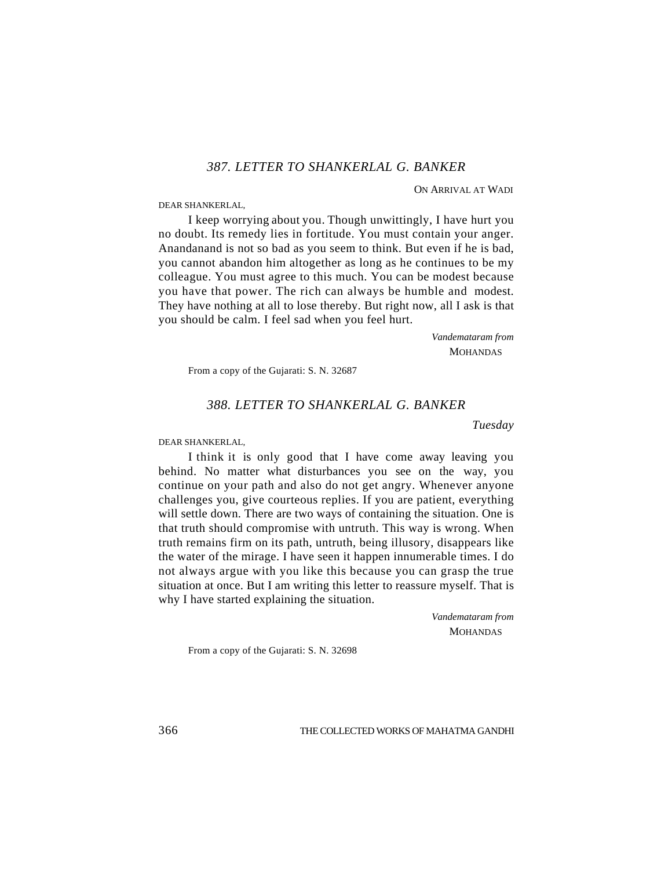ON ARRIVAL AT WADI

DEAR SHANKERLAL,

I keep worrying about you. Though unwittingly, I have hurt you no doubt. Its remedy lies in fortitude. You must contain your anger. Anandanand is not so bad as you seem to think. But even if he is bad, you cannot abandon him altogether as long as he continues to be my colleague. You must agree to this much. You can be modest because you have that power. The rich can always be humble and modest. They have nothing at all to lose thereby. But right now, all I ask is that you should be calm. I feel sad when you feel hurt.

> *Vandemataram from* **MOHANDAS**

From a copy of the Gujarati: S. N. 32687

## *388. LETTER TO SHANKERLAL G. BANKER*

*Tuesday*

DEAR SHANKERLAL,

I think it is only good that I have come away leaving you behind. No matter what disturbances you see on the way, you continue on your path and also do not get angry. Whenever anyone challenges you, give courteous replies. If you are patient, everything will settle down. There are two ways of containing the situation. One is that truth should compromise with untruth. This way is wrong. When truth remains firm on its path, untruth, being illusory, disappears like the water of the mirage. I have seen it happen innumerable times. I do not always argue with you like this because you can grasp the true situation at once. But I am writing this letter to reassure myself. That is why I have started explaining the situation.

> *Vandemataram from* **MOHANDAS**

From a copy of the Gujarati: S. N. 32698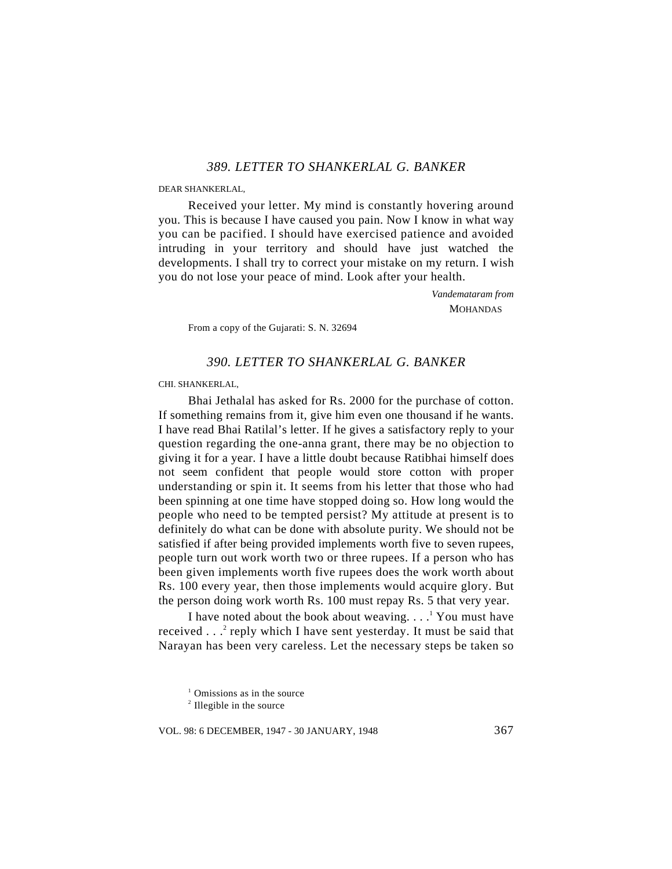DEAR SHANKERLAL,

Received your letter. My mind is constantly hovering around you. This is because I have caused you pain. Now I know in what way you can be pacified. I should have exercised patience and avoided intruding in your territory and should have just watched the developments. I shall try to correct your mistake on my return. I wish you do not lose your peace of mind. Look after your health.

> *Vandemataram from* **MOHANDAS**

From a copy of the Gujarati: S. N. 32694

#### *390. LETTER TO SHANKERLAL G. BANKER*

CHI. SHANKERLAL,

Bhai Jethalal has asked for Rs. 2000 for the purchase of cotton. If something remains from it, give him even one thousand if he wants. I have read Bhai Ratilal's letter. If he gives a satisfactory reply to your question regarding the one-anna grant, there may be no objection to giving it for a year. I have a little doubt because Ratibhai himself does not seem confident that people would store cotton with proper understanding or spin it. It seems from his letter that those who had been spinning at one time have stopped doing so. How long would the people who need to be tempted persist? My attitude at present is to definitely do what can be done with absolute purity. We should not be satisfied if after being provided implements worth five to seven rupees, people turn out work worth two or three rupees. If a person who has been given implements worth five rupees does the work worth about Rs. 100 every year, then those implements would acquire glory. But the person doing work worth Rs. 100 must repay Rs. 5 that very year.

I have noted about the book about weaving....<sup>1</sup> You must have received . . .<sup>2</sup> reply which I have sent yesterday. It must be said that Narayan has been very careless. Let the necessary steps be taken so

<sup>&</sup>lt;sup>1</sup> Omissions as in the source

<sup>&</sup>lt;sup>2</sup> Illegible in the source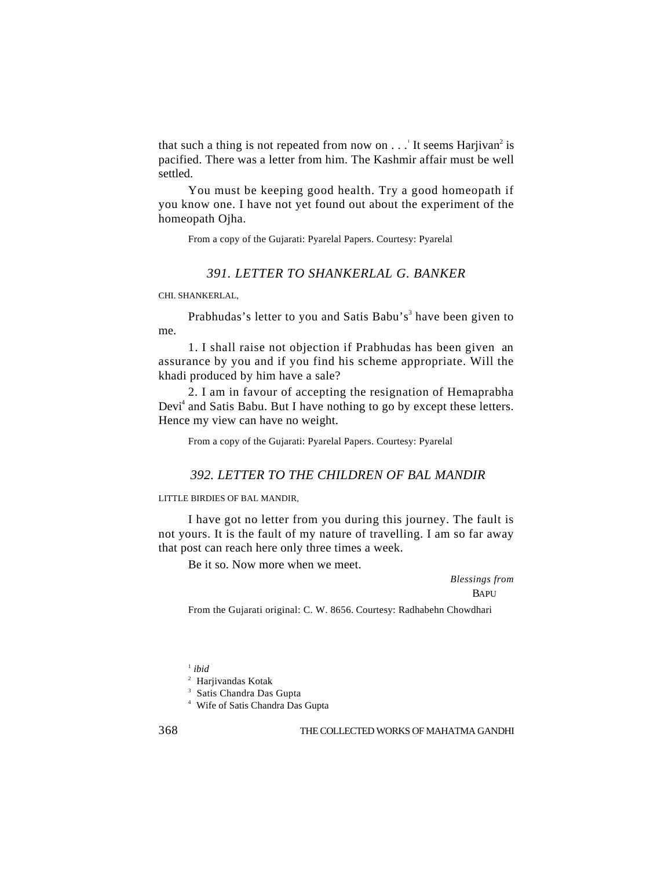that such a thing is not repeated from now on  $\dots$  It seems Harjivan<sup>2</sup> is pacified. There was a letter from him. The Kashmir affair must be well settled.

You must be keeping good health. Try a good homeopath if you know one. I have not yet found out about the experiment of the homeopath Ojha.

From a copy of the Gujarati: Pyarelal Papers. Courtesy: Pyarelal

# *391. LETTER TO SHANKERLAL G. BANKER*

CHI. SHANKERLAL,

Prabhudas's letter to you and Satis Babu's<sup>3</sup> have been given to me.

1. I shall raise not objection if Prabhudas has been given an assurance by you and if you find his scheme appropriate. Will the khadi produced by him have a sale?

2. I am in favour of accepting the resignation of Hemaprabha Devi<sup>4</sup> and Satis Babu. But I have nothing to go by except these letters. Hence my view can have no weight.

From a copy of the Gujarati: Pyarelal Papers. Courtesy: Pyarelal

# *392. LETTER TO THE CHILDREN OF BAL MANDIR*

LITTLE BIRDIES OF BAL MANDIR,

I have got no letter from you during this journey. The fault is not yours. It is the fault of my nature of travelling. I am so far away that post can reach here only three times a week.

Be it so. Now more when we meet.

*Blessings from* **BAPU** 

From the Gujarati original: C. W. 8656. Courtesy: Radhabehn Chowdhari

<sup>1</sup> *ibid*

<sup>&</sup>lt;sup>2</sup> Harjivandas Kotak

<sup>3</sup> Satis Chandra Das Gupta

<sup>4</sup> Wife of Satis Chandra Das Gupta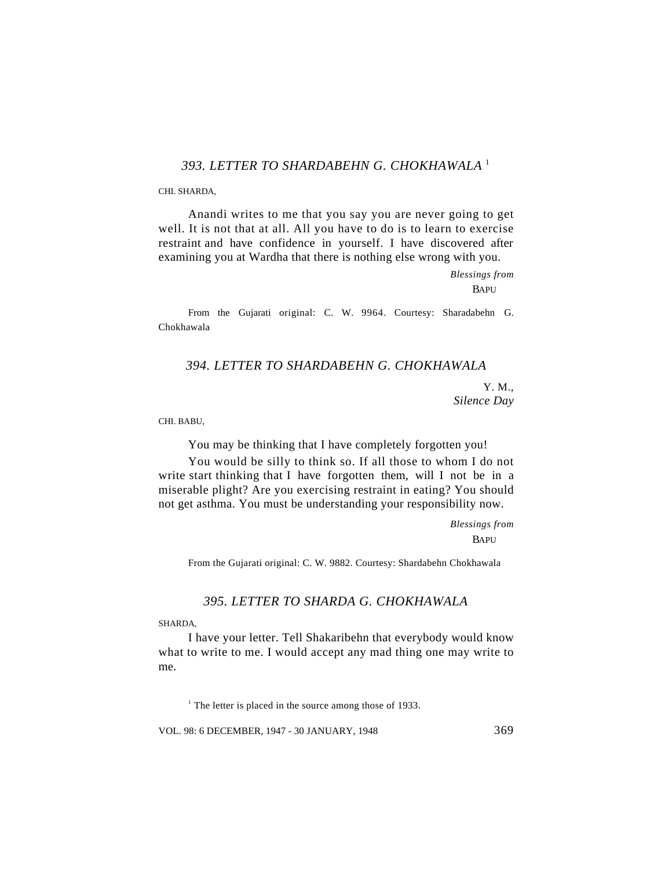### *393. LETTER TO SHARDABEHN G. CHOKHAWALA* <sup>1</sup>

CHI. SHARDA,

Anandi writes to me that you say you are never going to get well. It is not that at all. All you have to do is to learn to exercise restraint and have confidence in yourself. I have discovered after examining you at Wardha that there is nothing else wrong with you.

> *Blessings from* **BAPU**

From the Gujarati original: C. W. 9964. Courtesy: Sharadabehn G. Chokhawala

#### *394. LETTER TO SHARDABEHN G. CHOKHAWALA*

Y. M., *Silence Day*

CHI. BABU,

You may be thinking that I have completely forgotten you!

You would be silly to think so. If all those to whom I do not write start thinking that I have forgotten them, will I not be in a miserable plight? Are you exercising restraint in eating? You should not get asthma. You must be understanding your responsibility now.

> *Blessings from* **BAPU**

From the Gujarati original: C. W. 9882. Courtesy: Shardabehn Chokhawala

### *395. LETTER TO SHARDA G. CHOKHAWALA*

SHARDA,

I have your letter. Tell Shakaribehn that everybody would know what to write to me. I would accept any mad thing one may write to me.

<sup>1</sup> The letter is placed in the source among those of 1933.

VOL. 98: 6 DECEMBER, 1947 - 30 JANUARY, 1948 369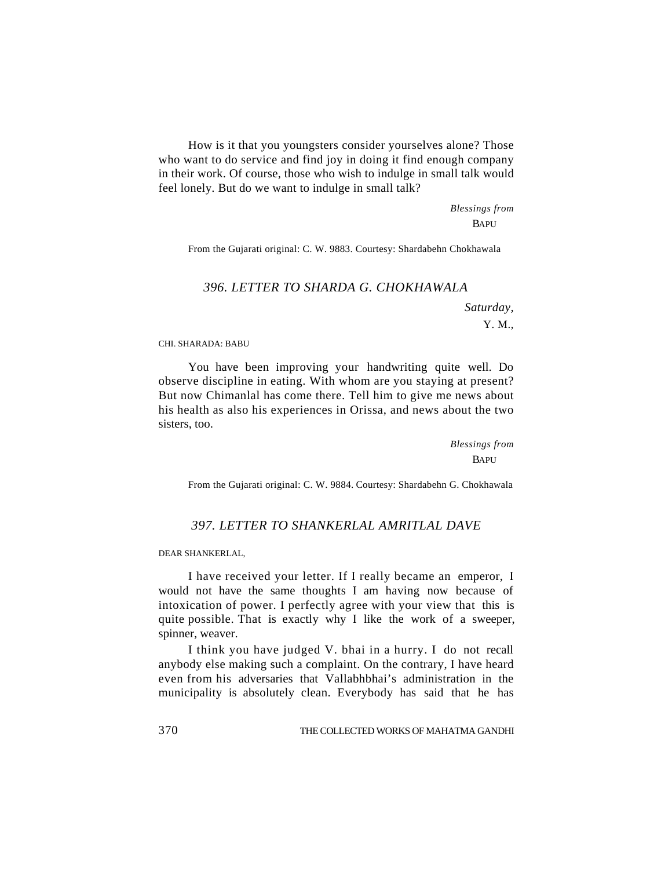How is it that you youngsters consider yourselves alone? Those who want to do service and find joy in doing it find enough company in their work. Of course, those who wish to indulge in small talk would feel lonely. But do we want to indulge in small talk?

> *Blessings from* BAPU

From the Gujarati original: C. W. 9883. Courtesy: Shardabehn Chokhawala

#### *396. LETTER TO SHARDA G. CHOKHAWALA*

*Saturday,* Y. M.,

CHI. SHARADA: BABU

You have been improving your handwriting quite well. Do observe discipline in eating. With whom are you staying at present? But now Chimanlal has come there. Tell him to give me news about his health as also his experiences in Orissa, and news about the two sisters, too.

> *Blessings from* BAPU

From the Gujarati original: C. W. 9884. Courtesy: Shardabehn G. Chokhawala

## *397. LETTER TO SHANKERLAL AMRITLAL DAVE*

DEAR SHANKERLAL,

I have received your letter. If I really became an emperor, I would not have the same thoughts I am having now because of intoxication of power. I perfectly agree with your view that this is quite possible. That is exactly why I like the work of a sweeper, spinner, weaver.

I think you have judged V. bhai in a hurry. I do not recall anybody else making such a complaint. On the contrary, I have heard even from his adversaries that Vallabhbhai's administration in the municipality is absolutely clean. Everybody has said that he has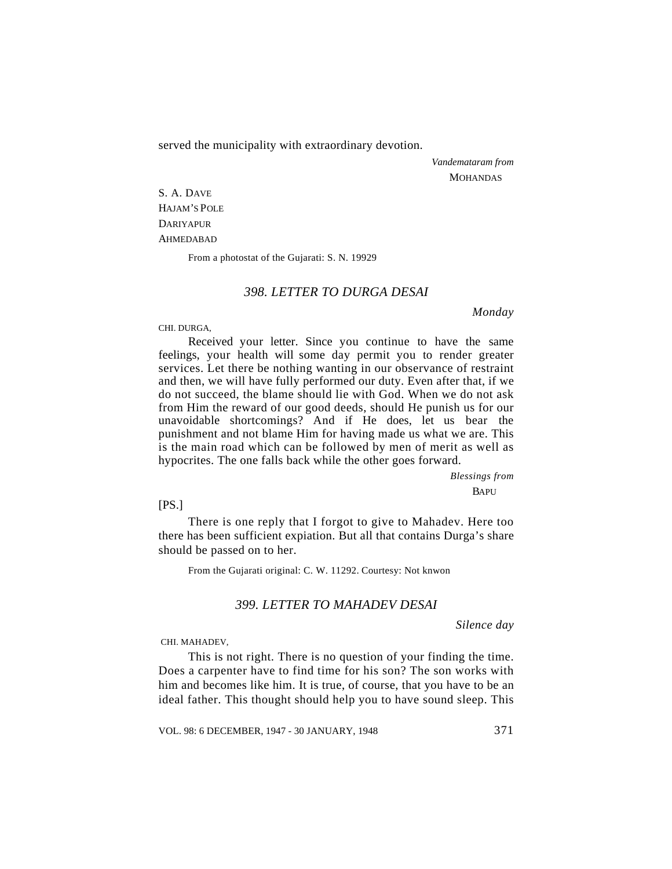served the municipality with extraordinary devotion.

*Vandemataram from* **MOHANDAS** 

S. A. DAVE HAJAM'S POLE DARIYAPUR AHMEDABAD

From a photostat of the Gujarati: S. N. 19929

# *398. LETTER TO DURGA DESAI*

*Monday*

CHI. DURGA,

Received your letter. Since you continue to have the same feelings, your health will some day permit you to render greater services. Let there be nothing wanting in our observance of restraint and then, we will have fully performed our duty. Even after that, if we do not succeed, the blame should lie with God. When we do not ask from Him the reward of our good deeds, should He punish us for our unavoidable shortcomings? And if He does, let us bear the punishment and not blame Him for having made us what we are. This is the main road which can be followed by men of merit as well as hypocrites. The one falls back while the other goes forward.

> *Blessings from* **BAPU**

[PS.]

There is one reply that I forgot to give to Mahadev. Here too there has been sufficient expiation. But all that contains Durga's share should be passed on to her.

From the Gujarati original: C. W. 11292. Courtesy: Not knwon

## *399. LETTER TO MAHADEV DESAI*

*Silence day*

CHI. MAHADEV,

This is not right. There is no question of your finding the time. Does a carpenter have to find time for his son? The son works with him and becomes like him. It is true, of course, that you have to be an ideal father. This thought should help you to have sound sleep. This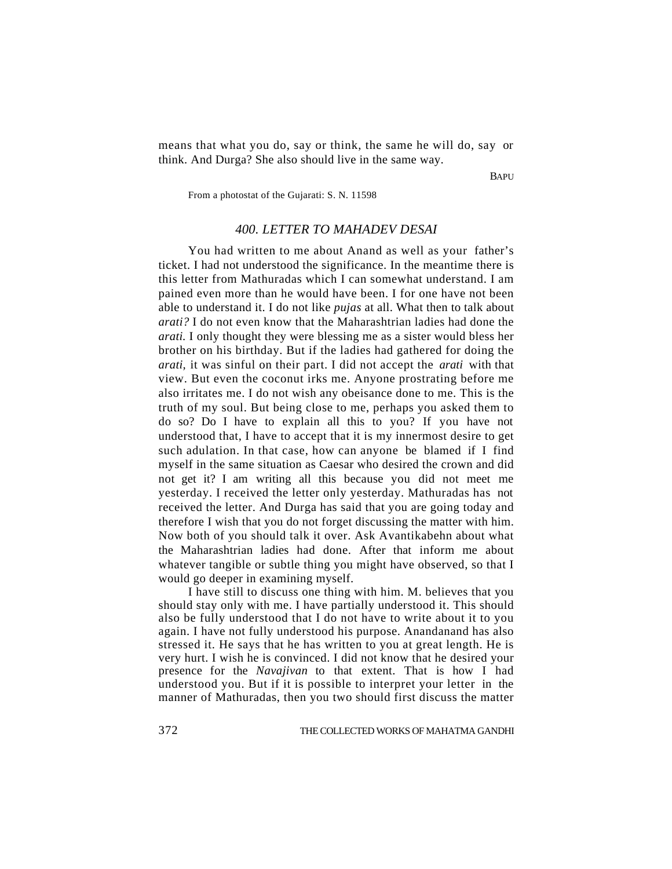means that what you do, say or think, the same he will do, say or think. And Durga? She also should live in the same way.

**BAPU** 

From a photostat of the Gujarati: S. N. 11598

#### *400. LETTER TO MAHADEV DESAI*

You had written to me about Anand as well as your father's ticket. I had not understood the significance. In the meantime there is this letter from Mathuradas which I can somewhat understand. I am pained even more than he would have been. I for one have not been able to understand it. I do not like *pujas* at all. What then to talk about *arati?* I do not even know that the Maharashtrian ladies had done the *arati.* I only thought they were blessing me as a sister would bless her brother on his birthday. But if the ladies had gathered for doing the *arati,* it was sinful on their part. I did not accept the *arati* with that view. But even the coconut irks me. Anyone prostrating before me also irritates me. I do not wish any obeisance done to me. This is the truth of my soul. But being close to me, perhaps you asked them to do so? Do I have to explain all this to you? If you have not understood that, I have to accept that it is my innermost desire to get such adulation. In that case, how can anyone be blamed if I find myself in the same situation as Caesar who desired the crown and did not get it? I am writing all this because you did not meet me yesterday. I received the letter only yesterday. Mathuradas has not received the letter. And Durga has said that you are going today and therefore I wish that you do not forget discussing the matter with him. Now both of you should talk it over. Ask Avantikabehn about what the Maharashtrian ladies had done. After that inform me about whatever tangible or subtle thing you might have observed, so that I would go deeper in examining myself.

I have still to discuss one thing with him. M. believes that you should stay only with me. I have partially understood it. This should also be fully understood that I do not have to write about it to you again. I have not fully understood his purpose. Anandanand has also stressed it. He says that he has written to you at great length. He is very hurt. I wish he is convinced. I did not know that he desired your presence for the *Navajivan* to that extent. That is how I had understood you. But if it is possible to interpret your letter in the manner of Mathuradas, then you two should first discuss the matter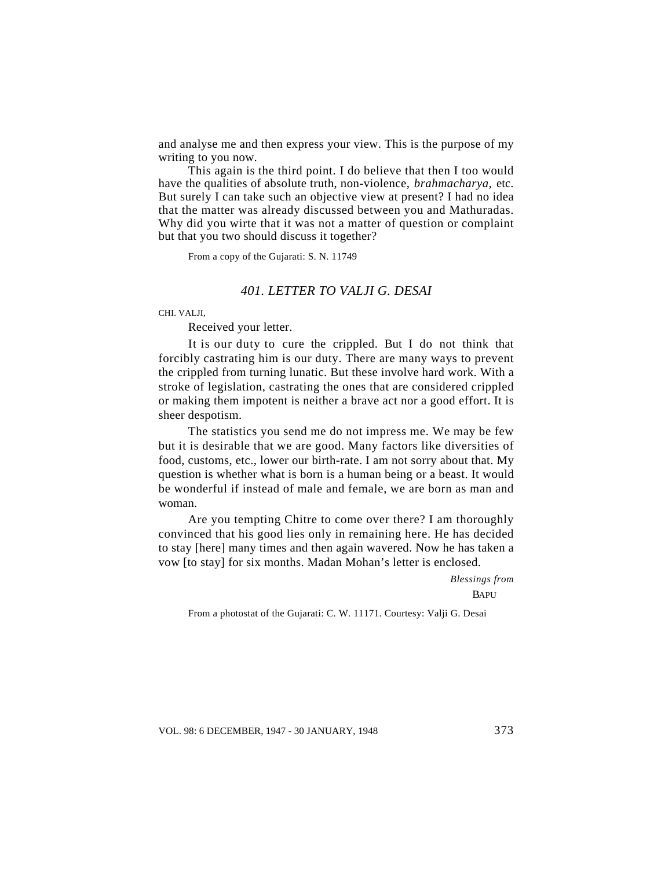and analyse me and then express your view. This is the purpose of my writing to you now.

This again is the third point. I do believe that then I too would have the qualities of absolute truth, non-violence, *brahmacharya,* etc. But surely I can take such an objective view at present? I had no idea that the matter was already discussed between you and Mathuradas. Why did you wirte that it was not a matter of question or complaint but that you two should discuss it together?

From a copy of the Gujarati: S. N. 11749

#### *401. LETTER TO VALJI G. DESAI*

CHI. VALJI,

Received your letter.

It is our duty to cure the crippled. But I do not think that forcibly castrating him is our duty. There are many ways to prevent the crippled from turning lunatic. But these involve hard work. With a stroke of legislation, castrating the ones that are considered crippled or making them impotent is neither a brave act nor a good effort. It is sheer despotism.

The statistics you send me do not impress me. We may be few but it is desirable that we are good. Many factors like diversities of food, customs, etc., lower our birth-rate. I am not sorry about that. My question is whether what is born is a human being or a beast. It would be wonderful if instead of male and female, we are born as man and woman.

Are you tempting Chitre to come over there? I am thoroughly convinced that his good lies only in remaining here. He has decided to stay [here] many times and then again wavered. Now he has taken a vow [to stay] for six months. Madan Mohan's letter is enclosed.

*Blessings from*

BAPU

From a photostat of the Gujarati: C. W. 11171. Courtesy: Valji G. Desai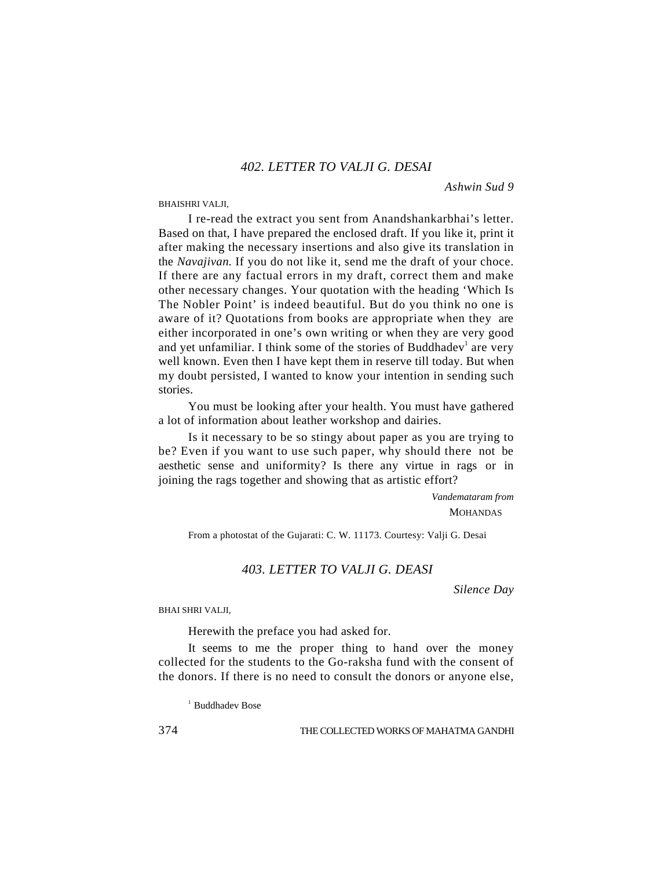## *402. LETTER TO VALJI G. DESAI*

*Ashwin Sud 9*

BHAISHRI VALJI,

I re-read the extract you sent from Anandshankarbhai's letter. Based on that, I have prepared the enclosed draft. If you like it, print it after making the necessary insertions and also give its translation in the *Navajivan.* If you do not like it, send me the draft of your choce. If there are any factual errors in my draft, correct them and make other necessary changes. Your quotation with the heading 'Which Is The Nobler Point' is indeed beautiful. But do you think no one is aware of it? Quotations from books are appropriate when they are either incorporated in one's own writing or when they are very good and yet unfamiliar. I think some of the stories of Buddhadev<sup>1</sup> are very well known. Even then I have kept them in reserve till today. But when my doubt persisted, I wanted to know your intention in sending such stories.

You must be looking after your health. You must have gathered a lot of information about leather workshop and dairies.

Is it necessary to be so stingy about paper as you are trying to be? Even if you want to use such paper, why should there not be aesthetic sense and uniformity? Is there any virtue in rags or in joining the rags together and showing that as artistic effort?

> *Vandemataram from* **MOHANDAS**

From a photostat of the Gujarati: C. W. 11173. Courtesy: Valji G. Desai

#### *403. LETTER TO VALJI G. DEASI*

*Silence Day*

BHAI SHRI VALJI,

Herewith the preface you had asked for.

It seems to me the proper thing to hand over the money collected for the students to the Go-raksha fund with the consent of the donors. If there is no need to consult the donors or anyone else,

<sup>1</sup> Buddhadev Bose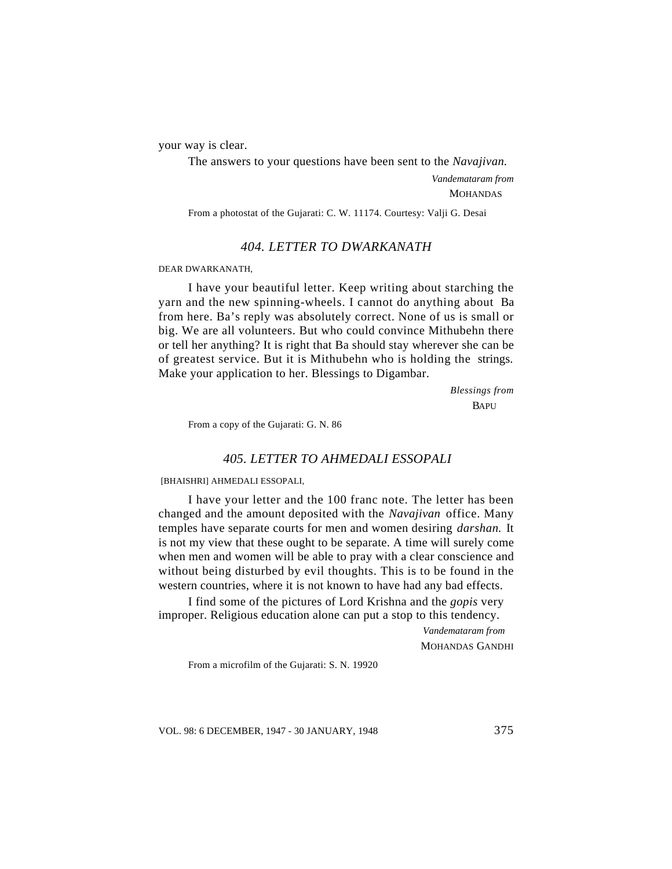your way is clear.

The answers to your questions have been sent to the *Navajivan.*

*Vandemataram from*

**MOHANDAS** 

From a photostat of the Gujarati: C. W. 11174. Courtesy: Valji G. Desai

#### *404. LETTER TO DWARKANATH*

DEAR DWARKANATH,

I have your beautiful letter. Keep writing about starching the yarn and the new spinning-wheels. I cannot do anything about Ba from here. Ba's reply was absolutely correct. None of us is small or big. We are all volunteers. But who could convince Mithubehn there or tell her anything? It is right that Ba should stay wherever she can be of greatest service. But it is Mithubehn who is holding the strings. Make your application to her. Blessings to Digambar.

> *Blessings from* **BAPU**

From a copy of the Gujarati: G. N. 86

#### *405. LETTER TO AHMEDALI ESSOPALI*

[BHAISHRI] AHMEDALI ESSOPALI,

I have your letter and the 100 franc note. The letter has been changed and the amount deposited with the *Navajivan* office. Many temples have separate courts for men and women desiring *darshan.* It is not my view that these ought to be separate. A time will surely come when men and women will be able to pray with a clear conscience and without being disturbed by evil thoughts. This is to be found in the western countries, where it is not known to have had any bad effects.

I find some of the pictures of Lord Krishna and the *gopis* very improper. Religious education alone can put a stop to this tendency.

> *Vandemataram from* MOHANDAS GANDHI

From a microfilm of the Gujarati: S. N. 19920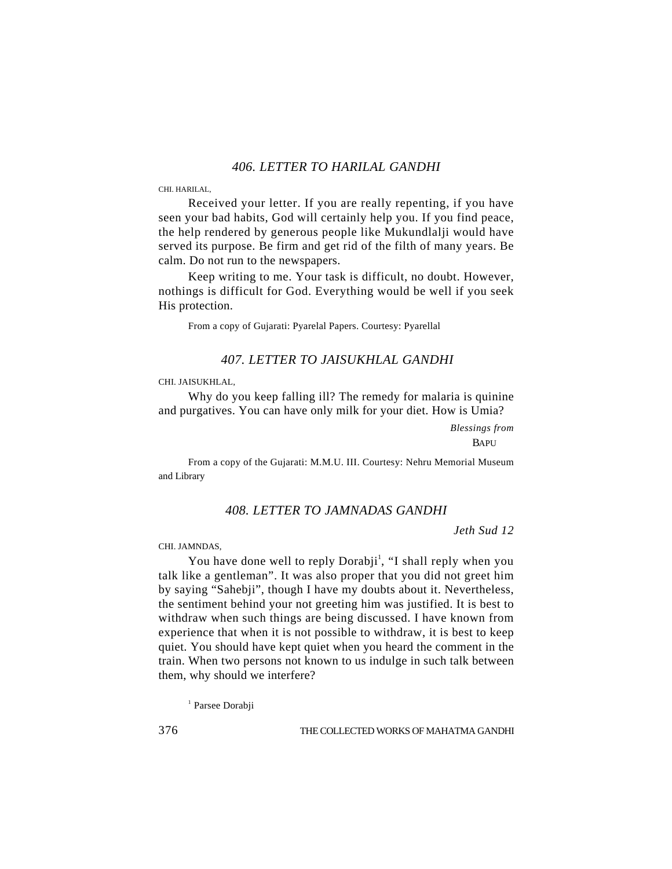CHI. HARILAL,

Received your letter. If you are really repenting, if you have seen your bad habits, God will certainly help you. If you find peace, the help rendered by generous people like Mukundlalji would have served its purpose. Be firm and get rid of the filth of many years. Be calm. Do not run to the newspapers.

Keep writing to me. Your task is difficult, no doubt. However, nothings is difficult for God. Everything would be well if you seek His protection.

From a copy of Gujarati: Pyarelal Papers. Courtesy: Pyarellal

## *407. LETTER TO JAISUKHLAL GANDHI*

CHI. JAISUKHLAL,

Why do you keep falling ill? The remedy for malaria is quinine and purgatives. You can have only milk for your diet. How is Umia?

> *Blessings from* BAPU

From a copy of the Gujarati: M.M.U. III. Courtesy: Nehru Memorial Museum and Library

# *408. LETTER TO JAMNADAS GANDHI*

*Jeth Sud 12*

CHI. JAMNDAS,

You have done well to reply Dorabji<sup>1</sup>, "I shall reply when you talk like a gentleman". It was also proper that you did not greet him by saying "Sahebji", though I have my doubts about it. Nevertheless, the sentiment behind your not greeting him was justified. It is best to withdraw when such things are being discussed. I have known from experience that when it is not possible to withdraw, it is best to keep quiet. You should have kept quiet when you heard the comment in the train. When two persons not known to us indulge in such talk between them, why should we interfere?

<sup>1</sup> Parsee Dorabji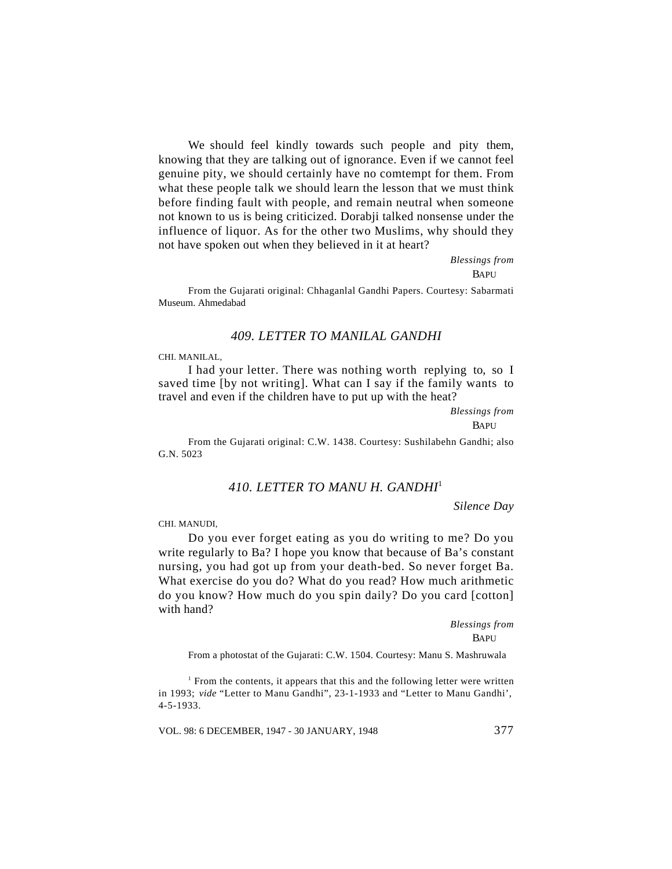We should feel kindly towards such people and pity them, knowing that they are talking out of ignorance. Even if we cannot feel genuine pity, we should certainly have no comtempt for them. From what these people talk we should learn the lesson that we must think before finding fault with people, and remain neutral when someone not known to us is being criticized. Dorabji talked nonsense under the influence of liquor. As for the other two Muslims, why should they not have spoken out when they believed in it at heart?

> *Blessings from* **BAPU**

From the Gujarati original: Chhaganlal Gandhi Papers. Courtesy: Sabarmati Museum. Ahmedabad

#### *409. LETTER TO MANILAL GANDHI*

#### CHI. MANILAL,

I had your letter. There was nothing worth replying to, so I saved time [by not writing]. What can I say if the family wants to travel and even if the children have to put up with the heat?

> *Blessings from* **BAPU**

From the Gujarati original: C.W. 1438. Courtesy: Sushilabehn Gandhi; also G.N. 5023

#### *410. LETTER TO MANU H. GANDHI*<sup>1</sup>

*Silence Day*

CHI. MANUDI,

Do you ever forget eating as you do writing to me? Do you write regularly to Ba? I hope you know that because of Ba's constant nursing, you had got up from your death-bed. So never forget Ba. What exercise do you do? What do you read? How much arithmetic do you know? How much do you spin daily? Do you card [cotton] with hand?

> *Blessings from* BAPU

From a photostat of the Gujarati: C.W. 1504. Courtesy: Manu S. Mashruwala

<sup>1</sup> From the contents, it appears that this and the following letter were written in 1993; *vide* "Letter to Manu Gandhi", 23-1-1933 and "Letter to Manu Gandhi', 4-5-1933.

VOL. 98: 6 DECEMBER, 1947 - 30 JANUARY, 1948 377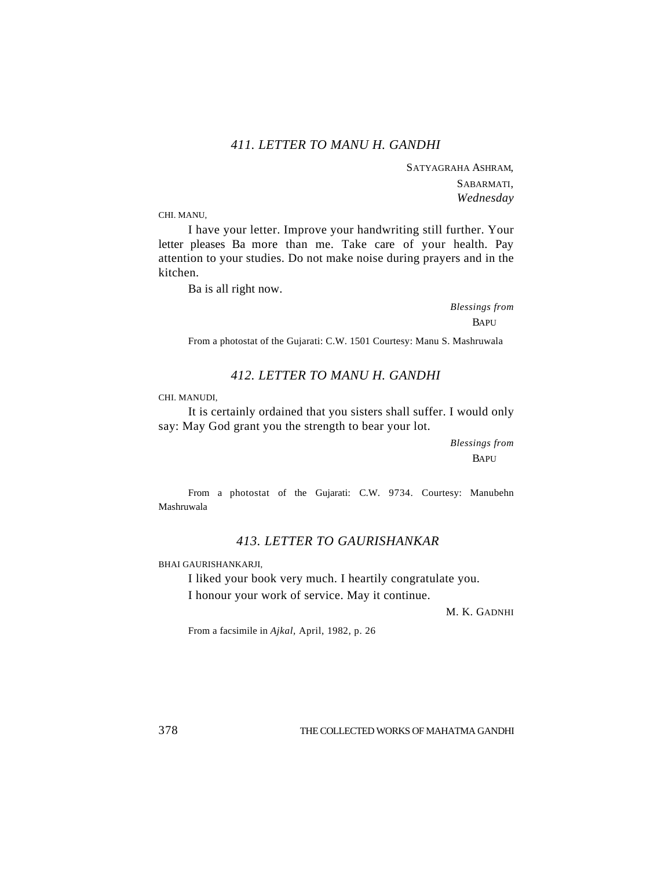## *411. LETTER TO MANU H. GANDHI*

SATYAGRAHA ASHRAM, SABARMATI, *Wednesday*

CHI. MANU,

I have your letter. Improve your handwriting still further. Your letter pleases Ba more than me. Take care of your health. Pay attention to your studies. Do not make noise during prayers and in the kitchen.

Ba is all right now.

*Blessings from* BAPU

From a photostat of the Gujarati: C.W. 1501 Courtesy: Manu S. Mashruwala

## *412. LETTER TO MANU H. GANDHI*

CHI. MANUDI,

It is certainly ordained that you sisters shall suffer. I would only say: May God grant you the strength to bear your lot.

> *Blessings from* **BAPU**

From a photostat of the Gujarati: C.W. 9734. Courtesy: Manubehn Mashruwala

#### *413. LETTER TO GAURISHANKAR*

BHAI GAURISHANKARJI,

I liked your book very much. I heartily congratulate you.

I honour your work of service. May it continue.

M. K. GADNHI

From a facsimile in *Ajkal,* April, 1982, p. 26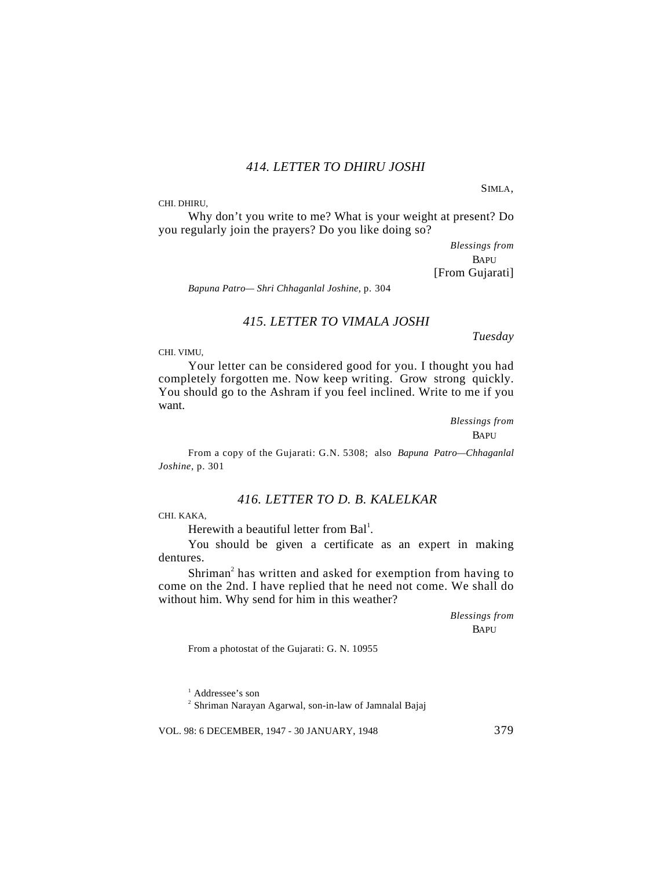## *414. LETTER TO DHIRU JOSHI*

CHI. DHIRU,

Why don't you write to me? What is your weight at present? Do you regularly join the prayers? Do you like doing so?

> *Blessings from* **BAPU** [From Gujarati]

*Bapuna Patro— Shri Chhaganlal Joshine,* p. 304

#### *415. LETTER TO VIMALA JOSHI*

*Tuesday*

CHI. VIMU,

Your letter can be considered good for you. I thought you had completely forgotten me. Now keep writing. Grow strong quickly. You should go to the Ashram if you feel inclined. Write to me if you want.

> *Blessings from* **BAPU**

From a copy of the Gujarati: G.N. 5308; also *Bapuna Patro—Chhaganlal Joshine,* p. 301

## *416. LETTER TO D. B. KALELKAR*

CHI. KAKA,

Herewith a beautiful letter from  $Bal<sup>1</sup>$ .

You should be given a certificate as an expert in making dentures.

Shriman<sup>2</sup> has written and asked for exemption from having to come on the 2nd. I have replied that he need not come. We shall do without him. Why send for him in this weather?

> *Blessings from* **BAPU**

From a photostat of the Gujarati: G. N. 10955

1 Addressee's son

<sup>2</sup> Shriman Narayan Agarwal, son-in-law of Jamnalal Bajaj

VOL. 98: 6 DECEMBER, 1947 - 30 JANUARY, 1948 379

SIMLA,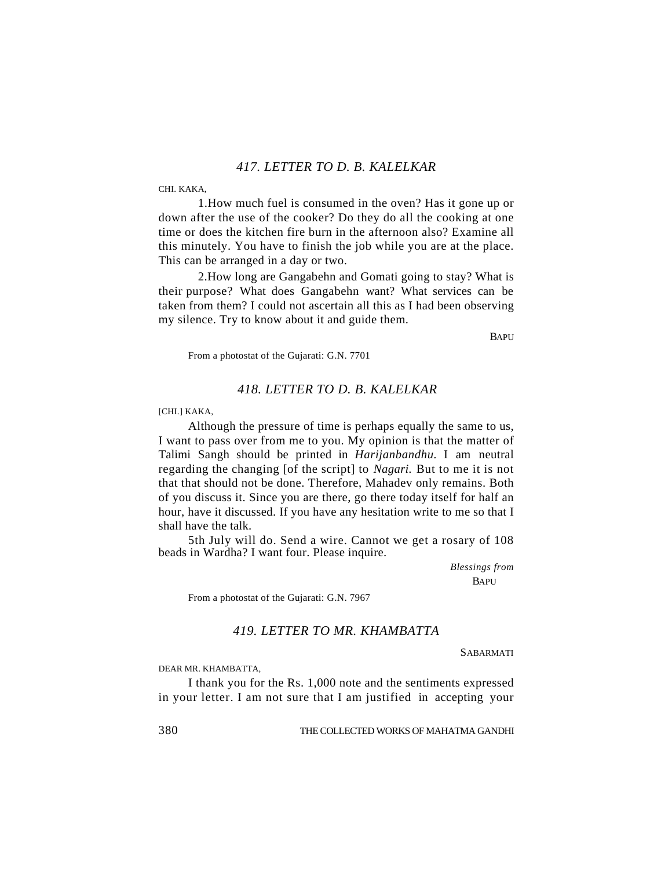CHI KAKA

1.How much fuel is consumed in the oven? Has it gone up or down after the use of the cooker? Do they do all the cooking at one time or does the kitchen fire burn in the afternoon also? Examine all this minutely. You have to finish the job while you are at the place. This can be arranged in a day or two.

2.How long are Gangabehn and Gomati going to stay? What is their purpose? What does Gangabehn want? What services can be taken from them? I could not ascertain all this as I had been observing my silence. Try to know about it and guide them.

**BAPU** 

From a photostat of the Gujarati: G.N. 7701

# *418. LETTER TO D. B. KALELKAR*

[CHI.] KAKA,

Although the pressure of time is perhaps equally the same to us, I want to pass over from me to you. My opinion is that the matter of Talimi Sangh should be printed in *Harijanbandhu.* I am neutral regarding the changing [of the script] to *Nagari.* But to me it is not that that should not be done. Therefore, Mahadev only remains. Both of you discuss it. Since you are there, go there today itself for half an hour, have it discussed. If you have any hesitation write to me so that I shall have the talk.

5th July will do. Send a wire. Cannot we get a rosary of 108 beads in Wardha? I want four. Please inquire.

> *Blessings from* **BAPU**

From a photostat of the Gujarati: G.N. 7967

## *419. LETTER TO MR. KHAMBATTA*

**SABARMATI** 

DEAR MR. KHAMBATTA,

I thank you for the Rs. 1,000 note and the sentiments expressed in your letter. I am not sure that I am justified in accepting your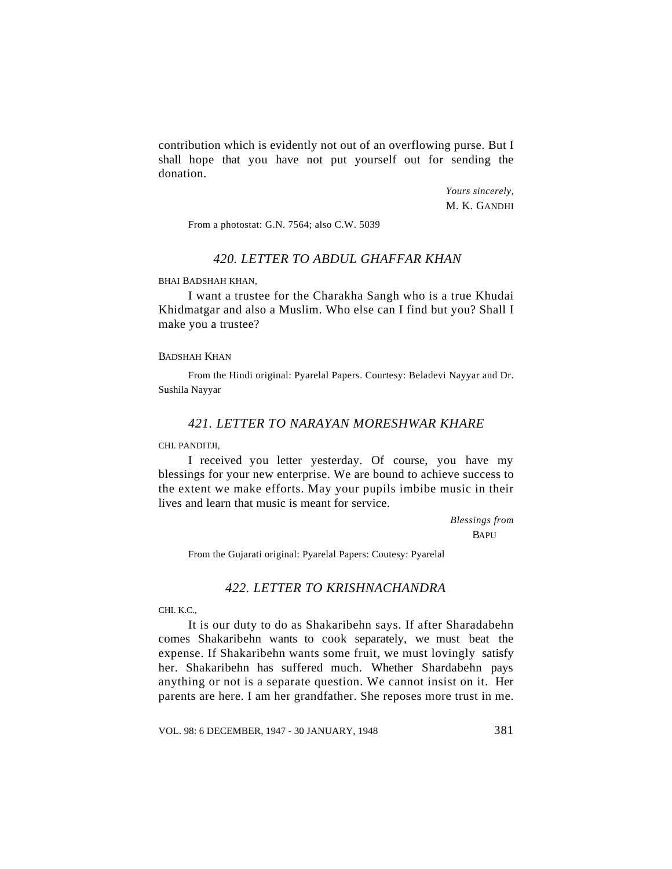contribution which is evidently not out of an overflowing purse. But I shall hope that you have not put yourself out for sending the donation.

> *Yours sincerely,* M. K. GANDHI

From a photostat: G.N. 7564; also C.W. 5039

## *420. LETTER TO ABDUL GHAFFAR KHAN*

BHAI BADSHAH KHAN,

I want a trustee for the Charakha Sangh who is a true Khudai Khidmatgar and also a Muslim. Who else can I find but you? Shall I make you a trustee?

#### BADSHAH KHAN

From the Hindi original: Pyarelal Papers. Courtesy: Beladevi Nayyar and Dr. Sushila Nayyar

#### *421. LETTER TO NARAYAN MORESHWAR KHARE*

CHI. PANDITJI,

I received you letter yesterday. Of course, you have my blessings for your new enterprise. We are bound to achieve success to the extent we make efforts. May your pupils imbibe music in their lives and learn that music is meant for service.

*Blessings from*

**BAPU** 

From the Gujarati original: Pyarelal Papers: Coutesy: Pyarelal

### *422. LETTER TO KRISHNACHANDRA*

CHI. K.C.,

It is our duty to do as Shakaribehn says. If after Sharadabehn comes Shakaribehn wants to cook separately, we must beat the expense. If Shakaribehn wants some fruit, we must lovingly satisfy her. Shakaribehn has suffered much. Whether Shardabehn pays anything or not is a separate question. We cannot insist on it. Her parents are here. I am her grandfather. She reposes more trust in me.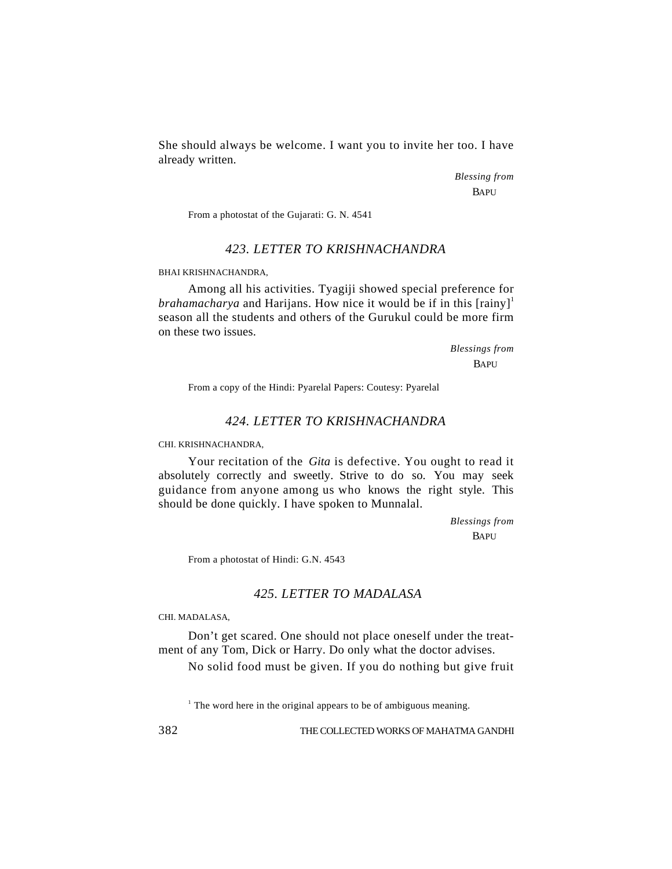She should always be welcome. I want you to invite her too. I have already written.

> *Blessing from* **BAPU**

From a photostat of the Gujarati: G. N. 4541

#### *423. LETTER TO KRISHNACHANDRA*

BHAI KRISHNACHANDRA,

Among all his activities. Tyagiji showed special preference for *brahamacharya* and Harijans. How nice it would be if in this  $[rainy]$ <sup>1</sup> season all the students and others of the Gurukul could be more firm on these two issues.

> *Blessings from* **BAPU**

From a copy of the Hindi: Pyarelal Papers: Coutesy: Pyarelal

### *424. LETTER TO KRISHNACHANDRA*

CHI. KRISHNACHANDRA,

Your recitation of the *Gita* is defective. You ought to read it absolutely correctly and sweetly. Strive to do so. You may seek guidance from anyone among us who knows the right style. This should be done quickly. I have spoken to Munnalal.

> *Blessings from* **BAPU**

From a photostat of Hindi: G.N. 4543

## *425. LETTER TO MADALASA*

CHI. MADALASA,

Don't get scared. One should not place oneself under the treatment of any Tom, Dick or Harry. Do only what the doctor advises.

No solid food must be given. If you do nothing but give fruit

 $<sup>1</sup>$  The word here in the original appears to be of ambiguous meaning.</sup>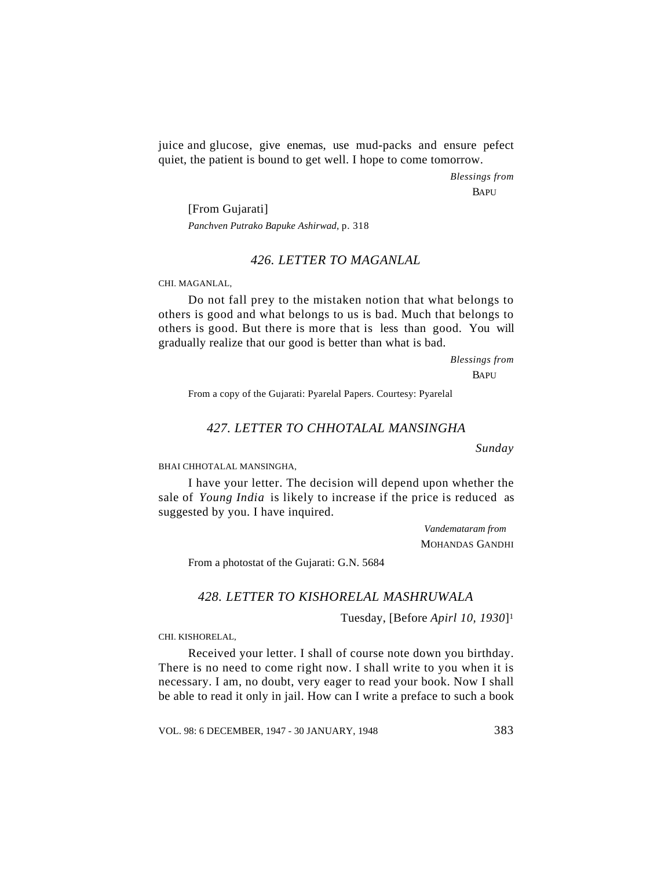juice and glucose, give enemas, use mud-packs and ensure pefect quiet, the patient is bound to get well. I hope to come tomorrow.

> *Blessings from* **BAPU**

[From Gujarati] *Panchven Putrako Bapuke Ashirwad,* p. 318

## *426. LETTER TO MAGANLAL*

CHI. MAGANLAL,

Do not fall prey to the mistaken notion that what belongs to others is good and what belongs to us is bad. Much that belongs to others is good. But there is more that is less than good. You will gradually realize that our good is better than what is bad.

> *Blessings from* **BAPU**

From a copy of the Gujarati: Pyarelal Papers. Courtesy: Pyarelal

#### *427. LETTER TO CHHOTALAL MANSINGHA*

*Sunday*

#### BHAI CHHOTALAL MANSINGHA,

I have your letter. The decision will depend upon whether the sale of *Young India* is likely to increase if the price is reduced as suggested by you. I have inquired.

> *Vandemataram from* MOHANDAS GANDHI

From a photostat of the Gujarati: G.N. 5684

## *428. LETTER TO KISHORELAL MASHRUWALA*

Tuesday, [Before *Apirl 10, 1930*] 1

CHI. KISHORELAL,

Received your letter. I shall of course note down you birthday. There is no need to come right now. I shall write to you when it is necessary. I am, no doubt, very eager to read your book. Now I shall be able to read it only in jail. How can I write a preface to such a book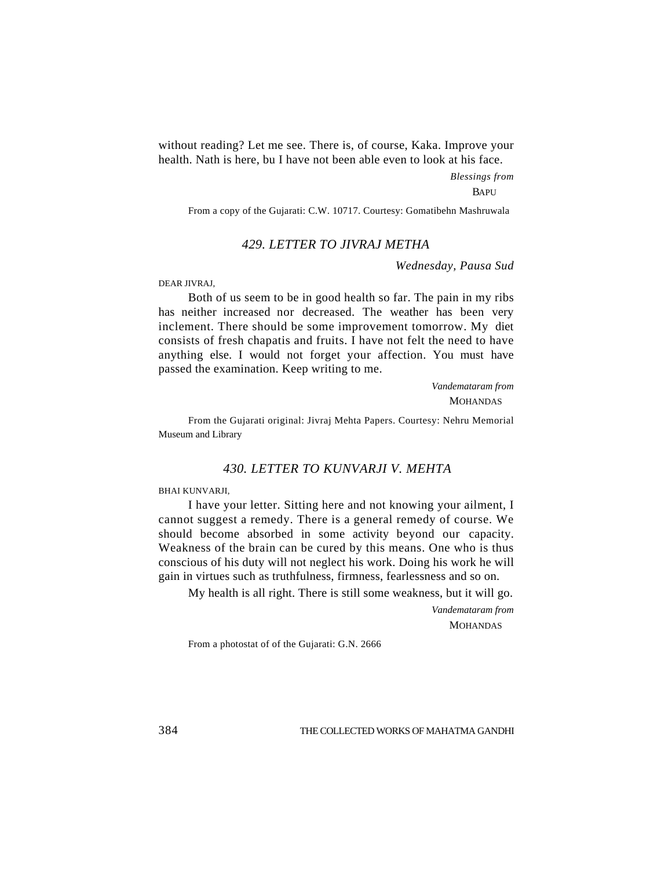without reading? Let me see. There is, of course, Kaka. Improve your health. Nath is here, bu I have not been able even to look at his face.

> *Blessings from* **BAPU**

From a copy of the Gujarati: C.W. 10717. Courtesy: Gomatibehn Mashruwala

#### *429. LETTER TO JIVRAJ METHA*

*Wednesday, Pausa Sud*

DEAR JIVRAJ,

Both of us seem to be in good health so far. The pain in my ribs has neither increased nor decreased. The weather has been very inclement. There should be some improvement tomorrow. My diet consists of fresh chapatis and fruits. I have not felt the need to have anything else. I would not forget your affection. You must have passed the examination. Keep writing to me.

> *Vandemataram from* MOHANDAS

From the Gujarati original: Jivraj Mehta Papers. Courtesy: Nehru Memorial Museum and Library

## *430. LETTER TO KUNVARJI V. MEHTA*

BHAI KUNVARJI,

I have your letter. Sitting here and not knowing your ailment, I cannot suggest a remedy. There is a general remedy of course. We should become absorbed in some activity beyond our capacity. Weakness of the brain can be cured by this means. One who is thus conscious of his duty will not neglect his work. Doing his work he will gain in virtues such as truthfulness, firmness, fearlessness and so on.

My health is all right. There is still some weakness, but it will go.

*Vandemataram from* **MOHANDAS** 

From a photostat of of the Gujarati: G.N. 2666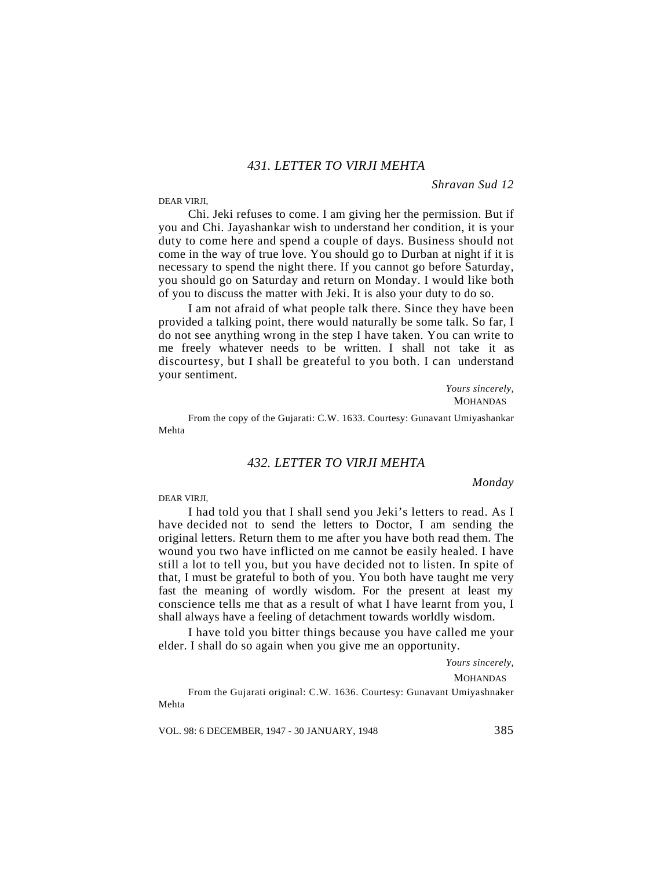#### *431. LETTER TO VIRJI MEHTA*

*Shravan Sud 12*

DEAR VIRJI,

Chi. Jeki refuses to come. I am giving her the permission. But if you and Chi. Jayashankar wish to understand her condition, it is your duty to come here and spend a couple of days. Business should not come in the way of true love. You should go to Durban at night if it is necessary to spend the night there. If you cannot go before Saturday, you should go on Saturday and return on Monday. I would like both of you to discuss the matter with Jeki. It is also your duty to do so.

I am not afraid of what people talk there. Since they have been provided a talking point, there would naturally be some talk. So far, I do not see anything wrong in the step I have taken. You can write to me freely whatever needs to be written. I shall not take it as discourtesy, but I shall be greateful to you both. I can understand your sentiment.

> *Yours sincerely,* MOHANDAS

From the copy of the Gujarati: C.W. 1633. Courtesy: Gunavant Umiyashankar Mehta

### *432. LETTER TO VIRJI MEHTA*

*Monday*

DEAR VIRJI,

I had told you that I shall send you Jeki's letters to read. As I have decided not to send the letters to Doctor, I am sending the original letters. Return them to me after you have both read them. The wound you two have inflicted on me cannot be easily healed. I have still a lot to tell you, but you have decided not to listen. In spite of that, I must be grateful to both of you. You both have taught me very fast the meaning of wordly wisdom. For the present at least my conscience tells me that as a result of what I have learnt from you, I shall always have a feeling of detachment towards worldly wisdom.

I have told you bitter things because you have called me your elder. I shall do so again when you give me an opportunity.

*Yours sincerely,*

**MOHANDAS** 

From the Gujarati original: C.W. 1636. Courtesy: Gunavant Umiyashnaker Mehta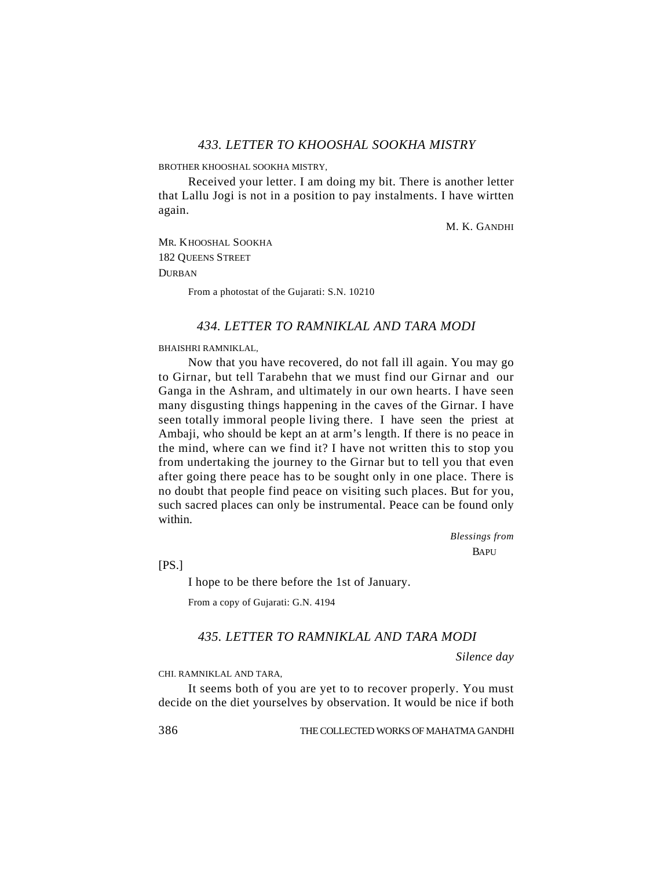### *433. LETTER TO KHOOSHAL SOOKHA MISTRY*

BROTHER KHOOSHAL SOOKHA MISTRY,

Received your letter. I am doing my bit. There is another letter that Lallu Jogi is not in a position to pay instalments. I have wirtten again.

M. K. GANDHI

MR. KHOOSHAL SOOKHA 182 QUEENS STREET **DURBAN** 

From a photostat of the Gujarati: S.N. 10210

#### *434. LETTER TO RAMNIKLAL AND TARA MODI*

#### BHAISHRI RAMNIKLAL,

Now that you have recovered, do not fall ill again. You may go to Girnar, but tell Tarabehn that we must find our Girnar and our Ganga in the Ashram, and ultimately in our own hearts. I have seen many disgusting things happening in the caves of the Girnar. I have seen totally immoral people living there. I have seen the priest at Ambaji, who should be kept an at arm's length. If there is no peace in the mind, where can we find it? I have not written this to stop you from undertaking the journey to the Girnar but to tell you that even after going there peace has to be sought only in one place. There is no doubt that people find peace on visiting such places. But for you, such sacred places can only be instrumental. Peace can be found only within.

> *Blessings from* **BAPU**

 $[PS.]$ 

I hope to be there before the 1st of January.

From a copy of Gujarati: G.N. 4194

### *435. LETTER TO RAMNIKLAL AND TARA MODI*

*Silence day*

CHI. RAMNIKLAL AND TARA,

It seems both of you are yet to to recover properly. You must decide on the diet yourselves by observation. It would be nice if both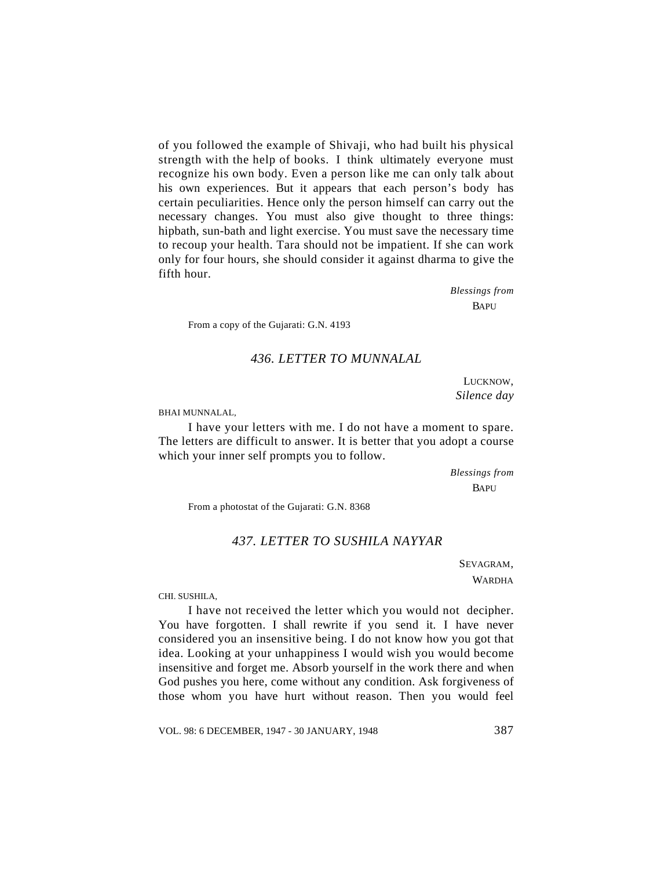of you followed the example of Shivaji, who had built his physical strength with the help of books. I think ultimately everyone must recognize his own body. Even a person like me can only talk about his own experiences. But it appears that each person's body has certain peculiarities. Hence only the person himself can carry out the necessary changes. You must also give thought to three things: hipbath, sun-bath and light exercise. You must save the necessary time to recoup your health. Tara should not be impatient. If she can work only for four hours, she should consider it against dharma to give the fifth hour.

> *Blessings from* BAPU

From a copy of the Gujarati: G.N. 4193

## *436. LETTER TO MUNNALAL*

LUCKNOW, *Silence day*

BHAI MUNNALAL,

I have your letters with me. I do not have a moment to spare. The letters are difficult to answer. It is better that you adopt a course which your inner self prompts you to follow.

> *Blessings from* **BAPU**

From a photostat of the Gujarati: G.N. 8368

### *437. LETTER TO SUSHILA NAYYAR*

SEVAGRAM, WARDHA

CHI. SUSHILA,

I have not received the letter which you would not decipher. You have forgotten. I shall rewrite if you send it. I have never considered you an insensitive being. I do not know how you got that idea. Looking at your unhappiness I would wish you would become insensitive and forget me. Absorb yourself in the work there and when God pushes you here, come without any condition. Ask forgiveness of those whom you have hurt without reason. Then you would feel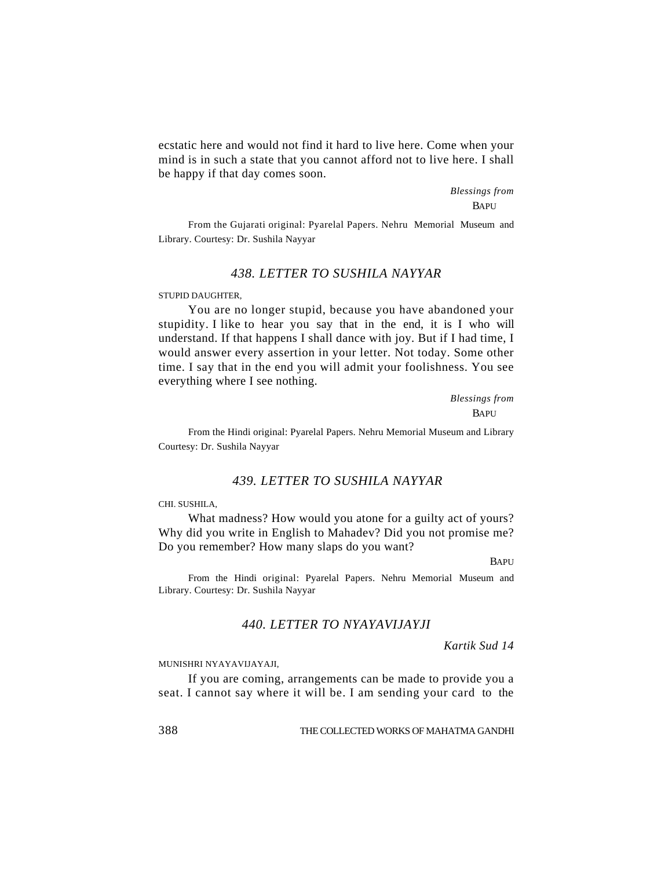ecstatic here and would not find it hard to live here. Come when your mind is in such a state that you cannot afford not to live here. I shall be happy if that day comes soon.

> *Blessings from* BAPU

From the Gujarati original: Pyarelal Papers. Nehru Memorial Museum and Library. Courtesy: Dr. Sushila Nayyar

## *438. LETTER TO SUSHILA NAYYAR*

STUPID DAUGHTER,

You are no longer stupid, because you have abandoned your stupidity. I like to hear you say that in the end, it is I who will understand. If that happens I shall dance with joy. But if I had time, I would answer every assertion in your letter. Not today. Some other time. I say that in the end you will admit your foolishness. You see everything where I see nothing.

> *Blessings from* BAPU

From the Hindi original: Pyarelal Papers. Nehru Memorial Museum and Library Courtesy: Dr. Sushila Nayyar

## *439. LETTER TO SUSHILA NAYYAR*

CHI. SUSHILA,

What madness? How would you atone for a guilty act of yours? Why did you write in English to Mahadev? Did you not promise me? Do you remember? How many slaps do you want?

**BAPU** 

From the Hindi original: Pyarelal Papers. Nehru Memorial Museum and Library. Courtesy: Dr. Sushila Nayyar

## *440. LETTER TO NYAYAVIJAYJI*

*Kartik Sud 14*

MUNISHRI NYAYAVIJAYAJI,

If you are coming, arrangements can be made to provide you a seat. I cannot say where it will be. I am sending your card to the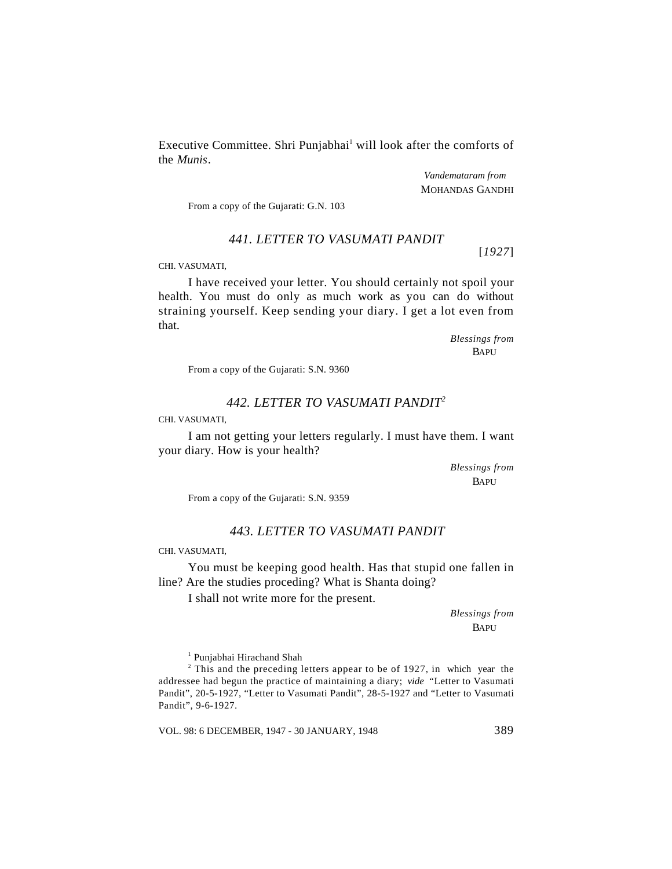Executive Committee. Shri Punjabhai<sup>1</sup> will look after the comforts of the *Munis*.

> *Vandemataram from* MOHANDAS GANDHI

From a copy of the Gujarati: G.N. 103

## *441. LETTER TO VASUMATI PANDIT*

CHI. VASUMATI,

I have received your letter. You should certainly not spoil your health. You must do only as much work as you can do without straining yourself. Keep sending your diary. I get a lot even from that.

> *Blessings from* **BAPU**

[*1927*]

From a copy of the Gujarati: S.N. 9360

## *442. LETTER TO VASUMATI PANDIT<sup>2</sup>*

CHI. VASUMATI,

I am not getting your letters regularly. I must have them. I want your diary. How is your health?

> *Blessings from* **BAPU**

From a copy of the Gujarati: S.N. 9359

## *443. LETTER TO VASUMATI PANDIT*

CHI. VASUMATI,

You must be keeping good health. Has that stupid one fallen in line? Are the studies proceding? What is Shanta doing?

I shall not write more for the present.

*Blessings from* **BAPU** 

1 Punjabhai Hirachand Shah

 $2$  This and the preceding letters appear to be of 1927, in which year the addressee had begun the practice of maintaining a diary; *vide* "Letter to Vasumati Pandit", 20-5-1927, "Letter to Vasumati Pandit", 28-5-1927 and "Letter to Vasumati Pandit", 9-6-1927.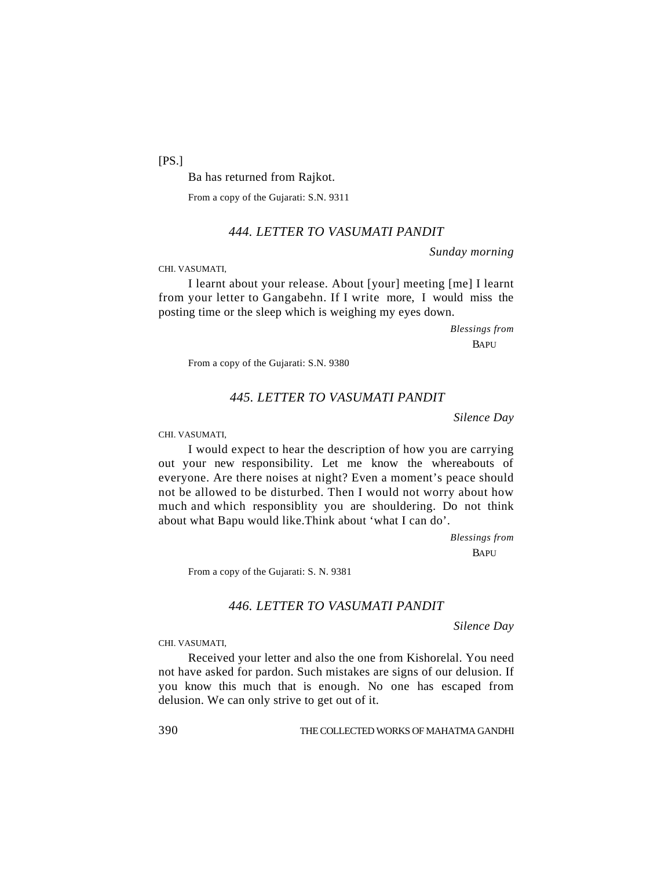$[PS.]$ 

Ba has returned from Rajkot.

From a copy of the Gujarati: S.N. 9311

#### *444. LETTER TO VASUMATI PANDIT*

*Sunday morning*

CHI. VASUMATI,

I learnt about your release. About [your] meeting [me] I learnt from your letter to Gangabehn. If I write more, I would miss the posting time or the sleep which is weighing my eyes down.

> *Blessings from* **BAPU**

From a copy of the Gujarati: S.N. 9380

## *445. LETTER TO VASUMATI PANDIT*

*Silence Day*

CHI. VASUMATI,

I would expect to hear the description of how you are carrying out your new responsibility. Let me know the whereabouts of everyone. Are there noises at night? Even a moment's peace should not be allowed to be disturbed. Then I would not worry about how much and which responsiblity you are shouldering. Do not think about what Bapu would like.Think about 'what I can do'.

> *Blessings from* **BAPU**

From a copy of the Gujarati: S. N. 9381

## *446. LETTER TO VASUMATI PANDIT*

*Silence Day*

CHI. VASUMATI,

Received your letter and also the one from Kishorelal. You need not have asked for pardon. Such mistakes are signs of our delusion. If you know this much that is enough. No one has escaped from delusion. We can only strive to get out of it.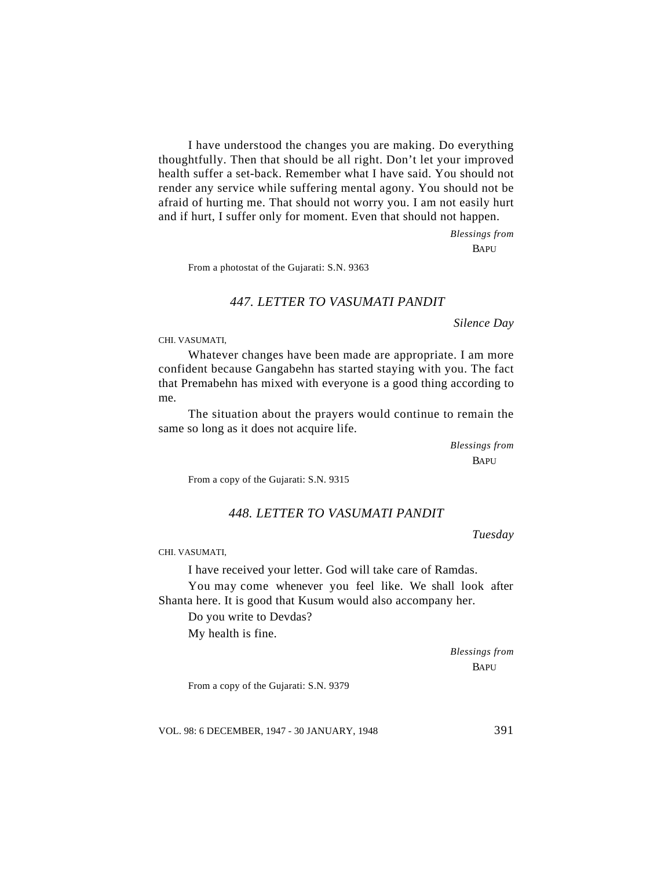I have understood the changes you are making. Do everything thoughtfully. Then that should be all right. Don't let your improved health suffer a set-back. Remember what I have said. You should not render any service while suffering mental agony. You should not be afraid of hurting me. That should not worry you. I am not easily hurt and if hurt, I suffer only for moment. Even that should not happen.

> *Blessings from* **BAPU**

From a photostat of the Gujarati: S.N. 9363

## *447. LETTER TO VASUMATI PANDIT*

*Silence Day*

CHI. VASUMATI,

Whatever changes have been made are appropriate. I am more confident because Gangabehn has started staying with you. The fact that Premabehn has mixed with everyone is a good thing according to me.

The situation about the prayers would continue to remain the same so long as it does not acquire life.

> *Blessings from* **BAPU**

From a copy of the Gujarati: S.N. 9315

#### *448. LETTER TO VASUMATI PANDIT*

*Tuesday*

CHI. VASUMATI,

I have received your letter. God will take care of Ramdas.

You may come whenever you feel like. We shall look after Shanta here. It is good that Kusum would also accompany her.

Do you write to Devdas?

My health is fine.

*Blessings from* **BAPU** 

From a copy of the Gujarati: S.N. 9379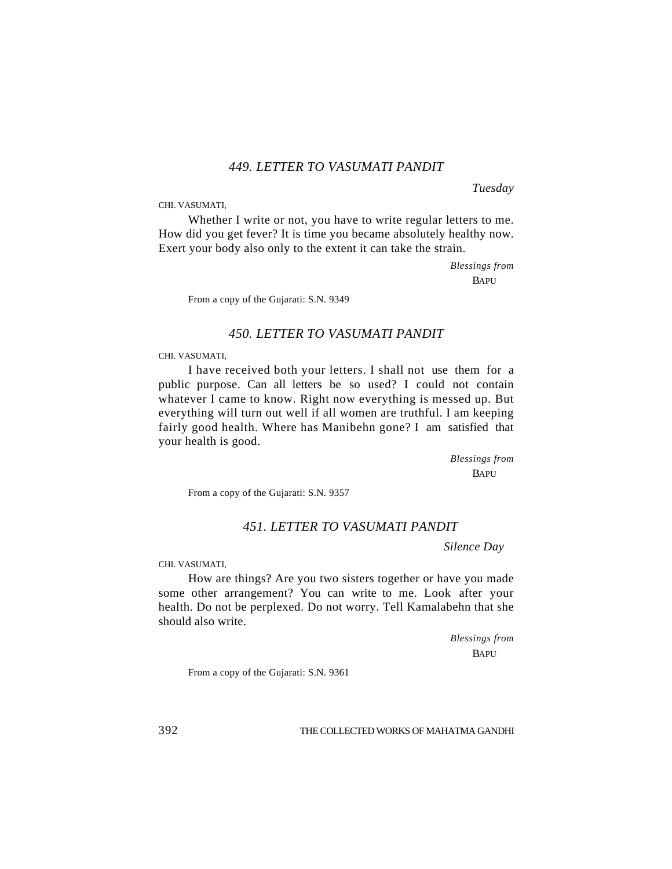### *449. LETTER TO VASUMATI PANDIT*

*Tuesday*

CHI. VASUMATI,

Whether I write or not, you have to write regular letters to me. How did you get fever? It is time you became absolutely healthy now. Exert your body also only to the extent it can take the strain.

> *Blessings from* **BAPU**

From a copy of the Gujarati: S.N. 9349

#### *450. LETTER TO VASUMATI PANDIT*

CHI. VASUMATI,

I have received both your letters. I shall not use them for a public purpose. Can all letters be so used? I could not contain whatever I came to know. Right now everything is messed up. But everything will turn out well if all women are truthful. I am keeping fairly good health. Where has Manibehn gone? I am satisfied that your health is good.

> *Blessings from* **BAPU**

From a copy of the Gujarati: S.N. 9357

#### *451. LETTER TO VASUMATI PANDIT*

*Silence Day*

CHI. VASUMATI,

How are things? Are you two sisters together or have you made some other arrangement? You can write to me. Look after your health. Do not be perplexed. Do not worry. Tell Kamalabehn that she should also write.

> *Blessings from* **BAPU**

From a copy of the Gujarati: S.N. 9361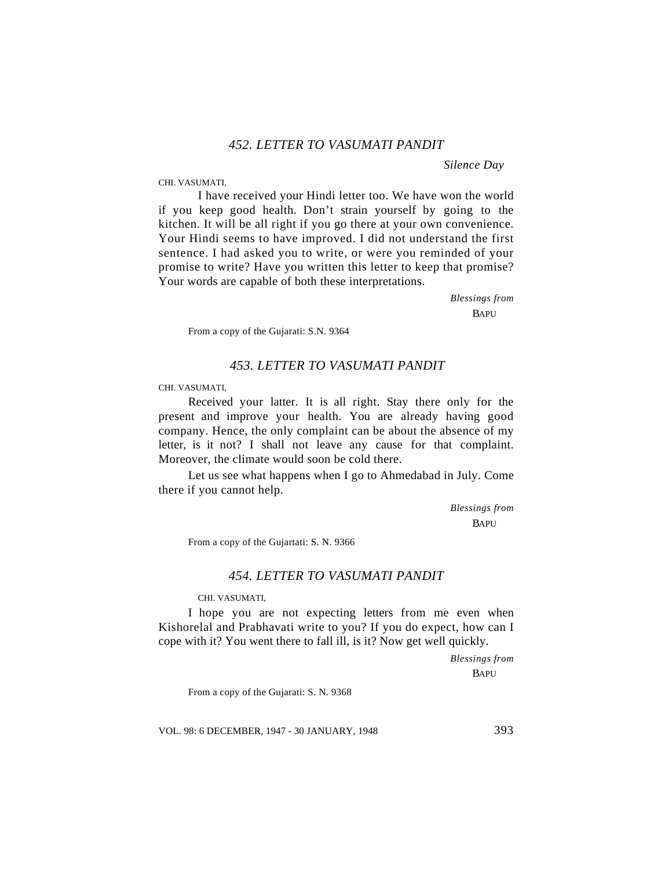*Silence Day*

CHI. VASUMATI,

I have received your Hindi letter too. We have won the world if you keep good health. Don't strain yourself by going to the kitchen. It will be all right if you go there at your own convenience. Your Hindi seems to have improved. I did not understand the first sentence. I had asked you to write, or were you reminded of your promise to write? Have you written this letter to keep that promise? Your words are capable of both these interpretations.

> *Blessings from* **BAPU**

From a copy of the Gujarati: S.N. 9364

#### *453. LETTER TO VASUMATI PANDIT*

CHI. VASUMATI,

Received your latter. It is all right. Stay there only for the present and improve your health. You are already having good company. Hence, the only complaint can be about the absence of my letter, is it not? I shall not leave any cause for that complaint. Moreover, the climate would soon be cold there.

Let us see what happens when I go to Ahmedabad in July. Come there if you cannot help.

> *Blessings from* **BAPU**

From a copy of the Gujartati: S. N. 9366

#### *454. LETTER TO VASUMATI PANDIT*

CHI. VASUMATI,

I hope you are not expecting letters from me even when Kishorelal and Prabhavati write to you? If you do expect, how can I cope with it? You went there to fall ill, is it? Now get well quickly.

> *Blessings from* **BAPU**

From a copy of the Gujarati: S. N. 9368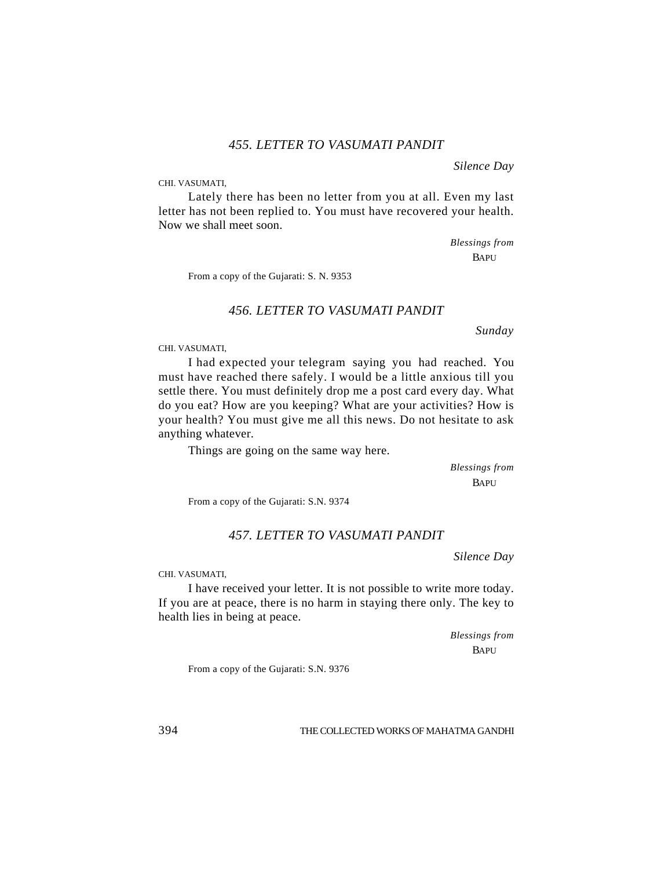# *455. LETTER TO VASUMATI PANDIT*

*Silence Day*

CHI. VASUMATI,

Lately there has been no letter from you at all. Even my last letter has not been replied to. You must have recovered your health. Now we shall meet soon.

> *Blessings from* **BAPU**

From a copy of the Gujarati: S. N. 9353

## *456. LETTER TO VASUMATI PANDIT*

*Sunday*

CHI. VASUMATI,

I had expected your telegram saying you had reached. You must have reached there safely. I would be a little anxious till you settle there. You must definitely drop me a post card every day. What do you eat? How are you keeping? What are your activities? How is your health? You must give me all this news. Do not hesitate to ask anything whatever.

Things are going on the same way here.

*Blessings from* **BAPU** 

From a copy of the Gujarati: S.N. 9374

## *457. LETTER TO VASUMATI PANDIT*

*Silence Day*

CHI. VASUMATI,

I have received your letter. It is not possible to write more today. If you are at peace, there is no harm in staying there only. The key to health lies in being at peace.

> *Blessings from* **BAPU**

From a copy of the Gujarati: S.N. 9376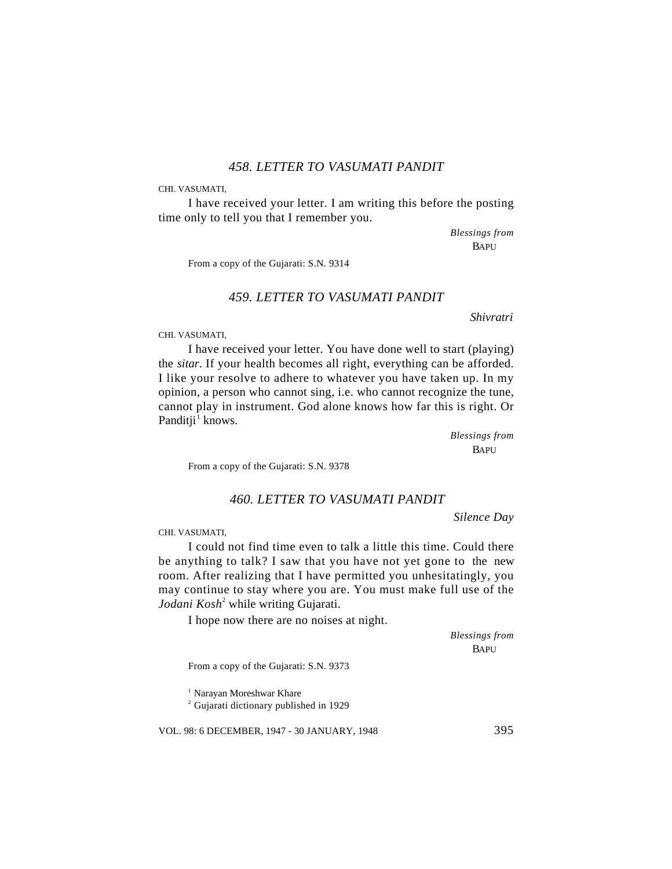#### *458. LETTER TO VASUMATI PANDIT*

CHI. VASUMATI,

I have received your letter. I am writing this before the posting time only to tell you that I remember you.

> *Blessings from* BAPU

From a copy of the Gujarati: S.N. 9314

### *459. LETTER TO VASUMATI PANDIT*

*Shivratri*

#### CHI. VASUMATI,

I have received your letter. You have done well to start (playing) the *sitar*. If your health becomes all right, everything can be afforded. I like your resolve to adhere to whatever you have taken up. In my opinion, a person who cannot sing, i.e. who cannot recognize the tune, cannot play in instrument. God alone knows how far this is right. Or Panditji<sup>1</sup> knows.

> *Blessings from* **BAPU**

From a copy of the Gujarati: S.N. 9378

## *460. LETTER TO VASUMATI PANDIT*

*Silence Day*

CHI. VASUMATI,

I could not find time even to talk a little this time. Could there be anything to talk? I saw that you have not yet gone to the new room. After realizing that I have permitted you unhesitatingly, you may continue to stay where you are. You must make full use of the *Jodani Kosh*<sup>2</sup> while writing Gujarati.

I hope now there are no noises at night.

*Blessings from* **BAPU** 

<sup>1</sup> Narayan Moreshwar Khare

<sup>2</sup> Gujarati dictionary published in 1929

From a copy of the Gujarati: S.N. 9373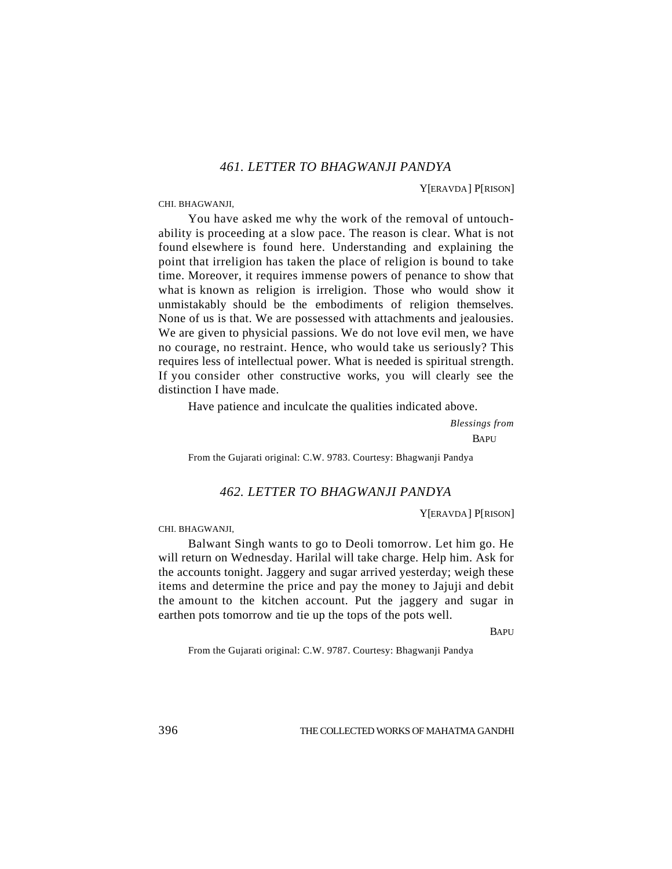## *461. LETTER TO BHAGWANJI PANDYA*

Y[ERAVDA] P[RISON]

CHI. BHAGWANJI,

You have asked me why the work of the removal of untouchability is proceeding at a slow pace. The reason is clear. What is not found elsewhere is found here. Understanding and explaining the point that irreligion has taken the place of religion is bound to take time. Moreover, it requires immense powers of penance to show that what is known as religion is irreligion. Those who would show it unmistakably should be the embodiments of religion themselves. None of us is that. We are possessed with attachments and jealousies. We are given to physicial passions. We do not love evil men, we have no courage, no restraint. Hence, who would take us seriously? This requires less of intellectual power. What is needed is spiritual strength. If you consider other constructive works, you will clearly see the distinction I have made.

Have patience and inculcate the qualities indicated above.

*Blessings from* **BAPU** 

From the Gujarati original: C.W. 9783. Courtesy: Bhagwanji Pandya

### *462. LETTER TO BHAGWANJI PANDYA*

Y[ERAVDA] P[RISON]

CHI. BHAGWANJI,

Balwant Singh wants to go to Deoli tomorrow. Let him go. He will return on Wednesday. Harilal will take charge. Help him. Ask for the accounts tonight. Jaggery and sugar arrived yesterday; weigh these items and determine the price and pay the money to Jajuji and debit the amount to the kitchen account. Put the jaggery and sugar in earthen pots tomorrow and tie up the tops of the pots well.

**BAPU** 

From the Gujarati original: C.W. 9787. Courtesy: Bhagwanji Pandya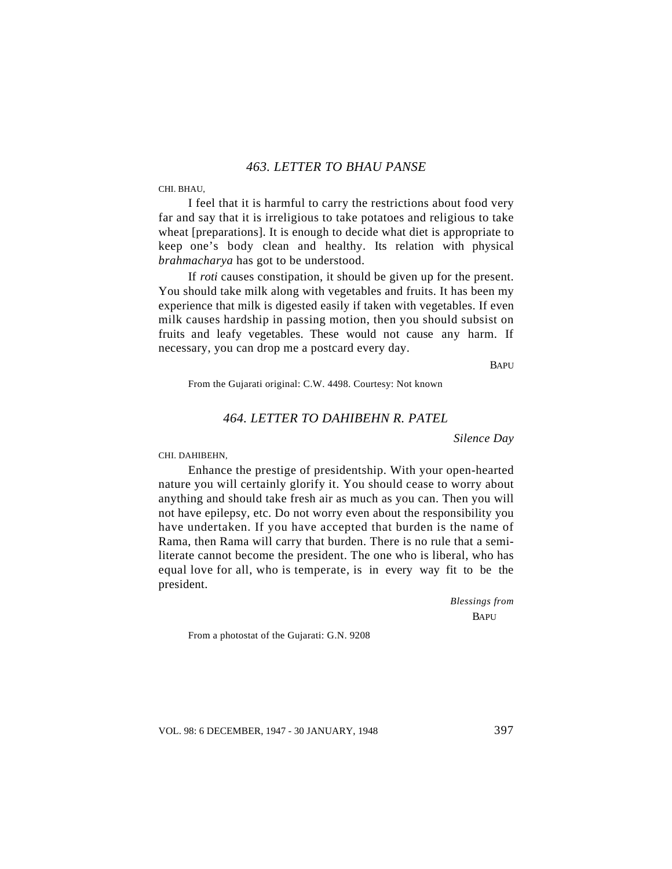CHI RHAU

I feel that it is harmful to carry the restrictions about food very far and say that it is irreligious to take potatoes and religious to take wheat [preparations]. It is enough to decide what diet is appropriate to keep one's body clean and healthy. Its relation with physical *brahmacharya* has got to be understood.

If *roti* causes constipation, it should be given up for the present. You should take milk along with vegetables and fruits. It has been my experience that milk is digested easily if taken with vegetables. If even milk causes hardship in passing motion, then you should subsist on fruits and leafy vegetables. These would not cause any harm. If necessary, you can drop me a postcard every day.

BAPU

From the Gujarati original: C.W. 4498. Courtesy: Not known

# *464. LETTER TO DAHIBEHN R. PATEL*

*Silence Day*

CHI. DAHIBEHN,

Enhance the prestige of presidentship. With your open-hearted nature you will certainly glorify it. You should cease to worry about anything and should take fresh air as much as you can. Then you will not have epilepsy, etc. Do not worry even about the responsibility you have undertaken. If you have accepted that burden is the name of Rama, then Rama will carry that burden. There is no rule that a semiliterate cannot become the president. The one who is liberal, who has equal love for all, who is temperate, is in every way fit to be the president.

> *Blessings from* **BAPU**

From a photostat of the Gujarati: G.N. 9208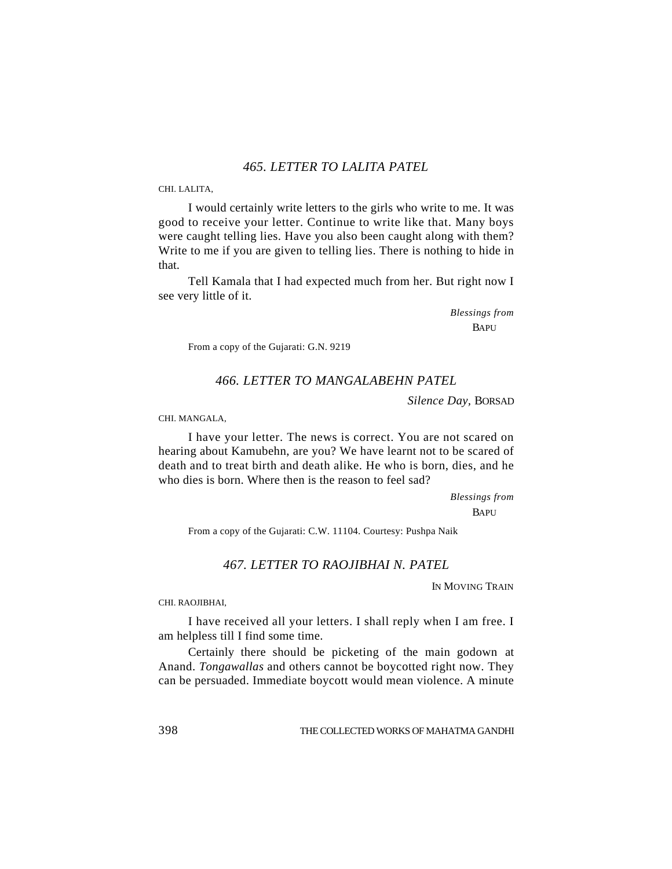CHI. LALITA

I would certainly write letters to the girls who write to me. It was good to receive your letter. Continue to write like that. Many boys were caught telling lies. Have you also been caught along with them? Write to me if you are given to telling lies. There is nothing to hide in that.

Tell Kamala that I had expected much from her. But right now I see very little of it.

> *Blessings from* **BAPU**

From a copy of the Gujarati: G.N. 9219

# *466. LETTER TO MANGALABEHN PATEL*

*Silence Day,* BORSAD

CHI. MANGALA,

I have your letter. The news is correct. You are not scared on hearing about Kamubehn, are you? We have learnt not to be scared of death and to treat birth and death alike. He who is born, dies, and he who dies is born. Where then is the reason to feel sad?

> *Blessings from* **BAPU**

From a copy of the Gujarati: C.W. 11104. Courtesy: Pushpa Naik

# *467. LETTER TO RAOJIBHAI N. PATEL*

IN MOVING TRAIN

CHI. RAOJIBHAI,

I have received all your letters. I shall reply when I am free. I am helpless till I find some time.

Certainly there should be picketing of the main godown at Anand. *Tongawallas* and others cannot be boycotted right now. They can be persuaded. Immediate boycott would mean violence. A minute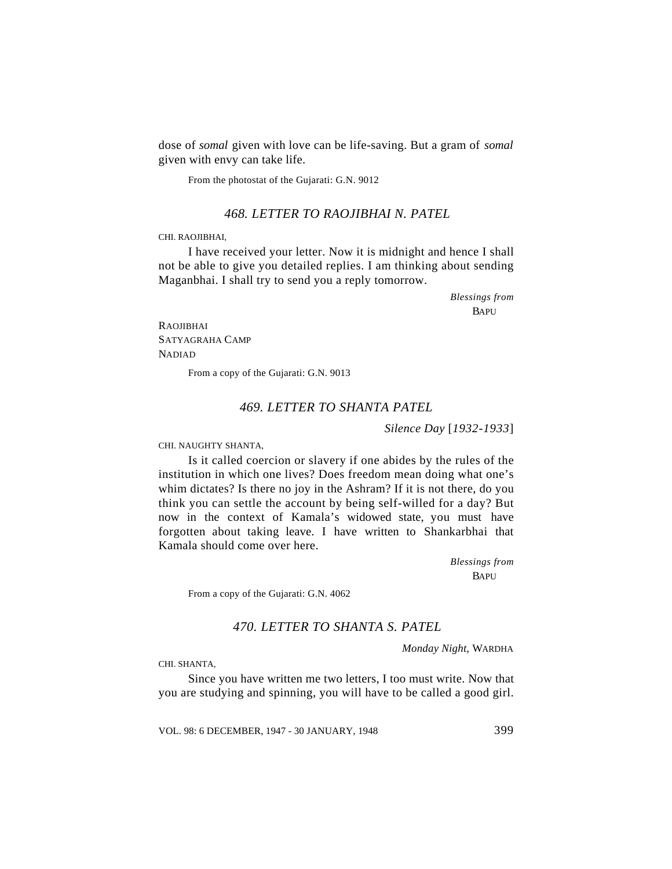dose of *somal* given with love can be life-saving. But a gram of *somal* given with envy can take life.

From the photostat of the Gujarati: G.N. 9012

# *468. LETTER TO RAOJIBHAI N. PATEL*

CHI. RAOJIBHAI,

I have received your letter. Now it is midnight and hence I shall not be able to give you detailed replies. I am thinking about sending Maganbhai. I shall try to send you a reply tomorrow.

> *Blessings from* **BAPU**

**RAOJIBHAI** SATYAGRAHA CAMP NADIAD

From a copy of the Gujarati: G.N. 9013

# *469. LETTER TO SHANTA PATEL*

*Silence Day* [*1932-1933*]

CHI. NAUGHTY SHANTA,

Is it called coercion or slavery if one abides by the rules of the institution in which one lives? Does freedom mean doing what one's whim dictates? Is there no joy in the Ashram? If it is not there, do you think you can settle the account by being self-willed for a day? But now in the context of Kamala's widowed state, you must have forgotten about taking leave. I have written to Shankarbhai that Kamala should come over here.

> *Blessings from* **BAPU**

From a copy of the Gujarati: G.N. 4062

# *470. LETTER TO SHANTA S. PATEL*

*Monday Night,* WARDHA

CHI. SHANTA,

Since you have written me two letters, I too must write. Now that you are studying and spinning, you will have to be called a good girl.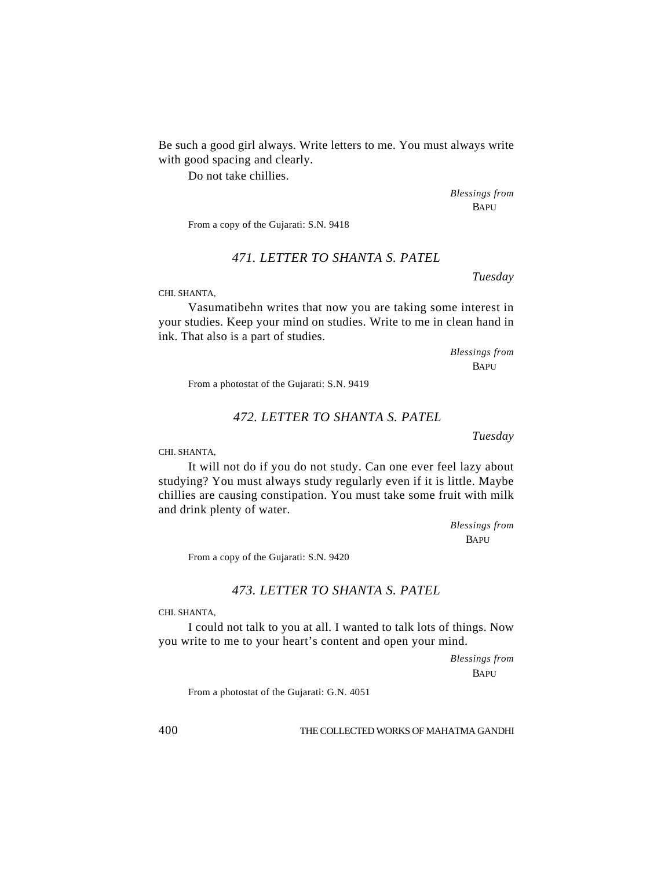Be such a good girl always. Write letters to me. You must always write with good spacing and clearly.

Do not take chillies.

*Blessings from* **BAPU** 

From a copy of the Gujarati: S.N. 9418

# *471. LETTER TO SHANTA S. PATEL*

*Tuesday*

CHI. SHANTA,

Vasumatibehn writes that now you are taking some interest in your studies. Keep your mind on studies. Write to me in clean hand in ink. That also is a part of studies.

> *Blessings from* **BAPU**

From a photostat of the Gujarati: S.N. 9419

# *472. LETTER TO SHANTA S. PATEL*

*Tuesday*

CHI. SHANTA,

It will not do if you do not study. Can one ever feel lazy about studying? You must always study regularly even if it is little. Maybe chillies are causing constipation. You must take some fruit with milk and drink plenty of water.

> *Blessings from* **BAPU**

From a copy of the Gujarati: S.N. 9420

# *473. LETTER TO SHANTA S. PATEL*

CHI. SHANTA,

I could not talk to you at all. I wanted to talk lots of things. Now you write to me to your heart's content and open your mind.

> *Blessings from* **BAPU**

From a photostat of the Gujarati: G.N. 4051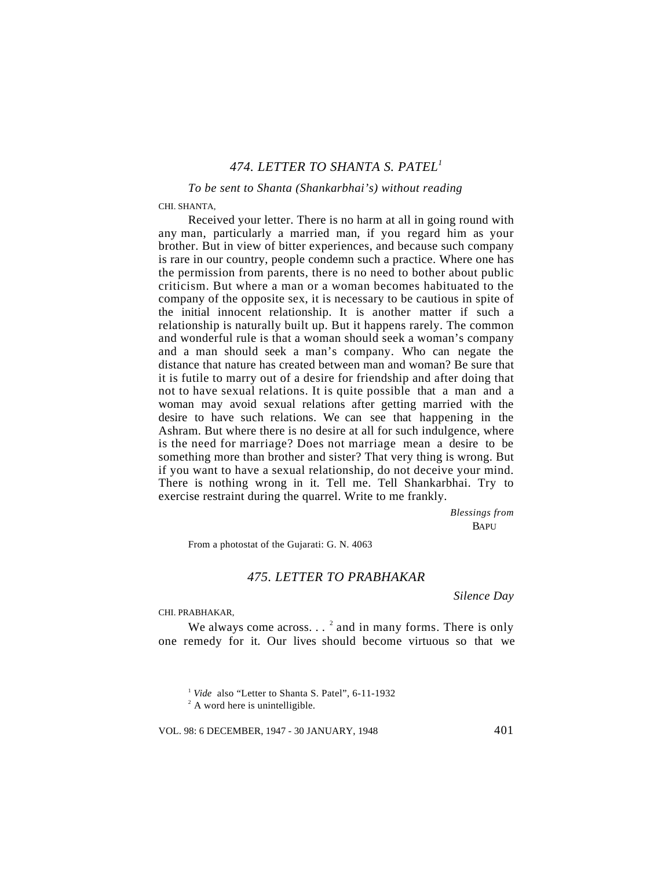# *474. LETTER TO SHANTA S. PATEL<sup>1</sup>*

*To be sent to Shanta (Shankarbhai's) without reading*

CHI. SHANTA,

Received your letter. There is no harm at all in going round with any man, particularly a married man, if you regard him as your brother. But in view of bitter experiences, and because such company is rare in our country, people condemn such a practice. Where one has the permission from parents, there is no need to bother about public criticism. But where a man or a woman becomes habituated to the company of the opposite sex, it is necessary to be cautious in spite of the initial innocent relationship. It is another matter if such a relationship is naturally built up. But it happens rarely. The common and wonderful rule is that a woman should seek a woman's company and a man should seek a man's company. Who can negate the distance that nature has created between man and woman? Be sure that it is futile to marry out of a desire for friendship and after doing that not to have sexual relations. It is quite possible that a man and a woman may avoid sexual relations after getting married with the desire to have such relations. We can see that happening in the Ashram. But where there is no desire at all for such indulgence, where is the need for marriage? Does not marriage mean a desire to be something more than brother and sister? That very thing is wrong. But if you want to have a sexual relationship, do not deceive your mind. There is nothing wrong in it. Tell me. Tell Shankarbhai. Try to exercise restraint during the quarrel. Write to me frankly.

> *Blessings from* **BAPU**

From a photostat of the Gujarati: G. N. 4063

# *475. LETTER TO PRABHAKAR*

*Silence Day*

CHI. PRABHAKAR,

We always come across.  $\ldots$  <sup>2</sup> and in many forms. There is only one remedy for it. Our lives should become virtuous so that we

<sup>&</sup>lt;sup>1</sup> *Vide* also "Letter to Shanta S. Patel", 6-11-1932

 $2$  A word here is unintelligible.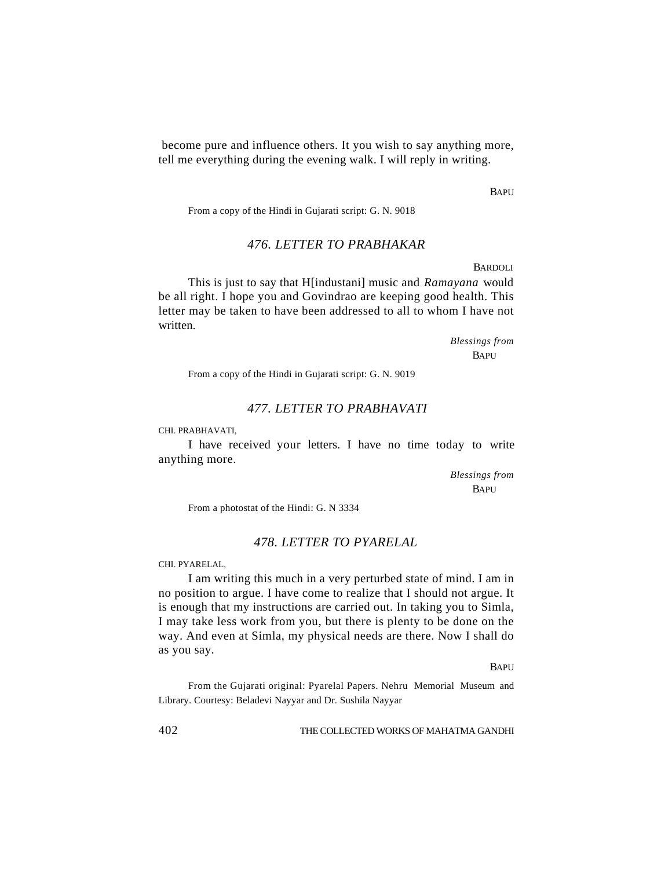become pure and influence others. It you wish to say anything more, tell me everything during the evening walk. I will reply in writing.

**BAPU** 

From a copy of the Hindi in Gujarati script: G. N. 9018

### *476. LETTER TO PRABHAKAR*

BARDOLI

This is just to say that H[industani] music and *Ramayana* would be all right. I hope you and Govindrao are keeping good health. This letter may be taken to have been addressed to all to whom I have not written.

> *Blessings from* **BAPU**

From a copy of the Hindi in Gujarati script: G. N. 9019

# *477. LETTER TO PRABHAVATI*

CHI. PRABHAVATI,

I have received your letters. I have no time today to write anything more.

> *Blessings from* **BAPU**

From a photostat of the Hindi: G. N 3334

# *478. LETTER TO PYARELAL*

CHI. PYARELAL,

I am writing this much in a very perturbed state of mind. I am in no position to argue. I have come to realize that I should not argue. It is enough that my instructions are carried out. In taking you to Simla, I may take less work from you, but there is plenty to be done on the way. And even at Simla, my physical needs are there. Now I shall do as you say.

**BAPU** 

From the Gujarati original: Pyarelal Papers. Nehru Memorial Museum and Library. Courtesy: Beladevi Nayyar and Dr. Sushila Nayyar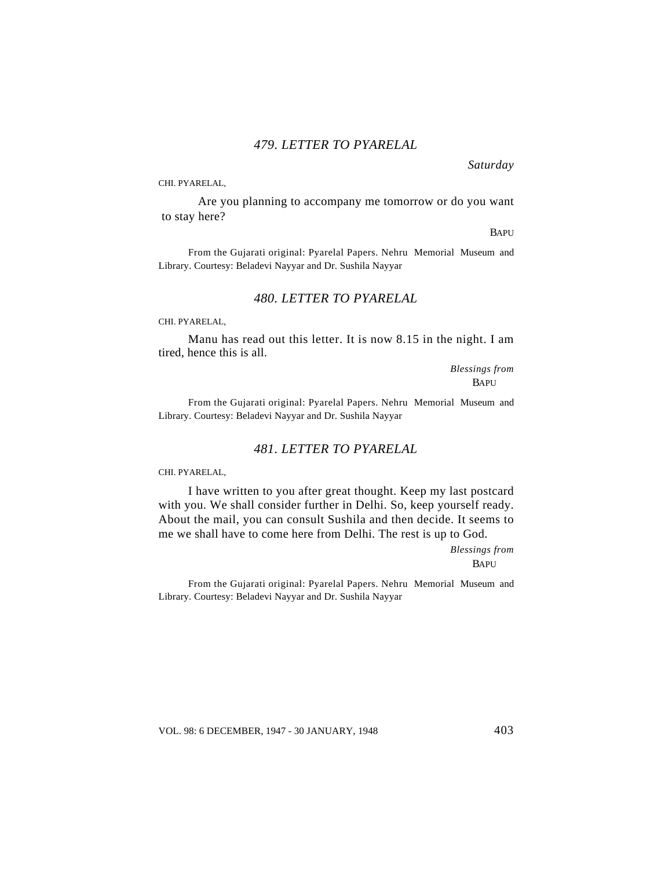# *479. LETTER TO PYARELAL*

*Saturday*

CHI. PYARELAL,

Are you planning to accompany me tomorrow or do you want to stay here?

**BAPU** 

From the Gujarati original: Pyarelal Papers. Nehru Memorial Museum and Library. Courtesy: Beladevi Nayyar and Dr. Sushila Nayyar

# *480. LETTER TO PYARELAL*

CHI. PYARELAL,

Manu has read out this letter. It is now 8.15 in the night. I am tired, hence this is all.

> *Blessings from* **BAPU**

From the Gujarati original: Pyarelal Papers. Nehru Memorial Museum and Library. Courtesy: Beladevi Nayyar and Dr. Sushila Nayyar

# *481. LETTER TO PYARELAL*

CHI. PYARELAL,

I have written to you after great thought. Keep my last postcard with you. We shall consider further in Delhi. So, keep yourself ready. About the mail, you can consult Sushila and then decide. It seems to me we shall have to come here from Delhi. The rest is up to God.

> *Blessings from* **BAPU**

From the Gujarati original: Pyarelal Papers. Nehru Memorial Museum and Library. Courtesy: Beladevi Nayyar and Dr. Sushila Nayyar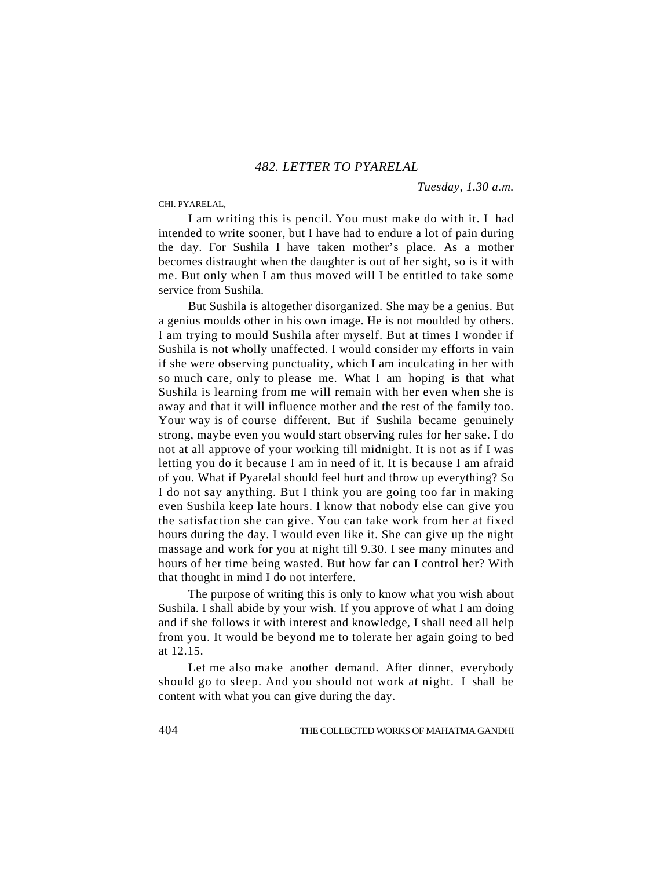*Tuesday, 1.30 a.m.*

CHI. PYARELAL,

I am writing this is pencil. You must make do with it. I had intended to write sooner, but I have had to endure a lot of pain during the day. For Sushila I have taken mother's place. As a mother becomes distraught when the daughter is out of her sight, so is it with me. But only when I am thus moved will I be entitled to take some service from Sushila.

But Sushila is altogether disorganized. She may be a genius. But a genius moulds other in his own image. He is not moulded by others. I am trying to mould Sushila after myself. But at times I wonder if Sushila is not wholly unaffected. I would consider my efforts in vain if she were observing punctuality, which I am inculcating in her with so much care, only to please me. What I am hoping is that what Sushila is learning from me will remain with her even when she is away and that it will influence mother and the rest of the family too. Your way is of course different. But if Sushila became genuinely strong, maybe even you would start observing rules for her sake. I do not at all approve of your working till midnight. It is not as if I was letting you do it because I am in need of it. It is because I am afraid of you. What if Pyarelal should feel hurt and throw up everything? So I do not say anything. But I think you are going too far in making even Sushila keep late hours. I know that nobody else can give you the satisfaction she can give. You can take work from her at fixed hours during the day. I would even like it. She can give up the night massage and work for you at night till 9.30. I see many minutes and hours of her time being wasted. But how far can I control her? With that thought in mind I do not interfere.

The purpose of writing this is only to know what you wish about Sushila. I shall abide by your wish. If you approve of what I am doing and if she follows it with interest and knowledge, I shall need all help from you. It would be beyond me to tolerate her again going to bed at 12.15.

Let me also make another demand. After dinner, everybody should go to sleep. And you should not work at night. I shall be content with what you can give during the day.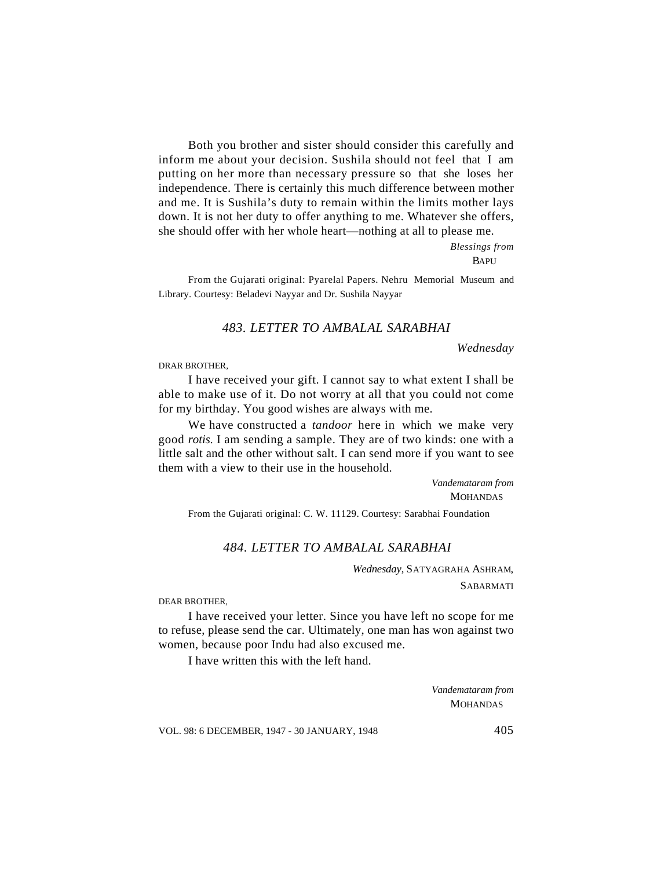Both you brother and sister should consider this carefully and inform me about your decision. Sushila should not feel that I am putting on her more than necessary pressure so that she loses her independence. There is certainly this much difference between mother and me. It is Sushila's duty to remain within the limits mother lays down. It is not her duty to offer anything to me. Whatever she offers, she should offer with her whole heart—nothing at all to please me.

> *Blessings from* **BAPU**

From the Gujarati original: Pyarelal Papers. Nehru Memorial Museum and Library. Courtesy: Beladevi Nayyar and Dr. Sushila Nayyar

# *483. LETTER TO AMBALAL SARABHAI*

*Wednesday*

DRAR BROTHER,

I have received your gift. I cannot say to what extent I shall be able to make use of it. Do not worry at all that you could not come for my birthday. You good wishes are always with me.

We have constructed a *tandoor* here in which we make very good *rotis.* I am sending a sample. They are of two kinds: one with a little salt and the other without salt. I can send more if you want to see them with a view to their use in the household.

> *Vandemataram from* **MOHANDAS**

From the Gujarati original: C. W. 11129. Courtesy: Sarabhai Foundation

#### *484. LETTER TO AMBALAL SARABHAI*

*Wednesday,* SATYAGRAHA ASHRAM, **SABARMATI** 

DEAR BROTHER,

I have received your letter. Since you have left no scope for me to refuse, please send the car. Ultimately, one man has won against two women, because poor Indu had also excused me.

I have written this with the left hand.

*Vandemataram from* **MOHANDAS**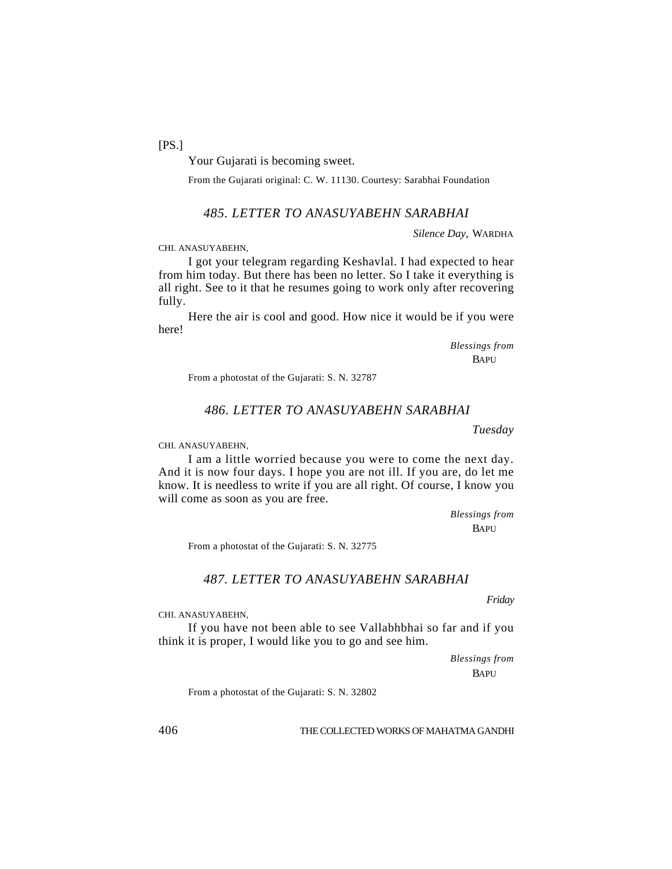[PS.]

Your Gujarati is becoming sweet.

From the Gujarati original: C. W. 11130. Courtesy: Sarabhai Foundation

# *485. LETTER TO ANASUYABEHN SARABHAI*

*Silence Day,* WARDHA

CHI. ANASUYABEHN,

I got your telegram regarding Keshavlal. I had expected to hear from him today. But there has been no letter. So I take it everything is all right. See to it that he resumes going to work only after recovering fully.

Here the air is cool and good. How nice it would be if you were here!

> *Blessings from* **BAPU**

From a photostat of the Gujarati: S. N. 32787

# *486. LETTER TO ANASUYABEHN SARABHAI*

*Tuesday*

#### CHI. ANASUYABEHN,

I am a little worried because you were to come the next day. And it is now four days. I hope you are not ill. If you are, do let me know. It is needless to write if you are all right. Of course, I know you will come as soon as you are free.

> *Blessings from* **BAPU**

From a photostat of the Gujarati: S. N. 32775

# *487. LETTER TO ANASUYABEHN SARABHAI*

*Friday*

CHI. ANASUYABEHN,

If you have not been able to see Vallabhbhai so far and if you think it is proper, I would like you to go and see him.

> *Blessings from* **BAPU**

From a photostat of the Gujarati: S. N. 32802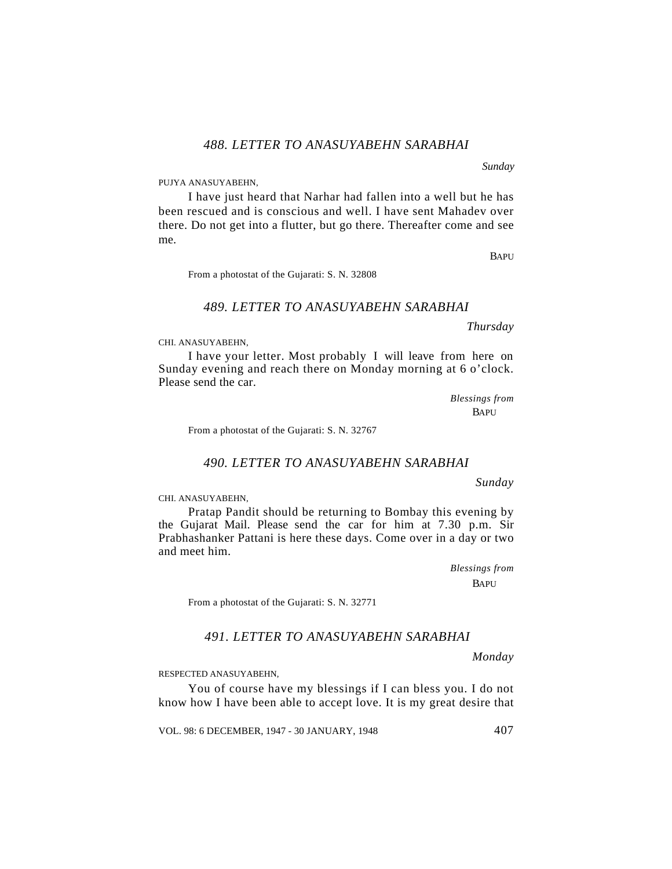*488. LETTER TO ANASUYABEHN SARABHAI*

PUJYA ANASUYABEHN,

I have just heard that Narhar had fallen into a well but he has been rescued and is conscious and well. I have sent Mahadev over there. Do not get into a flutter, but go there. Thereafter come and see me.

From a photostat of the Gujarati: S. N. 32808

# *489. LETTER TO ANASUYABEHN SARABHAI*

*Thursday*

CHI. ANASUYABEHN,

I have your letter. Most probably I will leave from here on Sunday evening and reach there on Monday morning at 6 o'clock. Please send the car.

> *Blessings from* **BAPU**

From a photostat of the Gujarati: S. N. 32767

# *490. LETTER TO ANASUYABEHN SARABHAI*

*Sunday*

CHI. ANASUYABEHN,

Pratap Pandit should be returning to Bombay this evening by the Gujarat Mail. Please send the car for him at 7.30 p.m. Sir Prabhashanker Pattani is here these days. Come over in a day or two and meet him.

> *Blessings from* **BAPU**

From a photostat of the Gujarati: S. N. 32771

# *491. LETTER TO ANASUYABEHN SARABHAI*

*Monday*

RESPECTED ANASUYABEHN,

You of course have my blessings if I can bless you. I do not know how I have been able to accept love. It is my great desire that

VOL. 98: 6 DECEMBER, 1947 - 30 JANUARY, 1948 407

#### *Sunday*

**BAPU**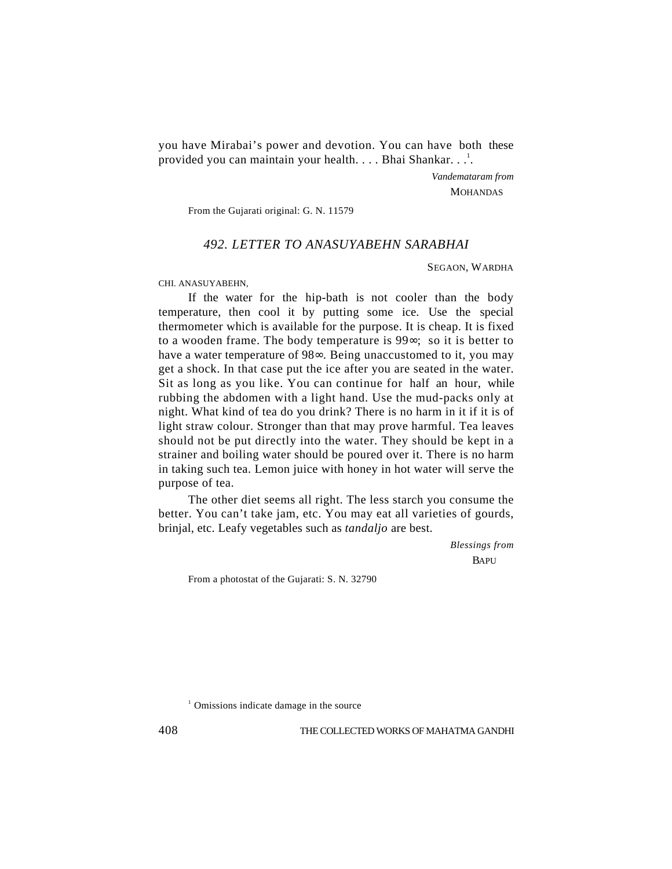you have Mirabai's power and devotion. You can have both these provided you can maintain your health.... Bhai Shankar...<sup>1</sup>.

> *Vandemataram from* **MOHANDAS**

From the Gujarati original: G. N. 11579

#### *492. LETTER TO ANASUYABEHN SARABHAI*

SEGAON, WARDHA

CHI. ANASUYABEHN,

If the water for the hip-bath is not cooler than the body temperature, then cool it by putting some ice. Use the special thermometer which is available for the purpose. It is cheap. It is fixed to a wooden frame. The body temperature is 99 ; so it is better to have a water temperature of 98 . Being unaccustomed to it, you may get a shock. In that case put the ice after you are seated in the water. Sit as long as you like. You can continue for half an hour, while rubbing the abdomen with a light hand. Use the mud-packs only at night. What kind of tea do you drink? There is no harm in it if it is of light straw colour. Stronger than that may prove harmful. Tea leaves should not be put directly into the water. They should be kept in a strainer and boiling water should be poured over it. There is no harm in taking such tea. Lemon juice with honey in hot water will serve the purpose of tea.

The other diet seems all right. The less starch you consume the better. You can't take jam, etc. You may eat all varieties of gourds, brinjal, etc. Leafy vegetables such as *tandaljo* are best.

> *Blessings from* **BAPU**

From a photostat of the Gujarati: S. N. 32790

<sup>1</sup> Omissions indicate damage in the source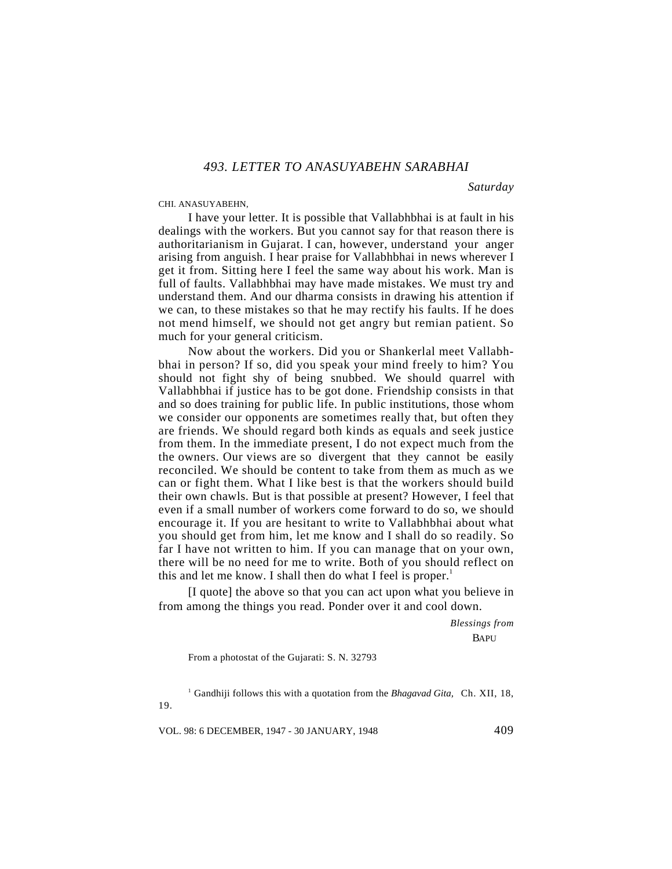#### *Saturday*

#### CHI. ANASUYABEHN,

I have your letter. It is possible that Vallabhbhai is at fault in his dealings with the workers. But you cannot say for that reason there is authoritarianism in Gujarat. I can, however, understand your anger arising from anguish. I hear praise for Vallabhbhai in news wherever I get it from. Sitting here I feel the same way about his work. Man is full of faults. Vallabhbhai may have made mistakes. We must try and understand them. And our dharma consists in drawing his attention if we can, to these mistakes so that he may rectify his faults. If he does not mend himself, we should not get angry but remian patient. So much for your general criticism.

Now about the workers. Did you or Shankerlal meet Vallabhbhai in person? If so, did you speak your mind freely to him? You should not fight shy of being snubbed. We should quarrel with Vallabhbhai if justice has to be got done. Friendship consists in that and so does training for public life. In public institutions, those whom we consider our opponents are sometimes really that, but often they are friends. We should regard both kinds as equals and seek justice from them. In the immediate present, I do not expect much from the the owners. Our views are so divergent that they cannot be easily reconciled. We should be content to take from them as much as we can or fight them. What I like best is that the workers should build their own chawls. But is that possible at present? However, I feel that even if a small number of workers come forward to do so, we should encourage it. If you are hesitant to write to Vallabhbhai about what you should get from him, let me know and I shall do so readily. So far I have not written to him. If you can manage that on your own, there will be no need for me to write. Both of you should reflect on this and let me know. I shall then do what I feel is proper.<sup>1</sup>

[I quote] the above so that you can act upon what you believe in from among the things you read. Ponder over it and cool down.

*Blessings from*

BAPU

From a photostat of the Gujarati: S. N. 32793

<sup>1</sup> Gandhiji follows this with a quotation from the *Bhagavad Gita*, Ch. XII, 18, 19.

VOL. 98: 6 DECEMBER, 1947 - 30 JANUARY, 1948 409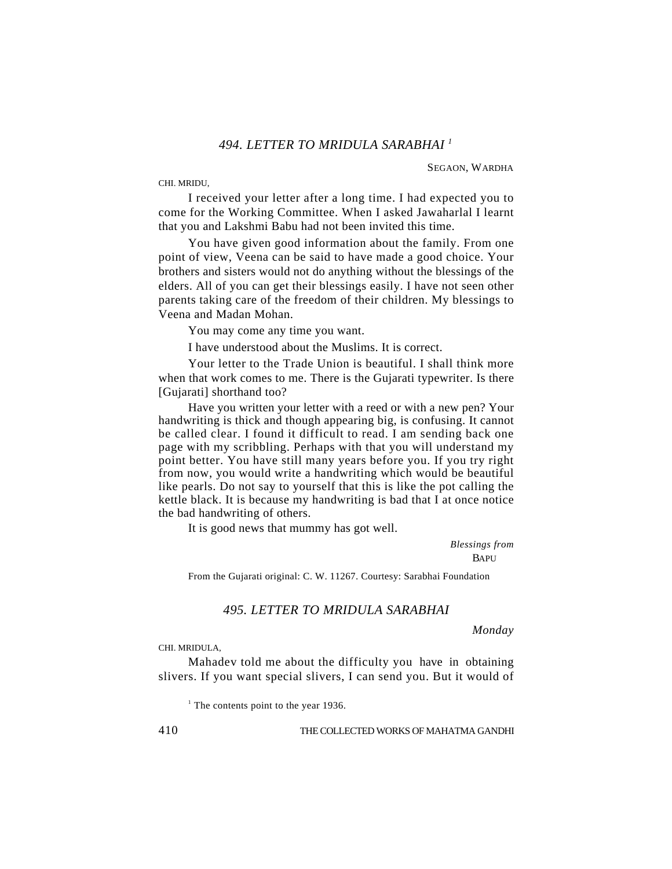SEGAON, WARDHA

CHI. MRIDU,

I received your letter after a long time. I had expected you to come for the Working Committee. When I asked Jawaharlal I learnt that you and Lakshmi Babu had not been invited this time.

You have given good information about the family. From one point of view, Veena can be said to have made a good choice. Your brothers and sisters would not do anything without the blessings of the elders. All of you can get their blessings easily. I have not seen other parents taking care of the freedom of their children. My blessings to Veena and Madan Mohan.

You may come any time you want.

I have understood about the Muslims. It is correct.

Your letter to the Trade Union is beautiful. I shall think more when that work comes to me. There is the Gujarati typewriter. Is there [Gujarati] shorthand too?

Have you written your letter with a reed or with a new pen? Your handwriting is thick and though appearing big, is confusing. It cannot be called clear. I found it difficult to read. I am sending back one page with my scribbling. Perhaps with that you will understand my point better. You have still many years before you. If you try right from now, you would write a handwriting which would be beautiful like pearls. Do not say to yourself that this is like the pot calling the kettle black. It is because my handwriting is bad that I at once notice the bad handwriting of others.

It is good news that mummy has got well.

*Blessings from* **BAPU** 

From the Gujarati original: C. W. 11267. Courtesy: Sarabhai Foundation

# *495. LETTER TO MRIDULA SARABHAI*

*Monday*

CHI. MRIDULA,

Mahadev told me about the difficulty you have in obtaining slivers. If you want special slivers, I can send you. But it would of

<sup>1</sup> The contents point to the year 1936.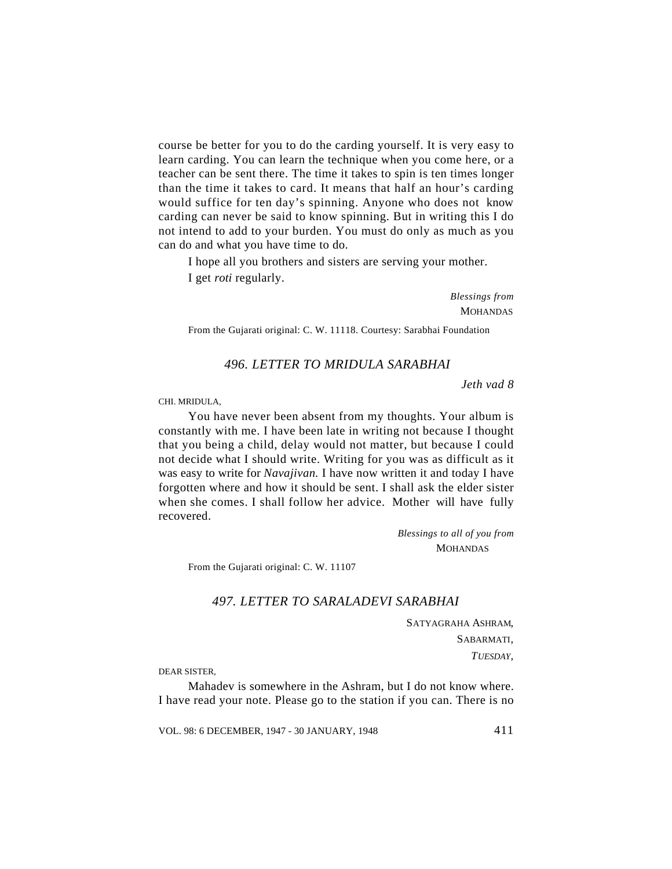course be better for you to do the carding yourself. It is very easy to learn carding. You can learn the technique when you come here, or a teacher can be sent there. The time it takes to spin is ten times longer than the time it takes to card. It means that half an hour's carding would suffice for ten day's spinning. Anyone who does not know carding can never be said to know spinning. But in writing this I do not intend to add to your burden. You must do only as much as you can do and what you have time to do.

I hope all you brothers and sisters are serving your mother. I get *roti* regularly.

> *Blessings from* MOHANDAS

From the Gujarati original: C. W. 11118. Courtesy: Sarabhai Foundation

# *496. LETTER TO MRIDULA SARABHAI*

*Jeth vad 8*

CHI. MRIDULA,

You have never been absent from my thoughts. Your album is constantly with me. I have been late in writing not because I thought that you being a child, delay would not matter, but because I could not decide what I should write. Writing for you was as difficult as it was easy to write for *Navajivan.* I have now written it and today I have forgotten where and how it should be sent. I shall ask the elder sister when she comes. I shall follow her advice. Mother will have fully recovered.

> *Blessings to all of you from* **MOHANDAS**

From the Gujarati original: C. W. 11107

# *497. LETTER TO SARALADEVI SARABHAI*

SATYAGRAHA ASHRAM, SABARMATI, *TUESDAY,*

DEAR SISTER,

Mahadev is somewhere in the Ashram, but I do not know where. I have read your note. Please go to the station if you can. There is no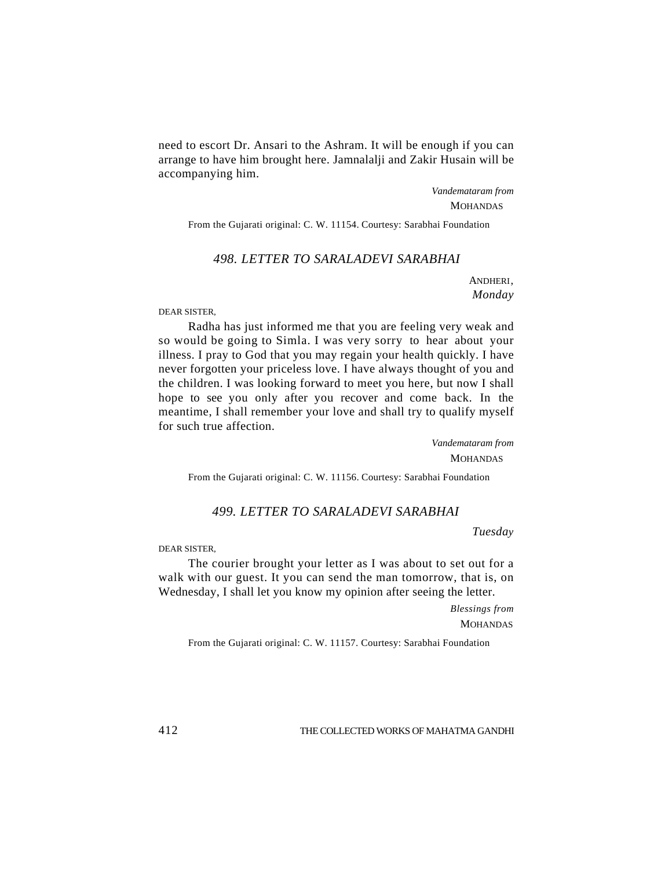need to escort Dr. Ansari to the Ashram. It will be enough if you can arrange to have him brought here. Jamnalalji and Zakir Husain will be accompanying him.

> *Vandemataram from* **MOHANDAS**

From the Gujarati original: C. W. 11154. Courtesy: Sarabhai Foundation

# *498. LETTER TO SARALADEVI SARABHAI*

ANDHERI, *Monday*

DEAR SISTER,

Radha has just informed me that you are feeling very weak and so would be going to Simla. I was very sorry to hear about your illness. I pray to God that you may regain your health quickly. I have never forgotten your priceless love. I have always thought of you and the children. I was looking forward to meet you here, but now I shall hope to see you only after you recover and come back. In the meantime, I shall remember your love and shall try to qualify myself for such true affection.

> *Vandemataram from* **MOHANDAS**

From the Gujarati original: C. W. 11156. Courtesy: Sarabhai Foundation

# *499. LETTER TO SARALADEVI SARABHAI*

*Tuesday*

DEAR SISTER,

The courier brought your letter as I was about to set out for a walk with our guest. It you can send the man tomorrow, that is, on Wednesday, I shall let you know my opinion after seeing the letter.

> *Blessings from* **MOHANDAS**

From the Gujarati original: C. W. 11157. Courtesy: Sarabhai Foundation

412 THE COLLECTED WORKS OF MAHATMA GANDHI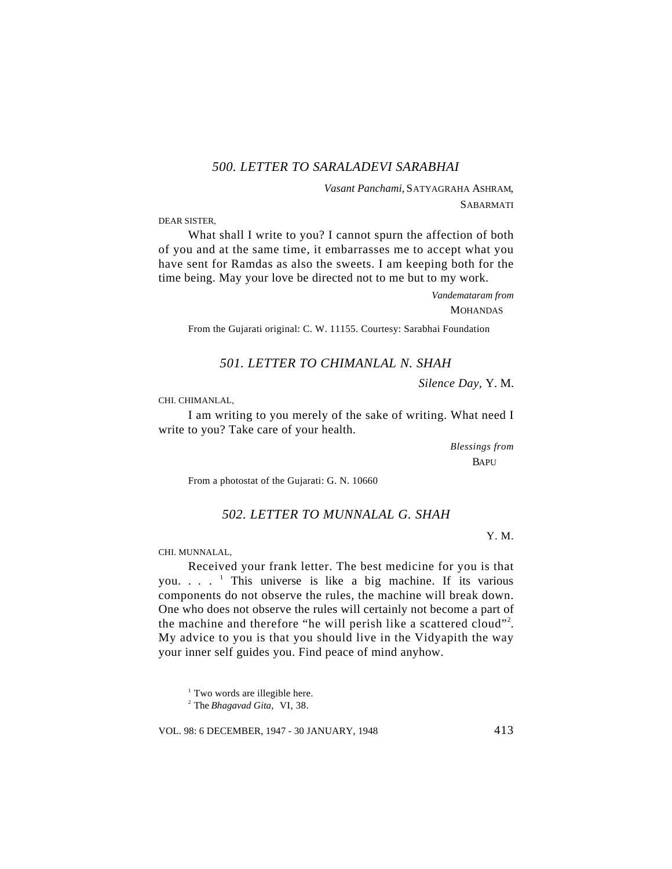# *500. LETTER TO SARALADEVI SARABHAI*

*Vasant Panchami,* SATYAGRAHA ASHRAM,

**SABARMATI** 

DEAR SISTER,

What shall I write to you? I cannot spurn the affection of both of you and at the same time, it embarrasses me to accept what you have sent for Ramdas as also the sweets. I am keeping both for the time being. May your love be directed not to me but to my work.

> *Vandemataram from* **MOHANDAS**

From the Gujarati original: C. W. 11155. Courtesy: Sarabhai Foundation

# *501. LETTER TO CHIMANLAL N. SHAH*

*Silence Day,* Y. M.

CHI. CHIMANLAL,

I am writing to you merely of the sake of writing. What need I write to you? Take care of your health.

> *Blessings from* **BAPU**

From a photostat of the Gujarati: G. N. 10660

# *502. LETTER TO MUNNALAL G. SHAH*

Y. M.

CHI. MUNNALAL,

Received your frank letter. The best medicine for you is that you. . . . <sup>1</sup> This universe is like a big machine. If its various components do not observe the rules, the machine will break down. One who does not observe the rules will certainly not become a part of the machine and therefore "he will perish like a scattered cloud"<sup>2</sup>. My advice to you is that you should live in the Vidyapith the way your inner self guides you. Find peace of mind anyhow.

<sup>1</sup> Two words are illegible here.

2 The *Bhagavad Gita,* VI, 38.

VOL. 98: 6 DECEMBER, 1947 - 30 JANUARY, 1948 413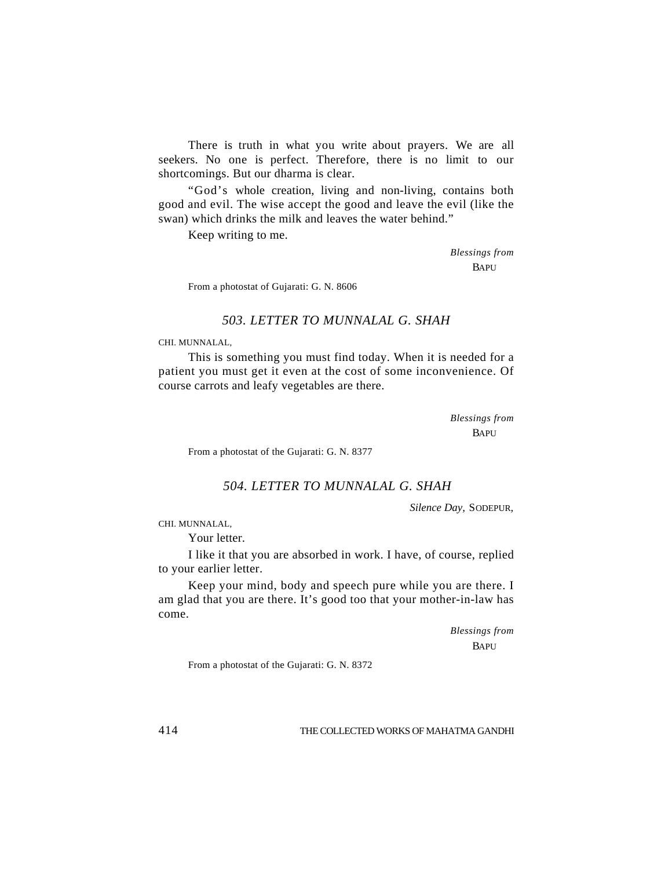There is truth in what you write about prayers. We are all seekers. No one is perfect. Therefore, there is no limit to our shortcomings. But our dharma is clear.

"God's whole creation, living and non-living, contains both good and evil. The wise accept the good and leave the evil (like the swan) which drinks the milk and leaves the water behind."

Keep writing to me.

*Blessings from* **BAPU** 

From a photostat of Gujarati: G. N. 8606

### *503. LETTER TO MUNNALAL G. SHAH*

CHI. MUNNALAL,

This is something you must find today. When it is needed for a patient you must get it even at the cost of some inconvenience. Of course carrots and leafy vegetables are there.

> *Blessings from* **BAPU**

From a photostat of the Gujarati: G. N. 8377

# *504. LETTER TO MUNNALAL G. SHAH*

*Silence Day,* SODEPUR,

CHI. MUNNALAL,

Your letter.

I like it that you are absorbed in work. I have, of course, replied to your earlier letter.

Keep your mind, body and speech pure while you are there. I am glad that you are there. It's good too that your mother-in-law has come.

> *Blessings from* **BAPU**

From a photostat of the Gujarati: G. N. 8372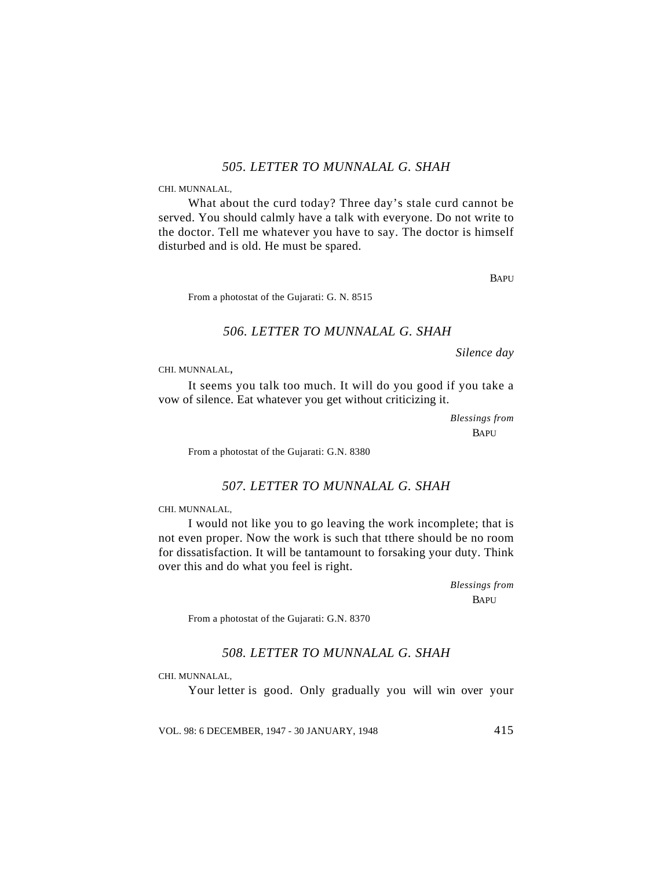CHI. MUNNALAL,

What about the curd today? Three day's stale curd cannot be served. You should calmly have a talk with everyone. Do not write to the doctor. Tell me whatever you have to say. The doctor is himself disturbed and is old. He must be spared.

**BAPU** 

From a photostat of the Gujarati: G. N. 8515

# *506. LETTER TO MUNNALAL G. SHAH*

*Silence day*

CHI. MUNNALAL,

It seems you talk too much. It will do you good if you take a vow of silence. Eat whatever you get without criticizing it.

> *Blessings from* **BAPU**

From a photostat of the Gujarati: G.N. 8380

# *507. LETTER TO MUNNALAL G. SHAH*

CHI. MUNNALAL,

I would not like you to go leaving the work incomplete; that is not even proper. Now the work is such that tthere should be no room for dissatisfaction. It will be tantamount to forsaking your duty. Think over this and do what you feel is right.

> *Blessings from* **BAPU**

From a photostat of the Gujarati: G.N. 8370

# *508. LETTER TO MUNNALAL G. SHAH*

CHI. MUNNALAL,

Your letter is good. Only gradually you will win over your

VOL. 98: 6 DECEMBER, 1947 - 30 JANUARY, 1948 415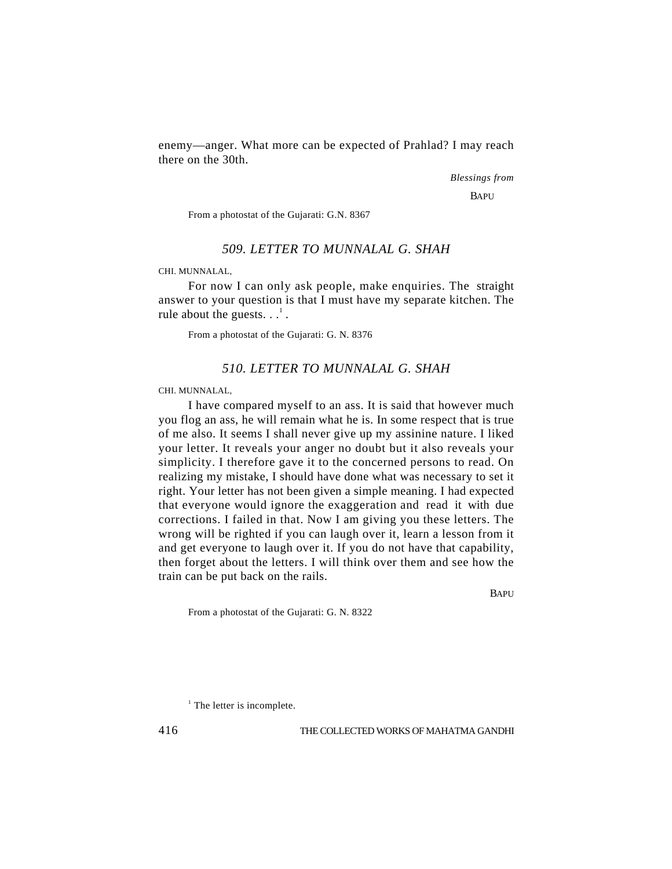enemy—anger. What more can be expected of Prahlad? I may reach there on the 30th.

*Blessings from*

**BAPU** 

From a photostat of the Gujarati: G.N. 8367

# *509. LETTER TO MUNNALAL G. SHAH*

CHI. MUNNALAL,

For now I can only ask people, make enquiries. The straight answer to your question is that I must have my separate kitchen. The rule about the guests.  $\cdot \cdot \cdot$ <sup>1</sup>.

From a photostat of the Gujarati: G. N. 8376

# *510. LETTER TO MUNNALAL G. SHAH*

CHI. MUNNALAL,

I have compared myself to an ass. It is said that however much you flog an ass, he will remain what he is. In some respect that is true of me also. It seems I shall never give up my assinine nature. I liked your letter. It reveals your anger no doubt but it also reveals your simplicity. I therefore gave it to the concerned persons to read. On realizing my mistake, I should have done what was necessary to set it right. Your letter has not been given a simple meaning. I had expected that everyone would ignore the exaggeration and read it with due corrections. I failed in that. Now I am giving you these letters. The wrong will be righted if you can laugh over it, learn a lesson from it and get everyone to laugh over it. If you do not have that capability, then forget about the letters. I will think over them and see how the train can be put back on the rails.

**BAPU** 

From a photostat of the Gujarati: G. N. 8322

<sup>1</sup> The letter is incomplete.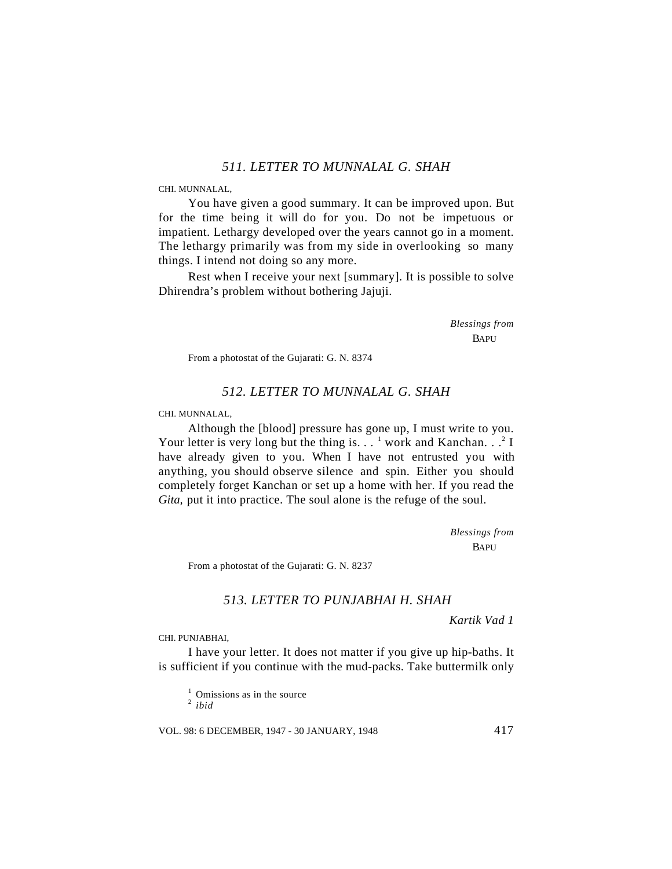CHI. MUNNALAL,

You have given a good summary. It can be improved upon. But for the time being it will do for you. Do not be impetuous or impatient. Lethargy developed over the years cannot go in a moment. The lethargy primarily was from my side in overlooking so many things. I intend not doing so any more.

Rest when I receive your next [summary]. It is possible to solve Dhirendra's problem without bothering Jajuji.

> *Blessings from* BAPU

From a photostat of the Gujarati: G. N. 8374

# *512. LETTER TO MUNNALAL G. SHAH*

CHI. MUNNALAL,

Although the [blood] pressure has gone up, I must write to you. Your letter is very long but the thing is.  $\ldots$ <sup>1</sup> work and Kanchan.  $\ldots$ <sup>2</sup> I have already given to you. When I have not entrusted you with anything, you should observe silence and spin. Either you should completely forget Kanchan or set up a home with her. If you read the *Gita*, put it into practice. The soul alone is the refuge of the soul.

> *Blessings from* **BAPU**

From a photostat of the Gujarati: G. N. 8237

### *513. LETTER TO PUNJABHAI H. SHAH*

*Kartik Vad 1*

#### CHI. PUNJABHAI,

I have your letter. It does not matter if you give up hip-baths. It is sufficient if you continue with the mud-packs. Take buttermilk only

<sup>1</sup> Omissions as in the source 2 *ibid*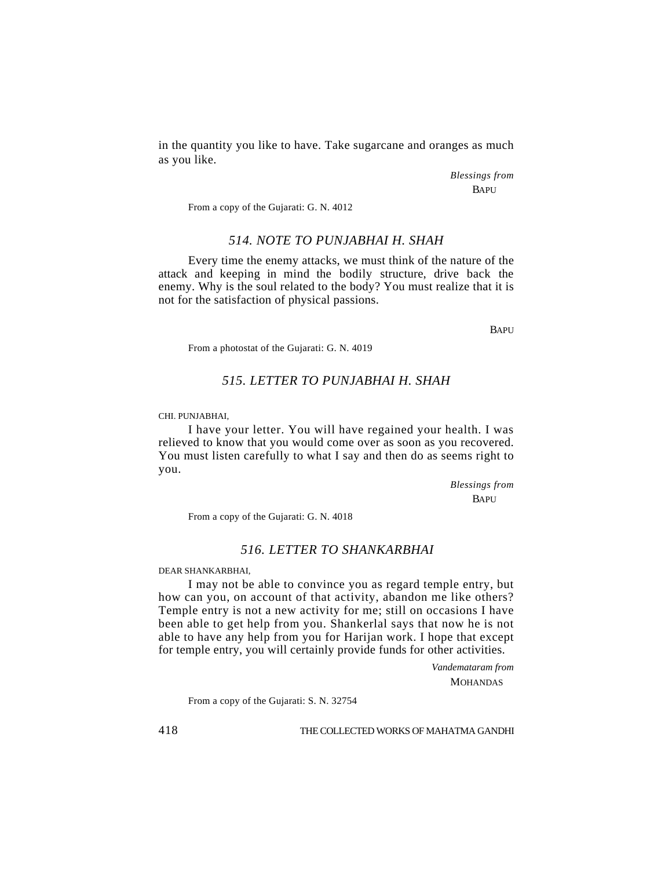in the quantity you like to have. Take sugarcane and oranges as much as you like.

> *Blessings from* **BAPU**

From a copy of the Gujarati: G. N. 4012

# *514. NOTE TO PUNJABHAI H. SHAH*

Every time the enemy attacks, we must think of the nature of the attack and keeping in mind the bodily structure, drive back the enemy. Why is the soul related to the body? You must realize that it is not for the satisfaction of physical passions.

**BAPU** 

From a photostat of the Gujarati: G. N. 4019

### *515. LETTER TO PUNJABHAI H. SHAH*

CHI. PUNJABHAI,

I have your letter. You will have regained your health. I was relieved to know that you would come over as soon as you recovered. You must listen carefully to what I say and then do as seems right to you.

> *Blessings from* **BAPU**

From a copy of the Gujarati: G. N. 4018

#### *516. LETTER TO SHANKARBHAI*

DEAR SHANKARBHAI,

I may not be able to convince you as regard temple entry, but how can you, on account of that activity, abandon me like others? Temple entry is not a new activity for me; still on occasions I have been able to get help from you. Shankerlal says that now he is not able to have any help from you for Harijan work. I hope that except for temple entry, you will certainly provide funds for other activities.

> *Vandemataram from* **MOHANDAS**

From a copy of the Gujarati: S. N. 32754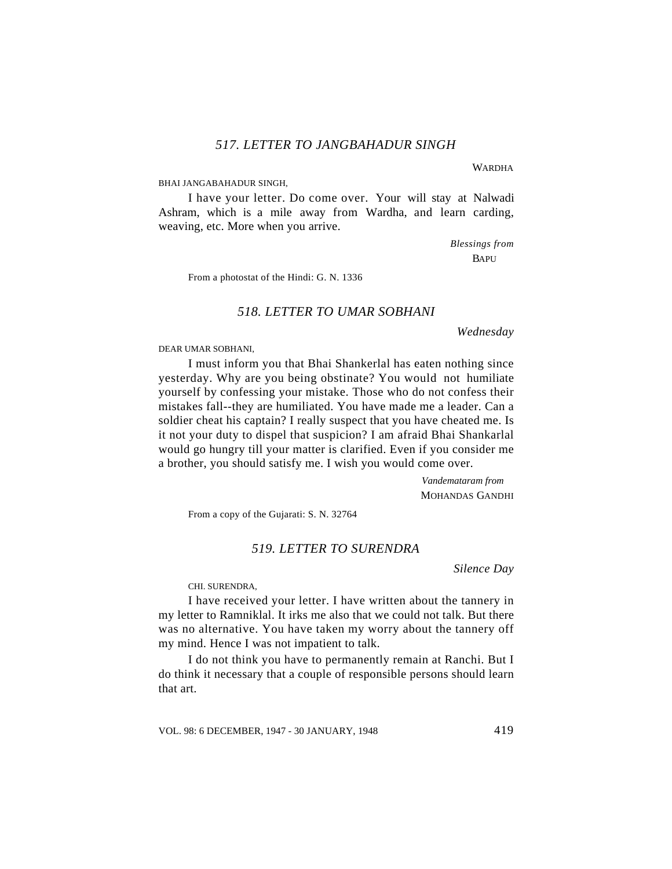**WARDHA** 

BHAI JANGABAHADUR SINGH,

I have your letter. Do come over. Your will stay at Nalwadi Ashram, which is a mile away from Wardha, and learn carding, weaving, etc. More when you arrive.

> *Blessings from* BAPU

From a photostat of the Hindi: G. N. 1336

### *518. LETTER TO UMAR SOBHANI*

*Wednesday*

DEAR UMAR SOBHANI,

I must inform you that Bhai Shankerlal has eaten nothing since yesterday. Why are you being obstinate? You would not humiliate yourself by confessing your mistake. Those who do not confess their mistakes fall--they are humiliated. You have made me a leader. Can a soldier cheat his captain? I really suspect that you have cheated me. Is it not your duty to dispel that suspicion? I am afraid Bhai Shankarlal would go hungry till your matter is clarified. Even if you consider me a brother, you should satisfy me. I wish you would come over.

> *Vandemataram from* MOHANDAS GANDHI

From a copy of the Gujarati: S. N. 32764

# *519. LETTER TO SURENDRA*

*Silence Day*

CHI. SURENDRA,

I have received your letter. I have written about the tannery in my letter to Ramniklal. It irks me also that we could not talk. But there was no alternative. You have taken my worry about the tannery off my mind. Hence I was not impatient to talk.

I do not think you have to permanently remain at Ranchi. But I do think it necessary that a couple of responsible persons should learn that art.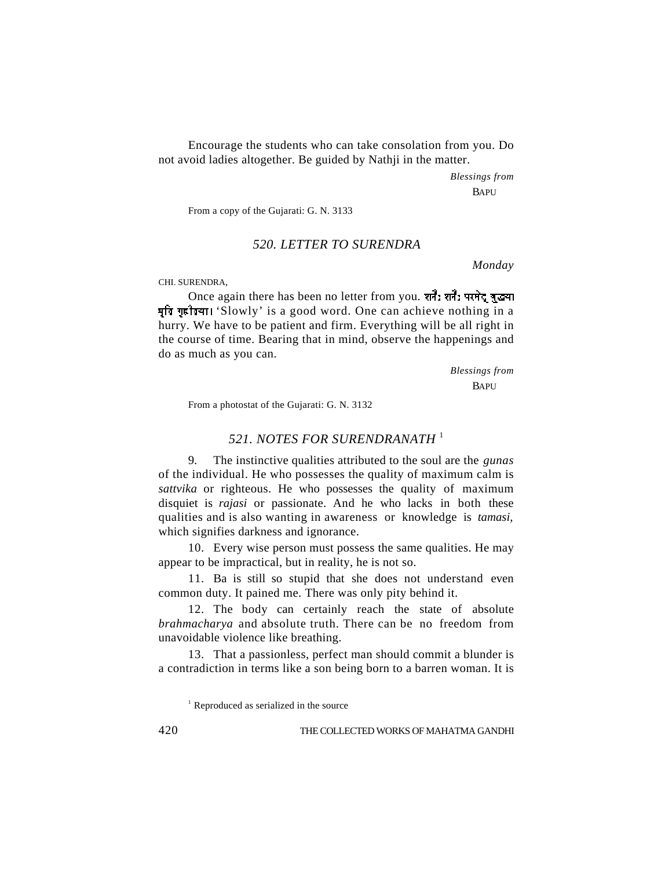Encourage the students who can take consolation from you. Do not avoid ladies altogether. Be guided by Nathji in the matter.

> *Blessings from* **BAPU**

From a copy of the Gujarati: G. N. 3133

# *520. LETTER TO SURENDRA*

*Monday*

CHI. SURENDRA,

Once again there has been no letter from you. 'Slowly' is a good word. One can achieve nothing in a hurry. We have to be patient and firm. Everything will be all right in the course of time. Bearing that in mind, observe the happenings and do as much as you can.

> *Blessings from* **BAPU**

From a photostat of the Gujarati: G. N. 3132

# *521. NOTES FOR SURENDRANATH* <sup>1</sup>

9. The instinctive qualities attributed to the soul are the *gunas* of the individual. He who possesses the quality of maximum calm is *sattvika* or righteous. He who possesses the quality of maximum disquiet is *rajasi* or passionate. And he who lacks in both these qualities and is also wanting in awareness or knowledge is *tamasi,* which signifies darkness and ignorance.

10. Every wise person must possess the same qualities. He may appear to be impractical, but in reality, he is not so.

11. Ba is still so stupid that she does not understand even common duty. It pained me. There was only pity behind it.

12. The body can certainly reach the state of absolute *brahmacharya* and absolute truth. There can be no freedom from unavoidable violence like breathing.

13. That a passionless, perfect man should commit a blunder is a contradiction in terms like a son being born to a barren woman. It is

<sup>1</sup> Reproduced as serialized in the source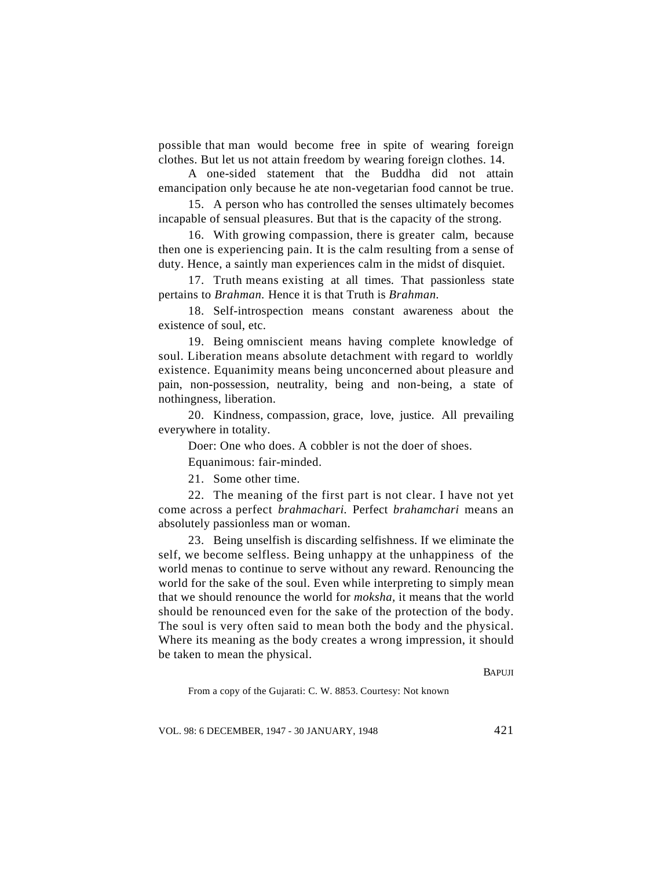possible that man would become free in spite of wearing foreign clothes. But let us not attain freedom by wearing foreign clothes. 14.

A one-sided statement that the Buddha did not attain emancipation only because he ate non-vegetarian food cannot be true.

15. A person who has controlled the senses ultimately becomes incapable of sensual pleasures. But that is the capacity of the strong.

16. With growing compassion, there is greater calm, because then one is experiencing pain. It is the calm resulting from a sense of duty. Hence, a saintly man experiences calm in the midst of disquiet.

17. Truth means existing at all times. That passionless state pertains to *Brahman.* Hence it is that Truth is *Brahman.*

18. Self-introspection means constant awareness about the existence of soul, etc.

19. Being omniscient means having complete knowledge of soul. Liberation means absolute detachment with regard to worldly existence. Equanimity means being unconcerned about pleasure and pain, non-possession, neutrality, being and non-being, a state of nothingness, liberation.

20. Kindness, compassion, grace, love, justice. All prevailing everywhere in totality.

Doer: One who does. A cobbler is not the doer of shoes.

Equanimous: fair-minded.

21. Some other time.

22. The meaning of the first part is not clear. I have not yet come across a perfect *brahmachari.* Perfect *brahamchari* means an absolutely passionless man or woman.

23. Being unselfish is discarding selfishness. If we eliminate the self, we become selfless. Being unhappy at the unhappiness of the world menas to continue to serve without any reward. Renouncing the world for the sake of the soul. Even while interpreting to simply mean that we should renounce the world for *moksha,* it means that the world should be renounced even for the sake of the protection of the body. The soul is very often said to mean both the body and the physical. Where its meaning as the body creates a wrong impression, it should be taken to mean the physical.

BAPUJI

From a copy of the Gujarati: C. W. 8853. Courtesy: Not known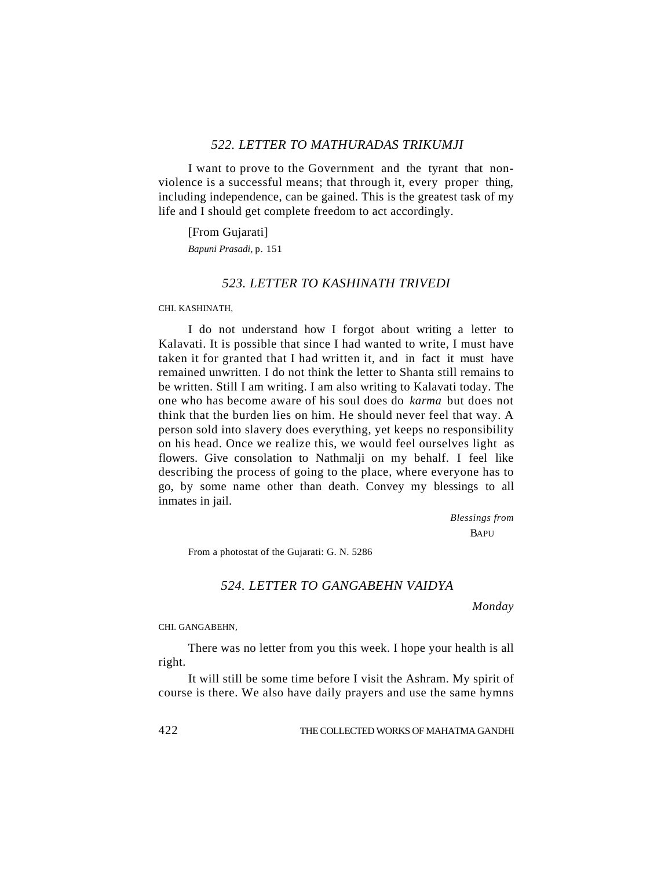#### *522. LETTER TO MATHURADAS TRIKUMJI*

I want to prove to the Government and the tyrant that nonviolence is a successful means; that through it, every proper thing, including independence, can be gained. This is the greatest task of my life and I should get complete freedom to act accordingly.

[From Gujarati] *Bapuni Prasadi,* p. 151

# *523. LETTER TO KASHINATH TRIVEDI*

CHI. KASHINATH,

I do not understand how I forgot about writing a letter to Kalavati. It is possible that since I had wanted to write, I must have taken it for granted that I had written it, and in fact it must have remained unwritten. I do not think the letter to Shanta still remains to be written. Still I am writing. I am also writing to Kalavati today. The one who has become aware of his soul does do *karma* but does not think that the burden lies on him. He should never feel that way. A person sold into slavery does everything, yet keeps no responsibility on his head. Once we realize this, we would feel ourselves light as flowers. Give consolation to Nathmalji on my behalf. I feel like describing the process of going to the place, where everyone has to go, by some name other than death. Convey my blessings to all inmates in jail.

> *Blessings from* **BAPU**

From a photostat of the Gujarati: G. N. 5286

# *524. LETTER TO GANGABEHN VAIDYA*

*Monday*

CHI. GANGABEHN,

There was no letter from you this week. I hope your health is all right.

It will still be some time before I visit the Ashram. My spirit of course is there. We also have daily prayers and use the same hymns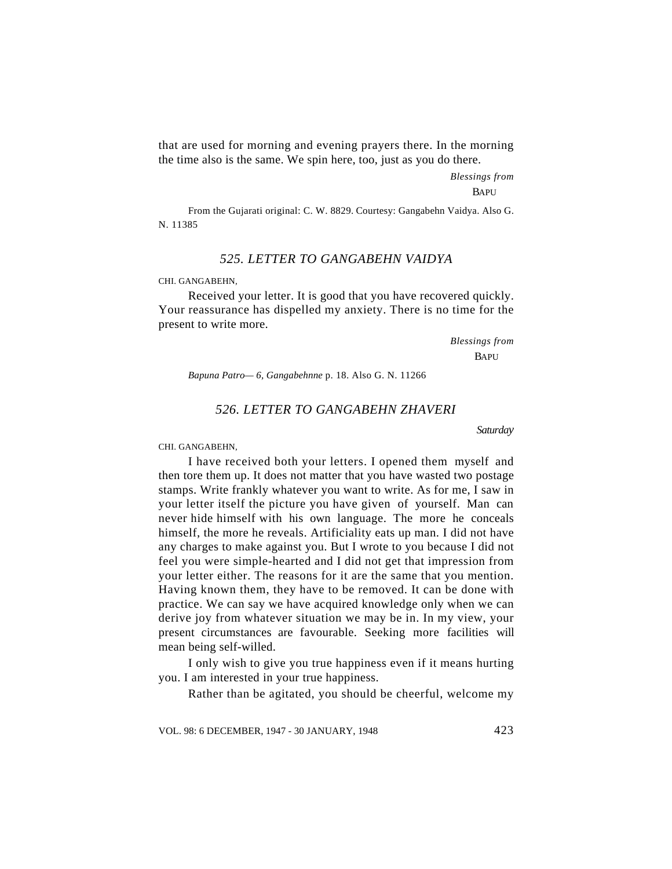that are used for morning and evening prayers there. In the morning the time also is the same. We spin here, too, just as you do there.

> *Blessings from* **BAPU**

From the Gujarati original: C. W. 8829. Courtesy: Gangabehn Vaidya. Also G. N. 11385

# *525. LETTER TO GANGABEHN VAIDYA*

CHI. GANGABEHN,

Received your letter. It is good that you have recovered quickly. Your reassurance has dispelled my anxiety. There is no time for the present to write more.

> *Blessings from* **BAPU**

*Bapuna Patro— 6, Gangabehnne* p. 18. Also G. N. 11266

#### *526. LETTER TO GANGABEHN ZHAVERI*

*Saturday*

CHI. GANGABEHN,

I have received both your letters. I opened them myself and then tore them up. It does not matter that you have wasted two postage stamps. Write frankly whatever you want to write. As for me, I saw in your letter itself the picture you have given of yourself. Man can never hide himself with his own language. The more he conceals himself, the more he reveals. Artificiality eats up man. I did not have any charges to make against you. But I wrote to you because I did not feel you were simple-hearted and I did not get that impression from your letter either. The reasons for it are the same that you mention. Having known them, they have to be removed. It can be done with practice. We can say we have acquired knowledge only when we can derive joy from whatever situation we may be in. In my view, your present circumstances are favourable. Seeking more facilities will mean being self-willed.

I only wish to give you true happiness even if it means hurting you. I am interested in your true happiness.

Rather than be agitated, you should be cheerful, welcome my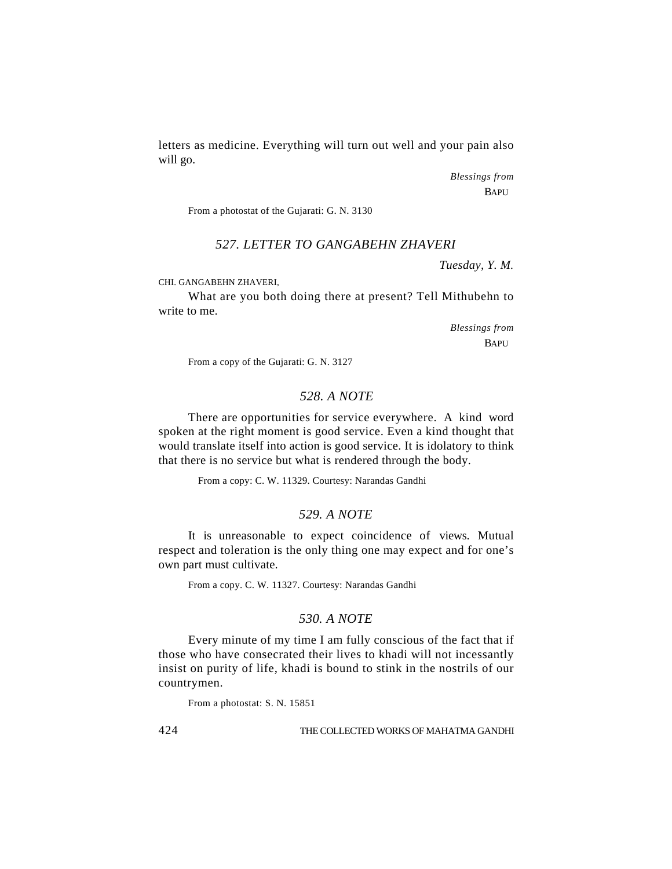letters as medicine. Everything will turn out well and your pain also will go.

> *Blessings from* **BAPU**

From a photostat of the Gujarati: G. N. 3130

### *527. LETTER TO GANGABEHN ZHAVERI*

*Tuesday, Y. M.*

CHI. GANGABEHN ZHAVERI,

What are you both doing there at present? Tell Mithubehn to write to me.

> *Blessings from* **BAPU**

From a copy of the Gujarati: G. N. 3127

# *528. A NOTE*

There are opportunities for service everywhere. A kind word spoken at the right moment is good service. Even a kind thought that would translate itself into action is good service. It is idolatory to think that there is no service but what is rendered through the body.

From a copy: C. W. 11329. Courtesy: Narandas Gandhi

# *529. A NOTE*

It is unreasonable to expect coincidence of views. Mutual respect and toleration is the only thing one may expect and for one's own part must cultivate.

From a copy. C. W. 11327. Courtesy: Narandas Gandhi

# *530. A NOTE*

Every minute of my time I am fully conscious of the fact that if those who have consecrated their lives to khadi will not incessantly insist on purity of life, khadi is bound to stink in the nostrils of our countrymen.

From a photostat: S. N. 15851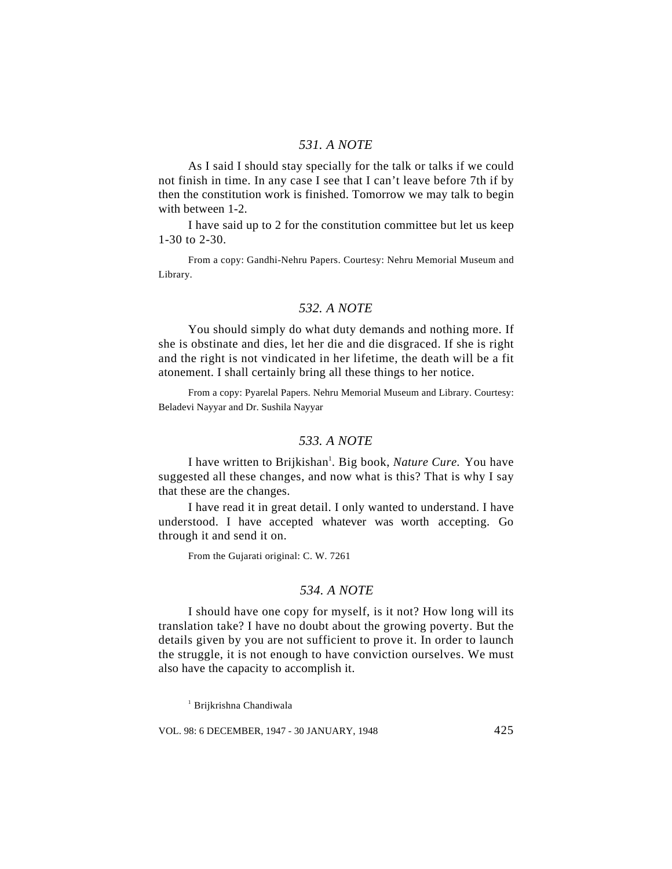# *531. A NOTE*

As I said I should stay specially for the talk or talks if we could not finish in time. In any case I see that I can't leave before 7th if by then the constitution work is finished. Tomorrow we may talk to begin with between 1-2.

I have said up to 2 for the constitution committee but let us keep 1-30 to 2-30.

From a copy: Gandhi-Nehru Papers. Courtesy: Nehru Memorial Museum and Library.

# *532. A NOTE*

You should simply do what duty demands and nothing more. If she is obstinate and dies, let her die and die disgraced. If she is right and the right is not vindicated in her lifetime, the death will be a fit atonement. I shall certainly bring all these things to her notice.

From a copy: Pyarelal Papers. Nehru Memorial Museum and Library. Courtesy: Beladevi Nayyar and Dr. Sushila Nayyar

### *533. A NOTE*

I have written to Brijkishan<sup>1</sup>. Big book, Nature Cure. You have suggested all these changes, and now what is this? That is why I say that these are the changes.

I have read it in great detail. I only wanted to understand. I have understood. I have accepted whatever was worth accepting. Go through it and send it on.

From the Gujarati original: C. W. 7261

# *534. A NOTE*

I should have one copy for myself, is it not? How long will its translation take? I have no doubt about the growing poverty. But the details given by you are not sufficient to prove it. In order to launch the struggle, it is not enough to have conviction ourselves. We must also have the capacity to accomplish it.

<sup>1</sup> Brijkrishna Chandiwala

VOL. 98: 6 DECEMBER, 1947 - 30 JANUARY, 1948 425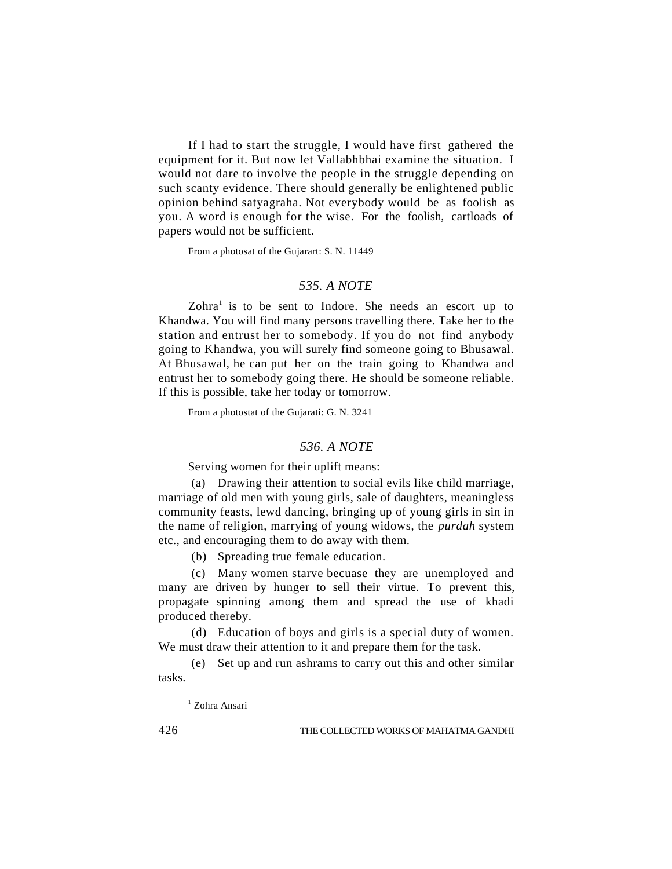If I had to start the struggle, I would have first gathered the equipment for it. But now let Vallabhbhai examine the situation. I would not dare to involve the people in the struggle depending on such scanty evidence. There should generally be enlightened public opinion behind satyagraha. Not everybody would be as foolish as you. A word is enough for the wise. For the foolish, cartloads of papers would not be sufficient.

From a photosat of the Gujarart: S. N. 11449

# *535. A NOTE*

Zohra<sup>1</sup> is to be sent to Indore. She needs an escort up to Khandwa. You will find many persons travelling there. Take her to the station and entrust her to somebody. If you do not find anybody going to Khandwa, you will surely find someone going to Bhusawal. At Bhusawal, he can put her on the train going to Khandwa and entrust her to somebody going there. He should be someone reliable. If this is possible, take her today or tomorrow.

From a photostat of the Gujarati: G. N. 3241

# *536. A NOTE*

Serving women for their uplift means:

 (a) Drawing their attention to social evils like child marriage, marriage of old men with young girls, sale of daughters, meaningless community feasts, lewd dancing, bringing up of young girls in sin in the name of religion, marrying of young widows, the *purdah* system etc., and encouraging them to do away with them.

(b) Spreading true female education.

 (c) Many women starve becuase they are unemployed and many are driven by hunger to sell their virtue. To prevent this, propagate spinning among them and spread the use of khadi produced thereby.

 (d) Education of boys and girls is a special duty of women. We must draw their attention to it and prepare them for the task.

 (e) Set up and run ashrams to carry out this and other similar tasks.

1 Zohra Ansari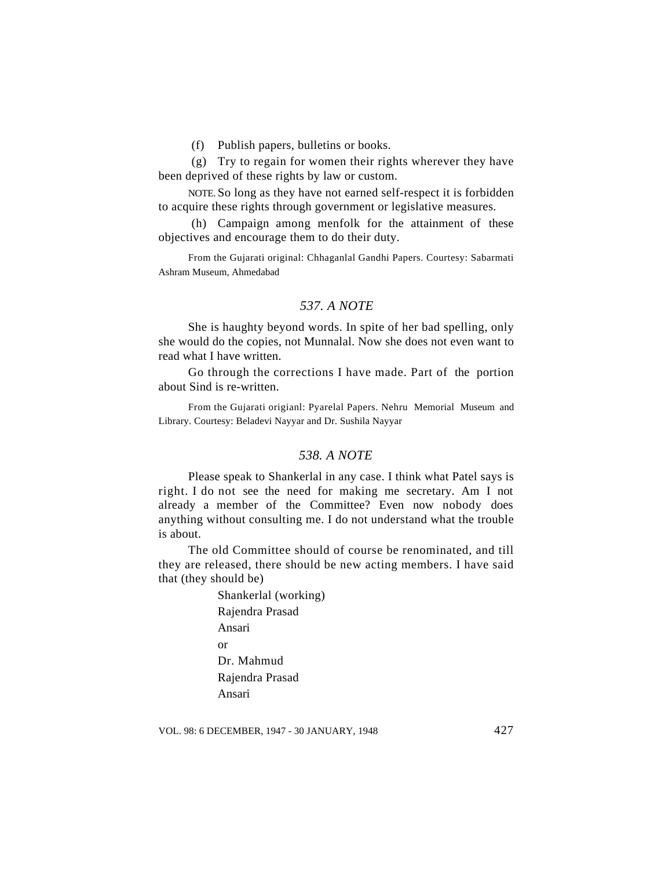(f) Publish papers, bulletins or books.

 (g) Try to regain for women their rights wherever they have been deprived of these rights by law or custom.

NOTE. So long as they have not earned self-respect it is forbidden to acquire these rights through government or legislative measures.

 (h) Campaign among menfolk for the attainment of these objectives and encourage them to do their duty.

From the Gujarati original: Chhaganlal Gandhi Papers. Courtesy: Sabarmati Ashram Museum, Ahmedabad

# *537. A NOTE*

She is haughty beyond words. In spite of her bad spelling, only she would do the copies, not Munnalal. Now she does not even want to read what I have written.

Go through the corrections I have made. Part of the portion about Sind is re-written.

From the Gujarati origianl: Pyarelal Papers. Nehru Memorial Museum and Library. Courtesy: Beladevi Nayyar and Dr. Sushila Nayyar

# *538. A NOTE*

Please speak to Shankerlal in any case. I think what Patel says is right. I do not see the need for making me secretary. Am I not already a member of the Committee? Even now nobody does anything without consulting me. I do not understand what the trouble is about.

The old Committee should of course be renominated, and till they are released, there should be new acting members. I have said that (they should be)

> Shankerlal (working) Rajendra Prasad Ansari or Dr. Mahmud Rajendra Prasad Ansari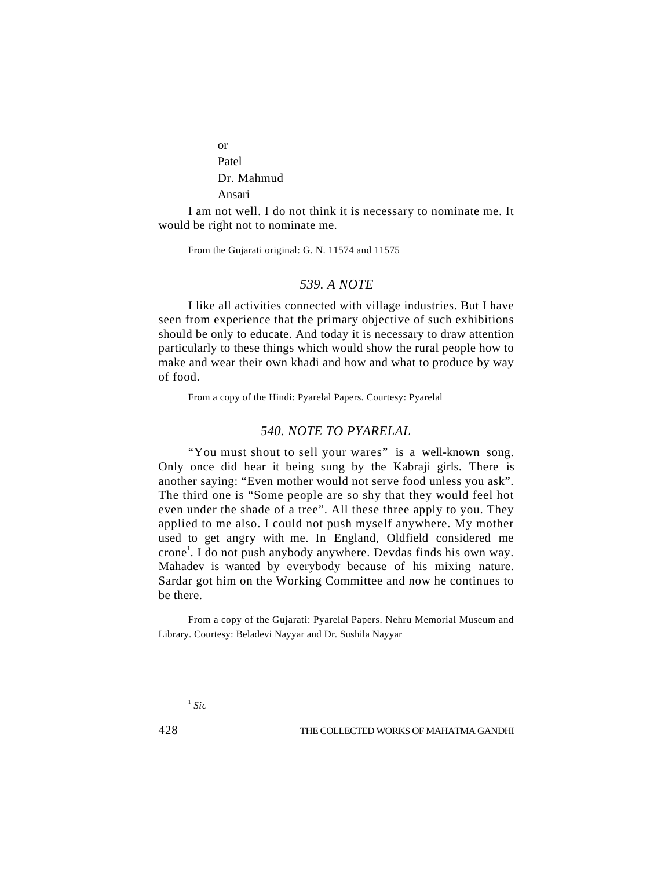or Patel Dr. Mahmud Ansari

I am not well. I do not think it is necessary to nominate me. It would be right not to nominate me.

From the Gujarati original: G. N. 11574 and 11575

# *539. A NOTE*

I like all activities connected with village industries. But I have seen from experience that the primary objective of such exhibitions should be only to educate. And today it is necessary to draw attention particularly to these things which would show the rural people how to make and wear their own khadi and how and what to produce by way of food.

From a copy of the Hindi: Pyarelal Papers. Courtesy: Pyarelal

#### *540. NOTE TO PYARELAL*

"You must shout to sell your wares" is a well-known song. Only once did hear it being sung by the Kabraji girls. There is another saying: "Even mother would not serve food unless you ask". The third one is "Some people are so shy that they would feel hot even under the shade of a tree". All these three apply to you. They applied to me also. I could not push myself anywhere. My mother used to get angry with me. In England, Oldfield considered me crone<sup>1</sup>. I do not push anybody anywhere. Devdas finds his own way. Mahadev is wanted by everybody because of his mixing nature. Sardar got him on the Working Committee and now he continues to be there.

From a copy of the Gujarati: Pyarelal Papers. Nehru Memorial Museum and Library. Courtesy: Beladevi Nayyar and Dr. Sushila Nayyar

1 *Sic*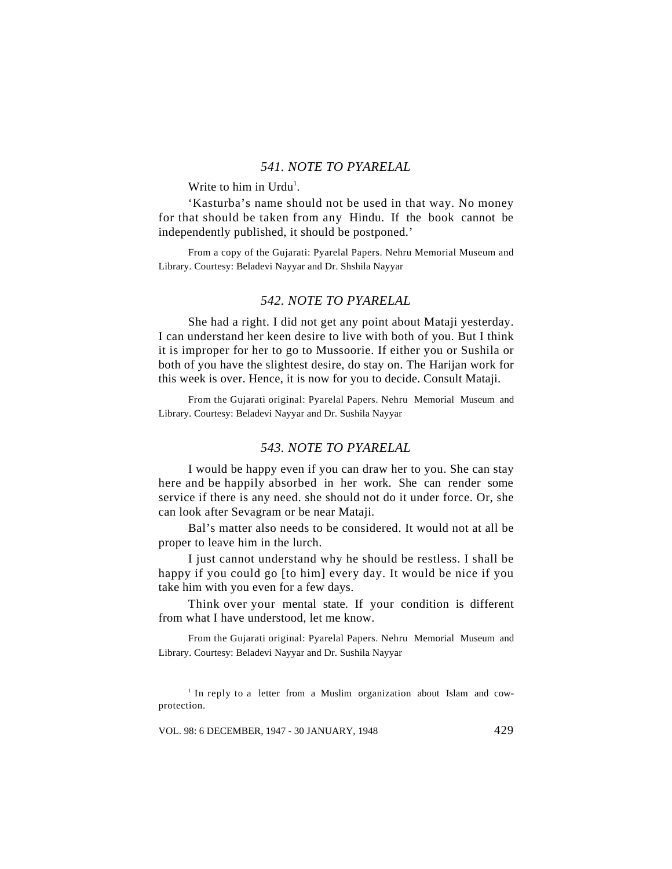# *541. NOTE TO PYARELAL*

Write to him in Urdu<sup>1</sup>.

'Kasturba's name should not be used in that way. No money for that should be taken from any Hindu. If the book cannot be independently published, it should be postponed.'

From a copy of the Gujarati: Pyarelal Papers. Nehru Memorial Museum and Library. Courtesy: Beladevi Nayyar and Dr. Shshila Nayyar

# *542. NOTE TO PYARELAL*

She had a right. I did not get any point about Mataji yesterday. I can understand her keen desire to live with both of you. But I think it is improper for her to go to Mussoorie. If either you or Sushila or both of you have the slightest desire, do stay on. The Harijan work for this week is over. Hence, it is now for you to decide. Consult Mataji.

From the Gujarati original: Pyarelal Papers. Nehru Memorial Museum and Library. Courtesy: Beladevi Nayyar and Dr. Sushila Nayyar

# *543. NOTE TO PYARELAL*

I would be happy even if you can draw her to you. She can stay here and be happily absorbed in her work. She can render some service if there is any need. she should not do it under force. Or, she can look after Sevagram or be near Mataji.

Bal's matter also needs to be considered. It would not at all be proper to leave him in the lurch.

I just cannot understand why he should be restless. I shall be happy if you could go [to him] every day. It would be nice if you take him with you even for a few days.

Think over your mental state. If your condition is different from what I have understood, let me know.

From the Gujarati original: Pyarelal Papers. Nehru Memorial Museum and Library. Courtesy: Beladevi Nayyar and Dr. Sushila Nayyar

<sup>1</sup> In reply to a letter from a Muslim organization about Islam and cowprotection.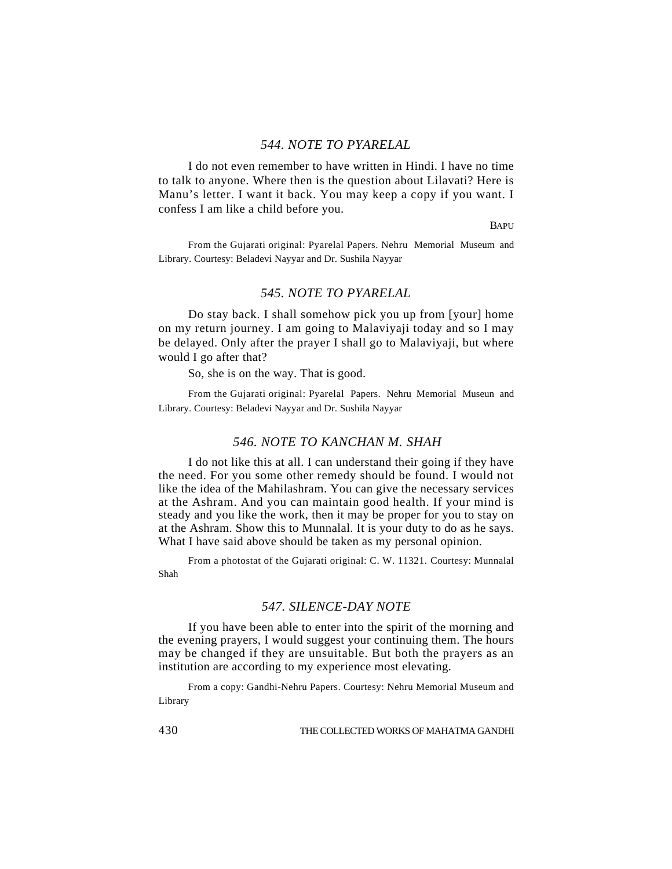# *544. NOTE TO PYARELAL*

I do not even remember to have written in Hindi. I have no time to talk to anyone. Where then is the question about Lilavati? Here is Manu's letter. I want it back. You may keep a copy if you want. I confess I am like a child before you.

**BAPU** 

From the Gujarati original: Pyarelal Papers. Nehru Memorial Museum and Library. Courtesy: Beladevi Nayyar and Dr. Sushila Nayyar

# *545. NOTE TO PYARELAL*

Do stay back. I shall somehow pick you up from [your] home on my return journey. I am going to Malaviyaji today and so I may be delayed. Only after the prayer I shall go to Malaviyaji, but where would I go after that?

So, she is on the way. That is good.

From the Gujarati original: Pyarelal Papers. Nehru Memorial Museun and Library. Courtesy: Beladevi Nayyar and Dr. Sushila Nayyar

# *546. NOTE TO KANCHAN M. SHAH*

I do not like this at all. I can understand their going if they have the need. For you some other remedy should be found. I would not like the idea of the Mahilashram. You can give the necessary services at the Ashram. And you can maintain good health. If your mind is steady and you like the work, then it may be proper for you to stay on at the Ashram. Show this to Munnalal. It is your duty to do as he says. What I have said above should be taken as my personal opinion.

From a photostat of the Gujarati original: C. W. 11321. Courtesy: Munnalal Shah

#### *547. SILENCE-DAY NOTE*

If you have been able to enter into the spirit of the morning and the evening prayers, I would suggest your continuing them. The hours may be changed if they are unsuitable. But both the prayers as an institution are according to my experience most elevating.

From a copy: Gandhi-Nehru Papers. Courtesy: Nehru Memorial Museum and Library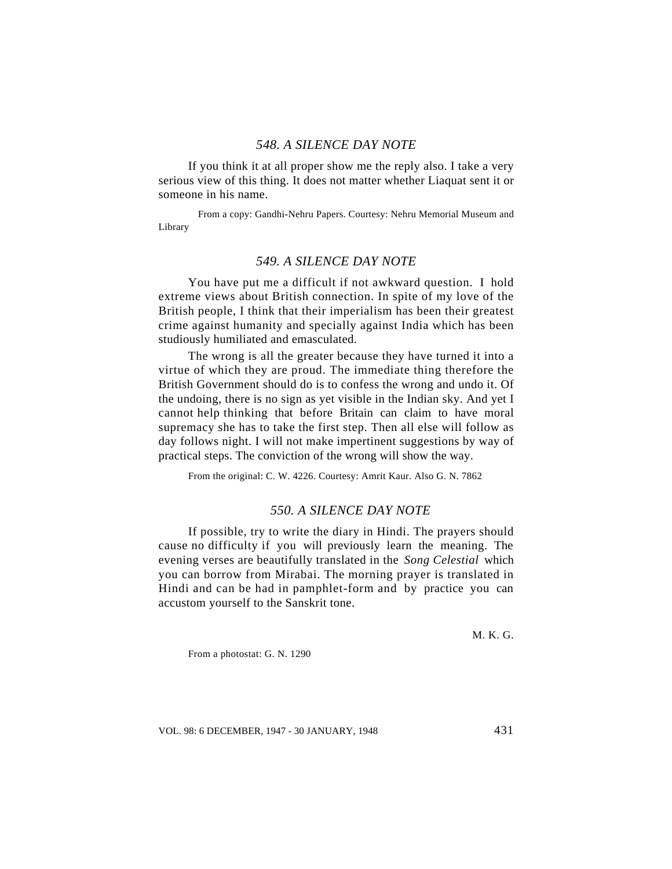# *548. A SILENCE DAY NOTE*

If you think it at all proper show me the reply also. I take a very serious view of this thing. It does not matter whether Liaquat sent it or someone in his name.

From a copy: Gandhi-Nehru Papers. Courtesy: Nehru Memorial Museum and Library

# *549. A SILENCE DAY NOTE*

You have put me a difficult if not awkward question. I hold extreme views about British connection. In spite of my love of the British people, I think that their imperialism has been their greatest crime against humanity and specially against India which has been studiously humiliated and emasculated.

The wrong is all the greater because they have turned it into a virtue of which they are proud. The immediate thing therefore the British Government should do is to confess the wrong and undo it. Of the undoing, there is no sign as yet visible in the Indian sky. And yet I cannot help thinking that before Britain can claim to have moral supremacy she has to take the first step. Then all else will follow as day follows night. I will not make impertinent suggestions by way of practical steps. The conviction of the wrong will show the way.

From the original: C. W. 4226. Courtesy: Amrit Kaur. Also G. N. 7862

#### *550. A SILENCE DAY NOTE*

If possible, try to write the diary in Hindi. The prayers should cause no difficulty if you will previously learn the meaning. The evening verses are beautifully translated in the *Song Celestial* which you can borrow from Mirabai. The morning prayer is translated in Hindi and can be had in pamphlet-form and by practice you can accustom yourself to the Sanskrit tone.

M. K. G.

From a photostat: G. N. 1290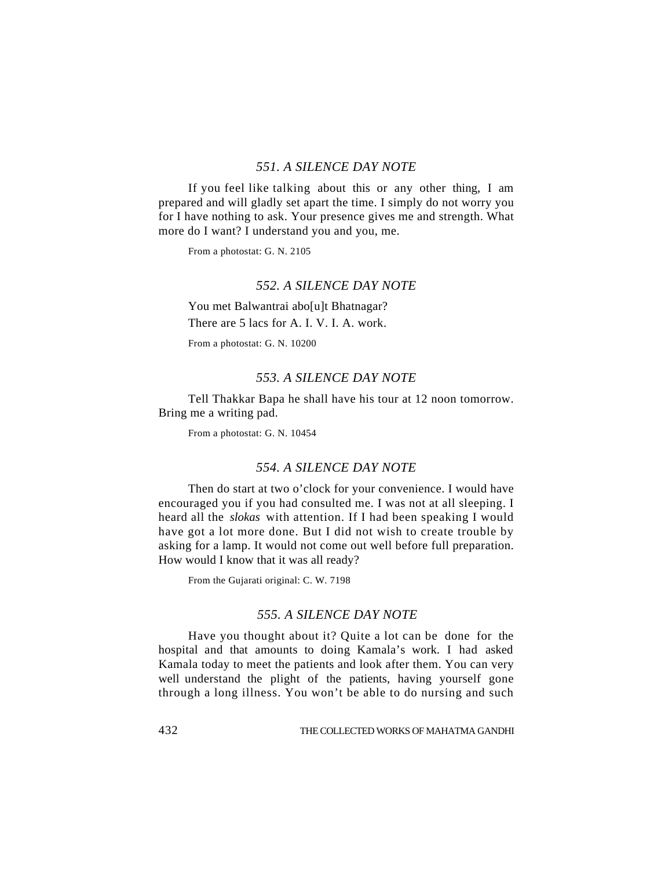#### *551. A SILENCE DAY NOTE*

If you feel like talking about this or any other thing, I am prepared and will gladly set apart the time. I simply do not worry you for I have nothing to ask. Your presence gives me and strength. What more do I want? I understand you and you, me.

From a photostat: G. N. 2105

#### *552. A SILENCE DAY NOTE*

You met Balwantrai abo[u]t Bhatnagar? There are 5 lacs for A. I. V. I. A. work.

From a photostat: G. N. 10200

#### *553. A SILENCE DAY NOTE*

Tell Thakkar Bapa he shall have his tour at 12 noon tomorrow. Bring me a writing pad.

From a photostat: G. N. 10454

### *554. A SILENCE DAY NOTE*

Then do start at two o'clock for your convenience. I would have encouraged you if you had consulted me. I was not at all sleeping. I heard all the *slokas* with attention. If I had been speaking I would have got a lot more done. But I did not wish to create trouble by asking for a lamp. It would not come out well before full preparation. How would I know that it was all ready?

From the Gujarati original: C. W. 7198

#### *555. A SILENCE DAY NOTE*

Have you thought about it? Quite a lot can be done for the hospital and that amounts to doing Kamala's work. I had asked Kamala today to meet the patients and look after them. You can very well understand the plight of the patients, having yourself gone through a long illness. You won't be able to do nursing and such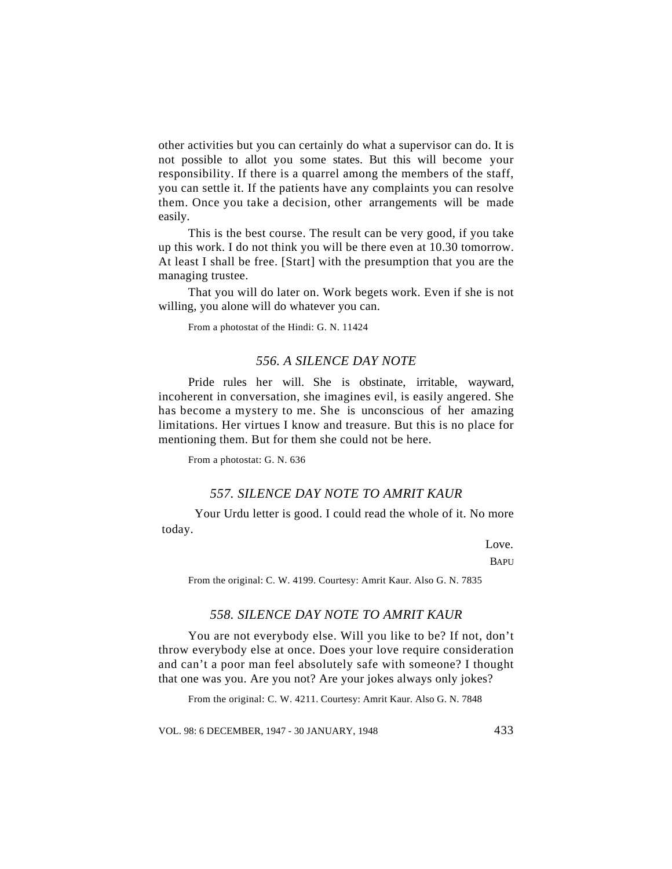other activities but you can certainly do what a supervisor can do. It is not possible to allot you some states. But this will become your responsibility. If there is a quarrel among the members of the staff, you can settle it. If the patients have any complaints you can resolve them. Once you take a decision, other arrangements will be made easily.

This is the best course. The result can be very good, if you take up this work. I do not think you will be there even at 10.30 tomorrow. At least I shall be free. [Start] with the presumption that you are the managing trustee.

That you will do later on. Work begets work. Even if she is not willing, you alone will do whatever you can.

From a photostat of the Hindi: G. N. 11424

# *556. A SILENCE DAY NOTE*

Pride rules her will. She is obstinate, irritable, wayward, incoherent in conversation, she imagines evil, is easily angered. She has become a mystery to me. She is unconscious of her amazing limitations. Her virtues I know and treasure. But this is no place for mentioning them. But for them she could not be here.

From a photostat: G. N. 636

## *557. SILENCE DAY NOTE TO AMRIT KAUR*

Your Urdu letter is good. I could read the whole of it. No more today.

> Love. **BAPU**

From the original: C. W. 4199. Courtesy: Amrit Kaur. Also G. N. 7835

## *558. SILENCE DAY NOTE TO AMRIT KAUR*

You are not everybody else. Will you like to be? If not, don't throw everybody else at once. Does your love require consideration and can't a poor man feel absolutely safe with someone? I thought that one was you. Are you not? Are your jokes always only jokes?

From the original: C. W. 4211. Courtesy: Amrit Kaur. Also G. N. 7848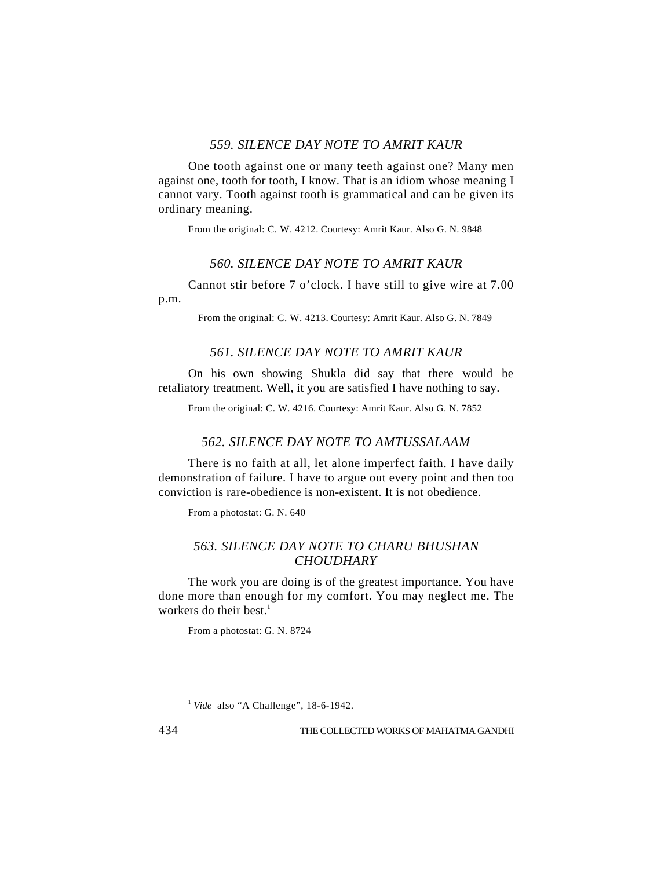# *559. SILENCE DAY NOTE TO AMRIT KAUR*

One tooth against one or many teeth against one? Many men against one, tooth for tooth, I know. That is an idiom whose meaning I cannot vary. Tooth against tooth is grammatical and can be given its ordinary meaning.

From the original: C. W. 4212. Courtesy: Amrit Kaur. Also G. N. 9848

# *560. SILENCE DAY NOTE TO AMRIT KAUR*

Cannot stir before 7 o'clock. I have still to give wire at 7.00 p.m.

From the original: C. W. 4213. Courtesy: Amrit Kaur. Also G. N. 7849

## *561. SILENCE DAY NOTE TO AMRIT KAUR*

On his own showing Shukla did say that there would be retaliatory treatment. Well, it you are satisfied I have nothing to say.

From the original: C. W. 4216. Courtesy: Amrit Kaur. Also G. N. 7852

## *562. SILENCE DAY NOTE TO AMTUSSALAAM*

There is no faith at all, let alone imperfect faith. I have daily demonstration of failure. I have to argue out every point and then too conviction is rare-obedience is non-existent. It is not obedience.

From a photostat: G. N. 640

# *563. SILENCE DAY NOTE TO CHARU BHUSHAN CHOUDHARY*

The work you are doing is of the greatest importance. You have done more than enough for my comfort. You may neglect me. The workers do their best. $<sup>1</sup>$ </sup>

From a photostat: G. N. 8724

<sup>1</sup> *Vide* also "A Challenge", 18-6-1942.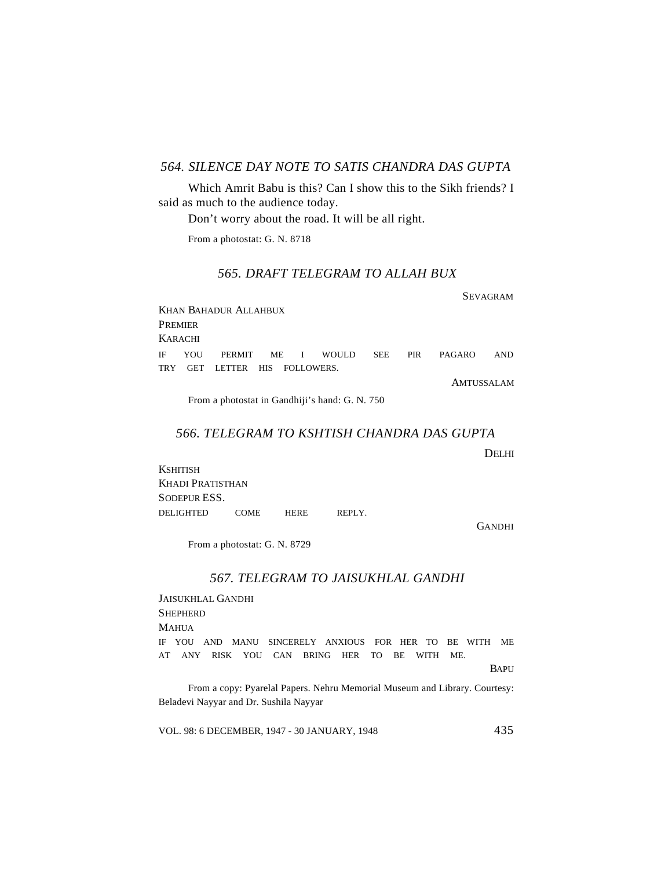## *564. SILENCE DAY NOTE TO SATIS CHANDRA DAS GUPTA*

Which Amrit Babu is this? Can I show this to the Sikh friends? I said as much to the audience today.

Don't worry about the road. It will be all right.

From a photostat: G. N. 8718

# *565. DRAFT TELEGRAM TO ALLAH BUX*

KHAN BAHADUR ALLAHBUX PREMIER **KARACHI** IF YOU PERMIT ME I WOULD SEE PIR PAGARO AND TRY GET LETTER HIS FOLLOWERS. AMTUSSALAM From a photostat in Gandhiji's hand: G. N. 750

## *566. TELEGRAM TO KSHTISH CHANDRA DAS GUPTA*

DELHI

SEVAGRAM

**KSHITISH** KHADI PRATISTHAN SODEPUR ESS. DELIGHTED COME HERE REPLY.

GANDHI

From a photostat: G. N. 8729

## *567. TELEGRAM TO JAISUKHLAL GANDHI*

JAISUKHLAL GANDHI **SHEPHERD** MAHUA IF YOU AND MANU SINCERELY ANXIOUS FOR HER TO BE WITH ME AT ANY RISK YOU CAN BRING HER TO BE WITH ME. **BAPU** 

From a copy: Pyarelal Papers. Nehru Memorial Museum and Library. Courtesy: Beladevi Nayyar and Dr. Sushila Nayyar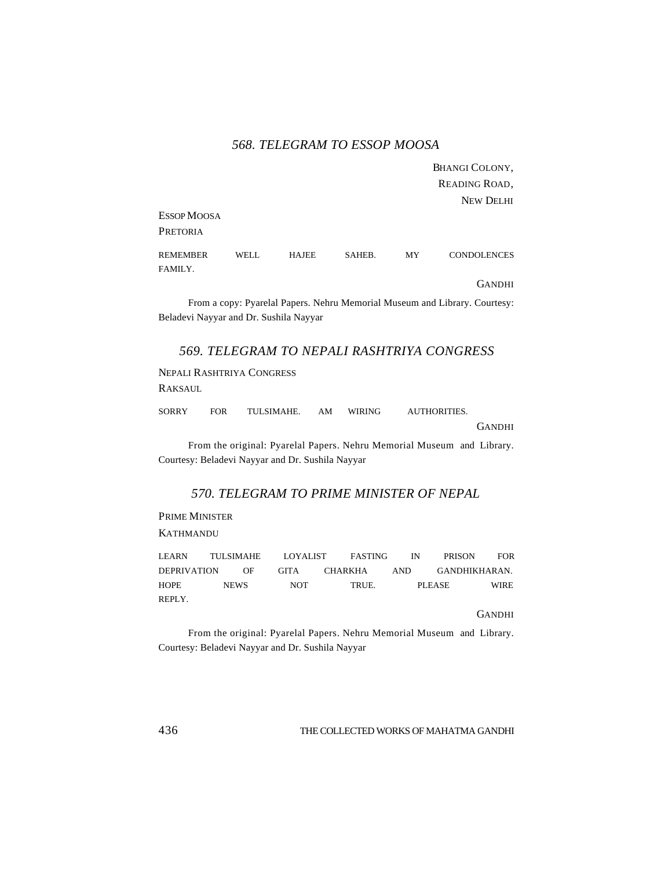# *568. TELEGRAM TO ESSOP MOOSA*

BHANGI COLONY, READING ROAD, NEW DELHI ESSOP MOOSA PRETORIA REMEMBER WELL HAJEE SAHEB. MY CONDOLENCES FAMILY. GANDHI

From a copy: Pyarelal Papers. Nehru Memorial Museum and Library. Courtesy: Beladevi Nayyar and Dr. Sushila Nayyar

### *569. TELEGRAM TO NEPALI RASHTRIYA CONGRESS*

NEPALI RASHTRIYA CONGRESS RAKSAUL

SORRY FOR TULSIMAHE. AM WIRING AUTHORITIES.

GANDHI

From the original: Pyarelal Papers. Nehru Memorial Museum and Library. Courtesy: Beladevi Nayyar and Dr. Sushila Nayyar

## *570. TELEGRAM TO PRIME MINISTER OF NEPAL*

PRIME MINISTER

**KATHMANDU** 

| LEARN       | TULSIMAHE   | LOYALIST | FASTING | IN  | <b>PRISON</b> | <b>FOR</b> |
|-------------|-------------|----------|---------|-----|---------------|------------|
| DEPRIVATION | ΩF          | GITA     | CHARKHA | AND | GANDHIKHARAN. |            |
| HOPE        | <b>NEWS</b> | NOT.     | TRUE.   |     | <b>PLEASE</b> | WIRE       |
| REPLY.      |             |          |         |     |               |            |
|             |             |          |         |     |               |            |

GANDHI

From the original: Pyarelal Papers. Nehru Memorial Museum and Library. Courtesy: Beladevi Nayyar and Dr. Sushila Nayyar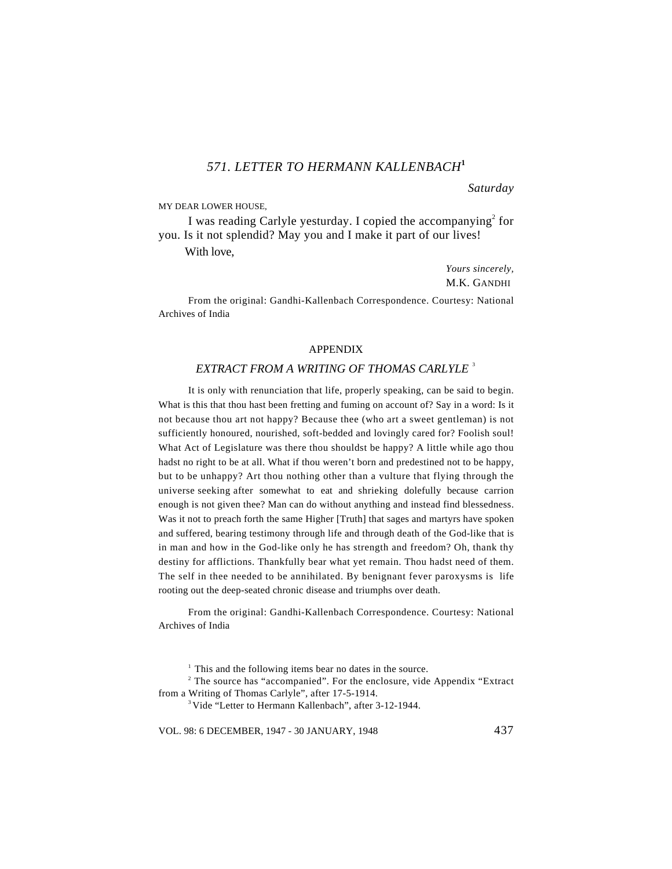*Saturday*

MY DEAR LOWER HOUSE,

I was reading Carlyle yesturday. I copied the accompanying<sup>2</sup> for you. Is it not splendid? May you and I make it part of our lives! With love,

> *Yours sincerely,* M.K. GANDHI

From the original: Gandhi-Kallenbach Correspondence. Courtesy: National Archives of India

#### APPENDIX

### *EXTRACT FROM A WRITING OF THOMAS CARLYLE* <sup>3</sup>

It is only with renunciation that life, properly speaking, can be said to begin. What is this that thou hast been fretting and fuming on account of? Say in a word: Is it not because thou art not happy? Because thee (who art a sweet gentleman) is not sufficiently honoured, nourished, soft-bedded and lovingly cared for? Foolish soul! What Act of Legislature was there thou shouldst be happy? A little while ago thou hadst no right to be at all. What if thou weren't born and predestined not to be happy, but to be unhappy? Art thou nothing other than a vulture that flying through the universe seeking after somewhat to eat and shrieking dolefully because carrion enough is not given thee? Man can do without anything and instead find blessedness. Was it not to preach forth the same Higher [Truth] that sages and martyrs have spoken and suffered, bearing testimony through life and through death of the God-like that is in man and how in the God-like only he has strength and freedom? Oh, thank thy destiny for afflictions. Thankfully bear what yet remain. Thou hadst need of them. The self in thee needed to be annihilated. By benignant fever paroxysms is life rooting out the deep-seated chronic disease and triumphs over death.

From the original: Gandhi-Kallenbach Correspondence. Courtesy: National Archives of India

 $<sup>1</sup>$  This and the following items bear no dates in the source.</sup>

<sup>2</sup> The source has "accompanied". For the enclosure, vide Appendix "Extract from a Writing of Thomas Carlyle", after 17-5-1914.

<sup>3</sup> Vide "Letter to Hermann Kallenbach", after 3-12-1944.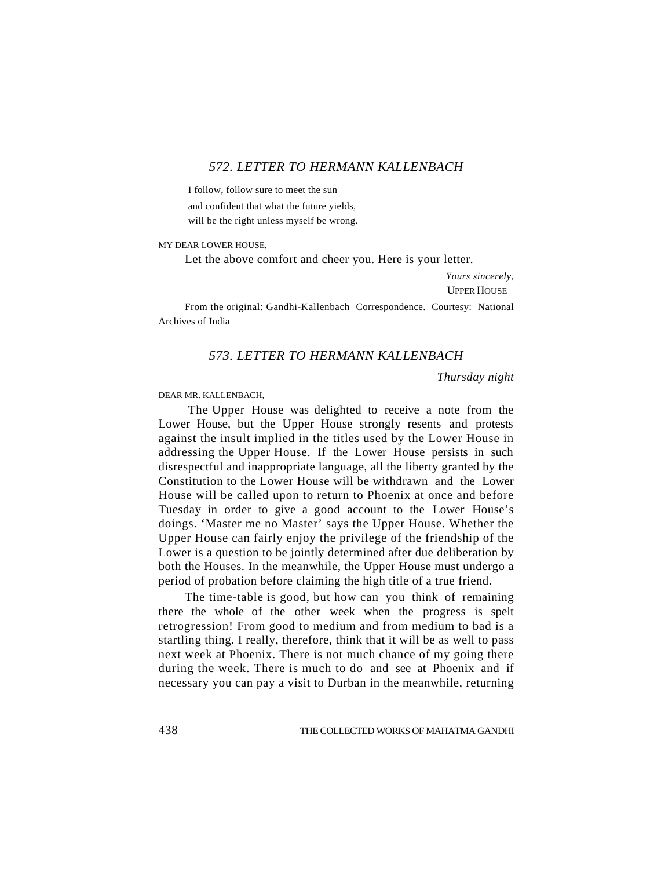# *572. LETTER TO HERMANN KALLENBACH*

I follow, follow sure to meet the sun

and confident that what the future yields, will be the right unless myself be wrong.

## MY DEAR LOWER HOUSE,

Let the above comfort and cheer you. Here is your letter.

*Yours sincerely,* UPPER HOUSE

From the original: Gandhi-Kallenbach Correspondence. Courtesy: National Archives of India

## *573. LETTER TO HERMANN KALLENBACH*

*Thursday night*

DEAR MR. KALLENBACH,

The Upper House was delighted to receive a note from the Lower House, but the Upper House strongly resents and protests against the insult implied in the titles used by the Lower House in addressing the Upper House. If the Lower House persists in such disrespectful and inappropriate language, all the liberty granted by the Constitution to the Lower House will be withdrawn and the Lower House will be called upon to return to Phoenix at once and before Tuesday in order to give a good account to the Lower House's doings. 'Master me no Master' says the Upper House. Whether the Upper House can fairly enjoy the privilege of the friendship of the Lower is a question to be jointly determined after due deliberation by both the Houses. In the meanwhile, the Upper House must undergo a period of probation before claiming the high title of a true friend.

The time-table is good, but how can you think of remaining there the whole of the other week when the progress is spelt retrogression! From good to medium and from medium to bad is a startling thing. I really, therefore, think that it will be as well to pass next week at Phoenix. There is not much chance of my going there during the week. There is much to do and see at Phoenix and if necessary you can pay a visit to Durban in the meanwhile, returning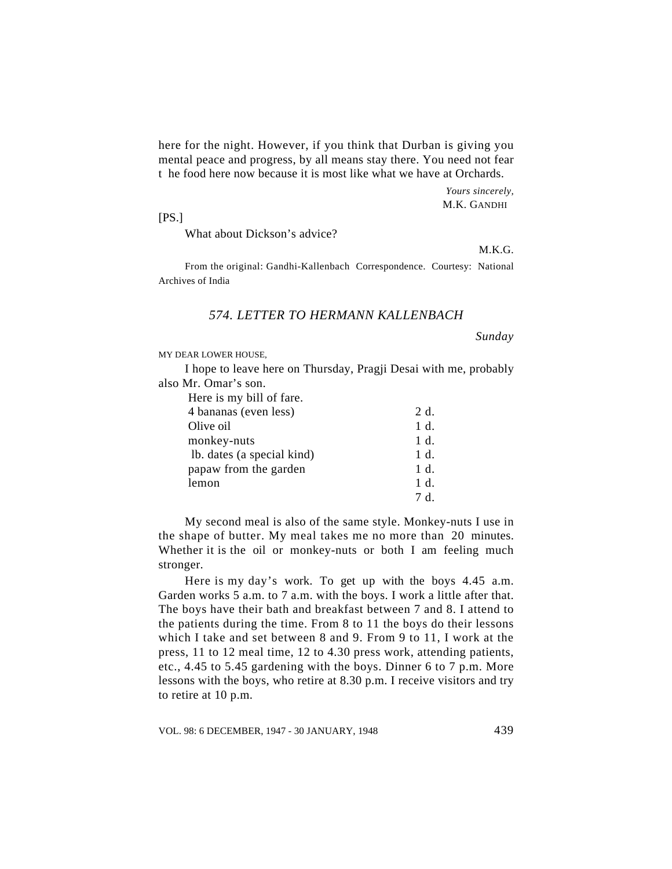here for the night. However, if you think that Durban is giving you mental peace and progress, by all means stay there. You need not fear t he food here now because it is most like what we have at Orchards.

> *Yours sincerely,* M.K. GANDHI

[PS.]

What about Dickson's advice?

M.K.G.

From the original: Gandhi-Kallenbach Correspondence. Courtesy: National Archives of India

## *574. LETTER TO HERMANN KALLENBACH*

*Sunday*

MY DEAR LOWER HOUSE,

I hope to leave here on Thursday, Pragji Desai with me, probably also Mr. Omar's son.

Here is my bill of fare.

| 4 bananas (even less)      | 2 d. |
|----------------------------|------|
| Olive oil                  | 1 d. |
| monkey-nuts                | 1 d. |
| lb. dates (a special kind) | 1 d. |
| papaw from the garden      | 1 d. |
| lemon                      | 1 d. |
|                            | 7 d  |

My second meal is also of the same style. Monkey-nuts I use in the shape of butter. My meal takes me no more than 20 minutes. Whether it is the oil or monkey-nuts or both I am feeling much stronger.

Here is my day's work. To get up with the boys 4.45 a.m. Garden works 5 a.m. to 7 a.m. with the boys. I work a little after that. The boys have their bath and breakfast between 7 and 8. I attend to the patients during the time. From 8 to 11 the boys do their lessons which I take and set between 8 and 9. From 9 to 11, I work at the press, 11 to 12 meal time, 12 to 4.30 press work, attending patients, etc., 4.45 to 5.45 gardening with the boys. Dinner 6 to 7 p.m. More lessons with the boys, who retire at 8.30 p.m. I receive visitors and try to retire at 10 p.m.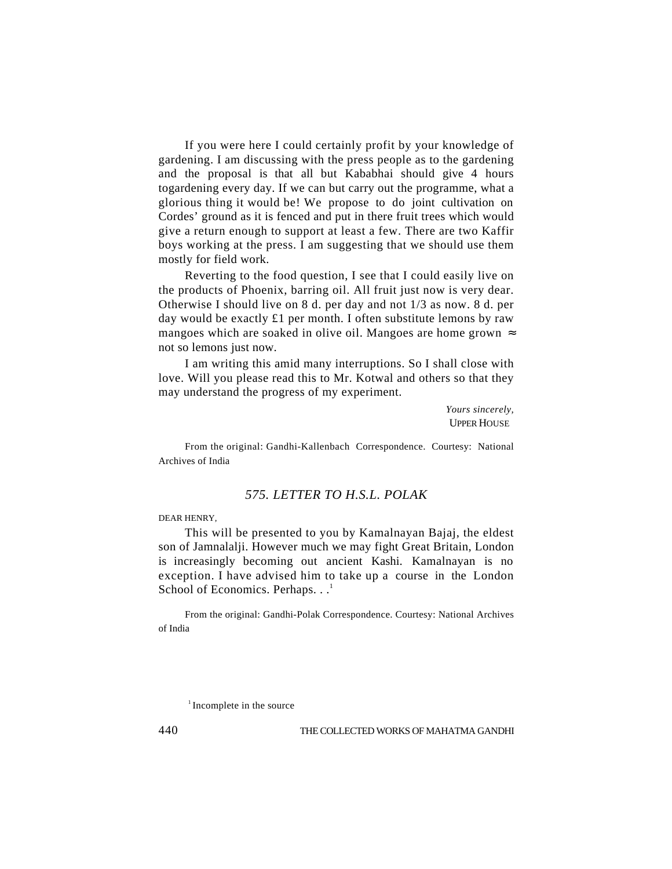If you were here I could certainly profit by your knowledge of gardening. I am discussing with the press people as to the gardening and the proposal is that all but Kababhai should give 4 hours togardening every day. If we can but carry out the programme, what a glorious thing it would be! We propose to do joint cultivation on Cordes' ground as it is fenced and put in there fruit trees which would give a return enough to support at least a few. There are two Kaffir boys working at the press. I am suggesting that we should use them mostly for field work.

Reverting to the food question, I see that I could easily live on the products of Phoenix, barring oil. All fruit just now is very dear. Otherwise I should live on 8 d. per day and not 1/3 as now. 8 d. per day would be exactly £1 per month. I often substitute lemons by raw mangoes which are soaked in olive oil. Mangoes are home grown not so lemons just now.

I am writing this amid many interruptions. So I shall close with love. Will you please read this to Mr. Kotwal and others so that they may understand the progress of my experiment.

> *Yours sincerely,* UPPER HOUSE

From the original: Gandhi-Kallenbach Correspondence. Courtesy: National Archives of India

# *575. LETTER TO H.S.L. POLAK*

DEAR HENRY,

This will be presented to you by Kamalnayan Bajaj, the eldest son of Jamnalalji. However much we may fight Great Britain, London is increasingly becoming out ancient Kashi. Kamalnayan is no exception. I have advised him to take up a course in the London School of Economics. Perhaps.  $\cdot \cdot$ <sup>1</sup>

From the original: Gandhi-Polak Correspondence. Courtesy: National Archives of India

<sup>1</sup> Incomplete in the source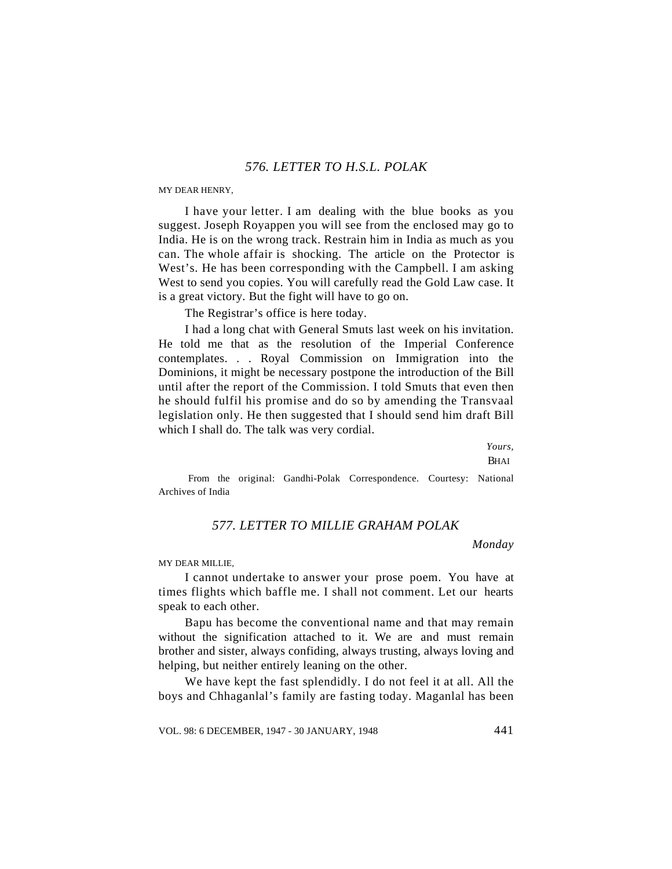#### MY DEAR HENRY,

I have your letter. I am dealing with the blue books as you suggest. Joseph Royappen you will see from the enclosed may go to India. He is on the wrong track. Restrain him in India as much as you can. The whole affair is shocking. The article on the Protector is West's. He has been corresponding with the Campbell. I am asking West to send you copies. You will carefully read the Gold Law case. It is a great victory. But the fight will have to go on.

The Registrar's office is here today.

I had a long chat with General Smuts last week on his invitation. He told me that as the resolution of the Imperial Conference contemplates. . . Royal Commission on Immigration into the Dominions, it might be necessary postpone the introduction of the Bill until after the report of the Commission. I told Smuts that even then he should fulfil his promise and do so by amending the Transvaal legislation only. He then suggested that I should send him draft Bill which I shall do. The talk was very cordial.

> *Yours,* BHAI

From the original: Gandhi-Polak Correspondence. Courtesy: National Archives of India

#### *577. LETTER TO MILLIE GRAHAM POLAK*

*Monday*

MY DEAR MILLIE,

I cannot undertake to answer your prose poem. You have at times flights which baffle me. I shall not comment. Let our hearts speak to each other.

Bapu has become the conventional name and that may remain without the signification attached to it. We are and must remain brother and sister, always confiding, always trusting, always loving and helping, but neither entirely leaning on the other.

We have kept the fast splendidly. I do not feel it at all. All the boys and Chhaganlal's family are fasting today. Maganlal has been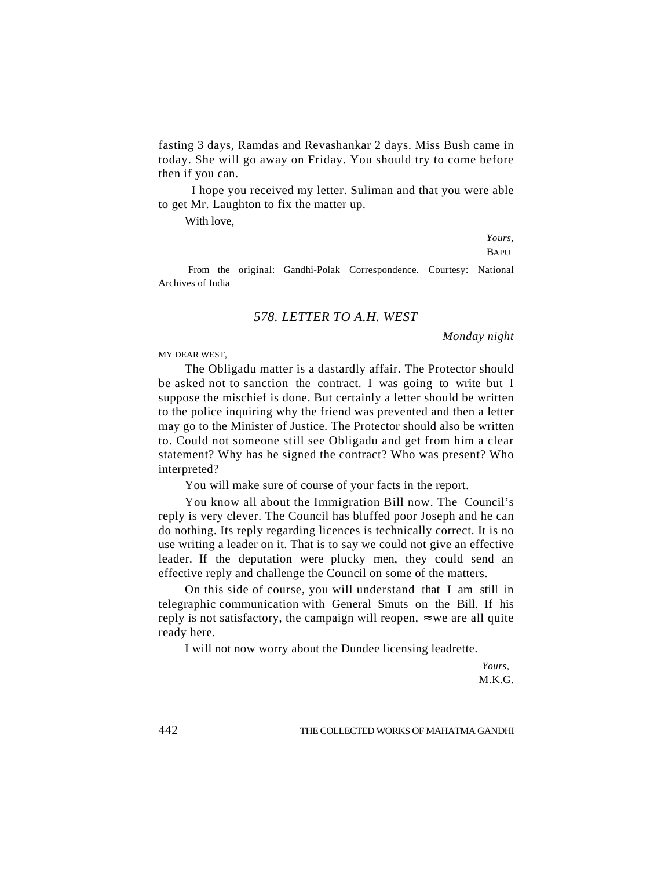fasting 3 days, Ramdas and Revashankar 2 days. Miss Bush came in today. She will go away on Friday. You should try to come before then if you can.

 I hope you received my letter. Suliman and that you were able to get Mr. Laughton to fix the matter up.

With love,

*Yours,*

**BAPU** 

From the original: Gandhi-Polak Correspondence. Courtesy: National Archives of India

## *578. LETTER TO A.H. WEST*

*Monday night*

MY DEAR WEST,

The Obligadu matter is a dastardly affair. The Protector should be asked not to sanction the contract. I was going to write but I suppose the mischief is done. But certainly a letter should be written to the police inquiring why the friend was prevented and then a letter may go to the Minister of Justice. The Protector should also be written to. Could not someone still see Obligadu and get from him a clear statement? Why has he signed the contract? Who was present? Who interpreted?

You will make sure of course of your facts in the report.

You know all about the Immigration Bill now. The Council's reply is very clever. The Council has bluffed poor Joseph and he can do nothing. Its reply regarding licences is technically correct. It is no use writing a leader on it. That is to say we could not give an effective leader. If the deputation were plucky men, they could send an effective reply and challenge the Council on some of the matters.

On this side of course, you will understand that I am still in telegraphic communication with General Smuts on the Bill. If his reply is not satisfactory, the campaign will reopen, we are all quite ready here.

I will not now worry about the Dundee licensing leadrette.

*Yours,* M.K.G.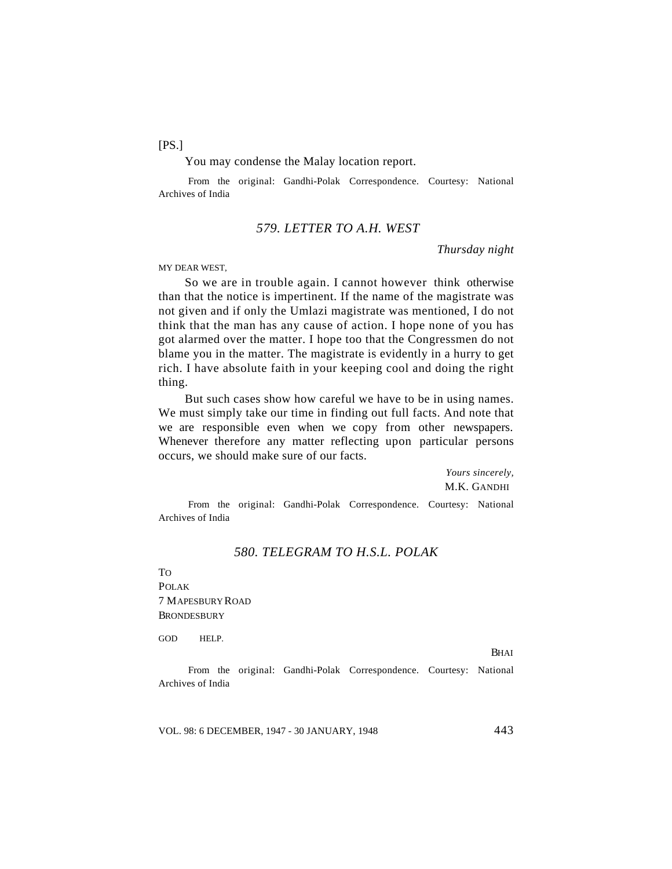[PS.]

You may condense the Malay location report.

From the original: Gandhi-Polak Correspondence. Courtesy: National Archives of India

### *579. LETTER TO A.H. WEST*

*Thursday night*

MY DEAR WEST,

So we are in trouble again. I cannot however think otherwise than that the notice is impertinent. If the name of the magistrate was not given and if only the Umlazi magistrate was mentioned, I do not think that the man has any cause of action. I hope none of you has got alarmed over the matter. I hope too that the Congressmen do not blame you in the matter. The magistrate is evidently in a hurry to get rich. I have absolute faith in your keeping cool and doing the right thing.

But such cases show how careful we have to be in using names. We must simply take our time in finding out full facts. And note that we are responsible even when we copy from other newspapers. Whenever therefore any matter reflecting upon particular persons occurs, we should make sure of our facts.

> *Yours sincerely,* M.K. GANDHI

From the original: Gandhi-Polak Correspondence. Courtesy: National Archives of India

### *580. TELEGRAM TO H.S.L. POLAK*

TO POLAK 7 MAPESBURY ROAD **BRONDESBURY** 

GOD HELP.

**BHAI** 

From the original: Gandhi-Polak Correspondence. Courtesy: National Archives of India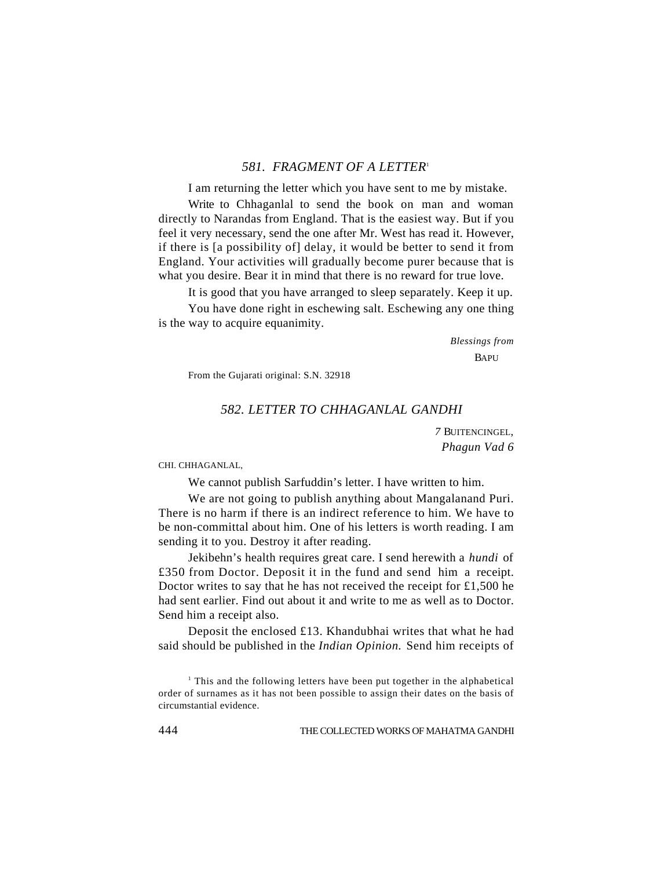# *581. FRAGMENT OF A LETTER*<sup>1</sup>

I am returning the letter which you have sent to me by mistake.

Write to Chhaganlal to send the book on man and woman directly to Narandas from England. That is the easiest way. But if you feel it very necessary, send the one after Mr. West has read it. However, if there is [a possibility of] delay, it would be better to send it from England. Your activities will gradually become purer because that is what you desire. Bear it in mind that there is no reward for true love.

It is good that you have arranged to sleep separately. Keep it up.

You have done right in eschewing salt. Eschewing any one thing is the way to acquire equanimity.

> *Blessings from* BAPU

From the Gujarati original: S.N. 32918

# *582. LETTER TO CHHAGANLAL GANDHI*

*7* BUITENCINGEL, *Phagun Vad 6*

CHI. CHHAGANLAL,

We cannot publish Sarfuddin's letter. I have written to him.

We are not going to publish anything about Mangalanand Puri. There is no harm if there is an indirect reference to him. We have to be non-committal about him. One of his letters is worth reading. I am sending it to you. Destroy it after reading.

Jekibehn's health requires great care. I send herewith a *hundi* of £350 from Doctor. Deposit it in the fund and send him a receipt. Doctor writes to say that he has not received the receipt for £1,500 he had sent earlier. Find out about it and write to me as well as to Doctor. Send him a receipt also.

Deposit the enclosed £13. Khandubhai writes that what he had said should be published in the *Indian Opinion.* Send him receipts of

<sup>&</sup>lt;sup>1</sup> This and the following letters have been put together in the alphabetical order of surnames as it has not been possible to assign their dates on the basis of circumstantial evidence.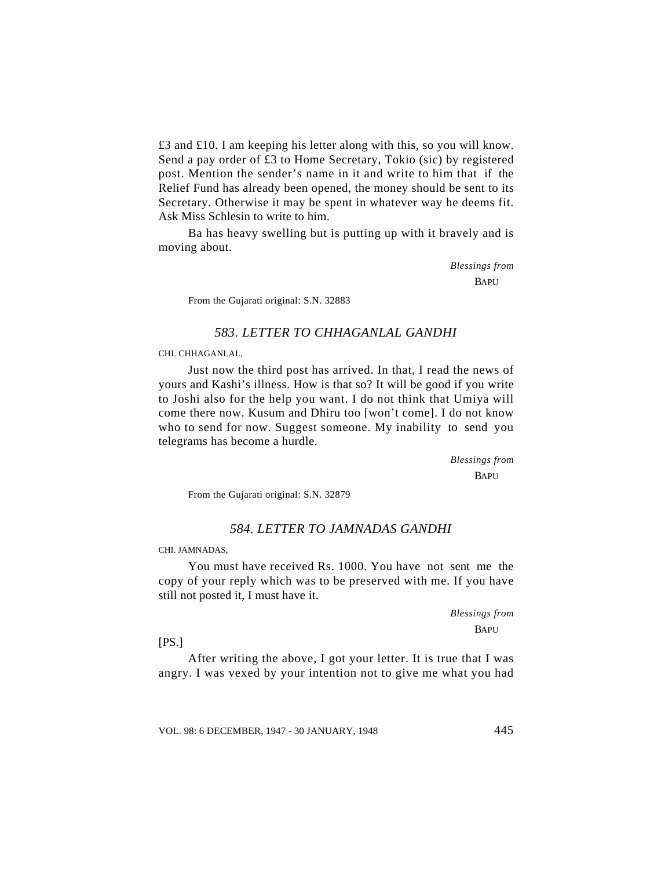£3 and £10. I am keeping his letter along with this, so you will know. Send a pay order of £3 to Home Secretary, Tokio (sic) by registered post. Mention the sender's name in it and write to him that if the Relief Fund has already been opened, the money should be sent to its Secretary. Otherwise it may be spent in whatever way he deems fit. Ask Miss Schlesin to write to him.

Ba has heavy swelling but is putting up with it bravely and is moving about.

> *Blessings from* BAPU

From the Gujarati original: S.N. 32883

## *583. LETTER TO CHHAGANLAL GANDHI*

#### CHI. CHHAGANLAL,

Just now the third post has arrived. In that, I read the news of yours and Kashi's illness. How is that so? It will be good if you write to Joshi also for the help you want. I do not think that Umiya will come there now. Kusum and Dhiru too [won't come]. I do not know who to send for now. Suggest someone. My inability to send you telegrams has become a hurdle.

> *Blessings from* **BAPU**

From the Gujarati original: S.N. 32879

# *584. LETTER TO JAMNADAS GANDHI*

CHI. JAMNADAS,

You must have received Rs. 1000. You have not sent me the copy of your reply which was to be preserved with me. If you have still not posted it, I must have it.

> *Blessings from* **BAPU**

[PS.]

After writing the above, I got your letter. It is true that I was angry. I was vexed by your intention not to give me what you had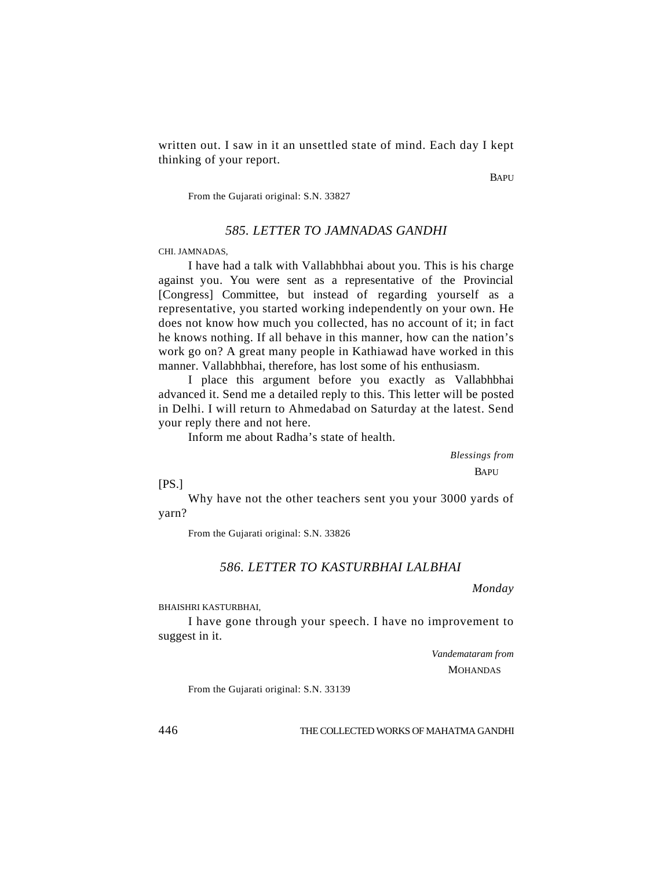written out. I saw in it an unsettled state of mind. Each day I kept thinking of your report.

**BAPU** 

From the Gujarati original: S.N. 33827

## *585. LETTER TO JAMNADAS GANDHI*

CHI. JAMNADAS,

I have had a talk with Vallabhbhai about you. This is his charge against you. You were sent as a representative of the Provincial [Congress] Committee, but instead of regarding yourself as a representative, you started working independently on your own. He does not know how much you collected, has no account of it; in fact he knows nothing. If all behave in this manner, how can the nation's work go on? A great many people in Kathiawad have worked in this manner. Vallabhbhai, therefore, has lost some of his enthusiasm.

I place this argument before you exactly as Vallabhbhai advanced it. Send me a detailed reply to this. This letter will be posted in Delhi. I will return to Ahmedabad on Saturday at the latest. Send your reply there and not here.

Inform me about Radha's state of health.

*Blessings from* **BAPU** 

 $[PS.]$ 

Why have not the other teachers sent you your 3000 yards of yarn?

From the Gujarati original: S.N. 33826

## *586. LETTER TO KASTURBHAI LALBHAI*

*Monday*

BHAISHRI KASTURBHAI,

I have gone through your speech. I have no improvement to suggest in it.

*Vandemataram from*

**MOHANDAS** 

From the Gujarati original: S.N. 33139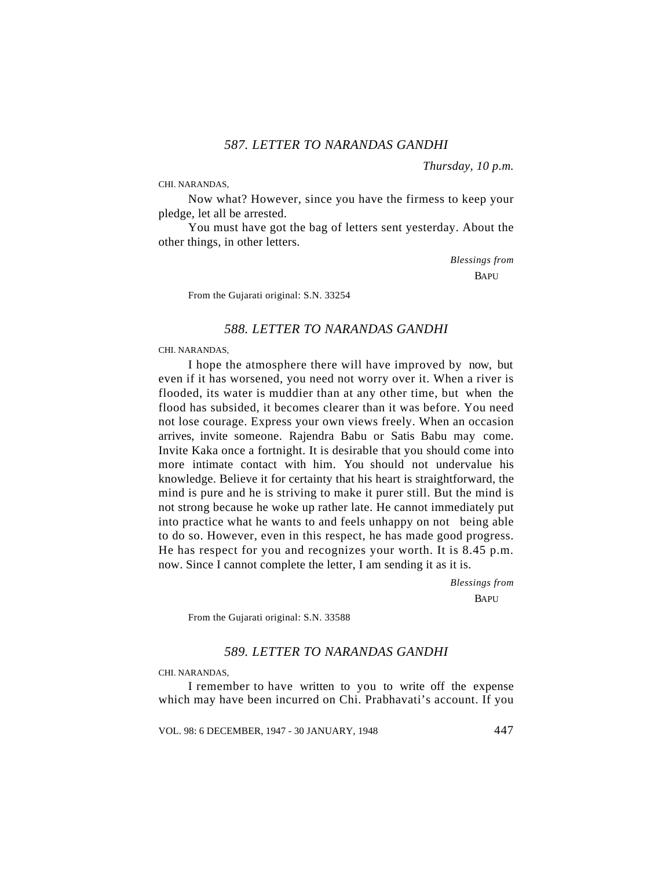*Thursday, 10 p.m.*

CHI. NARANDAS,

Now what? However, since you have the firmess to keep your pledge, let all be arrested.

You must have got the bag of letters sent yesterday. About the other things, in other letters.

> *Blessings from* **BAPU**

From the Gujarati original: S.N. 33254

#### *588. LETTER TO NARANDAS GANDHI*

CHI. NARANDAS,

I hope the atmosphere there will have improved by now, but even if it has worsened, you need not worry over it. When a river is flooded, its water is muddier than at any other time, but when the flood has subsided, it becomes clearer than it was before. You need not lose courage. Express your own views freely. When an occasion arrives, invite someone. Rajendra Babu or Satis Babu may come. Invite Kaka once a fortnight. It is desirable that you should come into more intimate contact with him. You should not undervalue his knowledge. Believe it for certainty that his heart is straightforward, the mind is pure and he is striving to make it purer still. But the mind is not strong because he woke up rather late. He cannot immediately put into practice what he wants to and feels unhappy on not being able to do so. However, even in this respect, he has made good progress. He has respect for you and recognizes your worth. It is 8.45 p.m. now. Since I cannot complete the letter, I am sending it as it is.

> *Blessings from* **BAPU**

From the Gujarati original: S.N. 33588

### *589. LETTER TO NARANDAS GANDHI*

CHI. NARANDAS,

I remember to have written to you to write off the expense which may have been incurred on Chi. Prabhavati's account. If you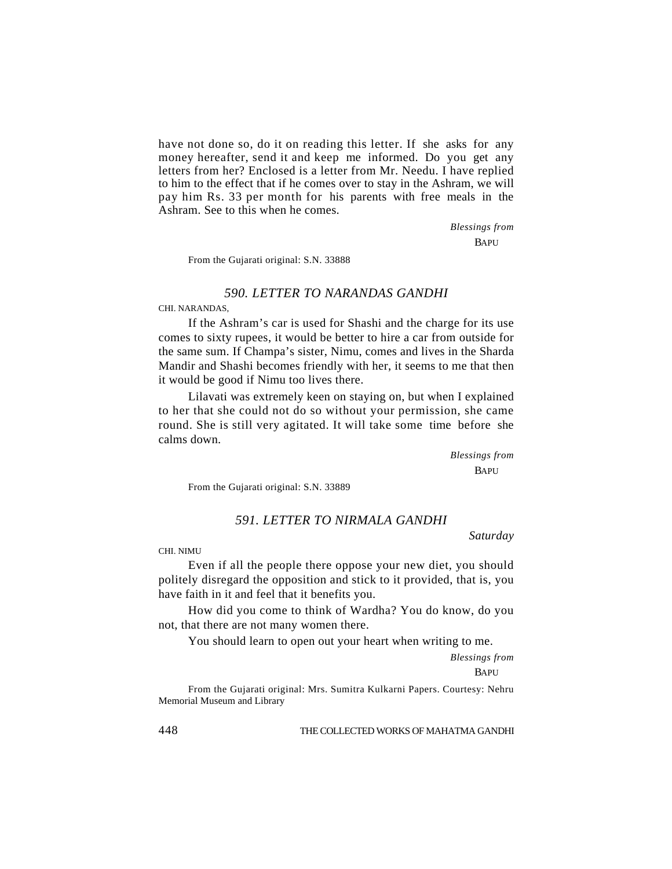have not done so, do it on reading this letter. If she asks for any money hereafter, send it and keep me informed. Do you get any letters from her? Enclosed is a letter from Mr. Needu. I have replied to him to the effect that if he comes over to stay in the Ashram, we will pay him Rs. 33 per month for his parents with free meals in the Ashram. See to this when he comes.

> *Blessings from* BAPU

From the Gujarati original: S.N. 33888

# *590. LETTER TO NARANDAS GANDHI*

CHI. NARANDAS,

If the Ashram's car is used for Shashi and the charge for its use comes to sixty rupees, it would be better to hire a car from outside for the same sum. If Champa's sister, Nimu, comes and lives in the Sharda Mandir and Shashi becomes friendly with her, it seems to me that then it would be good if Nimu too lives there.

Lilavati was extremely keen on staying on, but when I explained to her that she could not do so without your permission, she came round. She is still very agitated. It will take some time before she calms down.

> *Blessings from* **BAPU**

From the Gujarati original: S.N. 33889

## *591. LETTER TO NIRMALA GANDHI*

*Saturday*

CHI. NIMU

Even if all the people there oppose your new diet, you should politely disregard the opposition and stick to it provided, that is, you have faith in it and feel that it benefits you.

How did you come to think of Wardha? You do know, do you not, that there are not many women there.

You should learn to open out your heart when writing to me.

*Blessings from* **BAPU** 

From the Gujarati original: Mrs. Sumitra Kulkarni Papers. Courtesy: Nehru Memorial Museum and Library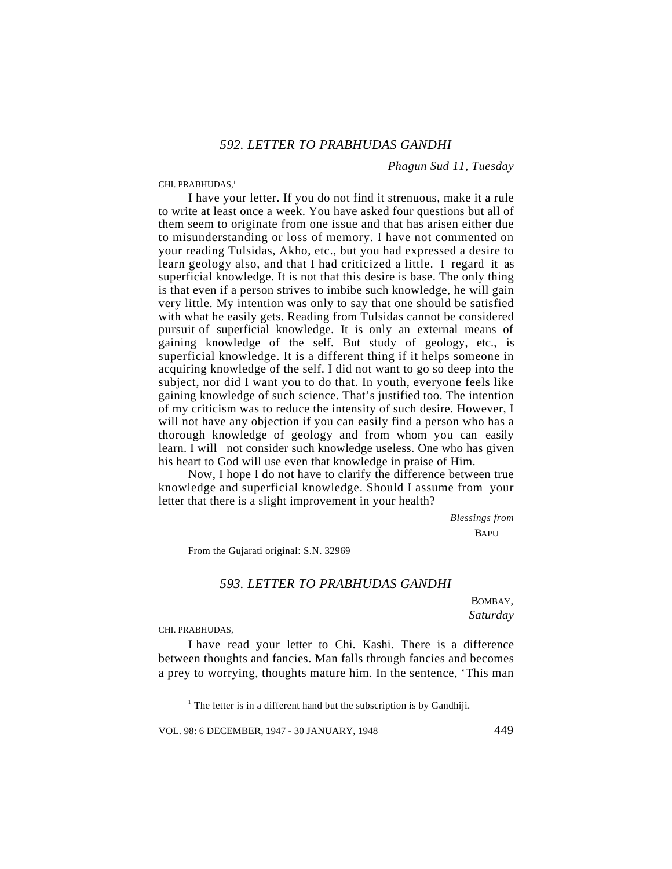*Phagun Sud 11, Tuesday*

CHI. PRABHUDAS.<sup>1</sup>

I have your letter. If you do not find it strenuous, make it a rule to write at least once a week. You have asked four questions but all of them seem to originate from one issue and that has arisen either due to misunderstanding or loss of memory. I have not commented on your reading Tulsidas, Akho, etc., but you had expressed a desire to learn geology also, and that I had criticized a little. I regard it as superficial knowledge. It is not that this desire is base. The only thing is that even if a person strives to imbibe such knowledge, he will gain very little. My intention was only to say that one should be satisfied with what he easily gets. Reading from Tulsidas cannot be considered pursuit of superficial knowledge. It is only an external means of gaining knowledge of the self. But study of geology, etc., is superficial knowledge. It is a different thing if it helps someone in acquiring knowledge of the self. I did not want to go so deep into the subject, nor did I want you to do that. In youth, everyone feels like gaining knowledge of such science. That's justified too. The intention of my criticism was to reduce the intensity of such desire. However, I will not have any objection if you can easily find a person who has a thorough knowledge of geology and from whom you can easily learn. I will not consider such knowledge useless. One who has given his heart to God will use even that knowledge in praise of Him.

Now, I hope I do not have to clarify the difference between true knowledge and superficial knowledge. Should I assume from your letter that there is a slight improvement in your health?

> *Blessings from* **BAPU**

From the Gujarati original: S.N. 32969

### *593. LETTER TO PRABHUDAS GANDHI*

BOMBAY, *Saturday*

CHI. PRABHUDAS,

I have read your letter to Chi. Kashi. There is a difference between thoughts and fancies. Man falls through fancies and becomes a prey to worrying, thoughts mature him. In the sentence, 'This man

 $<sup>1</sup>$  The letter is in a different hand but the subscription is by Gandhiji.</sup>

VOL. 98: 6 DECEMBER, 1947 - 30 JANUARY, 1948 449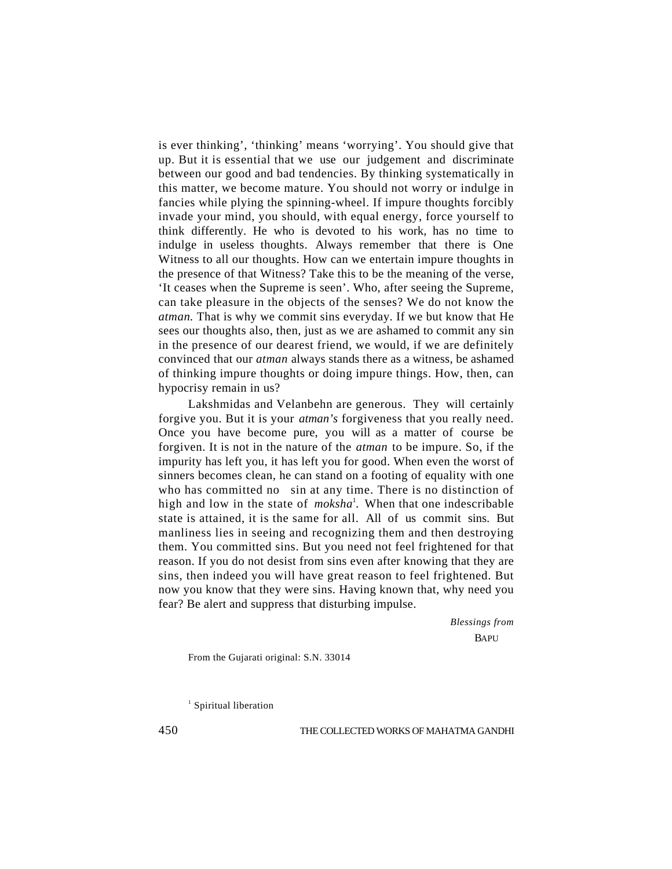is ever thinking', 'thinking' means 'worrying'. You should give that up. But it is essential that we use our judgement and discriminate between our good and bad tendencies. By thinking systematically in this matter, we become mature. You should not worry or indulge in fancies while plying the spinning-wheel. If impure thoughts forcibly invade your mind, you should, with equal energy, force yourself to think differently. He who is devoted to his work, has no time to indulge in useless thoughts. Always remember that there is One Witness to all our thoughts. How can we entertain impure thoughts in the presence of that Witness? Take this to be the meaning of the verse, 'It ceases when the Supreme is seen'. Who, after seeing the Supreme, can take pleasure in the objects of the senses? We do not know the *atman.* That is why we commit sins everyday. If we but know that He sees our thoughts also, then, just as we are ashamed to commit any sin in the presence of our dearest friend, we would, if we are definitely convinced that our *atman* always stands there as a witness, be ashamed of thinking impure thoughts or doing impure things. How, then, can hypocrisy remain in us?

Lakshmidas and Velanbehn are generous. They will certainly forgive you. But it is your *atman's* forgiveness that you really need. Once you have become pure, you will as a matter of course be forgiven. It is not in the nature of the *atman* to be impure. So, if the impurity has left you, it has left you for good. When even the worst of sinners becomes clean, he can stand on a footing of equality with one who has committed no sin at any time. There is no distinction of high and low in the state of *moksha*<sup>1</sup>. When that one indescribable state is attained, it is the same for all. All of us commit sins. But manliness lies in seeing and recognizing them and then destroying them. You committed sins. But you need not feel frightened for that reason. If you do not desist from sins even after knowing that they are sins, then indeed you will have great reason to feel frightened. But now you know that they were sins. Having known that, why need you fear? Be alert and suppress that disturbing impulse.

*Blessings from*

BAPU

From the Gujarati original: S.N. 33014

<sup>1</sup> Spiritual liberation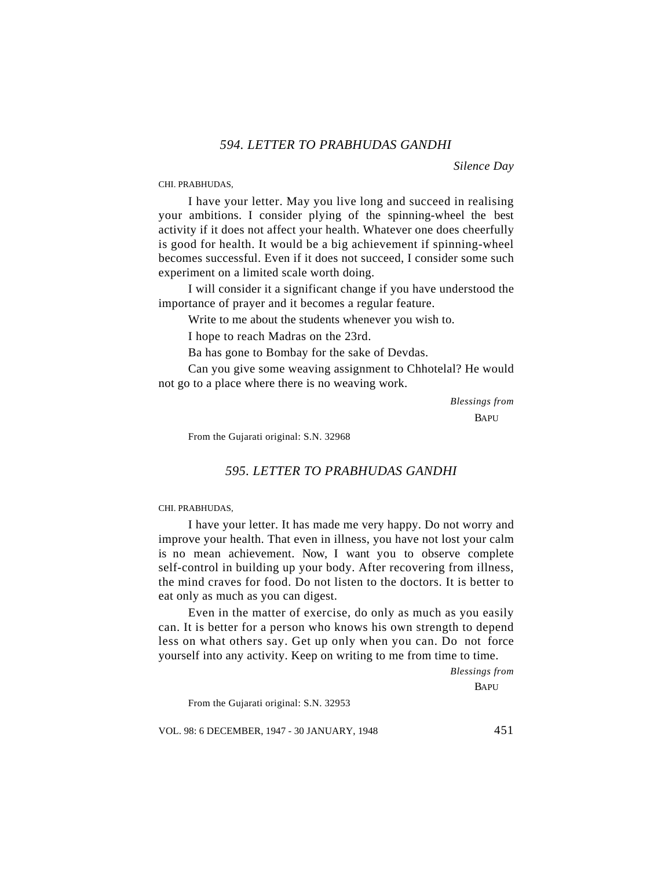*Silence Day*

#### CHI. PRABHUDAS,

I have your letter. May you live long and succeed in realising your ambitions. I consider plying of the spinning-wheel the best activity if it does not affect your health. Whatever one does cheerfully is good for health. It would be a big achievement if spinning-wheel becomes successful. Even if it does not succeed, I consider some such experiment on a limited scale worth doing.

I will consider it a significant change if you have understood the importance of prayer and it becomes a regular feature.

Write to me about the students whenever you wish to.

I hope to reach Madras on the 23rd.

Ba has gone to Bombay for the sake of Devdas.

Can you give some weaving assignment to Chhotelal? He would not go to a place where there is no weaving work.

> *Blessings from* **BAPU**

From the Gujarati original: S.N. 32968

# *595. LETTER TO PRABHUDAS GANDHI*

#### CHI. PRABHUDAS,

I have your letter. It has made me very happy. Do not worry and improve your health. That even in illness, you have not lost your calm is no mean achievement. Now, I want you to observe complete self-control in building up your body. After recovering from illness, the mind craves for food. Do not listen to the doctors. It is better to eat only as much as you can digest.

Even in the matter of exercise, do only as much as you easily can. It is better for a person who knows his own strength to depend less on what others say. Get up only when you can. Do not force yourself into any activity. Keep on writing to me from time to time.

*Blessings from*

**BAPU** 

From the Gujarati original: S.N. 32953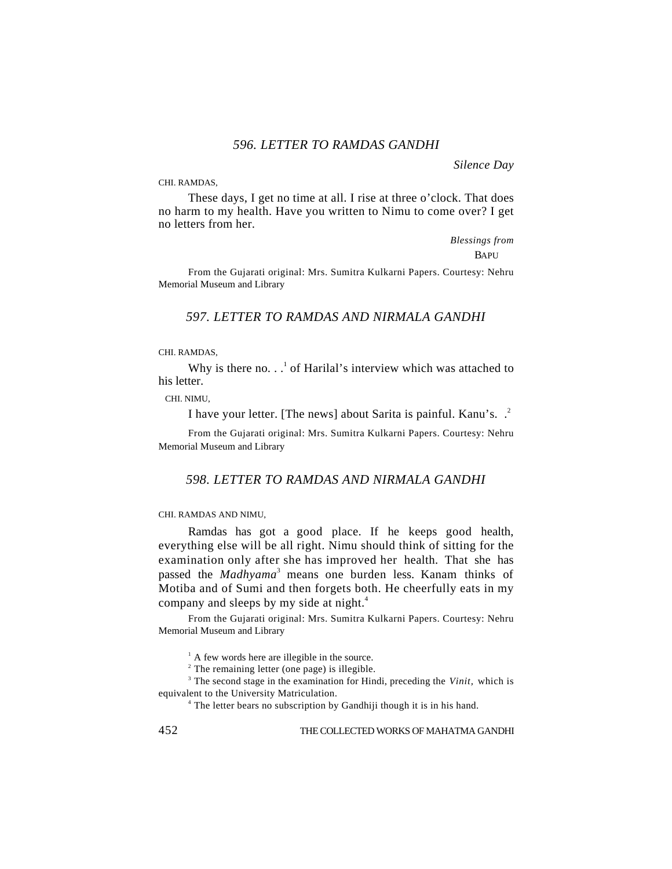## *596. LETTER TO RAMDAS GANDHI*

*Silence Day*

#### CHI. RAMDAS,

These days, I get no time at all. I rise at three o'clock. That does no harm to my health. Have you written to Nimu to come over? I get no letters from her.

*Blessings from*

**BAPU** 

From the Gujarati original: Mrs. Sumitra Kulkarni Papers. Courtesy: Nehru Memorial Museum and Library

### *597. LETTER TO RAMDAS AND NIRMALA GANDHI*

#### CHI. RAMDAS,

Why is there no.  $\cdot$ <sup>1</sup> of Harilal's interview which was attached to his letter.

CHI. NIMU,

I have your letter. [The news] about Sarita is painful. Kanu's. .<sup>2</sup>

From the Gujarati original: Mrs. Sumitra Kulkarni Papers. Courtesy: Nehru Memorial Museum and Library

## *598. LETTER TO RAMDAS AND NIRMALA GANDHI*

#### CHI. RAMDAS AND NIMU,

Ramdas has got a good place. If he keeps good health, everything else will be all right. Nimu should think of sitting for the examination only after she has improved her health. That she has passed the *Madhyama*<sup>3</sup> means one burden less. Kanam thinks of Motiba and of Sumi and then forgets both. He cheerfully eats in my company and sleeps by my side at night.<sup>4</sup>

From the Gujarati original: Mrs. Sumitra Kulkarni Papers. Courtesy: Nehru Memorial Museum and Library

<sup>1</sup> A few words here are illegible in the source.

 $2$  The remaining letter (one page) is illegible.

<sup>3</sup> The second stage in the examination for Hindi, preceding the *Vinit*, which is equivalent to the University Matriculation.

<sup>4</sup> The letter bears no subscription by Gandhiji though it is in his hand.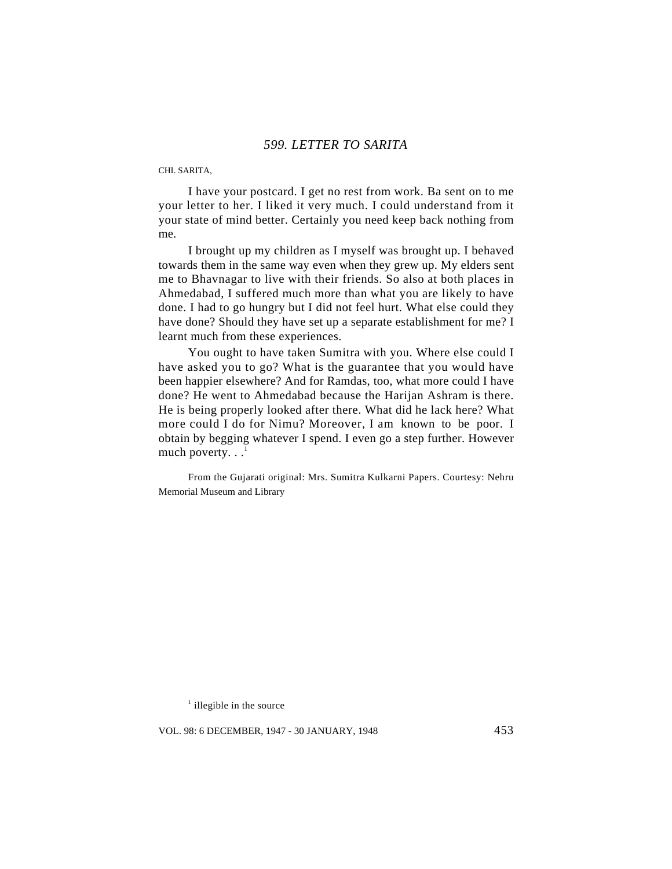#### CHI. SARITA,

I have your postcard. I get no rest from work. Ba sent on to me your letter to her. I liked it very much. I could understand from it your state of mind better. Certainly you need keep back nothing from me.

I brought up my children as I myself was brought up. I behaved towards them in the same way even when they grew up. My elders sent me to Bhavnagar to live with their friends. So also at both places in Ahmedabad, I suffered much more than what you are likely to have done. I had to go hungry but I did not feel hurt. What else could they have done? Should they have set up a separate establishment for me? I learnt much from these experiences.

You ought to have taken Sumitra with you. Where else could I have asked you to go? What is the guarantee that you would have been happier elsewhere? And for Ramdas, too, what more could I have done? He went to Ahmedabad because the Harijan Ashram is there. He is being properly looked after there. What did he lack here? What more could I do for Nimu? Moreover, I am known to be poor. I obtain by begging whatever I spend. I even go a step further. However much poverty.  $\ldots$ <sup>1</sup>

From the Gujarati original: Mrs. Sumitra Kulkarni Papers. Courtesy: Nehru Memorial Museum and Library

 $<sup>1</sup>$  illegible in the source</sup>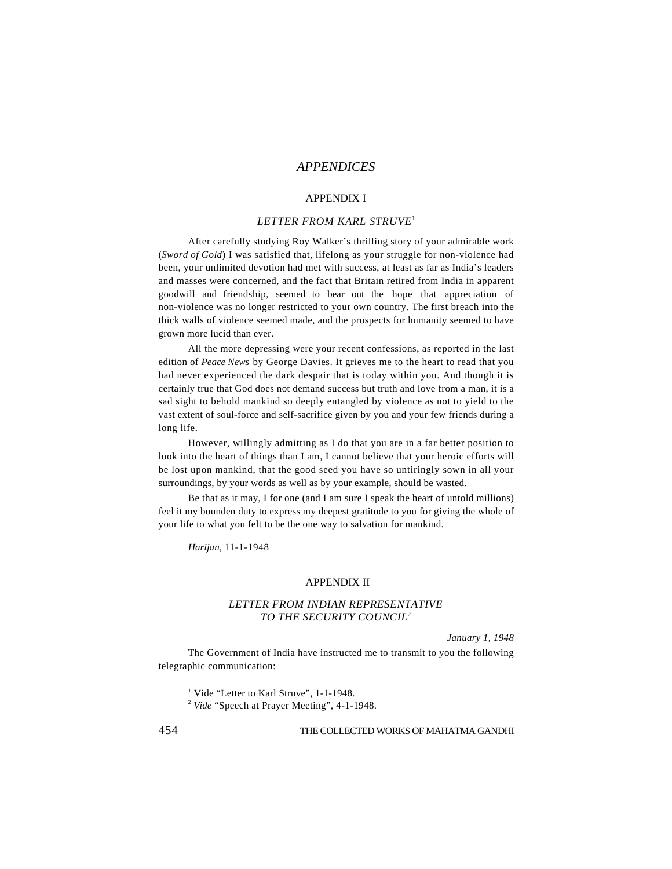# *APPENDICES*

#### APPENDIX I

#### *LETTER FROM KARL STRUVE*<sup>1</sup>

After carefully studying Roy Walker's thrilling story of your admirable work (*Sword of Gold*) I was satisfied that, lifelong as your struggle for non-violence had been, your unlimited devotion had met with success, at least as far as India's leaders and masses were concerned, and the fact that Britain retired from India in apparent goodwill and friendship, seemed to bear out the hope that appreciation of non-violence was no longer restricted to your own country. The first breach into the thick walls of violence seemed made, and the prospects for humanity seemed to have grown more lucid than ever.

All the more depressing were your recent confessions, as reported in the last edition of *Peace News* by George Davies. It grieves me to the heart to read that you had never experienced the dark despair that is today within you. And though it is certainly true that God does not demand success but truth and love from a man, it is a sad sight to behold mankind so deeply entangled by violence as not to yield to the vast extent of soul-force and self-sacrifice given by you and your few friends during a long life.

However, willingly admitting as I do that you are in a far better position to look into the heart of things than I am, I cannot believe that your heroic efforts will be lost upon mankind, that the good seed you have so untiringly sown in all your surroundings, by your words as well as by your example, should be wasted.

Be that as it may, I for one (and I am sure I speak the heart of untold millions) feel it my bounden duty to express my deepest gratitude to you for giving the whole of your life to what you felt to be the one way to salvation for mankind.

*Harijan,* 11-1-1948

#### APPENDIX II

### *LETTER FROM INDIAN REPRESENTATIVE TO THE SECURITY COUNCIL*<sup>2</sup>

*January 1, 1948*

The Government of India have instructed me to transmit to you the following telegraphic communication:

<sup>1</sup> Vide "Letter to Karl Struve", 1-1-1948. <sup>2</sup> *Vide* "Speech at Prayer Meeting", 4-1-1948.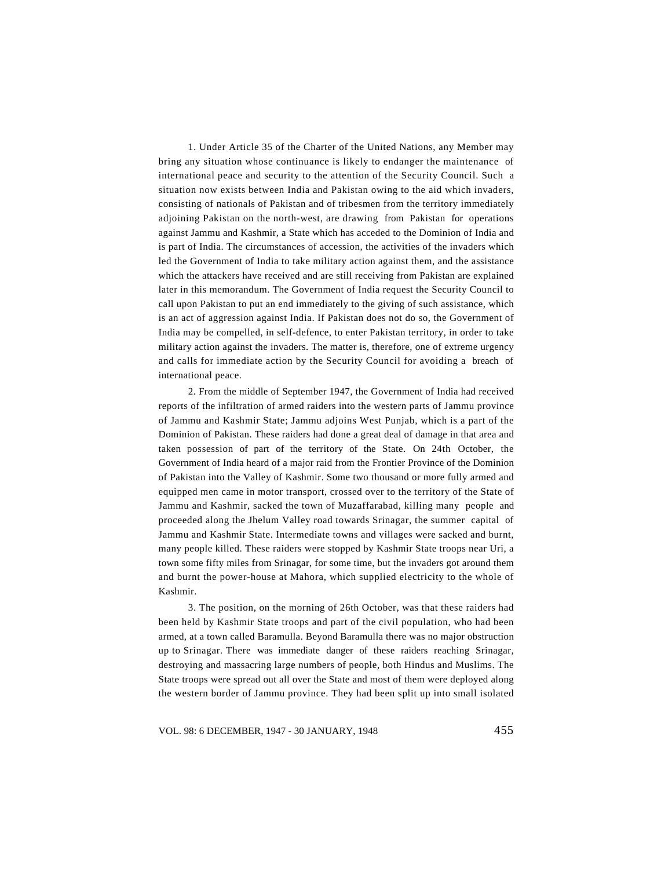1. Under Article 35 of the Charter of the United Nations, any Member may bring any situation whose continuance is likely to endanger the maintenance of international peace and security to the attention of the Security Council. Such a situation now exists between India and Pakistan owing to the aid which invaders, consisting of nationals of Pakistan and of tribesmen from the territory immediately adjoining Pakistan on the north-west, are drawing from Pakistan for operations against Jammu and Kashmir, a State which has acceded to the Dominion of India and is part of India. The circumstances of accession, the activities of the invaders which led the Government of India to take military action against them, and the assistance which the attackers have received and are still receiving from Pakistan are explained later in this memorandum. The Government of India request the Security Council to call upon Pakistan to put an end immediately to the giving of such assistance, which is an act of aggression against India. If Pakistan does not do so, the Government of India may be compelled, in self-defence, to enter Pakistan territory, in order to take military action against the invaders. The matter is, therefore, one of extreme urgency and calls for immediate action by the Security Council for avoiding a breach of international peace.

2. From the middle of September 1947, the Government of India had received reports of the infiltration of armed raiders into the western parts of Jammu province of Jammu and Kashmir State; Jammu adjoins West Punjab, which is a part of the Dominion of Pakistan. These raiders had done a great deal of damage in that area and taken possession of part of the territory of the State. On 24th October, the Government of India heard of a major raid from the Frontier Province of the Dominion of Pakistan into the Valley of Kashmir. Some two thousand or more fully armed and equipped men came in motor transport, crossed over to the territory of the State of Jammu and Kashmir, sacked the town of Muzaffarabad, killing many people and proceeded along the Jhelum Valley road towards Srinagar, the summer capital of Jammu and Kashmir State. Intermediate towns and villages were sacked and burnt, many people killed. These raiders were stopped by Kashmir State troops near Uri, a town some fifty miles from Srinagar, for some time, but the invaders got around them and burnt the power-house at Mahora, which supplied electricity to the whole of Kashmir.

3. The position, on the morning of 26th October, was that these raiders had been held by Kashmir State troops and part of the civil population, who had been armed, at a town called Baramulla. Beyond Baramulla there was no major obstruction up to Srinagar. There was immediate danger of these raiders reaching Srinagar, destroying and massacring large numbers of people, both Hindus and Muslims. The State troops were spread out all over the State and most of them were deployed along the western border of Jammu province. They had been split up into small isolated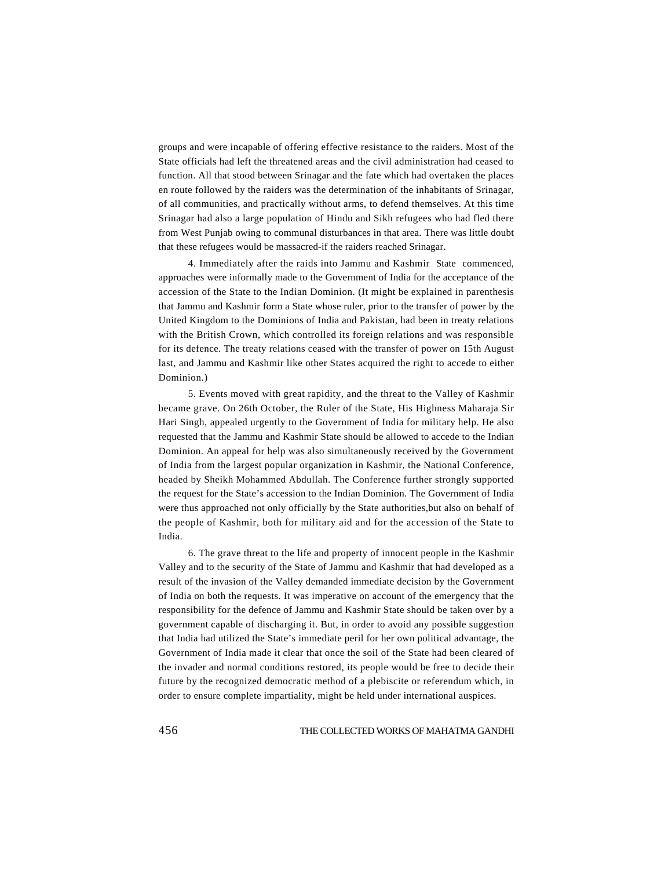groups and were incapable of offering effective resistance to the raiders. Most of the State officials had left the threatened areas and the civil administration had ceased to function. All that stood between Srinagar and the fate which had overtaken the places en route followed by the raiders was the determination of the inhabitants of Srinagar, of all communities, and practically without arms, to defend themselves. At this time Srinagar had also a large population of Hindu and Sikh refugees who had fled there from West Punjab owing to communal disturbances in that area. There was little doubt that these refugees would be massacred-if the raiders reached Srinagar.

4. Immediately after the raids into Jammu and Kashmir State commenced, approaches were informally made to the Government of India for the acceptance of the accession of the State to the Indian Dominion. (It might be explained in parenthesis that Jammu and Kashmir form a State whose ruler, prior to the transfer of power by the United Kingdom to the Dominions of India and Pakistan, had been in treaty relations with the British Crown, which controlled its foreign relations and was responsible for its defence. The treaty relations ceased with the transfer of power on 15th August last, and Jammu and Kashmir like other States acquired the right to accede to either Dominion.)

5. Events moved with great rapidity, and the threat to the Valley of Kashmir became grave. On 26th October, the Ruler of the State, His Highness Maharaja Sir Hari Singh, appealed urgently to the Government of India for military help. He also requested that the Jammu and Kashmir State should be allowed to accede to the Indian Dominion. An appeal for help was also simultaneously received by the Government of India from the largest popular organization in Kashmir, the National Conference, headed by Sheikh Mohammed Abdullah. The Conference further strongly supported the request for the State's accession to the Indian Dominion. The Government of India were thus approached not only officially by the State authorities,but also on behalf of the people of Kashmir, both for military aid and for the accession of the State to India.

6. The grave threat to the life and property of innocent people in the Kashmir Valley and to the security of the State of Jammu and Kashmir that had developed as a result of the invasion of the Valley demanded immediate decision by the Government of India on both the requests. It was imperative on account of the emergency that the responsibility for the defence of Jammu and Kashmir State should be taken over by a government capable of discharging it. But, in order to avoid any possible suggestion that India had utilized the State's immediate peril for her own political advantage, the Government of India made it clear that once the soil of the State had been cleared of the invader and normal conditions restored, its people would be free to decide their future by the recognized democratic method of a plebiscite or referendum which, in order to ensure complete impartiality, might be held under international auspices.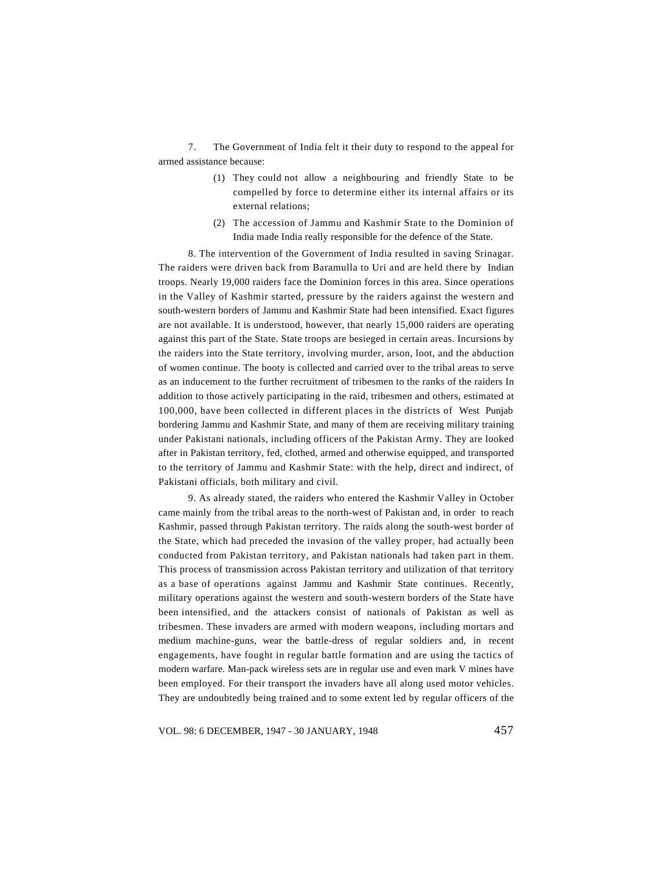7. The Government of India felt it their duty to respond to the appeal for armed assistance because:

- (1) They could not allow a neighbouring and friendly State to be compelled by force to determine either its internal affairs or its external relations;
- (2) The accession of Jammu and Kashmir State to the Dominion of India made India really responsible for the defence of the State.

8. The intervention of the Government of India resulted in saving Srinagar. The raiders were driven back from Baramulla to Uri and are held there by Indian troops. Nearly 19,000 raiders face the Dominion forces in this area. Since operations in the Valley of Kashmir started, pressure by the raiders against the western and south-western borders of Jammu and Kashmir State had been intensified. Exact figures are not available. It is understood, however, that nearly 15,000 raiders are operating against this part of the State. State troops are besieged in certain areas. Incursions by the raiders into the State territory, involving murder, arson, loot, and the abduction of women continue. The booty is collected and carried over to the tribal areas to serve as an inducement to the further recruitment of tribesmen to the ranks of the raiders In addition to those actively participating in the raid, tribesmen and others, estimated at 100,000, have been collected in different places in the districts of West Punjab bordering Jammu and Kashmir State, and many of them are receiving military training under Pakistani nationals, including officers of the Pakistan Army. They are looked after in Pakistan territory, fed, clothed, armed and otherwise equipped, and transported to the territory of Jammu and Kashmir State: with the help, direct and indirect, of Pakistani officials, both military and civil.

9. As already stated, the raiders who entered the Kashmir Valley in October came mainly from the tribal areas to the north-west of Pakistan and, in order to reach Kashmir, passed through Pakistan territory. The raids along the south-west border of the State, which had preceded the invasion of the valley proper, had actually been conducted from Pakistan territory, and Pakistan nationals had taken part in them. This process of transmission across Pakistan territory and utilization of that territory as a base of operations against Jammu and Kashmir State continues. Recently, military operations against the western and south-western borders of the State have been intensified, and the attackers consist of nationals of Pakistan as well as tribesmen. These invaders are armed with modern weapons, including mortars and medium machine-guns, wear the battle-dress of regular soldiers and, in recent engagements, have fought in regular battle formation and are using the tactics of modern warfare. Man-pack wireless sets are in regular use and even mark V mines have been employed. For their transport the invaders have all along used motor vehicles. They are undoubtedly being trained and to some extent led by regular officers of the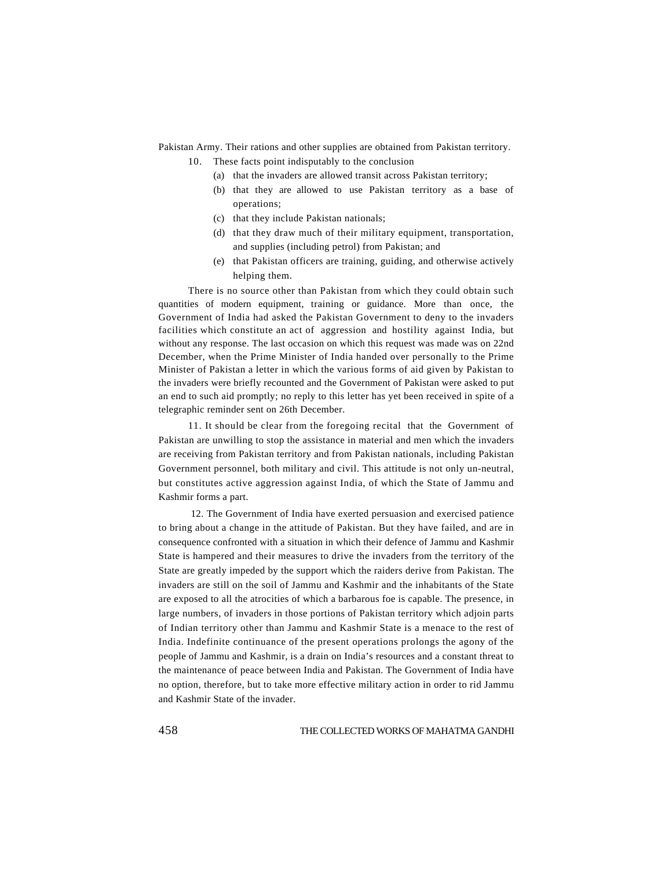Pakistan Army. Their rations and other supplies are obtained from Pakistan territory.

- 10. These facts point indisputably to the conclusion
	- (a) that the invaders are allowed transit across Pakistan territory;
	- (b) that they are allowed to use Pakistan territory as a base of operations;
	- (c) that they include Pakistan nationals;
	- (d) that they draw much of their military equipment, transportation, and supplies (including petrol) from Pakistan; and
	- (e) that Pakistan officers are training, guiding, and otherwise actively helping them.

There is no source other than Pakistan from which they could obtain such quantities of modern equipment, training or guidance. More than once, the Government of India had asked the Pakistan Government to deny to the invaders facilities which constitute an act of aggression and hostility against India, but without any response. The last occasion on which this request was made was on 22nd December, when the Prime Minister of India handed over personally to the Prime Minister of Pakistan a letter in which the various forms of aid given by Pakistan to the invaders were briefly recounted and the Government of Pakistan were asked to put an end to such aid promptly; no reply to this letter has yet been received in spite of a telegraphic reminder sent on 26th December.

11. It should be clear from the foregoing recital that the Government of Pakistan are unwilling to stop the assistance in material and men which the invaders are receiving from Pakistan territory and from Pakistan nationals, including Pakistan Government personnel, both military and civil. This attitude is not only un-neutral, but constitutes active aggression against India, of which the State of Jammu and Kashmir forms a part.

 12. The Government of India have exerted persuasion and exercised patience to bring about a change in the attitude of Pakistan. But they have failed, and are in consequence confronted with a situation in which their defence of Jammu and Kashmir State is hampered and their measures to drive the invaders from the territory of the State are greatly impeded by the support which the raiders derive from Pakistan. The invaders are still on the soil of Jammu and Kashmir and the inhabitants of the State are exposed to all the atrocities of which a barbarous foe is capable. The presence, in large numbers, of invaders in those portions of Pakistan territory which adjoin parts of Indian territory other than Jammu and Kashmir State is a menace to the rest of India. Indefinite continuance of the present operations prolongs the agony of the people of Jammu and Kashmir, is a drain on India's resources and a constant threat to the maintenance of peace between India and Pakistan. The Government of India have no option, therefore, but to take more effective military action in order to rid Jammu and Kashmir State of the invader.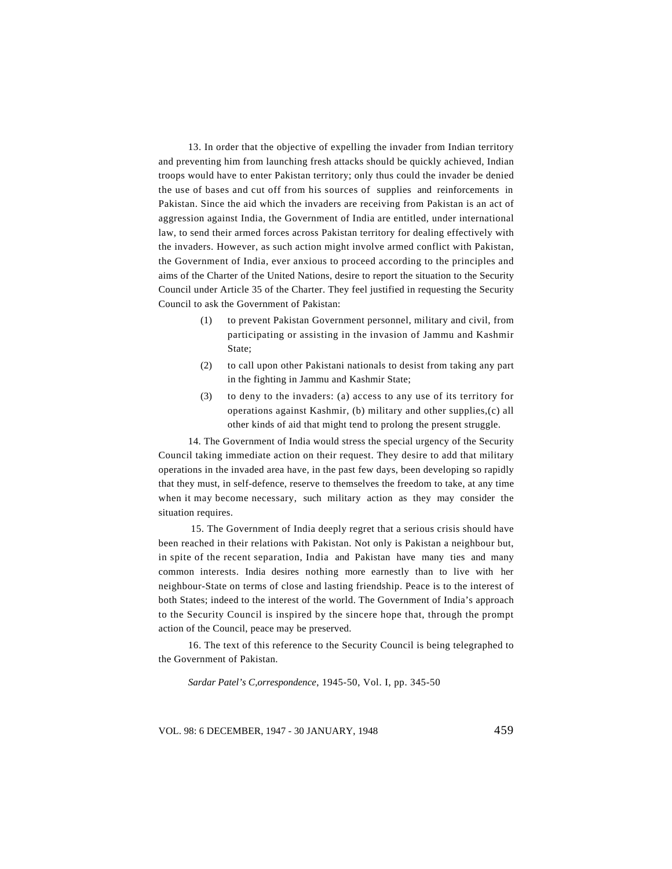13. In order that the objective of expelling the invader from Indian territory and preventing him from launching fresh attacks should be quickly achieved, Indian troops would have to enter Pakistan territory; only thus could the invader be denied the use of bases and cut off from his sources of supplies and reinforcements in Pakistan. Since the aid which the invaders are receiving from Pakistan is an act of aggression against India, the Government of India are entitled, under international law, to send their armed forces across Pakistan territory for dealing effectively with the invaders. However, as such action might involve armed conflict with Pakistan, the Government of India, ever anxious to proceed according to the principles and aims of the Charter of the United Nations, desire to report the situation to the Security Council under Article 35 of the Charter. They feel justified in requesting the Security Council to ask the Government of Pakistan:

- (1) to prevent Pakistan Government personnel, military and civil, from participating or assisting in the invasion of Jammu and Kashmir State;
- (2) to call upon other Pakistani nationals to desist from taking any part in the fighting in Jammu and Kashmir State;
- (3) to deny to the invaders: (a) access to any use of its territory for operations against Kashmir, (b) military and other supplies,(c) all other kinds of aid that might tend to prolong the present struggle.

14. The Government of India would stress the special urgency of the Security Council taking immediate action on their request. They desire to add that military operations in the invaded area have, in the past few days, been developing so rapidly that they must, in self-defence, reserve to themselves the freedom to take, at any time when it may become necessary, such military action as they may consider the situation requires.

 15. The Government of India deeply regret that a serious crisis should have been reached in their relations with Pakistan. Not only is Pakistan a neighbour but, in spite of the recent separation, India and Pakistan have many ties and many common interests. India desires nothing more earnestly than to live with her neighbour-State on terms of close and lasting friendship. Peace is to the interest of both States; indeed to the interest of the world. The Government of India's approach to the Security Council is inspired by the sincere hope that, through the prompt action of the Council, peace may be preserved.

16. The text of this reference to the Security Council is being telegraphed to the Government of Pakistan.

*Sardar Patel's C,orrespondence*, 1945-50, Vol. I, pp. 345-50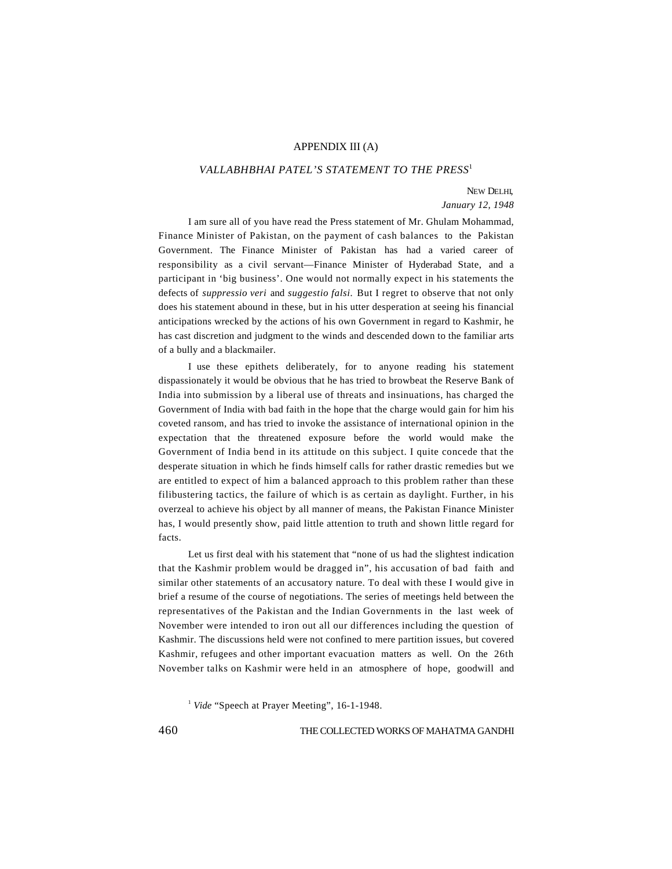#### APPENDIX III (A)

#### *VALLABHBHAI PATEL'S STATEMENT TO THE PRESS*<sup>1</sup>

NEW DELHI, *January 12, 1948*

I am sure all of you have read the Press statement of Mr. Ghulam Mohammad, Finance Minister of Pakistan, on the payment of cash balances to the Pakistan Government. The Finance Minister of Pakistan has had a varied career of responsibility as a civil servant—Finance Minister of Hyderabad State, and a participant in 'big business'. One would not normally expect in his statements the defects of *suppressio veri* and *suggestio falsi.* But I regret to observe that not only does his statement abound in these, but in his utter desperation at seeing his financial anticipations wrecked by the actions of his own Government in regard to Kashmir, he has cast discretion and judgment to the winds and descended down to the familiar arts of a bully and a blackmailer.

I use these epithets deliberately, for to anyone reading his statement dispassionately it would be obvious that he has tried to browbeat the Reserve Bank of India into submission by a liberal use of threats and insinuations, has charged the Government of India with bad faith in the hope that the charge would gain for him his coveted ransom, and has tried to invoke the assistance of international opinion in the expectation that the threatened exposure before the world would make the Government of India bend in its attitude on this subject. I quite concede that the desperate situation in which he finds himself calls for rather drastic remedies but we are entitled to expect of him a balanced approach to this problem rather than these filibustering tactics, the failure of which is as certain as daylight. Further, in his overzeal to achieve his object by all manner of means, the Pakistan Finance Minister has, I would presently show, paid little attention to truth and shown little regard for facts.

Let us first deal with his statement that "none of us had the slightest indication that the Kashmir problem would be dragged in", his accusation of bad faith and similar other statements of an accusatory nature. To deal with these I would give in brief a resume of the course of negotiations. The series of meetings held between the representatives of the Pakistan and the Indian Governments in the last week of November were intended to iron out all our differences including the question of Kashmir. The discussions held were not confined to mere partition issues, but covered Kashmir, refugees and other important evacuation matters as well. On the 26th November talks on Kashmir were held in an atmosphere of hope, goodwill and

<sup>1</sup> *Vide* "Speech at Prayer Meeting", 16-1-1948.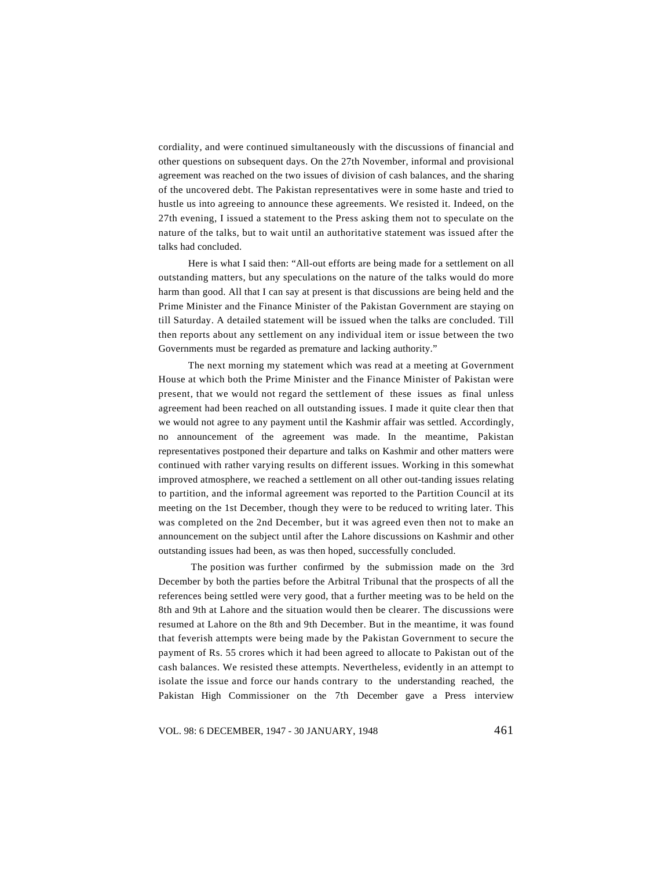cordiality, and were continued simultaneously with the discussions of financial and other questions on subsequent days. On the 27th November, informal and provisional agreement was reached on the two issues of division of cash balances, and the sharing of the uncovered debt. The Pakistan representatives were in some haste and tried to hustle us into agreeing to announce these agreements. We resisted it. Indeed, on the 27th evening, I issued a statement to the Press asking them not to speculate on the nature of the talks, but to wait until an authoritative statement was issued after the talks had concluded.

Here is what I said then: "All-out efforts are being made for a settlement on all outstanding matters, but any speculations on the nature of the talks would do more harm than good. All that I can say at present is that discussions are being held and the Prime Minister and the Finance Minister of the Pakistan Government are staying on till Saturday. A detailed statement will be issued when the talks are concluded. Till then reports about any settlement on any individual item or issue between the two Governments must be regarded as premature and lacking authority."

The next morning my statement which was read at a meeting at Government House at which both the Prime Minister and the Finance Minister of Pakistan were present, that we would not regard the settlement of these issues as final unless agreement had been reached on all outstanding issues. I made it quite clear then that we would not agree to any payment until the Kashmir affair was settled. Accordingly, no announcement of the agreement was made. In the meantime, Pakistan representatives postponed their departure and talks on Kashmir and other matters were continued with rather varying results on different issues. Working in this somewhat improved atmosphere, we reached a settlement on all other out-tanding issues relating to partition, and the informal agreement was reported to the Partition Council at its meeting on the 1st December, though they were to be reduced to writing later. This was completed on the 2nd December, but it was agreed even then not to make an announcement on the subject until after the Lahore discussions on Kashmir and other outstanding issues had been, as was then hoped, successfully concluded.

 The position was further confirmed by the submission made on the 3rd December by both the parties before the Arbitral Tribunal that the prospects of all the references being settled were very good, that a further meeting was to be held on the 8th and 9th at Lahore and the situation would then be clearer. The discussions were resumed at Lahore on the 8th and 9th December. But in the meantime, it was found that feverish attempts were being made by the Pakistan Government to secure the payment of Rs. 55 crores which it had been agreed to allocate to Pakistan out of the cash balances. We resisted these attempts. Nevertheless, evidently in an attempt to isolate the issue and force our hands contrary to the understanding reached, the Pakistan High Commissioner on the 7th December gave a Press interview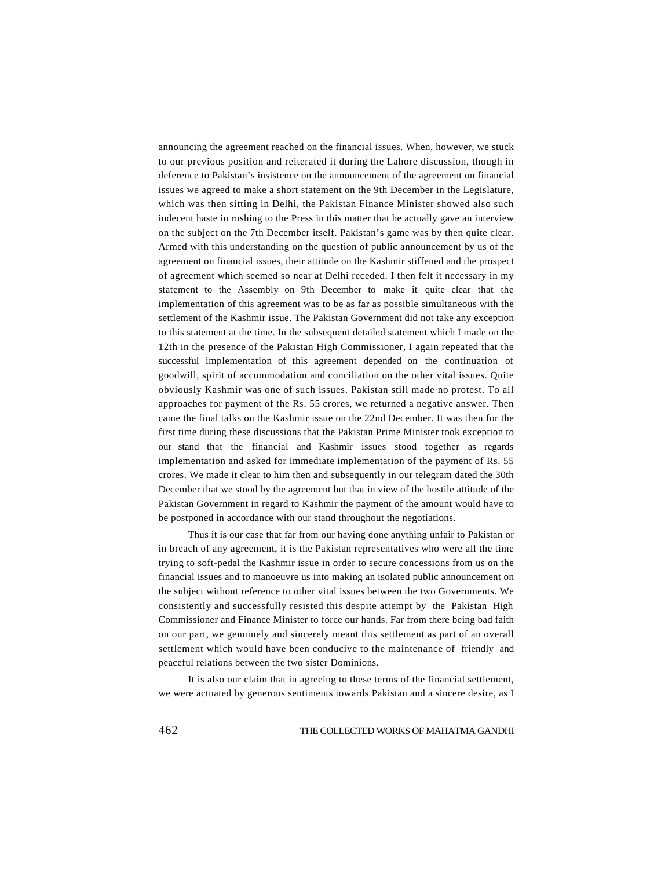announcing the agreement reached on the financial issues. When, however, we stuck to our previous position and reiterated it during the Lahore discussion, though in deference to Pakistan's insistence on the announcement of the agreement on financial issues we agreed to make a short statement on the 9th December in the Legislature, which was then sitting in Delhi, the Pakistan Finance Minister showed also such indecent haste in rushing to the Press in this matter that he actually gave an interview on the subject on the 7th December itself. Pakistan's game was by then quite clear. Armed with this understanding on the question of public announcement by us of the agreement on financial issues, their attitude on the Kashmir stiffened and the prospect of agreement which seemed so near at Delhi receded. I then felt it necessary in my statement to the Assembly on 9th December to make it quite clear that the implementation of this agreement was to be as far as possible simultaneous with the settlement of the Kashmir issue. The Pakistan Government did not take any exception to this statement at the time. In the subsequent detailed statement which I made on the 12th in the presence of the Pakistan High Commissioner, I again repeated that the successful implementation of this agreement depended on the continuation of goodwill, spirit of accommodation and conciliation on the other vital issues. Quite obviously Kashmir was one of such issues. Pakistan still made no protest. To all approaches for payment of the Rs. 55 crores, we returned a negative answer. Then came the final talks on the Kashmir issue on the 22nd December. It was then for the first time during these discussions that the Pakistan Prime Minister took exception to our stand that the financial and Kashmir issues stood together as regards implementation and asked for immediate implementation of the payment of Rs. 55 crores. We made it clear to him then and subsequently in our telegram dated the 30th December that we stood by the agreement but that in view of the hostile attitude of the Pakistan Government in regard to Kashmir the payment of the amount would have to be postponed in accordance with our stand throughout the negotiations.

Thus it is our case that far from our having done anything unfair to Pakistan or in breach of any agreement, it is the Pakistan representatives who were all the time trying to soft-pedal the Kashmir issue in order to secure concessions from us on the financial issues and to manoeuvre us into making an isolated public announcement on the subject without reference to other vital issues between the two Governments. We consistently and successfully resisted this despite attempt by the Pakistan High Commissioner and Finance Minister to force our hands. Far from there being bad faith on our part, we genuinely and sincerely meant this settlement as part of an overall settlement which would have been conducive to the maintenance of friendly and peaceful relations between the two sister Dominions.

It is also our claim that in agreeing to these terms of the financial settlement, we were actuated by generous sentiments towards Pakistan and a sincere desire, as I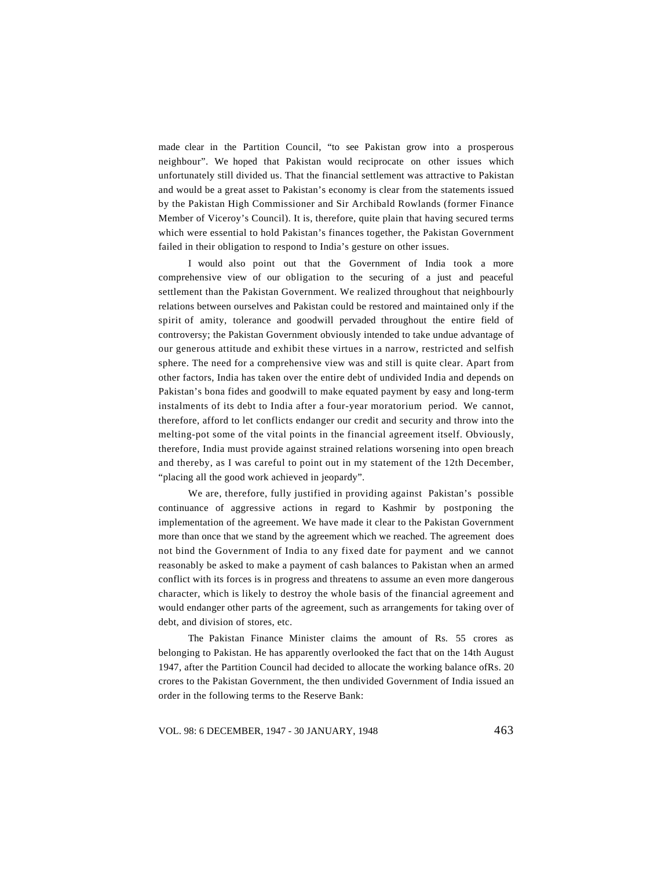made clear in the Partition Council, "to see Pakistan grow into a prosperous neighbour". We hoped that Pakistan would reciprocate on other issues which unfortunately still divided us. That the financial settlement was attractive to Pakistan and would be a great asset to Pakistan's economy is clear from the statements issued by the Pakistan High Commissioner and Sir Archibald Rowlands (former Finance Member of Viceroy's Council). It is, therefore, quite plain that having secured terms which were essential to hold Pakistan's finances together, the Pakistan Government failed in their obligation to respond to India's gesture on other issues.

I would also point out that the Government of India took a more comprehensive view of our obligation to the securing of a just and peaceful settlement than the Pakistan Government. We realized throughout that neighbourly relations between ourselves and Pakistan could be restored and maintained only if the spirit of amity, tolerance and goodwill pervaded throughout the entire field of controversy; the Pakistan Government obviously intended to take undue advantage of our generous attitude and exhibit these virtues in a narrow, restricted and selfish sphere. The need for a comprehensive view was and still is quite clear. Apart from other factors, India has taken over the entire debt of undivided India and depends on Pakistan's bona fides and goodwill to make equated payment by easy and long-term instalments of its debt to India after a four-year moratorium period. We cannot, therefore, afford to let conflicts endanger our credit and security and throw into the melting-pot some of the vital points in the financial agreement itself. Obviously, therefore, India must provide against strained relations worsening into open breach and thereby, as I was careful to point out in my statement of the 12th December, "placing all the good work achieved in jeopardy".

We are, therefore, fully justified in providing against Pakistan's possible continuance of aggressive actions in regard to Kashmir by postponing the implementation of the agreement. We have made it clear to the Pakistan Government more than once that we stand by the agreement which we reached. The agreement does not bind the Government of India to any fixed date for payment and we cannot reasonably be asked to make a payment of cash balances to Pakistan when an armed conflict with its forces is in progress and threatens to assume an even more dangerous character, which is likely to destroy the whole basis of the financial agreement and would endanger other parts of the agreement, such as arrangements for taking over of debt, and division of stores, etc.

The Pakistan Finance Minister claims the amount of Rs. 55 crores as belonging to Pakistan. He has apparently overlooked the fact that on the 14th August 1947, after the Partition Council had decided to allocate the working balance ofRs. 20 crores to the Pakistan Government, the then undivided Government of India issued an order in the following terms to the Reserve Bank: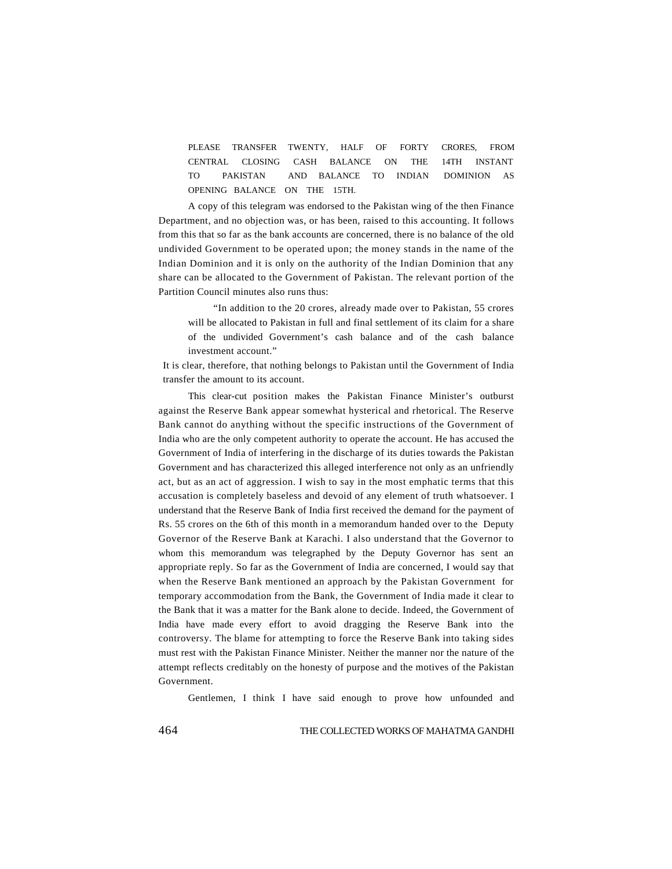PLEASE TRANSFER TWENTY, HALF OF FORTY CRORES, FROM CENTRAL CLOSING CASH BALANCE ON THE 14TH INSTANT TO PAKISTAN AND BALANCE TO INDIAN DOMINION AS OPENING BALANCE ON THE 15TH.

A copy of this telegram was endorsed to the Pakistan wing of the then Finance Department, and no objection was, or has been, raised to this accounting. It follows from this that so far as the bank accounts are concerned, there is no balance of the old undivided Government to be operated upon; the money stands in the name of the Indian Dominion and it is only on the authority of the Indian Dominion that any share can be allocated to the Government of Pakistan. The relevant portion of the Partition Council minutes also runs thus:

"In addition to the 20 crores, already made over to Pakistan, 55 crores will be allocated to Pakistan in full and final settlement of its claim for a share of the undivided Government's cash balance and of the cash balance investment account."

It is clear, therefore, that nothing belongs to Pakistan until the Government of India transfer the amount to its account.

This clear-cut position makes the Pakistan Finance Minister's outburst against the Reserve Bank appear somewhat hysterical and rhetorical. The Reserve Bank cannot do anything without the specific instructions of the Government of India who are the only competent authority to operate the account. He has accused the Government of India of interfering in the discharge of its duties towards the Pakistan Government and has characterized this alleged interference not only as an unfriendly act, but as an act of aggression. I wish to say in the most emphatic terms that this accusation is completely baseless and devoid of any element of truth whatsoever. I understand that the Reserve Bank of India first received the demand for the payment of Rs. 55 crores on the 6th of this month in a memorandum handed over to the Deputy Governor of the Reserve Bank at Karachi. I also understand that the Governor to whom this memorandum was telegraphed by the Deputy Governor has sent an appropriate reply. So far as the Government of India are concerned, I would say that when the Reserve Bank mentioned an approach by the Pakistan Government for temporary accommodation from the Bank, the Government of India made it clear to the Bank that it was a matter for the Bank alone to decide. Indeed, the Government of India have made every effort to avoid dragging the Reserve Bank into the controversy. The blame for attempting to force the Reserve Bank into taking sides must rest with the Pakistan Finance Minister. Neither the manner nor the nature of the attempt reflects creditably on the honesty of purpose and the motives of the Pakistan Government.

Gentlemen, I think I have said enough to prove how unfounded and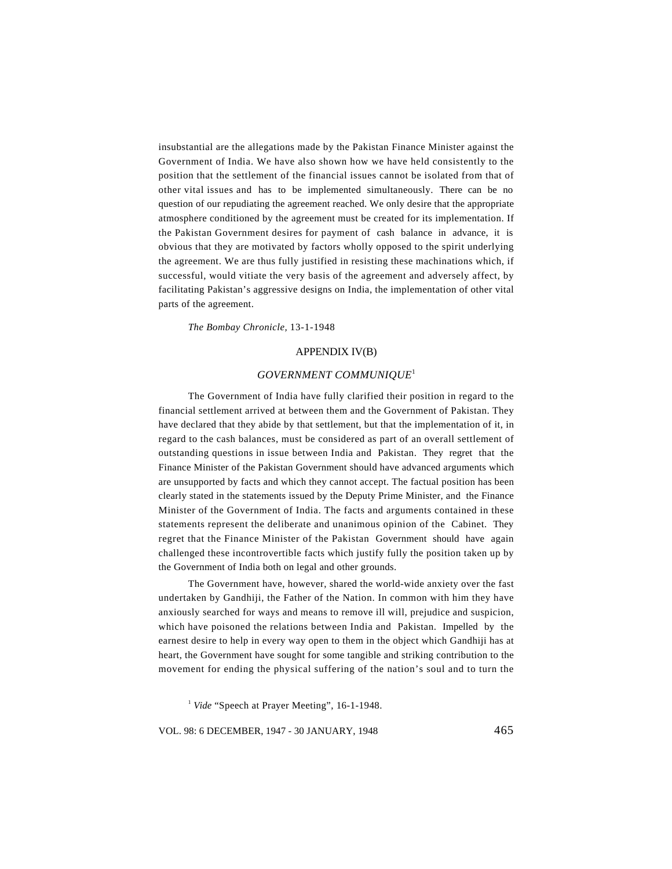insubstantial are the allegations made by the Pakistan Finance Minister against the Government of India. We have also shown how we have held consistently to the position that the settlement of the financial issues cannot be isolated from that of other vital issues and has to be implemented simultaneously. There can be no question of our repudiating the agreement reached. We only desire that the appropriate atmosphere conditioned by the agreement must be created for its implementation. If the Pakistan Government desires for payment of cash balance in advance, it is obvious that they are motivated by factors wholly opposed to the spirit underlying the agreement. We are thus fully justified in resisting these machinations which, if successful, would vitiate the very basis of the agreement and adversely affect, by facilitating Pakistan's aggressive designs on India, the implementation of other vital parts of the agreement.

*The Bombay Chronicle,* 13-1-1948

#### APPENDIX IV(B)

#### *GOVERNMENT COMMUNIQUE*<sup>1</sup>

The Government of India have fully clarified their position in regard to the financial settlement arrived at between them and the Government of Pakistan. They have declared that they abide by that settlement, but that the implementation of it, in regard to the cash balances, must be considered as part of an overall settlement of outstanding questions in issue between India and Pakistan. They regret that the Finance Minister of the Pakistan Government should have advanced arguments which are unsupported by facts and which they cannot accept. The factual position has been clearly stated in the statements issued by the Deputy Prime Minister, and the Finance Minister of the Government of India. The facts and arguments contained in these statements represent the deliberate and unanimous opinion of the Cabinet. They regret that the Finance Minister of the Pakistan Government should have again challenged these incontrovertible facts which justify fully the position taken up by the Government of India both on legal and other grounds.

The Government have, however, shared the world-wide anxiety over the fast undertaken by Gandhiji, the Father of the Nation. In common with him they have anxiously searched for ways and means to remove ill will, prejudice and suspicion, which have poisoned the relations between India and Pakistan. Impelled by the earnest desire to help in every way open to them in the object which Gandhiji has at heart, the Government have sought for some tangible and striking contribution to the movement for ending the physical suffering of the nation's soul and to turn the

<sup>1</sup> *Vide* "Speech at Prayer Meeting", 16-1-1948.

VOL. 98: 6 DECEMBER, 1947 - 30 JANUARY, 1948 465